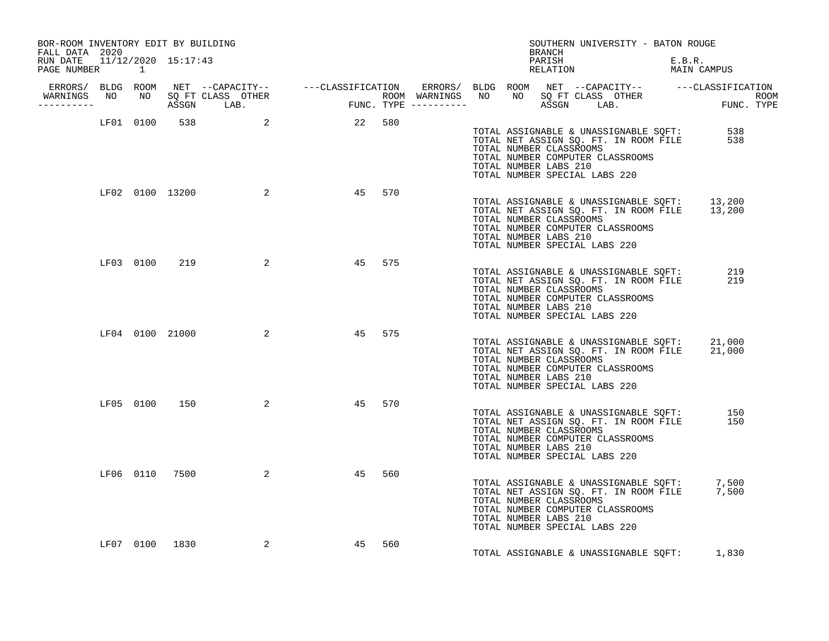| BOR-ROOM INVENTORY EDIT BY BUILDING<br>FALL DATA 2020 |  |                |                                  |    |        |  | <b>BRANCH</b>         |                                                                                              | SOUTHERN UNIVERSITY - BATON ROUGE |                                                                                              |  |
|-------------------------------------------------------|--|----------------|----------------------------------|----|--------|--|-----------------------|----------------------------------------------------------------------------------------------|-----------------------------------|----------------------------------------------------------------------------------------------|--|
| RUN DATE 11/12/2020 15:17:43<br>PAGE NUMBER 1         |  |                |                                  |    |        |  | PARISH                | RELATION                                                                                     |                                   | E.B.R.<br>MAIN CAMPUS                                                                        |  |
| -----------                                           |  |                | WARNINGS NO NO SQ FT CLASS OTHER |    |        |  |                       |                                                                                              |                                   |                                                                                              |  |
|                                                       |  |                | LF01 0100 538 2 22 580           |    |        |  | TOTAL NUMBER LABS 210 | TOTAL NUMBER CLASSROOMS<br>TOTAL NUMBER COMPUTER CLASSROOMS<br>TOTAL NUMBER SPECIAL LABS 220 |                                   | TOTAL ASSIGNABLE & UNASSIGNABLE SQFT: 538<br>TOTAL NET ASSIGN SQ. FT. IN ROOM FILE 538       |  |
|                                                       |  |                | LF02 0100 13200 2                | 45 | 570    |  | TOTAL NUMBER LABS 210 | TOTAL NUMBER CLASSROOMS<br>TOTAL NUMBER COMPUTER CLASSROOMS<br>TOTAL NUMBER SPECIAL LABS 220 |                                   | TOTAL ASSIGNABLE & UNASSIGNABLE SQFT: 13,200<br>TOTAL NET ASSIGN SQ. FT. IN ROOM FILE 13,200 |  |
|                                                       |  |                | LF03 0100 219 2                  |    | 45 575 |  | TOTAL NUMBER LABS 210 | TOTAL NUMBER CLASSROOMS<br>TOTAL NUMBER COMPUTER CLASSROOMS<br>TOTAL NUMBER SPECIAL LABS 220 |                                   | TOTAL ASSIGNABLE & UNASSIGNABLE SQFT: 219<br>TOTAL NET ASSIGN SQ. FT. IN ROOM FILE 219       |  |
|                                                       |  |                | LF04 0100 21000 2                | 45 | 575    |  | TOTAL NUMBER LABS 210 | TOTAL NUMBER CLASSROOMS<br>TOTAL NUMBER COMPUTER CLASSROOMS<br>TOTAL NUMBER SPECIAL LABS 220 |                                   | TOTAL ASSIGNABLE & UNASSIGNABLE SOFT: 21,000<br>TOTAL NET ASSIGN SQ. FT. IN ROOM FILE 21,000 |  |
|                                                       |  |                | LF05 0100 150 2                  | 45 | 570    |  | TOTAL NUMBER LABS 210 | TOTAL NUMBER CLASSROOMS<br>TOTAL NUMBER COMPUTER CLASSROOMS<br>TOTAL NUMBER SPECIAL LABS 220 |                                   | TOTAL ASSIGNABLE & UNASSIGNABLE SQFT: 150<br>TOTAL NET ASSIGN SQ. FT. IN ROOM FILE 150       |  |
|                                                       |  |                | LF06 0110 7500<br>2              | 45 | 560    |  | TOTAL NUMBER LABS 210 | TOTAL NUMBER CLASSROOMS<br>TOTAL NUMBER COMPUTER CLASSROOMS<br>TOTAL NUMBER SPECIAL LABS 220 |                                   | TOTAL ASSIGNABLE & UNASSIGNABLE SQFT: 7,500<br>TOTAL NET ASSIGN SQ. FT. IN ROOM FILE 7,500   |  |
|                                                       |  | LF07 0100 1830 | 2                                | 45 | 560    |  |                       |                                                                                              |                                   | TOTAL ASSIGNABLE & UNASSIGNABLE SQFT: 1,830                                                  |  |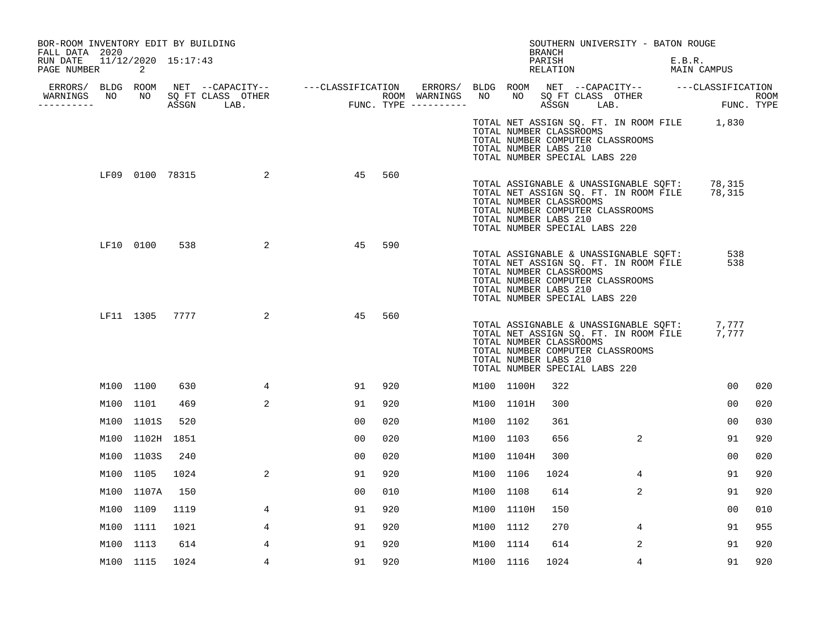| BOR-ROOM INVENTORY EDIT BY BUILDING<br>FALL DATA 2020 |                 |      |                                  |    |     |           |                                                                                   | <b>BRANCH</b>      | SOUTHERN UNIVERSITY - BATON ROUGE                                                                                  |        |                                                                                              |      |
|-------------------------------------------------------|-----------------|------|----------------------------------|----|-----|-----------|-----------------------------------------------------------------------------------|--------------------|--------------------------------------------------------------------------------------------------------------------|--------|----------------------------------------------------------------------------------------------|------|
| RUN DATE 11/12/2020 15:17:43<br>PAGE NUMBER           | 2               |      |                                  |    |     |           |                                                                                   | PARISH<br>RELATION |                                                                                                                    | E.B.R. | MAIN CAMPUS                                                                                  |      |
|                                                       |                 |      | WARNINGS NO NO SQ FT CLASS OTHER |    |     |           |                                                                                   |                    |                                                                                                                    |        |                                                                                              | ROOM |
| -----------                                           |                 |      |                                  |    |     |           |                                                                                   |                    |                                                                                                                    |        | NO SQFTCLASS OTHER THE ROOM ASSGN LAB.                                                       |      |
|                                                       |                 |      |                                  |    |     |           | TOTAL NUMBER CLASSROOMS<br>TOTAL NUMBER LABS 210<br>TOTAL NUMBER SPECIAL LABS 220 |                    | TOTAL NUMBER COMPUTER CLASSROOMS                                                                                   |        | TOTAL NET ASSIGN SQ. FT. IN ROOM FILE 1,830                                                  |      |
|                                                       | LF09 0100 78315 |      | 2                                | 45 | 560 |           | TOTAL NUMBER CLASSROOMS<br>TOTAL NUMBER LABS 210<br>TOTAL NUMBER SPECIAL LABS 220 |                    | TOTAL NUMBER COMPUTER CLASSROOMS                                                                                   |        | TOTAL ASSIGNABLE & UNASSIGNABLE SQFT: 78,315<br>TOTAL NET ASSIGN SQ. FT. IN ROOM FILE 78,315 |      |
|                                                       | LF10 0100       | 538  | 2                                | 45 | 590 |           | TOTAL NUMBER CLASSROOMS<br>TOTAL NUMBER LABS 210<br>TOTAL NUMBER SPECIAL LABS 220 |                    | TOTAL ASSIGNABLE & UNASSIGNABLE SQFT:<br>TOTAL NET ASSIGN SQ. FT. IN ROOM FILE<br>TOTAL NUMBER COMPUTER CLASSROOMS |        | 538<br>538                                                                                   |      |
|                                                       | LF11 1305 7777  |      | 2                                | 45 | 560 |           | TOTAL NUMBER CLASSROOMS<br>TOTAL NUMBER LABS 210<br>TOTAL NUMBER SPECIAL LABS 220 |                    | TOTAL NUMBER COMPUTER CLASSROOMS                                                                                   |        | TOTAL ASSIGNABLE & UNASSIGNABLE SQFT: 7,777<br>TOTAL NET ASSIGN SQ. FT. IN ROOM FILE 7,777   |      |
|                                                       | M100 1100       | 630  | $4\overline{ }$                  | 91 | 920 |           | M100 1100H                                                                        | 322                |                                                                                                                    |        | 00                                                                                           | 020  |
|                                                       | M100 1101       | 469  | 2                                | 91 | 920 |           | M100 1101H                                                                        | 300                |                                                                                                                    |        | 00                                                                                           | 020  |
|                                                       | M100 1101S      | 520  |                                  | 00 | 020 | M100 1102 |                                                                                   | 361                |                                                                                                                    |        | 0 <sub>0</sub>                                                                               | 030  |
|                                                       | M100 1102H 1851 |      |                                  | 00 | 020 | M100 1103 |                                                                                   | 656                | 2                                                                                                                  |        | 91                                                                                           | 920  |
|                                                       | M100 1103S      | 240  |                                  | 00 | 020 |           | M100 1104H                                                                        | 300                |                                                                                                                    |        | 00                                                                                           | 020  |
|                                                       | M100 1105       | 1024 | 2                                | 91 | 920 | M100 1106 |                                                                                   | 1024               | 4                                                                                                                  |        | 91                                                                                           | 920  |
|                                                       | M100 1107A      | 150  |                                  | 00 | 010 | M100 1108 |                                                                                   | 614                | 2                                                                                                                  |        | 91                                                                                           | 920  |
|                                                       | M100 1109       | 1119 | 4                                | 91 | 920 |           | M100 1110H                                                                        | 150                |                                                                                                                    |        | 00                                                                                           | 010  |
|                                                       | M100 1111       | 1021 | 4                                | 91 | 920 | M100 1112 |                                                                                   | 270                | 4                                                                                                                  |        | 91                                                                                           | 955  |
|                                                       | M100 1113       | 614  | 4                                | 91 | 920 | M100 1114 |                                                                                   | 614                | 2                                                                                                                  |        | 91                                                                                           | 920  |
|                                                       | M100 1115       | 1024 | 4                                | 91 | 920 | M100 1116 |                                                                                   | 1024               | 4                                                                                                                  |        | 91                                                                                           | 920  |
|                                                       |                 |      |                                  |    |     |           |                                                                                   |                    |                                                                                                                    |        |                                                                                              |      |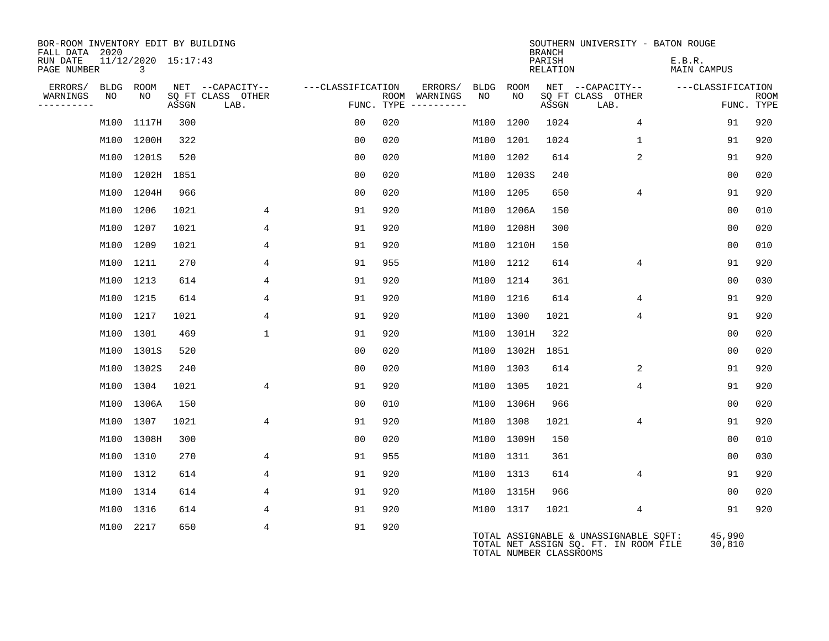| BOR-ROOM INVENTORY EDIT BY BUILDING<br>FALL DATA 2020 |           |                          |       |                           |                   |                                      |      |                         | <b>BRANCH</b>      | SOUTHERN UNIVERSITY - BATON ROUGE                                              |                       |                           |
|-------------------------------------------------------|-----------|--------------------------|-------|---------------------------|-------------------|--------------------------------------|------|-------------------------|--------------------|--------------------------------------------------------------------------------|-----------------------|---------------------------|
| RUN DATE<br>PAGE NUMBER                               |           | 11/12/2020 15:17:43<br>3 |       |                           |                   |                                      |      |                         | PARISH<br>RELATION |                                                                                | E.B.R.<br>MAIN CAMPUS |                           |
| ERRORS/                                               | BLDG ROOM |                          |       | NET --CAPACITY--          | ---CLASSIFICATION | ERRORS/                              | BLDG | ROOM                    |                    | NET --CAPACITY--                                                               | ---CLASSIFICATION     |                           |
| WARNINGS<br>----------                                | NO        | NO                       | ASSGN | SQ FT CLASS OTHER<br>LAB. |                   | ROOM WARNINGS<br>FUNC. TYPE $------$ | NO   | NO                      | ASSGN              | SQ FT CLASS OTHER<br>LAB.                                                      |                       | <b>ROOM</b><br>FUNC. TYPE |
|                                                       | M100      | 1117H                    | 300   |                           | 0 <sub>0</sub>    | 020                                  | M100 | 1200                    | 1024               | $\overline{4}$                                                                 | 91                    | 920                       |
|                                                       |           | M100 1200H               | 322   |                           | 00                | 020                                  |      | M100 1201               | 1024               | $\mathbf{1}$                                                                   | 91                    | 920                       |
|                                                       |           | M100 1201S               | 520   |                           | 0 <sub>0</sub>    | 020                                  |      | M100 1202               | 614                | 2                                                                              | 91                    | 920                       |
|                                                       | M100      | 1202H                    | 1851  |                           | 0 <sub>0</sub>    | 020                                  |      | M100 1203S              | 240                |                                                                                | 00                    | 020                       |
|                                                       |           | M100 1204H               | 966   |                           | 0 <sub>0</sub>    | 020                                  |      | M100 1205               | 650                | 4                                                                              | 91                    | 920                       |
|                                                       | M100 1206 |                          | 1021  | 4                         | 91                | 920                                  |      | M100 1206A              | 150                |                                                                                | 00                    | 010                       |
|                                                       | M100 1207 |                          | 1021  | 4                         | 91                | 920                                  |      | M100 1208H              | 300                |                                                                                | 00                    | 020                       |
|                                                       | M100      | 1209                     | 1021  | 4                         | 91                | 920                                  |      | M100 1210H              | 150                |                                                                                | 00                    | 010                       |
|                                                       | M100 1211 |                          | 270   | 4                         | 91                | 955                                  |      | M100 1212               | 614                | 4                                                                              | 91                    | 920                       |
|                                                       | M100 1213 |                          | 614   | 4                         | 91                | 920                                  |      | M100 1214               | 361                |                                                                                | 00                    | 030                       |
|                                                       | M100 1215 |                          | 614   | 4                         | 91                | 920                                  |      | M100 1216               | 614                | 4                                                                              | 91                    | 920                       |
|                                                       | M100      | 1217                     | 1021  | $\overline{4}$            | 91                | 920                                  |      | M100 1300               | 1021               | $\overline{4}$                                                                 | 91                    | 920                       |
|                                                       | M100      | 1301                     | 469   | $\mathbf{1}$              | 91                | 920                                  |      | M100 1301H              | 322                |                                                                                | 00                    | 020                       |
|                                                       | M100      | 1301S                    | 520   |                           | 0 <sub>0</sub>    | 020                                  |      | M100 1302H              | 1851               |                                                                                | 00                    | 020                       |
|                                                       | M100      | 1302S                    | 240   |                           | 0 <sub>0</sub>    | 020                                  | M100 | 1303                    | 614                | 2                                                                              | 91                    | 920                       |
|                                                       | M100 1304 |                          | 1021  | 4                         | 91                | 920                                  |      | M100 1305               | 1021               | 4                                                                              | 91                    | 920                       |
|                                                       |           | M100 1306A               | 150   |                           | 0 <sub>0</sub>    | 010                                  |      | M100 1306H              | 966                |                                                                                | 00                    | 020                       |
|                                                       | M100 1307 |                          | 1021  | 4                         | 91                | 920                                  |      | M100 1308               | 1021               | 4                                                                              | 91                    | 920                       |
|                                                       | M100      | 1308H                    | 300   |                           | 0 <sub>0</sub>    | 020                                  |      | M100 1309H              | 150                |                                                                                | 0 <sub>0</sub>        | 010                       |
|                                                       | M100 1310 |                          | 270   | 4                         | 91                | 955                                  |      | M100 1311               | 361                |                                                                                | 00                    | 030                       |
|                                                       | M100 1312 |                          | 614   | 4                         | 91                | 920                                  |      | M100 1313               | 614                | $\overline{4}$                                                                 | 91                    | 920                       |
|                                                       | M100 1314 |                          | 614   | 4                         | 91                | 920                                  |      | M100 1315H              | 966                |                                                                                | 0 <sub>0</sub>        | 020                       |
|                                                       | M100      | 1316                     | 614   | 4                         | 91                | 920                                  |      | M100 1317               | 1021               | 4                                                                              | 91                    | 920                       |
|                                                       | M100 2217 |                          | 650   | 4                         | 91                | 920                                  |      | TOTAL NUMBER CLASSROOMS |                    | TOTAL ASSIGNABLE & UNASSIGNABLE SQFT:<br>TOTAL NET ASSIGN SQ. FT. IN ROOM FILE | 45,990<br>30,810      |                           |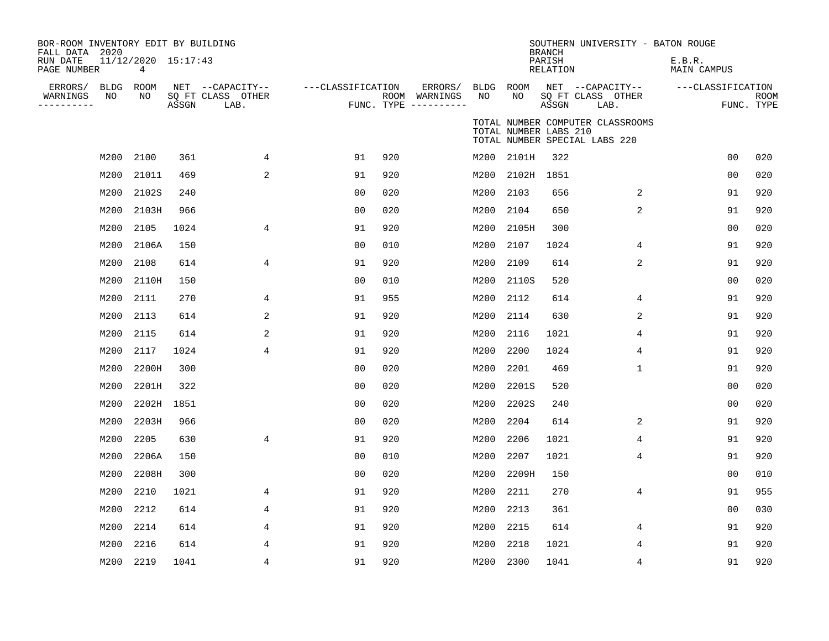| BOR-ROOM INVENTORY EDIT BY BUILDING<br>FALL DATA 2020<br>RUN DATE<br>PAGE NUMBER |      | 11/12/2020 15:17:43<br>$4\overline{ }$ |       |                                               |                   |     |                                                 |      |                       | <b>BRANCH</b><br>PARISH<br><b>RELATION</b> | SOUTHERN UNIVERSITY - BATON ROUGE                                 | E.B.R.<br>MAIN CAMPUS |                           |
|----------------------------------------------------------------------------------|------|----------------------------------------|-------|-----------------------------------------------|-------------------|-----|-------------------------------------------------|------|-----------------------|--------------------------------------------|-------------------------------------------------------------------|-----------------------|---------------------------|
| ERRORS/<br>WARNINGS<br>---------                                                 | NO   | BLDG ROOM<br>NO                        | ASSGN | NET --CAPACITY--<br>SQ FT CLASS OTHER<br>LAB. | ---CLASSIFICATION |     | ERRORS/<br>ROOM WARNINGS<br>FUNC. TYPE $------$ | NO   | BLDG ROOM<br>NO       | ASSGN                                      | NET --CAPACITY--<br>SQ FT CLASS OTHER<br>LAB.                     | ---CLASSIFICATION     | <b>ROOM</b><br>FUNC. TYPE |
|                                                                                  |      |                                        |       |                                               |                   |     |                                                 |      | TOTAL NUMBER LABS 210 |                                            | TOTAL NUMBER COMPUTER CLASSROOMS<br>TOTAL NUMBER SPECIAL LABS 220 |                       |                           |
|                                                                                  | M200 | 2100                                   | 361   | 4                                             | 91                | 920 |                                                 | M200 | 2101H                 | 322                                        |                                                                   | 0 <sub>0</sub>        | 020                       |
|                                                                                  | M200 | 21011                                  | 469   | 2                                             | 91                | 920 |                                                 | M200 | 2102H                 | 1851                                       |                                                                   | 0 <sub>0</sub>        | 020                       |
|                                                                                  | M200 | 2102S                                  | 240   |                                               | 0 <sub>0</sub>    | 020 |                                                 | M200 | 2103                  | 656                                        | 2                                                                 | 91                    | 920                       |
|                                                                                  | M200 | 2103H                                  | 966   |                                               | 0 <sub>0</sub>    | 020 |                                                 | M200 | 2104                  | 650                                        | 2                                                                 | 91                    | 920                       |
|                                                                                  | M200 | 2105                                   | 1024  | 4                                             | 91                | 920 |                                                 | M200 | 2105H                 | 300                                        |                                                                   | 0 <sub>0</sub>        | 020                       |
|                                                                                  | M200 | 2106A                                  | 150   |                                               | 0 <sub>0</sub>    | 010 |                                                 | M200 | 2107                  | 1024                                       | 4                                                                 | 91                    | 920                       |
|                                                                                  | M200 | 2108                                   | 614   | 4                                             | 91                | 920 |                                                 | M200 | 2109                  | 614                                        | 2                                                                 | 91                    | 920                       |
|                                                                                  | M200 | 2110H                                  | 150   |                                               | 00                | 010 |                                                 | M200 | 2110S                 | 520                                        |                                                                   | 0 <sub>0</sub>        | 020                       |
|                                                                                  | M200 | 2111                                   | 270   | 4                                             | 91                | 955 |                                                 | M200 | 2112                  | 614                                        | 4                                                                 | 91                    | 920                       |
|                                                                                  | M200 | 2113                                   | 614   | 2                                             | 91                | 920 |                                                 | M200 | 2114                  | 630                                        | $\overline{2}$                                                    | 91                    | 920                       |
|                                                                                  | M200 | 2115                                   | 614   | 2                                             | 91                | 920 |                                                 | M200 | 2116                  | 1021                                       | 4                                                                 | 91                    | 920                       |
|                                                                                  | M200 | 2117                                   | 1024  | $\overline{4}$                                | 91                | 920 |                                                 | M200 | 2200                  | 1024                                       | $\overline{4}$                                                    | 91                    | 920                       |
|                                                                                  | M200 | 2200H                                  | 300   |                                               | 0 <sub>0</sub>    | 020 |                                                 | M200 | 2201                  | 469                                        | 1                                                                 | 91                    | 920                       |
|                                                                                  | M200 | 2201H                                  | 322   |                                               | 0 <sub>0</sub>    | 020 |                                                 | M200 | 2201S                 | 520                                        |                                                                   | 0 <sub>0</sub>        | 020                       |
|                                                                                  | M200 | 2202H 1851                             |       |                                               | 0 <sub>0</sub>    | 020 |                                                 | M200 | 2202S                 | 240                                        |                                                                   | 0 <sub>0</sub>        | 020                       |
|                                                                                  | M200 | 2203H                                  | 966   |                                               | 0 <sub>0</sub>    | 020 |                                                 | M200 | 2204                  | 614                                        | 2                                                                 | 91                    | 920                       |
|                                                                                  | M200 | 2205                                   | 630   | $\overline{4}$                                | 91                | 920 |                                                 | M200 | 2206                  | 1021                                       | 4                                                                 | 91                    | 920                       |
|                                                                                  | M200 | 2206A                                  | 150   |                                               | 0 <sub>0</sub>    | 010 |                                                 | M200 | 2207                  | 1021                                       | 4                                                                 | 91                    | 920                       |
|                                                                                  | M200 | 2208H                                  | 300   |                                               | 0 <sub>0</sub>    | 020 |                                                 | M200 | 2209H                 | 150                                        |                                                                   | 00                    | 010                       |
|                                                                                  | M200 | 2210                                   | 1021  | 4                                             | 91                | 920 |                                                 | M200 | 2211                  | 270                                        | 4                                                                 | 91                    | 955                       |
|                                                                                  | M200 | 2212                                   | 614   | 4                                             | 91                | 920 |                                                 | M200 | 2213                  | 361                                        |                                                                   | 0 <sub>0</sub>        | 030                       |
|                                                                                  | M200 | 2214                                   | 614   | 4                                             | 91                | 920 |                                                 | M200 | 2215                  | 614                                        | 4                                                                 | 91                    | 920                       |
|                                                                                  | M200 | 2216                                   | 614   | 4                                             | 91                | 920 |                                                 | M200 | 2218                  | 1021                                       | 4                                                                 | 91                    | 920                       |
|                                                                                  | M200 | 2219                                   | 1041  | 4                                             | 91                | 920 |                                                 | M200 | 2300                  | 1041                                       | 4                                                                 | 91                    | 920                       |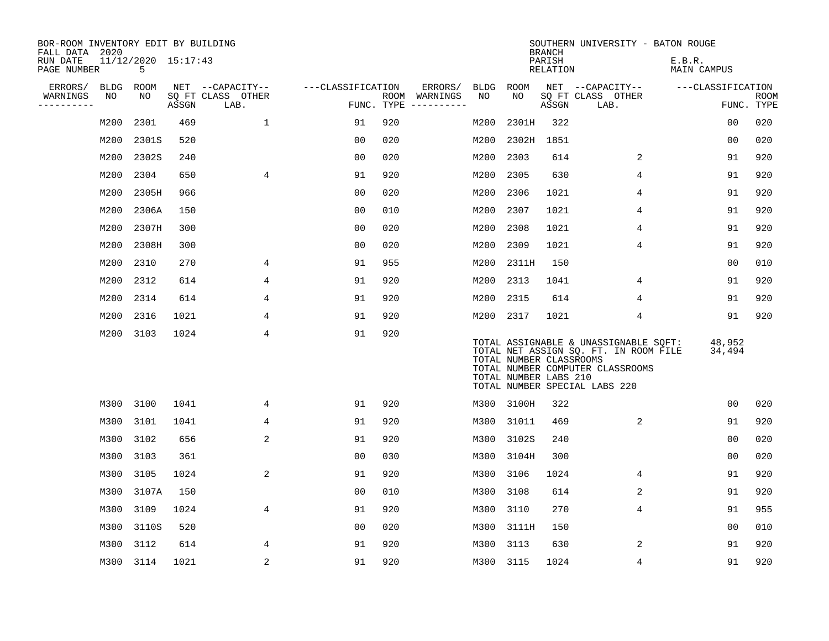| BOR-ROOM INVENTORY EDIT BY BUILDING<br>FALL DATA 2020 |           |                          |       |                           |                   |     |                                      |      |                                                  | <b>BRANCH</b>      | SOUTHERN UNIVERSITY - BATON ROUGE                                                                                                                   |                       |                           |
|-------------------------------------------------------|-----------|--------------------------|-------|---------------------------|-------------------|-----|--------------------------------------|------|--------------------------------------------------|--------------------|-----------------------------------------------------------------------------------------------------------------------------------------------------|-----------------------|---------------------------|
| RUN DATE<br>PAGE NUMBER                               |           | 11/12/2020 15:17:43<br>5 |       |                           |                   |     |                                      |      |                                                  | PARISH<br>RELATION |                                                                                                                                                     | E.B.R.<br>MAIN CAMPUS |                           |
| ERRORS/                                               | BLDG ROOM |                          |       | NET --CAPACITY--          | ---CLASSIFICATION |     | ERRORS/                              | BLDG | ROOM                                             |                    | NET --CAPACITY--                                                                                                                                    | ---CLASSIFICATION     |                           |
| WARNINGS<br>----------                                | NO        | NO                       | ASSGN | SQ FT CLASS OTHER<br>LAB. |                   |     | ROOM WARNINGS<br>FUNC. TYPE $------$ | NO   | NO                                               | ASSGN              | SQ FT CLASS OTHER<br>LAB.                                                                                                                           |                       | <b>ROOM</b><br>FUNC. TYPE |
|                                                       | M200      | 2301                     | 469   | $\mathbf{1}$              | 91                | 920 |                                      | M200 | 2301H                                            | 322                |                                                                                                                                                     | 0 <sub>0</sub>        | 020                       |
|                                                       | M200      | 2301S                    | 520   |                           | 0 <sub>0</sub>    | 020 |                                      | M200 | 2302H                                            | 1851               |                                                                                                                                                     | 0 <sub>0</sub>        | 020                       |
|                                                       | M200      | 2302S                    | 240   |                           | 0 <sub>0</sub>    | 020 |                                      | M200 | 2303                                             | 614                | 2                                                                                                                                                   | 91                    | 920                       |
|                                                       | M200      | 2304                     | 650   | 4                         | 91                | 920 |                                      | M200 | 2305                                             | 630                | 4                                                                                                                                                   | 91                    | 920                       |
|                                                       | M200      | 2305H                    | 966   |                           | 0 <sub>0</sub>    | 020 |                                      | M200 | 2306                                             | 1021               | 4                                                                                                                                                   | 91                    | 920                       |
|                                                       | M200      | 2306A                    | 150   |                           | 0 <sub>0</sub>    | 010 |                                      | M200 | 2307                                             | 1021               | 4                                                                                                                                                   | 91                    | 920                       |
|                                                       | M200      | 2307H                    | 300   |                           | 0 <sub>0</sub>    | 020 |                                      | M200 | 2308                                             | 1021               | 4                                                                                                                                                   | 91                    | 920                       |
|                                                       | M200      | 2308H                    | 300   |                           | 0 <sub>0</sub>    | 020 |                                      | M200 | 2309                                             | 1021               | 4                                                                                                                                                   | 91                    | 920                       |
|                                                       | M200      | 2310                     | 270   | 4                         | 91                | 955 |                                      | M200 | 2311H                                            | 150                |                                                                                                                                                     | 00                    | 010                       |
|                                                       | M200      | 2312                     | 614   | 4                         | 91                | 920 |                                      | M200 | 2313                                             | 1041               | 4                                                                                                                                                   | 91                    | 920                       |
|                                                       | M200      | 2314                     | 614   | 4                         | 91                | 920 |                                      | M200 | 2315                                             | 614                | 4                                                                                                                                                   | 91                    | 920                       |
|                                                       | M200      | 2316                     | 1021  | 4                         | 91                | 920 |                                      | M200 | 2317                                             | 1021               | 4                                                                                                                                                   | 91                    | 920                       |
|                                                       | M200      | 3103                     | 1024  | 4                         | 91                | 920 |                                      |      | TOTAL NUMBER CLASSROOMS<br>TOTAL NUMBER LABS 210 |                    | TOTAL ASSIGNABLE & UNASSIGNABLE SQFT:<br>TOTAL NET ASSIGN SQ. FT. IN ROOM FILE<br>TOTAL NUMBER COMPUTER CLASSROOMS<br>TOTAL NUMBER SPECIAL LABS 220 | 48,952<br>34,494      |                           |
|                                                       | M300      | 3100                     | 1041  | 4                         | 91                | 920 |                                      | M300 | 3100H                                            | 322                |                                                                                                                                                     | 0 <sub>0</sub>        | 020                       |
|                                                       | M300      | 3101                     | 1041  | 4                         | 91                | 920 |                                      | M300 | 31011                                            | 469                | 2                                                                                                                                                   | 91                    | 920                       |
|                                                       | M300      | 3102                     | 656   | 2                         | 91                | 920 |                                      | M300 | 3102S                                            | 240                |                                                                                                                                                     | 00                    | 020                       |
|                                                       | M300      | 3103                     | 361   |                           | 0 <sub>0</sub>    | 030 |                                      | M300 | 3104H                                            | 300                |                                                                                                                                                     | 00                    | 020                       |
|                                                       | M300      | 3105                     | 1024  | 2                         | 91                | 920 |                                      | M300 | 3106                                             | 1024               | 4                                                                                                                                                   | 91                    | 920                       |
|                                                       | M300      | 3107A                    | 150   |                           | 0 <sub>0</sub>    | 010 |                                      | M300 | 3108                                             | 614                | 2                                                                                                                                                   | 91                    | 920                       |
|                                                       | M300      | 3109                     | 1024  | 4                         | 91                | 920 |                                      | M300 | 3110                                             | 270                | 4                                                                                                                                                   | 91                    | 955                       |
|                                                       | M300      | 3110S                    | 520   |                           | 0 <sub>0</sub>    | 020 |                                      | M300 | 3111H                                            | 150                |                                                                                                                                                     | 0 <sub>0</sub>        | 010                       |
|                                                       | M300      | 3112                     | 614   | 4                         | 91                | 920 |                                      | M300 | 3113                                             | 630                | 2                                                                                                                                                   | 91                    | 920                       |
|                                                       | M300 3114 |                          | 1021  | 2                         | 91                | 920 |                                      | M300 | 3115                                             | 1024               | 4                                                                                                                                                   | 91                    | 920                       |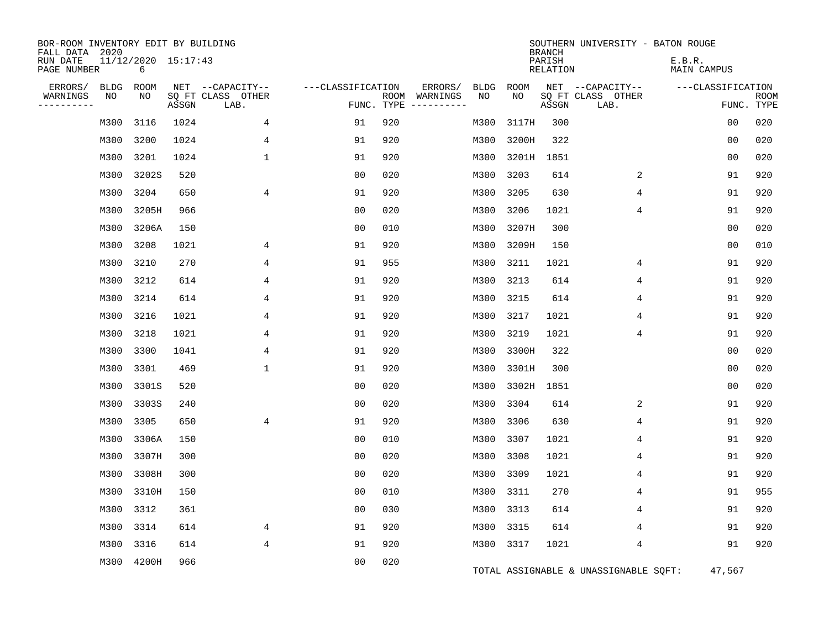| BOR-ROOM INVENTORY EDIT BY BUILDING<br>FALL DATA 2020 |      |                          |       |                           |                   |            |                              |      |             | <b>BRANCH</b>      | SOUTHERN UNIVERSITY - BATON ROUGE     |                       |                           |
|-------------------------------------------------------|------|--------------------------|-------|---------------------------|-------------------|------------|------------------------------|------|-------------|--------------------|---------------------------------------|-----------------------|---------------------------|
| RUN DATE<br>PAGE NUMBER                               |      | 11/12/2020 15:17:43<br>6 |       |                           |                   |            |                              |      |             | PARISH<br>RELATION |                                       | E.B.R.<br>MAIN CAMPUS |                           |
| ERRORS/                                               | BLDG | ROOM                     |       | NET --CAPACITY--          | ---CLASSIFICATION |            | ERRORS/                      | BLDG | ROOM<br>NO. |                    | NET --CAPACITY--                      | ---CLASSIFICATION     |                           |
| WARNINGS<br>----------                                | NO   | NO                       | ASSGN | SQ FT CLASS OTHER<br>LAB. |                   | FUNC. TYPE | ROOM WARNINGS<br>----------- | NO   |             | ASSGN              | SQ FT CLASS OTHER<br>LAB.             |                       | <b>ROOM</b><br>FUNC. TYPE |
|                                                       | M300 | 3116                     | 1024  | 4                         | 91                | 920        |                              | M300 | 3117H       | 300                |                                       | 0 <sub>0</sub>        | 020                       |
|                                                       | M300 | 3200                     | 1024  | 4                         | 91                | 920        |                              | M300 | 3200H       | 322                |                                       | 0 <sub>0</sub>        | 020                       |
|                                                       | M300 | 3201                     | 1024  | $\mathbf{1}$              | 91                | 920        |                              | M300 | 3201H       | 1851               |                                       | 0 <sub>0</sub>        | 020                       |
|                                                       | M300 | 3202S                    | 520   |                           | 0 <sub>0</sub>    | 020        |                              | M300 | 3203        | 614                | 2                                     | 91                    | 920                       |
|                                                       | M300 | 3204                     | 650   | 4                         | 91                | 920        |                              | M300 | 3205        | 630                | 4                                     | 91                    | 920                       |
|                                                       | M300 | 3205H                    | 966   |                           | 0 <sub>0</sub>    | 020        |                              | M300 | 3206        | 1021               | $\overline{4}$                        | 91                    | 920                       |
|                                                       | M300 | 3206A                    | 150   |                           | 0 <sub>0</sub>    | 010        |                              | M300 | 3207H       | 300                |                                       | 00                    | 020                       |
|                                                       | M300 | 3208                     | 1021  | 4                         | 91                | 920        |                              | M300 | 3209H       | 150                |                                       | 00                    | 010                       |
|                                                       | M300 | 3210                     | 270   | 4                         | 91                | 955        |                              | M300 | 3211        | 1021               | 4                                     | 91                    | 920                       |
|                                                       | M300 | 3212                     | 614   | 4                         | 91                | 920        |                              | M300 | 3213        | 614                | 4                                     | 91                    | 920                       |
|                                                       | M300 | 3214                     | 614   | 4                         | 91                | 920        |                              | M300 | 3215        | 614                | 4                                     | 91                    | 920                       |
|                                                       | M300 | 3216                     | 1021  | 4                         | 91                | 920        |                              | M300 | 3217        | 1021               | 4                                     | 91                    | 920                       |
|                                                       | M300 | 3218                     | 1021  | 4                         | 91                | 920        |                              | M300 | 3219        | 1021               | 4                                     | 91                    | 920                       |
|                                                       | M300 | 3300                     | 1041  | 4                         | 91                | 920        |                              | M300 | 3300H       | 322                |                                       | 0 <sub>0</sub>        | 020                       |
|                                                       | M300 | 3301                     | 469   | $\mathbf{1}$              | 91                | 920        |                              | M300 | 3301H       | 300                |                                       | 00                    | 020                       |
|                                                       | M300 | 3301S                    | 520   |                           | 0 <sub>0</sub>    | 020        |                              | M300 | 3302H       | 1851               |                                       | 0 <sub>0</sub>        | 020                       |
|                                                       | M300 | 3303S                    | 240   |                           | 0 <sub>0</sub>    | 020        |                              | M300 | 3304        | 614                | 2                                     | 91                    | 920                       |
|                                                       | M300 | 3305                     | 650   | 4                         | 91                | 920        |                              | M300 | 3306        | 630                | 4                                     | 91                    | 920                       |
|                                                       | M300 | 3306A                    | 150   |                           | 0 <sub>0</sub>    | 010        |                              | M300 | 3307        | 1021               | 4                                     | 91                    | 920                       |
|                                                       | M300 | 3307H                    | 300   |                           | 0 <sub>0</sub>    | 020        |                              | M300 | 3308        | 1021               | 4                                     | 91                    | 920                       |
|                                                       | M300 | 3308H                    | 300   |                           | 0 <sub>0</sub>    | 020        |                              | M300 | 3309        | 1021               | 4                                     | 91                    | 920                       |
|                                                       | M300 | 3310H                    | 150   |                           | 0 <sub>0</sub>    | 010        |                              | M300 | 3311        | 270                | 4                                     | 91                    | 955                       |
|                                                       | M300 | 3312                     | 361   |                           | 0 <sub>0</sub>    | 030        |                              | M300 | 3313        | 614                | 4                                     | 91                    | 920                       |
|                                                       | M300 | 3314                     | 614   | 4                         | 91                | 920        |                              | M300 | 3315        | 614                | 4                                     | 91                    | 920                       |
|                                                       | M300 | 3316                     | 614   | 4                         | 91                | 920        |                              | M300 | 3317        | 1021               | 4                                     | 91                    | 920                       |
|                                                       | M300 | 4200H                    | 966   |                           | 0 <sub>0</sub>    | 020        |                              |      |             |                    | TOTAL ASSIGNABLE & UNASSIGNABLE SQFT: | 47,567                |                           |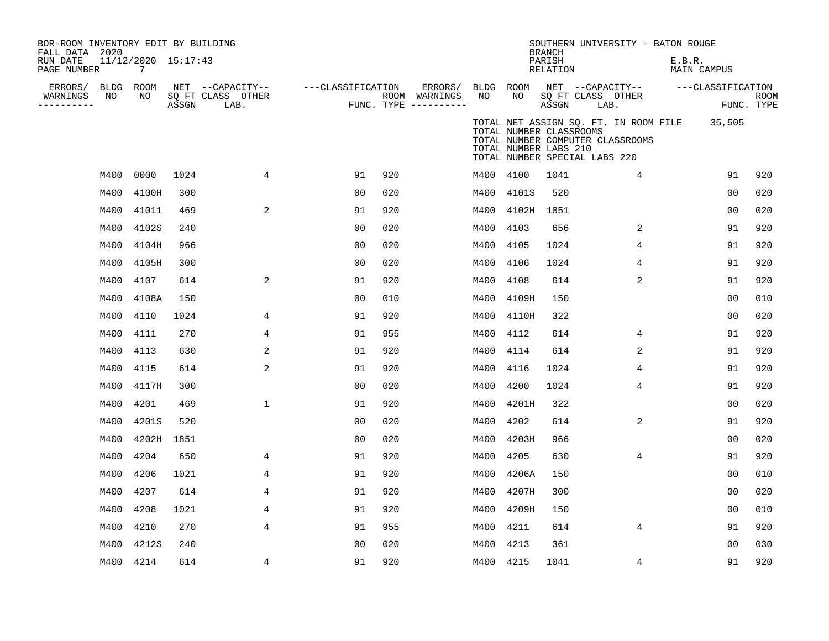|         | $7\overline{ }$                     |                              |             |                                                                                                              |     |                   |                                        |       |                                           |                                                |                                                              |                                                            |                                  |                                                                                                                                                    |
|---------|-------------------------------------|------------------------------|-------------|--------------------------------------------------------------------------------------------------------------|-----|-------------------|----------------------------------------|-------|-------------------------------------------|------------------------------------------------|--------------------------------------------------------------|------------------------------------------------------------|----------------------------------|----------------------------------------------------------------------------------------------------------------------------------------------------|
|         |                                     |                              |             |                                                                                                              |     | ERRORS/           |                                        |       |                                           |                                                |                                                              |                                                            |                                  | <b>ROOM</b>                                                                                                                                        |
|         |                                     |                              | LAB.        |                                                                                                              |     |                   |                                        |       |                                           |                                                |                                                              |                                                            |                                  | FUNC. TYPE                                                                                                                                         |
|         |                                     |                              |             |                                                                                                              |     |                   |                                        |       |                                           |                                                |                                                              |                                                            |                                  |                                                                                                                                                    |
| M400    | 0000                                | 1024                         | 4           | 91                                                                                                           | 920 |                   |                                        |       | 1041                                      |                                                | 4                                                            |                                                            | 91                               | 920                                                                                                                                                |
| M400    | 4100H                               | 300                          |             | 00                                                                                                           | 020 |                   | M400                                   | 4101S | 520                                       |                                                |                                                              |                                                            | 0 <sub>0</sub>                   | 020                                                                                                                                                |
| M400    | 41011                               | 469                          | 2           | 91                                                                                                           | 920 |                   | M400                                   |       |                                           |                                                |                                                              |                                                            | 0 <sub>0</sub>                   | 020                                                                                                                                                |
| M400    | 4102S                               | 240                          |             | 00                                                                                                           | 020 |                   | M400                                   | 4103  | 656                                       |                                                | 2                                                            |                                                            | 91                               | 920                                                                                                                                                |
| M400    | 4104H                               | 966                          |             | 0 <sub>0</sub>                                                                                               | 020 |                   | M400                                   | 4105  | 1024                                      |                                                | $\overline{4}$                                               |                                                            | 91                               | 920                                                                                                                                                |
| M400    | 4105H                               | 300                          |             | 0 <sub>0</sub>                                                                                               | 020 |                   | M400                                   | 4106  | 1024                                      |                                                | 4                                                            |                                                            | 91                               | 920                                                                                                                                                |
| M400    | 4107                                | 614                          | 2           | 91                                                                                                           | 920 |                   | M400                                   | 4108  | 614                                       |                                                | 2                                                            |                                                            | 91                               | 920                                                                                                                                                |
| M400    | 4108A                               | 150                          |             | 0 <sup>0</sup>                                                                                               | 010 |                   | M400                                   | 4109H | 150                                       |                                                |                                                              |                                                            | 00                               | 010                                                                                                                                                |
| M400    | 4110                                | 1024                         | 4           | 91                                                                                                           | 920 |                   | M400                                   | 4110H | 322                                       |                                                |                                                              |                                                            | 0 <sub>0</sub>                   | 020                                                                                                                                                |
| M400    | 4111                                | 270                          | 4           | 91                                                                                                           | 955 |                   | M400                                   | 4112  | 614                                       |                                                | 4                                                            |                                                            | 91                               | 920                                                                                                                                                |
| M400    | 4113                                | 630                          | 2           | 91                                                                                                           | 920 |                   | M400                                   | 4114  | 614                                       |                                                | 2                                                            |                                                            | 91                               | 920                                                                                                                                                |
| M400    | 4115                                | 614                          | 2           | 91                                                                                                           | 920 |                   | M400                                   | 4116  | 1024                                      |                                                | 4                                                            |                                                            | 91                               | 920                                                                                                                                                |
| M400    | 4117H                               | 300                          |             | 00                                                                                                           | 020 |                   | M400                                   | 4200  | 1024                                      |                                                | 4                                                            |                                                            | 91                               | 920                                                                                                                                                |
| M400    | 4201                                | 469                          | $\mathbf 1$ | 91                                                                                                           | 920 |                   | M400                                   | 4201H | 322                                       |                                                |                                                              |                                                            | 00                               | 020                                                                                                                                                |
| M400    | 4201S                               | 520                          |             | 00                                                                                                           | 020 |                   | M400                                   | 4202  | 614                                       |                                                | 2                                                            |                                                            | 91                               | 920                                                                                                                                                |
| M400    | 4202H                               | 1851                         |             | 0 <sub>0</sub>                                                                                               | 020 |                   | M400                                   | 4203H | 966                                       |                                                |                                                              |                                                            | 0 <sub>0</sub>                   | 020                                                                                                                                                |
| M400    | 4204                                | 650                          | 4           | 91                                                                                                           | 920 |                   | M400                                   | 4205  | 630                                       |                                                | 4                                                            |                                                            | 91                               | 920                                                                                                                                                |
| M400    | 4206                                | 1021                         | 4           | 91                                                                                                           | 920 |                   | M400                                   | 4206A | 150                                       |                                                |                                                              |                                                            | 0 <sub>0</sub>                   | 010                                                                                                                                                |
| M400    | 4207                                | 614                          | 4           | 91                                                                                                           | 920 |                   | M400                                   | 4207H | 300                                       |                                                |                                                              |                                                            | 0 <sub>0</sub>                   | 020                                                                                                                                                |
| M400    | 4208                                | 1021                         | 4           | 91                                                                                                           | 920 |                   | M400                                   | 4209H | 150                                       |                                                |                                                              |                                                            | 0 <sub>0</sub>                   | 010                                                                                                                                                |
| M400    | 4210                                | 270                          | 4           | 91                                                                                                           | 955 |                   | M400                                   | 4211  | 614                                       |                                                | $\overline{4}$                                               |                                                            | 91                               | 920                                                                                                                                                |
| M400    | 4212S                               | 240                          |             | 00                                                                                                           | 020 |                   | M400                                   | 4213  | 361                                       |                                                |                                                              |                                                            | 00                               | 030                                                                                                                                                |
|         |                                     | 614                          | 4           | 91                                                                                                           | 920 |                   |                                        |       | 1041                                      |                                                | 4                                                            |                                                            | 91                               | 920                                                                                                                                                |
| ERRORS/ | FALL DATA 2020<br>PAGE NUMBER<br>NO | BLDG ROOM<br>NO<br>M400 4214 |             | BOR-ROOM INVENTORY EDIT BY BUILDING<br>11/12/2020 15:17:43<br>NET --CAPACITY--<br>SQ FT CLASS OTHER<br>ASSGN |     | ---CLASSIFICATION | ROOM WARNINGS<br>FUNC. TYPE ---------- | NO    | BLDG ROOM<br>NO<br>M400 4100<br>M400 4215 | <b>BRANCH</b><br>PARISH<br>ASSGN<br>4102H 1851 | RELATION<br>TOTAL NUMBER CLASSROOMS<br>TOTAL NUMBER LABS 210 | SQ FT CLASS OTHER<br>LAB.<br>TOTAL NUMBER SPECIAL LABS 220 | TOTAL NUMBER COMPUTER CLASSROOMS | SOUTHERN UNIVERSITY - BATON ROUGE<br>E.B.R.<br>MAIN CAMPUS<br>NET --CAPACITY-- - ---CLASSIFICATION<br>TOTAL NET ASSIGN SQ. FT. IN ROOM FILE 35,505 |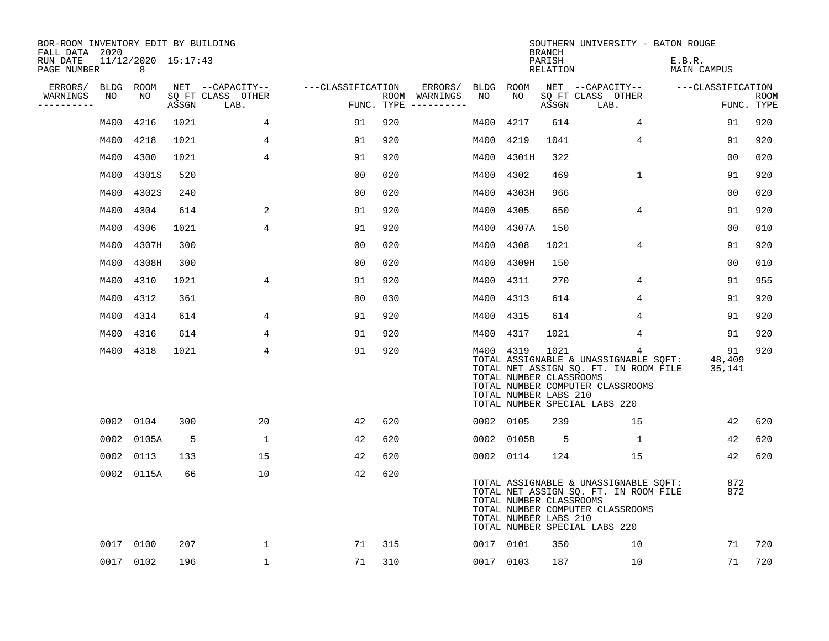| BOR-ROOM INVENTORY EDIT BY BUILDING<br>FALL DATA 2020 |           |                          |       |                           |                   |     |                                      |           |                                                  | <b>BRANCH</b>      | SOUTHERN UNIVERSITY - BATON ROUGE                                                                                                                        |                        |                           |
|-------------------------------------------------------|-----------|--------------------------|-------|---------------------------|-------------------|-----|--------------------------------------|-----------|--------------------------------------------------|--------------------|----------------------------------------------------------------------------------------------------------------------------------------------------------|------------------------|---------------------------|
| RUN DATE<br>PAGE NUMBER                               |           | 11/12/2020 15:17:43<br>8 |       |                           |                   |     |                                      |           |                                                  | PARISH<br>RELATION |                                                                                                                                                          | E.B.R.<br>MAIN CAMPUS  |                           |
| ERRORS/                                               |           | BLDG ROOM                |       | NET --CAPACITY--          | ---CLASSIFICATION |     | ERRORS/                              | BLDG ROOM |                                                  |                    | NET --CAPACITY--                                                                                                                                         | ---CLASSIFICATION      |                           |
| WARNINGS<br>----------                                | NO        | NO                       | ASSGN | SQ FT CLASS OTHER<br>LAB. |                   |     | ROOM WARNINGS<br>FUNC. TYPE $------$ | NO        | NO.                                              | ASSGN              | SQ FT CLASS OTHER<br>LAB.                                                                                                                                |                        | <b>ROOM</b><br>FUNC. TYPE |
|                                                       | M400      | 4216                     | 1021  | 4                         | 91                | 920 |                                      | M400      | 4217                                             | 614                | $4\overline{ }$                                                                                                                                          | 91                     | 920                       |
|                                                       | M400      | 4218                     | 1021  | 4                         | 91                | 920 |                                      | M400      | 4219                                             | 1041               | 4                                                                                                                                                        | 91                     | 920                       |
|                                                       | M400      | 4300                     | 1021  | $\overline{4}$            | 91                | 920 |                                      | M400      | 4301H                                            | 322                |                                                                                                                                                          | 00                     | 020                       |
|                                                       | M400      | 4301S                    | 520   |                           | 00                | 020 |                                      | M400      | 4302                                             | 469                | $\mathbf{1}$                                                                                                                                             | 91                     | 920                       |
|                                                       | M400      | 4302S                    | 240   |                           | 00                | 020 |                                      | M400      | 4303H                                            | 966                |                                                                                                                                                          | 0 <sub>0</sub>         | 020                       |
|                                                       | M400      | 4304                     | 614   | 2                         | 91                | 920 |                                      | M400      | 4305                                             | 650                | 4                                                                                                                                                        | 91                     | 920                       |
|                                                       | M400      | 4306                     | 1021  | $\overline{4}$            | 91                | 920 |                                      | M400      | 4307A                                            | 150                |                                                                                                                                                          | 00                     | 010                       |
|                                                       | M400      | 4307H                    | 300   |                           | 0 <sub>0</sub>    | 020 |                                      | M400      | 4308                                             | 1021               | 4                                                                                                                                                        | 91                     | 920                       |
|                                                       | M400      | 4308H                    | 300   |                           | 0 <sub>0</sub>    | 020 |                                      | M400      | 4309H                                            | 150                |                                                                                                                                                          | 0 <sub>0</sub>         | 010                       |
|                                                       | M400      | 4310                     | 1021  | 4                         | 91                | 920 |                                      | M400      | 4311                                             | 270                | 4                                                                                                                                                        | 91                     | 955                       |
|                                                       | M400      | 4312                     | 361   |                           | 0 <sub>0</sub>    | 030 |                                      | M400      | 4313                                             | 614                | 4                                                                                                                                                        | 91                     | 920                       |
|                                                       | M400      | 4314                     | 614   | 4                         | 91                | 920 |                                      | M400      | 4315                                             | 614                | 4                                                                                                                                                        | 91                     | 920                       |
|                                                       | M400      | 4316                     | 614   | 4                         | 91                | 920 |                                      | M400      | 4317                                             | 1021               | 4                                                                                                                                                        | 91                     | 920                       |
|                                                       | M400 4318 |                          | 1021  | 4                         | 91                | 920 |                                      | M400 4319 | TOTAL NUMBER CLASSROOMS<br>TOTAL NUMBER LABS 210 | 1021               | 4<br>TOTAL ASSIGNABLE & UNASSIGNABLE SQFT:<br>TOTAL NET ASSIGN SQ. FT. IN ROOM FILE<br>TOTAL NUMBER COMPUTER CLASSROOMS<br>TOTAL NUMBER SPECIAL LABS 220 | 91<br>48,409<br>35,141 | 920                       |
|                                                       |           | 0002 0104                | 300   | 20                        | 42                | 620 |                                      |           | 0002 0105                                        | 239                | 15                                                                                                                                                       | 42                     | 620                       |
|                                                       | 0002      | 0105A                    | 5     | $\mathbf{1}$              | 42                | 620 |                                      |           | 0002 0105B                                       | 5                  | 1                                                                                                                                                        | 42                     | 620                       |
|                                                       | 0002      | 0113                     | 133   | 15                        | 42                | 620 |                                      |           | 0002 0114                                        | 124                | 15                                                                                                                                                       | 42                     | 620                       |
|                                                       |           | 0002 0115A               | 66    | 10                        | 42                | 620 |                                      |           | TOTAL NUMBER CLASSROOMS<br>TOTAL NUMBER LABS 210 |                    | TOTAL ASSIGNABLE & UNASSIGNABLE SQFT:<br>TOTAL NET ASSIGN SQ. FT. IN ROOM FILE<br>TOTAL NUMBER COMPUTER CLASSROOMS<br>TOTAL NUMBER SPECIAL LABS 220      | 872<br>872             |                           |
|                                                       | 0017      | 0100                     | 207   | $\mathbf{1}$              | 71                | 315 |                                      |           | 0017 0101                                        | 350                | 10                                                                                                                                                       | 71                     | 720                       |
|                                                       |           | 0017 0102                | 196   | $\mathbf{1}$              | 71                | 310 |                                      |           | 0017 0103                                        | 187                | 10                                                                                                                                                       | 71                     | 720                       |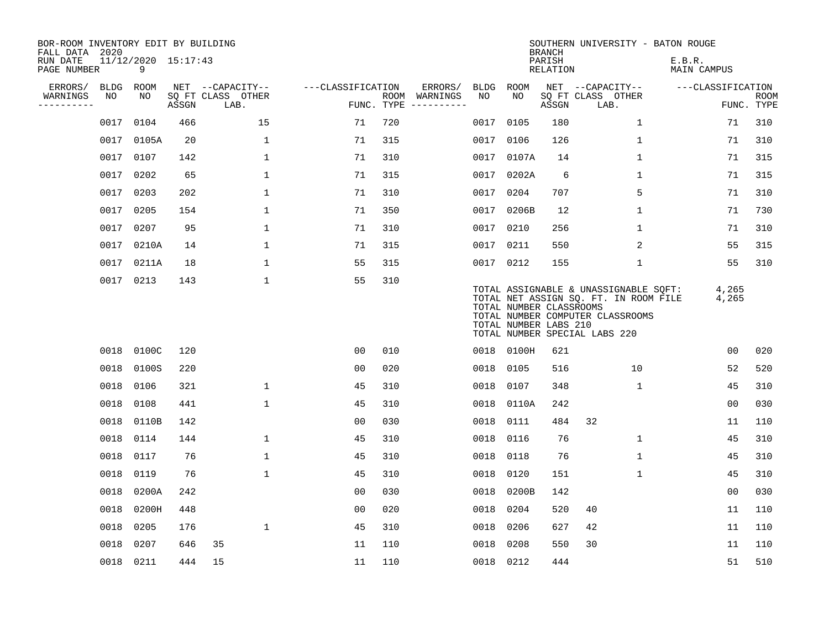| BOR-ROOM INVENTORY EDIT BY BUILDING<br>FALL DATA 2020 |             |            |                     |                           |                   |            |                              |      |                                                  | <b>BRANCH</b>             | SOUTHERN UNIVERSITY - BATON ROUGE                                                                                                                   |                              |                           |
|-------------------------------------------------------|-------------|------------|---------------------|---------------------------|-------------------|------------|------------------------------|------|--------------------------------------------------|---------------------------|-----------------------------------------------------------------------------------------------------------------------------------------------------|------------------------------|---------------------------|
| RUN DATE<br>PAGE NUMBER                               |             | 9          | 11/12/2020 15:17:43 |                           |                   |            |                              |      |                                                  | PARISH<br><b>RELATION</b> |                                                                                                                                                     | E.B.R.<br><b>MAIN CAMPUS</b> |                           |
| ERRORS/                                               | <b>BLDG</b> | ROOM       |                     | NET --CAPACITY--          | ---CLASSIFICATION |            | ERRORS/                      | BLDG | ROOM                                             |                           | NET --CAPACITY--                                                                                                                                    | ---CLASSIFICATION            |                           |
| WARNINGS<br>-----------                               | NO          | NO         | ASSGN               | SQ FT CLASS OTHER<br>LAB. |                   | FUNC. TYPE | ROOM WARNINGS<br>----------- | NO   | NO                                               | ASSGN                     | SQ FT CLASS OTHER<br>LAB.                                                                                                                           |                              | <b>ROOM</b><br>FUNC. TYPE |
|                                                       | 0017        | 0104       | 466                 | 15                        | 71                | 720        |                              | 0017 | 0105                                             | 180                       | $\mathbf{1}$                                                                                                                                        | 71                           | 310                       |
|                                                       | 0017        | 0105A      | 20                  | 1                         | 71                | 315        |                              | 0017 | 0106                                             | 126                       | 1                                                                                                                                                   | 71                           | 310                       |
|                                                       | 0017        | 0107       | 142                 | $\mathbf 1$               | 71                | 310        |                              | 0017 | 0107A                                            | 14                        | $\mathbf 1$                                                                                                                                         | 71                           | 315                       |
|                                                       | 0017        | 0202       | 65                  | $\mathbf 1$               | 71                | 315        |                              | 0017 | 0202A                                            | 6                         | 1                                                                                                                                                   | 71                           | 315                       |
|                                                       | 0017        | 0203       | 202                 | $\mathbf{1}$              | 71                | 310        |                              | 0017 | 0204                                             | 707                       | 5                                                                                                                                                   | 71                           | 310                       |
|                                                       | 0017        | 0205       | 154                 | $\mathbf 1$               | 71                | 350        |                              |      | 0017 0206B                                       | 12                        | $\mathbf 1$                                                                                                                                         | 71                           | 730                       |
|                                                       | 0017        | 0207       | 95                  | $\mathbf{1}$              | 71                | 310        |                              | 0017 | 0210                                             | 256                       | $\mathbf{1}$                                                                                                                                        | 71                           | 310                       |
|                                                       |             | 0017 0210A | 14                  | $\mathbf{1}$              | 71                | 315        |                              |      | 0017 0211                                        | 550                       | 2                                                                                                                                                   | 55                           | 315                       |
|                                                       | 0017        | 0211A      | 18                  | $\mathbf{1}$              | 55                | 315        |                              |      | 0017 0212                                        | 155                       | $\mathbf{1}$                                                                                                                                        | 55                           | 310                       |
|                                                       |             | 0017 0213  | 143                 | $\mathbf{1}$              | 55                | 310        |                              |      | TOTAL NUMBER CLASSROOMS<br>TOTAL NUMBER LABS 210 |                           | TOTAL ASSIGNABLE & UNASSIGNABLE SOFT:<br>TOTAL NET ASSIGN SQ. FT. IN ROOM FILE<br>TOTAL NUMBER COMPUTER CLASSROOMS<br>TOTAL NUMBER SPECIAL LABS 220 | 4,265<br>4,265               |                           |
|                                                       |             | 0018 0100C | 120                 |                           | 00                | 010        |                              |      | 0018 0100H                                       | 621                       |                                                                                                                                                     | 00                           | 020                       |
|                                                       | 0018        | 0100S      | 220                 |                           | 0 <sub>0</sub>    | 020        |                              | 0018 | 0105                                             | 516                       | 10                                                                                                                                                  | 52                           | 520                       |
|                                                       | 0018        | 0106       | 321                 | $\mathbf{1}$              | 45                | 310        |                              | 0018 | 0107                                             | 348                       | $\mathbf{1}$                                                                                                                                        | 45                           | 310                       |
|                                                       | 0018        | 0108       | 441                 | $\mathbf{1}$              | 45                | 310        |                              | 0018 | 0110A                                            | 242                       |                                                                                                                                                     | 0 <sub>0</sub>               | 030                       |
|                                                       | 0018        | 0110B      | 142                 |                           | 0 <sub>0</sub>    | 030        |                              | 0018 | 0111                                             | 484                       | 32                                                                                                                                                  | 11                           | 110                       |
|                                                       |             | 0018 0114  | 144                 | 1                         | 45                | 310        |                              | 0018 | 0116                                             | 76                        | $\mathbf 1$                                                                                                                                         | 45                           | 310                       |
|                                                       | 0018        | 0117       | 76                  | $\mathbf 1$               | 45                | 310        |                              | 0018 | 0118                                             | 76                        | 1                                                                                                                                                   | 45                           | 310                       |
|                                                       | 0018        | 0119       | 76                  | $\mathbf 1$               | 45                | 310        |                              | 0018 | 0120                                             | 151                       | 1                                                                                                                                                   | 45                           | 310                       |
|                                                       | 0018        | 0200A      | 242                 |                           | 0 <sub>0</sub>    | 030        |                              | 0018 | 0200B                                            | 142                       |                                                                                                                                                     | 0 <sub>0</sub>               | 030                       |
|                                                       | 0018        | 0200H      | 448                 |                           | 0 <sub>0</sub>    | 020        |                              | 0018 | 0204                                             | 520                       | 40                                                                                                                                                  | 11                           | 110                       |
|                                                       | 0018        | 0205       | 176                 | $\mathbf{1}$              | 45                | 310        |                              | 0018 | 0206                                             | 627                       | 42                                                                                                                                                  | 11                           | 110                       |
|                                                       | 0018        | 0207       | 646                 | 35                        | 11                | 110        |                              | 0018 | 0208                                             | 550                       | 30                                                                                                                                                  | 11                           | 110                       |
|                                                       |             | 0018 0211  | 444                 | 15                        | 11                | 110        |                              |      | 0018 0212                                        | 444                       |                                                                                                                                                     | 51                           | 510                       |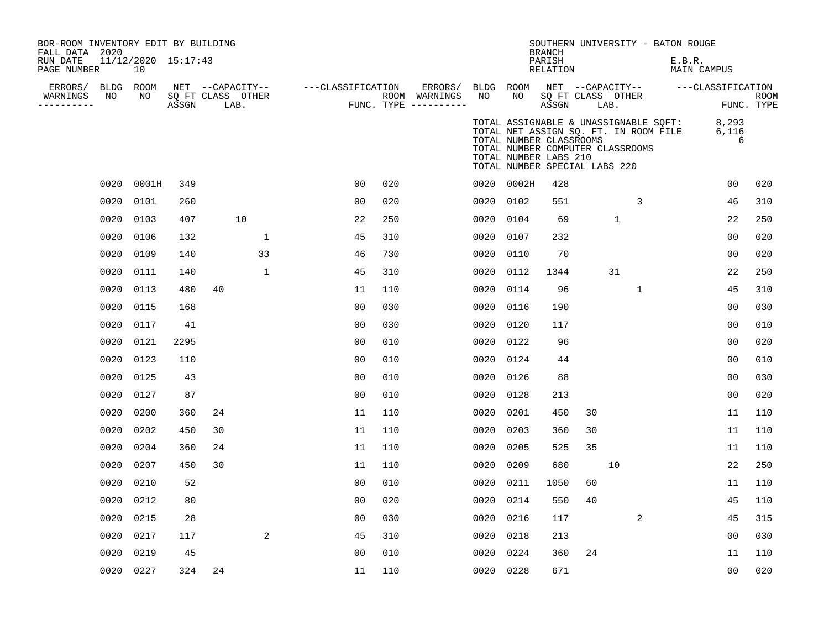| BOR-ROOM INVENTORY EDIT BY BUILDING<br>FALL DATA 2020<br>RUN DATE<br>PAGE NUMBER |      | 11/12/2020 15:17:43<br>10 |       |                                               |                |                   |     |                                                 |                 |                                                                                                                                                                                                         | <b>BRANCH</b><br>PARISH<br>RELATION |    |              |              | SOUTHERN UNIVERSITY - BATON ROUGE<br>E.B.R.<br>MAIN CAMPUS |                                      |                           |
|----------------------------------------------------------------------------------|------|---------------------------|-------|-----------------------------------------------|----------------|-------------------|-----|-------------------------------------------------|-----------------|---------------------------------------------------------------------------------------------------------------------------------------------------------------------------------------------------------|-------------------------------------|----|--------------|--------------|------------------------------------------------------------|--------------------------------------|---------------------------|
| ERRORS/ BLDG ROOM<br>WARNINGS<br>----------                                      | NO   | NO                        | ASSGN | NET --CAPACITY--<br>SQ FT CLASS OTHER<br>LAB. |                | ---CLASSIFICATION |     | ERRORS/<br>ROOM WARNINGS<br>FUNC. TYPE $------$ | BLDG ROOM<br>NO | NO.                                                                                                                                                                                                     | SQ FT CLASS OTHER<br>ASSGN          |    | LAB.         |              |                                                            | NET --CAPACITY-- - ---CLASSIFICATION | <b>ROOM</b><br>FUNC. TYPE |
|                                                                                  |      |                           |       |                                               |                |                   |     |                                                 |                 | TOTAL ASSIGNABLE & UNASSIGNABLE SQFT:<br>TOTAL NET ASSIGN SQ. FT. IN ROOM FILE<br>TOTAL NUMBER CLASSROOMS<br>TOTAL NUMBER COMPUTER CLASSROOMS<br>TOTAL NUMBER LABS 210<br>TOTAL NUMBER SPECIAL LABS 220 |                                     |    |              |              |                                                            | 8,293<br>6,116<br>6                  |                           |
|                                                                                  |      | 0020 0001H                | 349   |                                               |                | 0 <sub>0</sub>    | 020 |                                                 |                 | 0020 0002H                                                                                                                                                                                              | 428                                 |    |              |              |                                                            | 0 <sub>0</sub>                       | 020                       |
|                                                                                  | 0020 | 0101                      | 260   |                                               |                | 0 <sub>0</sub>    | 020 |                                                 |                 | 0020 0102                                                                                                                                                                                               | 551                                 |    |              | 3            |                                                            | 46                                   | 310                       |
|                                                                                  | 0020 | 0103                      | 407   | 10                                            |                | 22                | 250 |                                                 | 0020            | 0104                                                                                                                                                                                                    | 69                                  |    | $\mathbf{1}$ |              |                                                            | 22                                   | 250                       |
|                                                                                  | 0020 | 0106                      | 132   |                                               | 1              | 45                | 310 |                                                 | 0020            | 0107                                                                                                                                                                                                    | 232                                 |    |              |              |                                                            | 0 <sub>0</sub>                       | 020                       |
|                                                                                  | 0020 | 0109                      | 140   |                                               | 33             | 46                | 730 |                                                 | 0020            | 0110                                                                                                                                                                                                    | 70                                  |    |              |              |                                                            | 0 <sub>0</sub>                       | 020                       |
|                                                                                  | 0020 | 0111                      | 140   |                                               | 1              | 45                | 310 |                                                 | 0020            | 0112                                                                                                                                                                                                    | 1344                                |    | 31           |              |                                                            | 22                                   | 250                       |
|                                                                                  | 0020 | 0113                      | 480   | 40                                            |                | 11                | 110 |                                                 | 0020            | 0114                                                                                                                                                                                                    | 96                                  |    |              | $\mathbf{1}$ |                                                            | 45                                   | 310                       |
|                                                                                  | 0020 | 0115                      | 168   |                                               |                | 0 <sub>0</sub>    | 030 |                                                 | 0020            | 0116                                                                                                                                                                                                    | 190                                 |    |              |              |                                                            | 0 <sub>0</sub>                       | 030                       |
|                                                                                  | 0020 | 0117                      | 41    |                                               |                | 0 <sub>0</sub>    | 030 |                                                 | 0020            | 0120                                                                                                                                                                                                    | 117                                 |    |              |              |                                                            | 0 <sub>0</sub>                       | 010                       |
|                                                                                  | 0020 | 0121                      | 2295  |                                               |                | 0 <sub>0</sub>    | 010 |                                                 | 0020            | 0122                                                                                                                                                                                                    | 96                                  |    |              |              |                                                            | 0 <sub>0</sub>                       | 020                       |
|                                                                                  | 0020 | 0123                      | 110   |                                               |                | 0 <sub>0</sub>    | 010 |                                                 | 0020            | 0124                                                                                                                                                                                                    | 44                                  |    |              |              |                                                            | 0 <sub>0</sub>                       | 010                       |
|                                                                                  | 0020 | 0125                      | 43    |                                               |                | 0 <sub>0</sub>    | 010 |                                                 | 0020            | 0126                                                                                                                                                                                                    | 88                                  |    |              |              |                                                            | 0 <sub>0</sub>                       | 030                       |
|                                                                                  | 0020 | 0127                      | 87    |                                               |                | 0 <sub>0</sub>    | 010 |                                                 | 0020            | 0128                                                                                                                                                                                                    | 213                                 |    |              |              |                                                            | 0 <sub>0</sub>                       | 020                       |
|                                                                                  | 0020 | 0200                      | 360   | 24                                            |                | 11                | 110 |                                                 | 0020            | 0201                                                                                                                                                                                                    | 450                                 | 30 |              |              |                                                            | 11                                   | 110                       |
|                                                                                  | 0020 | 0202                      | 450   | 30                                            |                | 11                | 110 |                                                 | 0020            | 0203                                                                                                                                                                                                    | 360                                 | 30 |              |              |                                                            | 11                                   | 110                       |
|                                                                                  | 0020 | 0204                      | 360   | 24                                            |                | 11                | 110 |                                                 | 0020            | 0205                                                                                                                                                                                                    | 525                                 | 35 |              |              |                                                            | 11                                   | 110                       |
|                                                                                  | 0020 | 0207                      | 450   | 30                                            |                | 11                | 110 |                                                 | 0020            | 0209                                                                                                                                                                                                    | 680                                 |    | 10           |              |                                                            | 22                                   | 250                       |
|                                                                                  | 0020 | 0210                      | 52    |                                               |                | 0 <sub>0</sub>    | 010 |                                                 | 0020            | 0211                                                                                                                                                                                                    | 1050                                | 60 |              |              |                                                            | 11                                   | 110                       |
|                                                                                  | 0020 | 0212                      | 80    |                                               |                | 0 <sub>0</sub>    | 020 |                                                 | 0020            | 0214                                                                                                                                                                                                    | 550                                 | 40 |              |              |                                                            | 45                                   | 110                       |
|                                                                                  | 0020 | 0215                      | 28    |                                               |                | 0 <sub>0</sub>    | 030 |                                                 | 0020            | 0216                                                                                                                                                                                                    | 117                                 |    |              | 2            |                                                            | 45                                   | 315                       |
|                                                                                  | 0020 | 0217                      | 117   |                                               | $\overline{a}$ | 45                | 310 |                                                 | 0020            | 0218                                                                                                                                                                                                    | 213                                 |    |              |              |                                                            | 00                                   | 030                       |
|                                                                                  | 0020 | 0219                      | 45    |                                               |                | 0 <sub>0</sub>    | 010 |                                                 | 0020            | 0224                                                                                                                                                                                                    | 360                                 | 24 |              |              |                                                            | 11                                   | 110                       |
|                                                                                  |      | 0020 0227                 | 324   | 24                                            |                | 11                | 110 |                                                 | 0020 0228       |                                                                                                                                                                                                         | 671                                 |    |              |              |                                                            | 0 <sub>0</sub>                       | 020                       |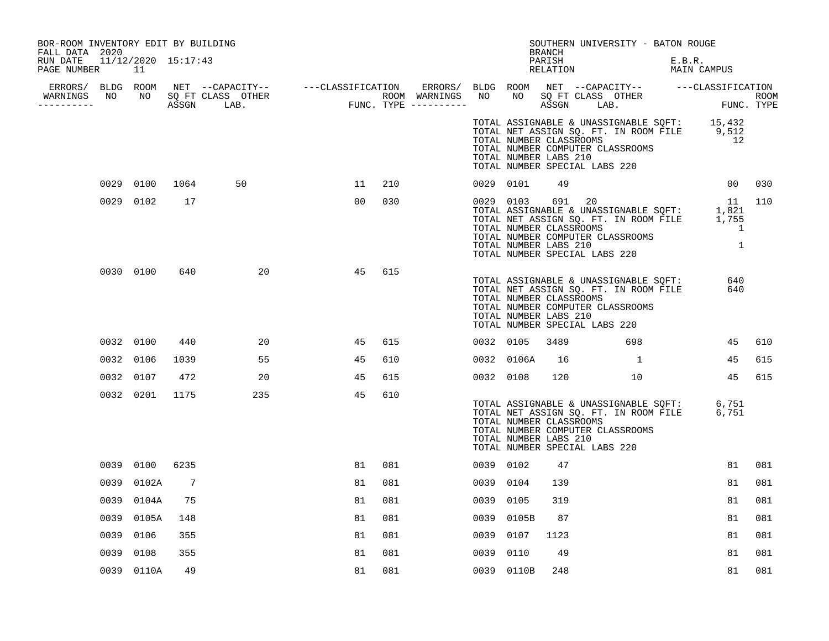| BOR-ROOM INVENTORY EDIT BY BUILDING<br>FALL DATA 2020 |            |      |     |    |     |           |            | BRANCH                                                               | SOUTHERN UNIVERSITY - BATON ROUGE                                                                                                                                |                         |             |
|-------------------------------------------------------|------------|------|-----|----|-----|-----------|------------|----------------------------------------------------------------------|------------------------------------------------------------------------------------------------------------------------------------------------------------------|-------------------------|-------------|
| RUN DATE 11/12/2020 15:17:43<br>PAGE NUMBER           | 11         |      |     |    |     |           |            | PARISH<br>RELATION                                                   |                                                                                                                                                                  | E.B.R.<br>MAIN CAMPUS   |             |
| WARNINGS<br>---------                                 |            |      |     |    |     |           |            |                                                                      |                                                                                                                                                                  | FUNC. TYPE              | <b>ROOM</b> |
|                                                       |            |      |     |    |     |           |            | TOTAL NUMBER CLASSROOMS<br>TOTAL NUMBER LABS 210                     | TOTAL ASSIGNABLE & UNASSIGNABLE SQFT: 15,432<br>TOTAL NET ASSIGN SQ. FT. IN ROOM FILE 9,512<br>TOTAL NUMBER COMPUTER CLASSROOMS<br>TOTAL NUMBER SPECIAL LABS 220 | 12                      |             |
|                                                       | 0029 0100  | 1064 | 50  | 11 | 210 | 0029 0101 |            | - 49                                                                 |                                                                                                                                                                  | 00 <sub>o</sub>         | 030         |
|                                                       | 0029 0102  | 17   |     | 00 | 030 |           |            | 0029 0103 691 20<br>TOTAL NUMBER CLASSROOMS<br>TOTAL NUMBER LABS 210 | TOTAL ASSIGNABLE & UNASSIGNABLE SQFT: 1,821<br>TOTAL NET ASSIGN SQ. FT. IN ROOM FILE 1,755<br>TOTAL NUMBER COMPUTER CLASSROOMS<br>TOTAL NUMBER SPECIAL LABS 220  | 11<br>1<br>$\mathbf{1}$ | 110         |
|                                                       | 0030 0100  | 640  | 20  | 45 | 615 |           |            | TOTAL NUMBER CLASSROOMS<br>TOTAL NUMBER LABS 210                     | TOTAL ASSIGNABLE & UNASSIGNABLE SQFT:<br>TOTAL NET ASSIGN SQ. FT. IN ROOM FILE<br>TOTAL NUMBER COMPUTER CLASSROOMS<br>TOTAL NUMBER SPECIAL LABS 220              | 640<br>640              |             |
|                                                       | 0032 0100  | 440  | 20  | 45 | 615 | 0032 0105 |            | 3489                                                                 | 698                                                                                                                                                              | 45                      | 610         |
|                                                       | 0032 0106  | 1039 | 55  | 45 | 610 |           | 0032 0106A | 16                                                                   | $\mathbf{1}$                                                                                                                                                     | 45                      | 615         |
|                                                       | 0032 0107  | 472  | 20  | 45 | 615 | 0032 0108 |            | 120                                                                  | 10                                                                                                                                                               | 45                      | 615         |
|                                                       | 0032 0201  | 1175 | 235 | 45 | 610 |           |            | TOTAL NUMBER CLASSROOMS<br>TOTAL NUMBER LABS 210                     | TOTAL ASSIGNABLE & UNASSIGNABLE SQFT: 6,751<br>TOTAL NET ASSIGN SQ. FT. IN ROOM FILE 6,751<br>TOTAL NUMBER COMPUTER CLASSROOMS<br>TOTAL NUMBER SPECIAL LABS 220  |                         |             |
|                                                       | 0039 0100  | 6235 |     | 81 | 081 | 0039 0102 |            | 47                                                                   |                                                                                                                                                                  | 81                      | 081         |
| 0039                                                  | 0102A      | 7    |     | 81 | 081 | 0039      | 0104       | 139                                                                  |                                                                                                                                                                  | 81                      | 081         |
|                                                       | 0039 0104A | 75   |     | 81 | 081 | 0039      | 0105       | 319                                                                  |                                                                                                                                                                  | 81                      | 081         |
|                                                       | 0039 0105A | 148  |     | 81 | 081 |           | 0039 0105B | 87                                                                   |                                                                                                                                                                  | 81                      | 081         |
|                                                       | 0039 0106  | 355  |     | 81 | 081 | 0039      | 0107       | 1123                                                                 |                                                                                                                                                                  | 81                      | 081         |
| 0039                                                  | 0108       | 355  |     | 81 | 081 | 0039      | 0110       | 49                                                                   |                                                                                                                                                                  | 81                      | 081         |
|                                                       | 0039 0110A | 49   |     | 81 | 081 |           | 0039 0110B | 248                                                                  |                                                                                                                                                                  | 81                      | 081         |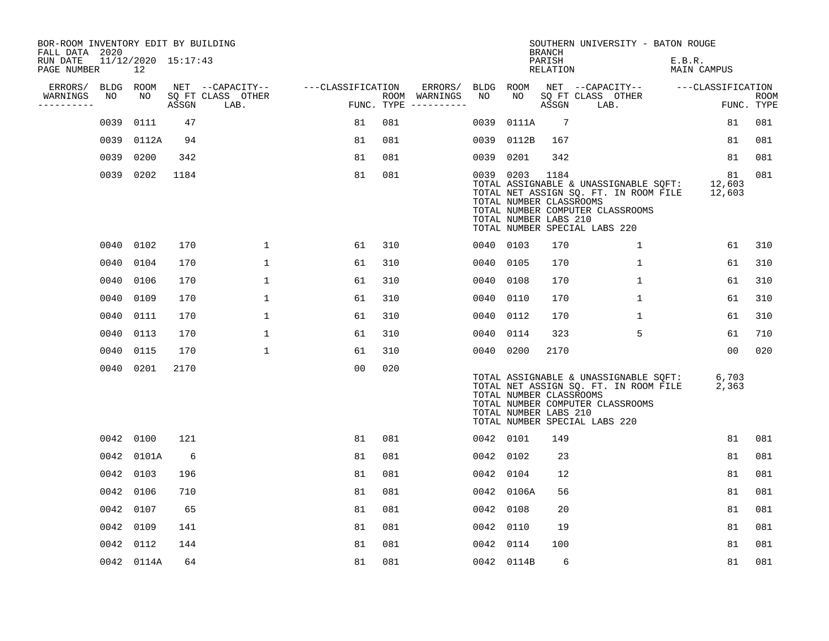| BOR-ROOM INVENTORY EDIT BY BUILDING<br>FALL DATA 2020 |      |                           |       |                           |                   |     |                                      |           |                                                               | <b>BRANCH</b>      | SOUTHERN UNIVERSITY - BATON ROUGE                                                                                                                   |                        |                           |
|-------------------------------------------------------|------|---------------------------|-------|---------------------------|-------------------|-----|--------------------------------------|-----------|---------------------------------------------------------------|--------------------|-----------------------------------------------------------------------------------------------------------------------------------------------------|------------------------|---------------------------|
| RUN DATE<br>PAGE NUMBER                               |      | 11/12/2020 15:17:43<br>12 |       |                           |                   |     |                                      |           |                                                               | PARISH<br>RELATION |                                                                                                                                                     | E.B.R.<br>MAIN CAMPUS  |                           |
| ERRORS/                                               |      | BLDG ROOM                 |       | NET --CAPACITY--          | ---CLASSIFICATION |     | ERRORS/                              | BLDG ROOM |                                                               |                    | NET --CAPACITY-- ---CLASSIFICATION                                                                                                                  |                        |                           |
| WARNINGS<br>-----------                               | NO   | NO                        | ASSGN | SQ FT CLASS OTHER<br>LAB. |                   |     | ROOM WARNINGS<br>FUNC. TYPE $------$ | NO        | NO                                                            | ASSGN              | SQ FT CLASS OTHER<br>LAB.                                                                                                                           |                        | <b>ROOM</b><br>FUNC. TYPE |
|                                                       | 0039 | 0111                      | 47    |                           | 81                | 081 |                                      | 0039      | 0111A                                                         | $\overline{7}$     |                                                                                                                                                     | 81                     | 081                       |
|                                                       | 0039 | 0112A                     | 94    |                           | 81                | 081 |                                      | 0039      | 0112B                                                         | 167                |                                                                                                                                                     | 81                     | 081                       |
|                                                       | 0039 | 0200                      | 342   |                           | 81                | 081 |                                      | 0039 0201 |                                                               | 342                |                                                                                                                                                     | 81                     | 081                       |
|                                                       | 0039 | 0202                      | 1184  |                           | 81                | 081 |                                      |           | 0039 0203<br>TOTAL NUMBER CLASSROOMS<br>TOTAL NUMBER LABS 210 | 1184               | TOTAL ASSIGNABLE & UNASSIGNABLE SOFT:<br>TOTAL NET ASSIGN SQ. FT. IN ROOM FILE<br>TOTAL NUMBER COMPUTER CLASSROOMS<br>TOTAL NUMBER SPECIAL LABS 220 | 81<br>12,603<br>12,603 | 081                       |
|                                                       |      | 0040 0102                 | 170   | $\mathbf 1$               | 61                | 310 |                                      |           | 0040 0103                                                     | 170                | $\mathbf{1}$                                                                                                                                        | 61                     | 310                       |
|                                                       | 0040 | 0104                      | 170   | $\mathbf 1$               | 61                | 310 |                                      | 0040      | 0105                                                          | 170                | 1                                                                                                                                                   | 61                     | 310                       |
|                                                       | 0040 | 0106                      | 170   | 1                         | 61                | 310 |                                      | 0040      | 0108                                                          | 170                | $\mathbf{1}$                                                                                                                                        | 61                     | 310                       |
|                                                       | 0040 | 0109                      | 170   | 1                         | 61                | 310 |                                      | 0040      | 0110                                                          | 170                | 1                                                                                                                                                   | 61                     | 310                       |
|                                                       | 0040 | 0111                      | 170   | $\mathbf{1}$              | 61                | 310 |                                      | 0040      | 0112                                                          | 170                | $\mathbf 1$                                                                                                                                         | 61                     | 310                       |
|                                                       | 0040 | 0113                      | 170   | 1                         | 61                | 310 |                                      | 0040      | 0114                                                          | 323                | 5                                                                                                                                                   | 61                     | 710                       |
|                                                       | 0040 | 0115                      | 170   | $\mathbf 1$               | 61                | 310 |                                      | 0040 0200 |                                                               | 2170               |                                                                                                                                                     | 0 <sub>0</sub>         | 020                       |
|                                                       |      | 0040 0201                 | 2170  |                           | 0 <sub>0</sub>    | 020 |                                      |           | TOTAL NUMBER CLASSROOMS<br>TOTAL NUMBER LABS 210              |                    | TOTAL ASSIGNABLE & UNASSIGNABLE SQFT:<br>TOTAL NET ASSIGN SQ. FT. IN ROOM FILE<br>TOTAL NUMBER COMPUTER CLASSROOMS<br>TOTAL NUMBER SPECIAL LABS 220 | 6,703<br>2,363         |                           |
|                                                       | 0042 | 0100                      | 121   |                           | 81                | 081 |                                      | 0042 0101 |                                                               | 149                |                                                                                                                                                     | 81                     | 081                       |
|                                                       | 0042 | 0101A                     | 6     |                           | 81                | 081 |                                      | 0042      | 0102                                                          | 23                 |                                                                                                                                                     | 81                     | 081                       |
|                                                       | 0042 | 0103                      | 196   |                           | 81                | 081 |                                      |           | 0042 0104                                                     | 12                 |                                                                                                                                                     | 81                     | 081                       |
|                                                       | 0042 | 0106                      | 710   |                           | 81                | 081 |                                      | 0042      | 0106A                                                         | 56                 |                                                                                                                                                     | 81                     | 081                       |
|                                                       | 0042 | 0107                      | 65    |                           | 81                | 081 |                                      | 0042      | 0108                                                          | 20                 |                                                                                                                                                     | 81                     | 081                       |
|                                                       | 0042 | 0109                      | 141   |                           | 81                | 081 |                                      | 0042      | 0110                                                          | 19                 |                                                                                                                                                     | 81                     | 081                       |
|                                                       | 0042 | 0112                      | 144   |                           | 81                | 081 |                                      | 0042      | 0114                                                          | 100                |                                                                                                                                                     | 81                     | 081                       |
|                                                       |      | 0042 0114A                | 64    |                           | 81                | 081 |                                      |           | 0042 0114B                                                    | 6                  |                                                                                                                                                     | 81                     | 081                       |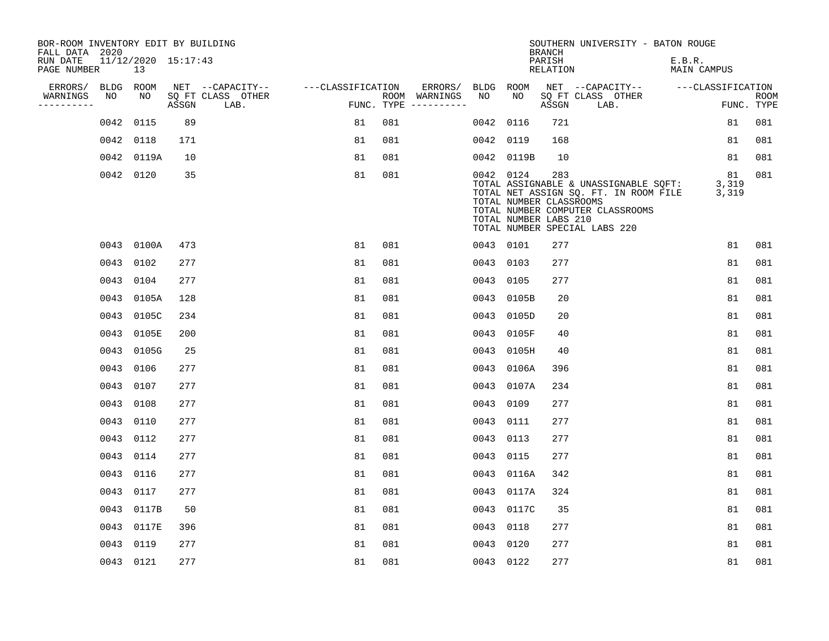| BOR-ROOM INVENTORY EDIT BY BUILDING<br>FALL DATA 2020 |           |                               |       |                           |                   |     |                                      |           |                                                  | <b>BRANCH</b>      | SOUTHERN UNIVERSITY - BATON ROUGE                                                                                                                   |                              |                           |
|-------------------------------------------------------|-----------|-------------------------------|-------|---------------------------|-------------------|-----|--------------------------------------|-----------|--------------------------------------------------|--------------------|-----------------------------------------------------------------------------------------------------------------------------------------------------|------------------------------|---------------------------|
| RUN DATE<br>PAGE NUMBER                               |           | $11/12/2020$ $15:17:43$<br>13 |       |                           |                   |     |                                      |           |                                                  | PARISH<br>RELATION |                                                                                                                                                     | E.B.R.<br><b>MAIN CAMPUS</b> |                           |
| ERRORS/                                               | BLDG ROOM |                               |       | NET --CAPACITY--          | ---CLASSIFICATION |     | ERRORS/                              | BLDG ROOM |                                                  |                    | NET --CAPACITY-- ---CLASSIFICATION                                                                                                                  |                              |                           |
| WARNINGS<br>-----------                               | NO        | NO                            | ASSGN | SQ FT CLASS OTHER<br>LAB. |                   |     | ROOM WARNINGS<br>FUNC. TYPE $------$ | NO        | NO                                               | ASSGN              | SQ FT CLASS OTHER<br>LAB.                                                                                                                           |                              | <b>ROOM</b><br>FUNC. TYPE |
|                                                       | 0042 0115 |                               | 89    |                           | 81                | 081 |                                      | 0042      | 0116                                             | 721                |                                                                                                                                                     | 81                           | 081                       |
|                                                       | 0042 0118 |                               | 171   |                           | 81                | 081 |                                      | 0042 0119 |                                                  | 168                |                                                                                                                                                     | 81                           | 081                       |
|                                                       |           | 0042 0119A                    | 10    |                           | 81                | 081 |                                      |           | 0042 0119B                                       | 10                 |                                                                                                                                                     | 81                           | 081                       |
|                                                       | 0042 0120 |                               | 35    |                           | 81                | 081 |                                      | 0042 0124 | TOTAL NUMBER CLASSROOMS<br>TOTAL NUMBER LABS 210 | 283                | TOTAL ASSIGNABLE & UNASSIGNABLE SQFT:<br>TOTAL NET ASSIGN SQ. FT. IN ROOM FILE<br>TOTAL NUMBER COMPUTER CLASSROOMS<br>TOTAL NUMBER SPECIAL LABS 220 | 81<br>3,319<br>3,319         | 081                       |
|                                                       |           | 0043 0100A                    | 473   |                           | 81                | 081 |                                      | 0043 0101 |                                                  | 277                |                                                                                                                                                     | 81                           | 081                       |
|                                                       | 0043 0102 |                               | 277   |                           | 81                | 081 |                                      | 0043 0103 |                                                  | 277                |                                                                                                                                                     | 81                           | 081                       |
|                                                       | 0043 0104 |                               | 277   |                           | 81                | 081 |                                      | 0043 0105 |                                                  | 277                |                                                                                                                                                     | 81                           | 081                       |
|                                                       |           | 0043 0105A                    | 128   |                           | 81                | 081 |                                      |           | 0043 0105B                                       | 20                 |                                                                                                                                                     | 81                           | 081                       |
|                                                       |           | 0043 0105C                    | 234   |                           | 81                | 081 |                                      |           | 0043 0105D                                       | 20                 |                                                                                                                                                     | 81                           | 081                       |
|                                                       |           | 0043 0105E                    | 200   |                           | 81                | 081 |                                      | 0043      | 0105F                                            | 40                 |                                                                                                                                                     | 81                           | 081                       |
|                                                       |           | 0043 0105G                    | 25    |                           | 81                | 081 |                                      |           | 0043 0105H                                       | 40                 |                                                                                                                                                     | 81                           | 081                       |
|                                                       | 0043 0106 |                               | 277   |                           | 81                | 081 |                                      |           | 0043 0106A                                       | 396                |                                                                                                                                                     | 81                           | 081                       |
|                                                       | 0043 0107 |                               | 277   |                           | 81                | 081 |                                      |           | 0043 0107A                                       | 234                |                                                                                                                                                     | 81                           | 081                       |
|                                                       | 0043 0108 |                               | 277   |                           | 81                | 081 |                                      | 0043 0109 |                                                  | 277                |                                                                                                                                                     | 81                           | 081                       |
|                                                       | 0043 0110 |                               | 277   |                           | 81                | 081 |                                      | 0043      | 0111                                             | 277                |                                                                                                                                                     | 81                           | 081                       |
|                                                       | 0043 0112 |                               | 277   |                           | 81                | 081 |                                      | 0043 0113 |                                                  | 277                |                                                                                                                                                     | 81                           | 081                       |
|                                                       | 0043 0114 |                               | 277   |                           | 81                | 081 |                                      | 0043 0115 |                                                  | 277                |                                                                                                                                                     | 81                           | 081                       |
|                                                       | 0043 0116 |                               | 277   |                           | 81                | 081 |                                      |           | 0043 0116A                                       | 342                |                                                                                                                                                     | 81                           | 081                       |
|                                                       | 0043 0117 |                               | 277   |                           | 81                | 081 |                                      |           | 0043 0117A                                       | 324                |                                                                                                                                                     | 81                           | 081                       |
|                                                       |           | 0043 0117B                    | 50    |                           | 81                | 081 |                                      |           | 0043 0117C                                       | 35                 |                                                                                                                                                     | 81                           | 081                       |
|                                                       |           | 0043 0117E                    | 396   |                           | 81                | 081 |                                      | 0043 0118 |                                                  | 277                |                                                                                                                                                     | 81                           | 081                       |
|                                                       | 0043 0119 |                               | 277   |                           | 81                | 081 |                                      | 0043 0120 |                                                  | 277                |                                                                                                                                                     | 81                           | 081                       |
|                                                       | 0043 0121 |                               | 277   |                           | 81                | 081 |                                      | 0043 0122 |                                                  | 277                |                                                                                                                                                     | 81                           | 081                       |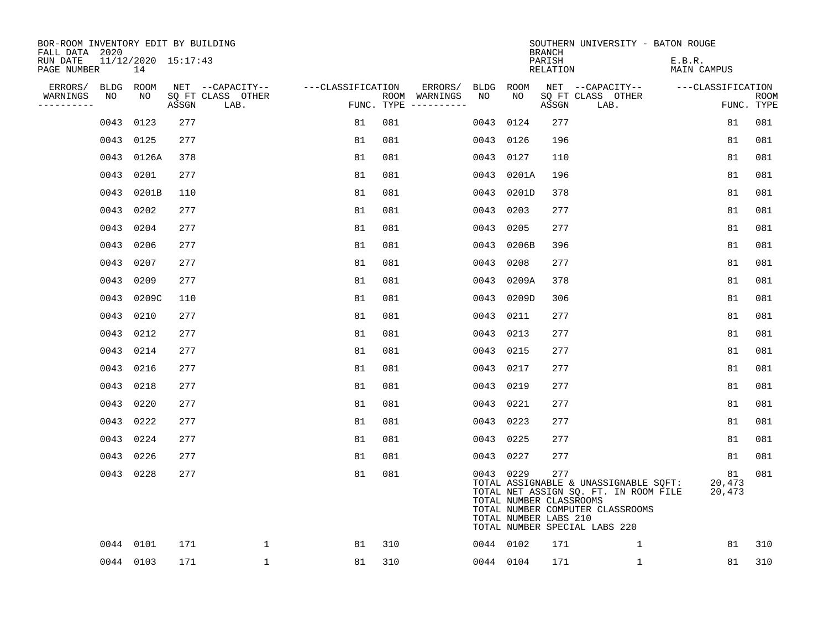| BOR-ROOM INVENTORY EDIT BY BUILDING<br>FALL DATA 2020 |           |                               |       |                           |                   |                                      |           |            | <b>BRANCH</b>                                           | SOUTHERN UNIVERSITY - BATON ROUGE                                                                                                                   |                              |                           |
|-------------------------------------------------------|-----------|-------------------------------|-------|---------------------------|-------------------|--------------------------------------|-----------|------------|---------------------------------------------------------|-----------------------------------------------------------------------------------------------------------------------------------------------------|------------------------------|---------------------------|
| RUN DATE<br>PAGE NUMBER                               |           | $11/12/2020$ $15:17:43$<br>14 |       |                           |                   |                                      |           |            | PARISH<br>RELATION                                      |                                                                                                                                                     | E.B.R.<br><b>MAIN CAMPUS</b> |                           |
| ERRORS/                                               | BLDG ROOM |                               |       | NET --CAPACITY--          | ---CLASSIFICATION | ERRORS/                              | BLDG ROOM |            |                                                         | NET --CAPACITY-- ---CLASSIFICATION                                                                                                                  |                              |                           |
| WARNINGS<br>-----------                               | NO        | NO                            | ASSGN | SQ FT CLASS OTHER<br>LAB. |                   | ROOM WARNINGS<br>FUNC. TYPE $------$ | NO        | NO         | ASSGN                                                   | SQ FT CLASS OTHER<br>LAB.                                                                                                                           |                              | <b>ROOM</b><br>FUNC. TYPE |
|                                                       |           | 0043 0123                     | 277   |                           | 81                | 081                                  | 0043      | 0124       | 277                                                     |                                                                                                                                                     | 81                           | 081                       |
|                                                       |           | 0043 0125                     | 277   |                           | 81                | 081                                  |           | 0043 0126  | 196                                                     |                                                                                                                                                     | 81                           | 081                       |
|                                                       |           | 0043 0126A                    | 378   |                           | 81                | 081                                  | 0043 0127 |            | 110                                                     |                                                                                                                                                     | 81                           | 081                       |
|                                                       |           | 0043 0201                     | 277   |                           | 81                | 081                                  |           | 0043 0201A | 196                                                     |                                                                                                                                                     | 81                           | 081                       |
|                                                       |           | 0043 0201B                    | 110   |                           | 81                | 081                                  |           | 0043 0201D | 378                                                     |                                                                                                                                                     | 81                           | 081                       |
|                                                       |           | 0043 0202                     | 277   |                           | 81                | 081                                  |           | 0043 0203  | 277                                                     |                                                                                                                                                     | 81                           | 081                       |
|                                                       |           | 0043 0204                     | 277   |                           | 81                | 081                                  | 0043      | 0205       | 277                                                     |                                                                                                                                                     | 81                           | 081                       |
|                                                       |           | 0043 0206                     | 277   |                           | 81                | 081                                  |           | 0043 0206B | 396                                                     |                                                                                                                                                     | 81                           | 081                       |
|                                                       | 0043      | 0207                          | 277   |                           | 81                | 081                                  | 0043      | 0208       | 277                                                     |                                                                                                                                                     | 81                           | 081                       |
|                                                       |           | 0043 0209                     | 277   |                           | 81                | 081                                  |           | 0043 0209A | 378                                                     |                                                                                                                                                     | 81                           | 081                       |
|                                                       |           | 0043 0209C                    | 110   |                           | 81                | 081                                  |           | 0043 0209D | 306                                                     |                                                                                                                                                     | 81                           | 081                       |
|                                                       |           | 0043 0210                     | 277   |                           | 81                | 081                                  |           | 0043 0211  | 277                                                     |                                                                                                                                                     | 81                           | 081                       |
|                                                       |           | 0043 0212                     | 277   |                           | 81                | 081                                  | 0043      | 0213       | 277                                                     |                                                                                                                                                     | 81                           | 081                       |
|                                                       |           | 0043 0214                     | 277   |                           | 81                | 081                                  |           | 0043 0215  | 277                                                     |                                                                                                                                                     | 81                           | 081                       |
|                                                       |           | 0043 0216                     | 277   |                           | 81                | 081                                  | 0043      | 0217       | 277                                                     |                                                                                                                                                     | 81                           | 081                       |
|                                                       |           | 0043 0218                     | 277   |                           | 81                | 081                                  |           | 0043 0219  | 277                                                     |                                                                                                                                                     | 81                           | 081                       |
|                                                       |           | 0043 0220                     | 277   |                           | 81                | 081                                  | 0043      | 0221       | 277                                                     |                                                                                                                                                     | 81                           | 081                       |
|                                                       |           | 0043 0222                     | 277   |                           | 81                | 081                                  |           | 0043 0223  | 277                                                     |                                                                                                                                                     | 81                           | 081                       |
|                                                       |           | 0043 0224                     | 277   |                           | 81                | 081                                  |           | 0043 0225  | 277                                                     |                                                                                                                                                     | 81                           | 081                       |
|                                                       |           | 0043 0226                     | 277   |                           | 81                | 081                                  | 0043 0227 |            | 277                                                     |                                                                                                                                                     | 81                           | 081                       |
|                                                       |           | 0043 0228                     | 277   |                           | 81                | 081                                  |           | 0043 0229  | 277<br>TOTAL NUMBER CLASSROOMS<br>TOTAL NUMBER LABS 210 | TOTAL ASSIGNABLE & UNASSIGNABLE SQFT:<br>TOTAL NET ASSIGN SQ. FT. IN ROOM FILE<br>TOTAL NUMBER COMPUTER CLASSROOMS<br>TOTAL NUMBER SPECIAL LABS 220 | 81<br>20,473<br>20,473       | 081                       |
|                                                       |           | 0044 0101                     | 171   | 1                         | 81                | 310                                  | 0044 0102 |            | 171                                                     | 1                                                                                                                                                   | 81                           | 310                       |
|                                                       |           | 0044 0103                     | 171   | $\mathbf 1$               | 81                | 310                                  | 0044 0104 |            | 171                                                     | $\mathbf{1}$                                                                                                                                        | 81                           | 310                       |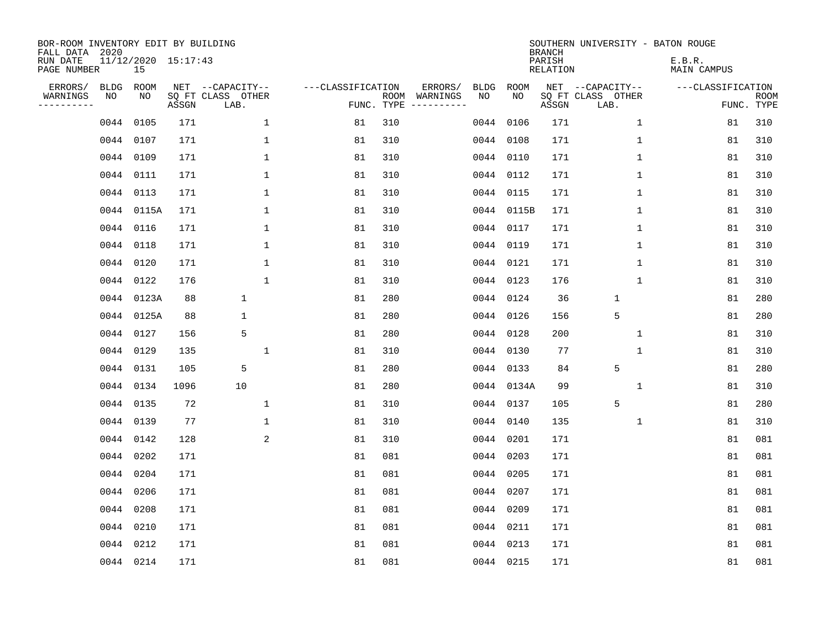| BOR-ROOM INVENTORY EDIT BY BUILDING<br>FALL DATA 2020 |                 |                           |       |                                       |                   |     |                          |            |             | <b>BRANCH</b>      | SOUTHERN UNIVERSITY - BATON ROUGE     |                       |             |
|-------------------------------------------------------|-----------------|---------------------------|-------|---------------------------------------|-------------------|-----|--------------------------|------------|-------------|--------------------|---------------------------------------|-----------------------|-------------|
| RUN DATE<br>PAGE NUMBER                               |                 | 11/12/2020 15:17:43<br>15 |       |                                       |                   |     |                          |            |             | PARISH<br>RELATION |                                       | E.B.R.<br>MAIN CAMPUS |             |
| ERRORS/<br>WARNINGS                                   | BLDG ROOM<br>NO | NO                        |       | NET --CAPACITY--<br>SQ FT CLASS OTHER | ---CLASSIFICATION |     | ERRORS/<br>ROOM WARNINGS | BLDG<br>NO | ROOM<br>NO. |                    | NET --CAPACITY--<br>SQ FT CLASS OTHER | ---CLASSIFICATION     | <b>ROOM</b> |
| ---------                                             |                 |                           | ASSGN | LAB.                                  |                   |     | FUNC. TYPE $------$      |            |             | ASSGN              | LAB.                                  |                       | FUNC. TYPE  |
|                                                       | 0044 0105       |                           | 171   | $\mathbf{1}$                          | 81                | 310 |                          |            | 0044 0106   | 171                | $\mathbf{1}$                          | 81                    | 310         |
|                                                       | 0044 0107       |                           | 171   | $\mathbf{1}$                          | 81                | 310 |                          |            | 0044 0108   | 171                | $\mathbf{1}$                          | 81                    | 310         |
|                                                       | 0044 0109       |                           | 171   | $\mathbf{1}$                          | 81                | 310 |                          |            | 0044 0110   | 171                | $\mathbf{1}$                          | 81                    | 310         |
|                                                       | 0044 0111       |                           | 171   | $\mathbf{1}$                          | 81                | 310 |                          |            | 0044 0112   | 171                | $\mathbf{1}$                          | 81                    | 310         |
|                                                       | 0044 0113       |                           | 171   | $\mathbf{1}$                          | 81                | 310 |                          |            | 0044 0115   | 171                | $\mathbf{1}$                          | 81                    | 310         |
|                                                       |                 | 0044 0115A                | 171   | $\mathbf 1$                           | 81                | 310 |                          |            | 0044 0115B  | 171                | $\mathbf 1$                           | 81                    | 310         |
|                                                       | 0044 0116       |                           | 171   | $\mathbf 1$                           | 81                | 310 |                          |            | 0044 0117   | 171                | $\mathbf 1$                           | 81                    | 310         |
|                                                       | 0044 0118       |                           | 171   | $\mathbf{1}$                          | 81                | 310 |                          |            | 0044 0119   | 171                | $\mathbf 1$                           | 81                    | 310         |
|                                                       | 0044 0120       |                           | 171   | $\mathbf 1$                           | 81                | 310 |                          |            | 0044 0121   | 171                | $\mathbf 1$                           | 81                    | 310         |
|                                                       | 0044 0122       |                           | 176   | $\mathbf{1}$                          | 81                | 310 |                          |            | 0044 0123   | 176                | $\mathbf 1$                           | 81                    | 310         |
|                                                       |                 | 0044 0123A                | 88    | $\mathbf 1$                           | 81                | 280 |                          |            | 0044 0124   | 36                 | $\mathbf{1}$                          | 81                    | 280         |
|                                                       |                 | 0044 0125A                | 88    | $\mathbf 1$                           | 81                | 280 |                          |            | 0044 0126   | 156                | 5                                     | 81                    | 280         |
|                                                       | 0044 0127       |                           | 156   | 5                                     | 81                | 280 |                          |            | 0044 0128   | 200                | $\mathbf{1}$                          | 81                    | 310         |
|                                                       | 0044 0129       |                           | 135   | $\mathbf{1}$                          | 81                | 310 |                          |            | 0044 0130   | 77                 | $\mathbf{1}$                          | 81                    | 310         |
|                                                       | 0044 0131       |                           | 105   | 5                                     | 81                | 280 |                          |            | 0044 0133   | 84                 | 5                                     | 81                    | 280         |
|                                                       | 0044 0134       |                           | 1096  | 10                                    | 81                | 280 |                          |            | 0044 0134A  | 99                 | $\mathbf{1}$                          | 81                    | 310         |
|                                                       | 0044 0135       |                           | 72    | 1                                     | 81                | 310 |                          |            | 0044 0137   | 105                | 5                                     | 81                    | 280         |
|                                                       | 0044 0139       |                           | 77    | $\mathbf 1$                           | 81                | 310 |                          |            | 0044 0140   | 135                | 1                                     | 81                    | 310         |
|                                                       | 0044 0142       |                           | 128   | 2                                     | 81                | 310 |                          |            | 0044 0201   | 171                |                                       | 81                    | 081         |
|                                                       | 0044 0202       |                           | 171   |                                       | 81                | 081 |                          |            | 0044 0203   | 171                |                                       | 81                    | 081         |
|                                                       | 0044 0204       |                           | 171   |                                       | 81                | 081 |                          |            | 0044 0205   | 171                |                                       | 81                    | 081         |
|                                                       | 0044 0206       |                           | 171   |                                       | 81                | 081 |                          |            | 0044 0207   | 171                |                                       | 81                    | 081         |
|                                                       | 0044 0208       |                           | 171   |                                       | 81                | 081 |                          |            | 0044 0209   | 171                |                                       | 81                    | 081         |
|                                                       | 0044 0210       |                           | 171   |                                       | 81                | 081 |                          |            | 0044 0211   | 171                |                                       | 81                    | 081         |
|                                                       | 0044 0212       |                           | 171   |                                       | 81                | 081 |                          |            | 0044 0213   | 171                |                                       | 81                    | 081         |
|                                                       | 0044 0214       |                           | 171   |                                       | 81                | 081 |                          |            | 0044 0215   | 171                |                                       | 81                    | 081         |
|                                                       |                 |                           |       |                                       |                   |     |                          |            |             |                    |                                       |                       |             |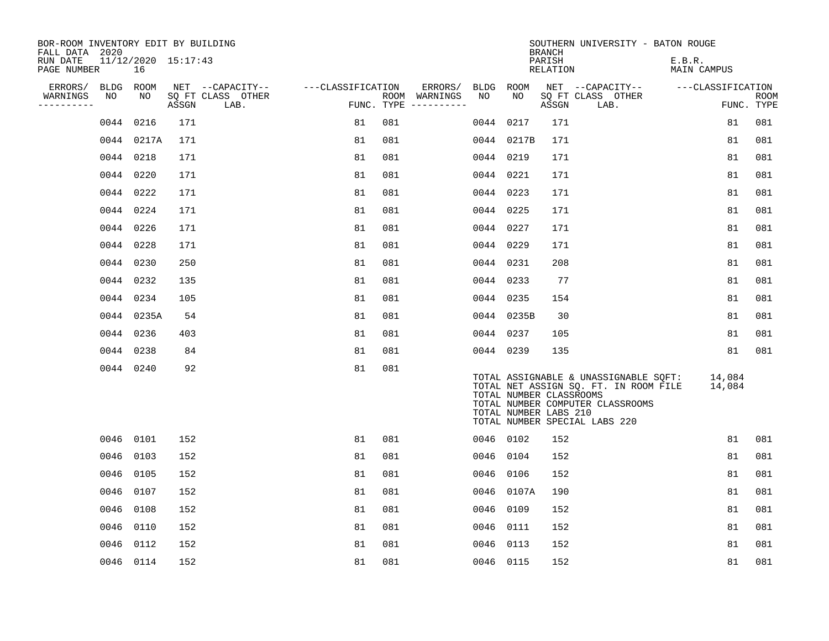| BOR-ROOM INVENTORY EDIT BY BUILDING<br>FALL DATA 2020 |           |                           |       |                           |                   |     |                                      |           |                                                  | <b>BRANCH</b>             | SOUTHERN UNIVERSITY - BATON ROUGE                                                                                                                   |                       |                           |
|-------------------------------------------------------|-----------|---------------------------|-------|---------------------------|-------------------|-----|--------------------------------------|-----------|--------------------------------------------------|---------------------------|-----------------------------------------------------------------------------------------------------------------------------------------------------|-----------------------|---------------------------|
| RUN DATE<br>PAGE NUMBER                               |           | 11/12/2020 15:17:43<br>16 |       |                           |                   |     |                                      |           |                                                  | PARISH<br><b>RELATION</b> |                                                                                                                                                     | E.B.R.<br>MAIN CAMPUS |                           |
| ERRORS/                                               | BLDG ROOM |                           |       | NET --CAPACITY--          | ---CLASSIFICATION |     | ERRORS/                              | BLDG ROOM |                                                  |                           | NET --CAPACITY-- ---CLASSIFICATION                                                                                                                  |                       |                           |
| WARNINGS<br>----------                                | NO        | NO                        | ASSGN | SQ FT CLASS OTHER<br>LAB. |                   |     | ROOM WARNINGS<br>FUNC. TYPE $------$ | NO        | NO                                               | ASSGN                     | SQ FT CLASS OTHER<br>LAB.                                                                                                                           |                       | <b>ROOM</b><br>FUNC. TYPE |
|                                                       | 0044      | 0216                      | 171   |                           | 81                | 081 |                                      | 0044 0217 |                                                  | 171                       |                                                                                                                                                     | 81                    | 081                       |
|                                                       | 0044      | 0217A                     | 171   |                           | 81                | 081 |                                      |           | 0044 0217B                                       | 171                       |                                                                                                                                                     | 81                    | 081                       |
|                                                       | 0044      | 0218                      | 171   |                           | 81                | 081 |                                      | 0044 0219 |                                                  | 171                       |                                                                                                                                                     | 81                    | 081                       |
|                                                       | 0044      | 0220                      | 171   |                           | 81                | 081 |                                      | 0044 0221 |                                                  | 171                       |                                                                                                                                                     | 81                    | 081                       |
|                                                       | 0044      | 0222                      | 171   |                           | 81                | 081 |                                      | 0044 0223 |                                                  | 171                       |                                                                                                                                                     | 81                    | 081                       |
|                                                       |           | 0044 0224                 | 171   |                           | 81                | 081 |                                      | 0044 0225 |                                                  | 171                       |                                                                                                                                                     | 81                    | 081                       |
|                                                       | 0044      | 0226                      | 171   |                           | 81                | 081 |                                      | 0044 0227 |                                                  | 171                       |                                                                                                                                                     | 81                    | 081                       |
|                                                       | 0044      | 0228                      | 171   |                           | 81                | 081 |                                      | 0044 0229 |                                                  | 171                       |                                                                                                                                                     | 81                    | 081                       |
|                                                       | 0044      | 0230                      | 250   |                           | 81                | 081 |                                      | 0044 0231 |                                                  | 208                       |                                                                                                                                                     | 81                    | 081                       |
|                                                       |           | 0044 0232                 | 135   |                           | 81                | 081 |                                      |           | 0044 0233                                        | 77                        |                                                                                                                                                     | 81                    | 081                       |
|                                                       | 0044      | 0234                      | 105   |                           | 81                | 081 |                                      | 0044 0235 |                                                  | 154                       |                                                                                                                                                     | 81                    | 081                       |
|                                                       |           | 0044 0235A                | 54    |                           | 81                | 081 |                                      |           | 0044 0235B                                       | 30                        |                                                                                                                                                     | 81                    | 081                       |
|                                                       | 0044      | 0236                      | 403   |                           | 81                | 081 |                                      | 0044 0237 |                                                  | 105                       |                                                                                                                                                     | 81                    | 081                       |
|                                                       | 0044      | 0238                      | 84    |                           | 81                | 081 |                                      | 0044 0239 |                                                  | 135                       |                                                                                                                                                     | 81                    | 081                       |
|                                                       |           | 0044 0240                 | 92    |                           | 81                | 081 |                                      |           | TOTAL NUMBER CLASSROOMS<br>TOTAL NUMBER LABS 210 |                           | TOTAL ASSIGNABLE & UNASSIGNABLE SOFT:<br>TOTAL NET ASSIGN SQ. FT. IN ROOM FILE<br>TOTAL NUMBER COMPUTER CLASSROOMS<br>TOTAL NUMBER SPECIAL LABS 220 | 14,084<br>14,084      |                           |
|                                                       | 0046      | 0101                      | 152   |                           | 81                | 081 |                                      |           | 0046 0102                                        | 152                       |                                                                                                                                                     | 81                    | 081                       |
|                                                       | 0046      | 0103                      | 152   |                           | 81                | 081 |                                      | 0046      | 0104                                             | 152                       |                                                                                                                                                     | 81                    | 081                       |
|                                                       | 0046      | 0105                      | 152   |                           | 81                | 081 |                                      |           | 0046 0106                                        | 152                       |                                                                                                                                                     | 81                    | 081                       |
|                                                       | 0046      | 0107                      | 152   |                           | 81                | 081 |                                      | 0046      | 0107A                                            | 190                       |                                                                                                                                                     | 81                    | 081                       |
|                                                       | 0046      | 0108                      | 152   |                           | 81                | 081 |                                      | 0046      | 0109                                             | 152                       |                                                                                                                                                     | 81                    | 081                       |
|                                                       | 0046      | 0110                      | 152   |                           | 81                | 081 |                                      | 0046      | 0111                                             | 152                       |                                                                                                                                                     | 81                    | 081                       |
|                                                       | 0046      | 0112                      | 152   |                           | 81                | 081 |                                      | 0046      | 0113                                             | 152                       |                                                                                                                                                     | 81                    | 081                       |
|                                                       |           | 0046 0114                 | 152   |                           | 81                | 081 |                                      | 0046 0115 |                                                  | 152                       |                                                                                                                                                     | 81                    | 081                       |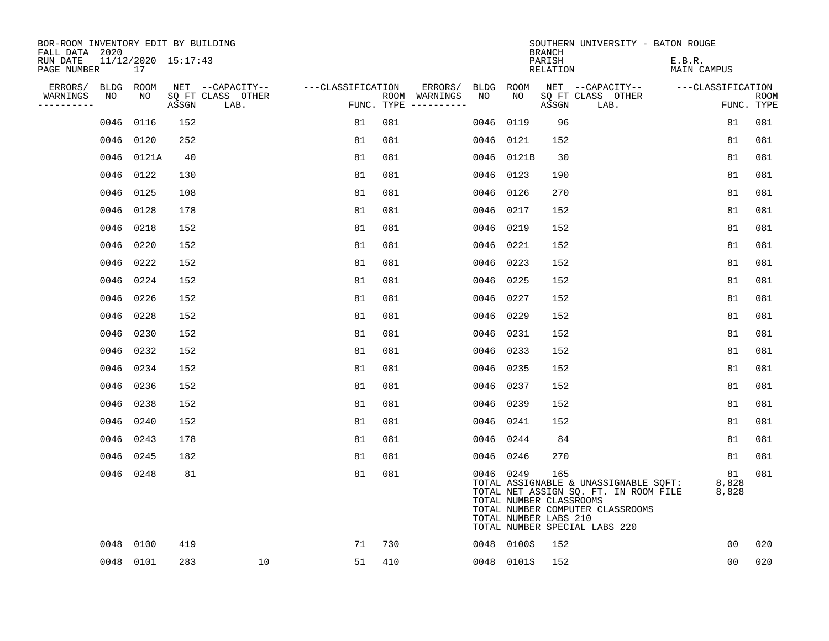| BOR-ROOM INVENTORY EDIT BY BUILDING<br>FALL DATA 2020 |           |                           |       |                           |                   |     |                                      |           |                                                  | <b>BRANCH</b>      | SOUTHERN UNIVERSITY - BATON ROUGE                                                                                                                   |                              |                           |
|-------------------------------------------------------|-----------|---------------------------|-------|---------------------------|-------------------|-----|--------------------------------------|-----------|--------------------------------------------------|--------------------|-----------------------------------------------------------------------------------------------------------------------------------------------------|------------------------------|---------------------------|
| RUN DATE<br>PAGE NUMBER                               |           | 11/12/2020 15:17:43<br>17 |       |                           |                   |     |                                      |           |                                                  | PARISH<br>RELATION |                                                                                                                                                     | E.B.R.<br><b>MAIN CAMPUS</b> |                           |
| ERRORS/                                               | BLDG ROOM |                           |       | NET --CAPACITY--          | ---CLASSIFICATION |     | ERRORS/                              | BLDG ROOM |                                                  |                    | NET --CAPACITY-- ---CLASSIFICATION                                                                                                                  |                              |                           |
| WARNINGS<br>----------                                | NO        | NO                        | ASSGN | SQ FT CLASS OTHER<br>LAB. |                   |     | ROOM WARNINGS<br>FUNC. TYPE $------$ | NO        | NO                                               | ASSGN              | SQ FT CLASS OTHER<br>LAB.                                                                                                                           |                              | <b>ROOM</b><br>FUNC. TYPE |
|                                                       |           | 0046 0116                 | 152   |                           | 81                | 081 |                                      | 0046      | 0119                                             | 96                 |                                                                                                                                                     | 81                           | 081                       |
|                                                       |           | 0046 0120                 | 252   |                           | 81                | 081 |                                      | 0046      | 0121                                             | 152                |                                                                                                                                                     | 81                           | 081                       |
|                                                       |           | 0046 0121A                | 40    |                           | 81                | 081 |                                      |           | 0046 0121B                                       | 30                 |                                                                                                                                                     | 81                           | 081                       |
|                                                       |           | 0046 0122                 | 130   |                           | 81                | 081 |                                      | 0046      | 0123                                             | 190                |                                                                                                                                                     | 81                           | 081                       |
|                                                       | 0046 0125 |                           | 108   |                           | 81                | 081 |                                      | 0046      | 0126                                             | 270                |                                                                                                                                                     | 81                           | 081                       |
|                                                       | 0046 0128 |                           | 178   |                           | 81                | 081 |                                      | 0046 0217 |                                                  | 152                |                                                                                                                                                     | 81                           | 081                       |
|                                                       | 0046 0218 |                           | 152   |                           | 81                | 081 |                                      | 0046 0219 |                                                  | 152                |                                                                                                                                                     | 81                           | 081                       |
|                                                       | 0046 0220 |                           | 152   |                           | 81                | 081 |                                      | 0046 0221 |                                                  | 152                |                                                                                                                                                     | 81                           | 081                       |
|                                                       |           | 0046 0222                 | 152   |                           | 81                | 081 |                                      | 0046      | 0223                                             | 152                |                                                                                                                                                     | 81                           | 081                       |
|                                                       | 0046 0224 |                           | 152   |                           | 81                | 081 |                                      | 0046 0225 |                                                  | 152                |                                                                                                                                                     | 81                           | 081                       |
|                                                       | 0046 0226 |                           | 152   |                           | 81                | 081 |                                      | 0046      | 0227                                             | 152                |                                                                                                                                                     | 81                           | 081                       |
|                                                       | 0046 0228 |                           | 152   |                           | 81                | 081 |                                      | 0046 0229 |                                                  | 152                |                                                                                                                                                     | 81                           | 081                       |
|                                                       | 0046 0230 |                           | 152   |                           | 81                | 081 |                                      | 0046      | 0231                                             | 152                |                                                                                                                                                     | 81                           | 081                       |
|                                                       |           | 0046 0232                 | 152   |                           | 81                | 081 |                                      | 0046 0233 |                                                  | 152                |                                                                                                                                                     | 81                           | 081                       |
|                                                       | 0046 0234 |                           | 152   |                           | 81                | 081 |                                      | 0046      | 0235                                             | 152                |                                                                                                                                                     | 81                           | 081                       |
|                                                       | 0046 0236 |                           | 152   |                           | 81                | 081 |                                      | 0046 0237 |                                                  | 152                |                                                                                                                                                     | 81                           | 081                       |
|                                                       | 0046      | 0238                      | 152   |                           | 81                | 081 |                                      | 0046      | 0239                                             | 152                |                                                                                                                                                     | 81                           | 081                       |
|                                                       | 0046      | 0240                      | 152   |                           | 81                | 081 |                                      | 0046 0241 |                                                  | 152                |                                                                                                                                                     | 81                           | 081                       |
|                                                       | 0046 0243 |                           | 178   |                           | 81                | 081 |                                      |           | 0046 0244                                        | 84                 |                                                                                                                                                     | 81                           | 081                       |
|                                                       | 0046      | 0245                      | 182   |                           | 81                | 081 |                                      | 0046 0246 |                                                  | 270                |                                                                                                                                                     | 81                           | 081                       |
|                                                       |           | 0046 0248                 | 81    |                           | 81                | 081 |                                      | 0046 0249 | TOTAL NUMBER CLASSROOMS<br>TOTAL NUMBER LABS 210 | 165                | TOTAL ASSIGNABLE & UNASSIGNABLE SQFT:<br>TOTAL NET ASSIGN SQ. FT. IN ROOM FILE<br>TOTAL NUMBER COMPUTER CLASSROOMS<br>TOTAL NUMBER SPECIAL LABS 220 | 81<br>8,828<br>8,828         | 081                       |
|                                                       | 0048      | 0100                      | 419   |                           | 71                | 730 |                                      |           | 0048 0100S                                       | 152                |                                                                                                                                                     | 0 <sub>0</sub>               | 020                       |
|                                                       | 0048 0101 |                           | 283   | 10                        | 51                | 410 |                                      |           | 0048 0101S                                       | 152                |                                                                                                                                                     | 0 <sub>0</sub>               | 020                       |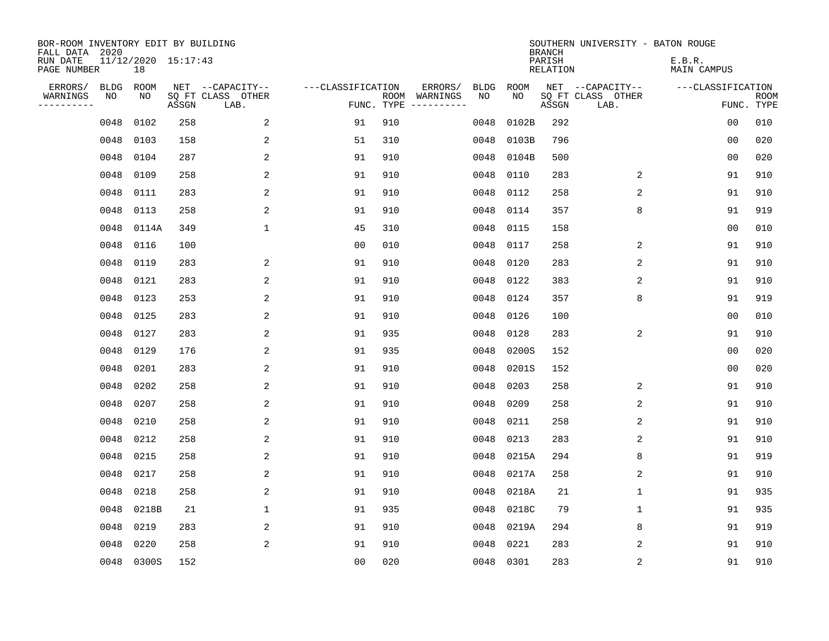| BOR-ROOM INVENTORY EDIT BY BUILDING<br>FALL DATA 2020 |             |                           |       |                           |                   |                    |                         |      |             | <b>BRANCH</b>             | SOUTHERN UNIVERSITY - BATON ROUGE |                       |                           |
|-------------------------------------------------------|-------------|---------------------------|-------|---------------------------|-------------------|--------------------|-------------------------|------|-------------|---------------------------|-----------------------------------|-----------------------|---------------------------|
| RUN DATE<br>PAGE NUMBER                               |             | 11/12/2020 15:17:43<br>18 |       |                           |                   |                    |                         |      |             | PARISH<br><b>RELATION</b> |                                   | E.B.R.<br>MAIN CAMPUS |                           |
| ERRORS/                                               | <b>BLDG</b> | ROOM                      |       | NET --CAPACITY--          | ---CLASSIFICATION |                    | ERRORS/                 | BLDG | <b>ROOM</b> |                           | NET --CAPACITY--                  | ---CLASSIFICATION     |                           |
| WARNINGS<br>----------                                | NO          | NO                        | ASSGN | SQ FT CLASS OTHER<br>LAB. |                   | ROOM<br>FUNC. TYPE | WARNINGS<br>----------- | NO   | NO          | ASSGN                     | SQ FT CLASS OTHER<br>LAB.         |                       | <b>ROOM</b><br>FUNC. TYPE |
|                                                       | 0048        | 0102                      | 258   | 2                         | 91                | 910                |                         | 0048 | 0102B       | 292                       |                                   | 00                    | 010                       |
|                                                       | 0048        | 0103                      | 158   | 2                         | 51                | 310                |                         | 0048 | 0103B       | 796                       |                                   | 00                    | 020                       |
|                                                       | 0048        | 0104                      | 287   | 2                         | 91                | 910                |                         | 0048 | 0104B       | 500                       |                                   | 0 <sub>0</sub>        | 020                       |
|                                                       | 0048        | 0109                      | 258   | 2                         | 91                | 910                |                         | 0048 | 0110        | 283                       | 2                                 | 91                    | 910                       |
|                                                       | 0048        | 0111                      | 283   | 2                         | 91                | 910                |                         | 0048 | 0112        | 258                       | 2                                 | 91                    | 910                       |
|                                                       | 0048        | 0113                      | 258   | 2                         | 91                | 910                |                         | 0048 | 0114        | 357                       | 8                                 | 91                    | 919                       |
|                                                       | 0048        | 0114A                     | 349   | $\mathbf{1}$              | 45                | 310                |                         | 0048 | 0115        | 158                       |                                   | 0 <sub>0</sub>        | 010                       |
|                                                       | 0048        | 0116                      | 100   |                           | 0 <sub>0</sub>    | 010                |                         | 0048 | 0117        | 258                       | 2                                 | 91                    | 910                       |
|                                                       | 0048        | 0119                      | 283   | 2                         | 91                | 910                |                         | 0048 | 0120        | 283                       | 2                                 | 91                    | 910                       |
|                                                       | 0048        | 0121                      | 283   | 2                         | 91                | 910                |                         | 0048 | 0122        | 383                       | 2                                 | 91                    | 910                       |
|                                                       | 0048        | 0123                      | 253   | 2                         | 91                | 910                |                         | 0048 | 0124        | 357                       | 8                                 | 91                    | 919                       |
|                                                       | 0048        | 0125                      | 283   | 2                         | 91                | 910                |                         | 0048 | 0126        | 100                       |                                   | 0 <sub>0</sub>        | 010                       |
|                                                       | 0048        | 0127                      | 283   | 2                         | 91                | 935                |                         | 0048 | 0128        | 283                       | 2                                 | 91                    | 910                       |
|                                                       | 0048        | 0129                      | 176   | 2                         | 91                | 935                |                         | 0048 | 0200S       | 152                       |                                   | 0 <sub>0</sub>        | 020                       |
|                                                       | 0048        | 0201                      | 283   | 2                         | 91                | 910                |                         | 0048 | 0201S       | 152                       |                                   | 0 <sub>0</sub>        | 020                       |
|                                                       | 0048        | 0202                      | 258   | 2                         | 91                | 910                |                         | 0048 | 0203        | 258                       | 2                                 | 91                    | 910                       |
|                                                       | 0048        | 0207                      | 258   | 2                         | 91                | 910                |                         | 0048 | 0209        | 258                       | 2                                 | 91                    | 910                       |
|                                                       | 0048        | 0210                      | 258   | $\overline{c}$            | 91                | 910                |                         | 0048 | 0211        | 258                       | 2                                 | 91                    | 910                       |
|                                                       | 0048        | 0212                      | 258   | 2                         | 91                | 910                |                         | 0048 | 0213        | 283                       | 2                                 | 91                    | 910                       |
|                                                       | 0048        | 0215                      | 258   | 2                         | 91                | 910                |                         | 0048 | 0215A       | 294                       | 8                                 | 91                    | 919                       |
|                                                       | 0048        | 0217                      | 258   | 2                         | 91                | 910                |                         | 0048 | 0217A       | 258                       | 2                                 | 91                    | 910                       |
|                                                       | 0048        | 0218                      | 258   | 2                         | 91                | 910                |                         | 0048 | 0218A       | 21                        | 1                                 | 91                    | 935                       |
|                                                       | 0048        | 0218B                     | 21    | 1                         | 91                | 935                |                         | 0048 | 0218C       | 79                        | 1                                 | 91                    | 935                       |
|                                                       | 0048        | 0219                      | 283   | 2                         | 91                | 910                |                         | 0048 | 0219A       | 294                       | 8                                 | 91                    | 919                       |
|                                                       | 0048        | 0220                      | 258   | 2                         | 91                | 910                |                         | 0048 | 0221        | 283                       | 2                                 | 91                    | 910                       |
|                                                       |             | 0048 0300S                | 152   |                           | 0 <sub>0</sub>    | 020                |                         |      | 0048 0301   | 283                       | $\sqrt{2}$                        | 91                    | 910                       |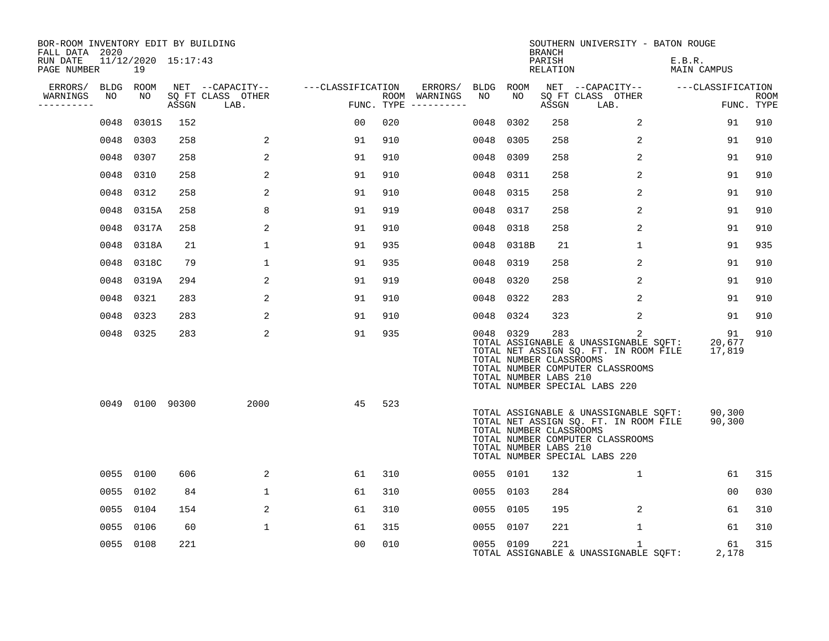| BOR-ROOM INVENTORY EDIT BY BUILDING<br>FALL DATA 2020<br>RUN DATE<br>PAGE NUMBER |           | $11/12/2020$ $15:17:43$<br>19 |       |                                               |                   |     |                                                 |                  |       | <b>BRANCH</b><br>PARISH<br>RELATION                     | SOUTHERN UNIVERSITY - BATON ROUGE                                                                                                                        | E.B.R.<br>MAIN CAMPUS  |                           |
|----------------------------------------------------------------------------------|-----------|-------------------------------|-------|-----------------------------------------------|-------------------|-----|-------------------------------------------------|------------------|-------|---------------------------------------------------------|----------------------------------------------------------------------------------------------------------------------------------------------------------|------------------------|---------------------------|
|                                                                                  |           |                               |       |                                               |                   |     |                                                 |                  |       |                                                         |                                                                                                                                                          |                        |                           |
| ERRORS/<br>WARNINGS<br>----------                                                | NO        | BLDG ROOM<br>NO               | ASSGN | NET --CAPACITY--<br>SQ FT CLASS OTHER<br>LAB. | ---CLASSIFICATION |     | ERRORS/<br>ROOM WARNINGS<br>FUNC. TYPE $------$ | BLDG ROOM<br>NO. | NO    | ASSGN                                                   | NET --CAPACITY--<br>SQ FT CLASS OTHER<br>LAB.                                                                                                            | ---CLASSIFICATION      | <b>ROOM</b><br>FUNC. TYPE |
|                                                                                  | 0048      | 0301S                         | 152   |                                               | 0 <sub>0</sub>    | 020 |                                                 | 0048             | 0302  | 258                                                     | 2                                                                                                                                                        | 91                     | 910                       |
|                                                                                  | 0048      | 0303                          | 258   | 2                                             | 91                | 910 |                                                 | 0048             | 0305  | 258                                                     | 2                                                                                                                                                        | 91                     | 910                       |
|                                                                                  | 0048      | 0307                          | 258   | 2                                             | 91                | 910 |                                                 | 0048             | 0309  | 258                                                     | $\overline{2}$                                                                                                                                           | 91                     | 910                       |
|                                                                                  | 0048      | 0310                          | 258   | 2                                             | 91                | 910 |                                                 | 0048             | 0311  | 258                                                     | 2                                                                                                                                                        | 91                     | 910                       |
|                                                                                  | 0048      | 0312                          | 258   | 2                                             | 91                | 910 |                                                 | 0048             | 0315  | 258                                                     | 2                                                                                                                                                        | 91                     | 910                       |
|                                                                                  | 0048      | 0315A                         | 258   | 8                                             | 91                | 919 |                                                 | 0048             | 0317  | 258                                                     | 2                                                                                                                                                        | 91                     | 910                       |
|                                                                                  | 0048      | 0317A                         | 258   | 2                                             | 91                | 910 |                                                 | 0048             | 0318  | 258                                                     | 2                                                                                                                                                        | 91                     | 910                       |
|                                                                                  | 0048      | 0318A                         | 21    | $\mathbf 1$                                   | 91                | 935 |                                                 | 0048             | 0318B | 21                                                      | $\mathbf 1$                                                                                                                                              | 91                     | 935                       |
|                                                                                  | 0048      | 0318C                         | 79    | $\mathbf 1$                                   | 91                | 935 |                                                 | 0048             | 0319  | 258                                                     | 2                                                                                                                                                        | 91                     | 910                       |
|                                                                                  | 0048      | 0319A                         | 294   | 2                                             | 91                | 919 |                                                 | 0048             | 0320  | 258                                                     | $\overline{2}$                                                                                                                                           | 91                     | 910                       |
|                                                                                  | 0048      | 0321                          | 283   | 2                                             | 91                | 910 |                                                 | 0048             | 0322  | 283                                                     | $\overline{2}$                                                                                                                                           | 91                     | 910                       |
|                                                                                  | 0048      | 0323                          | 283   | 2                                             | 91                | 910 |                                                 | 0048             | 0324  | 323                                                     | $\overline{2}$                                                                                                                                           | 91                     | 910                       |
|                                                                                  | 0048 0325 |                               | 283   | 2                                             | 91                | 935 |                                                 | 0048 0329        |       | 283<br>TOTAL NUMBER CLASSROOMS<br>TOTAL NUMBER LABS 210 | 2<br>TOTAL ASSIGNABLE & UNASSIGNABLE SQFT:<br>TOTAL NET ASSIGN SQ. FT. IN ROOM FILE<br>TOTAL NUMBER COMPUTER CLASSROOMS<br>TOTAL NUMBER SPECIAL LABS 220 | 91<br>20,677<br>17,819 | 910                       |
|                                                                                  |           | 0049 0100 90300               |       | 2000                                          | 45                | 523 |                                                 |                  |       | TOTAL NUMBER CLASSROOMS<br>TOTAL NUMBER LABS 210        | TOTAL ASSIGNABLE & UNASSIGNABLE SQFT:<br>TOTAL NET ASSIGN SQ. FT. IN ROOM FILE<br>TOTAL NUMBER COMPUTER CLASSROOMS<br>TOTAL NUMBER SPECIAL LABS 220      | 90,300<br>90,300       |                           |
|                                                                                  | 0055      | 0100                          | 606   | 2                                             | 61                | 310 |                                                 | 0055 0101        |       | 132                                                     | $\mathbf{1}$                                                                                                                                             | 61                     | 315                       |
|                                                                                  | 0055      | 0102                          | 84    | $\mathbf{1}$                                  | 61                | 310 |                                                 | 0055 0103        |       | 284                                                     |                                                                                                                                                          | 00                     | 030                       |
|                                                                                  | 0055      | 0104                          | 154   | 2                                             | 61                | 310 |                                                 | 0055             | 0105  | 195                                                     | $\overline{2}$                                                                                                                                           | 61                     | 310                       |
|                                                                                  | 0055      | 0106                          | 60    | $\mathbf 1$                                   | 61                | 315 |                                                 | 0055             | 0107  | 221                                                     | $\mathbf 1$                                                                                                                                              | 61                     | 310                       |
|                                                                                  | 0055 0108 |                               | 221   |                                               | 0 <sub>0</sub>    | 010 |                                                 | 0055 0109        |       | 221                                                     | 1<br>TOTAL ASSIGNABLE & UNASSIGNABLE SQFT:                                                                                                               | 61<br>2,178            | 315                       |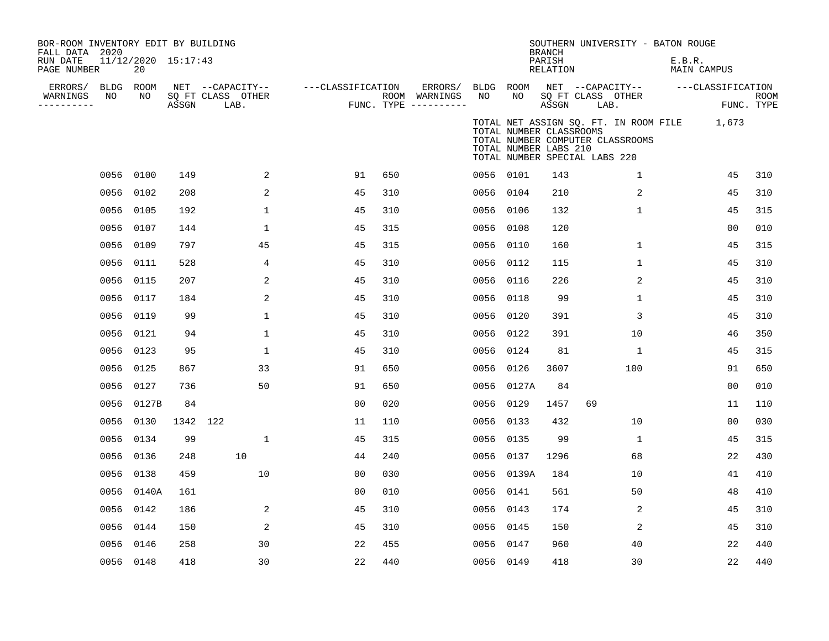| FALL DATA 2020 |       |                                                                                                                                                                                                                            |              |                                                                                     |                  |                   |                                      |    |                                                                                                                                                                                                                                                                                                     |                                  |                                                              |                                                            |                                                      |                                                                                                                                       |
|----------------|-------|----------------------------------------------------------------------------------------------------------------------------------------------------------------------------------------------------------------------------|--------------|-------------------------------------------------------------------------------------|------------------|-------------------|--------------------------------------|----|-----------------------------------------------------------------------------------------------------------------------------------------------------------------------------------------------------------------------------------------------------------------------------------------------------|----------------------------------|--------------------------------------------------------------|------------------------------------------------------------|------------------------------------------------------|---------------------------------------------------------------------------------------------------------------------------------------|
| PAGE NUMBER    | 20    |                                                                                                                                                                                                                            |              |                                                                                     |                  |                   |                                      |    |                                                                                                                                                                                                                                                                                                     |                                  |                                                              |                                                            |                                                      |                                                                                                                                       |
| ERRORS/        |       |                                                                                                                                                                                                                            |              |                                                                                     |                  | ERRORS/           |                                      |    |                                                                                                                                                                                                                                                                                                     |                                  |                                                              |                                                            |                                                      | <b>ROOM</b>                                                                                                                           |
| ----------     |       | ASSGN                                                                                                                                                                                                                      | LAB.         |                                                                                     |                  |                   |                                      |    |                                                                                                                                                                                                                                                                                                     |                                  |                                                              |                                                            |                                                      | FUNC. TYPE                                                                                                                            |
|                |       |                                                                                                                                                                                                                            |              |                                                                                     |                  |                   |                                      |    |                                                                                                                                                                                                                                                                                                     |                                  |                                                              |                                                            |                                                      |                                                                                                                                       |
|                |       | 149                                                                                                                                                                                                                        | 2            | 91                                                                                  | 650              |                   |                                      |    | 143                                                                                                                                                                                                                                                                                                 |                                  | 1                                                            |                                                            | 45                                                   | 310                                                                                                                                   |
|                | 0102  | 208                                                                                                                                                                                                                        | 2            | 45                                                                                  | 310              |                   |                                      |    | 210                                                                                                                                                                                                                                                                                                 |                                  | 2                                                            |                                                            | 45                                                   | 310                                                                                                                                   |
|                |       | 192                                                                                                                                                                                                                        | 1            | 45                                                                                  | 310              |                   |                                      |    | 132                                                                                                                                                                                                                                                                                                 |                                  | $\mathbf{1}$                                                 |                                                            | 45                                                   | 315                                                                                                                                   |
|                | 0107  | 144                                                                                                                                                                                                                        | 1            | 45                                                                                  | 315              |                   |                                      |    | 120                                                                                                                                                                                                                                                                                                 |                                  |                                                              |                                                            | 0 <sub>0</sub>                                       | 010                                                                                                                                   |
| 0056           | 0109  | 797                                                                                                                                                                                                                        | 45           | 45                                                                                  | 315              |                   |                                      |    | 160                                                                                                                                                                                                                                                                                                 |                                  | $\mathbf 1$                                                  |                                                            | 45                                                   | 315                                                                                                                                   |
| 0056           | 0111  | 528                                                                                                                                                                                                                        | 4            | 45                                                                                  | 310              |                   |                                      |    | 115                                                                                                                                                                                                                                                                                                 |                                  | 1                                                            |                                                            | 45                                                   | 310                                                                                                                                   |
| 0056           |       | 207                                                                                                                                                                                                                        | 2            | 45                                                                                  | 310              |                   |                                      |    | 226                                                                                                                                                                                                                                                                                                 |                                  | 2                                                            |                                                            | 45                                                   | 310                                                                                                                                   |
|                | 0117  | 184                                                                                                                                                                                                                        | 2            | 45                                                                                  | 310              |                   | 0056                                 |    | 99                                                                                                                                                                                                                                                                                                  |                                  | 1                                                            |                                                            | 45                                                   | 310                                                                                                                                   |
| 0056           |       | 99                                                                                                                                                                                                                         | $\mathbf 1$  | 45                                                                                  | 310              |                   | 0056                                 |    | 391                                                                                                                                                                                                                                                                                                 |                                  | 3                                                            |                                                            | 45                                                   | 310                                                                                                                                   |
|                |       | 94                                                                                                                                                                                                                         | $\mathbf{1}$ | 45                                                                                  | 310              |                   |                                      |    | 391                                                                                                                                                                                                                                                                                                 |                                  | 10                                                           |                                                            | 46                                                   | 350                                                                                                                                   |
|                |       | 95                                                                                                                                                                                                                         | 1            | 45                                                                                  | 310              |                   | 0056                                 |    | 81                                                                                                                                                                                                                                                                                                  |                                  | 1                                                            |                                                            | 45                                                   | 315                                                                                                                                   |
|                |       | 867                                                                                                                                                                                                                        | 33           | 91                                                                                  | 650              |                   |                                      |    | 3607                                                                                                                                                                                                                                                                                                |                                  | 100                                                          |                                                            | 91                                                   | 650                                                                                                                                   |
|                |       | 736                                                                                                                                                                                                                        | 50           | 91                                                                                  | 650              |                   | 0056                                 |    | 84                                                                                                                                                                                                                                                                                                  |                                  |                                                              |                                                            | 00                                                   | 010                                                                                                                                   |
|                |       | 84                                                                                                                                                                                                                         |              | 00                                                                                  | 020              |                   | 0056                                 |    | 1457                                                                                                                                                                                                                                                                                                | 69                               |                                                              |                                                            | 11                                                   | 110                                                                                                                                   |
|                | 0130  | 1342                                                                                                                                                                                                                       | 122          | 11                                                                                  | 110              |                   |                                      |    | 432                                                                                                                                                                                                                                                                                                 |                                  | 10                                                           |                                                            | 0 <sub>0</sub>                                       | 030                                                                                                                                   |
|                |       | 99                                                                                                                                                                                                                         | 1            | 45                                                                                  | 315              |                   |                                      |    | 99                                                                                                                                                                                                                                                                                                  |                                  | $\mathbf{1}$                                                 |                                                            | 45                                                   | 315                                                                                                                                   |
|                | 0136  | 248                                                                                                                                                                                                                        | 10           | 44                                                                                  | 240              |                   |                                      |    | 1296                                                                                                                                                                                                                                                                                                |                                  | 68                                                           |                                                            | 22                                                   | 430                                                                                                                                   |
| 0056           | 0138  | 459                                                                                                                                                                                                                        | 10           | 0 <sub>0</sub>                                                                      | 030              |                   |                                      |    | 184                                                                                                                                                                                                                                                                                                 |                                  | 10                                                           |                                                            | 41                                                   | 410                                                                                                                                   |
|                | 0140A | 161                                                                                                                                                                                                                        |              | 0 <sub>0</sub>                                                                      | 010              |                   |                                      |    | 561                                                                                                                                                                                                                                                                                                 |                                  | 50                                                           |                                                            | 48                                                   | 410                                                                                                                                   |
|                |       | 186                                                                                                                                                                                                                        | 2            | 45                                                                                  | 310              |                   |                                      |    | 174                                                                                                                                                                                                                                                                                                 |                                  | 2                                                            |                                                            | 45                                                   | 310                                                                                                                                   |
|                | 0144  | 150                                                                                                                                                                                                                        | 2            | 45                                                                                  | 310              |                   |                                      |    | 150                                                                                                                                                                                                                                                                                                 |                                  | 2                                                            |                                                            | 45                                                   | 310                                                                                                                                   |
| 0056           | 0146  | 258                                                                                                                                                                                                                        | 30           | 22                                                                                  | 455              |                   |                                      |    | 960                                                                                                                                                                                                                                                                                                 |                                  | 40                                                           |                                                            | 22                                                   | 440                                                                                                                                   |
|                |       | 418                                                                                                                                                                                                                        | 30           | 22                                                                                  | 440              |                   |                                      |    | 418                                                                                                                                                                                                                                                                                                 |                                  | 30                                                           |                                                            | 22                                                   | 440                                                                                                                                   |
|                | NO    | BLDG ROOM<br>NO<br>0056 0100<br>0056<br>0056 0105<br>0056<br>0115<br>0056<br>0119<br>0056 0121<br>0056 0123<br>0056 0125<br>0056 0127<br>0056 0127B<br>0056<br>0056 0134<br>0056<br>0056<br>0056 0142<br>0056<br>0056 0148 |              | BOR-ROOM INVENTORY EDIT BY BUILDING<br>$11/12/2020$ $15:17:43$<br>SQ FT CLASS OTHER | NET --CAPACITY-- | ---CLASSIFICATION | ROOM WARNINGS<br>FUNC. TYPE $------$ | NO | BLDG ROOM<br>NO<br>0056 0101<br>0056 0104<br>0056 0106<br>0056 0108<br>0056 0110<br>0056 0112<br>0056 0116<br>0118<br>0120<br>0056 0122<br>0124<br>0056 0126<br>0127A<br>0129<br>0056 0133<br>0056 0135<br>0056 0137<br>0056 0139A<br>0056 0141<br>0056 0143<br>0056 0145<br>0056 0147<br>0056 0149 | <b>BRANCH</b><br>PARISH<br>ASSGN | RELATION<br>TOTAL NUMBER CLASSROOMS<br>TOTAL NUMBER LABS 210 | SQ FT CLASS OTHER<br>LAB.<br>TOTAL NUMBER SPECIAL LABS 220 | NET --CAPACITY--<br>TOTAL NUMBER COMPUTER CLASSROOMS | SOUTHERN UNIVERSITY - BATON ROUGE<br>E.B.R.<br><b>MAIN CAMPUS</b><br>---CLASSIFICATION<br>TOTAL NET ASSIGN SQ. FT. IN ROOM FILE 1,673 |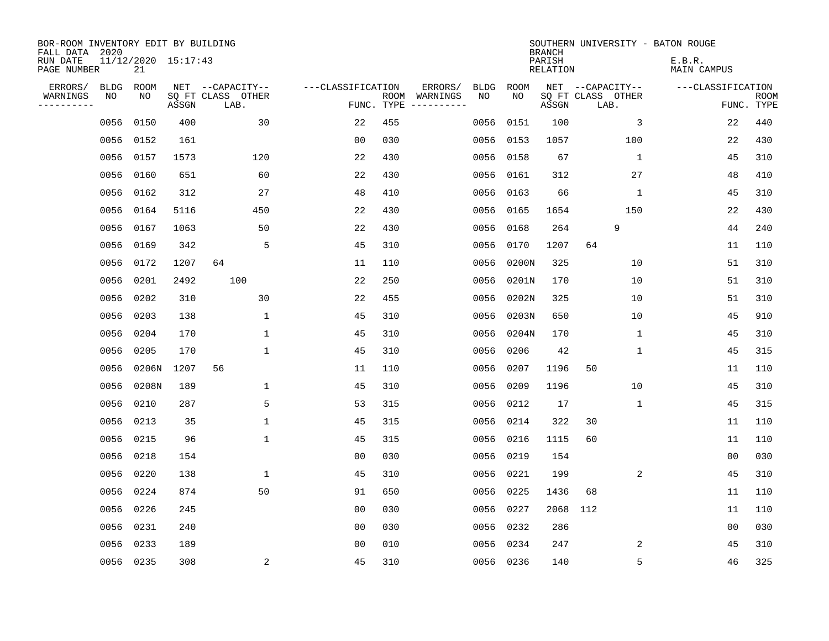| BOR-ROOM INVENTORY EDIT BY BUILDING<br>FALL DATA 2020 |      |                           |       |                           |                   |      |          |             |             | <b>BRANCH</b>             |                           | SOUTHERN UNIVERSITY - BATON ROUGE |                           |
|-------------------------------------------------------|------|---------------------------|-------|---------------------------|-------------------|------|----------|-------------|-------------|---------------------------|---------------------------|-----------------------------------|---------------------------|
| RUN DATE<br>PAGE NUMBER                               |      | 11/12/2020 15:17:43<br>21 |       |                           |                   |      |          |             |             | PARISH<br><b>RELATION</b> |                           | E.B.R.<br>MAIN CAMPUS             |                           |
| ERRORS/                                               | BLDG | ROOM                      |       | NET --CAPACITY--          | ---CLASSIFICATION |      | ERRORS/  | <b>BLDG</b> | <b>ROOM</b> |                           | NET --CAPACITY--          | ---CLASSIFICATION                 |                           |
| WARNINGS<br>----------                                | NO   | NO                        | ASSGN | SQ FT CLASS OTHER<br>LAB. | FUNC. TYPE        | ROOM | WARNINGS | NO          | NO          | ASSGN                     | SQ FT CLASS OTHER<br>LAB. |                                   | <b>ROOM</b><br>FUNC. TYPE |
|                                                       | 0056 | 0150                      | 400   | 30                        | 22                | 455  |          | 0056        | 0151        | 100                       |                           | 3<br>22                           | 440                       |
|                                                       | 0056 | 0152                      | 161   |                           | 0 <sub>0</sub>    | 030  |          | 0056        | 0153        | 1057                      | 100                       | 22                                | 430                       |
|                                                       | 0056 | 0157                      | 1573  | 120                       | 22                | 430  |          | 0056        | 0158        | 67                        | 1                         | 45                                | 310                       |
|                                                       |      | 0056 0160                 | 651   | 60                        | 22                | 430  |          | 0056        | 0161        | 312                       | 27                        | 48                                | 410                       |
|                                                       | 0056 | 0162                      | 312   | 27                        | 48                | 410  |          | 0056        | 0163        | 66                        |                           | $\mathbf{1}$<br>45                | 310                       |
|                                                       |      | 0056 0164                 | 5116  | 450                       | 22                | 430  |          | 0056        | 0165        | 1654                      | 150                       | 22                                | 430                       |
|                                                       | 0056 | 0167                      | 1063  | 50                        | 22                | 430  |          | 0056        | 0168        | 264                       | 9                         | 44                                | 240                       |
|                                                       | 0056 | 0169                      | 342   | 5                         | 45                | 310  |          | 0056        | 0170        | 1207                      | 64                        | 11                                | 110                       |
|                                                       | 0056 | 0172                      | 1207  | 64                        | 11                | 110  |          | 0056        | 0200N       | 325                       | 10                        | 51                                | 310                       |
|                                                       | 0056 | 0201                      | 2492  | 100                       | 22                | 250  |          | 0056        | 0201N       | 170                       | 10                        | 51                                | 310                       |
|                                                       | 0056 | 0202                      | 310   | 30                        | 22                | 455  |          | 0056        | 0202N       | 325                       | 10                        | 51                                | 310                       |
|                                                       | 0056 | 0203                      | 138   | 1                         | 45                | 310  |          | 0056        | 0203N       | 650                       | 10                        | 45                                | 910                       |
|                                                       | 0056 | 0204                      | 170   | 1                         | 45                | 310  |          | 0056        | 0204N       | 170                       | 1                         | 45                                | 310                       |
|                                                       | 0056 | 0205                      | 170   | 1                         | 45                | 310  |          | 0056        | 0206        | 42                        | 1                         | 45                                | 315                       |
|                                                       | 0056 | 0206N                     | 1207  | 56                        | 11                | 110  |          | 0056        | 0207        | 1196                      | 50                        | 11                                | 110                       |
|                                                       | 0056 | 0208N                     | 189   | 1                         | 45                | 310  |          | 0056        | 0209        | 1196                      | 10                        | 45                                | 310                       |
|                                                       | 0056 | 0210                      | 287   | 5                         | 53                | 315  |          | 0056        | 0212        | 17                        | $\mathbf 1$               | 45                                | 315                       |
|                                                       | 0056 | 0213                      | 35    | 1                         | 45                | 315  |          | 0056        | 0214        | 322                       | 30                        | 11                                | 110                       |
|                                                       | 0056 | 0215                      | 96    | 1                         | 45                | 315  |          | 0056        | 0216        | 1115                      | 60                        | 11                                | 110                       |
|                                                       | 0056 | 0218                      | 154   |                           | 0 <sub>0</sub>    | 030  |          | 0056        | 0219        | 154                       |                           | 0 <sub>0</sub>                    | 030                       |
|                                                       | 0056 | 0220                      | 138   | 1                         | 45                | 310  |          | 0056        | 0221        | 199                       |                           | 2<br>45                           | 310                       |
|                                                       | 0056 | 0224                      | 874   | 50                        | 91                | 650  |          | 0056        | 0225        | 1436                      | 68                        | 11                                | 110                       |
|                                                       | 0056 | 0226                      | 245   |                           | 0 <sub>0</sub>    | 030  |          | 0056        | 0227        | 2068                      | 112                       | 11                                | 110                       |
|                                                       | 0056 | 0231                      | 240   |                           | 0 <sub>0</sub>    | 030  |          | 0056        | 0232        | 286                       |                           | 0 <sub>0</sub>                    | 030                       |
|                                                       | 0056 | 0233                      | 189   |                           | 0 <sub>0</sub>    | 010  |          | 0056        | 0234        | 247                       |                           | 2<br>45                           | 310                       |
|                                                       |      | 0056 0235                 | 308   | 2                         | 45                | 310  |          |             | 0056 0236   | 140                       |                           | 5<br>46                           | 325                       |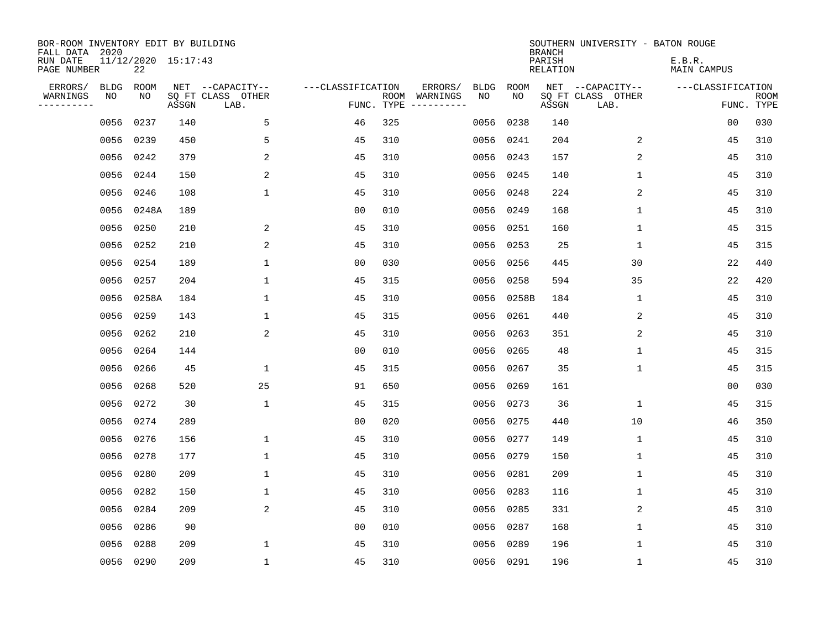| BOR-ROOM INVENTORY EDIT BY BUILDING<br>FALL DATA 2020 |             |                           |       |                           |                   |                    |                         |      |             | <b>BRANCH</b>             | SOUTHERN UNIVERSITY - BATON ROUGE |                       |                           |
|-------------------------------------------------------|-------------|---------------------------|-------|---------------------------|-------------------|--------------------|-------------------------|------|-------------|---------------------------|-----------------------------------|-----------------------|---------------------------|
| RUN DATE<br>PAGE NUMBER                               |             | 11/12/2020 15:17:43<br>22 |       |                           |                   |                    |                         |      |             | PARISH<br><b>RELATION</b> |                                   | E.B.R.<br>MAIN CAMPUS |                           |
| ERRORS/                                               | <b>BLDG</b> | ROOM                      |       | NET --CAPACITY--          | ---CLASSIFICATION |                    | ERRORS/                 | BLDG | <b>ROOM</b> |                           | NET --CAPACITY--                  | ---CLASSIFICATION     |                           |
| WARNINGS<br>----------                                | NO          | NO                        | ASSGN | SQ FT CLASS OTHER<br>LAB. |                   | ROOM<br>FUNC. TYPE | WARNINGS<br>----------- | NO   | NO          | ASSGN                     | SQ FT CLASS OTHER<br>LAB.         |                       | <b>ROOM</b><br>FUNC. TYPE |
|                                                       | 0056        | 0237                      | 140   | 5                         | 46                | 325                |                         | 0056 | 0238        | 140                       |                                   | 00                    | 030                       |
|                                                       | 0056        | 0239                      | 450   | 5                         | 45                | 310                |                         | 0056 | 0241        | 204                       | 2                                 | 45                    | 310                       |
|                                                       | 0056        | 0242                      | 379   | 2                         | 45                | 310                |                         | 0056 | 0243        | 157                       | $\overline{c}$                    | 45                    | 310                       |
|                                                       | 0056        | 0244                      | 150   | 2                         | 45                | 310                |                         |      | 0056 0245   | 140                       | 1                                 | 45                    | 310                       |
|                                                       | 0056        | 0246                      | 108   | $\mathbf 1$               | 45                | 310                |                         | 0056 | 0248        | 224                       | 2                                 | 45                    | 310                       |
|                                                       | 0056        | 0248A                     | 189   |                           | 0 <sub>0</sub>    | 010                |                         |      | 0056 0249   | 168                       | 1                                 | 45                    | 310                       |
|                                                       | 0056        | 0250                      | 210   | 2                         | 45                | 310                |                         | 0056 | 0251        | 160                       | $\mathbf{1}$                      | 45                    | 315                       |
|                                                       | 0056        | 0252                      | 210   | 2                         | 45                | 310                |                         |      | 0056 0253   | 25                        | $\mathbf{1}$                      | 45                    | 315                       |
|                                                       | 0056        | 0254                      | 189   | $\mathbf{1}$              | 0 <sub>0</sub>    | 030                |                         | 0056 | 0256        | 445                       | 30                                | 22                    | 440                       |
|                                                       | 0056        | 0257                      | 204   | 1                         | 45                | 315                |                         | 0056 | 0258        | 594                       | 35                                | 22                    | 420                       |
|                                                       | 0056        | 0258A                     | 184   | 1                         | 45                | 310                |                         | 0056 | 0258B       | 184                       | 1                                 | 45                    | 310                       |
|                                                       | 0056        | 0259                      | 143   | 1                         | 45                | 315                |                         | 0056 | 0261        | 440                       | 2                                 | 45                    | 310                       |
|                                                       | 0056        | 0262                      | 210   | 2                         | 45                | 310                |                         | 0056 | 0263        | 351                       | 2                                 | 45                    | 310                       |
|                                                       | 0056        | 0264                      | 144   |                           | 0 <sub>0</sub>    | 010                |                         | 0056 | 0265        | 48                        | 1                                 | 45                    | 315                       |
|                                                       | 0056        | 0266                      | 45    | 1                         | 45                | 315                |                         | 0056 | 0267        | 35                        | 1                                 | 45                    | 315                       |
|                                                       | 0056        | 0268                      | 520   | 25                        | 91                | 650                |                         | 0056 | 0269        | 161                       |                                   | 00                    | 030                       |
|                                                       | 0056        | 0272                      | 30    | $\mathbf{1}$              | 45                | 315                |                         | 0056 | 0273        | 36                        | 1                                 | 45                    | 315                       |
|                                                       | 0056        | 0274                      | 289   |                           | 0 <sub>0</sub>    | 020                |                         | 0056 | 0275        | 440                       | 10                                | 46                    | 350                       |
|                                                       | 0056        | 0276                      | 156   | 1                         | 45                | 310                |                         | 0056 | 0277        | 149                       | 1                                 | 45                    | 310                       |
|                                                       | 0056        | 0278                      | 177   | 1                         | 45                | 310                |                         | 0056 | 0279        | 150                       | 1                                 | 45                    | 310                       |
|                                                       | 0056        | 0280                      | 209   | 1                         | 45                | 310                |                         | 0056 | 0281        | 209                       | 1                                 | 45                    | 310                       |
|                                                       | 0056        | 0282                      | 150   | $\mathbf 1$               | 45                | 310                |                         | 0056 | 0283        | 116                       | 1                                 | 45                    | 310                       |
|                                                       | 0056        | 0284                      | 209   | 2                         | 45                | 310                |                         | 0056 | 0285        | 331                       | 2                                 | 45                    | 310                       |
|                                                       | 0056        | 0286                      | 90    |                           | 0 <sub>0</sub>    | 010                |                         | 0056 | 0287        | 168                       | $\mathbf 1$                       | 45                    | 310                       |
|                                                       | 0056        | 0288                      | 209   | 1                         | 45                | 310                |                         | 0056 | 0289        | 196                       | 1                                 | 45                    | 310                       |
|                                                       | 0056 0290   |                           | 209   | $\mathbf{1}$              | 45                | 310                |                         |      | 0056 0291   | 196                       | 1                                 | 45                    | 310                       |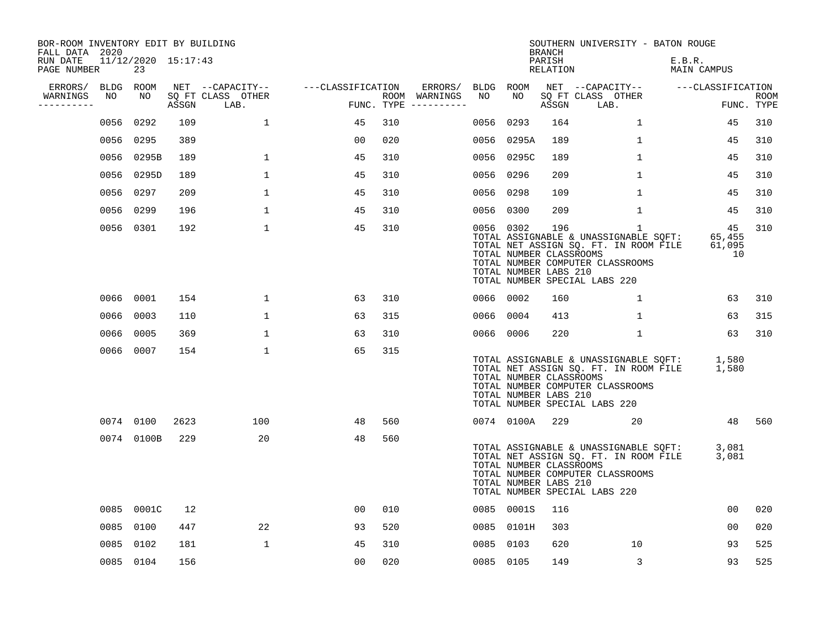| BOR-ROOM INVENTORY EDIT BY BUILDING<br>FALL DATA 2020 |           |                           |       |                           |                   |     |                                      |           |                                                  | <b>BRANCH</b>      | SOUTHERN UNIVERSITY - BATON ROUGE                                                                                                                                   |                              |                    |
|-------------------------------------------------------|-----------|---------------------------|-------|---------------------------|-------------------|-----|--------------------------------------|-----------|--------------------------------------------------|--------------------|---------------------------------------------------------------------------------------------------------------------------------------------------------------------|------------------------------|--------------------|
| RUN DATE<br>PAGE NUMBER                               |           | 11/12/2020 15:17:43<br>23 |       |                           |                   |     |                                      |           |                                                  | PARISH<br>RELATION |                                                                                                                                                                     | E.B.R.<br>MAIN CAMPUS        |                    |
| ERRORS/                                               | BLDG ROOM |                           |       | NET --CAPACITY--          | ---CLASSIFICATION |     | ERRORS/                              | BLDG ROOM |                                                  |                    | NET --CAPACITY--                                                                                                                                                    | ---CLASSIFICATION            |                    |
| WARNINGS<br>----------                                | NO        | NO                        | ASSGN | SO FT CLASS OTHER<br>LAB. |                   |     | ROOM WARNINGS<br>FUNC. TYPE $------$ | NO        | NO                                               | ASSGN              | SO FT CLASS OTHER<br>LAB.                                                                                                                                           |                              | ROOM<br>FUNC. TYPE |
|                                                       | 0056      | 0292                      | 109   | $\mathbf{1}$              | 45                | 310 |                                      | 0056      | 0293                                             | 164                | $\mathbf 1$                                                                                                                                                         | 45                           | 310                |
|                                                       | 0056 0295 |                           | 389   |                           | 00                | 020 |                                      | 0056      | 0295A                                            | 189                | $\mathbf{1}$                                                                                                                                                        | 45                           | 310                |
|                                                       |           | 0056 0295B                | 189   | $\mathbf{1}$              | 45                | 310 |                                      | 0056      | 0295C                                            | 189                | $\mathbf 1$                                                                                                                                                         | 45                           | 310                |
|                                                       |           | 0056 0295D                | 189   | $\mathbf{1}$              | 45                | 310 |                                      | 0056      | 0296                                             | 209                | $\mathbf{1}$                                                                                                                                                        | 45                           | 310                |
|                                                       |           | 0056 0297                 | 209   | $\mathbf{1}$              | 45                | 310 |                                      | 0056      | 0298                                             | 109                | $\mathbf{1}$                                                                                                                                                        | 45                           | 310                |
|                                                       | 0056 0299 |                           | 196   | $\mathbf{1}$              | 45                | 310 |                                      | 0056 0300 |                                                  | 209                | $\mathbf 1$                                                                                                                                                         | 45                           | 310                |
|                                                       |           | 0056 0301                 | 192   | $\mathbf 1$               | 45                | 310 |                                      | 0056 0302 | TOTAL NUMBER CLASSROOMS<br>TOTAL NUMBER LABS 210 | 196                | $\mathbf{1}$<br>TOTAL ASSIGNABLE & UNASSIGNABLE SOFT:<br>TOTAL NET ASSIGN SQ. FT. IN ROOM FILE<br>TOTAL NUMBER COMPUTER CLASSROOMS<br>TOTAL NUMBER SPECIAL LABS 220 | 45<br>65,455<br>61,095<br>10 | 310                |
|                                                       | 0066 0001 |                           | 154   | $\mathbf{1}$              | 63                | 310 |                                      | 0066 0002 |                                                  | 160                | $\mathbf{1}$                                                                                                                                                        | 63                           | 310                |
|                                                       | 0066 0003 |                           | 110   | $\mathbf 1$               | 63                | 315 |                                      | 0066      | 0004                                             | 413                | $\mathbf{1}$                                                                                                                                                        | 63                           | 315                |
|                                                       | 0066      | 0005                      | 369   | 1                         | 63                | 310 |                                      | 0066 0006 |                                                  | 220                | 1                                                                                                                                                                   | 63                           | 310                |
|                                                       |           | 0066 0007                 | 154   | $\mathbf 1$               | 65                | 315 |                                      |           | TOTAL NUMBER CLASSROOMS<br>TOTAL NUMBER LABS 210 |                    | TOTAL ASSIGNABLE & UNASSIGNABLE SQFT:<br>TOTAL NET ASSIGN SQ. FT. IN ROOM FILE<br>TOTAL NUMBER COMPUTER CLASSROOMS<br>TOTAL NUMBER SPECIAL LABS 220                 | 1,580<br>1,580               |                    |
|                                                       |           | 0074 0100                 | 2623  | 100                       | 48                | 560 |                                      |           | 0074 0100A                                       | 229                | 20                                                                                                                                                                  | 48                           | 560                |
|                                                       |           | 0074 0100B                | 229   | 20                        | 48                | 560 |                                      |           | TOTAL NUMBER CLASSROOMS<br>TOTAL NUMBER LABS 210 |                    | TOTAL ASSIGNABLE & UNASSIGNABLE SQFT:<br>TOTAL NET ASSIGN SQ. FT. IN ROOM FILE<br>TOTAL NUMBER COMPUTER CLASSROOMS<br>TOTAL NUMBER SPECIAL LABS 220                 | 3,081<br>3,081               |                    |
|                                                       |           | 0085 0001C                | 12    |                           | 0 <sub>0</sub>    | 010 |                                      |           | 0085 0001S                                       | 116                |                                                                                                                                                                     | 0 <sub>0</sub>               | 020                |
|                                                       |           | 0085 0100                 | 447   | 22                        | 93                | 520 |                                      | 0085      | 0101H                                            | 303                |                                                                                                                                                                     | 0 <sub>0</sub>               | 020                |
|                                                       | 0085 0102 |                           | 181   | $\mathbf{1}$              | 45                | 310 |                                      | 0085 0103 |                                                  | 620                | 10                                                                                                                                                                  | 93                           | 525                |
|                                                       |           | 0085 0104                 | 156   |                           | 0 <sub>0</sub>    | 020 |                                      | 0085 0105 |                                                  | 149                | 3                                                                                                                                                                   | 93                           | 525                |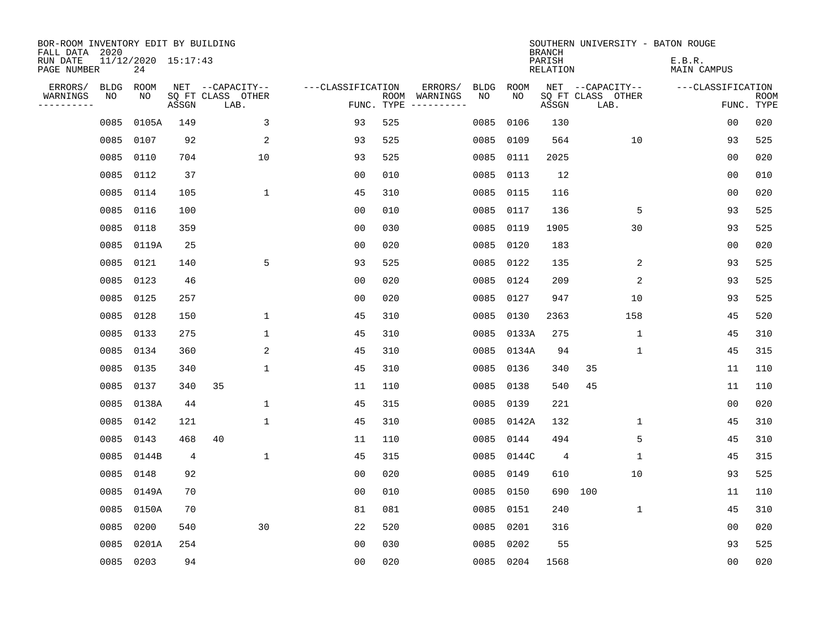| BOR-ROOM INVENTORY EDIT BY BUILDING<br>FALL DATA 2020 |      |                           |       |                           |                   |            |                              |             |             | <b>BRANCH</b>             | SOUTHERN UNIVERSITY - BATON ROUGE |                              |                           |
|-------------------------------------------------------|------|---------------------------|-------|---------------------------|-------------------|------------|------------------------------|-------------|-------------|---------------------------|-----------------------------------|------------------------------|---------------------------|
| RUN DATE<br>PAGE NUMBER                               |      | 11/12/2020 15:17:43<br>24 |       |                           |                   |            |                              |             |             | PARISH<br><b>RELATION</b> |                                   | E.B.R.<br><b>MAIN CAMPUS</b> |                           |
| ERRORS/                                               | BLDG | ROOM                      |       | NET --CAPACITY--          | ---CLASSIFICATION |            | ERRORS/                      | <b>BLDG</b> | <b>ROOM</b> |                           | NET --CAPACITY--                  | ---CLASSIFICATION            |                           |
| WARNINGS<br>----------                                | ΝO   | NO                        | ASSGN | SQ FT CLASS OTHER<br>LAB. |                   | FUNC. TYPE | ROOM WARNINGS<br>----------- | NO          | NO          | ASSGN                     | SQ FT CLASS OTHER<br>LAB.         |                              | <b>ROOM</b><br>FUNC. TYPE |
|                                                       | 0085 | 0105A                     | 149   | 3                         | 93                | 525        |                              | 0085        | 0106        | 130                       |                                   | 00                           | 020                       |
|                                                       | 0085 | 0107                      | 92    | 2                         | 93                | 525        |                              | 0085        | 0109        | 564                       | 10                                | 93                           | 525                       |
|                                                       | 0085 | 0110                      | 704   | 10                        | 93                | 525        |                              | 0085        | 0111        | 2025                      |                                   | 00                           | 020                       |
|                                                       |      | 0085 0112                 | 37    |                           | 0 <sub>0</sub>    | 010        |                              | 0085        | 0113        | 12                        |                                   | 0 <sub>0</sub>               | 010                       |
|                                                       |      | 0085 0114                 | 105   | 1                         | 45                | 310        |                              | 0085        | 0115        | 116                       |                                   | 0 <sub>0</sub>               | 020                       |
|                                                       |      | 0085 0116                 | 100   |                           | 0 <sub>0</sub>    | 010        |                              | 0085        | 0117        | 136                       | 5                                 | 93                           | 525                       |
|                                                       |      | 0085 0118                 | 359   |                           | 0 <sub>0</sub>    | 030        |                              | 0085        | 0119        | 1905                      | 30                                | 93                           | 525                       |
|                                                       |      | 0085 0119A                | 25    |                           | 0 <sub>0</sub>    | 020        |                              | 0085        | 0120        | 183                       |                                   | 0 <sub>0</sub>               | 020                       |
|                                                       |      | 0085 0121                 | 140   | 5                         | 93                | 525        |                              | 0085        | 0122        | 135                       | 2                                 | 93                           | 525                       |
|                                                       |      | 0085 0123                 | 46    |                           | 0 <sub>0</sub>    | 020        |                              | 0085        | 0124        | 209                       | 2                                 | 93                           | 525                       |
|                                                       |      | 0085 0125                 | 257   |                           | 0 <sub>0</sub>    | 020        |                              | 0085        | 0127        | 947                       | 10                                | 93                           | 525                       |
|                                                       |      | 0085 0128                 | 150   | 1                         | 45                | 310        |                              | 0085        | 0130        | 2363                      | 158                               | 45                           | 520                       |
|                                                       | 0085 | 0133                      | 275   | $\mathbf{1}$              | 45                | 310        |                              | 0085        | 0133A       | 275                       | $\mathbf 1$                       | 45                           | 310                       |
|                                                       | 0085 | 0134                      | 360   | 2                         | 45                | 310        |                              | 0085        | 0134A       | 94                        | 1                                 | 45                           | 315                       |
|                                                       | 0085 | 0135                      | 340   | $\mathbf{1}$              | 45                | 310        |                              | 0085        | 0136        | 340                       | 35                                | 11                           | 110                       |
|                                                       | 0085 | 0137                      | 340   | 35                        | 11                | 110        |                              | 0085        | 0138        | 540                       | 45                                | 11                           | 110                       |
|                                                       | 0085 | 0138A                     | 44    | 1                         | 45                | 315        |                              | 0085        | 0139        | 221                       |                                   | 0 <sub>0</sub>               | 020                       |
|                                                       | 0085 | 0142                      | 121   | $\mathbf{1}$              | 45                | 310        |                              | 0085        | 0142A       | 132                       | 1                                 | 45                           | 310                       |
|                                                       | 0085 | 0143                      | 468   | 40                        | 11                | 110        |                              | 0085        | 0144        | 494                       | 5                                 | 45                           | 310                       |
|                                                       | 0085 | 0144B                     | 4     | $\mathbf{1}$              | 45                | 315        |                              | 0085        | 0144C       | 4                         | $\mathbf 1$                       | 45                           | 315                       |
|                                                       | 0085 | 0148                      | 92    |                           | 0 <sub>0</sub>    | 020        |                              | 0085        | 0149        | 610                       | 10                                | 93                           | 525                       |
|                                                       | 0085 | 0149A                     | 70    |                           | 0 <sub>0</sub>    | 010        |                              | 0085        | 0150        | 690                       | 100                               | 11                           | 110                       |
|                                                       | 0085 | 0150A                     | 70    |                           | 81                | 081        |                              | 0085        | 0151        | 240                       | $\mathbf{1}$                      | 45                           | 310                       |
|                                                       | 0085 | 0200                      | 540   | 30                        | 22                | 520        |                              | 0085        | 0201        | 316                       |                                   | 0 <sub>0</sub>               | 020                       |
|                                                       | 0085 | 0201A                     | 254   |                           | 0 <sub>0</sub>    | 030        |                              | 0085        | 0202        | 55                        |                                   | 93                           | 525                       |
|                                                       |      | 0085 0203                 | 94    |                           | 0 <sub>0</sub>    | 020        |                              |             | 0085 0204   | 1568                      |                                   | 0 <sub>0</sub>               | 020                       |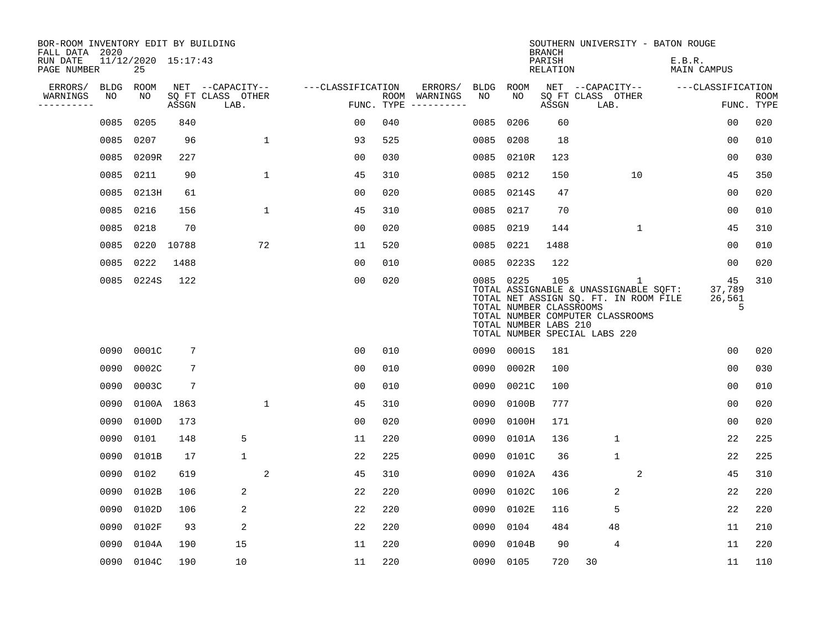| BOR-ROOM INVENTORY EDIT BY BUILDING<br>FALL DATA 2020 |             |                           |       |                           |                |                   |                    |          |             |                                                               | <b>BRANCH</b>             |                                                                                                                                                     |             | SOUTHERN UNIVERSITY - BATON ROUGE |                             |                           |
|-------------------------------------------------------|-------------|---------------------------|-------|---------------------------|----------------|-------------------|--------------------|----------|-------------|---------------------------------------------------------------|---------------------------|-----------------------------------------------------------------------------------------------------------------------------------------------------|-------------|-----------------------------------|-----------------------------|---------------------------|
| RUN DATE<br>PAGE NUMBER                               |             | 11/12/2020 15:17:43<br>25 |       |                           |                |                   |                    |          |             |                                                               | PARISH<br><b>RELATION</b> |                                                                                                                                                     |             | E.B.R.<br><b>MAIN CAMPUS</b>      |                             |                           |
| ERRORS/                                               | <b>BLDG</b> | ROOM                      |       | NET --CAPACITY--          |                | ---CLASSIFICATION |                    | ERRORS/  | <b>BLDG</b> | ROOM                                                          |                           | NET --CAPACITY--                                                                                                                                    |             | ---CLASSIFICATION                 |                             |                           |
| WARNINGS<br>----------                                | NO          | NO                        | ASSGN | SQ FT CLASS OTHER<br>LAB. |                |                   | ROOM<br>FUNC. TYPE | WARNINGS | NO          | NO                                                            | ASSGN                     | SQ FT CLASS OTHER<br>LAB.                                                                                                                           |             |                                   |                             | <b>ROOM</b><br>FUNC. TYPE |
|                                                       | 0085        | 0205                      | 840   |                           |                | 00                | 040                |          | 0085        | 0206                                                          | 60                        |                                                                                                                                                     |             |                                   | 0 <sub>0</sub>              | 020                       |
|                                                       | 0085        | 0207                      | 96    |                           | 1              | 93                | 525                |          | 0085        | 0208                                                          | 18                        |                                                                                                                                                     |             |                                   | 00                          | 010                       |
|                                                       | 0085        | 0209R                     | 227   |                           |                | 0 <sub>0</sub>    | 030                |          | 0085        | 0210R                                                         | 123                       |                                                                                                                                                     |             |                                   | 00                          | 030                       |
|                                                       | 0085        | 0211                      | 90    |                           | $\mathbf{1}$   | 45                | 310                |          | 0085        | 0212                                                          | 150                       |                                                                                                                                                     | 10          |                                   | 45                          | 350                       |
|                                                       | 0085        | 0213H                     | 61    |                           |                | 00                | 020                |          | 0085        | 0214S                                                         | 47                        |                                                                                                                                                     |             |                                   | 0 <sub>0</sub>              | 020                       |
|                                                       | 0085        | 0216                      | 156   |                           | 1              | 45                | 310                |          | 0085        | 0217                                                          | 70                        |                                                                                                                                                     |             |                                   | 0 <sub>0</sub>              | 010                       |
|                                                       | 0085        | 0218                      | 70    |                           |                | 0 <sub>0</sub>    | 020                |          | 0085        | 0219                                                          | 144                       |                                                                                                                                                     | $\mathbf 1$ |                                   | 45                          | 310                       |
|                                                       | 0085        | 0220                      | 10788 |                           | 72             | 11                | 520                |          | 0085        | 0221                                                          | 1488                      |                                                                                                                                                     |             |                                   | 0 <sub>0</sub>              | 010                       |
|                                                       | 0085        | 0222                      | 1488  |                           |                | 0 <sub>0</sub>    | 010                |          | 0085        | 02235                                                         | 122                       |                                                                                                                                                     |             |                                   | 0 <sub>0</sub>              | 020                       |
|                                                       | 0085        | 0224S                     | 122   |                           |                | 0 <sub>0</sub>    | 020                |          |             | 0085 0225<br>TOTAL NUMBER CLASSROOMS<br>TOTAL NUMBER LABS 210 | 105                       | TOTAL ASSIGNABLE & UNASSIGNABLE SQFT:<br>TOTAL NET ASSIGN SQ. FT. IN ROOM FILE<br>TOTAL NUMBER COMPUTER CLASSROOMS<br>TOTAL NUMBER SPECIAL LABS 220 | 1           |                                   | 45<br>37,789<br>26,561<br>5 | 310                       |
|                                                       | 0090        | 0001C                     | 7     |                           |                | 0 <sub>0</sub>    | 010                |          | 0090        | 0001S                                                         | 181                       |                                                                                                                                                     |             |                                   | 0 <sub>0</sub>              | 020                       |
|                                                       | 0090        | 0002C                     | 7     |                           |                | 0 <sub>0</sub>    | 010                |          | 0090        | 0002R                                                         | 100                       |                                                                                                                                                     |             |                                   | 0 <sub>0</sub>              | 030                       |
|                                                       | 0090        | 0003C                     | 7     |                           |                | 00                | 010                |          | 0090        | 0021C                                                         | 100                       |                                                                                                                                                     |             |                                   | 0 <sub>0</sub>              | 010                       |
|                                                       | 0090        | 0100A 1863                |       |                           | $\mathbf{1}$   | 45                | 310                |          | 0090        | 0100B                                                         | 777                       |                                                                                                                                                     |             |                                   | 0 <sub>0</sub>              | 020                       |
|                                                       | 0090        | 0100D                     | 173   |                           |                | 0 <sub>0</sub>    | 020                |          | 0090        | 0100H                                                         | 171                       |                                                                                                                                                     |             |                                   | 0 <sub>0</sub>              | 020                       |
|                                                       | 0090        | 0101                      | 148   | 5                         |                | 11                | 220                |          | 0090        | 0101A                                                         | 136                       | $\mathbf{1}$                                                                                                                                        |             |                                   | 22                          | 225                       |
|                                                       | 0090        | 0101B                     | 17    | $\mathbf 1$               |                | 22                | 225                |          | 0090        | 0101C                                                         | 36                        | $\mathbf{1}$                                                                                                                                        |             |                                   | 22                          | 225                       |
|                                                       | 0090        | 0102                      | 619   |                           | $\overline{a}$ | 45                | 310                |          | 0090        | 0102A                                                         | 436                       |                                                                                                                                                     | 2           |                                   | 45                          | 310                       |
|                                                       | 0090        | 0102B                     | 106   | 2                         |                | 22                | 220                |          | 0090        | 0102C                                                         | 106                       | $\sqrt{2}$                                                                                                                                          |             |                                   | 22                          | 220                       |
|                                                       | 0090        | 0102D                     | 106   | 2                         |                | 22                | 220                |          | 0090        | 0102E                                                         | 116                       | 5                                                                                                                                                   |             |                                   | 22                          | 220                       |
|                                                       | 0090        | 0102F                     | 93    | 2                         |                | 22                | 220                |          | 0090        | 0104                                                          | 484                       | 48                                                                                                                                                  |             |                                   | 11                          | 210                       |
|                                                       | 0090        | 0104A                     | 190   | 15                        |                | 11                | 220                |          | 0090        | 0104B                                                         | 90                        | 4                                                                                                                                                   |             |                                   | 11                          | 220                       |
|                                                       | 0090        | 0104C                     | 190   | 10                        |                | 11                | 220                |          |             | 0090 0105                                                     | 720                       | 30                                                                                                                                                  |             |                                   | 11                          | 110                       |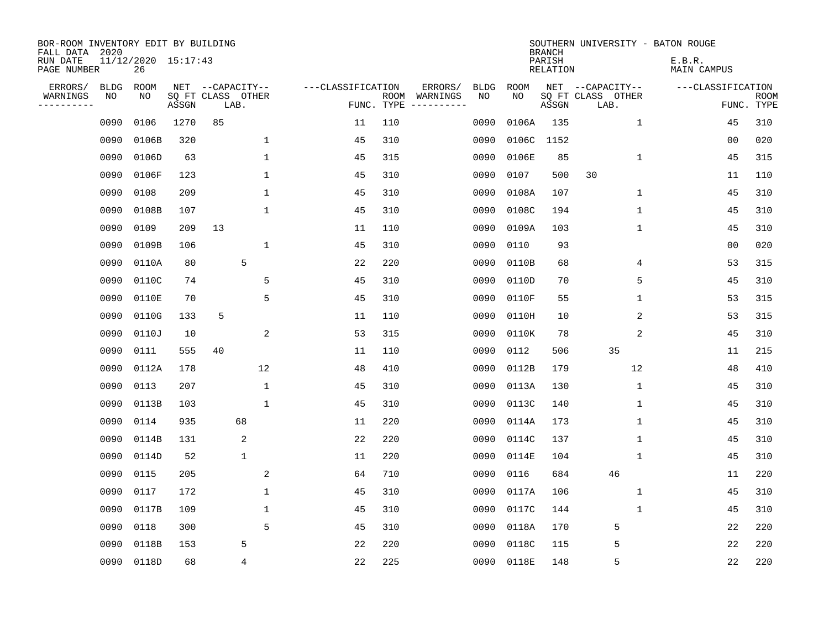| BOR-ROOM INVENTORY EDIT BY BUILDING<br>FALL DATA 2020 |             |                           |       |                           |              |                   |                    |          |             |       | <b>BRANCH</b>             | SOUTHERN UNIVERSITY - BATON ROUGE |                       |                           |
|-------------------------------------------------------|-------------|---------------------------|-------|---------------------------|--------------|-------------------|--------------------|----------|-------------|-------|---------------------------|-----------------------------------|-----------------------|---------------------------|
| RUN DATE<br>PAGE NUMBER                               |             | 11/12/2020 15:17:43<br>26 |       |                           |              |                   |                    |          |             |       | PARISH<br><b>RELATION</b> |                                   | E.B.R.<br>MAIN CAMPUS |                           |
| ERRORS/                                               | <b>BLDG</b> | ROOM                      |       | NET --CAPACITY--          |              | ---CLASSIFICATION |                    | ERRORS/  | <b>BLDG</b> | ROOM  |                           | NET --CAPACITY--                  | ---CLASSIFICATION     |                           |
| WARNINGS<br>----------                                | NO          | NO                        | ASSGN | SQ FT CLASS OTHER<br>LAB. |              |                   | ROOM<br>FUNC. TYPE | WARNINGS | NO          | NO    | ASSGN                     | SQ FT CLASS OTHER<br>LAB.         |                       | <b>ROOM</b><br>FUNC. TYPE |
|                                                       | 0090        | 0106                      | 1270  | 85                        |              | 11                | 110                |          | 0090        | 0106A | 135                       | 1                                 | 45                    | 310                       |
|                                                       | 0090        | 0106B                     | 320   |                           | 1            | 45                | 310                |          | 0090        | 0106C | 1152                      |                                   | 00                    | 020                       |
|                                                       | 0090        | 0106D                     | 63    |                           | $\mathbf 1$  | 45                | 315                |          | 0090        | 0106E | 85                        | 1                                 | 45                    | 315                       |
|                                                       | 0090        | 0106F                     | 123   |                           | 1            | 45                | 310                |          | 0090        | 0107  | 500                       | 30                                | 11                    | 110                       |
|                                                       | 0090        | 0108                      | 209   |                           | $\mathbf{1}$ | 45                | 310                |          | 0090        | 0108A | 107                       | $\mathbf 1$                       | 45                    | 310                       |
|                                                       | 0090        | 0108B                     | 107   |                           | $\mathbf{1}$ | 45                | 310                |          | 0090        | 0108C | 194                       | 1                                 | 45                    | 310                       |
|                                                       | 0090        | 0109                      | 209   | 13                        |              | 11                | 110                |          | 0090        | 0109A | 103                       | $\mathbf{1}$                      | 45                    | 310                       |
|                                                       | 0090        | 0109B                     | 106   |                           | $\mathbf{1}$ | 45                | 310                |          | 0090        | 0110  | 93                        |                                   | 0 <sub>0</sub>        | 020                       |
|                                                       | 0090        | 0110A                     | 80    | 5                         |              | 22                | 220                |          | 0090        | 0110B | 68                        | 4                                 | 53                    | 315                       |
|                                                       | 0090        | 0110C                     | 74    |                           | 5            | 45                | 310                |          | 0090        | 0110D | 70                        | 5                                 | 45                    | 310                       |
|                                                       | 0090        | 0110E                     | 70    |                           | 5            | 45                | 310                |          | 0090        | 0110F | 55                        | 1                                 | 53                    | 315                       |
|                                                       | 0090        | 0110G                     | 133   | 5                         |              | 11                | 110                |          | 0090        | 0110H | 10                        | 2                                 | 53                    | 315                       |
|                                                       | 0090        | 0110J                     | 10    |                           | 2            | 53                | 315                |          | 0090        | 0110K | 78                        | 2                                 | 45                    | 310                       |
|                                                       | 0090        | 0111                      | 555   | 40                        |              | 11                | 110                |          | 0090        | 0112  | 506                       | 35                                | 11                    | 215                       |
|                                                       | 0090        | 0112A                     | 178   |                           | 12           | 48                | 410                |          | 0090        | 0112B | 179                       | 12                                | 48                    | 410                       |
|                                                       | 0090        | 0113                      | 207   |                           | $\mathbf{1}$ | 45                | 310                |          | 0090        | 0113A | 130                       | 1                                 | 45                    | 310                       |
|                                                       | 0090        | 0113B                     | 103   |                           | $\mathbf{1}$ | 45                | 310                |          | 0090        | 0113C | 140                       | 1                                 | 45                    | 310                       |
|                                                       | 0090        | 0114                      | 935   | 68                        |              | 11                | 220                |          | 0090        | 0114A | 173                       | 1                                 | 45                    | 310                       |
|                                                       | 0090        | 0114B                     | 131   | 2                         |              | 22                | 220                |          | 0090        | 0114C | 137                       | 1                                 | 45                    | 310                       |
|                                                       | 0090        | 0114D                     | 52    | $\mathbf 1$               |              | 11                | 220                |          | 0090        | 0114E | 104                       | 1                                 | 45                    | 310                       |
|                                                       | 0090        | 0115                      | 205   |                           | 2            | 64                | 710                |          | 0090        | 0116  | 684                       | 46                                | 11                    | 220                       |
|                                                       | 0090        | 0117                      | 172   |                           | $\mathbf{1}$ | 45                | 310                |          | 0090        | 0117A | 106                       | 1                                 | 45                    | 310                       |
|                                                       | 0090        | 0117B                     | 109   |                           | 1            | 45                | 310                |          | 0090        | 0117C | 144                       | 1                                 | 45                    | 310                       |
|                                                       | 0090        | 0118                      | 300   |                           | 5            | 45                | 310                |          | 0090        | 0118A | 170                       | 5                                 | 22                    | 220                       |
|                                                       | 0090        | 0118B                     | 153   | 5                         |              | 22                | 220                |          | 0090        | 0118C | 115                       | 5                                 | 22                    | 220                       |
|                                                       | 0090        | 0118D                     | 68    | 4                         |              | 22                | 225                |          | 0090        | 0118E | 148                       | 5                                 | 22                    | 220                       |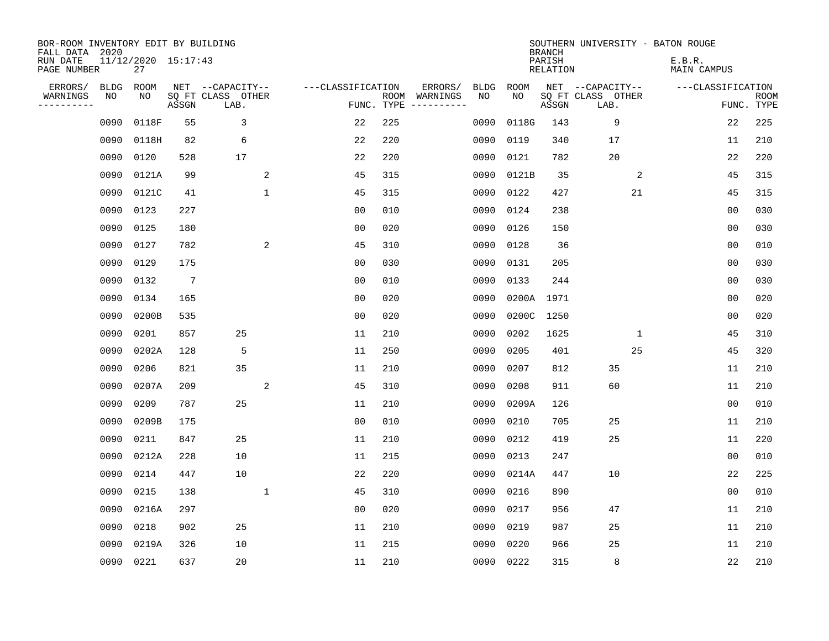| BOR-ROOM INVENTORY EDIT BY BUILDING<br>FALL DATA 2020 |      |                           |                 |                           |              |                   |                    |          |             |             | <b>BRANCH</b>             |                           |                | SOUTHERN UNIVERSITY - BATON ROUGE |                |                           |
|-------------------------------------------------------|------|---------------------------|-----------------|---------------------------|--------------|-------------------|--------------------|----------|-------------|-------------|---------------------------|---------------------------|----------------|-----------------------------------|----------------|---------------------------|
| RUN DATE<br>PAGE NUMBER                               |      | 11/12/2020 15:17:43<br>27 |                 |                           |              |                   |                    |          |             |             | PARISH<br><b>RELATION</b> |                           |                | E.B.R.<br><b>MAIN CAMPUS</b>      |                |                           |
| ERRORS/                                               | BLDG | ROOM                      |                 | NET --CAPACITY--          |              | ---CLASSIFICATION |                    | ERRORS/  | <b>BLDG</b> | <b>ROOM</b> |                           | NET --CAPACITY--          |                | ---CLASSIFICATION                 |                |                           |
| WARNINGS<br>----------                                | ΝO   | NO                        | ASSGN           | SQ FT CLASS OTHER<br>LAB. |              |                   | ROOM<br>FUNC. TYPE | WARNINGS | NO          | NO          | ASSGN                     | SQ FT CLASS OTHER<br>LAB. |                |                                   |                | <b>ROOM</b><br>FUNC. TYPE |
|                                                       | 0090 | 0118F                     | 55              | 3                         |              | 22                | 225                |          | 0090        | 0118G       | 143                       | 9                         |                |                                   | 22             | 225                       |
|                                                       | 0090 | 0118H                     | 82              | 6                         |              | 22                | 220                |          | 0090        | 0119        | 340                       | 17                        |                |                                   | 11             | 210                       |
|                                                       | 0090 | 0120                      | 528             | 17                        |              | 22                | 220                |          | 0090        | 0121        | 782                       | 20                        |                |                                   | 22             | 220                       |
|                                                       | 0090 | 0121A                     | 99              |                           | 2            | 45                | 315                |          | 0090        | 0121B       | 35                        |                           | $\overline{c}$ |                                   | 45             | 315                       |
|                                                       | 0090 | 0121C                     | 41              |                           | $\mathbf{1}$ | 45                | 315                |          | 0090        | 0122        | 427                       |                           | 21             |                                   | 45             | 315                       |
|                                                       | 0090 | 0123                      | 227             |                           |              | 0 <sub>0</sub>    | 010                |          | 0090        | 0124        | 238                       |                           |                |                                   | 0 <sub>0</sub> | 030                       |
|                                                       | 0090 | 0125                      | 180             |                           |              | 0 <sub>0</sub>    | 020                |          | 0090        | 0126        | 150                       |                           |                |                                   | 0 <sub>0</sub> | 030                       |
|                                                       | 0090 | 0127                      | 782             |                           | 2            | 45                | 310                |          | 0090        | 0128        | 36                        |                           |                |                                   | 0 <sub>0</sub> | 010                       |
|                                                       | 0090 | 0129                      | 175             |                           |              | 0 <sub>0</sub>    | 030                |          | 0090        | 0131        | 205                       |                           |                |                                   | 0 <sub>0</sub> | 030                       |
|                                                       | 0090 | 0132                      | $7\phantom{.0}$ |                           |              | 0 <sub>0</sub>    | 010                |          | 0090        | 0133        | 244                       |                           |                |                                   | 0 <sub>0</sub> | 030                       |
|                                                       | 0090 | 0134                      | 165             |                           |              | 0 <sub>0</sub>    | 020                |          | 0090        | 0200A       | 1971                      |                           |                |                                   | 0 <sub>0</sub> | 020                       |
|                                                       | 0090 | 0200B                     | 535             |                           |              | 0 <sub>0</sub>    | 020                |          | 0090        | 0200C       | 1250                      |                           |                |                                   | 0 <sub>0</sub> | 020                       |
|                                                       | 0090 | 0201                      | 857             | 25                        |              | 11                | 210                |          | 0090        | 0202        | 1625                      |                           | 1              |                                   | 45             | 310                       |
|                                                       | 0090 | 0202A                     | 128             | 5                         |              | 11                | 250                |          | 0090        | 0205        | 401                       |                           | 25             |                                   | 45             | 320                       |
|                                                       | 0090 | 0206                      | 821             | 35                        |              | 11                | 210                |          | 0090        | 0207        | 812                       | 35                        |                |                                   | 11             | 210                       |
|                                                       | 0090 | 0207A                     | 209             |                           | 2            | 45                | 310                |          | 0090        | 0208        | 911                       | 60                        |                |                                   | 11             | 210                       |
|                                                       | 0090 | 0209                      | 787             | 25                        |              | 11                | 210                |          | 0090        | 0209A       | 126                       |                           |                |                                   | 0 <sub>0</sub> | 010                       |
|                                                       | 0090 | 0209B                     | 175             |                           |              | 0 <sub>0</sub>    | 010                |          | 0090        | 0210        | 705                       | 25                        |                |                                   | 11             | 210                       |
|                                                       | 0090 | 0211                      | 847             | 25                        |              | 11                | 210                |          | 0090        | 0212        | 419                       | 25                        |                |                                   | 11             | 220                       |
|                                                       | 0090 | 0212A                     | 228             | 10                        |              | 11                | 215                |          | 0090        | 0213        | 247                       |                           |                |                                   | 0 <sub>0</sub> | 010                       |
|                                                       | 0090 | 0214                      | 447             | 10                        |              | 22                | 220                |          | 0090        | 0214A       | 447                       | 10                        |                |                                   | 22             | 225                       |
|                                                       | 0090 | 0215                      | 138             |                           | $\mathbf{1}$ | 45                | 310                |          | 0090        | 0216        | 890                       |                           |                |                                   | 0 <sub>0</sub> | 010                       |
|                                                       | 0090 | 0216A                     | 297             |                           |              | 0 <sub>0</sub>    | 020                |          | 0090        | 0217        | 956                       | 47                        |                |                                   | 11             | 210                       |
|                                                       | 0090 | 0218                      | 902             | 25                        |              | 11                | 210                |          | 0090        | 0219        | 987                       | 25                        |                |                                   | 11             | 210                       |
|                                                       | 0090 | 0219A                     | 326             | 10                        |              | 11                | 215                |          | 0090        | 0220        | 966                       | 25                        |                |                                   | 11             | 210                       |
|                                                       | 0090 | 0221                      | 637             | 20                        |              | 11                | 210                |          | 0090        | 0222        | 315                       | 8                         |                |                                   | 22             | 210                       |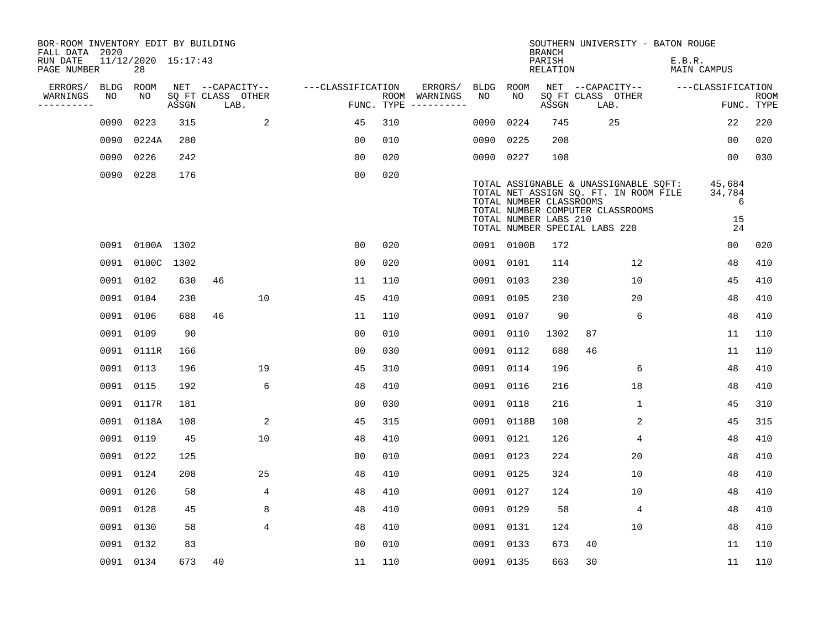| BOR-ROOM INVENTORY EDIT BY BUILDING<br>FALL DATA 2020 |             |                           |       |                           |                   |            |               |           |                                                  | <b>BRANCH</b>             | SOUTHERN UNIVERSITY - BATON ROUGE                                                                                                                   |                                   |                           |
|-------------------------------------------------------|-------------|---------------------------|-------|---------------------------|-------------------|------------|---------------|-----------|--------------------------------------------------|---------------------------|-----------------------------------------------------------------------------------------------------------------------------------------------------|-----------------------------------|---------------------------|
| RUN DATE<br>PAGE NUMBER                               |             | 11/12/2020 15:17:43<br>28 |       |                           |                   |            |               |           |                                                  | PARISH<br><b>RELATION</b> |                                                                                                                                                     | E.B.R.<br><b>MAIN CAMPUS</b>      |                           |
| ERRORS/                                               | <b>BLDG</b> | ROOM                      |       | NET --CAPACITY--          | ---CLASSIFICATION |            | ERRORS/       | BLDG      | ROOM                                             |                           | NET --CAPACITY--                                                                                                                                    | ---CLASSIFICATION                 |                           |
| WARNINGS<br>----------                                | NO          | NO                        | ASSGN | SQ FT CLASS OTHER<br>LAB. |                   | FUNC. TYPE | ROOM WARNINGS | NO        | NO                                               | ASSGN                     | SQ FT CLASS OTHER<br>LAB.                                                                                                                           |                                   | <b>ROOM</b><br>FUNC. TYPE |
|                                                       | 0090        | 0223                      | 315   | 2                         | 45                | 310        |               | 0090      | 0224                                             | 745                       | 25                                                                                                                                                  | 22                                | 220                       |
|                                                       | 0090        | 0224A                     | 280   |                           | 0 <sub>0</sub>    | 010        |               | 0090      | 0225                                             | 208                       |                                                                                                                                                     | 00                                | 020                       |
|                                                       | 0090        | 0226                      | 242   |                           | 00                | 020        |               | 0090 0227 |                                                  | 108                       |                                                                                                                                                     | 00                                | 030                       |
|                                                       | 0090        | 0228                      | 176   |                           | 0 <sub>0</sub>    | 020        |               |           | TOTAL NUMBER CLASSROOMS<br>TOTAL NUMBER LABS 210 |                           | TOTAL ASSIGNABLE & UNASSIGNABLE SQFT:<br>TOTAL NET ASSIGN SQ. FT. IN ROOM FILE<br>TOTAL NUMBER COMPUTER CLASSROOMS<br>TOTAL NUMBER SPECIAL LABS 220 | 45,684<br>34,784<br>6<br>15<br>24 |                           |
|                                                       |             | 0091 0100A 1302           |       |                           | 0 <sub>0</sub>    | 020        |               |           | 0091 0100B                                       | 172                       |                                                                                                                                                     | 0 <sub>0</sub>                    | 020                       |
|                                                       | 0091        | 0100C 1302                |       |                           | 0 <sub>0</sub>    | 020        |               | 0091 0101 |                                                  | 114                       | 12                                                                                                                                                  | 48                                | 410                       |
|                                                       |             | 0091 0102                 | 630   | 46                        | 11                | 110        |               | 0091 0103 |                                                  | 230                       | 10                                                                                                                                                  | 45                                | 410                       |
|                                                       | 0091        | 0104                      | 230   | 10                        | 45                | 410        |               | 0091 0105 |                                                  | 230                       | 20                                                                                                                                                  | 48                                | 410                       |
|                                                       | 0091        | 0106                      | 688   | 46                        | 11                | 110        |               | 0091 0107 |                                                  | 90                        | 6                                                                                                                                                   | 48                                | 410                       |
|                                                       | 0091        | 0109                      | 90    |                           | 0 <sub>0</sub>    | 010        |               | 0091      | 0110                                             | 1302                      | 87                                                                                                                                                  | 11                                | 110                       |
|                                                       | 0091        | 0111R                     | 166   |                           | 0 <sub>0</sub>    | 030        |               | 0091 0112 |                                                  | 688                       | 46                                                                                                                                                  | 11                                | 110                       |
|                                                       | 0091        | 0113                      | 196   | 19                        | 45                | 310        |               | 0091 0114 |                                                  | 196                       | 6                                                                                                                                                   | 48                                | 410                       |
|                                                       |             | 0091 0115                 | 192   | 6                         | 48                | 410        |               | 0091 0116 |                                                  | 216                       | 18                                                                                                                                                  | 48                                | 410                       |
|                                                       | 0091        | 0117R                     | 181   |                           | 0 <sub>0</sub>    | 030        |               | 0091 0118 |                                                  | 216                       | $\mathbf 1$                                                                                                                                         | 45                                | 310                       |
|                                                       | 0091        | 0118A                     | 108   | 2                         | 45                | 315        |               |           | 0091 0118B                                       | 108                       | 2                                                                                                                                                   | 45                                | 315                       |
|                                                       | 0091        | 0119                      | 45    | 10                        | 48                | 410        |               | 0091 0121 |                                                  | 126                       | 4                                                                                                                                                   | 48                                | 410                       |
|                                                       | 0091        | 0122                      | 125   |                           | 0 <sub>0</sub>    | 010        |               | 0091 0123 |                                                  | 224                       | 20                                                                                                                                                  | 48                                | 410                       |
|                                                       | 0091        | 0124                      | 208   | 25                        | 48                | 410        |               | 0091 0125 |                                                  | 324                       | 10                                                                                                                                                  | 48                                | 410                       |
|                                                       | 0091        | 0126                      | 58    | $\overline{4}$            | 48                | 410        |               | 0091 0127 |                                                  | 124                       | 10                                                                                                                                                  | 48                                | 410                       |
|                                                       |             | 0091 0128                 | 45    | 8                         | 48                | 410        |               | 0091 0129 |                                                  | 58                        | 4                                                                                                                                                   | 48                                | 410                       |
|                                                       | 0091        | 0130                      | 58    | 4                         | 48                | 410        |               | 0091 0131 |                                                  | 124                       | 10                                                                                                                                                  | 48                                | 410                       |
|                                                       |             | 0091 0132                 | 83    |                           | 0 <sub>0</sub>    | 010        |               | 0091 0133 |                                                  | 673                       | 40                                                                                                                                                  | 11                                | 110                       |
|                                                       |             | 0091 0134                 | 673   | 40                        | 11                | 110        |               | 0091 0135 |                                                  | 663                       | 30                                                                                                                                                  | 11                                | 110                       |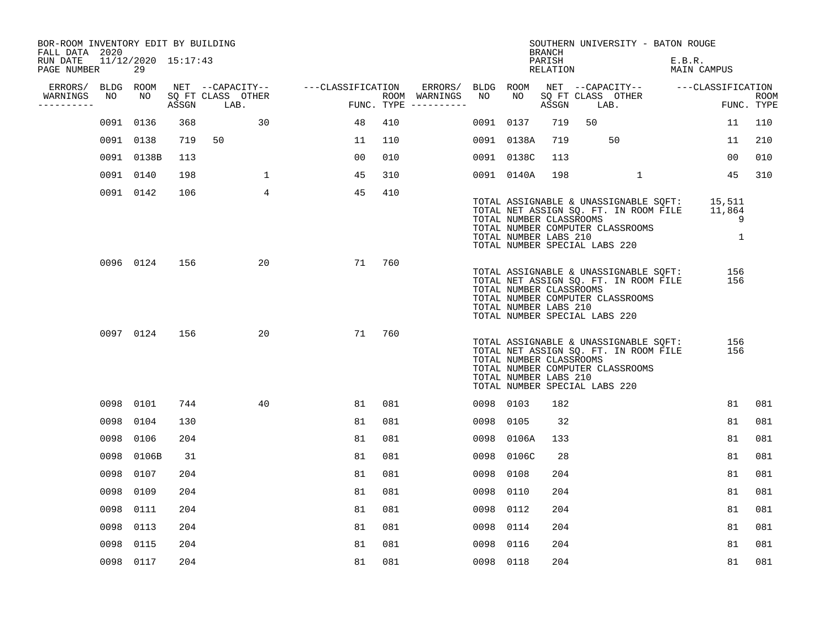| BOR-ROOM INVENTORY EDIT BY BUILDING<br>FALL DATA 2020 |           |                           |       |                           |                   |     |                                      |           |                                                  | <b>BRANCH</b>      | SOUTHERN UNIVERSITY - BATON ROUGE                                                                                                                                 |              |                       |            |                           |
|-------------------------------------------------------|-----------|---------------------------|-------|---------------------------|-------------------|-----|--------------------------------------|-----------|--------------------------------------------------|--------------------|-------------------------------------------------------------------------------------------------------------------------------------------------------------------|--------------|-----------------------|------------|---------------------------|
| RUN DATE<br>PAGE NUMBER                               |           | 11/12/2020 15:17:43<br>29 |       |                           |                   |     |                                      |           |                                                  | PARISH<br>RELATION |                                                                                                                                                                   |              | E.B.R.<br>MAIN CAMPUS |            |                           |
| ERRORS/ BLDG ROOM                                     |           |                           |       | NET --CAPACITY--          | ---CLASSIFICATION |     | ERRORS/ BLDG ROOM                    |           |                                                  |                    | NET --CAPACITY-- ---CLASSIFICATION                                                                                                                                |              |                       |            |                           |
| WARNINGS<br>----------                                | NO        | NO                        | ASSGN | SQ FT CLASS OTHER<br>LAB. |                   |     | ROOM WARNINGS<br>FUNC. TYPE $------$ | NO        | NO                                               | ASSGN              | SQ FT CLASS OTHER<br>LAB.                                                                                                                                         |              |                       |            | <b>ROOM</b><br>FUNC. TYPE |
|                                                       | 0091 0136 |                           | 368   | 30                        | 48                | 410 |                                      | 0091 0137 |                                                  | 719                | 50                                                                                                                                                                |              |                       | 11         | 110                       |
|                                                       | 0091 0138 |                           | 719   | 50                        | 11                | 110 |                                      |           | 0091 0138A                                       | 719                | 50                                                                                                                                                                |              |                       | 11         | 210                       |
|                                                       |           | 0091 0138B                | 113   |                           | 00                | 010 |                                      |           | 0091 0138C                                       | 113                |                                                                                                                                                                   |              |                       | 00         | 010                       |
|                                                       | 0091 0140 |                           | 198   | $\mathbf{1}$              | 45                | 310 |                                      |           | 0091 0140A                                       | 198                |                                                                                                                                                                   | $\mathbf{1}$ |                       | 45         | 310                       |
|                                                       |           | 0091 0142                 | 106   | $4\overline{ }$           | 45                | 410 |                                      |           | TOTAL NUMBER CLASSROOMS<br>TOTAL NUMBER LABS 210 |                    | TOTAL ASSIGNABLE & UNASSIGNABLE SQFT: 15,511<br>TOTAL NET ASSIGN SQ. FT. IN ROOM FILE 11,864<br>TOTAL NUMBER COMPUTER CLASSROOMS<br>TOTAL NUMBER SPECIAL LABS 220 |              |                       | 9<br>1     |                           |
|                                                       |           | 0096 0124                 | 156   | 20                        | 71                | 760 |                                      |           | TOTAL NUMBER CLASSROOMS<br>TOTAL NUMBER LABS 210 |                    | TOTAL ASSIGNABLE & UNASSIGNABLE SQFT:<br>TOTAL NET ASSIGN SQ. FT. IN ROOM FILE<br>TOTAL NUMBER COMPUTER CLASSROOMS<br>TOTAL NUMBER SPECIAL LABS 220               |              |                       | 156<br>156 |                           |
|                                                       |           | 0097 0124                 | 156   | 20                        | 71                | 760 |                                      |           | TOTAL NUMBER CLASSROOMS<br>TOTAL NUMBER LABS 210 |                    | TOTAL ASSIGNABLE & UNASSIGNABLE SQFT:<br>TOTAL NET ASSIGN SQ. FT. IN ROOM FILE<br>TOTAL NUMBER COMPUTER CLASSROOMS<br>TOTAL NUMBER SPECIAL LABS 220               |              |                       | 156<br>156 |                           |
|                                                       | 0098 0101 |                           | 744   | 40                        | 81                | 081 |                                      | 0098 0103 |                                                  | 182                |                                                                                                                                                                   |              |                       | 81         | 081                       |
|                                                       | 0098 0104 |                           | 130   |                           | 81                | 081 |                                      | 0098 0105 |                                                  | 32                 |                                                                                                                                                                   |              |                       | 81         | 081                       |
|                                                       | 0098 0106 |                           | 204   |                           | 81                | 081 |                                      |           | 0098 0106A                                       | 133                |                                                                                                                                                                   |              |                       | 81         | 081                       |
|                                                       |           | 0098 0106B                | 31    |                           | 81                | 081 |                                      |           | 0098 0106C                                       | 28                 |                                                                                                                                                                   |              |                       | 81         | 081                       |
|                                                       | 0098 0107 |                           | 204   |                           | 81                | 081 |                                      | 0098      | 0108                                             | 204                |                                                                                                                                                                   |              |                       | 81         | 081                       |
|                                                       | 0098 0109 |                           | 204   |                           | 81                | 081 |                                      | 0098      | 0110                                             | 204                |                                                                                                                                                                   |              |                       | 81         | 081                       |
|                                                       | 0098 0111 |                           | 204   |                           | 81                | 081 |                                      | 0098      | 0112                                             | 204                |                                                                                                                                                                   |              |                       | 81         | 081                       |
|                                                       | 0098 0113 |                           | 204   |                           | 81                | 081 |                                      | 0098      | 0114                                             | 204                |                                                                                                                                                                   |              |                       | 81         | 081                       |
|                                                       | 0098      | 0115                      | 204   |                           | 81                | 081 |                                      | 0098      | 0116                                             | 204                |                                                                                                                                                                   |              |                       | 81         | 081                       |
|                                                       | 0098 0117 |                           | 204   |                           | 81                | 081 |                                      | 0098 0118 |                                                  | 204                |                                                                                                                                                                   |              |                       | 81         | 081                       |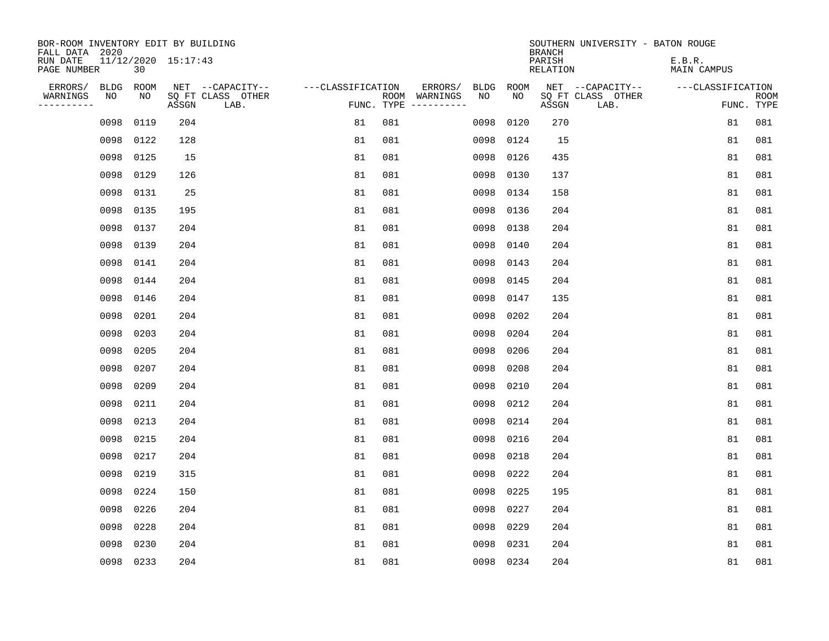| BOR-ROOM INVENTORY EDIT BY BUILDING<br>FALL DATA 2020 |           |      |                     |                           |                   |     |                                      |             |           | <b>BRANCH</b>      | SOUTHERN UNIVERSITY - BATON ROUGE |                              |                           |
|-------------------------------------------------------|-----------|------|---------------------|---------------------------|-------------------|-----|--------------------------------------|-------------|-----------|--------------------|-----------------------------------|------------------------------|---------------------------|
| RUN DATE<br>PAGE NUMBER                               |           | 30   | 11/12/2020 15:17:43 |                           |                   |     |                                      |             |           | PARISH<br>RELATION |                                   | E.B.R.<br><b>MAIN CAMPUS</b> |                           |
| ERRORS/                                               | BLDG      | ROOM |                     | NET --CAPACITY--          | ---CLASSIFICATION |     | ERRORS/                              | <b>BLDG</b> | ROOM      |                    | NET --CAPACITY--                  | ---CLASSIFICATION            |                           |
| WARNINGS<br>-----------                               | ΝO        | NO   | ASSGN               | SQ FT CLASS OTHER<br>LAB. |                   |     | ROOM WARNINGS<br>FUNC. TYPE $------$ | NO          | NO        | ASSGN              | SQ FT CLASS OTHER<br>LAB.         |                              | <b>ROOM</b><br>FUNC. TYPE |
|                                                       | 0098      | 0119 | 204                 |                           | 81                | 081 |                                      | 0098        | 0120      | 270                |                                   | 81                           | 081                       |
|                                                       | 0098      | 0122 | 128                 |                           | 81                | 081 |                                      | 0098        | 0124      | 15                 |                                   | 81                           | 081                       |
|                                                       | 0098      | 0125 | 15                  |                           | 81                | 081 |                                      | 0098        | 0126      | 435                |                                   | 81                           | 081                       |
|                                                       | 0098      | 0129 | 126                 |                           | 81                | 081 |                                      | 0098        | 0130      | 137                |                                   | 81                           | 081                       |
|                                                       | 0098      | 0131 | 25                  |                           | 81                | 081 |                                      | 0098        | 0134      | 158                |                                   | 81                           | 081                       |
|                                                       | 0098 0135 |      | 195                 |                           | 81                | 081 |                                      | 0098        | 0136      | 204                |                                   | 81                           | 081                       |
|                                                       | 0098 0137 |      | 204                 |                           | 81                | 081 |                                      | 0098        | 0138      | 204                |                                   | 81                           | 081                       |
|                                                       | 0098 0139 |      | 204                 |                           | 81                | 081 |                                      | 0098        | 0140      | 204                |                                   | 81                           | 081                       |
|                                                       | 0098      | 0141 | 204                 |                           | 81                | 081 |                                      | 0098        | 0143      | 204                |                                   | 81                           | 081                       |
|                                                       | 0098      | 0144 | 204                 |                           | 81                | 081 |                                      | 0098        | 0145      | 204                |                                   | 81                           | 081                       |
|                                                       | 0098      | 0146 | 204                 |                           | 81                | 081 |                                      | 0098        | 0147      | 135                |                                   | 81                           | 081                       |
|                                                       | 0098      | 0201 | 204                 |                           | 81                | 081 |                                      | 0098        | 0202      | 204                |                                   | 81                           | 081                       |
|                                                       | 0098      | 0203 | 204                 |                           | 81                | 081 |                                      | 0098        | 0204      | 204                |                                   | 81                           | 081                       |
|                                                       | 0098      | 0205 | 204                 |                           | 81                | 081 |                                      | 0098        | 0206      | 204                |                                   | 81                           | 081                       |
|                                                       | 0098      | 0207 | 204                 |                           | 81                | 081 |                                      | 0098        | 0208      | 204                |                                   | 81                           | 081                       |
|                                                       | 0098      | 0209 | 204                 |                           | 81                | 081 |                                      | 0098        | 0210      | 204                |                                   | 81                           | 081                       |
|                                                       | 0098      | 0211 | 204                 |                           | 81                | 081 |                                      | 0098        | 0212      | 204                |                                   | 81                           | 081                       |
|                                                       | 0098      | 0213 | 204                 |                           | 81                | 081 |                                      | 0098        | 0214      | 204                |                                   | 81                           | 081                       |
|                                                       | 0098      | 0215 | 204                 |                           | 81                | 081 |                                      | 0098        | 0216      | 204                |                                   | 81                           | 081                       |
|                                                       | 0098      | 0217 | 204                 |                           | 81                | 081 |                                      | 0098        | 0218      | 204                |                                   | 81                           | 081                       |
|                                                       | 0098      | 0219 | 315                 |                           | 81                | 081 |                                      | 0098        | 0222      | 204                |                                   | 81                           | 081                       |
|                                                       | 0098      | 0224 | 150                 |                           | 81                | 081 |                                      | 0098        | 0225      | 195                |                                   | 81                           | 081                       |
|                                                       | 0098      | 0226 | 204                 |                           | 81                | 081 |                                      | 0098        | 0227      | 204                |                                   | 81                           | 081                       |
|                                                       | 0098      | 0228 | 204                 |                           | 81                | 081 |                                      | 0098        | 0229      | 204                |                                   | 81                           | 081                       |
|                                                       | 0098      | 0230 | 204                 |                           | 81                | 081 |                                      | 0098        | 0231      | 204                |                                   | 81                           | 081                       |
|                                                       | 0098 0233 |      | 204                 |                           | 81                | 081 |                                      |             | 0098 0234 | 204                |                                   | 81                           | 081                       |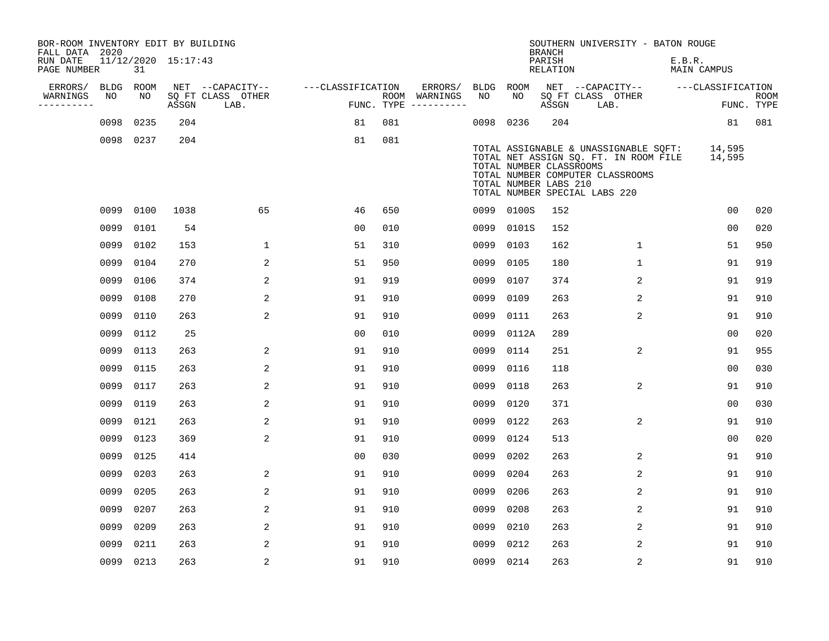| BOR-ROOM INVENTORY EDIT BY BUILDING<br>FALL DATA 2020 |      |           |                     |                           |                   |     |                                      |           |                                                  | <b>BRANCH</b>      | SOUTHERN UNIVERSITY - BATON ROUGE                                                                                                                   |                       |                  |                           |
|-------------------------------------------------------|------|-----------|---------------------|---------------------------|-------------------|-----|--------------------------------------|-----------|--------------------------------------------------|--------------------|-----------------------------------------------------------------------------------------------------------------------------------------------------|-----------------------|------------------|---------------------------|
| RUN DATE<br>PAGE NUMBER                               |      | 31        | 11/12/2020 15:17:43 |                           |                   |     |                                      |           |                                                  | PARISH<br>RELATION |                                                                                                                                                     | E.B.R.<br>MAIN CAMPUS |                  |                           |
| ERRORS/                                               | BLDG | ROOM      |                     | NET --CAPACITY--          | ---CLASSIFICATION |     | ERRORS/                              | BLDG      | ROOM                                             |                    | NET --CAPACITY--                                                                                                                                    | ---CLASSIFICATION     |                  |                           |
| WARNINGS<br>----------                                | NO   | NO        | ASSGN               | SO FT CLASS OTHER<br>LAB. |                   |     | ROOM WARNINGS<br>FUNC. TYPE $------$ | NO        | NO                                               | ASSGN              | SQ FT CLASS OTHER<br>LAB.                                                                                                                           |                       |                  | <b>ROOM</b><br>FUNC. TYPE |
|                                                       | 0098 | 0235      | 204                 |                           | 81                | 081 |                                      | 0098      | 0236                                             | 204                |                                                                                                                                                     |                       | 81               | 081                       |
|                                                       |      | 0098 0237 | 204                 |                           | 81                | 081 |                                      |           | TOTAL NUMBER CLASSROOMS<br>TOTAL NUMBER LABS 210 |                    | TOTAL ASSIGNABLE & UNASSIGNABLE SQFT:<br>TOTAL NET ASSIGN SQ. FT. IN ROOM FILE<br>TOTAL NUMBER COMPUTER CLASSROOMS<br>TOTAL NUMBER SPECIAL LABS 220 |                       | 14,595<br>14,595 |                           |
|                                                       |      | 0099 0100 | 1038                | 65                        | 46                | 650 |                                      |           | 0099 0100S                                       | 152                |                                                                                                                                                     |                       | 0 <sub>0</sub>   | 020                       |
|                                                       | 0099 | 0101      | 54                  |                           | 0 <sub>0</sub>    | 010 |                                      | 0099      | 0101S                                            | 152                |                                                                                                                                                     |                       | 0 <sub>0</sub>   | 020                       |
|                                                       | 0099 | 0102      | 153                 | $\mathbf 1$               | 51                | 310 |                                      | 0099      | 0103                                             | 162                | $\mathbf{1}$                                                                                                                                        |                       | 51               | 950                       |
|                                                       | 0099 | 0104      | 270                 | 2                         | 51                | 950 |                                      | 0099      | 0105                                             | 180                | $\mathbf{1}$                                                                                                                                        |                       | 91               | 919                       |
|                                                       | 0099 | 0106      | 374                 | 2                         | 91                | 919 |                                      | 0099      | 0107                                             | 374                | $\overline{2}$                                                                                                                                      |                       | 91               | 919                       |
|                                                       | 0099 | 0108      | 270                 | 2                         | 91                | 910 |                                      | 0099      | 0109                                             | 263                | 2                                                                                                                                                   |                       | 91               | 910                       |
|                                                       | 0099 | 0110      | 263                 | 2                         | 91                | 910 |                                      | 0099      | 0111                                             | 263                | 2                                                                                                                                                   |                       | 91               | 910                       |
|                                                       | 0099 | 0112      | 25                  |                           | 0 <sub>0</sub>    | 010 |                                      | 0099      | 0112A                                            | 289                |                                                                                                                                                     |                       | 0 <sub>0</sub>   | 020                       |
|                                                       | 0099 | 0113      | 263                 | 2                         | 91                | 910 |                                      | 0099      | 0114                                             | 251                | 2                                                                                                                                                   |                       | 91               | 955                       |
|                                                       | 0099 | 0115      | 263                 | 2                         | 91                | 910 |                                      | 0099      | 0116                                             | 118                |                                                                                                                                                     |                       | 0 <sub>0</sub>   | 030                       |
|                                                       | 0099 | 0117      | 263                 | 2                         | 91                | 910 |                                      | 0099      | 0118                                             | 263                | $\overline{2}$                                                                                                                                      |                       | 91               | 910                       |
|                                                       | 0099 | 0119      | 263                 | 2                         | 91                | 910 |                                      | 0099      | 0120                                             | 371                |                                                                                                                                                     |                       | 0 <sub>0</sub>   | 030                       |
|                                                       | 0099 | 0121      | 263                 | 2                         | 91                | 910 |                                      | 0099      | 0122                                             | 263                | 2                                                                                                                                                   |                       | 91               | 910                       |
|                                                       | 0099 | 0123      | 369                 | 2                         | 91                | 910 |                                      | 0099      | 0124                                             | 513                |                                                                                                                                                     |                       | 0 <sub>0</sub>   | 020                       |
|                                                       | 0099 | 0125      | 414                 |                           | 0 <sub>0</sub>    | 030 |                                      | 0099      | 0202                                             | 263                | 2                                                                                                                                                   |                       | 91               | 910                       |
|                                                       | 0099 | 0203      | 263                 | 2                         | 91                | 910 |                                      | 0099      | 0204                                             | 263                | 2                                                                                                                                                   |                       | 91               | 910                       |
|                                                       | 0099 | 0205      | 263                 | $\overline{a}$            | 91                | 910 |                                      | 0099      | 0206                                             | 263                | 2                                                                                                                                                   |                       | 91               | 910                       |
|                                                       | 0099 | 0207      | 263                 | 2                         | 91                | 910 |                                      | 0099      | 0208                                             | 263                | 2                                                                                                                                                   |                       | 91               | 910                       |
|                                                       | 0099 | 0209      | 263                 | 2                         | 91                | 910 |                                      | 0099      | 0210                                             | 263                | 2                                                                                                                                                   |                       | 91               | 910                       |
|                                                       | 0099 | 0211      | 263                 | 2                         | 91                | 910 |                                      | 0099      | 0212                                             | 263                | 2                                                                                                                                                   |                       | 91               | 910                       |
|                                                       |      | 0099 0213 | 263                 | 2                         | 91                | 910 |                                      | 0099 0214 |                                                  | 263                | 2                                                                                                                                                   |                       | 91               | 910                       |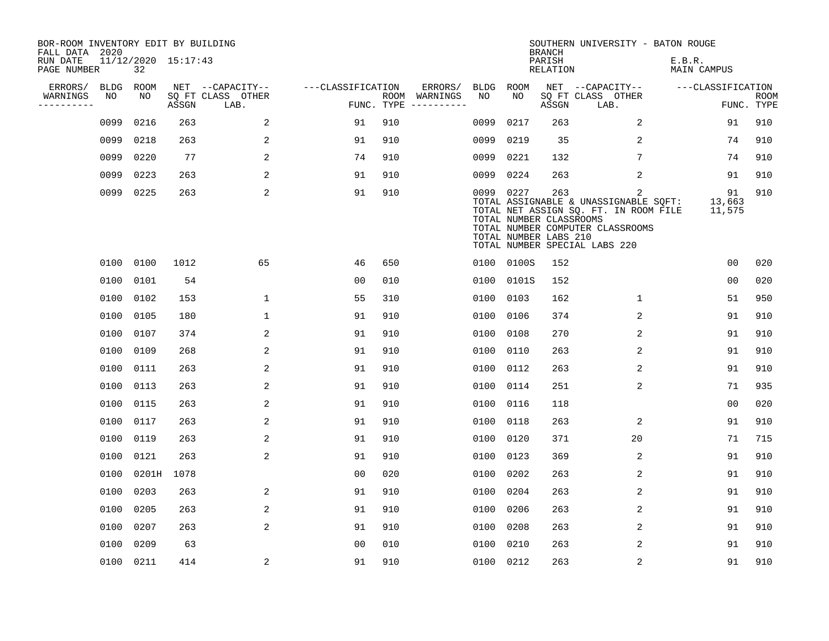| BOR-ROOM INVENTORY EDIT BY BUILDING<br>FALL DATA 2020 |             |                           |       |                           |                   |            |                              |             |                                                  | <b>BRANCH</b>             | SOUTHERN UNIVERSITY - BATON ROUGE                                                                                                                        |                              |                           |
|-------------------------------------------------------|-------------|---------------------------|-------|---------------------------|-------------------|------------|------------------------------|-------------|--------------------------------------------------|---------------------------|----------------------------------------------------------------------------------------------------------------------------------------------------------|------------------------------|---------------------------|
| RUN DATE<br>PAGE NUMBER                               |             | 11/12/2020 15:17:43<br>32 |       |                           |                   |            |                              |             |                                                  | PARISH<br><b>RELATION</b> |                                                                                                                                                          | E.B.R.<br><b>MAIN CAMPUS</b> |                           |
| ERRORS/                                               | <b>BLDG</b> | ROOM                      |       | NET --CAPACITY--          | ---CLASSIFICATION |            | ERRORS/                      | <b>BLDG</b> | ROOM                                             |                           | NET --CAPACITY--                                                                                                                                         | ---CLASSIFICATION            |                           |
| WARNINGS<br>----------                                | NO          | NO                        | ASSGN | SQ FT CLASS OTHER<br>LAB. |                   | FUNC. TYPE | ROOM WARNINGS<br>----------- | NO          | NO                                               | ASSGN                     | SQ FT CLASS OTHER<br>LAB.                                                                                                                                |                              | <b>ROOM</b><br>FUNC. TYPE |
|                                                       | 0099        | 0216                      | 263   | 2                         | 91                | 910        |                              | 0099        | 0217                                             | 263                       | $\overline{a}$                                                                                                                                           | 91                           | 910                       |
|                                                       | 0099        | 0218                      | 263   | 2                         | 91                | 910        |                              | 0099        | 0219                                             | 35                        | 2                                                                                                                                                        | 74                           | 910                       |
|                                                       | 0099        | 0220                      | 77    | 2                         | 74                | 910        |                              | 0099        | 0221                                             | 132                       | 7                                                                                                                                                        | 74                           | 910                       |
|                                                       | 0099        | 0223                      | 263   | 2                         | 91                | 910        |                              | 0099        | 0224                                             | 263                       | $\overline{2}$                                                                                                                                           | 91                           | 910                       |
|                                                       | 0099        | 0225                      | 263   | 2                         | 91                | 910        |                              | 0099 0227   | TOTAL NUMBER CLASSROOMS<br>TOTAL NUMBER LABS 210 | 263                       | 2<br>TOTAL ASSIGNABLE & UNASSIGNABLE SQFT:<br>TOTAL NET ASSIGN SQ. FT. IN ROOM FILE<br>TOTAL NUMBER COMPUTER CLASSROOMS<br>TOTAL NUMBER SPECIAL LABS 220 | 91<br>13,663<br>11,575       | 910                       |
|                                                       | 0100        | 0100                      | 1012  | 65                        | 46                | 650        |                              |             | 0100 0100S                                       | 152                       |                                                                                                                                                          | 00                           | 020                       |
|                                                       | 0100        | 0101                      | 54    |                           | 0 <sub>0</sub>    | 010        |                              | 0100        | 0101S                                            | 152                       |                                                                                                                                                          | 0 <sub>0</sub>               | 020                       |
|                                                       | 0100        | 0102                      | 153   | 1                         | 55                | 310        |                              | 0100        | 0103                                             | 162                       | $\mathbf{1}$                                                                                                                                             | 51                           | 950                       |
|                                                       | 0100        | 0105                      | 180   | 1                         | 91                | 910        |                              | 0100        | 0106                                             | 374                       | 2                                                                                                                                                        | 91                           | 910                       |
|                                                       | 0100        | 0107                      | 374   | 2                         | 91                | 910        |                              | 0100        | 0108                                             | 270                       | 2                                                                                                                                                        | 91                           | 910                       |
|                                                       | 0100        | 0109                      | 268   | 2                         | 91                | 910        |                              | 0100        | 0110                                             | 263                       | $\overline{2}$                                                                                                                                           | 91                           | 910                       |
|                                                       | 0100        | 0111                      | 263   | 2                         | 91                | 910        |                              | 0100        | 0112                                             | 263                       | $\overline{2}$                                                                                                                                           | 91                           | 910                       |
|                                                       | 0100        | 0113                      | 263   | 2                         | 91                | 910        |                              | 0100        | 0114                                             | 251                       | $\overline{2}$                                                                                                                                           | 71                           | 935                       |
|                                                       | 0100        | 0115                      | 263   | 2                         | 91                | 910        |                              | 0100        | 0116                                             | 118                       |                                                                                                                                                          | 0 <sub>0</sub>               | 020                       |
|                                                       | 0100        | 0117                      | 263   | 2                         | 91                | 910        |                              | 0100        | 0118                                             | 263                       | 2                                                                                                                                                        | 91                           | 910                       |
|                                                       | 0100        | 0119                      | 263   | 2                         | 91                | 910        |                              | 0100        | 0120                                             | 371                       | 20                                                                                                                                                       | 71                           | 715                       |
|                                                       | 0100        | 0121                      | 263   | 2                         | 91                | 910        |                              | 0100        | 0123                                             | 369                       | 2                                                                                                                                                        | 91                           | 910                       |
|                                                       | 0100        | 0201H                     | 1078  |                           | 0 <sub>0</sub>    | 020        |                              | 0100        | 0202                                             | 263                       | 2                                                                                                                                                        | 91                           | 910                       |
|                                                       | 0100        | 0203                      | 263   | 2                         | 91                | 910        |                              | 0100        | 0204                                             | 263                       | 2                                                                                                                                                        | 91                           | 910                       |
|                                                       | 0100        | 0205                      | 263   | 2                         | 91                | 910        |                              | 0100        | 0206                                             | 263                       | 2                                                                                                                                                        | 91                           | 910                       |
|                                                       | 0100        | 0207                      | 263   | 2                         | 91                | 910        |                              | 0100        | 0208                                             | 263                       | 2                                                                                                                                                        | 91                           | 910                       |
|                                                       | 0100        | 0209                      | 63    |                           | 0 <sub>0</sub>    | 010        |                              | 0100        | 0210                                             | 263                       | 2                                                                                                                                                        | 91                           | 910                       |
|                                                       |             | 0100 0211                 | 414   | 2                         | 91                | 910        |                              | 0100 0212   |                                                  | 263                       | $\overline{2}$                                                                                                                                           | 91                           | 910                       |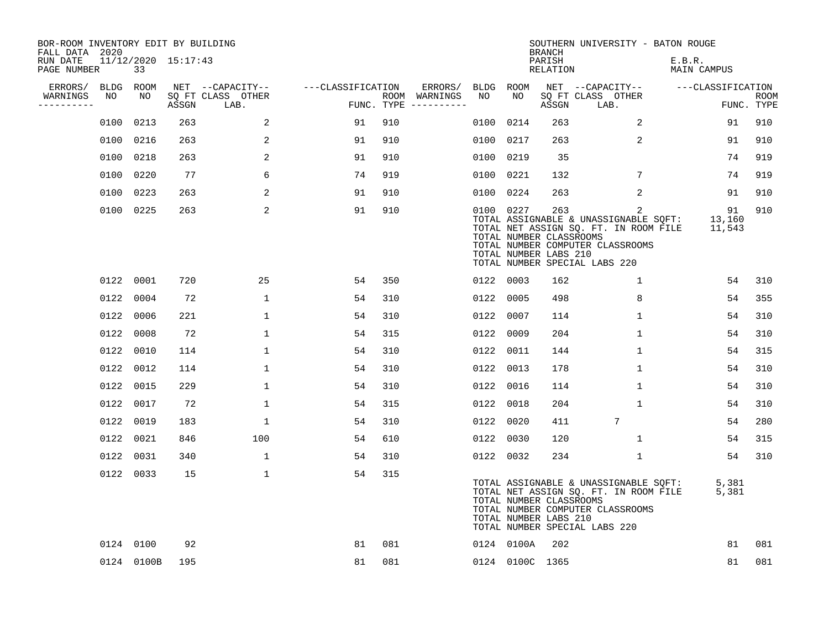| BOR-ROOM INVENTORY EDIT BY BUILDING<br>FALL DATA 2020 |      |            |                     |                                               |                   |     |                                                           |           |                 | <b>BRANCH</b>                                           | SOUTHERN UNIVERSITY - BATON ROUGE                                                                                                                        |                              |                           |
|-------------------------------------------------------|------|------------|---------------------|-----------------------------------------------|-------------------|-----|-----------------------------------------------------------|-----------|-----------------|---------------------------------------------------------|----------------------------------------------------------------------------------------------------------------------------------------------------------|------------------------------|---------------------------|
| RUN DATE<br>PAGE NUMBER                               |      | 33         | 11/12/2020 15:17:43 |                                               |                   |     |                                                           |           |                 | PARISH<br>RELATION                                      |                                                                                                                                                          | E.B.R.<br><b>MAIN CAMPUS</b> |                           |
| ERRORS/ BLDG ROOM<br>WARNINGS<br>-----------          | NO   | NO         | ASSGN               | NET --CAPACITY--<br>SQ FT CLASS OTHER<br>LAB. | ---CLASSIFICATION |     | ERRORS/ BLDG ROOM<br>ROOM WARNINGS<br>FUNC. TYPE $------$ | NO        | NO              | ASSGN                                                   | NET --CAPACITY--<br>SQ FT CLASS OTHER<br>LAB.                                                                                                            | ---CLASSIFICATION            | <b>ROOM</b><br>FUNC. TYPE |
|                                                       | 0100 | 0213       | 263                 | 2                                             | 91                | 910 |                                                           |           | 0100 0214       | 263                                                     | $\overline{2}$                                                                                                                                           | 91                           | 910                       |
|                                                       |      | 0100 0216  | 263                 | 2                                             | 91                | 910 |                                                           |           | 0100 0217       | 263                                                     | 2                                                                                                                                                        | 91                           | 910                       |
|                                                       |      | 0100 0218  | 263                 | 2                                             | 91                | 910 |                                                           |           | 0100 0219       | 35                                                      |                                                                                                                                                          | 74                           | 919                       |
|                                                       |      | 0100 0220  | 77                  | 6                                             | 74                | 919 |                                                           |           | 0100 0221       | 132                                                     | 7                                                                                                                                                        | 74                           | 919                       |
|                                                       | 0100 | 0223       | 263                 | 2                                             | 91                | 910 |                                                           |           | 0100 0224       | 263                                                     | 2                                                                                                                                                        | 91                           | 910                       |
|                                                       |      | 0100 0225  | 263                 | 2                                             | 91                | 910 |                                                           |           | 0100 0227       | 263<br>TOTAL NUMBER CLASSROOMS<br>TOTAL NUMBER LABS 210 | 2<br>TOTAL ASSIGNABLE & UNASSIGNABLE SQFT:<br>TOTAL NET ASSIGN SQ. FT. IN ROOM FILE<br>TOTAL NUMBER COMPUTER CLASSROOMS<br>TOTAL NUMBER SPECIAL LABS 220 | 91<br>13,160<br>11,543       | 910                       |
|                                                       |      | 0122 0001  | 720                 | 25                                            | 54                | 350 |                                                           | 0122 0003 |                 | 162                                                     | 1                                                                                                                                                        | 54                           | 310                       |
|                                                       |      | 0122 0004  | 72                  | $\mathbf{1}$                                  | 54                | 310 |                                                           |           | 0122 0005       | 498                                                     | 8                                                                                                                                                        | 54                           | 355                       |
|                                                       |      | 0122 0006  | 221                 | $\mathbf 1$                                   | 54                | 310 |                                                           | 0122 0007 |                 | 114                                                     | 1                                                                                                                                                        | 54                           | 310                       |
|                                                       |      | 0122 0008  | 72                  | $\mathbf{1}$                                  | 54                | 315 |                                                           | 0122 0009 |                 | 204                                                     | $\mathbf{1}$                                                                                                                                             | 54                           | 310                       |
|                                                       |      | 0122 0010  | 114                 | $\mathbf 1$                                   | 54                | 310 |                                                           |           | 0122 0011       | 144                                                     | $\mathbf{1}$                                                                                                                                             | 54                           | 315                       |
|                                                       |      | 0122 0012  | 114                 | $\mathbf{1}$                                  | 54                | 310 |                                                           | 0122 0013 |                 | 178                                                     | $\mathbf{1}$                                                                                                                                             | 54                           | 310                       |
|                                                       |      | 0122 0015  | 229                 | $\mathbf{1}$                                  | 54                | 310 |                                                           |           | 0122 0016       | 114                                                     | $\mathbf{1}$                                                                                                                                             | 54                           | 310                       |
|                                                       |      | 0122 0017  | 72                  | $\mathbf 1$                                   | 54                | 315 |                                                           |           | 0122 0018       | 204                                                     | $\mathbf{1}$                                                                                                                                             | 54                           | 310                       |
|                                                       |      | 0122 0019  | 183                 | $\mathbf{1}$                                  | 54                | 310 |                                                           | 0122 0020 |                 | 411                                                     | 7                                                                                                                                                        | 54                           | 280                       |
|                                                       |      | 0122 0021  | 846                 | 100                                           | 54                | 610 |                                                           | 0122 0030 |                 | 120                                                     | $\mathbf{1}$                                                                                                                                             | 54                           | 315                       |
|                                                       |      | 0122 0031  | 340                 | $\mathbf{1}$                                  | 54                | 310 |                                                           | 0122 0032 |                 | 234                                                     | $\mathbf{1}$                                                                                                                                             | 54                           | 310                       |
|                                                       |      | 0122 0033  | 15                  | $\mathbf 1$                                   | 54                | 315 |                                                           |           |                 | TOTAL NUMBER CLASSROOMS<br>TOTAL NUMBER LABS 210        | TOTAL ASSIGNABLE & UNASSIGNABLE SQFT:<br>TOTAL NET ASSIGN SQ. FT. IN ROOM FILE<br>TOTAL NUMBER COMPUTER CLASSROOMS<br>TOTAL NUMBER SPECIAL LABS 220      | 5,381<br>5,381               |                           |
|                                                       |      | 0124 0100  | 92                  |                                               | 81                | 081 |                                                           |           | 0124 0100A      | 202                                                     |                                                                                                                                                          | 81                           | 081                       |
|                                                       |      | 0124 0100B | 195                 |                                               | 81                | 081 |                                                           |           | 0124 0100C 1365 |                                                         |                                                                                                                                                          | 81                           | 081                       |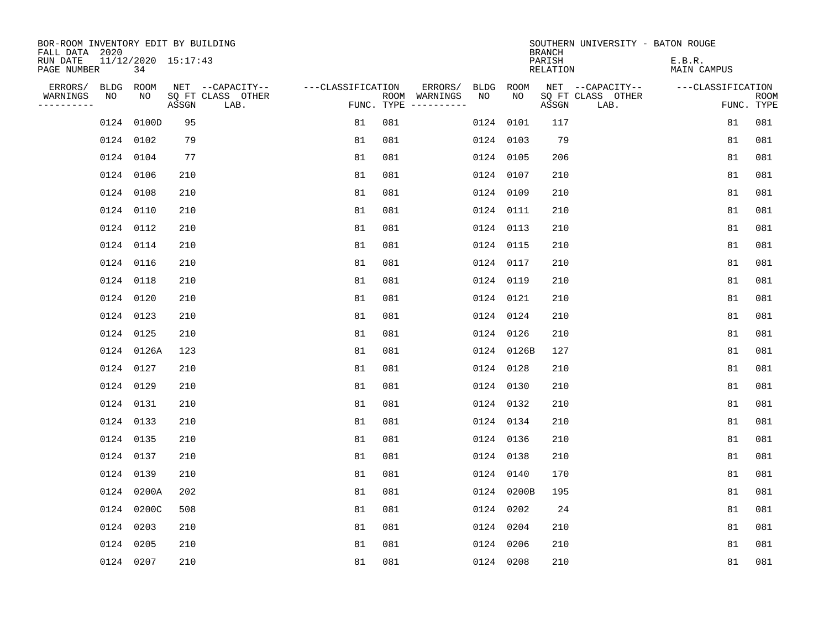| BOR-ROOM INVENTORY EDIT BY BUILDING<br>FALL DATA 2020 |           |                           |       |                           |                   |     |                                      |    |            | <b>BRANCH</b>      | SOUTHERN UNIVERSITY - BATON ROUGE |                              |                           |
|-------------------------------------------------------|-----------|---------------------------|-------|---------------------------|-------------------|-----|--------------------------------------|----|------------|--------------------|-----------------------------------|------------------------------|---------------------------|
| RUN DATE<br>PAGE NUMBER                               |           | 11/12/2020 15:17:43<br>34 |       |                           |                   |     |                                      |    |            | PARISH<br>RELATION |                                   | E.B.R.<br><b>MAIN CAMPUS</b> |                           |
| ERRORS/                                               | BLDG ROOM |                           |       | NET --CAPACITY--          | ---CLASSIFICATION |     | ERRORS/                              |    | BLDG ROOM  |                    | NET --CAPACITY--                  | ---CLASSIFICATION            |                           |
| WARNINGS<br>-----------                               | NO        | NO                        | ASSGN | SQ FT CLASS OTHER<br>LAB. |                   |     | ROOM WARNINGS<br>FUNC. TYPE $------$ | NO | NO         | ASSGN              | SQ FT CLASS OTHER<br>LAB.         |                              | <b>ROOM</b><br>FUNC. TYPE |
|                                                       |           | 0124 0100D                | 95    |                           | 81                | 081 |                                      |    | 0124 0101  | 117                |                                   | 81                           | 081                       |
|                                                       |           | 0124 0102                 | 79    |                           | 81                | 081 |                                      |    | 0124 0103  | 79                 |                                   | 81                           | 081                       |
|                                                       | 0124 0104 |                           | 77    |                           | 81                | 081 |                                      |    | 0124 0105  | 206                |                                   | 81                           | 081                       |
|                                                       | 0124 0106 |                           | 210   |                           | 81                | 081 |                                      |    | 0124 0107  | 210                |                                   | 81                           | 081                       |
|                                                       | 0124 0108 |                           | 210   |                           | 81                | 081 |                                      |    | 0124 0109  | 210                |                                   | 81                           | 081                       |
|                                                       | 0124 0110 |                           | 210   |                           | 81                | 081 |                                      |    | 0124 0111  | 210                |                                   | 81                           | 081                       |
|                                                       | 0124 0112 |                           | 210   |                           | 81                | 081 |                                      |    | 0124 0113  | 210                |                                   | 81                           | 081                       |
|                                                       | 0124 0114 |                           | 210   |                           | 81                | 081 |                                      |    | 0124 0115  | 210                |                                   | 81                           | 081                       |
|                                                       | 0124 0116 |                           | 210   |                           | 81                | 081 |                                      |    | 0124 0117  | 210                |                                   | 81                           | 081                       |
|                                                       | 0124 0118 |                           | 210   |                           | 81                | 081 |                                      |    | 0124 0119  | 210                |                                   | 81                           | 081                       |
|                                                       | 0124 0120 |                           | 210   |                           | 81                | 081 |                                      |    | 0124 0121  | 210                |                                   | 81                           | 081                       |
|                                                       | 0124 0123 |                           | 210   |                           | 81                | 081 |                                      |    | 0124 0124  | 210                |                                   | 81                           | 081                       |
|                                                       | 0124 0125 |                           | 210   |                           | 81                | 081 |                                      |    | 0124 0126  | 210                |                                   | 81                           | 081                       |
|                                                       |           | 0124 0126A                | 123   |                           | 81                | 081 |                                      |    | 0124 0126B | 127                |                                   | 81                           | 081                       |
|                                                       | 0124 0127 |                           | 210   |                           | 81                | 081 |                                      |    | 0124 0128  | 210                |                                   | 81                           | 081                       |
|                                                       | 0124 0129 |                           | 210   |                           | 81                | 081 |                                      |    | 0124 0130  | 210                |                                   | 81                           | 081                       |
|                                                       | 0124 0131 |                           | 210   |                           | 81                | 081 |                                      |    | 0124 0132  | 210                |                                   | 81                           | 081                       |
|                                                       | 0124 0133 |                           | 210   |                           | 81                | 081 |                                      |    | 0124 0134  | 210                |                                   | 81                           | 081                       |
|                                                       | 0124 0135 |                           | 210   |                           | 81                | 081 |                                      |    | 0124 0136  | 210                |                                   | 81                           | 081                       |
|                                                       | 0124 0137 |                           | 210   |                           | 81                | 081 |                                      |    | 0124 0138  | 210                |                                   | 81                           | 081                       |
|                                                       | 0124 0139 |                           | 210   |                           | 81                | 081 |                                      |    | 0124 0140  | 170                |                                   | 81                           | 081                       |
|                                                       |           | 0124 0200A                | 202   |                           | 81                | 081 |                                      |    | 0124 0200B | 195                |                                   | 81                           | 081                       |
|                                                       |           | 0124 0200C                | 508   |                           | 81                | 081 |                                      |    | 0124 0202  | 24                 |                                   | 81                           | 081                       |
|                                                       | 0124 0203 |                           | 210   |                           | 81                | 081 |                                      |    | 0124 0204  | 210                |                                   | 81                           | 081                       |
|                                                       | 0124 0205 |                           | 210   |                           | 81                | 081 |                                      |    | 0124 0206  | 210                |                                   | 81                           | 081                       |
|                                                       | 0124 0207 |                           | 210   |                           | 81                | 081 |                                      |    | 0124 0208  | 210                |                                   | 81                           | 081                       |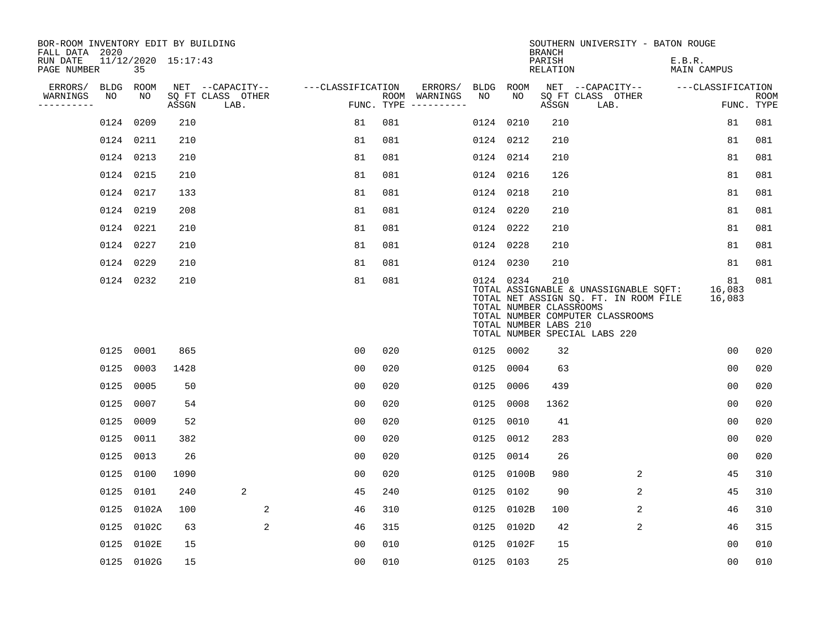| BOR-ROOM INVENTORY EDIT BY BUILDING<br>FALL DATA 2020 |           |            |                     |                                       |                   |     |                                    |           |            | <b>BRANCH</b>                                           | SOUTHERN UNIVERSITY - BATON ROUGE                                                                                                                   |                              |             |
|-------------------------------------------------------|-----------|------------|---------------------|---------------------------------------|-------------------|-----|------------------------------------|-----------|------------|---------------------------------------------------------|-----------------------------------------------------------------------------------------------------------------------------------------------------|------------------------------|-------------|
| RUN DATE<br>PAGE NUMBER                               |           | 35         | 11/12/2020 15:17:43 |                                       |                   |     |                                    |           |            | PARISH<br>RELATION                                      |                                                                                                                                                     | E.B.R.<br><b>MAIN CAMPUS</b> |             |
| ERRORS/ BLDG ROOM<br>WARNINGS                         | NO        | NO         |                     | NET --CAPACITY--<br>SQ FT CLASS OTHER | ---CLASSIFICATION |     | ERRORS/ BLDG ROOM<br>ROOM WARNINGS | NO        | NO         |                                                         | NET --CAPACITY--<br>SQ FT CLASS OTHER                                                                                                               | ---CLASSIFICATION            | <b>ROOM</b> |
| ----------                                            |           |            | ASSGN               | LAB.                                  |                   |     | FUNC. TYPE $------$                |           |            | ASSGN                                                   | LAB.                                                                                                                                                |                              | FUNC. TYPE  |
|                                                       | 0124 0209 |            | 210                 |                                       | 81                | 081 |                                    | 0124 0210 |            | 210                                                     |                                                                                                                                                     | 81                           | 081         |
|                                                       | 0124 0211 |            | 210                 |                                       | 81                | 081 |                                    |           | 0124 0212  | 210                                                     |                                                                                                                                                     | 81                           | 081         |
|                                                       | 0124 0213 |            | 210                 |                                       | 81                | 081 |                                    | 0124 0214 |            | 210                                                     |                                                                                                                                                     | 81                           | 081         |
|                                                       | 0124 0215 |            | 210                 |                                       | 81                | 081 |                                    | 0124 0216 |            | 126                                                     |                                                                                                                                                     | 81                           | 081         |
|                                                       | 0124 0217 |            | 133                 |                                       | 81                | 081 |                                    | 0124 0218 |            | 210                                                     |                                                                                                                                                     | 81                           | 081         |
|                                                       | 0124 0219 |            | 208                 |                                       | 81                | 081 |                                    | 0124 0220 |            | 210                                                     |                                                                                                                                                     | 81                           | 081         |
|                                                       | 0124 0221 |            | 210                 |                                       | 81                | 081 |                                    | 0124 0222 |            | 210                                                     |                                                                                                                                                     | 81                           | 081         |
|                                                       | 0124 0227 |            | 210                 |                                       | 81                | 081 |                                    | 0124 0228 |            | 210                                                     |                                                                                                                                                     | 81                           | 081         |
|                                                       | 0124 0229 |            | 210                 |                                       | 81                | 081 |                                    | 0124 0230 |            | 210                                                     |                                                                                                                                                     | 81                           | 081         |
|                                                       | 0124 0232 |            | 210                 |                                       | 81                | 081 |                                    | 0124 0234 |            | 210<br>TOTAL NUMBER CLASSROOMS<br>TOTAL NUMBER LABS 210 | TOTAL ASSIGNABLE & UNASSIGNABLE SQFT:<br>TOTAL NET ASSIGN SQ. FT. IN ROOM FILE<br>TOTAL NUMBER COMPUTER CLASSROOMS<br>TOTAL NUMBER SPECIAL LABS 220 | 81<br>16,083<br>16,083       | 081         |
|                                                       | 0125 0001 |            | 865                 |                                       | 0 <sub>0</sub>    | 020 |                                    | 0125 0002 |            | 32                                                      |                                                                                                                                                     | 0 <sub>0</sub>               | 020         |
|                                                       | 0125      | 0003       | 1428                |                                       | 0 <sub>0</sub>    | 020 |                                    |           | 0125 0004  | 63                                                      |                                                                                                                                                     | 0 <sub>0</sub>               | 020         |
|                                                       | 0125      | 0005       | 50                  |                                       | 0 <sub>0</sub>    | 020 |                                    | 0125      | 0006       | 439                                                     |                                                                                                                                                     | 00                           | 020         |
|                                                       | 0125 0007 |            | 54                  |                                       | 0 <sub>0</sub>    | 020 |                                    | 0125      | 0008       | 1362                                                    |                                                                                                                                                     | 0 <sub>0</sub>               | 020         |
|                                                       | 0125      | 0009       | 52                  |                                       | 0 <sub>0</sub>    | 020 |                                    | 0125      | 0010       | 41                                                      |                                                                                                                                                     | 0 <sub>0</sub>               | 020         |
|                                                       | 0125 0011 |            | 382                 |                                       | 0 <sub>0</sub>    | 020 |                                    |           | 0125 0012  | 283                                                     |                                                                                                                                                     | 0 <sub>0</sub>               | 020         |
|                                                       | 0125      | 0013       | 26                  |                                       | 0 <sub>0</sub>    | 020 |                                    | 0125      | 0014       | 26                                                      |                                                                                                                                                     | 00                           | 020         |
|                                                       | 0125 0100 |            | 1090                |                                       | 0 <sub>0</sub>    | 020 |                                    |           | 0125 0100B | 980                                                     | 2                                                                                                                                                   | 45                           | 310         |
|                                                       | 0125      | 0101       | 240                 | 2                                     | 45                | 240 |                                    | 0125      | 0102       | 90                                                      | $\overline{2}$                                                                                                                                      | 45                           | 310         |
|                                                       |           | 0125 0102A | 100                 | 2                                     | 46                | 310 |                                    |           | 0125 0102B | 100                                                     | 2                                                                                                                                                   | 46                           | 310         |
|                                                       |           | 0125 0102C | 63                  | 2                                     | 46                | 315 |                                    | 0125      | 0102D      | 42                                                      | 2                                                                                                                                                   | 46                           | 315         |
|                                                       |           | 0125 0102E | 15                  |                                       | 0 <sub>0</sub>    | 010 |                                    |           | 0125 0102F | 15                                                      |                                                                                                                                                     | 0 <sub>0</sub>               | 010         |
|                                                       |           | 0125 0102G | 15                  |                                       | 0 <sub>0</sub>    | 010 |                                    | 0125 0103 |            | 25                                                      |                                                                                                                                                     | 00                           | 010         |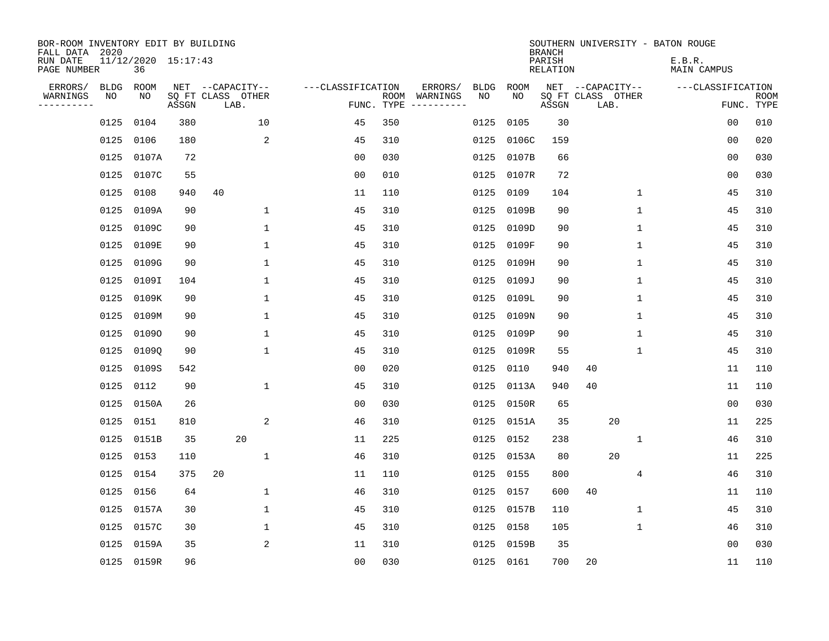| BOR-ROOM INVENTORY EDIT BY BUILDING<br>FALL DATA 2020 |             |                           |       |                           |                   |                    |                         |      |             | <b>BRANCH</b>             |                           | SOUTHERN UNIVERSITY - BATON ROUGE |                |                           |
|-------------------------------------------------------|-------------|---------------------------|-------|---------------------------|-------------------|--------------------|-------------------------|------|-------------|---------------------------|---------------------------|-----------------------------------|----------------|---------------------------|
| RUN DATE<br>PAGE NUMBER                               |             | 11/12/2020 15:17:43<br>36 |       |                           |                   |                    |                         |      |             | PARISH<br><b>RELATION</b> |                           | E.B.R.<br>MAIN CAMPUS             |                |                           |
| ERRORS/                                               | <b>BLDG</b> | ROOM                      |       | NET --CAPACITY--          | ---CLASSIFICATION |                    | ERRORS/                 | BLDG | <b>ROOM</b> |                           | NET --CAPACITY--          | ---CLASSIFICATION                 |                |                           |
| WARNINGS<br>----------                                | NO          | ΝO                        | ASSGN | SQ FT CLASS OTHER<br>LAB. |                   | ROOM<br>FUNC. TYPE | WARNINGS<br>----------- | NO   | NO          | ASSGN                     | SQ FT CLASS OTHER<br>LAB. |                                   |                | <b>ROOM</b><br>FUNC. TYPE |
|                                                       | 0125        | 0104                      | 380   | 10                        | 45                | 350                |                         | 0125 | 0105        | 30                        |                           |                                   | 00             | 010                       |
|                                                       | 0125        | 0106                      | 180   | 2                         | 45                | 310                |                         | 0125 | 0106C       | 159                       |                           |                                   | 00             | 020                       |
|                                                       | 0125        | 0107A                     | 72    |                           | 0 <sub>0</sub>    | 030                |                         | 0125 | 0107B       | 66                        |                           |                                   | 00             | 030                       |
|                                                       | 0125        | 0107C                     | 55    |                           | 0 <sub>0</sub>    | 010                |                         | 0125 | 0107R       | 72                        |                           |                                   | 0 <sub>0</sub> | 030                       |
|                                                       | 0125        | 0108                      | 940   | 40                        | 11                | 110                |                         | 0125 | 0109        | 104                       | $\mathbf 1$               |                                   | 45             | 310                       |
|                                                       | 0125        | 0109A                     | 90    | $\mathbf 1$               | 45                | 310                |                         | 0125 | 0109B       | 90                        | $\mathbf 1$               |                                   | 45             | 310                       |
|                                                       | 0125        | 0109C                     | 90    | $\mathbf{1}$              | 45                | 310                |                         | 0125 | 0109D       | 90                        | $\mathbf 1$               |                                   | 45             | 310                       |
|                                                       | 0125        | 0109E                     | 90    | $\mathbf{1}$              | 45                | 310                |                         | 0125 | 0109F       | 90                        | $\mathbf{1}$              |                                   | 45             | 310                       |
|                                                       | 0125        | 0109G                     | 90    | $\mathbf{1}$              | 45                | 310                |                         | 0125 | 0109H       | 90                        | 1                         |                                   | 45             | 310                       |
|                                                       | 0125        | 0109I                     | 104   | 1                         | 45                | 310                |                         | 0125 | 0109J       | 90                        | 1                         |                                   | 45             | 310                       |
|                                                       | 0125        | 0109K                     | 90    | 1                         | 45                | 310                |                         | 0125 | 0109L       | 90                        | 1                         |                                   | 45             | 310                       |
|                                                       | 0125        | 0109M                     | 90    | 1                         | 45                | 310                |                         | 0125 | 0109N       | 90                        | 1                         |                                   | 45             | 310                       |
|                                                       | 0125        | 01090                     | 90    | $\mathbf 1$               | 45                | 310                |                         | 0125 | 0109P       | 90                        | 1                         |                                   | 45             | 310                       |
|                                                       | 0125        | 01090                     | 90    | 1                         | 45                | 310                |                         | 0125 | 0109R       | 55                        | 1                         |                                   | 45             | 310                       |
|                                                       | 0125        | 0109S                     | 542   |                           | 0 <sub>0</sub>    | 020                |                         | 0125 | 0110        | 940                       | 40                        |                                   | 11             | 110                       |
|                                                       | 0125        | 0112                      | 90    | $\mathbf{1}$              | 45                | 310                |                         | 0125 | 0113A       | 940                       | 40                        |                                   | 11             | 110                       |
|                                                       | 0125        | 0150A                     | 26    |                           | 00                | 030                |                         | 0125 | 0150R       | 65                        |                           |                                   | 0 <sub>0</sub> | 030                       |
|                                                       | 0125        | 0151                      | 810   | 2                         | 46                | 310                |                         | 0125 | 0151A       | 35                        | 20                        |                                   | 11             | 225                       |
|                                                       | 0125        | 0151B                     | 35    | 20                        | 11                | 225                |                         | 0125 | 0152        | 238                       | 1                         |                                   | 46             | 310                       |
|                                                       | 0125        | 0153                      | 110   | $\mathbf 1$               | 46                | 310                |                         | 0125 | 0153A       | 80                        | 20                        |                                   | 11             | 225                       |
|                                                       | 0125        | 0154                      | 375   | 20                        | 11                | 110                |                         | 0125 | 0155        | 800                       | 4                         |                                   | 46             | 310                       |
|                                                       | 0125        | 0156                      | 64    | $\mathbf 1$               | 46                | 310                |                         | 0125 | 0157        | 600                       | 40                        |                                   | 11             | 110                       |
|                                                       | 0125        | 0157A                     | 30    | 1                         | 45                | 310                |                         | 0125 | 0157B       | 110                       | 1                         |                                   | 45             | 310                       |
|                                                       | 0125        | 0157C                     | 30    | $\mathbf 1$               | 45                | 310                |                         | 0125 | 0158        | 105                       | $\mathbf{1}$              |                                   | 46             | 310                       |
|                                                       | 0125        | 0159A                     | 35    | 2                         | 11                | 310                |                         | 0125 | 0159B       | 35                        |                           |                                   | 0 <sub>0</sub> | 030                       |
|                                                       |             | 0125 0159R                | 96    |                           | 0 <sub>0</sub>    | 030                |                         |      | 0125 0161   | 700                       | 20                        |                                   | 11             | 110                       |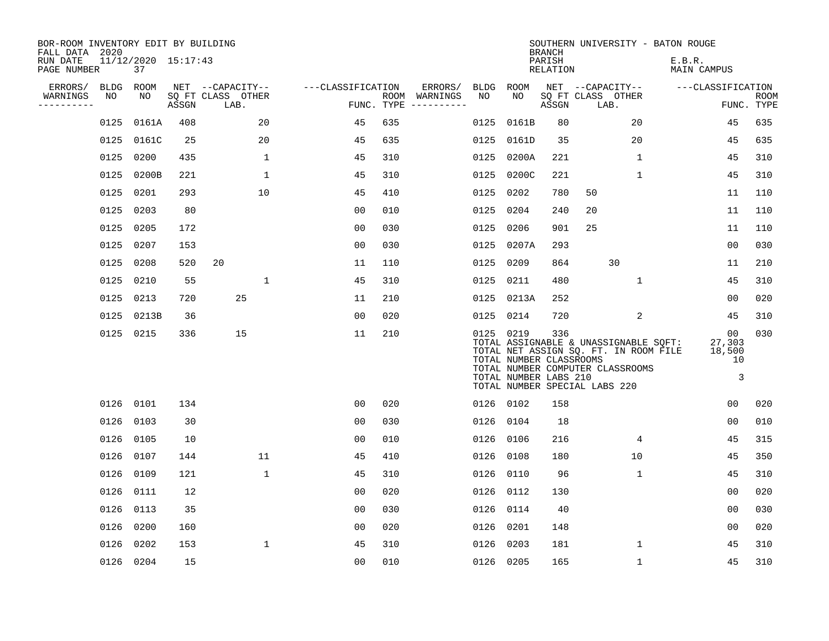| BOR-ROOM INVENTORY EDIT BY BUILDING<br>FALL DATA 2020 |             |                           |       |                           |                   |     |                                      |           |                                                               | <b>BRANCH</b>      | SOUTHERN UNIVERSITY - BATON ROUGE                                                                                                                   |                                   |                           |
|-------------------------------------------------------|-------------|---------------------------|-------|---------------------------|-------------------|-----|--------------------------------------|-----------|---------------------------------------------------------------|--------------------|-----------------------------------------------------------------------------------------------------------------------------------------------------|-----------------------------------|---------------------------|
| RUN DATE<br>PAGE NUMBER                               |             | 11/12/2020 15:17:43<br>37 |       |                           |                   |     |                                      |           |                                                               | PARISH<br>RELATION |                                                                                                                                                     | E.B.R.<br>MAIN CAMPUS             |                           |
| ERRORS/                                               | <b>BLDG</b> | ROOM                      |       | NET --CAPACITY--          | ---CLASSIFICATION |     | ERRORS/                              | BLDG ROOM |                                                               |                    | NET --CAPACITY--                                                                                                                                    | ---CLASSIFICATION                 |                           |
| WARNINGS<br>-----------                               | NO          | NO                        | ASSGN | SQ FT CLASS OTHER<br>LAB. |                   |     | ROOM WARNINGS<br>FUNC. TYPE $------$ | NO        | NO                                                            | ASSGN              | SQ FT CLASS OTHER<br>LAB.                                                                                                                           |                                   | <b>ROOM</b><br>FUNC. TYPE |
|                                                       | 0125        | 0161A                     | 408   | 20                        | 45                | 635 |                                      | 0125      | 0161B                                                         | 80                 | 20                                                                                                                                                  | 45                                | 635                       |
|                                                       |             | 0125 0161C                | 25    | 20                        | 45                | 635 |                                      | 0125      | 0161D                                                         | 35                 | 20                                                                                                                                                  | 45                                | 635                       |
|                                                       | 0125 0200   |                           | 435   | $\mathbf 1$               | 45                | 310 |                                      | 0125      | 0200A                                                         | 221                | $\mathbf{1}$                                                                                                                                        | 45                                | 310                       |
|                                                       |             | 0125 0200B                | 221   | $\mathbf{1}$              | 45                | 310 |                                      | 0125      | 0200C                                                         | 221                | $\mathbf{1}$                                                                                                                                        | 45                                | 310                       |
|                                                       | 0125        | 0201                      | 293   | 10                        | 45                | 410 |                                      | 0125      | 0202                                                          | 780                | 50                                                                                                                                                  | 11                                | 110                       |
|                                                       | 0125 0203   |                           | 80    |                           | 0 <sub>0</sub>    | 010 |                                      | 0125      | 0204                                                          | 240                | 20                                                                                                                                                  | 11                                | 110                       |
|                                                       | 0125 0205   |                           | 172   |                           | 00                | 030 |                                      | 0125      | 0206                                                          | 901                | 25                                                                                                                                                  | 11                                | 110                       |
|                                                       | 0125 0207   |                           | 153   |                           | 0 <sub>0</sub>    | 030 |                                      |           | 0125 0207A                                                    | 293                |                                                                                                                                                     | 0 <sub>0</sub>                    | 030                       |
|                                                       | 0125        | 0208                      | 520   | 20                        | 11                | 110 |                                      | 0125      | 0209                                                          | 864                | 30                                                                                                                                                  | 11                                | 210                       |
|                                                       | 0125        | 0210                      | 55    | 1                         | 45                | 310 |                                      |           | 0125 0211                                                     | 480                | 1                                                                                                                                                   | 45                                | 310                       |
|                                                       | 0125        | 0213                      | 720   | 25                        | 11                | 210 |                                      |           | 0125 0213A                                                    | 252                |                                                                                                                                                     | 0 <sub>0</sub>                    | 020                       |
|                                                       | 0125        | 0213B                     | 36    |                           | 0 <sub>0</sub>    | 020 |                                      |           | 0125 0214                                                     | 720                | 2                                                                                                                                                   | 45                                | 310                       |
|                                                       | 0125 0215   |                           | 336   | 15                        | 11                | 210 |                                      |           | 0125 0219<br>TOTAL NUMBER CLASSROOMS<br>TOTAL NUMBER LABS 210 | 336                | TOTAL ASSIGNABLE & UNASSIGNABLE SQFT:<br>TOTAL NET ASSIGN SQ. FT. IN ROOM FILE<br>TOTAL NUMBER COMPUTER CLASSROOMS<br>TOTAL NUMBER SPECIAL LABS 220 | 00<br>27,303<br>18,500<br>10<br>3 | 030                       |
|                                                       | 0126 0101   |                           | 134   |                           | 0 <sub>0</sub>    | 020 |                                      |           | 0126 0102                                                     | 158                |                                                                                                                                                     | 00                                | 020                       |
|                                                       | 0126 0103   |                           | 30    |                           | 0 <sub>0</sub>    | 030 |                                      |           | 0126 0104                                                     | 18                 |                                                                                                                                                     | 00                                | 010                       |
|                                                       | 0126 0105   |                           | 10    |                           | 0 <sub>0</sub>    | 010 |                                      |           | 0126 0106                                                     | 216                | 4                                                                                                                                                   | 45                                | 315                       |
|                                                       | 0126 0107   |                           | 144   | 11                        | 45                | 410 |                                      | 0126      | 0108                                                          | 180                | 10                                                                                                                                                  | 45                                | 350                       |
|                                                       | 0126 0109   |                           | 121   | $\mathbf{1}$              | 45                | 310 |                                      | 0126      | 0110                                                          | 96                 | $\mathbf{1}$                                                                                                                                        | 45                                | 310                       |
|                                                       | 0126 0111   |                           | 12    |                           | 0 <sub>0</sub>    | 020 |                                      | 0126      | 0112                                                          | 130                |                                                                                                                                                     | 0 <sub>0</sub>                    | 020                       |
|                                                       | 0126 0113   |                           | 35    |                           | 0 <sub>0</sub>    | 030 |                                      | 0126      | 0114                                                          | 40                 |                                                                                                                                                     | 0 <sub>0</sub>                    | 030                       |
|                                                       | 0126 0200   |                           | 160   |                           | 0 <sub>0</sub>    | 020 |                                      | 0126      | 0201                                                          | 148                |                                                                                                                                                     | 0 <sub>0</sub>                    | 020                       |
|                                                       | 0126        | 0202                      | 153   | $\mathbf 1$               | 45                | 310 |                                      | 0126      | 0203                                                          | 181                | 1                                                                                                                                                   | 45                                | 310                       |
|                                                       | 0126 0204   |                           | 15    |                           | 0 <sub>0</sub>    | 010 |                                      |           | 0126 0205                                                     | 165                | 1                                                                                                                                                   | 45                                | 310                       |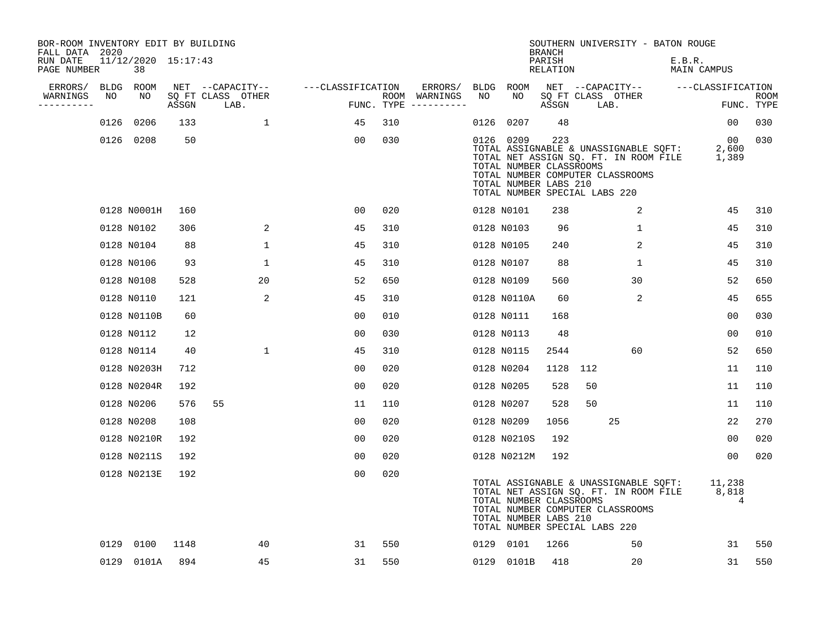| BOR-ROOM INVENTORY EDIT BY BUILDING<br>FALL DATA 2020 |      |                               |       |                           |                   |     |                                      |      |                                                               | <b>BRANCH</b>      | SOUTHERN UNIVERSITY - BATON ROUGE                                                                                                                   |                              |                           |
|-------------------------------------------------------|------|-------------------------------|-------|---------------------------|-------------------|-----|--------------------------------------|------|---------------------------------------------------------------|--------------------|-----------------------------------------------------------------------------------------------------------------------------------------------------|------------------------------|---------------------------|
| RUN DATE<br>PAGE NUMBER                               |      | $11/12/2020$ $15:17:43$<br>38 |       |                           |                   |     |                                      |      |                                                               | PARISH<br>RELATION |                                                                                                                                                     | E.B.R.<br><b>MAIN CAMPUS</b> |                           |
| ERRORS/                                               |      | BLDG ROOM                     |       | NET --CAPACITY--          | ---CLASSIFICATION |     | ERRORS/                              |      | BLDG ROOM                                                     |                    | NET --CAPACITY-- ----CLASSIFICATION                                                                                                                 |                              |                           |
| WARNINGS<br>----------                                | NO   | NO                            | ASSGN | SQ FT CLASS OTHER<br>LAB. |                   |     | ROOM WARNINGS<br>FUNC. TYPE $------$ | NO   | NO.                                                           | ASSGN              | SQ FT CLASS OTHER<br>LAB.                                                                                                                           |                              | <b>ROOM</b><br>FUNC. TYPE |
|                                                       | 0126 | 0206                          | 133   | $\mathbf{1}$              | 45                | 310 |                                      | 0126 | 0207                                                          | 48                 |                                                                                                                                                     | 00                           | 030                       |
|                                                       |      | 0126 0208                     | 50    |                           | 00                | 030 |                                      |      | 0126 0209<br>TOTAL NUMBER CLASSROOMS<br>TOTAL NUMBER LABS 210 | 223                | TOTAL ASSIGNABLE & UNASSIGNABLE SQFT:<br>TOTAL NET ASSIGN SQ. FT. IN ROOM FILE<br>TOTAL NUMBER COMPUTER CLASSROOMS<br>TOTAL NUMBER SPECIAL LABS 220 | 00<br>2,600<br>1,389         | 030                       |
|                                                       |      | 0128 N0001H                   | 160   |                           | 0 <sub>0</sub>    | 020 |                                      |      | 0128 N0101                                                    | 238                | 2                                                                                                                                                   | 45                           | 310                       |
|                                                       |      | 0128 N0102                    | 306   | 2                         | 45                | 310 |                                      |      | 0128 N0103                                                    | 96                 | $\mathbf{1}$                                                                                                                                        | 45                           | 310                       |
|                                                       |      | 0128 N0104                    | 88    | $\mathbf{1}$              | 45                | 310 |                                      |      | 0128 N0105                                                    | 240                | $\overline{2}$                                                                                                                                      | 45                           | 310                       |
|                                                       |      | 0128 N0106                    | 93    | $\mathbf 1$               | 45                | 310 |                                      |      | 0128 N0107                                                    | 88                 | $\mathbf{1}$                                                                                                                                        | 45                           | 310                       |
|                                                       |      | 0128 N0108                    | 528   | 20                        | 52                | 650 |                                      |      | 0128 N0109                                                    | 560                | 30                                                                                                                                                  | 52                           | 650                       |
|                                                       |      | 0128 N0110                    | 121   | 2                         | 45                | 310 |                                      |      | 0128 N0110A                                                   | 60                 | 2                                                                                                                                                   | 45                           | 655                       |
|                                                       |      | 0128 N0110B                   | 60    |                           | 0 <sub>0</sub>    | 010 |                                      |      | 0128 N0111                                                    | 168                |                                                                                                                                                     | 00                           | 030                       |
|                                                       |      | 0128 N0112                    | 12    |                           | 00                | 030 |                                      |      | 0128 N0113                                                    | 48                 |                                                                                                                                                     | 0 <sub>0</sub>               | 010                       |
|                                                       |      | 0128 N0114                    | 40    | $\mathbf{1}$              | 45                | 310 |                                      |      | 0128 N0115                                                    | 2544               | 60                                                                                                                                                  | 52                           | 650                       |
|                                                       |      | 0128 N0203H                   | 712   |                           | 0 <sub>0</sub>    | 020 |                                      |      | 0128 N0204                                                    | 1128               | 112                                                                                                                                                 | 11                           | 110                       |
|                                                       |      | 0128 N0204R                   | 192   |                           | 00                | 020 |                                      |      | 0128 N0205                                                    | 528                | 50                                                                                                                                                  | 11                           | 110                       |
|                                                       |      | 0128 N0206                    | 576   | 55                        | 11                | 110 |                                      |      | 0128 N0207                                                    | 528                | 50                                                                                                                                                  | 11                           | 110                       |
|                                                       |      | 0128 N0208                    | 108   |                           | 0 <sub>0</sub>    | 020 |                                      |      | 0128 N0209                                                    | 1056               | 25                                                                                                                                                  | 22                           | 270                       |
|                                                       |      | 0128 N0210R                   | 192   |                           | 0 <sub>0</sub>    | 020 |                                      |      | 0128 N0210S                                                   | 192                |                                                                                                                                                     | 0 <sub>0</sub>               | 020                       |
|                                                       |      | 0128 N0211S                   | 192   |                           | 0 <sub>0</sub>    | 020 |                                      |      | 0128 N0212M                                                   | 192                |                                                                                                                                                     | 00                           | 020                       |
|                                                       |      | 0128 N0213E                   | 192   |                           | 0 <sub>0</sub>    | 020 |                                      |      | TOTAL NUMBER CLASSROOMS<br>TOTAL NUMBER LABS 210              |                    | TOTAL ASSIGNABLE & UNASSIGNABLE SQFT:<br>TOTAL NET ASSIGN SQ. FT. IN ROOM FILE<br>TOTAL NUMBER COMPUTER CLASSROOMS<br>TOTAL NUMBER SPECIAL LABS 220 | 11,238<br>8,818<br>4         |                           |
|                                                       | 0129 | 0100                          | 1148  | 40                        | 31                | 550 |                                      |      | 0129 0101                                                     | 1266               | 50                                                                                                                                                  | 31                           | 550                       |
|                                                       |      | 0129 0101A                    | 894   | 45                        | 31                | 550 |                                      |      | 0129 0101B                                                    | 418                | 20                                                                                                                                                  | 31                           | 550                       |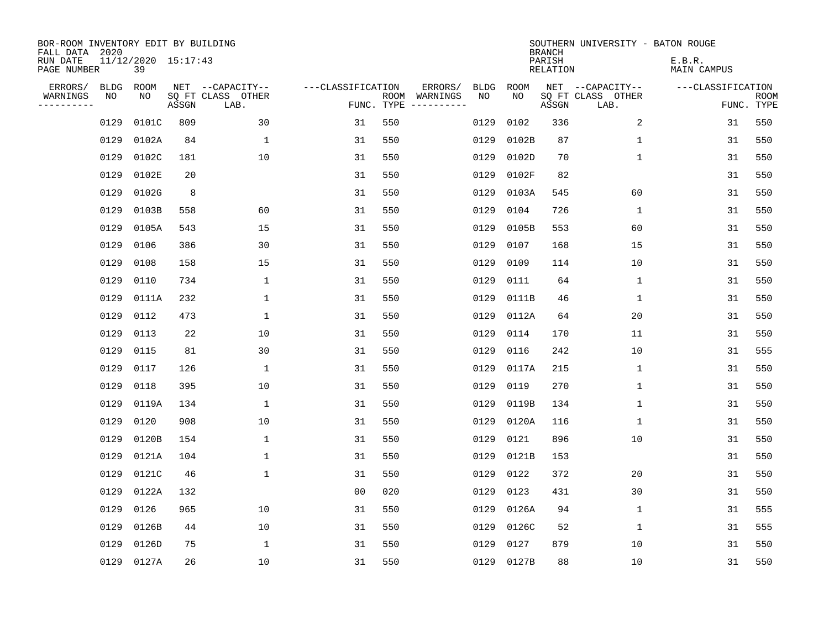| BOR-ROOM INVENTORY EDIT BY BUILDING<br>FALL DATA 2020 |             |                           |       |                           |                   |            |                              |             |            | <b>BRANCH</b>             | SOUTHERN UNIVERSITY - BATON ROUGE |                              |                           |
|-------------------------------------------------------|-------------|---------------------------|-------|---------------------------|-------------------|------------|------------------------------|-------------|------------|---------------------------|-----------------------------------|------------------------------|---------------------------|
| RUN DATE<br>PAGE NUMBER                               |             | 11/12/2020 15:17:43<br>39 |       |                           |                   |            |                              |             |            | PARISH<br><b>RELATION</b> |                                   | E.B.R.<br><b>MAIN CAMPUS</b> |                           |
| ERRORS/                                               | <b>BLDG</b> | ROOM                      |       | NET --CAPACITY--          | ---CLASSIFICATION |            | ERRORS/                      | <b>BLDG</b> | ROOM       |                           | NET --CAPACITY--                  | ---CLASSIFICATION            |                           |
| WARNINGS<br>----------                                | NO          | NO                        | ASSGN | SQ FT CLASS OTHER<br>LAB. |                   | FUNC. TYPE | ROOM WARNINGS<br>----------- | NO          | NO         | ASSGN                     | SQ FT CLASS OTHER<br>LAB.         |                              | <b>ROOM</b><br>FUNC. TYPE |
|                                                       | 0129        | 0101C                     | 809   | 30                        | 31                | 550        |                              | 0129        | 0102       | 336                       | 2                                 | 31                           | 550                       |
|                                                       | 0129        | 0102A                     | 84    | 1                         | 31                | 550        |                              | 0129        | 0102B      | 87                        | $\mathbf 1$                       | 31                           | 550                       |
|                                                       | 0129        | 0102C                     | 181   | 10                        | 31                | 550        |                              | 0129        | 0102D      | 70                        | 1                                 | 31                           | 550                       |
|                                                       | 0129        | 0102E                     | 20    |                           | 31                | 550        |                              | 0129        | 0102F      | 82                        |                                   | 31                           | 550                       |
|                                                       | 0129        | 0102G                     | 8     |                           | 31                | 550        |                              | 0129        | 0103A      | 545                       | 60                                | 31                           | 550                       |
|                                                       | 0129        | 0103B                     | 558   | 60                        | 31                | 550        |                              | 0129        | 0104       | 726                       | $\mathbf{1}$                      | 31                           | 550                       |
|                                                       | 0129        | 0105A                     | 543   | 15                        | 31                | 550        |                              | 0129        | 0105B      | 553                       | 60                                | 31                           | 550                       |
|                                                       | 0129        | 0106                      | 386   | 30                        | 31                | 550        |                              | 0129        | 0107       | 168                       | 15                                | 31                           | 550                       |
|                                                       | 0129        | 0108                      | 158   | 15                        | 31                | 550        |                              | 0129        | 0109       | 114                       | 10                                | 31                           | 550                       |
|                                                       | 0129        | 0110                      | 734   | 1                         | 31                | 550        |                              | 0129        | 0111       | 64                        | $\mathbf 1$                       | 31                           | 550                       |
|                                                       | 0129        | 0111A                     | 232   | $\mathbf{1}$              | 31                | 550        |                              | 0129        | 0111B      | 46                        | $\mathbf 1$                       | 31                           | 550                       |
|                                                       | 0129        | 0112                      | 473   | $\mathbf{1}$              | 31                | 550        |                              | 0129        | 0112A      | 64                        | 20                                | 31                           | 550                       |
|                                                       | 0129        | 0113                      | 22    | 10                        | 31                | 550        |                              | 0129        | 0114       | 170                       | 11                                | 31                           | 550                       |
|                                                       | 0129        | 0115                      | 81    | 30                        | 31                | 550        |                              | 0129        | 0116       | 242                       | 10                                | 31                           | 555                       |
|                                                       | 0129        | 0117                      | 126   | 1                         | 31                | 550        |                              | 0129        | 0117A      | 215                       | 1                                 | 31                           | 550                       |
|                                                       | 0129        | 0118                      | 395   | 10                        | 31                | 550        |                              | 0129        | 0119       | 270                       | $\mathbf 1$                       | 31                           | 550                       |
|                                                       | 0129        | 0119A                     | 134   | $\mathbf{1}$              | 31                | 550        |                              | 0129        | 0119B      | 134                       | $\mathbf 1$                       | 31                           | 550                       |
|                                                       | 0129        | 0120                      | 908   | 10                        | 31                | 550        |                              | 0129        | 0120A      | 116                       | 1                                 | 31                           | 550                       |
|                                                       | 0129        | 0120B                     | 154   | 1                         | 31                | 550        |                              | 0129        | 0121       | 896                       | 10                                | 31                           | 550                       |
|                                                       | 0129        | 0121A                     | 104   | $\mathbf{1}$              | 31                | 550        |                              | 0129        | 0121B      | 153                       |                                   | 31                           | 550                       |
|                                                       | 0129        | 0121C                     | 46    | 1                         | 31                | 550        |                              | 0129        | 0122       | 372                       | 20                                | 31                           | 550                       |
|                                                       | 0129        | 0122A                     | 132   |                           | 00                | 020        |                              | 0129        | 0123       | 431                       | 30                                | 31                           | 550                       |
|                                                       | 0129        | 0126                      | 965   | 10                        | 31                | 550        |                              | 0129        | 0126A      | 94                        | 1                                 | 31                           | 555                       |
|                                                       | 0129        | 0126B                     | 44    | 10                        | 31                | 550        |                              | 0129        | 0126C      | 52                        | $\mathbf 1$                       | 31                           | 555                       |
|                                                       | 0129        | 0126D                     | 75    | $\mathbf{1}$              | 31                | 550        |                              | 0129        | 0127       | 879                       | 10                                | 31                           | 550                       |
|                                                       |             | 0129 0127A                | 26    | 10                        | 31                | 550        |                              |             | 0129 0127B | 88                        | 10                                | 31                           | 550                       |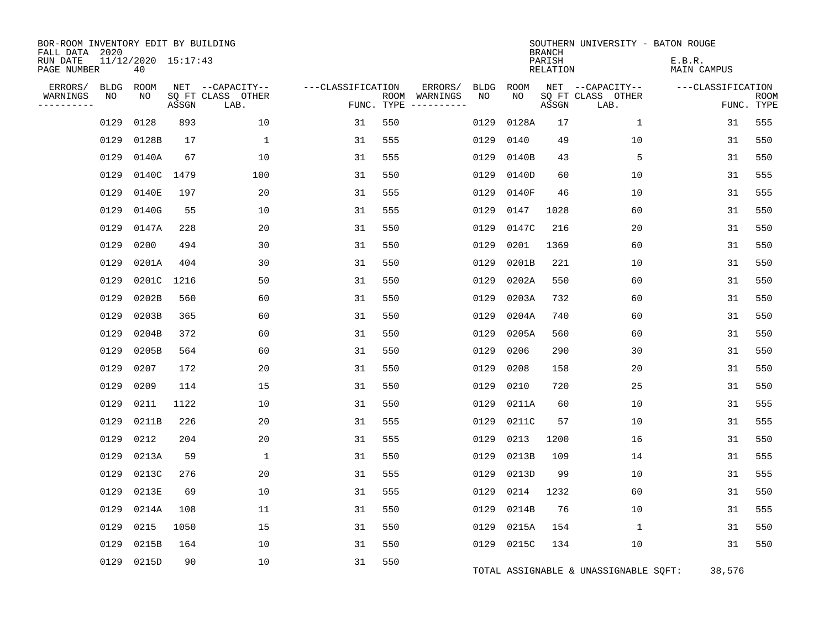| BOR-ROOM INVENTORY EDIT BY BUILDING<br>FALL DATA 2020<br>RUN DATE<br>PAGE NUMBER |                   | 11/12/2020 15:17:43<br>40 |       |                                               |                   |      |                                            |             |                    | <b>BRANCH</b><br>PARISH<br>RELATION | SOUTHERN UNIVERSITY - BATON ROUGE             | E.B.R.<br>MAIN CAMPUS |                           |
|----------------------------------------------------------------------------------|-------------------|---------------------------|-------|-----------------------------------------------|-------------------|------|--------------------------------------------|-------------|--------------------|-------------------------------------|-----------------------------------------------|-----------------------|---------------------------|
| ERRORS/<br>WARNINGS<br>----------                                                | <b>BLDG</b><br>NO | <b>ROOM</b><br>NO.        | ASSGN | NET --CAPACITY--<br>SO FT CLASS OTHER<br>LAB. | ---CLASSIFICATION | ROOM | ERRORS/<br>WARNINGS<br>FUNC. TYPE $------$ | BLDG<br>NO. | <b>ROOM</b><br>NO. | ASSGN                               | NET --CAPACITY--<br>SQ FT CLASS OTHER<br>LAB. | ---CLASSIFICATION     | <b>ROOM</b><br>FUNC. TYPE |
|                                                                                  | 0129              | 0128                      | 893   | 10                                            | 31                | 550  |                                            | 0129        | 0128A              | 17                                  | 1                                             | 31                    | 555                       |
|                                                                                  | 0129              | 0128B                     | 17    | $\mathbf 1$                                   | 31                | 555  |                                            | 0129        | 0140               | 49                                  | 10                                            | 31                    | 550                       |
|                                                                                  | 0129              | 0140A                     | 67    | 10                                            | 31                | 555  |                                            | 0129        | 0140B              | 43                                  | 5                                             | 31                    | 550                       |
|                                                                                  | 0129              | 0140C                     | 1479  | 100                                           | 31                | 550  |                                            | 0129        | 0140D              | 60                                  | 10                                            | 31                    | 555                       |
|                                                                                  | 0129              | 0140E                     | 197   | 20                                            | 31                | 555  |                                            | 0129        | 0140F              | 46                                  | 10                                            | 31                    | 555                       |
|                                                                                  | 0129              | 0140G                     | 55    | 10                                            | 31                | 555  |                                            | 0129        | 0147               | 1028                                | 60                                            | 31                    | 550                       |
|                                                                                  | 0129              | 0147A                     | 228   | 20                                            | 31                | 550  |                                            | 0129        | 0147C              | 216                                 | 20                                            | 31                    | 550                       |
|                                                                                  | 0129              | 0200                      | 494   | 30                                            | 31                | 550  |                                            | 0129        | 0201               | 1369                                | 60                                            | 31                    | 550                       |
|                                                                                  | 0129              | 0201A                     | 404   | 30                                            | 31                | 550  |                                            | 0129        | 0201B              | 221                                 | 10                                            | 31                    | 550                       |
|                                                                                  | 0129              | 0201C                     | 1216  | 50                                            | 31                | 550  |                                            | 0129        | 0202A              | 550                                 | 60                                            | 31                    | 550                       |
|                                                                                  | 0129              | 0202B                     | 560   | 60                                            | 31                | 550  |                                            | 0129        | 0203A              | 732                                 | 60                                            | 31                    | 550                       |
|                                                                                  | 0129              | 0203B                     | 365   | 60                                            | 31                | 550  |                                            | 0129        | 0204A              | 740                                 | 60                                            | 31                    | 550                       |
|                                                                                  | 0129              | 0204B                     | 372   | 60                                            | 31                | 550  |                                            | 0129        | 0205A              | 560                                 | 60                                            | 31                    | 550                       |
|                                                                                  | 0129              | 0205B                     | 564   | 60                                            | 31                | 550  |                                            | 0129        | 0206               | 290                                 | 30                                            | 31                    | 550                       |
|                                                                                  | 0129              | 0207                      | 172   | 20                                            | 31                | 550  |                                            | 0129        | 0208               | 158                                 | 20                                            | 31                    | 550                       |
|                                                                                  | 0129              | 0209                      | 114   | 15                                            | 31                | 550  |                                            | 0129        | 0210               | 720                                 | 25                                            | 31                    | 550                       |
|                                                                                  | 0129              | 0211                      | 1122  | 10                                            | 31                | 550  |                                            | 0129        | 0211A              | 60                                  | 10                                            | 31                    | 555                       |
|                                                                                  | 0129              | 0211B                     | 226   | 20                                            | 31                | 555  |                                            | 0129        | 0211C              | 57                                  | 10                                            | 31                    | 555                       |
|                                                                                  | 0129              | 0212                      | 204   | 20                                            | 31                | 555  |                                            | 0129        | 0213               | 1200                                | 16                                            | 31                    | 550                       |
|                                                                                  | 0129              | 0213A                     | 59    | $\mathbf{1}$                                  | 31                | 550  |                                            | 0129        | 0213B              | 109                                 | 14                                            | 31                    | 555                       |
|                                                                                  | 0129              | 0213C                     | 276   | 20                                            | 31                | 555  |                                            | 0129        | 0213D              | 99                                  | 10                                            | 31                    | 555                       |
|                                                                                  | 0129              | 0213E                     | 69    | 10                                            | 31                | 555  |                                            | 0129        | 0214               | 1232                                | 60                                            | 31                    | 550                       |
|                                                                                  | 0129              | 0214A                     | 108   | 11                                            | 31                | 550  |                                            | 0129        | 0214B              | 76                                  | 10                                            | 31                    | 555                       |
|                                                                                  | 0129              | 0215                      | 1050  | 15                                            | 31                | 550  |                                            | 0129        | 0215A              | 154                                 | 1                                             | 31                    | 550                       |
|                                                                                  | 0129              | 0215B                     | 164   | 10                                            | 31                | 550  |                                            | 0129        | 0215C              | 134                                 | 10                                            | 31                    | 550                       |
|                                                                                  | 0129              | 0215D                     | 90    | 10                                            | 31                | 550  |                                            |             |                    |                                     | TOTAL ASSIGNABLE & UNASSIGNABLE SQFT:         | 38,576                |                           |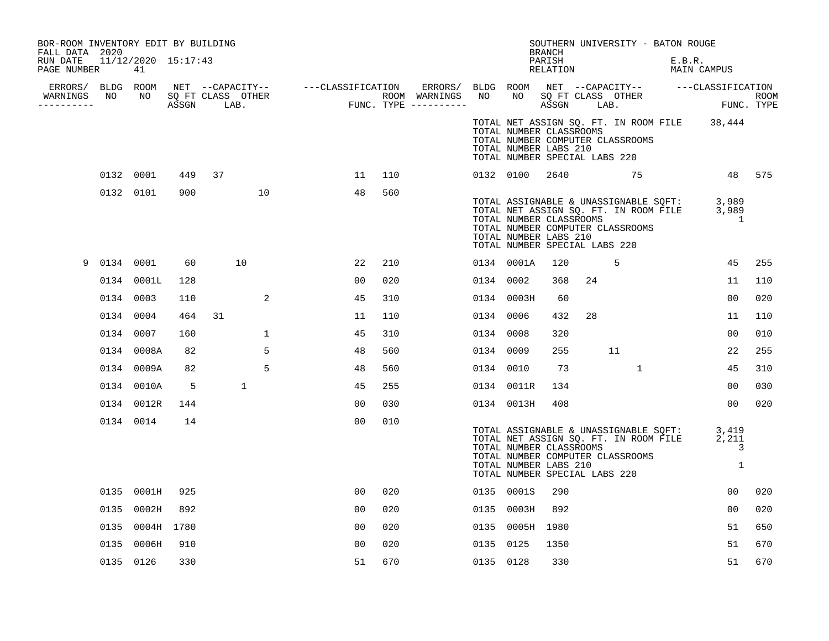| BOR-ROOM INVENTORY EDIT BY BUILDING<br>FALL DATA 2020 |           |                 |     |    |              |                |     |           |                                                                                                                       | <b>BRANCH</b>      |    | SOUTHERN UNIVERSITY - BATON ROUGE |                       |                                                                                                                                    |     |
|-------------------------------------------------------|-----------|-----------------|-----|----|--------------|----------------|-----|-----------|-----------------------------------------------------------------------------------------------------------------------|--------------------|----|-----------------------------------|-----------------------|------------------------------------------------------------------------------------------------------------------------------------|-----|
| RUN DATE 11/12/2020 15:17:43<br>PAGE NUMBER           |           | 41              |     |    |              |                |     |           |                                                                                                                       | PARISH<br>RELATION |    |                                   | E.B.R.<br>MAIN CAMPUS |                                                                                                                                    |     |
|                                                       |           |                 |     |    |              |                |     |           |                                                                                                                       |                    |    |                                   |                       |                                                                                                                                    |     |
| -----------                                           |           |                 |     |    |              |                |     |           |                                                                                                                       |                    |    |                                   |                       |                                                                                                                                    |     |
|                                                       |           |                 |     |    |              |                |     |           | TOTAL NUMBER CLASSROOMS<br>TOTAL NUMBER COMPUTER CLASSROOMS<br>TOTAL NUMBER LABS 210<br>TOTAL NUMBER SPECIAL LABS 220 |                    |    |                                   |                       | TOTAL NET ASSIGN SQ. FT. IN ROOM FILE 38,444                                                                                       |     |
|                                                       | 0132 0001 |                 | 449 | 37 |              | 11             | 110 |           | 0132 0100                                                                                                             | 2640               |    |                                   |                       | 75 48 575                                                                                                                          |     |
|                                                       | 0132 0101 |                 | 900 |    | 10           | 48             | 560 |           | TOTAL NUMBER CLASSROOMS<br>TOTAL NUMBER COMPUTER CLASSROOMS<br>TOTAL NUMBER LABS 210<br>TOTAL NUMBER SPECIAL LABS 220 |                    |    |                                   |                       | TOTAL ASSIGNABLE & UNASSIGNABLE SQFT: 3,989<br>TOTAL NET ASSIGN SQ. FT. IN ROOM FILE 3,989<br>$\overline{\phantom{a}}$             |     |
| 9                                                     | 0134 0001 |                 | 60  |    | 10           | 22             | 210 |           | 0134 0001A                                                                                                            | 120                |    | - 5                               |                       | 45                                                                                                                                 | 255 |
|                                                       |           | 0134 0001L      | 128 |    |              | 00             | 020 | 0134 0002 |                                                                                                                       | 368                | 24 |                                   |                       | 11                                                                                                                                 | 110 |
|                                                       | 0134 0003 |                 | 110 |    | 2            | 45             | 310 |           | 0134 0003H                                                                                                            | 60                 |    |                                   |                       | 00                                                                                                                                 | 020 |
|                                                       | 0134 0004 |                 | 464 | 31 |              | 11             | 110 | 0134 0006 |                                                                                                                       | 432                | 28 |                                   |                       | 11                                                                                                                                 | 110 |
|                                                       | 0134 0007 |                 | 160 |    | $\mathbf{1}$ | 45             | 310 | 0134 0008 |                                                                                                                       | 320                |    |                                   |                       | 0 <sub>0</sub>                                                                                                                     | 010 |
|                                                       |           | 0134 0008A      | 82  |    | 5            | 48             | 560 | 0134 0009 |                                                                                                                       | 255                |    | 11                                |                       | 22                                                                                                                                 | 255 |
|                                                       |           | 0134 0009A      | 82  |    | 5            | 48             | 560 | 0134 0010 |                                                                                                                       | 73                 |    | $\mathbf{1}$                      |                       | 45                                                                                                                                 | 310 |
|                                                       |           | 0134 0010A      | 5   |    | $\mathbf{1}$ | 45             | 255 |           | 0134 0011R                                                                                                            | 134                |    |                                   |                       | 00                                                                                                                                 | 030 |
|                                                       |           | 0134 0012R      | 144 |    |              | 0 <sub>0</sub> | 030 |           | 0134 0013H                                                                                                            | 408                |    |                                   |                       | 00                                                                                                                                 | 020 |
|                                                       | 0134 0014 |                 | 14  |    |              | 0 <sub>0</sub> | 010 |           | TOTAL NUMBER CLASSROOMS<br>TOTAL NUMBER COMPUTER CLASSROOMS<br>TOTAL NUMBER LABS 210<br>TOTAL NUMBER SPECIAL LABS 220 |                    |    |                                   |                       | TOTAL ASSIGNABLE & UNASSIGNABLE SQFT: 3,419<br>TOTAL NET ASSIGN SQ. FT. IN ROOM FILE 2,211<br>$\sim$ 3<br>$\overline{\phantom{a}}$ |     |
|                                                       |           | 0135 0001H      | 925 |    |              | 00             | 020 |           | 0135 0001S                                                                                                            | 290                |    |                                   |                       | 00 <sub>o</sub>                                                                                                                    | 020 |
|                                                       |           | 0135 0002H      | 892 |    |              | 00             | 020 |           | 0135 0003H                                                                                                            | 892                |    |                                   |                       | 00                                                                                                                                 | 020 |
|                                                       |           | 0135 0004H 1780 |     |    |              | 00             | 020 |           | 0135 0005H 1980                                                                                                       |                    |    |                                   |                       | 51                                                                                                                                 | 650 |
|                                                       |           | 0135 0006H      | 910 |    |              | 00             | 020 | 0135 0125 |                                                                                                                       | 1350               |    |                                   |                       | 51                                                                                                                                 | 670 |
|                                                       | 0135 0126 |                 | 330 |    |              | 51             | 670 | 0135 0128 |                                                                                                                       | 330                |    |                                   |                       | 51                                                                                                                                 | 670 |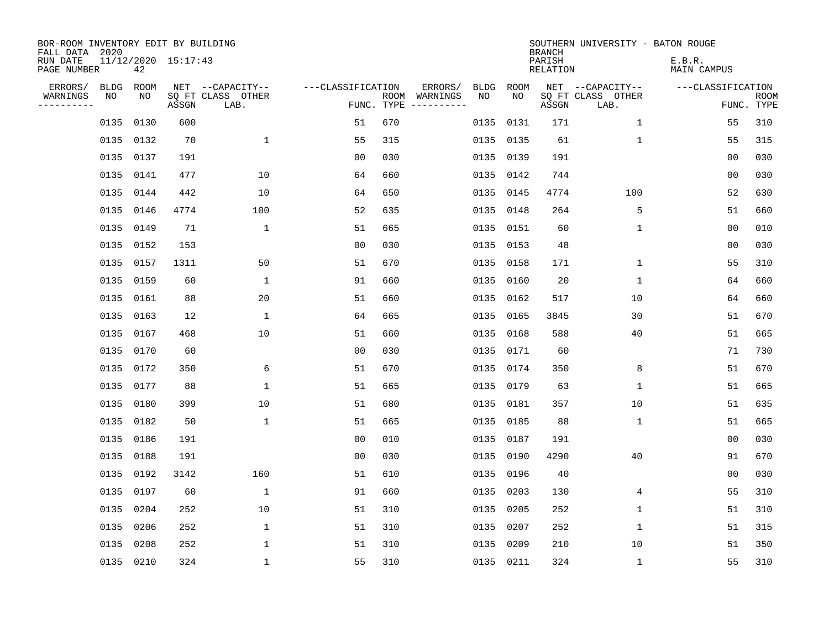| BOR-ROOM INVENTORY EDIT BY BUILDING<br>FALL DATA 2020 |                   |            |                     |                           |                   |     |                                      |                   |                   | <b>BRANCH</b>             | SOUTHERN UNIVERSITY - BATON ROUGE |                              |                           |
|-------------------------------------------------------|-------------------|------------|---------------------|---------------------------|-------------------|-----|--------------------------------------|-------------------|-------------------|---------------------------|-----------------------------------|------------------------------|---------------------------|
| RUN DATE<br>PAGE NUMBER                               |                   | 42         | 11/12/2020 15:17:43 |                           |                   |     |                                      |                   |                   | PARISH<br><b>RELATION</b> |                                   | E.B.R.<br><b>MAIN CAMPUS</b> |                           |
| ERRORS/<br>WARNINGS                                   | <b>BLDG</b><br>NO | ROOM<br>NO |                     | NET --CAPACITY--          | ---CLASSIFICATION |     | ERRORS/                              | <b>BLDG</b><br>NO | <b>ROOM</b><br>NO |                           | NET --CAPACITY--                  | ---CLASSIFICATION            |                           |
| ----------                                            |                   |            | ASSGN               | SQ FT CLASS OTHER<br>LAB. |                   |     | ROOM WARNINGS<br>FUNC. TYPE $------$ |                   |                   | ASSGN                     | SQ FT CLASS OTHER<br>LAB.         |                              | <b>ROOM</b><br>FUNC. TYPE |
|                                                       | 0135              | 0130       | 600                 |                           | 51                | 670 |                                      | 0135              | 0131              | 171                       | 1                                 | 55                           | 310                       |
|                                                       | 0135              | 0132       | 70                  | $\mathbf 1$               | 55                | 315 |                                      |                   | 0135 0135         | 61                        | $\mathbf 1$                       | 55                           | 315                       |
|                                                       | 0135              | 0137       | 191                 |                           | 0 <sub>0</sub>    | 030 |                                      |                   | 0135 0139         | 191                       |                                   | 0 <sub>0</sub>               | 030                       |
|                                                       | 0135              | 0141       | 477                 | 10                        | 64                | 660 |                                      |                   | 0135 0142         | 744                       |                                   | 00                           | 030                       |
|                                                       | 0135              | 0144       | 442                 | 10                        | 64                | 650 |                                      |                   | 0135 0145         | 4774                      | 100                               | 52                           | 630                       |
|                                                       | 0135              | 0146       | 4774                | 100                       | 52                | 635 |                                      |                   | 0135 0148         | 264                       | 5                                 | 51                           | 660                       |
|                                                       | 0135              | 0149       | 71                  | $\mathbf{1}$              | 51                | 665 |                                      |                   | 0135 0151         | 60                        | $\mathbf 1$                       | 0 <sub>0</sub>               | 010                       |
|                                                       | 0135              | 0152       | 153                 |                           | 0 <sub>0</sub>    | 030 |                                      |                   | 0135 0153         | 48                        |                                   | 0 <sub>0</sub>               | 030                       |
|                                                       | 0135              | 0157       | 1311                | 50                        | 51                | 670 |                                      | 0135              | 0158              | 171                       | $\mathbf 1$                       | 55                           | 310                       |
|                                                       | 0135              | 0159       | 60                  | $\mathbf{1}$              | 91                | 660 |                                      |                   | 0135 0160         | 20                        | $\mathbf{1}$                      | 64                           | 660                       |
|                                                       | 0135              | 0161       | 88                  | 20                        | 51                | 660 |                                      |                   | 0135 0162         | 517                       | 10                                | 64                           | 660                       |
|                                                       | 0135              | 0163       | 12                  | $\mathbf{1}$              | 64                | 665 |                                      |                   | 0135 0165         | 3845                      | 30                                | 51                           | 670                       |
|                                                       | 0135              | 0167       | 468                 | 10                        | 51                | 660 |                                      | 0135              | 0168              | 588                       | 40                                | 51                           | 665                       |
|                                                       | 0135              | 0170       | 60                  |                           | 0 <sub>0</sub>    | 030 |                                      |                   | 0135 0171         | 60                        |                                   | 71                           | 730                       |
|                                                       | 0135              | 0172       | 350                 | 6                         | 51                | 670 |                                      | 0135              | 0174              | 350                       | 8                                 | 51                           | 670                       |
|                                                       | 0135              | 0177       | 88                  | 1                         | 51                | 665 |                                      |                   | 0135 0179         | 63                        | 1                                 | 51                           | 665                       |
|                                                       | 0135              | 0180       | 399                 | 10                        | 51                | 680 |                                      | 0135              | 0181              | 357                       | 10                                | 51                           | 635                       |
|                                                       | 0135              | 0182       | 50                  | $\mathbf{1}$              | 51                | 665 |                                      |                   | 0135 0185         | 88                        | 1                                 | 51                           | 665                       |
|                                                       | 0135              | 0186       | 191                 |                           | 0 <sub>0</sub>    | 010 |                                      |                   | 0135 0187         | 191                       |                                   | 0 <sub>0</sub>               | 030                       |
|                                                       | 0135              | 0188       | 191                 |                           | 0 <sub>0</sub>    | 030 |                                      | 0135              | 0190              | 4290                      | 40                                | 91                           | 670                       |
|                                                       | 0135              | 0192       | 3142                | 160                       | 51                | 610 |                                      |                   | 0135 0196         | 40                        |                                   | 0 <sub>0</sub>               | 030                       |
|                                                       | 0135              | 0197       | 60                  | $\mathbf{1}$              | 91                | 660 |                                      | 0135              | 0203              | 130                       | 4                                 | 55                           | 310                       |
|                                                       | 0135              | 0204       | 252                 | 10                        | 51                | 310 |                                      | 0135              | 0205              | 252                       | 1                                 | 51                           | 310                       |
|                                                       | 0135              | 0206       | 252                 | $\mathbf 1$               | 51                | 310 |                                      |                   | 0135 0207         | 252                       | 1                                 | 51                           | 315                       |
|                                                       | 0135              | 0208       | 252                 | 1                         | 51                | 310 |                                      | 0135              | 0209              | 210                       | 10                                | 51                           | 350                       |
|                                                       | 0135 0210         |            | 324                 | $\mathbf{1}$              | 55                | 310 |                                      | 0135 0211         |                   | 324                       | 1                                 | 55                           | 310                       |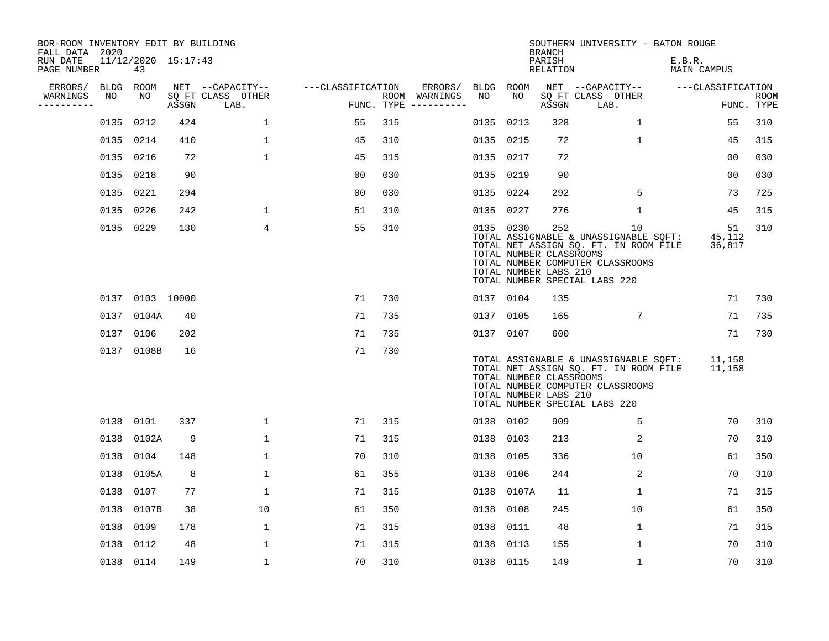| BOR-ROOM INVENTORY EDIT BY BUILDING<br>FALL DATA 2020 |             |           |                     |                           |                   |            |                              |      |           | <b>BRANCH</b>                                           | SOUTHERN UNIVERSITY - BATON ROUGE                                                                                                                         |                        |                           |
|-------------------------------------------------------|-------------|-----------|---------------------|---------------------------|-------------------|------------|------------------------------|------|-----------|---------------------------------------------------------|-----------------------------------------------------------------------------------------------------------------------------------------------------------|------------------------|---------------------------|
| RUN DATE<br>PAGE NUMBER                               |             | 43        | 11/12/2020 15:17:43 |                           |                   |            |                              |      |           | PARISH<br><b>RELATION</b>                               |                                                                                                                                                           | E.B.R.<br>MAIN CAMPUS  |                           |
| ERRORS/                                               | <b>BLDG</b> | ROOM      |                     | NET --CAPACITY--          | ---CLASSIFICATION |            | ERRORS/                      |      | BLDG ROOM |                                                         | NET --CAPACITY--                                                                                                                                          | ---CLASSIFICATION      |                           |
| WARNINGS<br>-----------                               | NO          | NO        | ASSGN               | SQ FT CLASS OTHER<br>LAB. |                   | FUNC. TYPE | ROOM WARNINGS<br>----------- | NO   | NO        | ASSGN                                                   | SQ FT CLASS OTHER<br>LAB.                                                                                                                                 |                        | <b>ROOM</b><br>FUNC. TYPE |
|                                                       | 0135        | 0212      | 424                 | $\mathbf{1}$              | 55                | 315        |                              | 0135 | 0213      | 328                                                     | 1                                                                                                                                                         | 55                     | 310                       |
|                                                       | 0135        | 0214      | 410                 | $\mathbf 1$               | 45                | 310        |                              | 0135 | 0215      | 72                                                      | $\mathbf 1$                                                                                                                                               | 45                     | 315                       |
|                                                       | 0135        | 0216      | 72                  | $\mathbf{1}$              | 45                | 315        |                              | 0135 | 0217      | 72                                                      |                                                                                                                                                           | 00                     | 030                       |
|                                                       | 0135        | 0218      | 90                  |                           | 0 <sub>0</sub>    | 030        |                              | 0135 | 0219      | 90                                                      |                                                                                                                                                           | 0 <sub>0</sub>         | 030                       |
|                                                       | 0135        | 0221      | 294                 |                           | 0 <sub>0</sub>    | 030        |                              | 0135 | 0224      | 292                                                     | 5                                                                                                                                                         | 73                     | 725                       |
|                                                       | 0135        | 0226      | 242                 | 1                         | 51                | 310        |                              |      | 0135 0227 | 276                                                     | $\mathbf{1}$                                                                                                                                              | 45                     | 315                       |
|                                                       |             | 0135 0229 | 130                 | 4                         | 55                | 310        |                              |      | 0135 0230 | 252<br>TOTAL NUMBER CLASSROOMS<br>TOTAL NUMBER LABS 210 | 10<br>TOTAL ASSIGNABLE & UNASSIGNABLE SQFT:<br>TOTAL NET ASSIGN SQ. FT. IN ROOM FILE<br>TOTAL NUMBER COMPUTER CLASSROOMS<br>TOTAL NUMBER SPECIAL LABS 220 | 51<br>45,112<br>36,817 | 310                       |
|                                                       | 0137        |           | 0103 10000          |                           | 71                | 730        |                              |      | 0137 0104 | 135                                                     |                                                                                                                                                           | 71                     | 730                       |
|                                                       | 0137        | 0104A     | 40                  |                           | 71                | 735        |                              |      | 0137 0105 | 165                                                     | 7                                                                                                                                                         | 71                     | 735                       |
|                                                       | 0137        | 0106      | 202                 |                           | 71                | 735        |                              |      | 0137 0107 | 600                                                     |                                                                                                                                                           | 71                     | 730                       |
|                                                       | 0137        | 0108B     | 16                  |                           | 71                | 730        |                              |      |           | TOTAL NUMBER CLASSROOMS<br>TOTAL NUMBER LABS 210        | TOTAL ASSIGNABLE & UNASSIGNABLE SQFT:<br>TOTAL NET ASSIGN SQ. FT. IN ROOM FILE<br>TOTAL NUMBER COMPUTER CLASSROOMS<br>TOTAL NUMBER SPECIAL LABS 220       | 11,158<br>11,158       |                           |
|                                                       | 0138        | 0101      | 337                 | $\mathbf{1}$              | 71                | 315        |                              |      | 0138 0102 | 909                                                     | 5                                                                                                                                                         | 70                     | 310                       |
|                                                       | 0138        | 0102A     | 9                   | $\mathbf 1$               | 71                | 315        |                              | 0138 | 0103      | 213                                                     | 2                                                                                                                                                         | 70                     | 310                       |
|                                                       | 0138        | 0104      | 148                 | 1                         | 70                | 310        |                              | 0138 | 0105      | 336                                                     | 10                                                                                                                                                        | 61                     | 350                       |
|                                                       | 0138        | 0105A     | 8                   | $\mathbf{1}$              | 61                | 355        |                              | 0138 | 0106      | 244                                                     | 2                                                                                                                                                         | 70                     | 310                       |
|                                                       | 0138        | 0107      | 77                  | $\mathbf{1}$              | 71                | 315        |                              | 0138 | 0107A     | 11                                                      | $\mathbf 1$                                                                                                                                               | 71                     | 315                       |
|                                                       | 0138        | 0107B     | 38                  | 10                        | 61                | 350        |                              | 0138 | 0108      | 245                                                     | 10                                                                                                                                                        | 61                     | 350                       |
|                                                       | 0138        | 0109      | 178                 | 1                         | 71                | 315        |                              | 0138 | 0111      | 48                                                      | 1                                                                                                                                                         | 71                     | 315                       |
|                                                       | 0138        | 0112      | 48                  | $\mathbf 1$               | 71                | 315        |                              | 0138 | 0113      | 155                                                     | $\mathbf 1$                                                                                                                                               | 70                     | 310                       |
|                                                       |             | 0138 0114 | 149                 | 1                         | 70                | 310        |                              |      | 0138 0115 | 149                                                     | 1                                                                                                                                                         | 70                     | 310                       |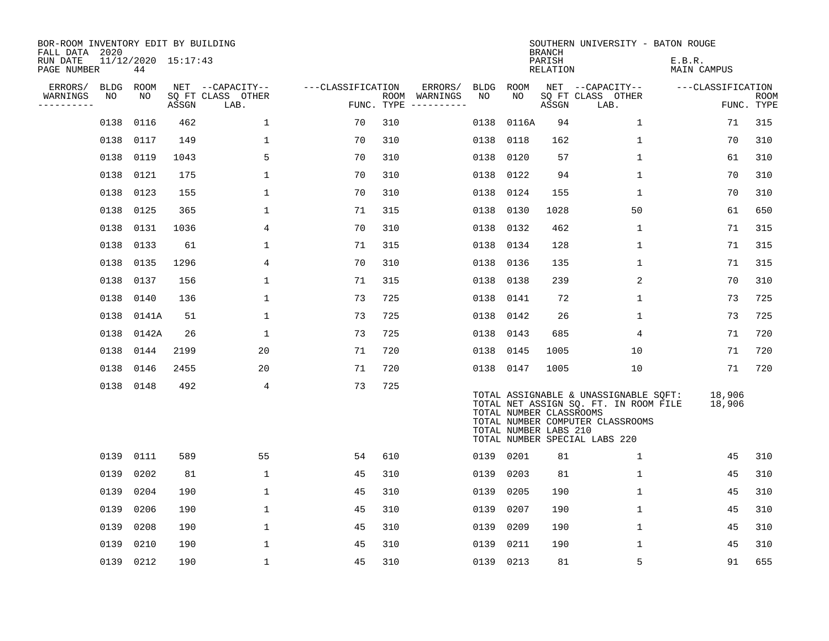| BOR-ROOM INVENTORY EDIT BY BUILDING<br>FALL DATA 2020 |             |                           |       |                           |                   |            |               |             |                                                  | <b>BRANCH</b>      | SOUTHERN UNIVERSITY - BATON ROUGE                                                                                                                   |                       |                           |
|-------------------------------------------------------|-------------|---------------------------|-------|---------------------------|-------------------|------------|---------------|-------------|--------------------------------------------------|--------------------|-----------------------------------------------------------------------------------------------------------------------------------------------------|-----------------------|---------------------------|
| RUN DATE<br>PAGE NUMBER                               |             | 11/12/2020 15:17:43<br>44 |       |                           |                   |            |               |             |                                                  | PARISH<br>RELATION |                                                                                                                                                     | E.B.R.<br>MAIN CAMPUS |                           |
| ERRORS/                                               | <b>BLDG</b> | ROOM                      |       | NET --CAPACITY--          | ---CLASSIFICATION |            | ERRORS/       | <b>BLDG</b> | ROOM                                             |                    | NET --CAPACITY--                                                                                                                                    | ---CLASSIFICATION     |                           |
| WARNINGS<br>----------                                | NO          | NO                        | ASSGN | SQ FT CLASS OTHER<br>LAB. |                   | FUNC. TYPE | ROOM WARNINGS | NO          | NO                                               | ASSGN              | SQ FT CLASS OTHER<br>LAB.                                                                                                                           |                       | <b>ROOM</b><br>FUNC. TYPE |
|                                                       | 0138        | 0116                      | 462   | $\mathbf{1}$              | 70                | 310        |               | 0138        | 0116A                                            | 94                 | $\mathbf 1$                                                                                                                                         | 71                    | 315                       |
|                                                       | 0138        | 0117                      | 149   | 1                         | 70                | 310        |               | 0138        | 0118                                             | 162                | 1                                                                                                                                                   | 70                    | 310                       |
|                                                       | 0138        | 0119                      | 1043  | 5                         | 70                | 310        |               | 0138        | 0120                                             | 57                 | $\mathbf 1$                                                                                                                                         | 61                    | 310                       |
|                                                       | 0138        | 0121                      | 175   | 1                         | 70                | 310        |               | 0138        | 0122                                             | 94                 | $\mathbf 1$                                                                                                                                         | 70                    | 310                       |
|                                                       | 0138        | 0123                      | 155   | $\mathbf{1}$              | 70                | 310        |               | 0138        | 0124                                             | 155                | $\mathbf{1}$                                                                                                                                        | 70                    | 310                       |
|                                                       | 0138        | 0125                      | 365   | 1                         | 71                | 315        |               | 0138        | 0130                                             | 1028               | 50                                                                                                                                                  | 61                    | 650                       |
|                                                       | 0138        | 0131                      | 1036  | 4                         | 70                | 310        |               | 0138        | 0132                                             | 462                | $\mathbf 1$                                                                                                                                         | 71                    | 315                       |
|                                                       | 0138        | 0133                      | 61    | 1                         | 71                | 315        |               |             | 0138 0134                                        | 128                | $\mathbf 1$                                                                                                                                         | 71                    | 315                       |
|                                                       | 0138        | 0135                      | 1296  | 4                         | 70                | 310        |               | 0138        | 0136                                             | 135                | $\mathbf 1$                                                                                                                                         | 71                    | 315                       |
|                                                       | 0138        | 0137                      | 156   | 1                         | 71                | 315        |               | 0138        | 0138                                             | 239                | 2                                                                                                                                                   | 70                    | 310                       |
|                                                       | 0138        | 0140                      | 136   | 1                         | 73                | 725        |               | 0138        | 0141                                             | 72                 | 1                                                                                                                                                   | 73                    | 725                       |
|                                                       | 0138        | 0141A                     | 51    | 1                         | 73                | 725        |               | 0138        | 0142                                             | 26                 | $\mathbf 1$                                                                                                                                         | 73                    | 725                       |
|                                                       | 0138        | 0142A                     | 26    | 1                         | 73                | 725        |               | 0138        | 0143                                             | 685                | 4                                                                                                                                                   | 71                    | 720                       |
|                                                       | 0138        | 0144                      | 2199  | 20                        | 71                | 720        |               | 0138        | 0145                                             | 1005               | 10                                                                                                                                                  | 71                    | 720                       |
|                                                       | 0138        | 0146                      | 2455  | 20                        | 71                | 720        |               |             | 0138 0147                                        | 1005               | 10                                                                                                                                                  | 71                    | 720                       |
|                                                       |             | 0138 0148                 | 492   | $\overline{4}$            | 73                | 725        |               |             | TOTAL NUMBER CLASSROOMS<br>TOTAL NUMBER LABS 210 |                    | TOTAL ASSIGNABLE & UNASSIGNABLE SQFT:<br>TOTAL NET ASSIGN SQ. FT. IN ROOM FILE<br>TOTAL NUMBER COMPUTER CLASSROOMS<br>TOTAL NUMBER SPECIAL LABS 220 | 18,906<br>18,906      |                           |
|                                                       | 0139 0111   |                           | 589   | 55                        | 54                | 610        |               |             | 0139 0201                                        | 81                 | $\mathbf{1}$                                                                                                                                        | 45                    | 310                       |
|                                                       | 0139        | 0202                      | 81    | $\mathbf 1$               | 45                | 310        |               |             | 0139 0203                                        | 81                 | $\mathbf 1$                                                                                                                                         | 45                    | 310                       |
|                                                       | 0139        | 0204                      | 190   | $\mathbf 1$               | 45                | 310        |               | 0139        | 0205                                             | 190                | $\mathbf{1}$                                                                                                                                        | 45                    | 310                       |
|                                                       | 0139        | 0206                      | 190   | 1                         | 45                | 310        |               | 0139        | 0207                                             | 190                | $\mathbf{1}$                                                                                                                                        | 45                    | 310                       |
|                                                       | 0139        | 0208                      | 190   | 1                         | 45                | 310        |               | 0139        | 0209                                             | 190                | 1                                                                                                                                                   | 45                    | 310                       |
|                                                       | 0139        | 0210                      | 190   | 1                         | 45                | 310        |               | 0139        | 0211                                             | 190                | 1                                                                                                                                                   | 45                    | 310                       |
|                                                       |             | 0139 0212                 | 190   | $\mathbf 1$               | 45                | 310        |               |             | 0139 0213                                        | 81                 | 5                                                                                                                                                   | 91                    | 655                       |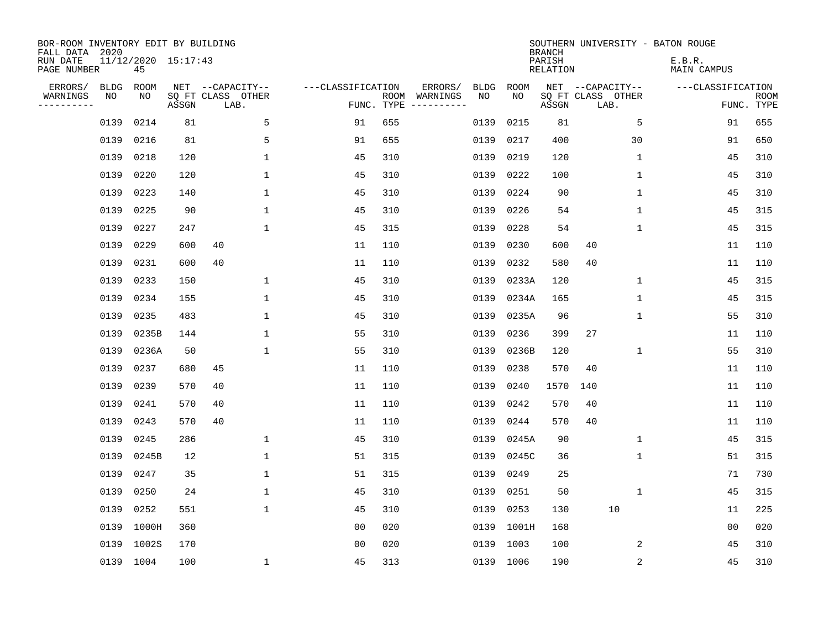| BOR-ROOM INVENTORY EDIT BY BUILDING<br>FALL DATA 2020<br>RUN DATE |                   |            | 11/12/2020 15:17:43 |                                               |                   |            |                                                                                                                                                      |             | <b>BRANCH</b><br>PARISH |                                               | SOUTHERN UNIVERSITY - BATON ROUGE<br>E.B.R. |                           |
|-------------------------------------------------------------------|-------------------|------------|---------------------|-----------------------------------------------|-------------------|------------|------------------------------------------------------------------------------------------------------------------------------------------------------|-------------|-------------------------|-----------------------------------------------|---------------------------------------------|---------------------------|
| PAGE NUMBER                                                       |                   | 45         |                     |                                               |                   |            |                                                                                                                                                      |             | <b>RELATION</b>         |                                               | MAIN CAMPUS                                 |                           |
| ERRORS/<br>WARNINGS<br>----------                                 | <b>BLDG</b><br>NO | ROOM<br>NO | ASSGN               | NET --CAPACITY--<br>SQ FT CLASS OTHER<br>LAB. | ---CLASSIFICATION | FUNC. TYPE | ERRORS/<br>BLDG<br>ROOM WARNINGS<br>NO<br>$\begin{tabular}{ccccccccc} - & - & - & - & - & - & - & - \\ & - & - & - & - & - & - & - \\ \end{tabular}$ | ROOM<br>NO. | ASSGN                   | NET --CAPACITY--<br>SQ FT CLASS OTHER<br>LAB. | ---CLASSIFICATION                           | <b>ROOM</b><br>FUNC. TYPE |
|                                                                   | 0139              | 0214       | 81                  | 5                                             | 91                | 655        | 0139                                                                                                                                                 | 0215        | 81                      | 5                                             | 91                                          | 655                       |
|                                                                   | 0139              | 0216       | 81                  | 5                                             | 91                | 655        | 0139                                                                                                                                                 | 0217        | 400                     | 30                                            | 91                                          | 650                       |
|                                                                   | 0139              | 0218       | 120                 | $\mathbf{1}$                                  | 45                | 310        | 0139                                                                                                                                                 | 0219        | 120                     | $\mathbf 1$                                   | 45                                          | 310                       |
|                                                                   | 0139              | 0220       | 120                 | $\mathbf{1}$                                  | 45                | 310        | 0139                                                                                                                                                 | 0222        | 100                     | $\mathbf 1$                                   | 45                                          | 310                       |
|                                                                   | 0139              | 0223       | 140                 | $\mathbf{1}$                                  | 45                | 310        | 0139                                                                                                                                                 | 0224        | 90                      | 1                                             | 45                                          | 310                       |
|                                                                   | 0139              | 0225       | 90                  | 1                                             | 45                | 310        | 0139                                                                                                                                                 | 0226        | 54                      | 1                                             | 45                                          | 315                       |
|                                                                   | 0139              | 0227       | 247                 | 1                                             | 45                | 315        | 0139                                                                                                                                                 | 0228        | 54                      | 1                                             | 45                                          | 315                       |
|                                                                   | 0139              | 0229       | 600                 | 40                                            | 11                | 110        | 0139                                                                                                                                                 | 0230        | 600                     | 40                                            | 11                                          | 110                       |
|                                                                   | 0139              | 0231       | 600                 | 40                                            | 11                | 110        | 0139                                                                                                                                                 | 0232        | 580                     | 40                                            | 11                                          | 110                       |
|                                                                   | 0139              | 0233       | 150                 | $\mathbf 1$                                   | 45                | 310        | 0139                                                                                                                                                 | 0233A       | 120                     | $\mathbf 1$                                   | 45                                          | 315                       |
|                                                                   | 0139              | 0234       | 155                 | $\mathbf 1$                                   | 45                | 310        | 0139                                                                                                                                                 | 0234A       | 165                     | 1                                             | 45                                          | 315                       |
|                                                                   | 0139              | 0235       | 483                 | $\mathbf{1}$                                  | 45                | 310        | 0139                                                                                                                                                 | 0235A       | 96                      | 1                                             | 55                                          | 310                       |
|                                                                   | 0139              | 0235B      | 144                 | $\mathbf 1$                                   | 55                | 310        | 0139                                                                                                                                                 | 0236        | 399                     | 27                                            | 11                                          | 110                       |
|                                                                   | 0139              | 0236A      | 50                  | $\mathbf{1}$                                  | 55                | 310        | 0139                                                                                                                                                 | 0236B       | 120                     | 1                                             | 55                                          | 310                       |
|                                                                   | 0139              | 0237       | 680                 | 45                                            | 11                | 110        | 0139                                                                                                                                                 | 0238        | 570                     | 40                                            | 11                                          | 110                       |
|                                                                   | 0139              | 0239       | 570                 | 40                                            | 11                | 110        | 0139                                                                                                                                                 | 0240        | 1570                    | 140                                           | 11                                          | 110                       |
|                                                                   | 0139              | 0241       | 570                 | 40                                            | 11                | 110        | 0139                                                                                                                                                 | 0242        | 570                     | 40                                            | 11                                          | 110                       |
|                                                                   | 0139              | 0243       | 570                 | 40                                            | 11                | 110        | 0139                                                                                                                                                 | 0244        | 570                     | 40                                            | 11                                          | 110                       |
|                                                                   | 0139              | 0245       | 286                 | 1                                             | 45                | 310        | 0139                                                                                                                                                 | 0245A       | 90                      | 1                                             | 45                                          | 315                       |
|                                                                   | 0139              | 0245B      | 12                  | $\mathbf 1$                                   | 51                | 315        | 0139                                                                                                                                                 | 0245C       | 36                      | 1                                             | 51                                          | 315                       |
|                                                                   | 0139              | 0247       | 35                  | 1                                             | 51                | 315        | 0139                                                                                                                                                 | 0249        | 25                      |                                               | 71                                          | 730                       |
|                                                                   | 0139              | 0250       | 24                  | $\mathbf{1}$                                  | 45                | 310        | 0139                                                                                                                                                 | 0251        | 50                      | 1                                             | 45                                          | 315                       |
|                                                                   | 0139              | 0252       | 551                 | $\mathbf{1}$                                  | 45                | 310        | 0139                                                                                                                                                 | 0253        | 130                     | 10                                            | 11                                          | 225                       |
|                                                                   | 0139              | 1000H      | 360                 |                                               | 0 <sub>0</sub>    | 020        | 0139                                                                                                                                                 | 1001H       | 168                     |                                               | 0 <sub>0</sub>                              | 020                       |
|                                                                   | 0139              | 1002S      | 170                 |                                               | 00                | 020        | 0139                                                                                                                                                 | 1003        | 100                     | 2                                             | 45                                          | 310                       |
|                                                                   |                   | 0139 1004  | 100                 | $\mathbf{1}$                                  | 45                | 313        |                                                                                                                                                      | 0139 1006   | 190                     | $\sqrt{2}$                                    | 45                                          | 310                       |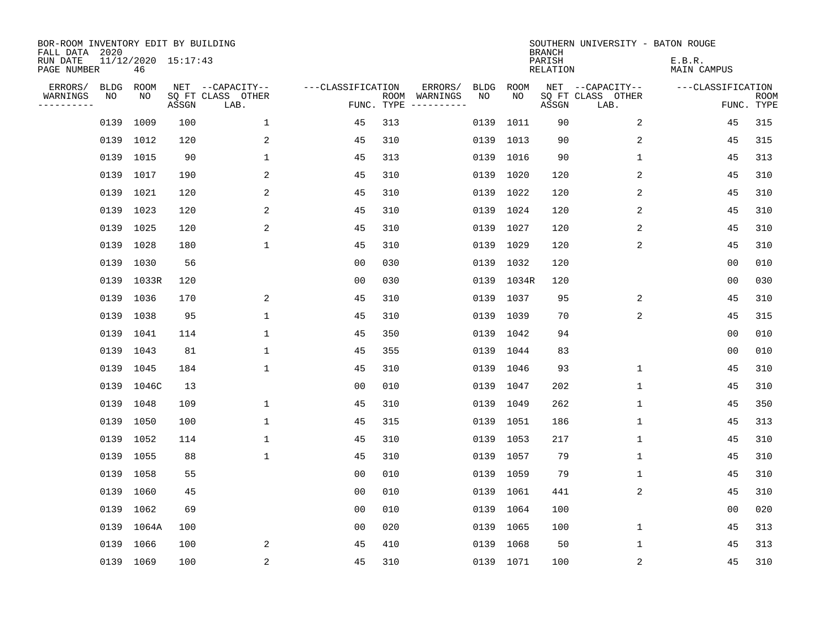| BOR-ROOM INVENTORY EDIT BY BUILDING<br>FALL DATA 2020<br>RUN DATE |            |            | 11/12/2020 15:17:43 |                                               |                   |            |                                                                                                                                        |            |            | <b>BRANCH</b><br>PARISH | SOUTHERN UNIVERSITY - BATON ROUGE             | E.B.R.            |                           |
|-------------------------------------------------------------------|------------|------------|---------------------|-----------------------------------------------|-------------------|------------|----------------------------------------------------------------------------------------------------------------------------------------|------------|------------|-------------------------|-----------------------------------------------|-------------------|---------------------------|
| PAGE NUMBER                                                       |            | 46         |                     |                                               |                   |            |                                                                                                                                        |            |            | <b>RELATION</b>         |                                               | MAIN CAMPUS       |                           |
| ERRORS/<br>WARNINGS<br>---------                                  | BLDG<br>NO | ROOM<br>NO | ASSGN               | NET --CAPACITY--<br>SQ FT CLASS OTHER<br>LAB. | ---CLASSIFICATION | FUNC. TYPE | ERRORS/<br>ROOM WARNINGS<br>$\begin{tabular}{ccccccccc} - & - & - & - & - & - & - & - \\ & - & - & - & - & - & - & - \\ \end{tabular}$ | BLDG<br>NO | ROOM<br>NO | ASSGN                   | NET --CAPACITY--<br>SQ FT CLASS OTHER<br>LAB. | ---CLASSIFICATION | <b>ROOM</b><br>FUNC. TYPE |
|                                                                   | 0139       | 1009       | 100                 | $\mathbf{1}$                                  | 45                | 313        |                                                                                                                                        | 0139       | 1011       | 90                      | 2                                             | 45                | 315                       |
|                                                                   | 0139 1012  |            | 120                 | $\overline{a}$                                | 45                | 310        |                                                                                                                                        | 0139       | 1013       | 90                      | 2                                             | 45                | 315                       |
|                                                                   | 0139 1015  |            | 90                  | $\mathbf 1$                                   | 45                | 313        |                                                                                                                                        | 0139       | 1016       | 90                      | $\mathbf{1}$                                  | 45                | 313                       |
|                                                                   | 0139 1017  |            | 190                 | 2                                             | 45                | 310        |                                                                                                                                        |            | 0139 1020  | 120                     | 2                                             | 45                | 310                       |
|                                                                   | 0139 1021  |            | 120                 | 2                                             | 45                | 310        |                                                                                                                                        |            | 0139 1022  | 120                     | 2                                             | 45                | 310                       |
|                                                                   | 0139 1023  |            | 120                 | 2                                             | 45                | 310        |                                                                                                                                        |            | 0139 1024  | 120                     | 2                                             | 45                | 310                       |
|                                                                   | 0139 1025  |            | 120                 | 2                                             | 45                | 310        |                                                                                                                                        |            | 0139 1027  | 120                     | 2                                             | 45                | 310                       |
|                                                                   | 0139 1028  |            | 180                 | $\mathbf{1}$                                  | 45                | 310        |                                                                                                                                        |            | 0139 1029  | 120                     | 2                                             | 45                | 310                       |
|                                                                   | 0139 1030  |            | 56                  |                                               | 0 <sub>0</sub>    | 030        |                                                                                                                                        |            | 0139 1032  | 120                     |                                               | 0 <sub>0</sub>    | 010                       |
|                                                                   |            | 0139 1033R | 120                 |                                               | 00                | 030        |                                                                                                                                        |            | 0139 1034R | 120                     |                                               | 00                | 030                       |
|                                                                   | 0139 1036  |            | 170                 | 2                                             | 45                | 310        |                                                                                                                                        |            | 0139 1037  | 95                      | 2                                             | 45                | 310                       |
|                                                                   | 0139 1038  |            | 95                  | $\mathbf 1$                                   | 45                | 310        |                                                                                                                                        |            | 0139 1039  | 70                      | 2                                             | 45                | 315                       |
|                                                                   | 0139 1041  |            | 114                 | $\mathbf 1$                                   | 45                | 350        |                                                                                                                                        |            | 0139 1042  | 94                      |                                               | 0 <sub>0</sub>    | 010                       |
|                                                                   | 0139 1043  |            | 81                  | $\mathbf 1$                                   | 45                | 355        |                                                                                                                                        |            | 0139 1044  | 83                      |                                               | 0 <sub>0</sub>    | 010                       |
|                                                                   | 0139 1045  |            | 184                 | $\mathbf 1$                                   | 45                | 310        |                                                                                                                                        |            | 0139 1046  | 93                      | 1                                             | 45                | 310                       |
|                                                                   |            | 0139 1046C | 13                  |                                               | 0 <sub>0</sub>    | 010        |                                                                                                                                        |            | 0139 1047  | 202                     | 1                                             | 45                | 310                       |
|                                                                   | 0139 1048  |            | 109                 | $\mathbf{1}$                                  | 45                | 310        |                                                                                                                                        |            | 0139 1049  | 262                     | 1                                             | 45                | 350                       |
|                                                                   | 0139 1050  |            | 100                 | $\mathbf{1}$                                  | 45                | 315        |                                                                                                                                        |            | 0139 1051  | 186                     | 1                                             | 45                | 313                       |
|                                                                   | 0139 1052  |            | 114                 | 1                                             | 45                | 310        |                                                                                                                                        |            | 0139 1053  | 217                     | 1                                             | 45                | 310                       |
|                                                                   | 0139 1055  |            | 88                  | $\mathbf 1$                                   | 45                | 310        |                                                                                                                                        | 0139       | 1057       | 79                      | 1                                             | 45                | 310                       |
|                                                                   | 0139 1058  |            | 55                  |                                               | 0 <sub>0</sub>    | 010        |                                                                                                                                        |            | 0139 1059  | 79                      | 1                                             | 45                | 310                       |
|                                                                   | 0139 1060  |            | 45                  |                                               | 0 <sub>0</sub>    | 010        |                                                                                                                                        |            | 0139 1061  | 441                     | 2                                             | 45                | 310                       |
|                                                                   | 0139 1062  |            | 69                  |                                               | 0 <sub>0</sub>    | 010        |                                                                                                                                        |            | 0139 1064  | 100                     |                                               | 0 <sub>0</sub>    | 020                       |
|                                                                   |            | 0139 1064A | 100                 |                                               | 0 <sub>0</sub>    | 020        |                                                                                                                                        | 0139       | 1065       | 100                     | $\mathbf 1$                                   | 45                | 313                       |
|                                                                   | 0139 1066  |            | 100                 | 2                                             | 45                | 410        |                                                                                                                                        |            | 0139 1068  | 50                      | 1                                             | 45                | 313                       |
|                                                                   | 0139 1069  |            | 100                 | 2                                             | 45                | 310        |                                                                                                                                        |            | 0139 1071  | 100                     | 2                                             | 45                | 310                       |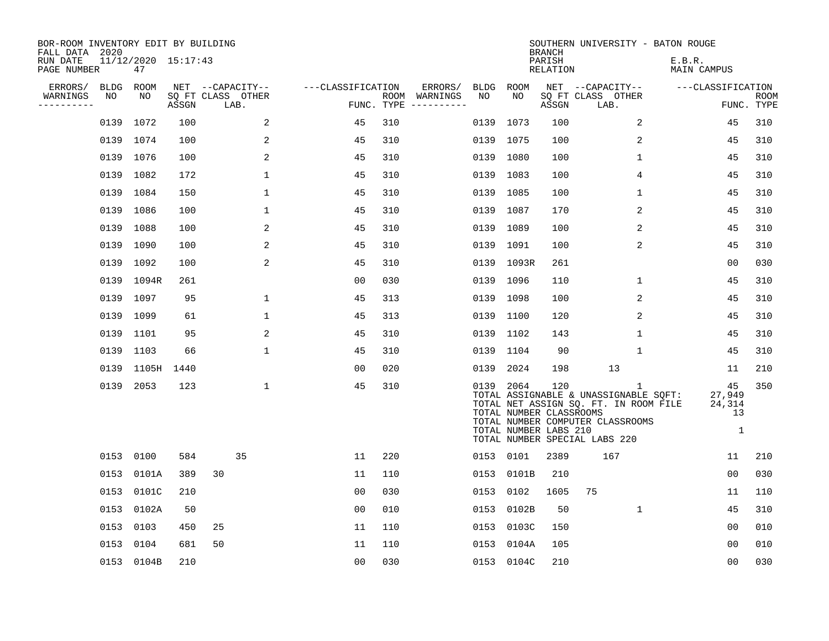| BOR-ROOM INVENTORY EDIT BY BUILDING<br>FALL DATA 2020 |                   |                               |       |                           |                   |     |                          |                 |                                                               | <b>BRANCH</b>      | SOUTHERN UNIVERSITY - BATON ROUGE                                                                                                                        |                        |                    |
|-------------------------------------------------------|-------------------|-------------------------------|-------|---------------------------|-------------------|-----|--------------------------|-----------------|---------------------------------------------------------------|--------------------|----------------------------------------------------------------------------------------------------------------------------------------------------------|------------------------|--------------------|
| RUN DATE<br>PAGE NUMBER                               |                   | $11/12/2020$ $15:17:43$<br>47 |       |                           |                   |     |                          |                 |                                                               | PARISH<br>RELATION |                                                                                                                                                          | E.B.R.<br>MAIN CAMPUS  |                    |
| ERRORS/<br>WARNINGS                                   | <b>BLDG</b><br>NO | ROOM<br>NO                    |       | NET --CAPACITY--          | ---CLASSIFICATION |     | ERRORS/<br>ROOM WARNINGS | BLDG ROOM<br>NO | NO                                                            |                    | NET --CAPACITY--                                                                                                                                         | ---CLASSIFICATION      |                    |
| ----------                                            |                   |                               | ASSGN | SQ FT CLASS OTHER<br>LAB. |                   |     | FUNC. TYPE $------$      |                 |                                                               | ASSGN              | SQ FT CLASS OTHER<br>LAB.                                                                                                                                |                        | ROOM<br>FUNC. TYPE |
|                                                       | 0139              | 1072                          | 100   | 2                         | 45                | 310 |                          |                 | 0139 1073                                                     | 100                | 2                                                                                                                                                        | 45                     | 310                |
|                                                       | 0139              | 1074                          | 100   | 2                         | 45                | 310 |                          |                 | 0139 1075                                                     | 100                | 2                                                                                                                                                        | 45                     | 310                |
|                                                       | 0139              | 1076                          | 100   | 2                         | 45                | 310 |                          | 0139 1080       |                                                               | 100                | 1                                                                                                                                                        | 45                     | 310                |
|                                                       | 0139              | 1082                          | 172   | 1                         | 45                | 310 |                          |                 | 0139 1083                                                     | 100                | 4                                                                                                                                                        | 45                     | 310                |
|                                                       | 0139              | 1084                          | 150   | $\mathbf{1}$              | 45                | 310 |                          |                 | 0139 1085                                                     | 100                | $\mathbf{1}$                                                                                                                                             | 45                     | 310                |
|                                                       | 0139              | 1086                          | 100   | 1                         | 45                | 310 |                          |                 | 0139 1087                                                     | 170                | 2                                                                                                                                                        | 45                     | 310                |
|                                                       | 0139              | 1088                          | 100   | 2                         | 45                | 310 |                          | 0139 1089       |                                                               | 100                | 2                                                                                                                                                        | 45                     | 310                |
|                                                       | 0139              | 1090                          | 100   | 2                         | 45                | 310 |                          |                 | 0139 1091                                                     | 100                | 2                                                                                                                                                        | 45                     | 310                |
|                                                       | 0139              | 1092                          | 100   | 2                         | 45                | 310 |                          |                 | 0139 1093R                                                    | 261                |                                                                                                                                                          | 0 <sub>0</sub>         | 030                |
|                                                       | 0139              | 1094R                         | 261   |                           | 00                | 030 |                          |                 | 0139 1096                                                     | 110                | 1                                                                                                                                                        | 45                     | 310                |
|                                                       | 0139              | 1097                          | 95    | 1                         | 45                | 313 |                          |                 | 0139 1098                                                     | 100                | 2                                                                                                                                                        | 45                     | 310                |
|                                                       | 0139              | 1099                          | 61    | 1                         | 45                | 313 |                          |                 | 0139 1100                                                     | 120                | $\overline{2}$                                                                                                                                           | 45                     | 310                |
|                                                       | 0139              | 1101                          | 95    | 2                         | 45                | 310 |                          |                 | 0139 1102                                                     | 143                | 1                                                                                                                                                        | 45                     | 310                |
|                                                       | 0139              | 1103                          | 66    | $\mathbf 1$               | 45                | 310 |                          |                 | 0139 1104                                                     | 90                 | $\mathbf 1$                                                                                                                                              | 45                     | 310                |
|                                                       | 0139              | 1105H                         | 1440  |                           | 0 <sub>0</sub>    | 020 |                          |                 | 0139 2024                                                     | 198                | 13                                                                                                                                                       | 11                     | 210                |
|                                                       |                   | 0139 2053                     | 123   | $\mathbf 1$               | 45                | 310 |                          |                 | 0139 2064<br>TOTAL NUMBER CLASSROOMS<br>TOTAL NUMBER LABS 210 | 120                | 1<br>TOTAL ASSIGNABLE & UNASSIGNABLE SQFT:<br>TOTAL NET ASSIGN SQ. FT. IN ROOM FILE<br>TOTAL NUMBER COMPUTER CLASSROOMS<br>TOTAL NUMBER SPECIAL LABS 220 | 45<br>27,949<br>24,314 | 350<br>13<br>1     |
|                                                       |                   | 0153 0100                     | 584   | 35                        | 11                | 220 |                          |                 | 0153 0101                                                     | 2389               | 167                                                                                                                                                      | 11                     | 210                |
|                                                       |                   | 0153 0101A                    | 389   | 30                        | 11                | 110 |                          |                 | 0153 0101B                                                    | 210                |                                                                                                                                                          | 0 <sub>0</sub>         | 030                |
|                                                       |                   | 0153 0101C                    | 210   |                           | 0 <sub>0</sub>    | 030 |                          | 0153            | 0102                                                          | 1605               | 75                                                                                                                                                       | 11                     | 110                |
|                                                       |                   | 0153 0102A                    | 50    |                           | 0 <sub>0</sub>    | 010 |                          |                 | 0153 0102B                                                    | 50                 | $\mathbf{1}$                                                                                                                                             | 45                     | 310                |
|                                                       | 0153              | 0103                          | 450   | 25                        | 11                | 110 |                          | 0153            | 0103C                                                         | 150                |                                                                                                                                                          | 00                     | 010                |
|                                                       | 0153 0104         |                               | 681   | 50                        | 11                | 110 |                          | 0153            | 0104A                                                         | 105                |                                                                                                                                                          | 0 <sub>0</sub>         | 010                |
|                                                       |                   | 0153 0104B                    | 210   |                           | 0 <sub>0</sub>    | 030 |                          |                 | 0153 0104C                                                    | 210                |                                                                                                                                                          | 00                     | 030                |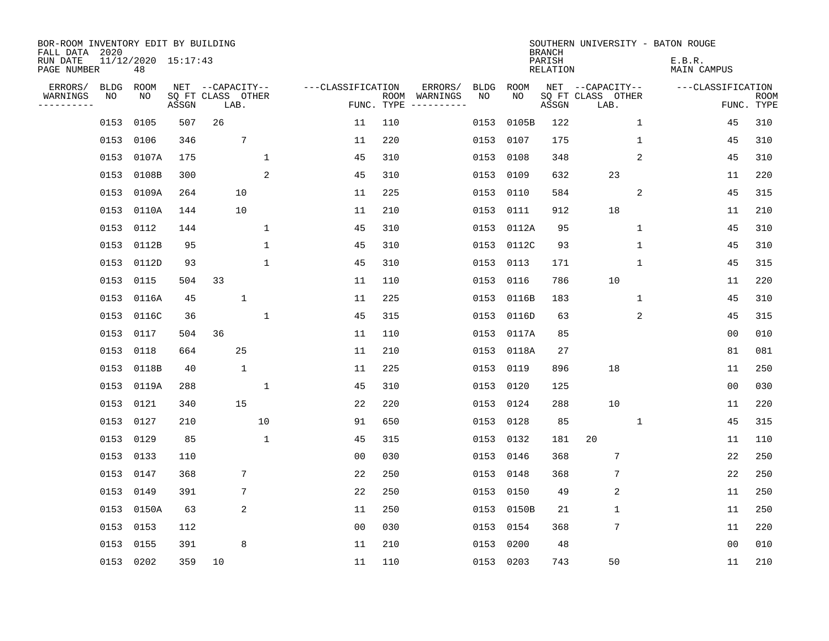| BOR-ROOM INVENTORY EDIT BY BUILDING<br>FALL DATA 2020 |             |                           |       |                           |              |                   |                    |          |      |            | <b>BRANCH</b>             | SOUTHERN UNIVERSITY - BATON ROUGE |        |                   |                           |
|-------------------------------------------------------|-------------|---------------------------|-------|---------------------------|--------------|-------------------|--------------------|----------|------|------------|---------------------------|-----------------------------------|--------|-------------------|---------------------------|
| RUN DATE<br>PAGE NUMBER                               |             | 11/12/2020 15:17:43<br>48 |       |                           |              |                   |                    |          |      |            | PARISH<br><b>RELATION</b> |                                   | E.B.R. | MAIN CAMPUS       |                           |
| ERRORS/                                               | <b>BLDG</b> | ROOM                      |       | NET --CAPACITY--          |              | ---CLASSIFICATION |                    | ERRORS/  | BLDG | ROOM       |                           | NET --CAPACITY--                  |        | ---CLASSIFICATION |                           |
| WARNINGS<br>. <u>.</u> .                              | ΝO          | NO                        | ASSGN | SQ FT CLASS OTHER<br>LAB. |              |                   | ROOM<br>FUNC. TYPE | WARNINGS | NO   | NO         | ASSGN                     | SQ FT CLASS OTHER<br>LAB.         |        |                   | <b>ROOM</b><br>FUNC. TYPE |
|                                                       | 0153        | 0105                      | 507   | 26                        |              | 11                | 110                |          | 0153 | 0105B      | 122                       | $\mathbf{1}$                      |        | 45                | 310                       |
|                                                       | 0153        | 0106                      | 346   | 7                         |              | 11                | 220                |          | 0153 | 0107       | 175                       | 1                                 |        | 45                | 310                       |
|                                                       | 0153        | 0107A                     | 175   |                           | $\mathbf 1$  | 45                | 310                |          | 0153 | 0108       | 348                       | 2                                 |        | 45                | 310                       |
|                                                       | 0153        | 0108B                     | 300   |                           | 2            | 45                | 310                |          | 0153 | 0109       | 632                       | 23                                |        | 11                | 220                       |
|                                                       | 0153        | 0109A                     | 264   | 10                        |              | 11                | 225                |          | 0153 | 0110       | 584                       | 2                                 |        | 45                | 315                       |
|                                                       |             | 0153 0110A                | 144   | 10                        |              | 11                | 210                |          |      | 0153 0111  | 912                       | 18                                |        | 11                | 210                       |
|                                                       | 0153        | 0112                      | 144   |                           | $\mathbf{1}$ | 45                | 310                |          | 0153 | 0112A      | 95                        | $\mathbf{1}$                      |        | 45                | 310                       |
|                                                       |             | 0153 0112B                | 95    |                           | 1            | 45                | 310                |          | 0153 | 0112C      | 93                        | 1                                 |        | 45                | 310                       |
|                                                       | 0153        | 0112D                     | 93    |                           | 1            | 45                | 310                |          | 0153 | 0113       | 171                       | 1                                 |        | 45                | 315                       |
|                                                       | 0153 0115   |                           | 504   | 33                        |              | 11                | 110                |          | 0153 | 0116       | 786                       | 10                                |        | 11                | 220                       |
|                                                       | 0153        | 0116A                     | 45    | $\mathbf 1$               |              | 11                | 225                |          | 0153 | 0116B      | 183                       | $\mathbf{1}$                      |        | 45                | 310                       |
|                                                       | 0153        | 0116C                     | 36    |                           | 1            | 45                | 315                |          | 0153 | 0116D      | 63                        | 2                                 |        | 45                | 315                       |
|                                                       | 0153        | 0117                      | 504   | 36                        |              | 11                | 110                |          | 0153 | 0117A      | 85                        |                                   |        | 0 <sub>0</sub>    | 010                       |
|                                                       | 0153        | 0118                      | 664   | 25                        |              | 11                | 210                |          |      | 0153 0118A | 27                        |                                   |        | 81                | 081                       |
|                                                       | 0153        | 0118B                     | 40    | 1                         |              | 11                | 225                |          | 0153 | 0119       | 896                       | 18                                |        | 11                | 250                       |
|                                                       |             | 0153 0119A                | 288   |                           | $\mathbf{1}$ | 45                | 310                |          | 0153 | 0120       | 125                       |                                   |        | 0 <sub>0</sub>    | 030                       |
|                                                       | 0153        | 0121                      | 340   | 15                        |              | 22                | 220                |          |      | 0153 0124  | 288                       | 10                                |        | 11                | 220                       |
|                                                       | 0153        | 0127                      | 210   |                           | 10           | 91                | 650                |          | 0153 | 0128       | 85                        | 1                                 |        | 45                | 315                       |
|                                                       | 0153 0129   |                           | 85    |                           | $\mathbf{1}$ | 45                | 315                |          |      | 0153 0132  | 181                       | 20                                |        | 11                | 110                       |
|                                                       | 0153        | 0133                      | 110   |                           |              | 0 <sub>0</sub>    | 030                |          | 0153 | 0146       | 368                       | 7                                 |        | 22                | 250                       |
|                                                       | 0153        | 0147                      | 368   | 7                         |              | 22                | 250                |          | 0153 | 0148       | 368                       | 7                                 |        | 22                | 250                       |
|                                                       | 0153        | 0149                      | 391   | 7                         |              | 22                | 250                |          | 0153 | 0150       | 49                        | 2                                 |        | 11                | 250                       |
|                                                       |             | 0153 0150A                | 63    | 2                         |              | 11                | 250                |          |      | 0153 0150B | 21                        | $\mathbf 1$                       |        | 11                | 250                       |
|                                                       | 0153        | 0153                      | 112   |                           |              | 0 <sub>0</sub>    | 030                |          | 0153 | 0154       | 368                       | 7                                 |        | 11                | 220                       |
|                                                       | 0153        | 0155                      | 391   | 8                         |              | 11                | 210                |          | 0153 | 0200       | 48                        |                                   |        | 0 <sub>0</sub>    | 010                       |
|                                                       | 0153 0202   |                           | 359   | 10                        |              | 11                | 110                |          |      | 0153 0203  | 743                       | 50                                |        | 11                | 210                       |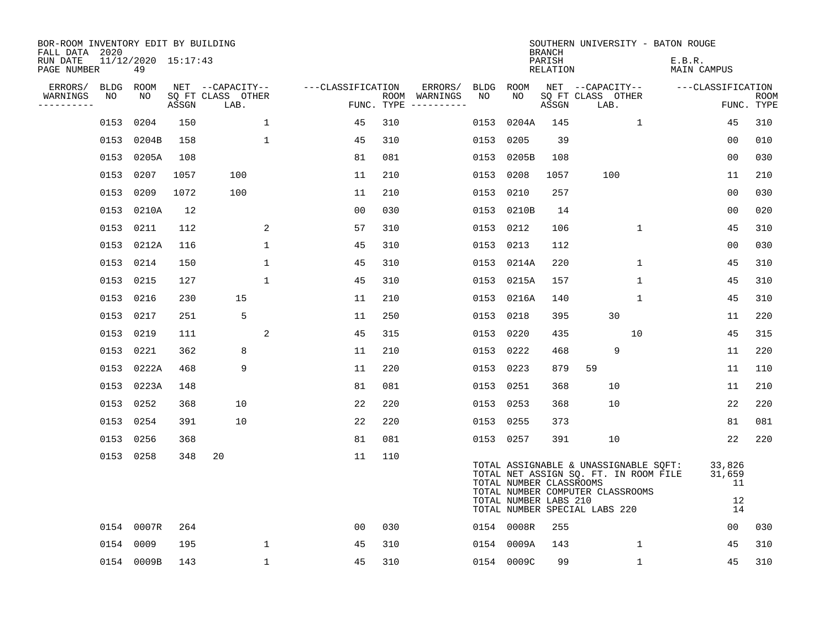| BOR-ROOM INVENTORY EDIT BY BUILDING<br>FALL DATA 2020 |             |                           |       |                           |                |                   |     |                                      |           |                                                  | <b>BRANCH</b>             | SOUTHERN UNIVERSITY - BATON ROUGE                                                                                                                   |              |                                    |                           |
|-------------------------------------------------------|-------------|---------------------------|-------|---------------------------|----------------|-------------------|-----|--------------------------------------|-----------|--------------------------------------------------|---------------------------|-----------------------------------------------------------------------------------------------------------------------------------------------------|--------------|------------------------------------|---------------------------|
| RUN DATE<br>PAGE NUMBER                               |             | 11/12/2020 15:17:43<br>49 |       |                           |                |                   |     |                                      |           |                                                  | PARISH<br><b>RELATION</b> |                                                                                                                                                     |              | E.B.R.<br><b>MAIN CAMPUS</b>       |                           |
| ERRORS/                                               | <b>BLDG</b> | ROOM                      |       | NET --CAPACITY--          |                | ---CLASSIFICATION |     | ERRORS/                              | BLDG      | ROOM                                             |                           | NET --CAPACITY--                                                                                                                                    |              | ---CLASSIFICATION                  |                           |
| WARNINGS<br>----------                                | NO          | NO                        | ASSGN | SQ FT CLASS OTHER<br>LAB. |                |                   |     | ROOM WARNINGS<br>FUNC. TYPE $------$ | NO        | NO                                               | ASSGN                     | SQ FT CLASS OTHER<br>LAB.                                                                                                                           |              |                                    | <b>ROOM</b><br>FUNC. TYPE |
|                                                       | 0153        | 0204                      | 150   |                           | $\mathbf{1}$   | 45                | 310 |                                      | 0153      | 0204A                                            | 145                       |                                                                                                                                                     | $\mathbf{1}$ | 45                                 | 310                       |
|                                                       | 0153        | 0204B                     | 158   |                           | $\mathbf{1}$   | 45                | 310 |                                      | 0153      | 0205                                             | 39                        |                                                                                                                                                     |              | 00                                 | 010                       |
|                                                       |             | 0153 0205A                | 108   |                           |                | 81                | 081 |                                      |           | 0153 0205B                                       | 108                       |                                                                                                                                                     |              | 00                                 | 030                       |
|                                                       | 0153        | 0207                      | 1057  | 100                       |                | 11                | 210 |                                      | 0153 0208 |                                                  | 1057                      | 100                                                                                                                                                 |              | 11                                 | 210                       |
|                                                       | 0153        | 0209                      | 1072  | 100                       |                | 11                | 210 |                                      |           | 0153 0210                                        | 257                       |                                                                                                                                                     |              | 00                                 | 030                       |
|                                                       |             | 0153 0210A                | 12    |                           |                | 0 <sub>0</sub>    | 030 |                                      |           | 0153 0210B                                       | 14                        |                                                                                                                                                     |              | 0 <sub>0</sub>                     | 020                       |
|                                                       | 0153        | 0211                      | 112   |                           | 2              | 57                | 310 |                                      |           | 0153 0212                                        | 106                       |                                                                                                                                                     | $\mathbf{1}$ | 45                                 | 310                       |
|                                                       |             | 0153 0212A                | 116   |                           | $\mathbf{1}$   | 45                | 310 |                                      |           | 0153 0213                                        | 112                       |                                                                                                                                                     |              | 0 <sub>0</sub>                     | 030                       |
|                                                       |             | 0153 0214                 | 150   |                           | $\mathbf 1$    | 45                | 310 |                                      |           | 0153 0214A                                       | 220                       |                                                                                                                                                     | $\mathbf 1$  | 45                                 | 310                       |
|                                                       |             | 0153 0215                 | 127   |                           | 1              | 45                | 310 |                                      |           | 0153 0215A                                       | 157                       |                                                                                                                                                     | $\mathbf 1$  | 45                                 | 310                       |
|                                                       |             | 0153 0216                 | 230   | 15                        |                | 11                | 210 |                                      |           | 0153 0216A                                       | 140                       |                                                                                                                                                     | $\mathbf 1$  | 45                                 | 310                       |
|                                                       |             | 0153 0217                 | 251   | 5                         |                | 11                | 250 |                                      | 0153 0218 |                                                  | 395                       | 30                                                                                                                                                  |              | 11                                 | 220                       |
|                                                       | 0153        | 0219                      | 111   |                           | $\overline{a}$ | 45                | 315 |                                      | 0153      | 0220                                             | 435                       | 10                                                                                                                                                  |              | 45                                 | 315                       |
|                                                       |             | 0153 0221                 | 362   | 8                         |                | 11                | 210 |                                      | 0153      | 0222                                             | 468                       | 9                                                                                                                                                   |              | 11                                 | 220                       |
|                                                       |             | 0153 0222A                | 468   | 9                         |                | 11                | 220 |                                      | 0153 0223 |                                                  | 879                       | 59                                                                                                                                                  |              | 11                                 | 110                       |
|                                                       |             | 0153 0223A                | 148   |                           |                | 81                | 081 |                                      | 0153 0251 |                                                  | 368                       | 10                                                                                                                                                  |              | 11                                 | 210                       |
|                                                       |             | 0153 0252                 | 368   | 10                        |                | 22                | 220 |                                      |           | 0153 0253                                        | 368                       | 10                                                                                                                                                  |              | 22                                 | 220                       |
|                                                       | 0153        | 0254                      | 391   | 10                        |                | 22                | 220 |                                      | 0153      | 0255                                             | 373                       |                                                                                                                                                     |              | 81                                 | 081                       |
|                                                       |             | 0153 0256                 | 368   |                           |                | 81                | 081 |                                      |           | 0153 0257                                        | 391                       | 10                                                                                                                                                  |              | 22                                 | 220                       |
|                                                       |             | 0153 0258                 | 348   | 20                        |                | 11                | 110 |                                      |           | TOTAL NUMBER CLASSROOMS<br>TOTAL NUMBER LABS 210 |                           | TOTAL ASSIGNABLE & UNASSIGNABLE SQFT:<br>TOTAL NET ASSIGN SQ. FT. IN ROOM FILE<br>TOTAL NUMBER COMPUTER CLASSROOMS<br>TOTAL NUMBER SPECIAL LABS 220 |              | 33,826<br>31,659<br>11<br>12<br>14 |                           |
|                                                       |             | 0154 0007R                | 264   |                           |                | 00                | 030 |                                      |           | 0154 0008R                                       | 255                       |                                                                                                                                                     |              | 0 <sub>0</sub>                     | 030                       |
|                                                       |             | 0154 0009                 | 195   |                           | $\mathbf{1}$   | 45                | 310 |                                      |           | 0154 0009A                                       | 143                       |                                                                                                                                                     | $\mathbf{1}$ | 45                                 | 310                       |
|                                                       |             | 0154 0009B                | 143   |                           | $\mathbf{1}$   | 45                | 310 |                                      |           | 0154 0009C                                       | 99                        |                                                                                                                                                     | $\mathbf 1$  | 45                                 | 310                       |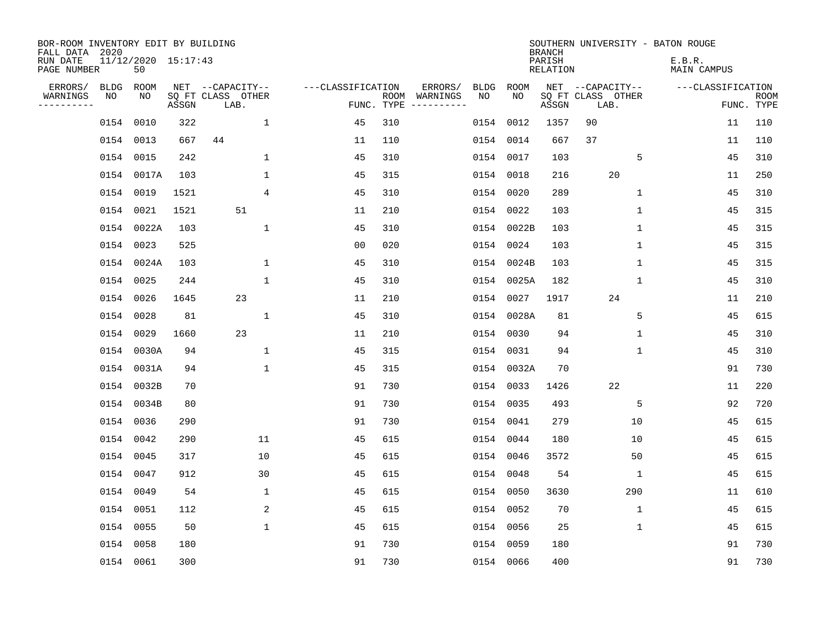| BOR-ROOM INVENTORY EDIT BY BUILDING<br>FALL DATA 2020 |           |                           |       |                           |                   |            |               |                   |            | <b>BRANCH</b>             |                           | SOUTHERN UNIVERSITY - BATON ROUGE |    |             |
|-------------------------------------------------------|-----------|---------------------------|-------|---------------------------|-------------------|------------|---------------|-------------------|------------|---------------------------|---------------------------|-----------------------------------|----|-------------|
| RUN DATE<br>PAGE NUMBER                               |           | 11/12/2020 15:17:43<br>50 |       |                           |                   |            |               |                   |            | PARISH<br><b>RELATION</b> |                           | E.B.R.<br>MAIN CAMPUS             |    |             |
| ERRORS/                                               | BLDG      | ROOM<br>NO                |       | NET --CAPACITY--          | ---CLASSIFICATION |            | ERRORS/       | <b>BLDG</b><br>NO | ROOM<br>NO |                           | NET --CAPACITY--          | ---CLASSIFICATION                 |    | <b>ROOM</b> |
| WARNINGS<br>----------                                | NO        |                           | ASSGN | SQ FT CLASS OTHER<br>LAB. |                   | FUNC. TYPE | ROOM WARNINGS |                   |            | ASSGN                     | SQ FT CLASS OTHER<br>LAB. |                                   |    | FUNC. TYPE  |
|                                                       | 0154      | 0010                      | 322   | 1                         | 45                | 310        |               | 0154              | 0012       | 1357                      | 90                        |                                   | 11 | 110         |
|                                                       | 0154 0013 |                           | 667   | 44                        | 11                | 110        |               | 0154              | 0014       | 667                       | 37                        |                                   | 11 | 110         |
|                                                       | 0154 0015 |                           | 242   | $\mathbf{1}$              | 45                | 310        |               | 0154              | 0017       | 103                       | 5                         |                                   | 45 | 310         |
|                                                       |           | 0154 0017A                | 103   | $\mathbf{1}$              | 45                | 315        |               | 0154              | 0018       | 216                       | 20                        |                                   | 11 | 250         |
|                                                       | 0154 0019 |                           | 1521  | $\overline{4}$            | 45                | 310        |               | 0154              | 0020       | 289                       | $\mathbf{1}$              |                                   | 45 | 310         |
|                                                       | 0154 0021 |                           | 1521  | 51                        | 11                | 210        |               |                   | 0154 0022  | 103                       | 1                         |                                   | 45 | 315         |
|                                                       |           | 0154 0022A                | 103   | $\mathbf 1$               | 45                | 310        |               |                   | 0154 0022B | 103                       | 1                         |                                   | 45 | 315         |
|                                                       |           | 0154 0023                 | 525   |                           | 0 <sub>0</sub>    | 020        |               |                   | 0154 0024  | 103                       | 1                         |                                   | 45 | 315         |
|                                                       |           | 0154 0024A                | 103   | $\mathbf 1$               | 45                | 310        |               | 0154              | 0024B      | 103                       | 1                         |                                   | 45 | 315         |
|                                                       | 0154 0025 |                           | 244   | $\mathbf{1}$              | 45                | 310        |               | 0154              | 0025A      | 182                       | $\mathbf 1$               |                                   | 45 | 310         |
|                                                       | 0154      | 0026                      | 1645  | 23                        | 11                | 210        |               | 0154              | 0027       | 1917                      | 24                        |                                   | 11 | 210         |
|                                                       | 0154 0028 |                           | 81    | 1                         | 45                | 310        |               | 0154              | 0028A      | 81                        | 5                         |                                   | 45 | 615         |
|                                                       | 0154      | 0029                      | 1660  | 23                        | 11                | 210        |               | 0154              | 0030       | 94                        | 1                         |                                   | 45 | 310         |
|                                                       |           | 0154 0030A                | 94    | $\mathbf{1}$              | 45                | 315        |               | 0154              | 0031       | 94                        | 1                         |                                   | 45 | 310         |
|                                                       |           | 0154 0031A                | 94    | $\mathbf{1}$              | 45                | 315        |               |                   | 0154 0032A | 70                        |                           |                                   | 91 | 730         |
|                                                       |           | 0154 0032B                | 70    |                           | 91                | 730        |               |                   | 0154 0033  | 1426                      | 22                        |                                   | 11 | 220         |
|                                                       |           | 0154 0034B                | 80    |                           | 91                | 730        |               |                   | 0154 0035  | 493                       | 5                         |                                   | 92 | 720         |
|                                                       | 0154 0036 |                           | 290   |                           | 91                | 730        |               |                   | 0154 0041  | 279                       | 10                        |                                   | 45 | 615         |
|                                                       | 0154 0042 |                           | 290   | 11                        | 45                | 615        |               |                   | 0154 0044  | 180                       | 10                        |                                   | 45 | 615         |
|                                                       | 0154 0045 |                           | 317   | 10                        | 45                | 615        |               |                   | 0154 0046  | 3572                      | 50                        |                                   | 45 | 615         |
|                                                       | 0154 0047 |                           | 912   | 30                        | 45                | 615        |               |                   | 0154 0048  | 54                        | 1                         |                                   | 45 | 615         |
|                                                       | 0154 0049 |                           | 54    | $\mathbf{1}$              | 45                | 615        |               | 0154              | 0050       | 3630                      | 290                       |                                   | 11 | 610         |
|                                                       | 0154 0051 |                           | 112   | 2                         | 45                | 615        |               |                   | 0154 0052  | 70                        | 1                         |                                   | 45 | 615         |
|                                                       | 0154 0055 |                           | 50    | $\mathbf{1}$              | 45                | 615        |               | 0154              | 0056       | 25                        | $\mathbf 1$               |                                   | 45 | 615         |
|                                                       | 0154 0058 |                           | 180   |                           | 91                | 730        |               |                   | 0154 0059  | 180                       |                           |                                   | 91 | 730         |
|                                                       | 0154 0061 |                           | 300   |                           | 91                | 730        |               |                   | 0154 0066  | 400                       |                           |                                   | 91 | 730         |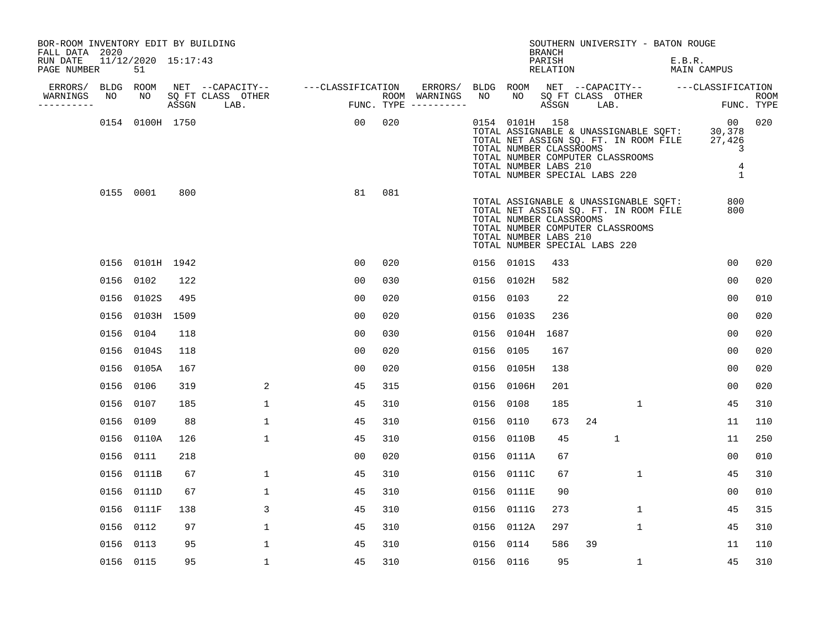| BOR-ROOM INVENTORY EDIT BY BUILDING<br>FALL DATA 2020 |           |                           |       |                           |                   |     |                                      |      |                | <b>BRANCH</b>                                                                     |      | SOUTHERN UNIVERSITY - BATON ROUGE                                                                                  |                                                               |                    |
|-------------------------------------------------------|-----------|---------------------------|-------|---------------------------|-------------------|-----|--------------------------------------|------|----------------|-----------------------------------------------------------------------------------|------|--------------------------------------------------------------------------------------------------------------------|---------------------------------------------------------------|--------------------|
| RUN DATE<br>PAGE NUMBER                               |           | 11/12/2020 15:17:43<br>51 |       |                           |                   |     |                                      |      |                | PARISH<br>RELATION                                                                |      |                                                                                                                    | E.B.R.<br>MAIN CAMPUS                                         |                    |
| ERRORS/                                               | BLDG ROOM |                           |       | NET --CAPACITY--          | ---CLASSIFICATION |     | ERRORS/                              |      | BLDG ROOM      |                                                                                   |      |                                                                                                                    | NET --CAPACITY-- ----CLASSIFICATION                           |                    |
| WARNINGS<br>----------                                | NO        | NO                        | ASSGN | SQ FT CLASS OTHER<br>LAB. |                   |     | ROOM WARNINGS<br>FUNC. TYPE $------$ | NO   | NO             | SQ FT CLASS OTHER<br>ASSGN                                                        | LAB. |                                                                                                                    |                                                               | ROOM<br>FUNC. TYPE |
|                                                       |           | 0154 0100H 1750           |       |                           | 00                | 020 |                                      |      | 0154 0101H 158 | TOTAL NUMBER CLASSROOMS<br>TOTAL NUMBER LABS 210<br>TOTAL NUMBER SPECIAL LABS 220 |      | TOTAL ASSIGNABLE & UNASSIGNABLE SQFT:<br>TOTAL NET ASSIGN SQ. FT. IN ROOM FILE<br>TOTAL NUMBER COMPUTER CLASSROOMS | 00 <sub>o</sub><br>30,378<br>27,426<br>3<br>4<br>$\mathbf{1}$ | 020                |
|                                                       |           | 0155 0001                 | 800   |                           | 81                | 081 |                                      |      |                | TOTAL NUMBER CLASSROOMS<br>TOTAL NUMBER LABS 210<br>TOTAL NUMBER SPECIAL LABS 220 |      | TOTAL ASSIGNABLE & UNASSIGNABLE SQFT:<br>TOTAL NET ASSIGN SQ. FT. IN ROOM FILE<br>TOTAL NUMBER COMPUTER CLASSROOMS | 800<br>800                                                    |                    |
|                                                       |           | 0156 0101H 1942           |       |                           | 0 <sub>0</sub>    | 020 |                                      |      | 0156 0101S     | 433                                                                               |      |                                                                                                                    | 00                                                            | 020                |
|                                                       | 0156      | 0102                      | 122   |                           | 0 <sub>0</sub>    | 030 |                                      |      | 0156 0102H     | 582                                                                               |      |                                                                                                                    | 0 <sub>0</sub>                                                | 020                |
|                                                       | 0156      | 0102S                     | 495   |                           | 0 <sub>0</sub>    | 020 |                                      | 0156 | 0103           | 22                                                                                |      |                                                                                                                    | 0 <sub>0</sub>                                                | 010                |
|                                                       | 0156      | 0103H 1509                |       |                           | 0 <sub>0</sub>    | 020 |                                      |      | 0156 0103S     | 236                                                                               |      |                                                                                                                    | 00                                                            | 020                |
|                                                       | 0156      | 0104                      | 118   |                           | 0 <sub>0</sub>    | 030 |                                      | 0156 | 0104H          | 1687                                                                              |      |                                                                                                                    | 0 <sub>0</sub>                                                | 020                |
|                                                       | 0156      | 0104S                     | 118   |                           | 0 <sub>0</sub>    | 020 |                                      | 0156 | 0105           | 167                                                                               |      |                                                                                                                    | 0 <sub>0</sub>                                                | 020                |
|                                                       |           | 0156 0105A                | 167   |                           | 0 <sub>0</sub>    | 020 |                                      |      | 0156 0105H     | 138                                                                               |      |                                                                                                                    | 0 <sub>0</sub>                                                | 020                |
|                                                       | 0156      | 0106                      | 319   | 2                         | 45                | 315 |                                      | 0156 | 0106H          | 201                                                                               |      |                                                                                                                    | 0 <sub>0</sub>                                                | 020                |
|                                                       | 0156      | 0107                      | 185   | $\mathbf{1}$              | 45                | 310 |                                      | 0156 | 0108           | 185                                                                               |      | $\mathbf{1}$                                                                                                       | 45                                                            | 310                |
|                                                       | 0156      | 0109                      | 88    | 1                         | 45                | 310 |                                      | 0156 | 0110           | 673                                                                               | 24   |                                                                                                                    | 11                                                            | 110                |
|                                                       |           | 0156 0110A                | 126   | $\mathbf 1$               | 45                | 310 |                                      |      | 0156 0110B     | 45                                                                                |      | $\mathbf{1}$                                                                                                       | 11                                                            | 250                |
|                                                       | 0156      | 0111                      | 218   |                           | 0 <sub>0</sub>    | 020 |                                      | 0156 | 0111A          | 67                                                                                |      |                                                                                                                    | 00                                                            | 010                |
|                                                       | 0156      | 0111B                     | 67    | $\mathbf{1}$              | 45                | 310 |                                      | 0156 | 0111C          | 67                                                                                |      | $\mathbf{1}$                                                                                                       | 45                                                            | 310                |
|                                                       | 0156      | 0111D                     | 67    | $\mathbf 1$               | 45                | 310 |                                      | 0156 | 0111E          | 90                                                                                |      |                                                                                                                    | 0 <sub>0</sub>                                                | 010                |
|                                                       |           | 0156 0111F                | 138   | 3                         | 45                | 310 |                                      | 0156 | 0111G          | 273                                                                               |      | $\mathbf 1$                                                                                                        | 45                                                            | 315                |
|                                                       | 0156      | 0112                      | 97    | $\mathbf{1}$              | 45                | 310 |                                      | 0156 | 0112A          | 297                                                                               |      | $\mathbf 1$                                                                                                        | 45                                                            | 310                |
|                                                       | 0156      | 0113                      | 95    | $\mathbf{1}$              | 45                | 310 |                                      | 0156 | 0114           | 586                                                                               | 39   |                                                                                                                    | 11                                                            | 110                |
|                                                       |           | 0156 0115                 | 95    | 1                         | 45                | 310 |                                      |      | 0156 0116      | 95                                                                                |      | 1                                                                                                                  | 45                                                            | 310                |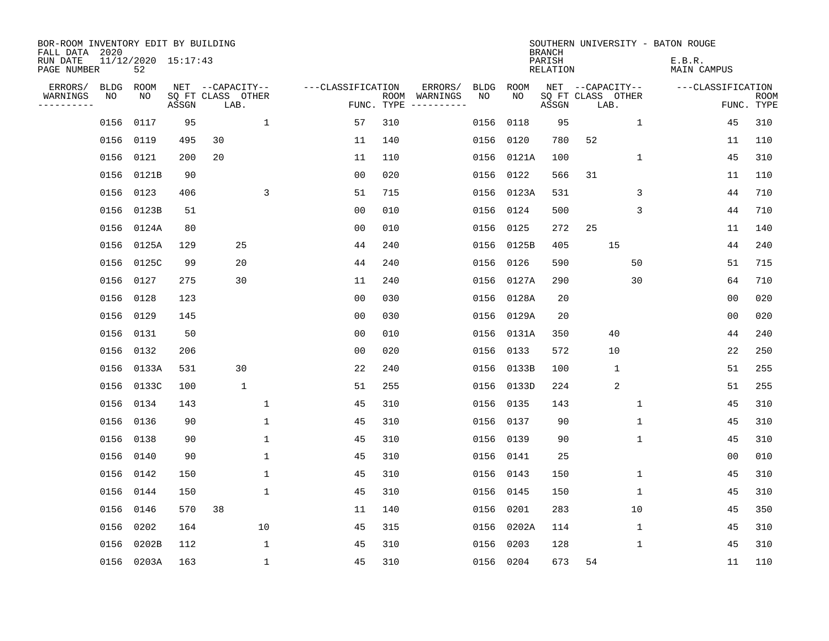| BOR-ROOM INVENTORY EDIT BY BUILDING<br>FALL DATA 2020 |             |                           |       |                           |              |                   |     |                                      |             |            | <b>BRANCH</b>             |                           |             | SOUTHERN UNIVERSITY - BATON ROUGE |                           |
|-------------------------------------------------------|-------------|---------------------------|-------|---------------------------|--------------|-------------------|-----|--------------------------------------|-------------|------------|---------------------------|---------------------------|-------------|-----------------------------------|---------------------------|
| RUN DATE<br>PAGE NUMBER                               |             | 11/12/2020 15:17:43<br>52 |       |                           |              |                   |     |                                      |             |            | PARISH<br><b>RELATION</b> |                           |             | E.B.R.<br><b>MAIN CAMPUS</b>      |                           |
| ERRORS/                                               | <b>BLDG</b> | ROOM                      |       | NET --CAPACITY--          |              | ---CLASSIFICATION |     | ERRORS/                              | <b>BLDG</b> | ROOM       |                           | NET --CAPACITY--          |             | ---CLASSIFICATION                 |                           |
| WARNINGS<br>----------                                | NO          | NO                        | ASSGN | SQ FT CLASS OTHER<br>LAB. |              |                   |     | ROOM WARNINGS<br>FUNC. TYPE $------$ | NO          | NO         | ASSGN                     | SQ FT CLASS OTHER<br>LAB. |             |                                   | <b>ROOM</b><br>FUNC. TYPE |
|                                                       | 0156        | 0117                      | 95    |                           | $\mathbf{1}$ | 57                | 310 |                                      | 0156        | 0118       | 95                        |                           | $\mathbf 1$ | 45                                | 310                       |
|                                                       | 0156        | 0119                      | 495   | 30                        |              | 11                | 140 |                                      | 0156        | 0120       | 780                       | 52                        |             | 11                                | 110                       |
|                                                       | 0156        | 0121                      | 200   | 20                        |              | 11                | 110 |                                      |             | 0156 0121A | 100                       |                           | 1           | 45                                | 310                       |
|                                                       | 0156        | 0121B                     | 90    |                           |              | 0 <sub>0</sub>    | 020 |                                      |             | 0156 0122  | 566                       | 31                        |             | 11                                | 110                       |
|                                                       | 0156        | 0123                      | 406   |                           | 3            | 51                | 715 |                                      |             | 0156 0123A | 531                       |                           | 3           | 44                                | 710                       |
|                                                       |             | 0156 0123B                | 51    |                           |              | 0 <sub>0</sub>    | 010 |                                      |             | 0156 0124  | 500                       |                           | 3           | 44                                | 710                       |
|                                                       |             | 0156 0124A                | 80    |                           |              | 0 <sub>0</sub>    | 010 |                                      | 0156        | 0125       | 272                       | 25                        |             | 11                                | 140                       |
|                                                       |             | 0156 0125A                | 129   | 25                        |              | 44                | 240 |                                      |             | 0156 0125B | 405                       | 15                        |             | 44                                | 240                       |
|                                                       | 0156        | 0125C                     | 99    | 20                        |              | 44                | 240 |                                      | 0156        | 0126       | 590                       |                           | 50          | 51                                | 715                       |
|                                                       | 0156 0127   |                           | 275   | 30                        |              | 11                | 240 |                                      |             | 0156 0127A | 290                       |                           | 30          | 64                                | 710                       |
|                                                       | 0156        | 0128                      | 123   |                           |              | 0 <sub>0</sub>    | 030 |                                      | 0156        | 0128A      | 20                        |                           |             | 0 <sub>0</sub>                    | 020                       |
|                                                       | 0156        | 0129                      | 145   |                           |              | 0 <sub>0</sub>    | 030 |                                      |             | 0156 0129A | 20                        |                           |             | 0 <sub>0</sub>                    | 020                       |
|                                                       | 0156        | 0131                      | 50    |                           |              | 0 <sub>0</sub>    | 010 |                                      | 0156        | 0131A      | 350                       | 40                        |             | 44                                | 240                       |
|                                                       | 0156        | 0132                      | 206   |                           |              | 00                | 020 |                                      | 0156 0133   |            | 572                       | 10                        |             | 22                                | 250                       |
|                                                       | 0156        | 0133A                     | 531   | 30                        |              | 22                | 240 |                                      |             | 0156 0133B | 100                       | $\mathbf{1}$              |             | 51                                | 255                       |
|                                                       | 0156        | 0133C                     | 100   | $\mathbf{1}$              |              | 51                | 255 |                                      |             | 0156 0133D | 224                       | 2                         |             | 51                                | 255                       |
|                                                       | 0156        | 0134                      | 143   |                           | $\mathbf{1}$ | 45                | 310 |                                      | 0156 0135   |            | 143                       |                           | 1           | 45                                | 310                       |
|                                                       | 0156        | 0136                      | 90    |                           | 1            | 45                | 310 |                                      | 0156        | 0137       | 90                        |                           | 1           | 45                                | 310                       |
|                                                       | 0156        | 0138                      | 90    |                           | 1            | 45                | 310 |                                      | 0156 0139   |            | 90                        |                           | 1           | 45                                | 310                       |
|                                                       | 0156        | 0140                      | 90    |                           | $\mathbf{1}$ | 45                | 310 |                                      | 0156 0141   |            | 25                        |                           |             | 0 <sub>0</sub>                    | 010                       |
|                                                       | 0156        | 0142                      | 150   |                           | 1            | 45                | 310 |                                      |             | 0156 0143  | 150                       |                           | 1           | 45                                | 310                       |
|                                                       | 0156        | 0144                      | 150   |                           | $\mathbf{1}$ | 45                | 310 |                                      | 0156        | 0145       | 150                       |                           | 1           | 45                                | 310                       |
|                                                       | 0156 0146   |                           | 570   | 38                        |              | 11                | 140 |                                      | 0156        | 0201       | 283                       |                           | 10          | 45                                | 350                       |
|                                                       | 0156        | 0202                      | 164   |                           | 10           | 45                | 315 |                                      |             | 0156 0202A | 114                       |                           | 1           | 45                                | 310                       |
|                                                       | 0156        | 0202B                     | 112   |                           | $\mathbf{1}$ | 45                | 310 |                                      | 0156        | 0203       | 128                       |                           | 1           | 45                                | 310                       |
|                                                       |             | 0156 0203A                | 163   |                           | $\mathbf{1}$ | 45                | 310 |                                      | 0156 0204   |            | 673                       | 54                        |             | 11                                | 110                       |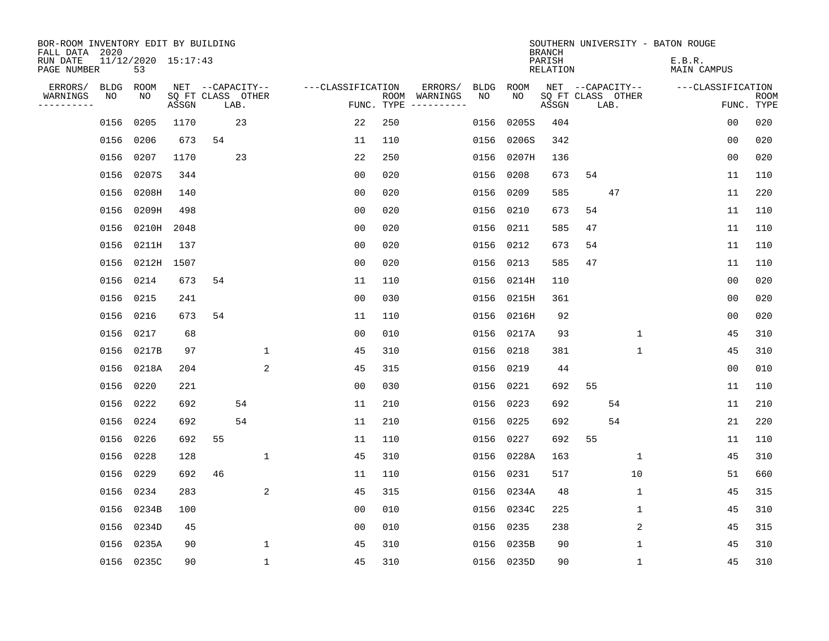| BOR-ROOM INVENTORY EDIT BY BUILDING<br>FALL DATA 2020 |             |                           |                            |                  |      |                |                   |     |                                      |      |            | <b>BRANCH</b>             |    |                           | SOUTHERN UNIVERSITY - BATON ROUGE |                   |                           |
|-------------------------------------------------------|-------------|---------------------------|----------------------------|------------------|------|----------------|-------------------|-----|--------------------------------------|------|------------|---------------------------|----|---------------------------|-----------------------------------|-------------------|---------------------------|
| RUN DATE<br>PAGE NUMBER                               |             | 11/12/2020 15:17:43<br>53 |                            |                  |      |                |                   |     |                                      |      |            | PARISH<br><b>RELATION</b> |    |                           | E.B.R.<br><b>MAIN CAMPUS</b>      |                   |                           |
| ERRORS/                                               | <b>BLDG</b> | ROOM                      |                            | NET --CAPACITY-- |      |                | ---CLASSIFICATION |     | ERRORS/                              | BLDG | ROOM       |                           |    | NET --CAPACITY--          |                                   | ---CLASSIFICATION |                           |
| WARNINGS<br>----------                                | NO          | NO                        | SQ FT CLASS OTHER<br>ASSGN |                  | LAB. |                |                   |     | ROOM WARNINGS<br>FUNC. TYPE $------$ | NO   | NO         | ASSGN                     |    | SQ FT CLASS OTHER<br>LAB. |                                   |                   | <b>ROOM</b><br>FUNC. TYPE |
|                                                       | 0156        | 0205                      | 1170                       |                  | 23   |                | 22                | 250 |                                      | 0156 | 0205S      | 404                       |    |                           |                                   | 00                | 020                       |
|                                                       | 0156        | 0206                      | 673                        | 54               |      |                | 11                | 110 |                                      | 0156 | 0206S      | 342                       |    |                           |                                   | 0 <sub>0</sub>    | 020                       |
|                                                       | 0156        | 0207                      | 1170                       |                  | 23   |                | 22                | 250 |                                      | 0156 | 0207H      | 136                       |    |                           |                                   | 00                | 020                       |
|                                                       | 0156        | 0207S                     | 344                        |                  |      |                | 0 <sub>0</sub>    | 020 |                                      | 0156 | 0208       | 673                       | 54 |                           |                                   | 11                | 110                       |
|                                                       | 0156        | 0208H                     | 140                        |                  |      |                | 0 <sub>0</sub>    | 020 |                                      | 0156 | 0209       | 585                       |    | 47                        |                                   | 11                | 220                       |
|                                                       | 0156        | 0209H                     | 498                        |                  |      |                | 0 <sub>0</sub>    | 020 |                                      |      | 0156 0210  | 673                       | 54 |                           |                                   | 11                | 110                       |
|                                                       | 0156        | 0210H                     | 2048                       |                  |      |                | 0 <sub>0</sub>    | 020 |                                      |      | 0156 0211  | 585                       | 47 |                           |                                   | 11                | 110                       |
|                                                       | 0156        | 0211H                     | 137                        |                  |      |                | 0 <sub>0</sub>    | 020 |                                      |      | 0156 0212  | 673                       | 54 |                           |                                   | 11                | 110                       |
|                                                       | 0156        | 0212H                     | 1507                       |                  |      |                | 0 <sub>0</sub>    | 020 |                                      | 0156 | 0213       | 585                       | 47 |                           |                                   | 11                | 110                       |
|                                                       | 0156 0214   |                           | 673                        | 54               |      |                | 11                | 110 |                                      |      | 0156 0214H | 110                       |    |                           |                                   | 0 <sub>0</sub>    | 020                       |
|                                                       | 0156        | 0215                      | 241                        |                  |      |                | 0 <sub>0</sub>    | 030 |                                      |      | 0156 0215H | 361                       |    |                           |                                   | 0 <sub>0</sub>    | 020                       |
|                                                       | 0156        | 0216                      | 673                        | 54               |      |                | 11                | 110 |                                      |      | 0156 0216H | 92                        |    |                           |                                   | 0 <sub>0</sub>    | 020                       |
|                                                       | 0156        | 0217                      | 68                         |                  |      |                | 0 <sub>0</sub>    | 010 |                                      | 0156 | 0217A      | 93                        |    | 1                         |                                   | 45                | 310                       |
|                                                       | 0156        | 0217B                     | 97                         |                  |      | $\mathbf 1$    | 45                | 310 |                                      | 0156 | 0218       | 381                       |    | 1                         |                                   | 45                | 310                       |
|                                                       |             | 0156 0218A                | 204                        |                  |      | 2              | 45                | 315 |                                      | 0156 | 0219       | 44                        |    |                           |                                   | 0 <sub>0</sub>    | 010                       |
|                                                       | 0156        | 0220                      | 221                        |                  |      |                | 0 <sub>0</sub>    | 030 |                                      | 0156 | 0221       | 692                       | 55 |                           |                                   | 11                | 110                       |
|                                                       | 0156        | 0222                      | 692                        |                  | 54   |                | 11                | 210 |                                      | 0156 | 0223       | 692                       |    | 54                        |                                   | 11                | 210                       |
|                                                       | 0156        | 0224                      | 692                        |                  | 54   |                | 11                | 210 |                                      | 0156 | 0225       | 692                       |    | 54                        |                                   | 21                | 220                       |
|                                                       | 0156        | 0226                      | 692                        | 55               |      |                | 11                | 110 |                                      |      | 0156 0227  | 692                       | 55 |                           |                                   | 11                | 110                       |
|                                                       | 0156        | 0228                      | 128                        |                  |      | $\mathbf 1$    | 45                | 310 |                                      |      | 0156 0228A | 163                       |    | 1                         |                                   | 45                | 310                       |
|                                                       | 0156        | 0229                      | 692                        | 46               |      |                | 11                | 110 |                                      |      | 0156 0231  | 517                       |    | 10                        |                                   | 51                | 660                       |
|                                                       | 0156        | 0234                      | 283                        |                  |      | $\overline{a}$ | 45                | 315 |                                      | 0156 | 0234A      | 48                        |    | 1                         |                                   | 45                | 315                       |
|                                                       |             | 0156 0234B                | 100                        |                  |      |                | 00                | 010 |                                      |      | 0156 0234C | 225                       |    | 1                         |                                   | 45                | 310                       |
|                                                       | 0156        | 0234D                     | 45                         |                  |      |                | 0 <sub>0</sub>    | 010 |                                      |      | 0156 0235  | 238                       |    | 2                         |                                   | 45                | 315                       |
|                                                       | 0156        | 0235A                     | 90                         |                  |      | 1              | 45                | 310 |                                      |      | 0156 0235B | 90                        |    | 1                         |                                   | 45                | 310                       |
|                                                       |             | 0156 0235C                | 90                         |                  |      | $\mathbf 1$    | 45                | 310 |                                      |      | 0156 0235D | 90                        |    | $\mathbf{1}$              |                                   | 45                | 310                       |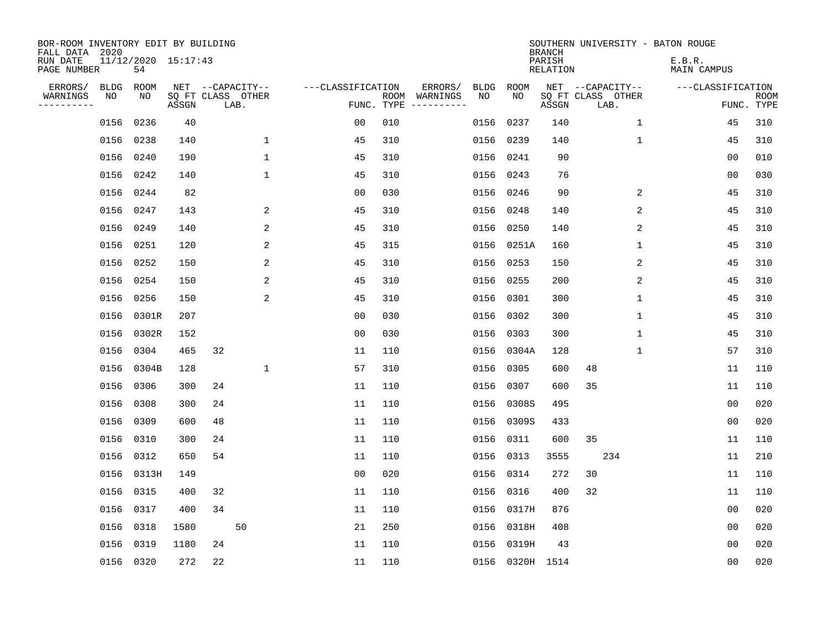| BOR-ROOM INVENTORY EDIT BY BUILDING<br>FALL DATA 2020 |      |                           |       |    |                           |                   |            |                              |      |                 | <b>BRANCH</b>             | SOUTHERN UNIVERSITY - BATON ROUGE |                       |                           |
|-------------------------------------------------------|------|---------------------------|-------|----|---------------------------|-------------------|------------|------------------------------|------|-----------------|---------------------------|-----------------------------------|-----------------------|---------------------------|
| RUN DATE<br>PAGE NUMBER                               |      | 11/12/2020 15:17:43<br>54 |       |    |                           |                   |            |                              |      |                 | PARISH<br><b>RELATION</b> |                                   | E.B.R.<br>MAIN CAMPUS |                           |
| ERRORS/                                               | BLDG | ROOM                      |       |    | NET --CAPACITY--          | ---CLASSIFICATION |            | ERRORS/                      | BLDG | ROOM            |                           | NET --CAPACITY--                  | ---CLASSIFICATION     |                           |
| WARNINGS<br>----------                                | NO   | NO                        | ASSGN |    | SQ FT CLASS OTHER<br>LAB. |                   | FUNC. TYPE | ROOM WARNINGS<br>----------- | NO   | NO              | ASSGN                     | SQ FT CLASS OTHER<br>LAB.         |                       | <b>ROOM</b><br>FUNC. TYPE |
|                                                       | 0156 | 0236                      | 40    |    |                           | 00                | 010        |                              | 0156 | 0237            | 140                       | $\mathbf{1}$                      | 45                    | 310                       |
|                                                       |      | 0156 0238                 | 140   |    | $\mathbf{1}$              | 45                | 310        |                              | 0156 | 0239            | 140                       | 1                                 | 45                    | 310                       |
|                                                       | 0156 | 0240                      | 190   |    | $\mathbf 1$               | 45                | 310        |                              | 0156 | 0241            | 90                        |                                   | 0 <sub>0</sub>        | 010                       |
|                                                       | 0156 | 0242                      | 140   |    | $\mathbf{1}$              | 45                | 310        |                              | 0156 | 0243            | 76                        |                                   | 0 <sub>0</sub>        | 030                       |
|                                                       | 0156 | 0244                      | 82    |    |                           | 0 <sub>0</sub>    | 030        |                              | 0156 | 0246            | 90                        | 2                                 | 45                    | 310                       |
|                                                       |      | 0156 0247                 | 143   |    | 2                         | 45                | 310        |                              | 0156 | 0248            | 140                       | 2                                 | 45                    | 310                       |
|                                                       | 0156 | 0249                      | 140   |    | 2                         | 45                | 310        |                              | 0156 | 0250            | 140                       | 2                                 | 45                    | 310                       |
|                                                       |      | 0156 0251                 | 120   |    | 2                         | 45                | 315        |                              | 0156 | 0251A           | 160                       | 1                                 | 45                    | 310                       |
|                                                       | 0156 | 0252                      | 150   |    | 2                         | 45                | 310        |                              | 0156 | 0253            | 150                       | 2                                 | 45                    | 310                       |
|                                                       |      | 0156 0254                 | 150   |    | 2                         | 45                | 310        |                              | 0156 | 0255            | 200                       | 2                                 | 45                    | 310                       |
|                                                       |      | 0156 0256                 | 150   |    | 2                         | 45                | 310        |                              | 0156 | 0301            | 300                       | 1                                 | 45                    | 310                       |
|                                                       |      | 0156 0301R                | 207   |    |                           | 0 <sub>0</sub>    | 030        |                              | 0156 | 0302            | 300                       | 1                                 | 45                    | 310                       |
|                                                       | 0156 | 0302R                     | 152   |    |                           | 0 <sub>0</sub>    | 030        |                              | 0156 | 0303            | 300                       | 1                                 | 45                    | 310                       |
|                                                       | 0156 | 0304                      | 465   | 32 |                           | 11                | 110        |                              | 0156 | 0304A           | 128                       | 1                                 | 57                    | 310                       |
|                                                       | 0156 | 0304B                     | 128   |    | 1                         | 57                | 310        |                              | 0156 | 0305            | 600                       | 48                                | 11                    | 110                       |
|                                                       | 0156 | 0306                      | 300   | 24 |                           | 11                | 110        |                              | 0156 | 0307            | 600                       | 35                                | 11                    | 110                       |
|                                                       | 0156 | 0308                      | 300   | 24 |                           | 11                | 110        |                              | 0156 | 0308S           | 495                       |                                   | 0 <sub>0</sub>        | 020                       |
|                                                       | 0156 | 0309                      | 600   | 48 |                           | 11                | 110        |                              | 0156 | 0309S           | 433                       |                                   | 0 <sub>0</sub>        | 020                       |
|                                                       |      | 0156 0310                 | 300   | 24 |                           | 11                | 110        |                              | 0156 | 0311            | 600                       | 35                                | 11                    | 110                       |
|                                                       | 0156 | 0312                      | 650   | 54 |                           | 11                | 110        |                              | 0156 | 0313            | 3555                      | 234                               | 11                    | 210                       |
|                                                       | 0156 | 0313H                     | 149   |    |                           | 0 <sub>0</sub>    | 020        |                              | 0156 | 0314            | 272                       | 30                                | 11                    | 110                       |
|                                                       | 0156 | 0315                      | 400   | 32 |                           | 11                | 110        |                              | 0156 | 0316            | 400                       | 32                                | 11                    | 110                       |
|                                                       |      | 0156 0317                 | 400   | 34 |                           | 11                | 110        |                              | 0156 | 0317H           | 876                       |                                   | 0 <sub>0</sub>        | 020                       |
|                                                       | 0156 | 0318                      | 1580  |    | 50                        | 21                | 250        |                              | 0156 | 0318H           | 408                       |                                   | 00                    | 020                       |
|                                                       | 0156 | 0319                      | 1180  | 24 |                           | 11                | 110        |                              | 0156 | 0319H           | 43                        |                                   | 0 <sub>0</sub>        | 020                       |
|                                                       |      | 0156 0320                 | 272   | 22 |                           | 11                | 110        |                              |      | 0156 0320H 1514 |                           |                                   | 0 <sub>0</sub>        | 020                       |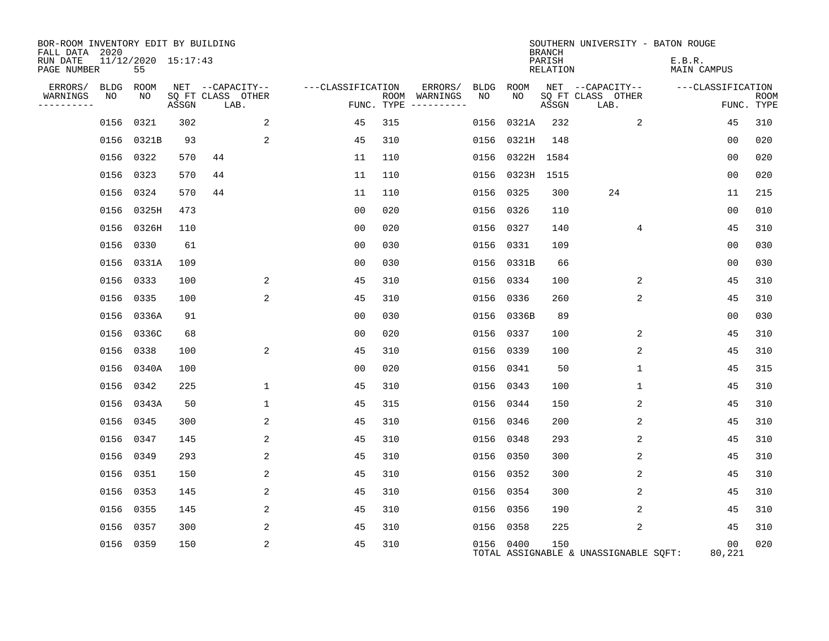| BOR-ROOM INVENTORY EDIT BY BUILDING<br>FALL DATA 2020 |           |                               |       |      |                   |                   |     |                                      |      |                 | <b>BRANCH</b>      | SOUTHERN UNIVERSITY - BATON ROUGE     |                       |                |             |
|-------------------------------------------------------|-----------|-------------------------------|-------|------|-------------------|-------------------|-----|--------------------------------------|------|-----------------|--------------------|---------------------------------------|-----------------------|----------------|-------------|
| RUN DATE<br>PAGE NUMBER                               |           | $11/12/2020$ $15:17:43$<br>55 |       |      |                   |                   |     |                                      |      |                 | PARISH<br>RELATION |                                       | E.B.R.<br>MAIN CAMPUS |                |             |
| ERRORS/                                               |           | BLDG ROOM                     |       |      | NET --CAPACITY--  | ---CLASSIFICATION |     | ERRORS/                              | BLDG | ROOM            |                    | NET --CAPACITY--                      | ---CLASSIFICATION     |                |             |
| WARNINGS<br>---------                                 | NO        | NO                            | ASSGN | LAB. | SQ FT CLASS OTHER |                   |     | ROOM WARNINGS<br>FUNC. TYPE $------$ | NO   | NO.             | ASSGN              | SQ FT CLASS OTHER<br>LAB.             |                       | FUNC. TYPE     | <b>ROOM</b> |
|                                                       | 0156 0321 |                               | 302   |      | 2                 | 45                | 315 |                                      | 0156 | 0321A           | 232                | 2                                     |                       | 45             | 310         |
|                                                       |           | 0156 0321B                    | 93    |      | 2                 | 45                | 310 |                                      | 0156 | 0321H           | 148                |                                       |                       | 0 <sub>0</sub> | 020         |
|                                                       |           | 0156 0322                     | 570   | 44   |                   | 11                | 110 |                                      |      | 0156 0322H 1584 |                    |                                       |                       | 00             | 020         |
|                                                       | 0156 0323 |                               | 570   | 44   |                   | 11                | 110 |                                      | 0156 | 0323H           | 1515               |                                       |                       | 00             | 020         |
|                                                       |           | 0156 0324                     | 570   | 44   |                   | 11                | 110 |                                      |      | 0156 0325       | 300                | 24                                    |                       | 11             | 215         |
|                                                       |           | 0156 0325H                    | 473   |      |                   | 0 <sub>0</sub>    | 020 |                                      | 0156 | 0326            | 110                |                                       |                       | 00             | 010         |
|                                                       |           | 0156 0326H                    | 110   |      |                   | 0 <sub>0</sub>    | 020 |                                      |      | 0156 0327       | 140                | 4                                     |                       | 45             | 310         |
|                                                       | 0156 0330 |                               | 61    |      |                   | 0 <sub>0</sub>    | 030 |                                      | 0156 | 0331            | 109                |                                       |                       | 0 <sub>0</sub> | 030         |
|                                                       |           | 0156 0331A                    | 109   |      |                   | 0 <sub>0</sub>    | 030 |                                      |      | 0156 0331B      | 66                 |                                       |                       | 0 <sub>0</sub> | 030         |
|                                                       | 0156 0333 |                               | 100   |      | 2                 | 45                | 310 |                                      |      | 0156 0334       | 100                | 2                                     |                       | 45             | 310         |
|                                                       | 0156 0335 |                               | 100   |      | 2                 | 45                | 310 |                                      |      | 0156 0336       | 260                | 2                                     |                       | 45             | 310         |
|                                                       | 0156      | 0336A                         | 91    |      |                   | 00                | 030 |                                      |      | 0156 0336B      | 89                 |                                       |                       | 0 <sub>0</sub> | 030         |
|                                                       |           | 0156 0336C                    | 68    |      |                   | 0 <sub>0</sub>    | 020 |                                      |      | 0156 0337       | 100                | 2                                     |                       | 45             | 310         |
|                                                       | 0156 0338 |                               | 100   |      | 2                 | 45                | 310 |                                      |      | 0156 0339       | 100                | 2                                     |                       | 45             | 310         |
|                                                       |           | 0156 0340A                    | 100   |      |                   | 0 <sub>0</sub>    | 020 |                                      |      | 0156 0341       | 50                 | 1                                     |                       | 45             | 315         |
|                                                       |           | 0156 0342                     | 225   |      | $\mathbf{1}$      | 45                | 310 |                                      |      | 0156 0343       | 100                | 1                                     |                       | 45             | 310         |
|                                                       |           | 0156 0343A                    | 50    |      | $\mathbf{1}$      | 45                | 315 |                                      | 0156 | 0344            | 150                | 2                                     |                       | 45             | 310         |
|                                                       | 0156 0345 |                               | 300   |      | 2                 | 45                | 310 |                                      |      | 0156 0346       | 200                | 2                                     |                       | 45             | 310         |
|                                                       | 0156 0347 |                               | 145   |      | 2                 | 45                | 310 |                                      | 0156 | 0348            | 293                | 2                                     |                       | 45             | 310         |
|                                                       | 0156 0349 |                               | 293   |      | 2                 | 45                | 310 |                                      |      | 0156 0350       | 300                | 2                                     |                       | 45             | 310         |
|                                                       | 0156 0351 |                               | 150   |      | 2                 | 45                | 310 |                                      | 0156 | 0352            | 300                | 2                                     |                       | 45             | 310         |
|                                                       | 0156 0353 |                               | 145   |      | 2                 | 45                | 310 |                                      |      | 0156 0354       | 300                | 2                                     |                       | 45             | 310         |
|                                                       | 0156 0355 |                               | 145   |      | 2                 | 45                | 310 |                                      | 0156 | 0356            | 190                | 2                                     |                       | 45             | 310         |
|                                                       | 0156 0357 |                               | 300   |      | 2                 | 45                | 310 |                                      |      | 0156 0358       | 225                | 2                                     |                       | 45             | 310         |
|                                                       | 0156 0359 |                               | 150   |      | 2                 | 45                | 310 |                                      |      | 0156 0400       | 150                | TOTAL ASSIGNABLE & UNASSIGNABLE SQFT: |                       | 00<br>80,221   | 020         |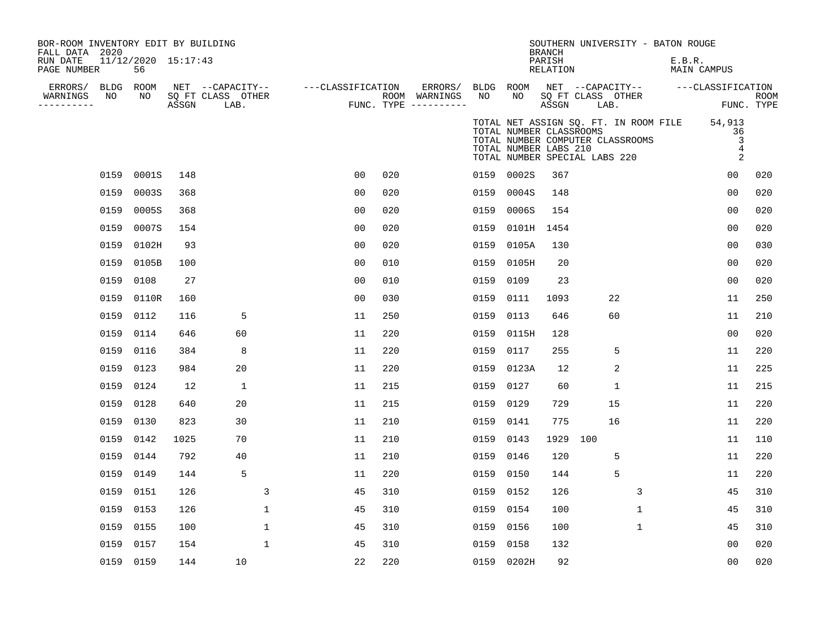| BOR-ROOM INVENTORY EDIT BY BUILDING<br>FALL DATA 2020 |           |                               |       |                           |              |                   |     |                                        |           |                                                                                                                                                                | SOUTHERN UNIVERSITY - BATON ROUGE<br><b>BRANCH</b> |     |              |                       |                                          |                    |
|-------------------------------------------------------|-----------|-------------------------------|-------|---------------------------|--------------|-------------------|-----|----------------------------------------|-----------|----------------------------------------------------------------------------------------------------------------------------------------------------------------|----------------------------------------------------|-----|--------------|-----------------------|------------------------------------------|--------------------|
| RUN DATE<br>PAGE NUMBER                               |           | $11/12/2020$ $15:17:43$<br>56 |       |                           |              |                   |     |                                        |           |                                                                                                                                                                | PARISH<br>RELATION                                 |     |              | E.B.R.<br>MAIN CAMPUS |                                          |                    |
| ERRORS/                                               | BLDG ROOM |                               |       | NET --CAPACITY--          |              | ---CLASSIFICATION |     | ERRORS/                                | BLDG ROOM |                                                                                                                                                                | NET --CAPACITY--                                   |     |              |                       | ---CLASSIFICATION                        |                    |
| WARNINGS<br>----------                                | NO        | NO                            | ASSGN | SO FT CLASS OTHER<br>LAB. |              |                   |     | ROOM WARNINGS<br>FUNC. TYPE ---------- | NO        | NO                                                                                                                                                             | SO FT CLASS OTHER<br>ASSGN                         |     | LAB.         |                       |                                          | ROOM<br>FUNC. TYPE |
|                                                       |           |                               |       |                           |              |                   |     |                                        |           | TOTAL NET ASSIGN SQ. FT. IN ROOM FILE<br>TOTAL NUMBER CLASSROOMS<br>TOTAL NUMBER COMPUTER CLASSROOMS<br>TOTAL NUMBER LABS 210<br>TOTAL NUMBER SPECIAL LABS 220 |                                                    |     |              |                       | 54,913<br>36<br>3<br>4<br>$\overline{2}$ |                    |
|                                                       | 0159      | 0001S                         | 148   |                           |              | 0 <sub>0</sub>    | 020 |                                        |           | 0159 0002S                                                                                                                                                     | 367                                                |     |              |                       | 00                                       | 020                |
|                                                       | 0159      | 0003S                         | 368   |                           |              | 0 <sub>0</sub>    | 020 |                                        | 0159      | 0004S                                                                                                                                                          | 148                                                |     |              |                       | 0 <sub>0</sub>                           | 020                |
|                                                       | 0159      | 0005S                         | 368   |                           |              | 0 <sub>0</sub>    | 020 |                                        | 0159      | 0006S                                                                                                                                                          | 154                                                |     |              |                       | 0 <sub>0</sub>                           | 020                |
|                                                       | 0159      | 0007S                         | 154   |                           |              | 00                | 020 |                                        |           | 0159 0101H 1454                                                                                                                                                |                                                    |     |              |                       | 0 <sub>0</sub>                           | 020                |
|                                                       | 0159      | 0102H                         | 93    |                           |              | 0 <sub>0</sub>    | 020 |                                        |           | 0159 0105A                                                                                                                                                     | 130                                                |     |              |                       | 0 <sub>0</sub>                           | 030                |
|                                                       | 0159      | 0105B                         | 100   |                           |              | 00                | 010 |                                        | 0159      | 0105H                                                                                                                                                          | 20                                                 |     |              |                       | 0 <sub>0</sub>                           | 020                |
|                                                       | 0159      | 0108                          | 27    |                           |              | 0 <sub>0</sub>    | 010 |                                        | 0159      | 0109                                                                                                                                                           | 23                                                 |     |              |                       | 0 <sub>0</sub>                           | 020                |
|                                                       | 0159      | 0110R                         | 160   |                           |              | 00                | 030 |                                        | 0159      | 0111                                                                                                                                                           | 1093                                               |     | 22           |                       | 11                                       | 250                |
|                                                       | 0159      | 0112                          | 116   | 5                         |              | 11                | 250 |                                        | 0159      | 0113                                                                                                                                                           | 646                                                |     | 60           |                       | 11                                       | 210                |
|                                                       | 0159      | 0114                          | 646   | 60                        |              | 11                | 220 |                                        | 0159      | 0115H                                                                                                                                                          | 128                                                |     |              |                       | 0 <sub>0</sub>                           | 020                |
|                                                       | 0159      | 0116                          | 384   | 8                         |              | 11                | 220 |                                        | 0159      | 0117                                                                                                                                                           | 255                                                |     | 5            |                       | 11                                       | 220                |
|                                                       | 0159      | 0123                          | 984   | 20                        |              | 11                | 220 |                                        |           | 0159 0123A                                                                                                                                                     | 12                                                 |     | 2            |                       | 11                                       | 225                |
|                                                       | 0159      | 0124                          | 12    | $\mathbf{1}$              |              | 11                | 215 |                                        | 0159      | 0127                                                                                                                                                           | 60                                                 |     | $\mathbf{1}$ |                       | 11                                       | 215                |
|                                                       | 0159      | 0128                          | 640   | 20                        |              | 11                | 215 |                                        | 0159 0129 |                                                                                                                                                                | 729                                                |     | 15           |                       | 11                                       | 220                |
|                                                       | 0159      | 0130                          | 823   | 30                        |              | 11                | 210 |                                        | 0159      | 0141                                                                                                                                                           | 775                                                |     | 16           |                       | 11                                       | 220                |
|                                                       | 0159      | 0142                          | 1025  | 70                        |              | 11                | 210 |                                        | 0159 0143 |                                                                                                                                                                | 1929                                               | 100 |              |                       | 11                                       | 110                |
|                                                       | 0159      | 0144                          | 792   | 40                        |              | 11                | 210 |                                        | 0159      | 0146                                                                                                                                                           | 120                                                |     | 5            |                       | 11                                       | 220                |
|                                                       | 0159      | 0149                          | 144   | 5                         |              | 11                | 220 |                                        | 0159 0150 |                                                                                                                                                                | 144                                                |     | 5            |                       | 11                                       | 220                |
|                                                       | 0159      | 0151                          | 126   |                           | 3            | 45                | 310 |                                        | 0159 0152 |                                                                                                                                                                | 126                                                |     | 3            |                       | 45                                       | 310                |
|                                                       | 0159      | 0153                          | 126   |                           | $\mathbf{1}$ | 45                | 310 |                                        | 0159 0154 |                                                                                                                                                                | 100                                                |     | $\mathbf{1}$ |                       | 45                                       | 310                |
|                                                       | 0159      | 0155                          | 100   |                           | $\mathbf{1}$ | 45                | 310 |                                        | 0159 0156 |                                                                                                                                                                | 100                                                |     | $\mathbf{1}$ |                       | 45                                       | 310                |
|                                                       | 0159      | 0157                          | 154   |                           | $\mathbf 1$  | 45                | 310 |                                        | 0159      | 0158                                                                                                                                                           | 132                                                |     |              |                       | 0 <sub>0</sub>                           | 020                |
|                                                       | 0159 0159 |                               | 144   | 10                        |              | 22                | 220 |                                        |           | 0159 0202H                                                                                                                                                     | 92                                                 |     |              |                       | 00                                       | 020                |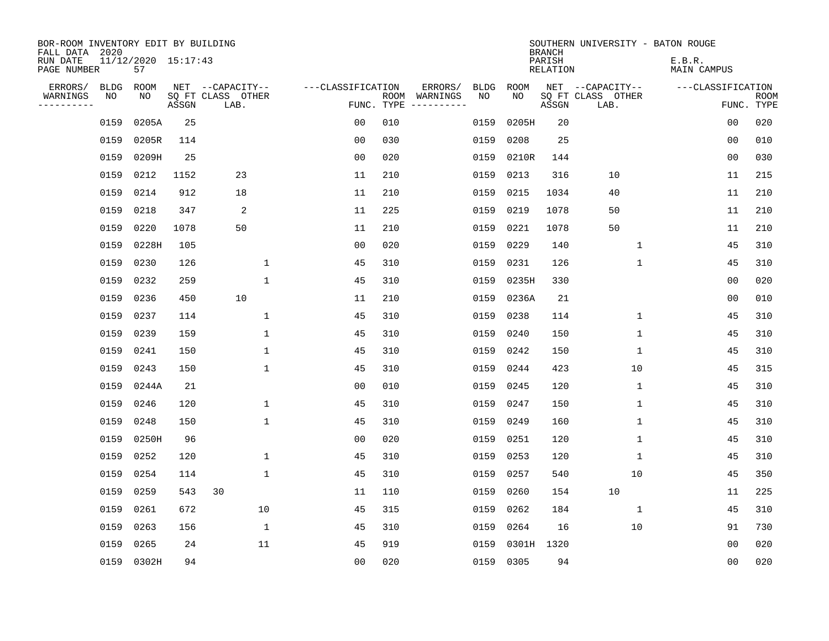| BOR-ROOM INVENTORY EDIT BY BUILDING<br>FALL DATA 2020 |             |                           |       |                           |                   |     |                                      |             |             | <b>BRANCH</b>             | SOUTHERN UNIVERSITY - BATON ROUGE |                              |                           |
|-------------------------------------------------------|-------------|---------------------------|-------|---------------------------|-------------------|-----|--------------------------------------|-------------|-------------|---------------------------|-----------------------------------|------------------------------|---------------------------|
| RUN DATE<br>PAGE NUMBER                               |             | 11/12/2020 15:17:43<br>57 |       |                           |                   |     |                                      |             |             | PARISH<br><b>RELATION</b> |                                   | E.B.R.<br><b>MAIN CAMPUS</b> |                           |
| ERRORS/                                               | <b>BLDG</b> | ROOM                      |       | NET --CAPACITY--          | ---CLASSIFICATION |     | ERRORS/                              | <b>BLDG</b> | <b>ROOM</b> |                           | NET --CAPACITY--                  | ---CLASSIFICATION            |                           |
| WARNINGS<br>----------                                | NO          | NO                        | ASSGN | SQ FT CLASS OTHER<br>LAB. |                   |     | ROOM WARNINGS<br>FUNC. TYPE $------$ | NO          | NO          | ASSGN                     | SQ FT CLASS OTHER<br>LAB.         |                              | <b>ROOM</b><br>FUNC. TYPE |
|                                                       | 0159        | 0205A                     | 25    |                           | 0 <sub>0</sub>    | 010 |                                      | 0159        | 0205H       | 20                        |                                   | 00                           | 020                       |
|                                                       | 0159        | 0205R                     | 114   |                           | 0 <sub>0</sub>    | 030 |                                      | 0159        | 0208        | 25                        |                                   | 00                           | 010                       |
|                                                       | 0159        | 0209H                     | 25    |                           | 0 <sub>0</sub>    | 020 |                                      | 0159        | 0210R       | 144                       |                                   | 0 <sub>0</sub>               | 030                       |
|                                                       | 0159        | 0212                      | 1152  | 23                        | 11                | 210 |                                      | 0159        | 0213        | 316                       | 10                                | 11                           | 215                       |
|                                                       | 0159        | 0214                      | 912   | 18                        | 11                | 210 |                                      | 0159        | 0215        | 1034                      | 40                                | 11                           | 210                       |
|                                                       | 0159        | 0218                      | 347   | $\overline{2}$            | 11                | 225 |                                      | 0159        | 0219        | 1078                      | 50                                | 11                           | 210                       |
|                                                       | 0159        | 0220                      | 1078  | 50                        | 11                | 210 |                                      | 0159        | 0221        | 1078                      | 50                                | 11                           | 210                       |
|                                                       | 0159        | 0228H                     | 105   |                           | 0 <sub>0</sub>    | 020 |                                      | 0159        | 0229        | 140                       | 1                                 | 45                           | 310                       |
|                                                       | 0159        | 0230                      | 126   | 1                         | 45                | 310 |                                      | 0159        | 0231        | 126                       | $\mathbf 1$                       | 45                           | 310                       |
|                                                       | 0159        | 0232                      | 259   | $\mathbf{1}$              | 45                | 310 |                                      | 0159        | 0235H       | 330                       |                                   | 0 <sub>0</sub>               | 020                       |
|                                                       | 0159        | 0236                      | 450   | 10                        | 11                | 210 |                                      | 0159        | 0236A       | 21                        |                                   | 0 <sub>0</sub>               | 010                       |
|                                                       | 0159        | 0237                      | 114   | $\mathbf{1}$              | 45                | 310 |                                      | 0159        | 0238        | 114                       | $\mathbf{1}$                      | 45                           | 310                       |
|                                                       | 0159        | 0239                      | 159   | 1                         | 45                | 310 |                                      | 0159        | 0240        | 150                       | $\mathbf 1$                       | 45                           | 310                       |
|                                                       | 0159        | 0241                      | 150   | 1                         | 45                | 310 |                                      | 0159        | 0242        | 150                       | 1                                 | 45                           | 310                       |
|                                                       | 0159        | 0243                      | 150   | $\mathbf 1$               | 45                | 310 |                                      | 0159        | 0244        | 423                       | 10                                | 45                           | 315                       |
|                                                       | 0159        | 0244A                     | 21    |                           | 0 <sub>0</sub>    | 010 |                                      | 0159        | 0245        | 120                       | 1                                 | 45                           | 310                       |
|                                                       | 0159        | 0246                      | 120   | 1                         | 45                | 310 |                                      | 0159        | 0247        | 150                       | 1                                 | 45                           | 310                       |
|                                                       | 0159        | 0248                      | 150   | $\mathbf 1$               | 45                | 310 |                                      | 0159        | 0249        | 160                       | 1                                 | 45                           | 310                       |
|                                                       | 0159        | 0250H                     | 96    |                           | 0 <sub>0</sub>    | 020 |                                      | 0159        | 0251        | 120                       | 1                                 | 45                           | 310                       |
|                                                       | 0159        | 0252                      | 120   | $\mathbf 1$               | 45                | 310 |                                      | 0159        | 0253        | 120                       | 1                                 | 45                           | 310                       |
|                                                       | 0159        | 0254                      | 114   | 1                         | 45                | 310 |                                      | 0159        | 0257        | 540                       | 10                                | 45                           | 350                       |
|                                                       | 0159        | 0259                      | 543   | 30                        | 11                | 110 |                                      | 0159        | 0260        | 154                       | 10                                | 11                           | 225                       |
|                                                       | 0159        | 0261                      | 672   | 10                        | 45                | 315 |                                      | 0159        | 0262        | 184                       | 1                                 | 45                           | 310                       |
|                                                       | 0159        | 0263                      | 156   | $\mathbf 1$               | 45                | 310 |                                      | 0159        | 0264        | 16                        | 10                                | 91                           | 730                       |
|                                                       | 0159        | 0265                      | 24    | 11                        | 45                | 919 |                                      | 0159        | 0301H 1320  |                           |                                   | 0 <sub>0</sub>               | 020                       |
|                                                       |             | 0159 0302H                | 94    |                           | 0 <sub>0</sub>    | 020 |                                      |             | 0159 0305   | 94                        |                                   | 00                           | 020                       |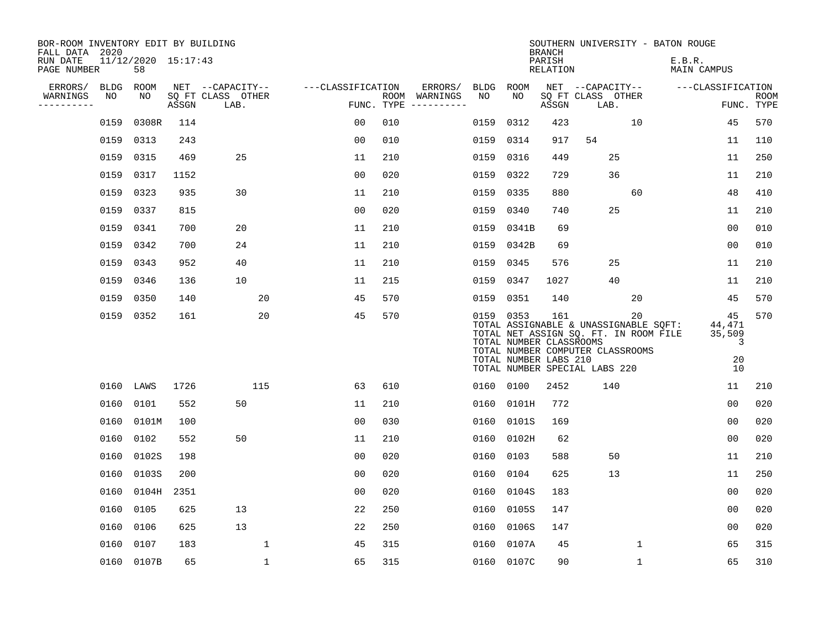| BOR-ROOM INVENTORY EDIT BY BUILDING<br>FALL DATA 2020 |           |                           |       |                           |                   |     |                                      |           |                                                               | <b>BRANCH</b>      | SOUTHERN UNIVERSITY - BATON ROUGE                                                                                                                         |                                    |                           |
|-------------------------------------------------------|-----------|---------------------------|-------|---------------------------|-------------------|-----|--------------------------------------|-----------|---------------------------------------------------------------|--------------------|-----------------------------------------------------------------------------------------------------------------------------------------------------------|------------------------------------|---------------------------|
| RUN DATE<br>PAGE NUMBER                               |           | 11/12/2020 15:17:43<br>58 |       |                           |                   |     |                                      |           |                                                               | PARISH<br>RELATION |                                                                                                                                                           | E.B.R.<br>MAIN CAMPUS              |                           |
| ERRORS/                                               | BLDG      | ROOM                      |       | NET --CAPACITY--          | ---CLASSIFICATION |     | ERRORS/                              | BLDG      | ROOM                                                          |                    | NET --CAPACITY--                                                                                                                                          | ---CLASSIFICATION                  |                           |
| WARNINGS<br>. _ _ _ _ _ _ _ _ _                       | NO        | NO                        | ASSGN | SQ FT CLASS OTHER<br>LAB. |                   |     | ROOM WARNINGS<br>FUNC. TYPE $------$ | NO        | NO                                                            | ASSGN              | SQ FT CLASS OTHER<br>LAB.                                                                                                                                 |                                    | <b>ROOM</b><br>FUNC. TYPE |
|                                                       | 0159      | 0308R                     | 114   |                           | 0 <sub>0</sub>    | 010 |                                      | 0159      | 0312                                                          | 423                | 10                                                                                                                                                        | 45                                 | 570                       |
|                                                       | 0159      | 0313                      | 243   |                           | 0 <sub>0</sub>    | 010 |                                      | 0159      | 0314                                                          | 917                | 54                                                                                                                                                        | 11                                 | 110                       |
|                                                       | 0159      | 0315                      | 469   | 25                        | 11                | 210 |                                      | 0159      | 0316                                                          | 449                | 25                                                                                                                                                        | 11                                 | 250                       |
|                                                       | 0159      | 0317                      | 1152  |                           | 0 <sub>0</sub>    | 020 |                                      | 0159      | 0322                                                          | 729                | 36                                                                                                                                                        | 11                                 | 210                       |
|                                                       | 0159      | 0323                      | 935   | 30                        | 11                | 210 |                                      | 0159      | 0335                                                          | 880                | 60                                                                                                                                                        | 48                                 | 410                       |
|                                                       | 0159      | 0337                      | 815   |                           | 0 <sub>0</sub>    | 020 |                                      |           | 0159 0340                                                     | 740                | 25                                                                                                                                                        | 11                                 | 210                       |
|                                                       | 0159      | 0341                      | 700   | 20                        | 11                | 210 |                                      |           | 0159 0341B                                                    | 69                 |                                                                                                                                                           | 0 <sub>0</sub>                     | 010                       |
|                                                       | 0159      | 0342                      | 700   | 24                        | 11                | 210 |                                      |           | 0159 0342B                                                    | 69                 |                                                                                                                                                           | 0 <sub>0</sub>                     | 010                       |
|                                                       | 0159      | 0343                      | 952   | 40                        | 11                | 210 |                                      | 0159      | 0345                                                          | 576                | 25                                                                                                                                                        | 11                                 | 210                       |
|                                                       | 0159      | 0346                      | 136   | 10                        | 11                | 215 |                                      | 0159      | 0347                                                          | 1027               | 40                                                                                                                                                        | 11                                 | 210                       |
|                                                       | 0159      | 0350                      | 140   | 20                        | 45                | 570 |                                      | 0159 0351 |                                                               | 140                | 20                                                                                                                                                        | 45                                 | 570                       |
|                                                       |           | 0159 0352                 | 161   | 20                        | 45                | 570 |                                      |           | 0159 0353<br>TOTAL NUMBER CLASSROOMS<br>TOTAL NUMBER LABS 210 | 161                | 20<br>TOTAL ASSIGNABLE & UNASSIGNABLE SQFT:<br>TOTAL NET ASSIGN SQ. FT. IN ROOM FILE<br>TOTAL NUMBER COMPUTER CLASSROOMS<br>TOTAL NUMBER SPECIAL LABS 220 | 45<br>44,471<br>35,509<br>20<br>10 | 570<br>3                  |
|                                                       | 0160 LAWS |                           | 1726  | 115                       | 63                | 610 |                                      |           | 0160 0100                                                     | 2452               | 140                                                                                                                                                       | 11                                 | 210                       |
|                                                       | 0160      | 0101                      | 552   | 50                        | 11                | 210 |                                      | 0160      | 0101H                                                         | 772                |                                                                                                                                                           | 0 <sub>0</sub>                     | 020                       |
|                                                       | 0160      | 0101M                     | 100   |                           | 00                | 030 |                                      | 0160      | 0101S                                                         | 169                |                                                                                                                                                           | 0 <sub>0</sub>                     | 020                       |
|                                                       | 0160      | 0102                      | 552   | 50                        | 11                | 210 |                                      | 0160      | 0102H                                                         | 62                 |                                                                                                                                                           | 0 <sub>0</sub>                     | 020                       |
|                                                       | 0160      | 0102S                     | 198   |                           | 0 <sub>0</sub>    | 020 |                                      | 0160      | 0103                                                          | 588                | 50                                                                                                                                                        | 11                                 | 210                       |
|                                                       | 0160      | 0103S                     | 200   |                           | 0 <sub>0</sub>    | 020 |                                      | 0160      | 0104                                                          | 625                | 13                                                                                                                                                        | 11                                 | 250                       |
|                                                       | 0160      | 0104H                     | 2351  |                           | 0 <sub>0</sub>    | 020 |                                      | 0160      | 0104S                                                         | 183                |                                                                                                                                                           | 0 <sub>0</sub>                     | 020                       |
|                                                       | 0160      | 0105                      | 625   | 13                        | 22                | 250 |                                      | 0160      | 0105S                                                         | 147                |                                                                                                                                                           | 0 <sub>0</sub>                     | 020                       |
|                                                       | 0160      | 0106                      | 625   | 13                        | 22                | 250 |                                      | 0160      | 0106S                                                         | 147                |                                                                                                                                                           | 0 <sub>0</sub>                     | 020                       |
|                                                       | 0160      | 0107                      | 183   | 1                         | 45                | 315 |                                      | 0160      | 0107A                                                         | 45                 | 1                                                                                                                                                         | 65                                 | 315                       |
|                                                       |           | 0160 0107B                | 65    | 1                         | 65                | 315 |                                      |           | 0160 0107C                                                    | 90                 | 1                                                                                                                                                         | 65                                 | 310                       |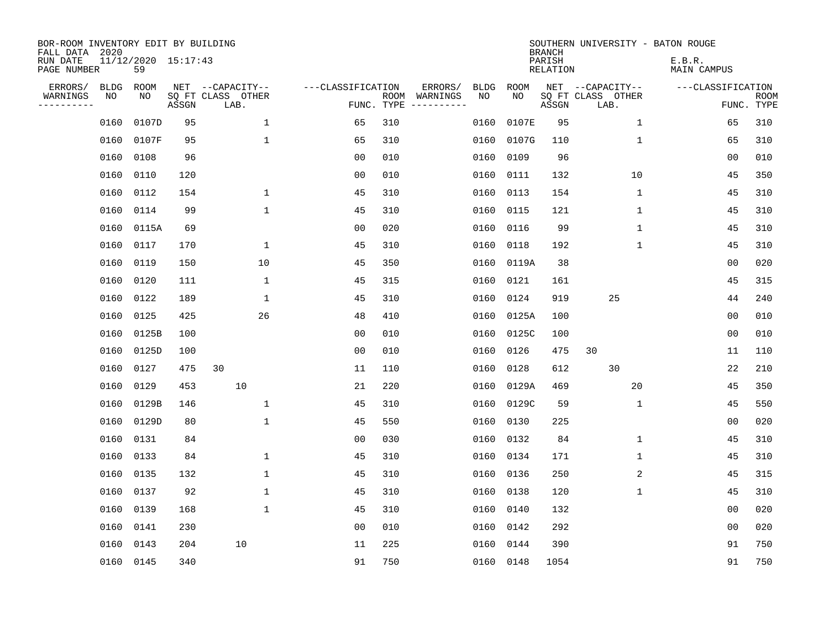| BOR-ROOM INVENTORY EDIT BY BUILDING<br>FALL DATA 2020 |            |                           |                                 |                                       |                   |            |                          |            |            | <b>BRANCH</b>      | SOUTHERN UNIVERSITY - BATON ROUGE     |                              |             |
|-------------------------------------------------------|------------|---------------------------|---------------------------------|---------------------------------------|-------------------|------------|--------------------------|------------|------------|--------------------|---------------------------------------|------------------------------|-------------|
| RUN DATE<br>PAGE NUMBER                               |            | 11/12/2020 15:17:43<br>59 |                                 |                                       |                   |            |                          |            |            | PARISH<br>RELATION |                                       | E.B.R.<br><b>MAIN CAMPUS</b> |             |
| ERRORS/<br>WARNINGS                                   | BLDG<br>NO | ROOM<br>NO                |                                 | NET --CAPACITY--<br>SQ FT CLASS OTHER | ---CLASSIFICATION |            | ERRORS/<br>ROOM WARNINGS | BLDG<br>NO | ROOM<br>NO |                    | NET --CAPACITY--<br>SQ FT CLASS OTHER | ---CLASSIFICATION            | <b>ROOM</b> |
| ---------                                             |            |                           | $\operatorname{\mathsf{ASSGN}}$ | LAB.                                  |                   | FUNC. TYPE |                          |            |            | ASSGN              | LAB.                                  |                              | FUNC. TYPE  |
|                                                       | 0160       | 0107D                     | 95                              | $\mathbf{1}$                          | 65                | 310        |                          | 0160       | 0107E      | 95                 | $\mathbf{1}$                          | 65                           | 310         |
|                                                       | 0160       | 0107F                     | 95                              | $\mathbf{1}$                          | 65                | 310        |                          | 0160       | 0107G      | 110                | $\mathbf{1}$                          | 65                           | 310         |
|                                                       | 0160       | 0108                      | 96                              |                                       | 0 <sub>0</sub>    | 010        |                          | 0160       | 0109       | 96                 |                                       | 0 <sub>0</sub>               | 010         |
|                                                       | 0160       | 0110                      | 120                             |                                       | 0 <sub>0</sub>    | 010        |                          | 0160       | 0111       | 132                | 10                                    | 45                           | 350         |
|                                                       | 0160       | 0112                      | 154                             | $\mathbf 1$                           | 45                | 310        |                          | 0160       | 0113       | 154                | $\mathbf 1$                           | 45                           | 310         |
|                                                       | 0160       | 0114                      | 99                              | $\mathbf{1}$                          | 45                | 310        |                          |            | 0160 0115  | 121                | $\mathbf 1$                           | 45                           | 310         |
|                                                       | 0160       | 0115A                     | 69                              |                                       | 00                | 020        |                          | 0160       | 0116       | 99                 | $\mathbf 1$                           | 45                           | 310         |
|                                                       | 0160       | 0117                      | 170                             | $\mathbf{1}$                          | 45                | 310        |                          | 0160       | 0118       | 192                | $\mathbf 1$                           | 45                           | 310         |
|                                                       | 0160       | 0119                      | 150                             | 10                                    | 45                | 350        |                          | 0160       | 0119A      | 38                 |                                       | 0 <sub>0</sub>               | 020         |
|                                                       | 0160       | 0120                      | 111                             | 1                                     | 45                | 315        |                          | 0160       | 0121       | 161                |                                       | 45                           | 315         |
|                                                       | 0160       | 0122                      | 189                             | 1                                     | 45                | 310        |                          | 0160       | 0124       | 919                | 25                                    | 44                           | 240         |
|                                                       | 0160       | 0125                      | 425                             | 26                                    | 48                | 410        |                          | 0160       | 0125A      | 100                |                                       | 0 <sub>0</sub>               | 010         |
|                                                       | 0160       | 0125B                     | 100                             |                                       | 0 <sub>0</sub>    | 010        |                          | 0160       | 0125C      | 100                |                                       | 0 <sub>0</sub>               | 010         |
|                                                       | 0160       | 0125D                     | 100                             |                                       | 0 <sub>0</sub>    | 010        |                          | 0160       | 0126       | 475                | 30                                    | 11                           | 110         |
|                                                       | 0160       | 0127                      | 475                             | 30                                    | 11                | 110        |                          | 0160       | 0128       | 612                | 30                                    | 22                           | 210         |
|                                                       | 0160       | 0129                      | 453                             | 10                                    | 21                | 220        |                          | 0160       | 0129A      | 469                | 20                                    | 45                           | 350         |
|                                                       | 0160       | 0129B                     | 146                             | $\mathbf{1}$                          | 45                | 310        |                          | 0160       | 0129C      | 59                 | 1                                     | 45                           | 550         |
|                                                       | 0160       | 0129D                     | 80                              | $\mathbf{1}$                          | 45                | 550        |                          | 0160       | 0130       | 225                |                                       | 0 <sub>0</sub>               | 020         |
|                                                       | 0160       | 0131                      | 84                              |                                       | 0 <sub>0</sub>    | 030        |                          |            | 0160 0132  | 84                 | 1                                     | 45                           | 310         |
|                                                       | 0160       | 0133                      | 84                              | $\mathbf 1$                           | 45                | 310        |                          | 0160       | 0134       | 171                | 1                                     | 45                           | 310         |
|                                                       | 0160       | 0135                      | 132                             | $\mathbf 1$                           | 45                | 310        |                          |            | 0160 0136  | 250                | 2                                     | 45                           | 315         |
|                                                       | 0160       | 0137                      | 92                              | $\mathbf{1}$                          | 45                | 310        |                          | 0160       | 0138       | 120                | 1                                     | 45                           | 310         |
|                                                       | 0160       | 0139                      | 168                             | $\mathbf{1}$                          | 45                | 310        |                          |            | 0160 0140  | 132                |                                       | 0 <sub>0</sub>               | 020         |
|                                                       | 0160       | 0141                      | 230                             |                                       | 0 <sub>0</sub>    | 010        |                          | 0160       | 0142       | 292                |                                       | 00                           | 020         |
|                                                       | 0160       | 0143                      | 204                             | 10                                    | 11                | 225        |                          | 0160       | 0144       | 390                |                                       | 91                           | 750         |
|                                                       |            | 0160 0145                 | 340                             |                                       | 91                | 750        |                          |            | 0160 0148  | 1054               |                                       | 91                           | 750         |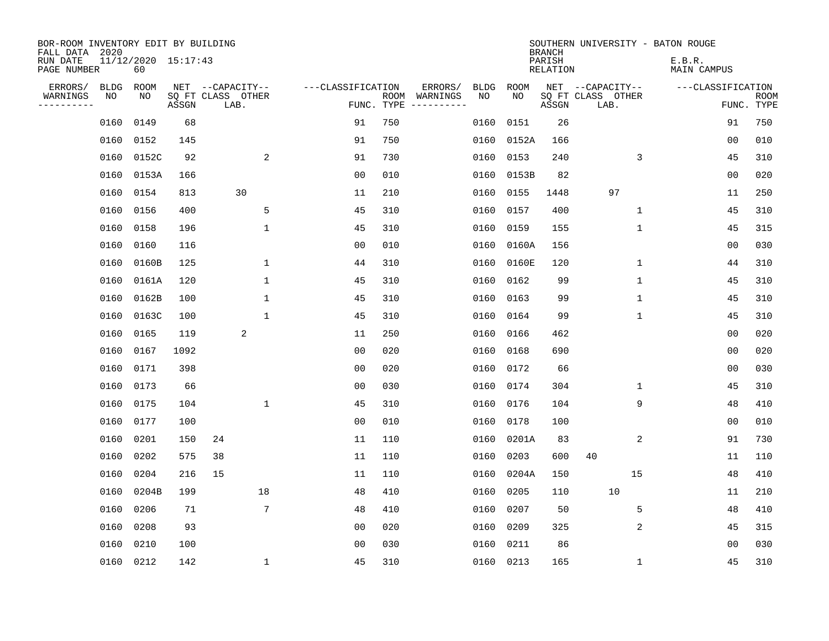| BOR-ROOM INVENTORY EDIT BY BUILDING<br>FALL DATA 2020 |             |                           |       |                           |                   |                    |                              |             | <b>BRANCH</b>             | SOUTHERN UNIVERSITY - BATON ROUGE |                              |                           |
|-------------------------------------------------------|-------------|---------------------------|-------|---------------------------|-------------------|--------------------|------------------------------|-------------|---------------------------|-----------------------------------|------------------------------|---------------------------|
| RUN DATE<br>PAGE NUMBER                               |             | 11/12/2020 15:17:43<br>60 |       |                           |                   |                    |                              |             | PARISH<br><b>RELATION</b> |                                   | E.B.R.<br><b>MAIN CAMPUS</b> |                           |
| ERRORS/                                               | <b>BLDG</b> | ROOM                      |       | NET --CAPACITY--          | ---CLASSIFICATION |                    | ERRORS/<br><b>BLDG</b>       | <b>ROOM</b> |                           | NET --CAPACITY--                  | ---CLASSIFICATION            |                           |
| WARNINGS<br>----------                                | NO          | NO                        | ASSGN | SQ FT CLASS OTHER<br>LAB. |                   | ROOM<br>FUNC. TYPE | NO<br>WARNINGS<br>---------- | NO          | ASSGN                     | SQ FT CLASS OTHER<br>LAB.         |                              | <b>ROOM</b><br>FUNC. TYPE |
|                                                       | 0160        | 0149                      | 68    |                           | 91                | 750                | 0160                         | 0151        | 26                        |                                   | 91                           | 750                       |
|                                                       | 0160        | 0152                      | 145   |                           | 91                | 750                | 0160                         | 0152A       | 166                       |                                   | 00                           | 010                       |
|                                                       | 0160        | 0152C                     | 92    | 2                         | 91                | 730                | 0160                         | 0153        | 240                       | 3                                 | 45                           | 310                       |
|                                                       | 0160        | 0153A                     | 166   |                           | 0 <sub>0</sub>    | 010                | 0160                         | 0153B       | 82                        |                                   | 0 <sub>0</sub>               | 020                       |
|                                                       | 0160        | 0154                      | 813   | 30                        | 11                | 210                | 0160                         | 0155        | 1448                      | 97                                | 11                           | 250                       |
|                                                       | 0160        | 0156                      | 400   | $\mathsf S$               | 45                | 310                | 0160                         | 0157        | 400                       | $\mathbf 1$                       | 45                           | 310                       |
|                                                       | 0160        | 0158                      | 196   | $\mathbf{1}$              | 45                | 310                | 0160                         | 0159        | 155                       | $\mathbf{1}$                      | 45                           | 315                       |
|                                                       | 0160        | 0160                      | 116   |                           | 0 <sub>0</sub>    | 010                | 0160                         | 0160A       | 156                       |                                   | 0 <sub>0</sub>               | 030                       |
|                                                       | 0160        | 0160B                     | 125   | 1                         | 44                | 310                | 0160                         | 0160E       | 120                       | $\mathbf 1$                       | 44                           | 310                       |
|                                                       | 0160        | 0161A                     | 120   | $\mathbf{1}$              | 45                | 310                | 0160                         | 0162        | 99                        | 1                                 | 45                           | 310                       |
|                                                       | 0160        | 0162B                     | 100   | $\mathbf 1$               | 45                | 310                | 0160                         | 0163        | 99                        | $\mathbf 1$                       | 45                           | 310                       |
|                                                       | 0160        | 0163C                     | 100   | $\mathbf{1}$              | 45                | 310                | 0160                         | 0164        | 99                        | $\mathbf{1}$                      | 45                           | 310                       |
|                                                       | 0160        | 0165                      | 119   | 2                         | 11                | 250                | 0160                         | 0166        | 462                       |                                   | 0 <sub>0</sub>               | 020                       |
|                                                       | 0160        | 0167                      | 1092  |                           | 0 <sub>0</sub>    | 020                | 0160                         | 0168        | 690                       |                                   | 0 <sub>0</sub>               | 020                       |
|                                                       | 0160        | 0171                      | 398   |                           | 0 <sub>0</sub>    | 020                | 0160                         | 0172        | 66                        |                                   | 0 <sub>0</sub>               | 030                       |
|                                                       | 0160        | 0173                      | 66    |                           | 0 <sub>0</sub>    | 030                | 0160                         | 0174        | 304                       | 1                                 | 45                           | 310                       |
|                                                       | 0160        | 0175                      | 104   | $\mathbf{1}$              | 45                | 310                | 0160                         | 0176        | 104                       | 9                                 | 48                           | 410                       |
|                                                       | 0160        | 0177                      | 100   |                           | 0 <sub>0</sub>    | 010                | 0160                         | 0178        | 100                       |                                   | 0 <sub>0</sub>               | 010                       |
|                                                       | 0160        | 0201                      | 150   | 24                        | 11                | 110                | 0160                         | 0201A       | 83                        | 2                                 | 91                           | 730                       |
|                                                       | 0160        | 0202                      | 575   | 38                        | 11                | 110                | 0160                         | 0203        | 600                       | 40                                | 11                           | 110                       |
|                                                       | 0160        | 0204                      | 216   | 15                        | 11                | 110                | 0160                         | 0204A       | 150                       | 15                                | 48                           | 410                       |
|                                                       | 0160        | 0204B                     | 199   | 18                        | 48                | 410                | 0160                         | 0205        | 110                       | 10                                | 11                           | 210                       |
|                                                       | 0160        | 0206                      | 71    | $7\phantom{.0}$           | 48                | 410                | 0160                         | 0207        | 50                        | 5                                 | 48                           | 410                       |
|                                                       | 0160        | 0208                      | 93    |                           | 0 <sub>0</sub>    | 020                | 0160                         | 0209        | 325                       | 2                                 | 45                           | 315                       |
|                                                       | 0160        | 0210                      | 100   |                           | 0 <sub>0</sub>    | 030                | 0160                         | 0211        | 86                        |                                   | 0 <sub>0</sub>               | 030                       |
|                                                       | 0160 0212   |                           | 142   | $\mathbf{1}$              | 45                | 310                |                              | 0160 0213   | 165                       | 1                                 | 45                           | 310                       |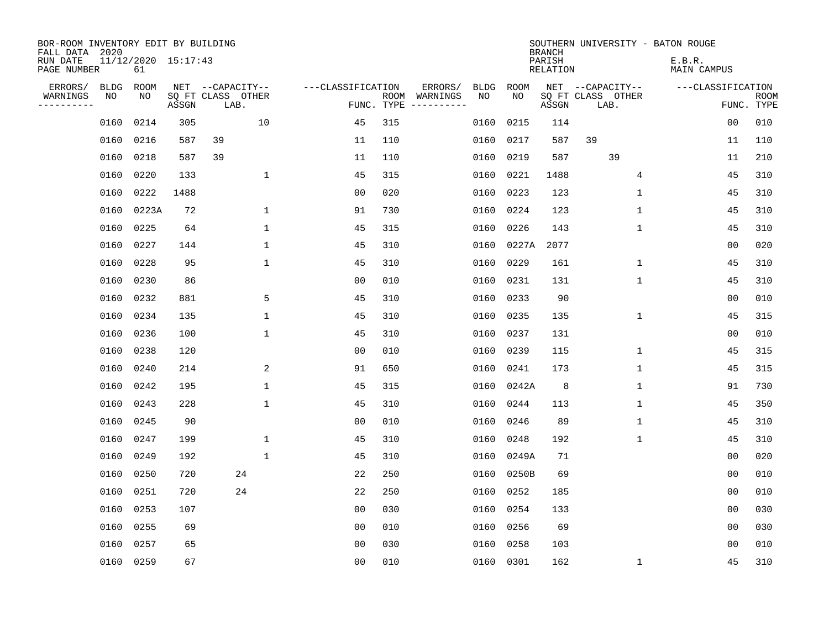| BOR-ROOM INVENTORY EDIT BY BUILDING<br>FALL DATA 2020<br>RUN DATE<br>PAGE NUMBER |            | 11/12/2020 15:17:43<br>61 |       |                                               |                   |            |                                                                                                                                        |            |             | <b>BRANCH</b><br>PARISH<br><b>RELATION</b> | SOUTHERN UNIVERSITY - BATON ROUGE             | E.B.R.<br>MAIN CAMPUS |                           |
|----------------------------------------------------------------------------------|------------|---------------------------|-------|-----------------------------------------------|-------------------|------------|----------------------------------------------------------------------------------------------------------------------------------------|------------|-------------|--------------------------------------------|-----------------------------------------------|-----------------------|---------------------------|
|                                                                                  |            |                           |       |                                               |                   |            |                                                                                                                                        |            |             |                                            |                                               |                       |                           |
| ERRORS/<br>WARNINGS<br>. _ _ _ _ _ _ _ _ _                                       | BLDG<br>NO | ROOM<br>NO                | ASSGN | NET --CAPACITY--<br>SQ FT CLASS OTHER<br>LAB. | ---CLASSIFICATION | FUNC. TYPE | ERRORS/<br>ROOM WARNINGS<br>$\begin{tabular}{ccccccccc} - & - & - & - & - & - & - & - \\ & - & - & - & - & - & - & - \\ \end{tabular}$ | BLDG<br>NO | ROOM<br>NO. | ASSGN                                      | NET --CAPACITY--<br>SQ FT CLASS OTHER<br>LAB. | ---CLASSIFICATION     | <b>ROOM</b><br>FUNC. TYPE |
|                                                                                  | 0160       | 0214                      | 305   | 10                                            | 45                | 315        |                                                                                                                                        | 0160       | 0215        | 114                                        |                                               | 0 <sub>0</sub>        | 010                       |
|                                                                                  | 0160       | 0216                      | 587   | 39                                            | 11                | 110        |                                                                                                                                        | 0160       | 0217        | 587                                        | 39                                            | 11                    | 110                       |
|                                                                                  | 0160       | 0218                      | 587   | 39                                            | 11                | 110        |                                                                                                                                        | 0160       | 0219        | 587                                        | 39                                            | 11                    | 210                       |
|                                                                                  | 0160       | 0220                      | 133   | $\mathbf{1}$                                  | 45                | 315        |                                                                                                                                        | 0160       | 0221        | 1488                                       | 4                                             | 45                    | 310                       |
|                                                                                  | 0160       | 0222                      | 1488  |                                               | 0 <sub>0</sub>    | 020        |                                                                                                                                        | 0160       | 0223        | 123                                        | $\mathbf 1$                                   | 45                    | 310                       |
|                                                                                  |            | 0160 0223A                | 72    | $\mathbf 1$                                   | 91                | 730        |                                                                                                                                        | 0160       | 0224        | 123                                        | $\mathbf 1$                                   | 45                    | 310                       |
|                                                                                  | 0160       | 0225                      | 64    | $\mathbf 1$                                   | 45                | 315        |                                                                                                                                        | 0160       | 0226        | 143                                        | $\mathbf 1$                                   | 45                    | 310                       |
|                                                                                  | 0160       | 0227                      | 144   | 1                                             | 45                | 310        |                                                                                                                                        | 0160       | 0227A       | 2077                                       |                                               | 0 <sub>0</sub>        | 020                       |
|                                                                                  | 0160       | 0228                      | 95    | $\mathbf 1$                                   | 45                | 310        |                                                                                                                                        | 0160       | 0229        | 161                                        | $\mathbf 1$                                   | 45                    | 310                       |
|                                                                                  | 0160       | 0230                      | 86    |                                               | 0 <sub>0</sub>    | 010        |                                                                                                                                        | 0160       | 0231        | 131                                        | $\mathbf 1$                                   | 45                    | 310                       |
|                                                                                  | 0160       | 0232                      | 881   | 5                                             | 45                | 310        |                                                                                                                                        | 0160       | 0233        | 90                                         |                                               | 0 <sub>0</sub>        | 010                       |
|                                                                                  | 0160       | 0234                      | 135   | $\mathbf{1}$                                  | 45                | 310        |                                                                                                                                        | 0160       | 0235        | 135                                        | $\mathbf 1$                                   | 45                    | 315                       |
|                                                                                  | 0160       | 0236                      | 100   | $\mathbf{1}$                                  | 45                | 310        |                                                                                                                                        | 0160       | 0237        | 131                                        |                                               | 0 <sub>0</sub>        | 010                       |
|                                                                                  | 0160       | 0238                      | 120   |                                               | 0 <sub>0</sub>    | 010        |                                                                                                                                        | 0160       | 0239        | 115                                        | 1                                             | 45                    | 315                       |
|                                                                                  | 0160       | 0240                      | 214   | 2                                             | 91                | 650        |                                                                                                                                        | 0160       | 0241        | 173                                        | 1                                             | 45                    | 315                       |
|                                                                                  | 0160       | 0242                      | 195   | $\mathbf 1$                                   | 45                | 315        |                                                                                                                                        | 0160       | 0242A       | 8                                          | 1                                             | 91                    | 730                       |
|                                                                                  | 0160       | 0243                      | 228   | $\mathbf 1$                                   | 45                | 310        |                                                                                                                                        | 0160       | 0244        | 113                                        | 1                                             | 45                    | 350                       |
|                                                                                  | 0160       | 0245                      | 90    |                                               | 0 <sub>0</sub>    | 010        |                                                                                                                                        | 0160       | 0246        | 89                                         | 1                                             | 45                    | 310                       |
|                                                                                  | 0160       | 0247                      | 199   | 1                                             | 45                | 310        |                                                                                                                                        | 0160       | 0248        | 192                                        | 1                                             | 45                    | 310                       |
|                                                                                  | 0160       | 0249                      | 192   | $\mathbf{1}$                                  | 45                | 310        |                                                                                                                                        | 0160       | 0249A       | 71                                         |                                               | 0 <sub>0</sub>        | 020                       |
|                                                                                  | 0160       | 0250                      | 720   | 24                                            | 22                | 250        |                                                                                                                                        | 0160       | 0250B       | 69                                         |                                               | 0 <sub>0</sub>        | 010                       |
|                                                                                  | 0160       | 0251                      | 720   | 24                                            | 22                | 250        |                                                                                                                                        | 0160       | 0252        | 185                                        |                                               | 0 <sub>0</sub>        | 010                       |
|                                                                                  | 0160       | 0253                      | 107   |                                               | 0 <sub>0</sub>    | 030        |                                                                                                                                        | 0160       | 0254        | 133                                        |                                               | 0 <sub>0</sub>        | 030                       |
|                                                                                  | 0160       | 0255                      | 69    |                                               | 0 <sub>0</sub>    | 010        |                                                                                                                                        | 0160       | 0256        | 69                                         |                                               | 0 <sub>0</sub>        | 030                       |
|                                                                                  | 0160       | 0257                      | 65    |                                               | 00                | 030        |                                                                                                                                        | 0160       | 0258        | 103                                        |                                               | 00                    | 010                       |
|                                                                                  |            | 0160 0259                 | 67    |                                               | 0 <sub>0</sub>    | 010        |                                                                                                                                        |            | 0160 0301   | 162                                        | 1                                             | 45                    | 310                       |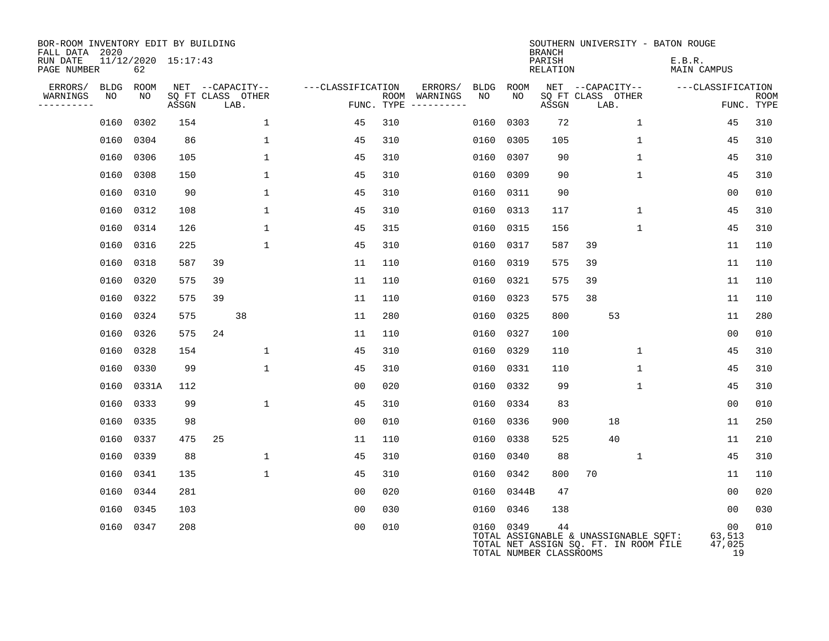| BOR-ROOM INVENTORY EDIT BY BUILDING<br>FALL DATA 2020 |                           |       |     |                           |                   |            |                              |      |           | <b>BRANCH</b>                 | SOUTHERN UNIVERSITY - BATON ROUGE                                              |                              |                           |
|-------------------------------------------------------|---------------------------|-------|-----|---------------------------|-------------------|------------|------------------------------|------|-----------|-------------------------------|--------------------------------------------------------------------------------|------------------------------|---------------------------|
| RUN DATE<br>PAGE NUMBER                               | 11/12/2020 15:17:43<br>62 |       |     |                           |                   |            |                              |      |           | PARISH<br><b>RELATION</b>     |                                                                                | E.B.R.<br><b>MAIN CAMPUS</b> |                           |
| ERRORS/                                               | BLDG<br>ROOM              |       |     | NET --CAPACITY--          | ---CLASSIFICATION |            | ERRORS/                      | BLDG | ROOM      |                               | NET --CAPACITY--                                                               | ---CLASSIFICATION            |                           |
| WARNINGS<br>----------                                | NO<br>NO.                 | ASSGN |     | SQ FT CLASS OTHER<br>LAB. |                   | FUNC. TYPE | ROOM WARNINGS<br>----------- | NO   | NO.       | ASSGN                         | SQ FT CLASS OTHER<br>LAB.                                                      |                              | <b>ROOM</b><br>FUNC. TYPE |
|                                                       | 0302<br>0160              |       | 154 | $\mathbf 1$               | 45                | 310        |                              | 0160 | 0303      | 72                            | 1                                                                              | 45                           | 310                       |
|                                                       | 0304<br>0160              |       | 86  | $\mathbf{1}$              | 45                | 310        |                              | 0160 | 0305      | 105                           | $\mathbf{1}$                                                                   | 45                           | 310                       |
|                                                       | 0306<br>0160              |       | 105 | 1                         | 45                | 310        |                              | 0160 | 0307      | 90                            | $\mathbf{1}$                                                                   | 45                           | 310                       |
|                                                       | 0160<br>0308              |       | 150 | 1                         | 45                | 310        |                              | 0160 | 0309      | 90                            | 1                                                                              | 45                           | 310                       |
|                                                       | 0160<br>0310              |       | 90  | $\mathbf 1$               | 45                | 310        |                              | 0160 | 0311      | 90                            |                                                                                | 0 <sub>0</sub>               | 010                       |
|                                                       | 0312<br>0160              |       | 108 | $\mathbf{1}$              | 45                | 310        |                              | 0160 | 0313      | 117                           | $\mathbf{1}$                                                                   | 45                           | 310                       |
|                                                       | 0160 0314                 |       | 126 | $\mathbf{1}$              | 45                | 315        |                              | 0160 | 0315      | 156                           | $\mathbf{1}$                                                                   | 45                           | 310                       |
|                                                       | 0316<br>0160              |       | 225 | $\mathbf{1}$              | 45                | 310        |                              | 0160 | 0317      | 587                           | 39                                                                             | 11                           | 110                       |
|                                                       | 0160<br>0318              |       | 587 | 39                        | 11                | 110        |                              | 0160 | 0319      | 575                           | 39                                                                             | 11                           | 110                       |
|                                                       | 0160<br>0320              |       | 575 | 39                        | 11                | 110        |                              | 0160 | 0321      | 575                           | 39                                                                             | 11                           | 110                       |
|                                                       | 0322<br>0160              |       | 575 | 39                        | 11                | 110        |                              | 0160 | 0323      | 575                           | 38                                                                             | 11                           | 110                       |
|                                                       | 0160<br>0324              |       | 575 | 38                        | 11                | 280        |                              | 0160 | 0325      | 800                           | 53                                                                             | 11                           | 280                       |
|                                                       | 0160<br>0326              |       | 575 | 24                        | 11                | 110        |                              | 0160 | 0327      | 100                           |                                                                                | 00                           | 010                       |
|                                                       | 0328<br>0160              |       | 154 | $\mathbf 1$               | 45                | 310        |                              | 0160 | 0329      | 110                           | $\mathbf{1}$                                                                   | 45                           | 310                       |
|                                                       | 0160<br>0330              |       | 99  | $\mathbf{1}$              | 45                | 310        |                              | 0160 | 0331      | 110                           | $\mathbf{1}$                                                                   | 45                           | 310                       |
|                                                       | 0160<br>0331A             |       | 112 |                           | 00                | 020        |                              | 0160 | 0332      | 99                            | $\mathbf{1}$                                                                   | 45                           | 310                       |
|                                                       | 0160<br>0333              |       | 99  | $\mathbf{1}$              | 45                | 310        |                              | 0160 | 0334      | 83                            |                                                                                | 00                           | 010                       |
|                                                       | 0160<br>0335              |       | 98  |                           | 0 <sub>0</sub>    | 010        |                              | 0160 | 0336      | 900                           | 18                                                                             | 11                           | 250                       |
|                                                       | 0160<br>0337              |       | 475 | 25                        | 11                | 110        |                              | 0160 | 0338      | 525                           | 40                                                                             | 11                           | 210                       |
|                                                       | 0160 0339                 |       | 88  | $\mathbf{1}$              | 45                | 310        |                              | 0160 | 0340      | 88                            | $\mathbf{1}$                                                                   | 45                           | 310                       |
|                                                       | 0160<br>0341              |       | 135 | $\mathbf{1}$              | 45                | 310        |                              | 0160 | 0342      | 800                           | 70                                                                             | 11                           | 110                       |
|                                                       | 0160 0344                 |       | 281 |                           | 0 <sub>0</sub>    | 020        |                              | 0160 | 0344B     | 47                            |                                                                                | 0 <sub>0</sub>               | 020                       |
|                                                       | 0160<br>0345              |       | 103 |                           | 0 <sub>0</sub>    | 030        |                              | 0160 | 0346      | 138                           |                                                                                | 0 <sub>0</sub>               | 030                       |
|                                                       | 0160 0347                 |       | 208 |                           | 0 <sub>0</sub>    | 010        |                              |      | 0160 0349 | 44<br>TOTAL NUMBER CLASSROOMS | TOTAL ASSIGNABLE & UNASSIGNABLE SQFT:<br>TOTAL NET ASSIGN SQ. FT. IN ROOM FILE | 00<br>63,513<br>47,025<br>19 | 010                       |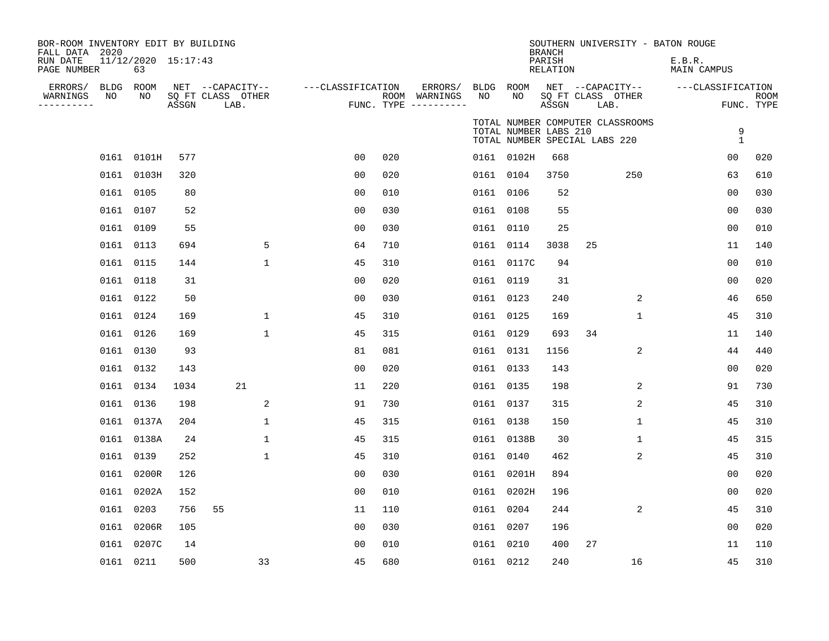| FALL DATA 2020<br>PAGE NUMBER | 63    |                                                                                                                                                                                                                                                                                                                          |              |                                                                                                     |     |                   |                                      |      |                                                                                                                                                                                                                                                                                                                 |                                  |                                   | E.B.R.<br><b>MAIN CAMPUS</b>                                                                   |                                                                                                 |
|-------------------------------|-------|--------------------------------------------------------------------------------------------------------------------------------------------------------------------------------------------------------------------------------------------------------------------------------------------------------------------------|--------------|-----------------------------------------------------------------------------------------------------|-----|-------------------|--------------------------------------|------|-----------------------------------------------------------------------------------------------------------------------------------------------------------------------------------------------------------------------------------------------------------------------------------------------------------------|----------------------------------|-----------------------------------|------------------------------------------------------------------------------------------------|-------------------------------------------------------------------------------------------------|
| NO<br>WARNINGS<br>----------  | NO    | ASSGN                                                                                                                                                                                                                                                                                                                    | LAB.         |                                                                                                     |     | ERRORS/           | NO                                   | NO   |                                                                                                                                                                                                                                                                                                                 |                                  |                                   |                                                                                                | <b>ROOM</b><br>FUNC. TYPE                                                                       |
|                               |       |                                                                                                                                                                                                                                                                                                                          |              |                                                                                                     |     |                   |                                      |      |                                                                                                                                                                                                                                                                                                                 |                                  |                                   |                                                                                                |                                                                                                 |
|                               |       | 577                                                                                                                                                                                                                                                                                                                      |              | 0 <sub>0</sub>                                                                                      | 020 |                   |                                      |      | 668                                                                                                                                                                                                                                                                                                             |                                  |                                   | 0 <sub>0</sub>                                                                                 | 020                                                                                             |
|                               |       | 320                                                                                                                                                                                                                                                                                                                      |              | 0 <sub>0</sub>                                                                                      | 020 |                   |                                      |      | 3750                                                                                                                                                                                                                                                                                                            |                                  | 250                               | 63                                                                                             | 610                                                                                             |
|                               |       | 80                                                                                                                                                                                                                                                                                                                       |              | 0 <sub>0</sub>                                                                                      | 010 |                   |                                      |      | 52                                                                                                                                                                                                                                                                                                              |                                  |                                   | 0 <sub>0</sub>                                                                                 | 030                                                                                             |
|                               |       | 52                                                                                                                                                                                                                                                                                                                       |              | 0 <sub>0</sub>                                                                                      | 030 |                   |                                      |      | 55                                                                                                                                                                                                                                                                                                              |                                  |                                   | 0 <sub>0</sub>                                                                                 | 030                                                                                             |
|                               |       | 55                                                                                                                                                                                                                                                                                                                       |              | 0 <sub>0</sub>                                                                                      | 030 |                   |                                      | 0110 | 25                                                                                                                                                                                                                                                                                                              |                                  |                                   | 00                                                                                             | 010                                                                                             |
|                               |       | 694                                                                                                                                                                                                                                                                                                                      | 5            | 64                                                                                                  | 710 |                   | 0161                                 | 0114 | 3038                                                                                                                                                                                                                                                                                                            | 25                               |                                   | 11                                                                                             | 140                                                                                             |
|                               | 0115  | 144                                                                                                                                                                                                                                                                                                                      | $\mathbf 1$  | 45                                                                                                  | 310 |                   |                                      |      | 94                                                                                                                                                                                                                                                                                                              |                                  |                                   | 0 <sub>0</sub>                                                                                 | 010                                                                                             |
|                               |       | 31                                                                                                                                                                                                                                                                                                                       |              | 00                                                                                                  | 020 |                   |                                      |      | 31                                                                                                                                                                                                                                                                                                              |                                  |                                   | 0 <sub>0</sub>                                                                                 | 020                                                                                             |
|                               |       | 50                                                                                                                                                                                                                                                                                                                       |              | 0 <sub>0</sub>                                                                                      | 030 |                   |                                      |      | 240                                                                                                                                                                                                                                                                                                             |                                  | 2                                 | 46                                                                                             | 650                                                                                             |
|                               |       | 169                                                                                                                                                                                                                                                                                                                      | $\mathbf{1}$ | 45                                                                                                  | 310 |                   |                                      |      | 169                                                                                                                                                                                                                                                                                                             |                                  | $\mathbf 1$                       | 45                                                                                             | 310                                                                                             |
|                               |       | 169                                                                                                                                                                                                                                                                                                                      | $\mathbf{1}$ | 45                                                                                                  | 315 |                   |                                      |      | 693                                                                                                                                                                                                                                                                                                             | 34                               |                                   | 11                                                                                             | 140                                                                                             |
|                               |       | 93                                                                                                                                                                                                                                                                                                                       |              | 81                                                                                                  | 081 |                   |                                      |      | 1156                                                                                                                                                                                                                                                                                                            |                                  | 2                                 | 44                                                                                             | 440                                                                                             |
|                               |       | 143                                                                                                                                                                                                                                                                                                                      |              | 0 <sub>0</sub>                                                                                      | 020 |                   |                                      |      | 143                                                                                                                                                                                                                                                                                                             |                                  |                                   | 0 <sub>0</sub>                                                                                 | 020                                                                                             |
|                               |       | 1034                                                                                                                                                                                                                                                                                                                     | 21           | 11                                                                                                  | 220 |                   |                                      |      | 198                                                                                                                                                                                                                                                                                                             |                                  | 2                                 | 91                                                                                             | 730                                                                                             |
|                               |       | 198                                                                                                                                                                                                                                                                                                                      | 2            | 91                                                                                                  | 730 |                   |                                      |      | 315                                                                                                                                                                                                                                                                                                             |                                  | $\overline{2}$                    | 45                                                                                             | 310                                                                                             |
|                               |       | 204                                                                                                                                                                                                                                                                                                                      | $\mathbf 1$  | 45                                                                                                  | 315 |                   |                                      |      | 150                                                                                                                                                                                                                                                                                                             |                                  | $\mathbf 1$                       | 45                                                                                             | 310                                                                                             |
|                               |       | 24                                                                                                                                                                                                                                                                                                                       | 1            | 45                                                                                                  | 315 |                   |                                      |      | 30                                                                                                                                                                                                                                                                                                              |                                  | $\mathbf 1$                       | 45                                                                                             | 315                                                                                             |
|                               |       | 252                                                                                                                                                                                                                                                                                                                      | $\mathbf 1$  | 45                                                                                                  | 310 |                   |                                      |      | 462                                                                                                                                                                                                                                                                                                             |                                  | $\overline{2}$                    | 45                                                                                             | 310                                                                                             |
|                               |       | 126                                                                                                                                                                                                                                                                                                                      |              | 0 <sub>0</sub>                                                                                      | 030 |                   |                                      |      | 894                                                                                                                                                                                                                                                                                                             |                                  |                                   | 0 <sub>0</sub>                                                                                 | 020                                                                                             |
|                               | 0202A | 152                                                                                                                                                                                                                                                                                                                      |              | 0 <sub>0</sub>                                                                                      | 010 |                   |                                      |      | 196                                                                                                                                                                                                                                                                                                             |                                  |                                   | 0 <sub>0</sub>                                                                                 | 020                                                                                             |
|                               |       | 756                                                                                                                                                                                                                                                                                                                      | 55           | 11                                                                                                  | 110 |                   |                                      |      | 244                                                                                                                                                                                                                                                                                                             |                                  | 2                                 | 45                                                                                             | 310                                                                                             |
|                               |       | 105                                                                                                                                                                                                                                                                                                                      |              | 0 <sub>0</sub>                                                                                      | 030 |                   |                                      | 0207 | 196                                                                                                                                                                                                                                                                                                             |                                  |                                   | 00                                                                                             | 020                                                                                             |
| 0161                          | 0207C | 14                                                                                                                                                                                                                                                                                                                       |              | 00                                                                                                  | 010 |                   |                                      |      | 400                                                                                                                                                                                                                                                                                                             | 27                               |                                   | 11                                                                                             | 110                                                                                             |
|                               |       | 500                                                                                                                                                                                                                                                                                                                      | 33           | 45                                                                                                  | 680 |                   |                                      |      | 240                                                                                                                                                                                                                                                                                                             |                                  | 16                                | 45                                                                                             | 310                                                                                             |
|                               |       | ERRORS/ BLDG ROOM<br>0161 0101H<br>0161 0103H<br>0161 0105<br>0161 0107<br>0161 0109<br>0161 0113<br>0161<br>0161 0118<br>0161 0122<br>0161 0124<br>0161 0126<br>0161 0130<br>0161 0132<br>0161 0134<br>0161 0136<br>0161 0137A<br>0161 0138A<br>0161 0139<br>0161 0200R<br>0161<br>0161 0203<br>0161 0206R<br>0161 0211 |              | BOR-ROOM INVENTORY EDIT BY BUILDING<br>11/12/2020 15:17:43<br>NET --CAPACITY--<br>SQ FT CLASS OTHER |     | ---CLASSIFICATION | ROOM WARNINGS<br>FUNC. TYPE $------$ |      | BLDG ROOM<br>0161 0102H<br>0161 0104<br>0161 0106<br>0161 0108<br>0161<br>0161 0117C<br>0161 0119<br>0161 0123<br>0161 0125<br>0161 0129<br>0161 0131<br>0161 0133<br>0161 0135<br>0161 0137<br>0161 0138<br>0161 0138B<br>0161 0140<br>0161 0201H<br>0161 0202H<br>0161 0204<br>0161<br>0161 0210<br>0161 0212 | <b>BRANCH</b><br>PARISH<br>ASSGN | RELATION<br>TOTAL NUMBER LABS 210 | SQ FT CLASS OTHER<br>LAB.<br>TOTAL NUMBER COMPUTER CLASSROOMS<br>TOTAL NUMBER SPECIAL LABS 220 | SOUTHERN UNIVERSITY - BATON ROUGE<br>NET --CAPACITY--<br>---CLASSIFICATION<br>9<br>$\mathbf{1}$ |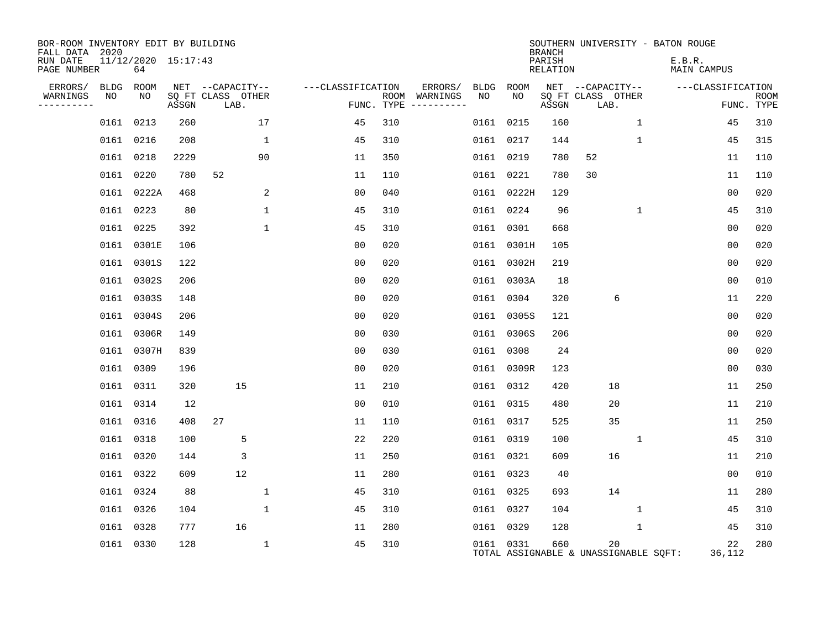| BOR-ROOM INVENTORY EDIT BY BUILDING<br>FALL DATA 2020 |           |                               |       |                           |                     |     |                                      |           |            | <b>BRANCH</b>      |                           |              | SOUTHERN UNIVERSITY - BATON ROUGE     |                   |                           |
|-------------------------------------------------------|-----------|-------------------------------|-------|---------------------------|---------------------|-----|--------------------------------------|-----------|------------|--------------------|---------------------------|--------------|---------------------------------------|-------------------|---------------------------|
| RUN DATE<br>PAGE NUMBER                               |           | $11/12/2020$ $15:17:43$<br>64 |       |                           |                     |     |                                      |           |            | PARISH<br>RELATION |                           |              | E.B.R.                                | MAIN CAMPUS       |                           |
| ERRORS/                                               |           | BLDG ROOM                     |       | NET --CAPACITY--          | ---CLASSIFICATION   |     | ERRORS/                              | BLDG      | ROOM       |                    | NET --CAPACITY--          |              |                                       | ---CLASSIFICATION |                           |
| WARNINGS<br>---------                                 | NO        | NO                            | ASSGN | SQ FT CLASS OTHER<br>LAB. |                     |     | ROOM WARNINGS<br>FUNC. TYPE $------$ | NO        | NO.        | ASSGN              | SQ FT CLASS OTHER<br>LAB. |              |                                       |                   | <b>ROOM</b><br>FUNC. TYPE |
|                                                       | 0161      | 0213                          | 260   |                           | 17<br>45            | 310 |                                      |           | 0161 0215  | 160                |                           | $\mathbf{1}$ |                                       | 45                | 310                       |
|                                                       |           | 0161 0216                     | 208   |                           | $\mathbf{1}$<br>45  | 310 |                                      |           | 0161 0217  | 144                |                           | $\mathbf 1$  |                                       | 45                | 315                       |
|                                                       | 0161 0218 |                               | 2229  |                           | 90<br>11            | 350 |                                      | 0161 0219 |            | 780                | 52                        |              |                                       | 11                | 110                       |
|                                                       | 0161      | 0220                          | 780   | 52                        | 11                  | 110 |                                      |           | 0161 0221  | 780                | 30                        |              |                                       | 11                | 110                       |
|                                                       |           | 0161 0222A                    | 468   |                           | 2<br>0 <sub>0</sub> | 040 |                                      |           | 0161 0222H | 129                |                           |              |                                       | 0 <sub>0</sub>    | 020                       |
|                                                       |           | 0161 0223                     | 80    |                           | $\mathbf{1}$<br>45  | 310 |                                      |           | 0161 0224  | 96                 |                           | $\mathbf{1}$ |                                       | 45                | 310                       |
|                                                       |           | 0161 0225                     | 392   |                           | $\mathbf{1}$<br>45  | 310 |                                      |           | 0161 0301  | 668                |                           |              |                                       | 00                | 020                       |
|                                                       |           | 0161 0301E                    | 106   |                           | 0 <sub>0</sub>      | 020 |                                      |           | 0161 0301H | 105                |                           |              |                                       | 00                | 020                       |
|                                                       |           | 0161 0301S                    | 122   |                           | 0 <sub>0</sub>      | 020 |                                      |           | 0161 0302H | 219                |                           |              |                                       | 0 <sub>0</sub>    | 020                       |
|                                                       |           | 0161 0302S                    | 206   |                           | 00                  | 020 |                                      |           | 0161 0303A | 18                 |                           |              |                                       | 00                | 010                       |
|                                                       |           | 0161 0303S                    | 148   |                           | 0 <sub>0</sub>      | 020 |                                      |           | 0161 0304  | 320                |                           | 6            |                                       | 11                | 220                       |
|                                                       | 0161      | 0304S                         | 206   |                           | 0 <sub>0</sub>      | 020 |                                      |           | 0161 0305S | 121                |                           |              |                                       | 0 <sub>0</sub>    | 020                       |
|                                                       |           | 0161 0306R                    | 149   |                           | 0 <sub>0</sub>      | 030 |                                      |           | 0161 0306S | 206                |                           |              |                                       | 00                | 020                       |
|                                                       |           | 0161 0307H                    | 839   |                           | 0 <sub>0</sub>      | 030 |                                      |           | 0161 0308  | 24                 |                           |              |                                       | 00                | 020                       |
|                                                       | 0161      | 0309                          | 196   |                           | 0 <sub>0</sub>      | 020 |                                      |           | 0161 0309R | 123                |                           |              |                                       | 0 <sub>0</sub>    | 030                       |
|                                                       | 0161      | 0311                          | 320   | 15                        | 11                  | 210 |                                      |           | 0161 0312  | 420                |                           | 18           |                                       | 11                | 250                       |
|                                                       | 0161      | 0314                          | 12    |                           | 00                  | 010 |                                      |           | 0161 0315  | 480                |                           | 20           |                                       | 11                | 210                       |
|                                                       |           | 0161 0316                     | 408   | 27                        | 11                  | 110 |                                      |           | 0161 0317  | 525                |                           | 35           |                                       | 11                | 250                       |
|                                                       | 0161      | 0318                          | 100   | 5                         | 22                  | 220 |                                      | 0161 0319 |            | 100                |                           | $\mathbf{1}$ |                                       | 45                | 310                       |
|                                                       |           | 0161 0320                     | 144   | 3                         | 11                  | 250 |                                      |           | 0161 0321  | 609                |                           | 16           |                                       | 11                | 210                       |
|                                                       |           | 0161 0322                     | 609   | 12                        | 11                  | 280 |                                      |           | 0161 0323  | 40                 |                           |              |                                       | 0 <sub>0</sub>    | 010                       |
|                                                       | 0161 0324 |                               | 88    |                           | $\mathbf{1}$<br>45  | 310 |                                      | 0161 0325 |            | 693                |                           | 14           |                                       | 11                | 280                       |
|                                                       | 0161 0326 |                               | 104   |                           | $\mathbf{1}$<br>45  | 310 |                                      | 0161 0327 |            | 104                |                           | $\mathbf{1}$ |                                       | 45                | 310                       |
|                                                       | 0161 0328 |                               | 777   | 16                        | 11                  | 280 |                                      |           | 0161 0329  | 128                |                           | $\mathbf 1$  |                                       | 45                | 310                       |
|                                                       |           | 0161 0330                     | 128   |                           | $\mathbf 1$<br>45   | 310 |                                      |           | 0161 0331  | 660                |                           | 20           | TOTAL ASSIGNABLE & UNASSIGNABLE SQFT: | 22<br>36,112      | 280                       |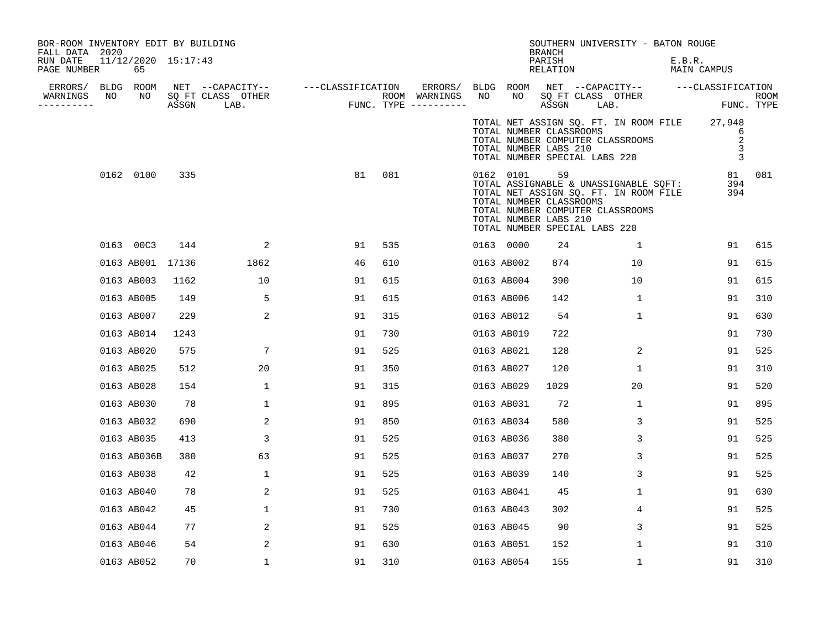| BOR-ROOM INVENTORY EDIT BY BUILDING<br>FALL DATA 2020 |    |                           |      |                   |                                        |     |         |    |            | <b>BRANCH</b>                                                                           | SOUTHERN UNIVERSITY - BATON ROUGE                                                                                  |                       |                                                      |        |
|-------------------------------------------------------|----|---------------------------|------|-------------------|----------------------------------------|-----|---------|----|------------|-----------------------------------------------------------------------------------------|--------------------------------------------------------------------------------------------------------------------|-----------------------|------------------------------------------------------|--------|
| RUN DATE<br>PAGE NUMBER                               |    | 11/12/2020 15:17:43<br>65 |      |                   |                                        |     |         |    |            | PARISH<br>RELATION                                                                      |                                                                                                                    | E.B.R.<br>MAIN CAMPUS |                                                      |        |
| ERRORS/<br>WARNINGS                                   | NO | BLDG ROOM<br>NO           |      | SQ FT CLASS OTHER | NET --CAPACITY-- ---CLASSIFICATION     |     | ERRORS/ | NO | NO         | SQ FT CLASS OTHER                                                                       | BLDG ROOM NET --CAPACITY-- ---CLASSIFICATION                                                                       |                       |                                                      | ROOM   |
| --------                                              |    |                           |      | ASSGN LAB.        | ROOM WARNINGS<br>FUNC. TYPE ---------- |     |         |    |            | ASSGN LAB.                                                                              |                                                                                                                    |                       | FUNC. TYPE                                           |        |
|                                                       |    |                           |      |                   |                                        |     |         |    |            | TOTAL NUMBER CLASSROOMS<br>TOTAL NUMBER LABS 210                                        | TOTAL NET ASSIGN SQ. FT. IN ROOM FILE 27,948<br>TOTAL NUMBER COMPUTER CLASSROOMS<br>TOTAL NUMBER SPECIAL LABS 220  |                       | 6<br>2<br>$\overline{3}$<br>$\overline{\phantom{a}}$ |        |
|                                                       |    | 0162 0100                 | 335  |                   | 81                                     | 081 |         |    | 0162 0101  | 59<br>TOTAL NUMBER CLASSROOMS<br>TOTAL NUMBER LABS 210<br>TOTAL NUMBER SPECIAL LABS 220 | TOTAL ASSIGNABLE & UNASSIGNABLE SQFT:<br>TOTAL NET ASSIGN SQ. FT. IN ROOM FILE<br>TOTAL NUMBER COMPUTER CLASSROOMS |                       | 394<br>394                                           | 81 081 |
|                                                       |    | 0163 00C3                 | 144  | -2                | 91                                     | 535 |         |    | 0163 0000  | 24                                                                                      | $\mathbf{1}$                                                                                                       |                       | 91                                                   | 615    |
|                                                       |    | 0163 AB001 17136          |      | 1862              | 46                                     | 610 |         |    | 0163 AB002 | 874                                                                                     | 10                                                                                                                 |                       | 91                                                   | 615    |
|                                                       |    | 0163 AB003                | 1162 | 10                | 91                                     | 615 |         |    | 0163 AB004 | 390                                                                                     | 10 <sup>°</sup>                                                                                                    |                       | 91                                                   | 615    |
|                                                       |    | 0163 AB005                | 149  | 5                 | 91                                     | 615 |         |    | 0163 AB006 | 142                                                                                     | 1                                                                                                                  |                       | 91                                                   | 310    |
|                                                       |    | 0163 AB007                | 229  | 2                 | 91                                     | 315 |         |    | 0163 AB012 | 54                                                                                      | $\mathbf{1}$                                                                                                       |                       | 91                                                   | 630    |
|                                                       |    | 0163 AB014                | 1243 |                   | 91                                     | 730 |         |    | 0163 AB019 | 722                                                                                     |                                                                                                                    |                       | 91                                                   | 730    |
|                                                       |    | 0163 AB020                | 575  | 7                 | 91                                     | 525 |         |    | 0163 AB021 | 128                                                                                     | 2                                                                                                                  |                       | 91                                                   | 525    |
|                                                       |    | 0163 AB025                | 512  | 20                | 91                                     | 350 |         |    | 0163 AB027 | 120                                                                                     | 1                                                                                                                  |                       | 91                                                   | 310    |
|                                                       |    | 0163 AB028                | 154  | $\mathbf{1}$      | 91                                     | 315 |         |    | 0163 AB029 | 1029                                                                                    | 20                                                                                                                 |                       | 91                                                   | 520    |
|                                                       |    | 0163 AB030                | 78   | $\mathbf{1}$      | 91                                     | 895 |         |    | 0163 AB031 | 72                                                                                      | 1                                                                                                                  |                       | 91                                                   | 895    |
|                                                       |    | 0163 AB032                | 690  | 2                 | 91                                     | 850 |         |    | 0163 AB034 | 580                                                                                     | 3                                                                                                                  |                       | 91                                                   | 525    |
|                                                       |    | 0163 AB035                | 413  | 3                 | 91                                     | 525 |         |    | 0163 AB036 | 380                                                                                     | 3                                                                                                                  |                       | 91                                                   | 525    |
|                                                       |    | 0163 AB036B               | 380  | 63                | 91                                     | 525 |         |    | 0163 AB037 | 270                                                                                     | 3                                                                                                                  |                       | 91                                                   | 525    |
|                                                       |    | 0163 AB038                | 42   | $\mathbf 1$       | 91                                     | 525 |         |    | 0163 AB039 | 140                                                                                     | 3                                                                                                                  |                       | 91                                                   | 525    |
|                                                       |    | 0163 AB040                | 78   | 2                 | 91                                     | 525 |         |    | 0163 AB041 | 45                                                                                      | $\mathbf 1$                                                                                                        |                       | 91                                                   | 630    |
|                                                       |    | 0163 AB042                | 45   | $\mathbf{1}$      | 91                                     | 730 |         |    | 0163 AB043 | 302                                                                                     | 4                                                                                                                  |                       | 91                                                   | 525    |
|                                                       |    | 0163 AB044                | 77   | 2                 | 91                                     | 525 |         |    | 0163 AB045 | 90                                                                                      | 3                                                                                                                  |                       | 91                                                   | 525    |
|                                                       |    | 0163 AB046                | 54   | 2                 | 91                                     | 630 |         |    | 0163 AB051 | 152                                                                                     | 1                                                                                                                  |                       | 91                                                   | 310    |
|                                                       |    | 0163 AB052                | 70   | $\mathbf{1}$      | 91                                     | 310 |         |    | 0163 AB054 | 155                                                                                     | 1                                                                                                                  |                       | 91                                                   | 310    |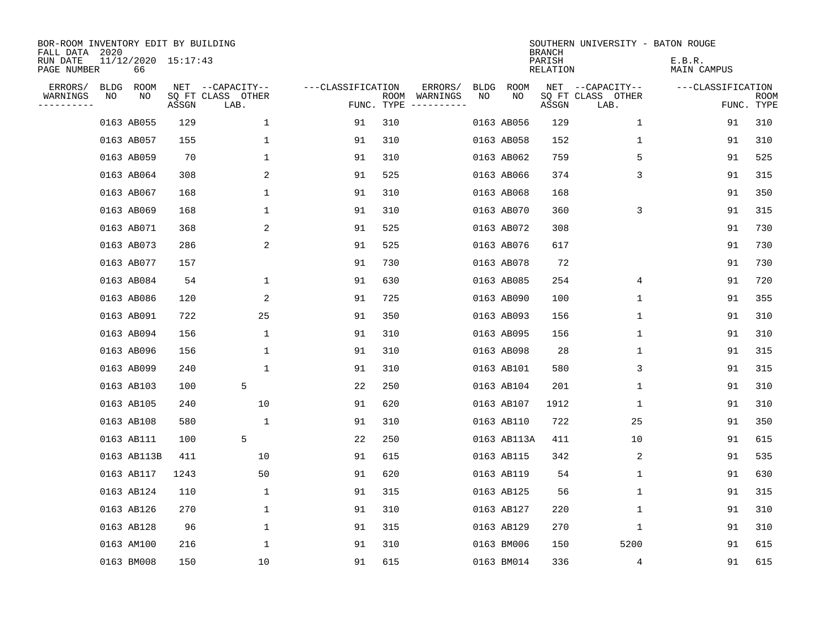| BOR-ROOM INVENTORY EDIT BY BUILDING<br>FALL DATA 2020 |    |                           |       |                           |                   |                    |                         |      |             | <b>BRANCH</b>      | SOUTHERN UNIVERSITY - BATON ROUGE |                       |                           |
|-------------------------------------------------------|----|---------------------------|-------|---------------------------|-------------------|--------------------|-------------------------|------|-------------|--------------------|-----------------------------------|-----------------------|---------------------------|
| RUN DATE<br>PAGE NUMBER                               |    | 11/12/2020 15:17:43<br>66 |       |                           |                   |                    |                         |      |             | PARISH<br>RELATION |                                   | E.B.R.<br>MAIN CAMPUS |                           |
| ERRORS/                                               |    | BLDG ROOM                 |       | NET --CAPACITY--          | ---CLASSIFICATION |                    | ERRORS/                 | BLDG | ROOM        |                    | NET --CAPACITY--                  | ---CLASSIFICATION     |                           |
| WARNINGS<br>. <u>.</u> .                              | ΝO | ΝO                        | ASSGN | SQ FT CLASS OTHER<br>LAB. |                   | ROOM<br>FUNC. TYPE | WARNINGS<br>----------- | NO   | NO          | ASSGN              | SQ FT CLASS OTHER<br>LAB.         |                       | <b>ROOM</b><br>FUNC. TYPE |
|                                                       |    | 0163 AB055                | 129   | 1                         | 91                | 310                |                         |      | 0163 AB056  | 129                | 1                                 | 91                    | 310                       |
|                                                       |    | 0163 AB057                | 155   | $\mathbf{1}$              | 91                | 310                |                         |      | 0163 AB058  | 152                | 1                                 | 91                    | 310                       |
|                                                       |    | 0163 AB059                | 70    | $\mathbf{1}$              | 91                | 310                |                         |      | 0163 AB062  | 759                | 5                                 | 91                    | 525                       |
|                                                       |    | 0163 AB064                | 308   | 2                         | 91                | 525                |                         |      | 0163 AB066  | 374                | 3                                 | 91                    | 315                       |
|                                                       |    | 0163 AB067                | 168   | $\mathbf 1$               | 91                | 310                |                         |      | 0163 AB068  | 168                |                                   | 91                    | 350                       |
|                                                       |    | 0163 AB069                | 168   | $\mathbf{1}$              | 91                | 310                |                         |      | 0163 AB070  | 360                | 3                                 | 91                    | 315                       |
|                                                       |    | 0163 AB071                | 368   | 2                         | 91                | 525                |                         |      | 0163 AB072  | 308                |                                   | 91                    | 730                       |
|                                                       |    | 0163 AB073                | 286   | 2                         | 91                | 525                |                         |      | 0163 AB076  | 617                |                                   | 91                    | 730                       |
|                                                       |    | 0163 AB077                | 157   |                           | 91                | 730                |                         |      | 0163 AB078  | 72                 |                                   | 91                    | 730                       |
|                                                       |    | 0163 AB084                | 54    | $\mathbf{1}$              | 91                | 630                |                         |      | 0163 AB085  | 254                | 4                                 | 91                    | 720                       |
|                                                       |    | 0163 AB086                | 120   | 2                         | 91                | 725                |                         |      | 0163 AB090  | 100                | 1                                 | 91                    | 355                       |
|                                                       |    | 0163 AB091                | 722   | 25                        | 91                | 350                |                         |      | 0163 AB093  | 156                | 1                                 | 91                    | 310                       |
|                                                       |    | 0163 AB094                | 156   | $\mathbf{1}$              | 91                | 310                |                         |      | 0163 AB095  | 156                | 1                                 | 91                    | 310                       |
|                                                       |    | 0163 AB096                | 156   | $\mathbf{1}$              | 91                | 310                |                         |      | 0163 AB098  | 28                 | 1                                 | 91                    | 315                       |
|                                                       |    | 0163 AB099                | 240   | $\mathbf 1$               | 91                | 310                |                         |      | 0163 AB101  | 580                | 3                                 | 91                    | 315                       |
|                                                       |    | 0163 AB103                | 100   | 5                         | 22                | 250                |                         |      | 0163 AB104  | 201                | 1                                 | 91                    | 310                       |
|                                                       |    | 0163 AB105                | 240   | 10                        | 91                | 620                |                         |      | 0163 AB107  | 1912               | 1                                 | 91                    | 310                       |
|                                                       |    | 0163 AB108                | 580   | 1                         | 91                | 310                |                         |      | 0163 AB110  | 722                | 25                                | 91                    | 350                       |
|                                                       |    | 0163 AB111                | 100   | 5                         | 22                | 250                |                         |      | 0163 AB113A | 411                | 10                                | 91                    | 615                       |
|                                                       |    | 0163 AB113B               | 411   | 10                        | 91                | 615                |                         |      | 0163 AB115  | 342                | 2                                 | 91                    | 535                       |
|                                                       |    | 0163 AB117                | 1243  | 50                        | 91                | 620                |                         |      | 0163 AB119  | 54                 | 1                                 | 91                    | 630                       |
|                                                       |    | 0163 AB124                | 110   | $\mathbf{1}$              | 91                | 315                |                         |      | 0163 AB125  | 56                 | 1                                 | 91                    | 315                       |
|                                                       |    | 0163 AB126                | 270   | $\mathbf 1$               | 91                | 310                |                         |      | 0163 AB127  | 220                | 1                                 | 91                    | 310                       |
|                                                       |    | 0163 AB128                | 96    | $\mathbf 1$               | 91                | 315                |                         |      | 0163 AB129  | 270                | 1                                 | 91                    | 310                       |
|                                                       |    | 0163 AM100                | 216   | $\mathbf 1$               | 91                | 310                |                         |      | 0163 BM006  | 150                | 5200                              | 91                    | 615                       |
|                                                       |    | 0163 BM008                | 150   | 10                        | 91                | 615                |                         |      | 0163 BM014  | 336                | 4                                 | 91                    | 615                       |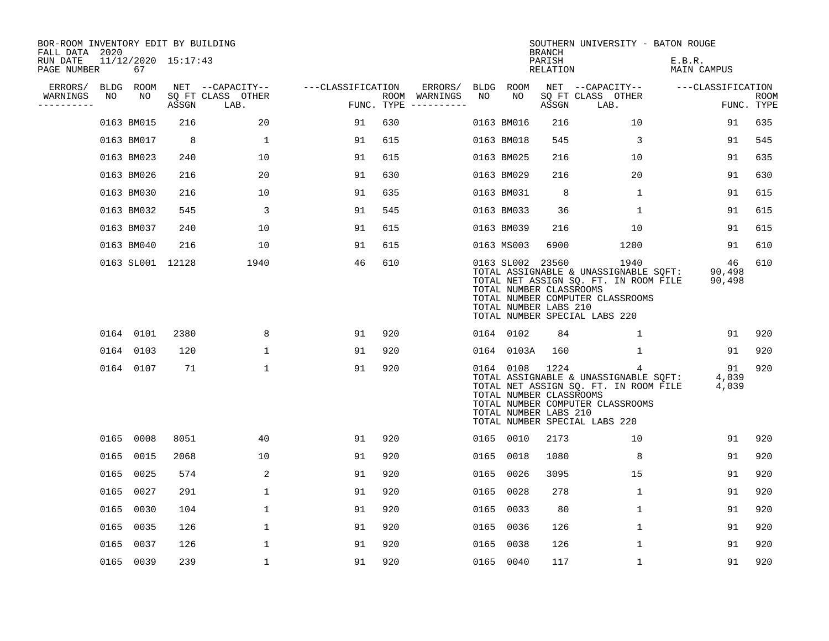| BOR-ROOM INVENTORY EDIT BY BUILDING<br>FALL DATA 2020 |      |                           |       |                                               |                                 |     |                                                                                                                                                    |      |                                                                      | <b>BRANCH</b>      | SOUTHERN UNIVERSITY - BATON ROUGE                                                                                                                           |                        |                           |
|-------------------------------------------------------|------|---------------------------|-------|-----------------------------------------------|---------------------------------|-----|----------------------------------------------------------------------------------------------------------------------------------------------------|------|----------------------------------------------------------------------|--------------------|-------------------------------------------------------------------------------------------------------------------------------------------------------------|------------------------|---------------------------|
| RUN DATE<br>PAGE NUMBER                               |      | 11/12/2020 15:17:43<br>67 |       |                                               |                                 |     |                                                                                                                                                    |      |                                                                      | PARISH<br>RELATION |                                                                                                                                                             | E.B.R.<br>MAIN CAMPUS  |                           |
| ERRORS/<br>WARNINGS<br>---------                      | NO   | BLDG ROOM<br>NO           | ASSGN | NET --CAPACITY--<br>SQ FT CLASS OTHER<br>LAB. | ---CLASSIFICATION<br>FUNC. TYPE |     | ERRORS/<br>ROOM WARNINGS<br>$\begin{tabular}{cccccc} - & - & - & - & - & - & - \\ & - & - & - & - & - & - \\ & - & - & - & - & - \\ \end{tabular}$ | NO   | BLDG ROOM<br>NO                                                      | ASSGN              | NET --CAPACITY--<br>SQ FT CLASS OTHER<br>LAB.                                                                                                               | ---CLASSIFICATION      | <b>ROOM</b><br>FUNC. TYPE |
|                                                       |      | 0163 BM015                | 216   | 20                                            | 91                              | 630 |                                                                                                                                                    |      | 0163 BM016                                                           | 216                | 10                                                                                                                                                          | 91                     | 635                       |
|                                                       |      | 0163 BM017                | 8     | $\mathbf 1$                                   | 91                              | 615 |                                                                                                                                                    |      | 0163 BM018                                                           | 545                | 3                                                                                                                                                           | 91                     | 545                       |
|                                                       |      | 0163 BM023                | 240   | 10                                            | 91                              | 615 |                                                                                                                                                    |      | 0163 BM025                                                           | 216                | 10                                                                                                                                                          | 91                     | 635                       |
|                                                       |      | 0163 BM026                | 216   | 20                                            | 91                              | 630 |                                                                                                                                                    |      | 0163 BM029                                                           | 216                | 20                                                                                                                                                          | 91                     | 630                       |
|                                                       |      | 0163 BM030                | 216   | 10                                            | 91                              | 635 |                                                                                                                                                    |      | 0163 BM031                                                           | 8                  | 1                                                                                                                                                           | 91                     | 615                       |
|                                                       |      | 0163 BM032                | 545   | 3                                             | 91                              | 545 |                                                                                                                                                    |      | 0163 BM033                                                           | 36                 | $\mathbf{1}$                                                                                                                                                | 91                     | 615                       |
|                                                       |      | 0163 BM037                | 240   | 10                                            | 91                              | 615 |                                                                                                                                                    |      | 0163 BM039                                                           | 216                | 10                                                                                                                                                          | 91                     | 615                       |
|                                                       |      | 0163 BM040                | 216   | 10                                            | 91                              | 615 |                                                                                                                                                    |      | 0163 MS003                                                           | 6900               | 1200                                                                                                                                                        | 91                     | 610                       |
|                                                       |      | 0163 SL001 12128          |       | 1940                                          | 46                              | 610 |                                                                                                                                                    |      | 0163 SL002 23560<br>TOTAL NUMBER CLASSROOMS<br>TOTAL NUMBER LABS 210 |                    | 1940<br>TOTAL ASSIGNABLE & UNASSIGNABLE SQFT:<br>TOTAL NET ASSIGN SQ. FT. IN ROOM FILE<br>TOTAL NUMBER COMPUTER CLASSROOMS<br>TOTAL NUMBER SPECIAL LABS 220 | 46<br>90,498<br>90,498 | 610                       |
|                                                       |      | 0164 0101                 | 2380  | 8                                             | 91                              | 920 |                                                                                                                                                    |      | 0164 0102                                                            | 84                 | 1                                                                                                                                                           | 91                     | 920                       |
|                                                       |      | 0164 0103                 | 120   | 1                                             | 91                              | 920 |                                                                                                                                                    |      | 0164 0103A                                                           | 160                | 1                                                                                                                                                           | 91                     | 920                       |
|                                                       |      | 0164 0107                 | 71    | $\mathbf{1}$                                  | 91                              | 920 |                                                                                                                                                    |      | 0164 0108<br>TOTAL NUMBER CLASSROOMS<br>TOTAL NUMBER LABS 210        | 1224               | 4<br>TOTAL ASSIGNABLE & UNASSIGNABLE SQFT:<br>TOTAL NET ASSIGN SQ. FT. IN ROOM FILE<br>TOTAL NUMBER COMPUTER CLASSROOMS<br>TOTAL NUMBER SPECIAL LABS 220    | 91<br>4,039<br>4,039   | 920                       |
|                                                       |      | 0165 0008                 | 8051  | 40                                            | 91                              | 920 |                                                                                                                                                    |      | 0165 0010                                                            | 2173               | 10                                                                                                                                                          | 91                     | 920                       |
|                                                       | 0165 | 0015                      | 2068  | 10                                            | 91                              | 920 |                                                                                                                                                    | 0165 | 0018                                                                 | 1080               | 8                                                                                                                                                           | 91                     | 920                       |
|                                                       | 0165 | 0025                      | 574   | 2                                             | 91                              | 920 |                                                                                                                                                    |      | 0165 0026                                                            | 3095               | 15                                                                                                                                                          | 91                     | 920                       |
|                                                       | 0165 | 0027                      | 291   | $\mathbf{1}$                                  | 91                              | 920 |                                                                                                                                                    | 0165 | 0028                                                                 | 278                | $\mathbf{1}$                                                                                                                                                | 91                     | 920                       |
|                                                       | 0165 | 0030                      | 104   | 1                                             | 91                              | 920 |                                                                                                                                                    |      | 0165 0033                                                            | 80                 | 1                                                                                                                                                           | 91                     | 920                       |
|                                                       | 0165 | 0035                      | 126   | 1                                             | 91                              | 920 |                                                                                                                                                    | 0165 | 0036                                                                 | 126                | 1                                                                                                                                                           | 91                     | 920                       |
|                                                       | 0165 | 0037                      | 126   | $\mathbf{1}$                                  | 91                              | 920 |                                                                                                                                                    | 0165 | 0038                                                                 | 126                | 1                                                                                                                                                           | 91                     | 920                       |
|                                                       |      | 0165 0039                 | 239   | $\mathbf 1$                                   | 91                              | 920 |                                                                                                                                                    |      | 0165 0040                                                            | 117                | 1                                                                                                                                                           | 91                     | 920                       |
|                                                       |      |                           |       |                                               |                                 |     |                                                                                                                                                    |      |                                                                      |                    |                                                                                                                                                             |                        |                           |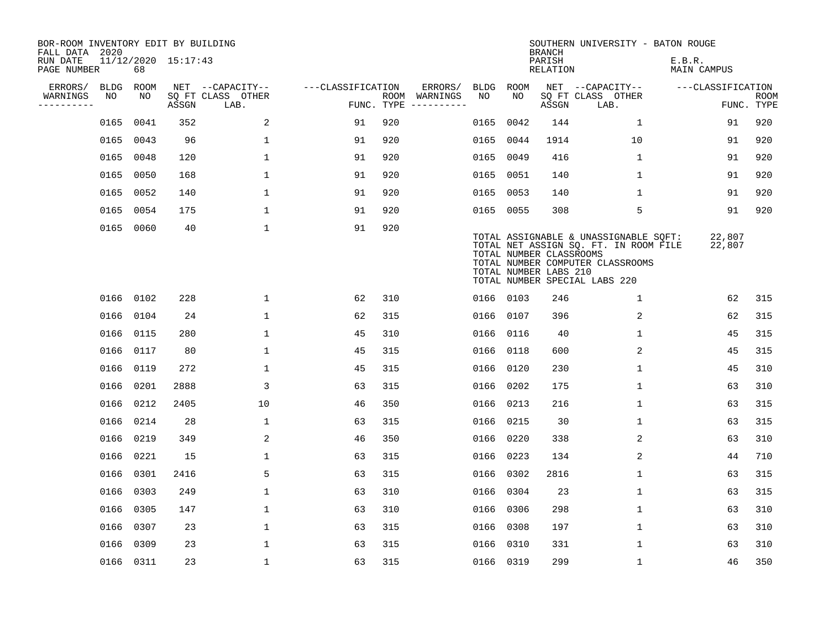| BOR-ROOM INVENTORY EDIT BY BUILDING<br>FALL DATA 2020 |             |           |                     |                           |                   |                    |          |      |             | <b>BRANCH</b>                                    | SOUTHERN UNIVERSITY - BATON ROUGE                                                                                                                   |                              |                           |
|-------------------------------------------------------|-------------|-----------|---------------------|---------------------------|-------------------|--------------------|----------|------|-------------|--------------------------------------------------|-----------------------------------------------------------------------------------------------------------------------------------------------------|------------------------------|---------------------------|
| RUN DATE<br>PAGE NUMBER                               |             | 68        | 11/12/2020 15:17:43 |                           |                   |                    |          |      |             | PARISH<br>RELATION                               |                                                                                                                                                     | E.B.R.<br><b>MAIN CAMPUS</b> |                           |
| ERRORS/                                               | <b>BLDG</b> | ROOM      |                     | NET --CAPACITY--          | ---CLASSIFICATION |                    | ERRORS/  | BLDG | <b>ROOM</b> |                                                  | NET --CAPACITY--                                                                                                                                    | ---CLASSIFICATION            |                           |
| WARNINGS<br>----------                                | NO          | NO        | ASSGN               | SQ FT CLASS OTHER<br>LAB. |                   | ROOM<br>FUNC. TYPE | WARNINGS | NO   | NO          | ASSGN                                            | SQ FT CLASS OTHER<br>LAB.                                                                                                                           |                              | <b>ROOM</b><br>FUNC. TYPE |
|                                                       | 0165        | 0041      | 352                 | 2                         | 91                | 920                |          | 0165 | 0042        | 144                                              | 1                                                                                                                                                   | 91                           | 920                       |
|                                                       | 0165        | 0043      | 96                  | $\mathbf 1$               | 91                | 920                |          | 0165 | 0044        | 1914                                             | 10                                                                                                                                                  | 91                           | 920                       |
|                                                       | 0165        | 0048      | 120                 | $\mathbf{1}$              | 91                | 920                |          | 0165 | 0049        | 416                                              | $\mathbf 1$                                                                                                                                         | 91                           | 920                       |
|                                                       | 0165        | 0050      | 168                 | $\mathbf{1}$              | 91                | 920                |          |      | 0165 0051   | 140                                              | $\mathbf{1}$                                                                                                                                        | 91                           | 920                       |
|                                                       | 0165        | 0052      | 140                 | $\mathbf{1}$              | 91                | 920                |          | 0165 | 0053        | 140                                              | $\mathbf{1}$                                                                                                                                        | 91                           | 920                       |
|                                                       | 0165        | 0054      | 175                 | $\mathbf 1$               | 91                | 920                |          |      | 0165 0055   | 308                                              | 5                                                                                                                                                   | 91                           | 920                       |
|                                                       |             | 0165 0060 | 40                  | $\mathbf 1$               | 91                | 920                |          |      |             | TOTAL NUMBER CLASSROOMS<br>TOTAL NUMBER LABS 210 | TOTAL ASSIGNABLE & UNASSIGNABLE SQFT:<br>TOTAL NET ASSIGN SQ. FT. IN ROOM FILE<br>TOTAL NUMBER COMPUTER CLASSROOMS<br>TOTAL NUMBER SPECIAL LABS 220 | 22,807<br>22,807             |                           |
|                                                       |             | 0166 0102 | 228                 | 1                         | 62                | 310                |          |      | 0166 0103   | 246                                              | 1                                                                                                                                                   | 62                           | 315                       |
|                                                       | 0166        | 0104      | 24                  | $\mathbf 1$               | 62                | 315                |          |      | 0166 0107   | 396                                              | 2                                                                                                                                                   | 62                           | 315                       |
|                                                       | 0166        | 0115      | 280                 | 1                         | 45                | 310                |          | 0166 | 0116        | 40                                               | 1                                                                                                                                                   | 45                           | 315                       |
|                                                       | 0166        | 0117      | 80                  | $\mathbf{1}$              | 45                | 315                |          | 0166 | 0118        | 600                                              | 2                                                                                                                                                   | 45                           | 315                       |
|                                                       | 0166        | 0119      | 272                 | $\mathbf{1}$              | 45                | 315                |          | 0166 | 0120        | 230                                              | 1                                                                                                                                                   | 45                           | 310                       |
|                                                       | 0166        | 0201      | 2888                | 3                         | 63                | 315                |          | 0166 | 0202        | 175                                              | 1                                                                                                                                                   | 63                           | 310                       |
|                                                       | 0166        | 0212      | 2405                | 10                        | 46                | 350                |          | 0166 | 0213        | 216                                              | 1                                                                                                                                                   | 63                           | 315                       |
|                                                       | 0166        | 0214      | 28                  | $\mathbf 1$               | 63                | 315                |          | 0166 | 0215        | 30                                               | $\mathbf 1$                                                                                                                                         | 63                           | 315                       |
|                                                       | 0166        | 0219      | 349                 | 2                         | 46                | 350                |          | 0166 | 0220        | 338                                              | 2                                                                                                                                                   | 63                           | 310                       |
|                                                       | 0166        | 0221      | 15                  | $\mathbf{1}$              | 63                | 315                |          |      | 0166 0223   | 134                                              | 2                                                                                                                                                   | 44                           | 710                       |
|                                                       | 0166        | 0301      | 2416                | 5                         | 63                | 315                |          |      | 0166 0302   | 2816                                             | $\mathbf 1$                                                                                                                                         | 63                           | 315                       |
|                                                       | 0166        | 0303      | 249                 | $\mathbf 1$               | 63                | 310                |          | 0166 | 0304        | 23                                               | 1                                                                                                                                                   | 63                           | 315                       |
|                                                       |             | 0166 0305 | 147                 | $\mathbf 1$               | 63                | 310                |          |      | 0166 0306   | 298                                              | 1                                                                                                                                                   | 63                           | 310                       |
|                                                       | 0166        | 0307      | 23                  | $\mathbf 1$               | 63                | 315                |          |      | 0166 0308   | 197                                              | $\mathbf 1$                                                                                                                                         | 63                           | 310                       |
|                                                       | 0166        | 0309      | 23                  | $\mathbf{1}$              | 63                | 315                |          |      | 0166 0310   | 331                                              | 1                                                                                                                                                   | 63                           | 310                       |
|                                                       |             | 0166 0311 | 23                  | $\mathbf{1}$              | 63                | 315                |          |      | 0166 0319   | 299                                              | $\mathbf{1}$                                                                                                                                        | 46                           | 350                       |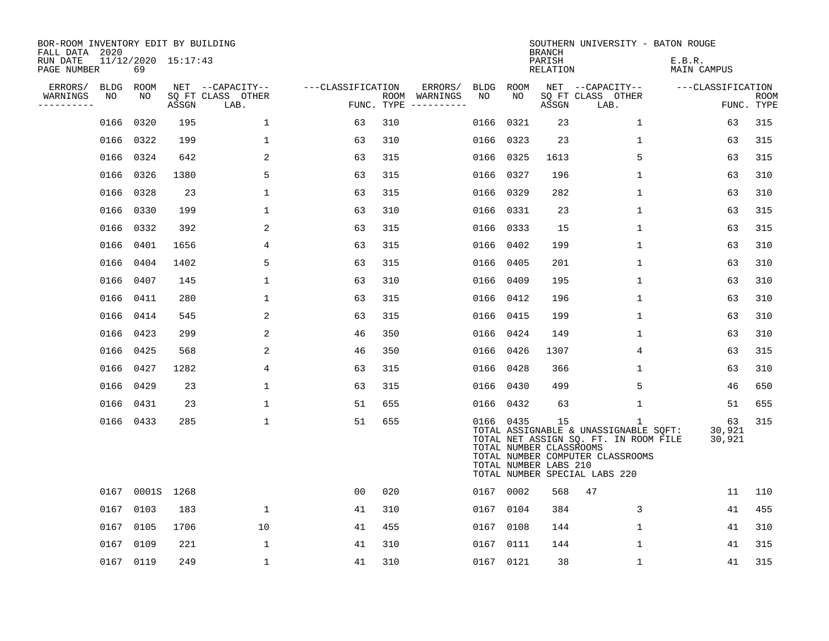| BOR-ROOM INVENTORY EDIT BY BUILDING<br>FALL DATA 2020 |             |                           |       |                           |                   |     |                                      |           |           | <b>BRANCH</b>                                          | SOUTHERN UNIVERSITY - BATON ROUGE                                                                                                                        |                       |                        |                           |
|-------------------------------------------------------|-------------|---------------------------|-------|---------------------------|-------------------|-----|--------------------------------------|-----------|-----------|--------------------------------------------------------|----------------------------------------------------------------------------------------------------------------------------------------------------------|-----------------------|------------------------|---------------------------|
| RUN DATE<br>PAGE NUMBER                               |             | 11/12/2020 15:17:43<br>69 |       |                           |                   |     |                                      |           |           | PARISH<br>RELATION                                     |                                                                                                                                                          | E.B.R.<br>MAIN CAMPUS |                        |                           |
| ERRORS/                                               | <b>BLDG</b> | ROOM                      |       | NET --CAPACITY--          | ---CLASSIFICATION |     | ERRORS/                              | BLDG ROOM |           |                                                        | NET --CAPACITY--                                                                                                                                         | ---CLASSIFICATION     |                        |                           |
| WARNINGS<br>----------                                | NO          | NO                        | ASSGN | SQ FT CLASS OTHER<br>LAB. |                   |     | ROOM WARNINGS<br>FUNC. TYPE $------$ | NO        | NO        | ASSGN                                                  | SQ FT CLASS OTHER<br>LAB.                                                                                                                                |                       |                        | <b>ROOM</b><br>FUNC. TYPE |
|                                                       | 0166        | 0320                      | 195   | $\mathbf 1$               | 63                | 310 |                                      | 0166      | 0321      | 23                                                     | $\mathbf 1$                                                                                                                                              |                       | 63                     | 315                       |
|                                                       | 0166        | 0322                      | 199   | 1                         | 63                | 310 |                                      | 0166 0323 |           | 23                                                     | 1                                                                                                                                                        |                       | 63                     | 315                       |
|                                                       | 0166        | 0324                      | 642   | 2                         | 63                | 315 |                                      | 0166 0325 |           | 1613                                                   | 5                                                                                                                                                        |                       | 63                     | 315                       |
|                                                       | 0166        | 0326                      | 1380  | 5                         | 63                | 315 |                                      |           | 0166 0327 | 196                                                    | $\mathbf 1$                                                                                                                                              |                       | 63                     | 310                       |
|                                                       | 0166        | 0328                      | 23    | $\mathbf 1$               | 63                | 315 |                                      | 0166 0329 |           | 282                                                    | 1                                                                                                                                                        |                       | 63                     | 310                       |
|                                                       | 0166        | 0330                      | 199   | 1                         | 63                | 310 |                                      | 0166 0331 |           | 23                                                     | $\mathbf 1$                                                                                                                                              |                       | 63                     | 315                       |
|                                                       | 0166        | 0332                      | 392   | 2                         | 63                | 315 |                                      |           | 0166 0333 | 15                                                     | $\mathbf{1}$                                                                                                                                             |                       | 63                     | 315                       |
|                                                       | 0166        | 0401                      | 1656  | 4                         | 63                | 315 |                                      |           | 0166 0402 | 199                                                    | 1                                                                                                                                                        |                       | 63                     | 310                       |
|                                                       | 0166        | 0404                      | 1402  | 5                         | 63                | 315 |                                      | 0166 0405 |           | 201                                                    | 1                                                                                                                                                        |                       | 63                     | 310                       |
|                                                       | 0166        | 0407                      | 145   | $\mathbf 1$               | 63                | 310 |                                      | 0166 0409 |           | 195                                                    | 1                                                                                                                                                        |                       | 63                     | 310                       |
|                                                       | 0166        | 0411                      | 280   | 1                         | 63                | 315 |                                      |           | 0166 0412 | 196                                                    | 1                                                                                                                                                        |                       | 63                     | 310                       |
|                                                       | 0166        | 0414                      | 545   | 2                         | 63                | 315 |                                      | 0166 0415 |           | 199                                                    | 1                                                                                                                                                        |                       | 63                     | 310                       |
|                                                       | 0166        | 0423                      | 299   | 2                         | 46                | 350 |                                      | 0166      | 0424      | 149                                                    | 1                                                                                                                                                        |                       | 63                     | 310                       |
|                                                       | 0166        | 0425                      | 568   | 2                         | 46                | 350 |                                      | 0166      | 0426      | 1307                                                   | $\overline{4}$                                                                                                                                           |                       | 63                     | 315                       |
|                                                       | 0166        | 0427                      | 1282  | 4                         | 63                | 315 |                                      | 0166 0428 |           | 366                                                    | 1                                                                                                                                                        |                       | 63                     | 310                       |
|                                                       | 0166        | 0429                      | 23    | $\mathbf 1$               | 63                | 315 |                                      | 0166 0430 |           | 499                                                    | 5                                                                                                                                                        |                       | 46                     | 650                       |
|                                                       | 0166        | 0431                      | 23    | $\mathbf 1$               | 51                | 655 |                                      |           | 0166 0432 | 63                                                     | 1                                                                                                                                                        |                       | 51                     | 655                       |
|                                                       |             | 0166 0433                 | 285   | 1                         | 51                | 655 |                                      |           | 0166 0435 | 15<br>TOTAL NUMBER CLASSROOMS<br>TOTAL NUMBER LABS 210 | 1<br>TOTAL ASSIGNABLE & UNASSIGNABLE SQFT:<br>TOTAL NET ASSIGN SQ. FT. IN ROOM FILE<br>TOTAL NUMBER COMPUTER CLASSROOMS<br>TOTAL NUMBER SPECIAL LABS 220 |                       | 63<br>30,921<br>30,921 | 315                       |
|                                                       |             | 0167 0001S 1268           |       |                           | 00                | 020 |                                      |           | 0167 0002 | 568                                                    | 47                                                                                                                                                       |                       | 11                     | 110                       |
|                                                       | 0167        | 0103                      | 183   | $\mathbf{1}$              | 41                | 310 |                                      |           | 0167 0104 | 384                                                    | 3                                                                                                                                                        |                       | 41                     | 455                       |
|                                                       | 0167        | 0105                      | 1706  | 10                        | 41                | 455 |                                      | 0167      | 0108      | 144                                                    | $\mathbf 1$                                                                                                                                              |                       | 41                     | 310                       |
|                                                       | 0167        | 0109                      | 221   | 1                         | 41                | 310 |                                      | 0167 0111 |           | 144                                                    | 1                                                                                                                                                        |                       | 41                     | 315                       |
|                                                       |             | 0167 0119                 | 249   | $\mathbf 1$               | 41                | 310 |                                      | 0167 0121 |           | 38                                                     | 1                                                                                                                                                        |                       | 41                     | 315                       |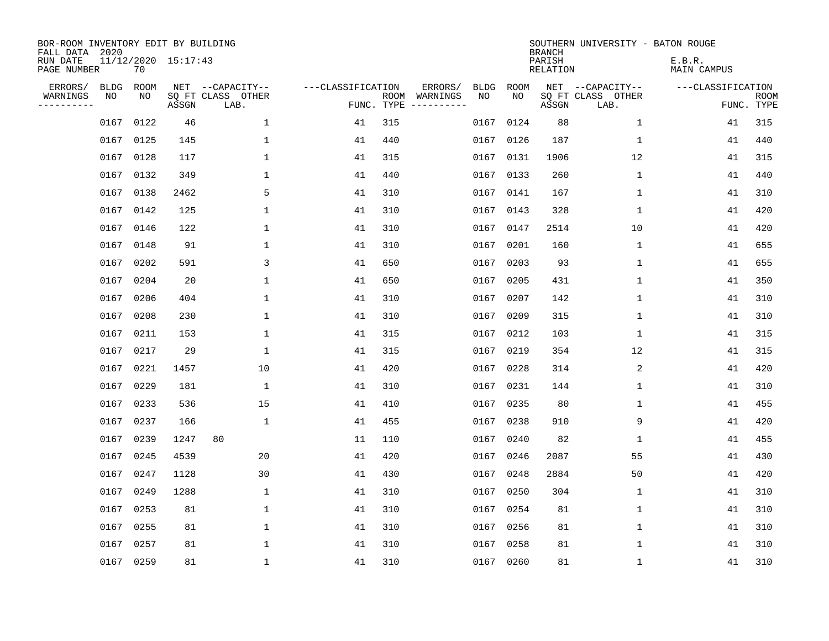| BOR-ROOM INVENTORY EDIT BY BUILDING<br>FALL DATA 2020 |             |           |                     |                           |                   |                    |          |      |           | <b>BRANCH</b>             | SOUTHERN UNIVERSITY - BATON ROUGE |                              |                           |
|-------------------------------------------------------|-------------|-----------|---------------------|---------------------------|-------------------|--------------------|----------|------|-----------|---------------------------|-----------------------------------|------------------------------|---------------------------|
| RUN DATE<br>PAGE NUMBER                               |             | 70        | 11/12/2020 15:17:43 |                           |                   |                    |          |      |           | PARISH<br><b>RELATION</b> |                                   | E.B.R.<br><b>MAIN CAMPUS</b> |                           |
| ERRORS/                                               | <b>BLDG</b> | ROOM      |                     | NET --CAPACITY--          | ---CLASSIFICATION |                    | ERRORS/  | BLDG | ROOM      |                           | NET --CAPACITY--                  | ---CLASSIFICATION            |                           |
| WARNINGS<br>----------                                | NO          | NO        | ASSGN               | SQ FT CLASS OTHER<br>LAB. |                   | ROOM<br>FUNC. TYPE | WARNINGS | NO   | NO        | ASSGN                     | SQ FT CLASS OTHER<br>LAB.         |                              | <b>ROOM</b><br>FUNC. TYPE |
|                                                       | 0167        | 0122      | 46                  | 1                         | 41                | 315                |          | 0167 | 0124      | 88                        | $\mathbf 1$                       | 41                           | 315                       |
|                                                       | 0167        | 0125      | 145                 | 1                         | 41                | 440                |          | 0167 | 0126      | 187                       | 1                                 | 41                           | 440                       |
|                                                       | 0167        | 0128      | 117                 | $\mathbf 1$               | 41                | 315                |          | 0167 | 0131      | 1906                      | 12                                | 41                           | 315                       |
|                                                       | 0167        | 0132      | 349                 | $\mathbf{1}$              | 41                | 440                |          |      | 0167 0133 | 260                       | 1                                 | 41                           | 440                       |
|                                                       | 0167        | 0138      | 2462                | 5                         | 41                | 310                |          |      | 0167 0141 | 167                       | $\mathbf{1}$                      | 41                           | 310                       |
|                                                       | 0167        | 0142      | 125                 | $\mathbf{1}$              | 41                | 310                |          |      | 0167 0143 | 328                       | $\mathbf 1$                       | 41                           | 420                       |
|                                                       | 0167        | 0146      | 122                 | $\mathbf{1}$              | 41                | 310                |          |      | 0167 0147 | 2514                      | 10                                | 41                           | 420                       |
|                                                       | 0167        | 0148      | 91                  | 1                         | 41                | 310                |          |      | 0167 0201 | 160                       | 1                                 | 41                           | 655                       |
|                                                       | 0167        | 0202      | 591                 | 3                         | 41                | 650                |          | 0167 | 0203      | 93                        | 1                                 | 41                           | 655                       |
|                                                       | 0167        | 0204      | 20                  | 1                         | 41                | 650                |          |      | 0167 0205 | 431                       | $\mathbf 1$                       | 41                           | 350                       |
|                                                       | 0167        | 0206      | 404                 | 1                         | 41                | 310                |          | 0167 | 0207      | 142                       | 1                                 | 41                           | 310                       |
|                                                       | 0167        | 0208      | 230                 | 1                         | 41                | 310                |          |      | 0167 0209 | 315                       | 1                                 | 41                           | 310                       |
|                                                       | 0167        | 0211      | 153                 | 1                         | 41                | 315                |          | 0167 | 0212      | 103                       | 1                                 | 41                           | 315                       |
|                                                       | 0167        | 0217      | 29                  | $\mathbf{1}$              | 41                | 315                |          | 0167 | 0219      | 354                       | 12                                | 41                           | 315                       |
|                                                       | 0167        | 0221      | 1457                | 10                        | 41                | 420                |          | 0167 | 0228      | 314                       | 2                                 | 41                           | 420                       |
|                                                       | 0167        | 0229      | 181                 | 1                         | 41                | 310                |          | 0167 | 0231      | 144                       | 1                                 | 41                           | 310                       |
|                                                       | 0167        | 0233      | 536                 | 15                        | 41                | 410                |          |      | 0167 0235 | 80                        | 1                                 | 41                           | 455                       |
|                                                       | 0167        | 0237      | 166                 | $\mathbf{1}$              | 41                | 455                |          | 0167 | 0238      | 910                       | 9                                 | 41                           | 420                       |
|                                                       | 0167        | 0239      | 1247                | 80                        | 11                | 110                |          | 0167 | 0240      | 82                        | 1                                 | 41                           | 455                       |
|                                                       | 0167        | 0245      | 4539                | 20                        | 41                | 420                |          | 0167 | 0246      | 2087                      | 55                                | 41                           | 430                       |
|                                                       | 0167        | 0247      | 1128                | 30                        | 41                | 430                |          | 0167 | 0248      | 2884                      | 50                                | 41                           | 420                       |
|                                                       | 0167        | 0249      | 1288                | $\mathbf 1$               | 41                | 310                |          | 0167 | 0250      | 304                       | 1                                 | 41                           | 310                       |
|                                                       | 0167        | 0253      | 81                  | $\mathbf 1$               | 41                | 310                |          |      | 0167 0254 | 81                        | 1                                 | 41                           | 310                       |
|                                                       | 0167        | 0255      | 81                  | $\mathbf{1}$              | 41                | 310                |          | 0167 | 0256      | 81                        | 1                                 | 41                           | 310                       |
|                                                       | 0167        | 0257      | 81                  | $\mathbf{1}$              | 41                | 310                |          |      | 0167 0258 | 81                        | 1                                 | 41                           | 310                       |
|                                                       |             | 0167 0259 | 81                  | $\mathbf{1}$              | 41                | 310                |          |      | 0167 0260 | 81                        | $\mathbf{1}$                      | 41                           | 310                       |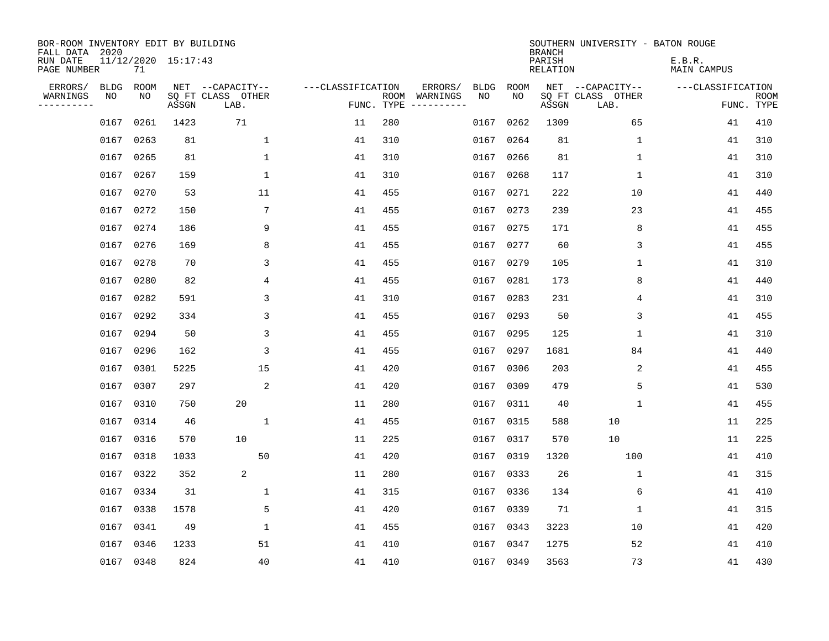| BOR-ROOM INVENTORY EDIT BY BUILDING<br>FALL DATA 2020 |             |           |                     |                           |                   |                    |          |             |             | <b>BRANCH</b>             | SOUTHERN UNIVERSITY - BATON ROUGE |                       |                           |
|-------------------------------------------------------|-------------|-----------|---------------------|---------------------------|-------------------|--------------------|----------|-------------|-------------|---------------------------|-----------------------------------|-----------------------|---------------------------|
| RUN DATE<br>PAGE NUMBER                               |             | 71        | 11/12/2020 15:17:43 |                           |                   |                    |          |             |             | PARISH<br><b>RELATION</b> |                                   | E.B.R.<br>MAIN CAMPUS |                           |
| ERRORS/                                               | <b>BLDG</b> | ROOM      |                     | NET --CAPACITY--          | ---CLASSIFICATION |                    | ERRORS/  | <b>BLDG</b> | <b>ROOM</b> |                           | NET --CAPACITY--                  | ---CLASSIFICATION     |                           |
| WARNINGS<br>----------                                | NO          | NO        | ASSGN               | SQ FT CLASS OTHER<br>LAB. |                   | ROOM<br>FUNC. TYPE | WARNINGS | NO          | NO          | ASSGN                     | SQ FT CLASS OTHER<br>LAB.         |                       | <b>ROOM</b><br>FUNC. TYPE |
|                                                       | 0167        | 0261      | 1423                | 71                        | 11                | 280                |          | 0167        | 0262        | 1309                      | 65                                | 41                    | 410                       |
|                                                       | 0167        | 0263      | 81                  | 1                         | 41                | 310                |          | 0167        | 0264        | 81                        | 1                                 | 41                    | 310                       |
|                                                       | 0167        | 0265      | 81                  | 1                         | 41                | 310                |          | 0167        | 0266        | 81                        | 1                                 | 41                    | 310                       |
|                                                       | 0167        | 0267      | 159                 | $\mathbf{1}$              | 41                | 310                |          |             | 0167 0268   | 117                       | 1                                 | 41                    | 310                       |
|                                                       | 0167        | 0270      | 53                  | 11                        | 41                | 455                |          |             | 0167 0271   | 222                       | 10                                | 41                    | 440                       |
|                                                       | 0167        | 0272      | 150                 | 7                         | 41                | 455                |          |             | 0167 0273   | 239                       | 23                                | 41                    | 455                       |
|                                                       | 0167        | 0274      | 186                 | 9                         | 41                | 455                |          |             | 0167 0275   | 171                       | 8                                 | 41                    | 455                       |
|                                                       | 0167        | 0276      | 169                 | 8                         | 41                | 455                |          |             | 0167 0277   | 60                        | 3                                 | 41                    | 455                       |
|                                                       | 0167        | 0278      | 70                  | 3                         | 41                | 455                |          | 0167        | 0279        | 105                       | 1                                 | 41                    | 310                       |
|                                                       | 0167        | 0280      | 82                  | 4                         | 41                | 455                |          |             | 0167 0281   | 173                       | 8                                 | 41                    | 440                       |
|                                                       | 0167        | 0282      | 591                 | 3                         | 41                | 310                |          | 0167        | 0283        | 231                       | 4                                 | 41                    | 310                       |
|                                                       | 0167        | 0292      | 334                 | 3                         | 41                | 455                |          |             | 0167 0293   | 50                        | 3                                 | 41                    | 455                       |
|                                                       | 0167        | 0294      | 50                  | 3                         | 41                | 455                |          | 0167        | 0295        | 125                       | 1                                 | 41                    | 310                       |
|                                                       | 0167        | 0296      | 162                 | 3                         | 41                | 455                |          | 0167        | 0297        | 1681                      | 84                                | 41                    | 440                       |
|                                                       | 0167        | 0301      | 5225                | 15                        | 41                | 420                |          | 0167        | 0306        | 203                       | 2                                 | 41                    | 455                       |
|                                                       | 0167        | 0307      | 297                 | 2                         | 41                | 420                |          | 0167        | 0309        | 479                       | 5                                 | 41                    | 530                       |
|                                                       | 0167        | 0310      | 750                 | 20                        | 11                | 280                |          | 0167        | 0311        | 40                        | 1                                 | 41                    | 455                       |
|                                                       | 0167        | 0314      | 46                  | 1                         | 41                | 455                |          | 0167        | 0315        | 588                       | 10                                | 11                    | 225                       |
|                                                       | 0167        | 0316      | 570                 | 10                        | 11                | 225                |          | 0167        | 0317        | 570                       | 10                                | 11                    | 225                       |
|                                                       | 0167        | 0318      | 1033                | 50                        | 41                | 420                |          | 0167        | 0319        | 1320                      | 100                               | 41                    | 410                       |
|                                                       | 0167        | 0322      | 352                 | 2                         | 11                | 280                |          | 0167        | 0333        | 26                        | 1                                 | 41                    | 315                       |
|                                                       | 0167        | 0334      | 31                  | 1                         | 41                | 315                |          | 0167        | 0336        | 134                       | 6                                 | 41                    | 410                       |
|                                                       | 0167        | 0338      | 1578                | 5                         | 41                | 420                |          | 0167        | 0339        | 71                        | 1                                 | 41                    | 315                       |
|                                                       | 0167        | 0341      | 49                  | $\mathbf 1$               | 41                | 455                |          |             | 0167 0343   | 3223                      | 10                                | 41                    | 420                       |
|                                                       | 0167        | 0346      | 1233                | 51                        | 41                | 410                |          |             | 0167 0347   | 1275                      | 52                                | 41                    | 410                       |
|                                                       |             | 0167 0348 | 824                 | 40                        | 41                | 410                |          |             | 0167 0349   | 3563                      | 73                                | 41                    | 430                       |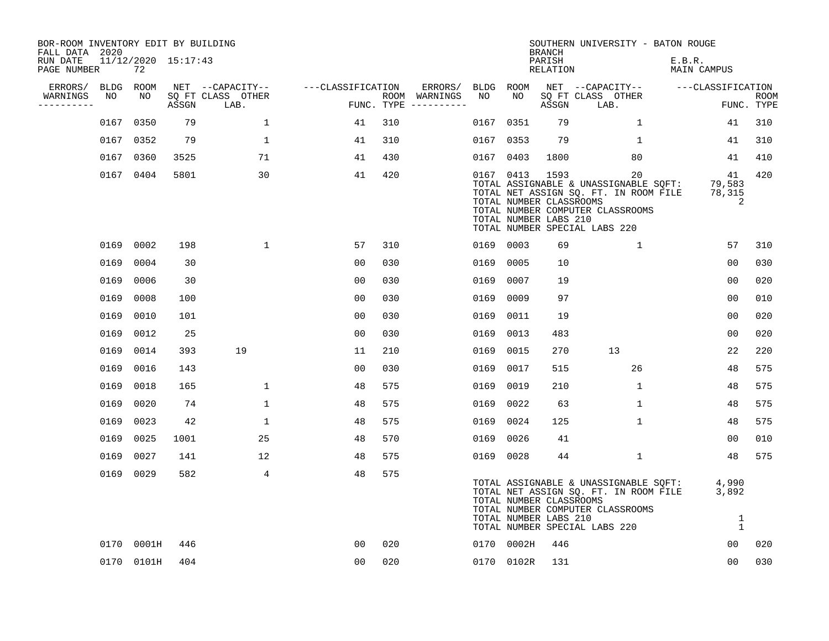| BOR-ROOM INVENTORY EDIT BY BUILDING<br>FALL DATA 2020 |      |                           |       |                           |                   |            |               |           |                                                               | <b>BRANCH</b>      | SOUTHERN UNIVERSITY - BATON ROUGE                                                                                                                         |                              |                           |
|-------------------------------------------------------|------|---------------------------|-------|---------------------------|-------------------|------------|---------------|-----------|---------------------------------------------------------------|--------------------|-----------------------------------------------------------------------------------------------------------------------------------------------------------|------------------------------|---------------------------|
| RUN DATE<br>PAGE NUMBER                               |      | 11/12/2020 15:17:43<br>72 |       |                           |                   |            |               |           |                                                               | PARISH<br>RELATION |                                                                                                                                                           | E.B.R.<br><b>MAIN CAMPUS</b> |                           |
| ERRORS/                                               |      | BLDG ROOM                 |       | NET --CAPACITY--          | ---CLASSIFICATION |            | ERRORS/       | BLDG ROOM |                                                               |                    | NET --CAPACITY--                                                                                                                                          | ---CLASSIFICATION            |                           |
| WARNINGS<br>----------                                | NO   | NO                        | ASSGN | SQ FT CLASS OTHER<br>LAB. |                   | FUNC. TYPE | ROOM WARNINGS | NO        | NO                                                            | ASSGN              | SQ FT CLASS OTHER<br>LAB.                                                                                                                                 |                              | <b>ROOM</b><br>FUNC. TYPE |
|                                                       | 0167 | 0350                      | 79    | $\mathbf{1}$              | 41                | 310        |               | 0167      | 0351                                                          | 79                 | $\mathbf{1}$                                                                                                                                              | 41                           | 310                       |
|                                                       | 0167 | 0352                      | 79    | $\mathbf{1}$              | 41                | 310        |               |           | 0167 0353                                                     | 79                 | $\mathbf{1}$                                                                                                                                              | 41                           | 310                       |
|                                                       | 0167 | 0360                      | 3525  | 71                        | 41                | 430        |               | 0167 0403 |                                                               | 1800               | 80                                                                                                                                                        | 41                           | 410                       |
|                                                       | 0167 | 0404                      | 5801  | 30                        | 41                | 420        |               |           | 0167 0413<br>TOTAL NUMBER CLASSROOMS<br>TOTAL NUMBER LABS 210 | 1593               | 20<br>TOTAL ASSIGNABLE & UNASSIGNABLE SQFT:<br>TOTAL NET ASSIGN SQ. FT. IN ROOM FILE<br>TOTAL NUMBER COMPUTER CLASSROOMS<br>TOTAL NUMBER SPECIAL LABS 220 | 41<br>79,583<br>78,315<br>2  | 420                       |
|                                                       | 0169 | 0002                      | 198   | $\mathbf{1}$              | 57                | 310        |               | 0169 0003 |                                                               | 69                 | 1                                                                                                                                                         | 57                           | 310                       |
|                                                       | 0169 | 0004                      | 30    |                           | 00                | 030        |               | 0169      | 0005                                                          | 10                 |                                                                                                                                                           | 00                           | 030                       |
|                                                       | 0169 | 0006                      | 30    |                           | 0 <sub>0</sub>    | 030        |               | 0169      | 0007                                                          | 19                 |                                                                                                                                                           | 0 <sub>0</sub>               | 020                       |
|                                                       | 0169 | 0008                      | 100   |                           | 0 <sub>0</sub>    | 030        |               | 0169      | 0009                                                          | 97                 |                                                                                                                                                           | 0 <sub>0</sub>               | 010                       |
|                                                       | 0169 | 0010                      | 101   |                           | 0 <sub>0</sub>    | 030        |               | 0169      | 0011                                                          | 19                 |                                                                                                                                                           | 00                           | 020                       |
|                                                       | 0169 | 0012                      | 25    |                           | 0 <sub>0</sub>    | 030        |               | 0169      | 0013                                                          | 483                |                                                                                                                                                           | 0 <sub>0</sub>               | 020                       |
|                                                       | 0169 | 0014                      | 393   | 19                        | 11                | 210        |               | 0169      | 0015                                                          | 270                | 13                                                                                                                                                        | 22                           | 220                       |
|                                                       | 0169 | 0016                      | 143   |                           | 0 <sub>0</sub>    | 030        |               | 0169      | 0017                                                          | 515                | 26                                                                                                                                                        | 48                           | 575                       |
|                                                       | 0169 | 0018                      | 165   | $\mathbf{1}$              | 48                | 575        |               | 0169      | 0019                                                          | 210                | $\mathbf 1$                                                                                                                                               | 48                           | 575                       |
|                                                       | 0169 | 0020                      | 74    | $\mathbf 1$               | 48                | 575        |               | 0169      | 0022                                                          | 63                 | 1                                                                                                                                                         | 48                           | 575                       |
|                                                       | 0169 | 0023                      | 42    | $\mathbf{1}$              | 48                | 575        |               | 0169      | 0024                                                          | 125                | $\mathbf 1$                                                                                                                                               | 48                           | 575                       |
|                                                       | 0169 | 0025                      | 1001  | 25                        | 48                | 570        |               | 0169      | 0026                                                          | 41                 |                                                                                                                                                           | 00                           | 010                       |
|                                                       | 0169 | 0027                      | 141   | 12                        | 48                | 575        |               | 0169 0028 |                                                               | 44                 | $\mathbf 1$                                                                                                                                               | 48                           | 575                       |
|                                                       | 0169 | 0029                      | 582   | 4                         | 48                | 575        |               |           | TOTAL NUMBER CLASSROOMS<br>TOTAL NUMBER LABS 210              |                    | TOTAL ASSIGNABLE & UNASSIGNABLE SQFT: 4,990<br>TOTAL NET ASSIGN SQ. FT. IN ROOM FILE<br>TOTAL NUMBER COMPUTER CLASSROOMS<br>TOTAL NUMBER SPECIAL LABS 220 | 3,892<br>1<br>$\mathbf{1}$   |                           |
|                                                       |      | 0170 0001H                | 446   |                           | 00                | 020        |               |           | 0170 0002H                                                    | 446                |                                                                                                                                                           | 0 <sub>0</sub>               | 020                       |
|                                                       |      | 0170 0101H                | 404   |                           | 00                | 020        |               |           | 0170 0102R                                                    | 131                |                                                                                                                                                           | 0 <sub>0</sub>               | 030                       |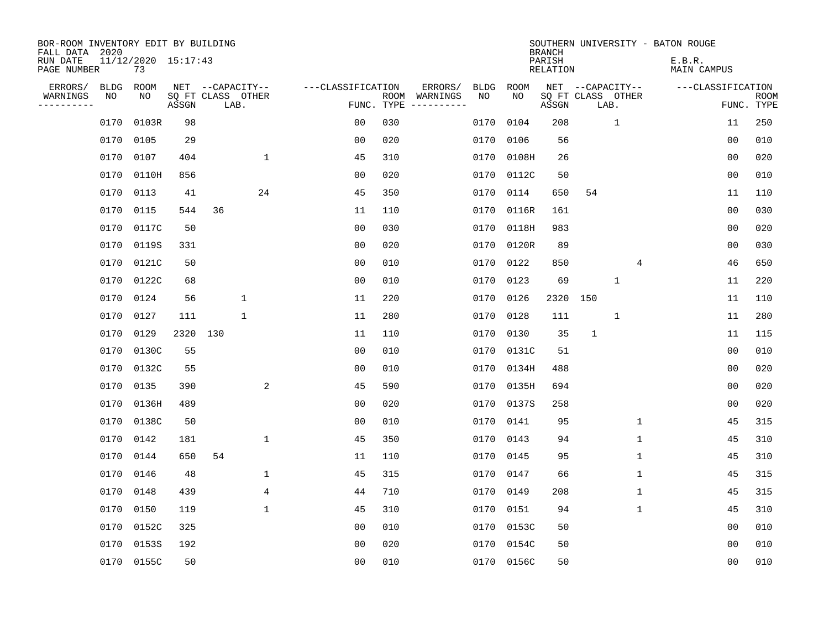| BOR-ROOM INVENTORY EDIT BY BUILDING<br>FALL DATA 2020 |             |                           |       |          |                           |                   |                    |          |             |            | <b>BRANCH</b>             |              |                           | SOUTHERN UNIVERSITY - BATON ROUGE |                   |                           |
|-------------------------------------------------------|-------------|---------------------------|-------|----------|---------------------------|-------------------|--------------------|----------|-------------|------------|---------------------------|--------------|---------------------------|-----------------------------------|-------------------|---------------------------|
| RUN DATE<br>PAGE NUMBER                               |             | 11/12/2020 15:17:43<br>73 |       |          |                           |                   |                    |          |             |            | PARISH<br><b>RELATION</b> |              |                           | E.B.R.<br><b>MAIN CAMPUS</b>      |                   |                           |
| ERRORS/                                               | <b>BLDG</b> | ROOM                      |       |          | NET --CAPACITY--          | ---CLASSIFICATION |                    | ERRORS/  | <b>BLDG</b> | ROOM       |                           |              | NET --CAPACITY--          |                                   | ---CLASSIFICATION |                           |
| WARNINGS<br>----------                                | NO          | NO                        | ASSGN |          | SQ FT CLASS OTHER<br>LAB. |                   | ROOM<br>FUNC. TYPE | WARNINGS | NO          | NO         | ASSGN                     |              | SQ FT CLASS OTHER<br>LAB. |                                   |                   | <b>ROOM</b><br>FUNC. TYPE |
|                                                       | 0170        | 0103R                     | 98    |          |                           | 00                | 030                |          | 0170        | 0104       | 208                       |              | $\mathbf{1}$              |                                   | 11                | 250                       |
|                                                       | 0170        | 0105                      | 29    |          |                           | 0 <sub>0</sub>    | 020                |          | 0170        | 0106       | 56                        |              |                           |                                   | 0 <sub>0</sub>    | 010                       |
|                                                       | 0170        | 0107                      | 404   |          | $\mathbf 1$               | 45                | 310                |          | 0170        | 0108H      | 26                        |              |                           |                                   | 0 <sub>0</sub>    | 020                       |
|                                                       | 0170        | 0110H                     | 856   |          |                           | 0 <sub>0</sub>    | 020                |          |             | 0170 0112C | 50                        |              |                           |                                   | 0 <sub>0</sub>    | 010                       |
|                                                       | 0170        | 0113                      | 41    |          | 24                        | 45                | 350                |          | 0170        | 0114       | 650                       | 54           |                           |                                   | 11                | 110                       |
|                                                       | 0170        | 0115                      | 544   | 36       |                           | 11                | 110                |          |             | 0170 0116R | 161                       |              |                           |                                   | 0 <sub>0</sub>    | 030                       |
|                                                       | 0170        | 0117C                     | 50    |          |                           | 0 <sub>0</sub>    | 030                |          |             | 0170 0118H | 983                       |              |                           |                                   | 0 <sub>0</sub>    | 020                       |
|                                                       | 0170        | 0119S                     | 331   |          |                           | 0 <sub>0</sub>    | 020                |          |             | 0170 0120R | 89                        |              |                           |                                   | 0 <sub>0</sub>    | 030                       |
|                                                       | 0170        | 0121C                     | 50    |          |                           | 0 <sub>0</sub>    | 010                |          | 0170        | 0122       | 850                       |              | 4                         |                                   | 46                | 650                       |
|                                                       | 0170        | 0122C                     | 68    |          |                           | 0 <sub>0</sub>    | 010                |          |             | 0170 0123  | 69                        |              | $\mathbf{1}$              |                                   | 11                | 220                       |
|                                                       | 0170        | 0124                      | 56    |          | $\mathbf 1$               | 11                | 220                |          | 0170        | 0126       | 2320                      | 150          |                           |                                   | 11                | 110                       |
|                                                       | 0170        | 0127                      | 111   |          | $\mathbf{1}$              | 11                | 280                |          |             | 0170 0128  | 111                       |              | $\mathbf{1}$              |                                   | 11                | 280                       |
|                                                       | 0170        | 0129                      |       | 2320 130 |                           | 11                | 110                |          | 0170        | 0130       | 35                        | $\mathbf{1}$ |                           |                                   | 11                | 115                       |
|                                                       | 0170        | 0130C                     | 55    |          |                           | 0 <sub>0</sub>    | 010                |          |             | 0170 0131C | 51                        |              |                           |                                   | 0 <sub>0</sub>    | 010                       |
|                                                       | 0170        | 0132C                     | 55    |          |                           | 0 <sub>0</sub>    | 010                |          |             | 0170 0134H | 488                       |              |                           |                                   | 0 <sub>0</sub>    | 020                       |
|                                                       | 0170        | 0135                      | 390   |          | 2                         | 45                | 590                |          | 0170        | 0135H      | 694                       |              |                           |                                   | 00                | 020                       |
|                                                       | 0170        | 0136H                     | 489   |          |                           | 0 <sub>0</sub>    | 020                |          |             | 0170 0137S | 258                       |              |                           |                                   | 0 <sub>0</sub>    | 020                       |
|                                                       | 0170        | 0138C                     | 50    |          |                           | 0 <sub>0</sub>    | 010                |          | 0170        | 0141       | 95                        |              | $\mathbf 1$               |                                   | 45                | 315                       |
|                                                       | 0170        | 0142                      | 181   |          | $\mathbf{1}$              | 45                | 350                |          |             | 0170 0143  | 94                        |              | 1                         |                                   | 45                | 310                       |
|                                                       | 0170        | 0144                      | 650   | 54       |                           | 11                | 110                |          |             | 0170 0145  | 95                        |              | 1                         |                                   | 45                | 310                       |
|                                                       | 0170        | 0146                      | 48    |          | 1                         | 45                | 315                |          |             | 0170 0147  | 66                        |              | 1                         |                                   | 45                | 315                       |
|                                                       | 0170        | 0148                      | 439   |          | 4                         | 44                | 710                |          |             | 0170 0149  | 208                       |              | 1                         |                                   | 45                | 315                       |
|                                                       | 0170        | 0150                      | 119   |          | $\mathbf{1}$              | 45                | 310                |          |             | 0170 0151  | 94                        |              | 1                         |                                   | 45                | 310                       |
|                                                       | 0170        | 0152C                     | 325   |          |                           | 0 <sub>0</sub>    | 010                |          |             | 0170 0153C | 50                        |              |                           |                                   | 00                | 010                       |
|                                                       | 0170        | 0153S                     | 192   |          |                           | 0 <sub>0</sub>    | 020                |          |             | 0170 0154C | 50                        |              |                           |                                   | 0 <sub>0</sub>    | 010                       |
|                                                       |             | 0170 0155C                | 50    |          |                           | 0 <sub>0</sub>    | 010                |          |             | 0170 0156C | 50                        |              |                           |                                   | 0 <sub>0</sub>    | 010                       |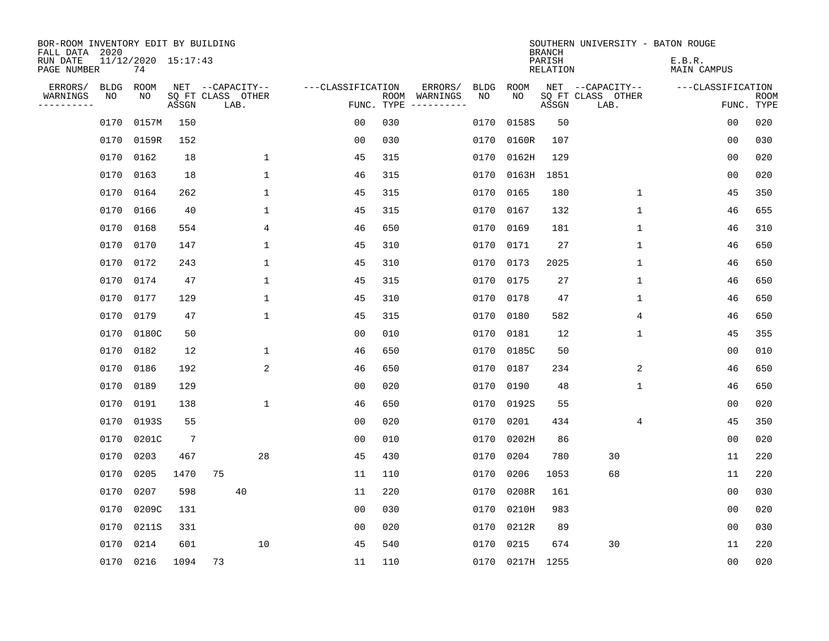| BOR-ROOM INVENTORY EDIT BY BUILDING<br>FALL DATA 2020 |             |                           |                 |                           |              |                   |                    |                         |             |             | <b>BRANCH</b>             | SOUTHERN UNIVERSITY - BATON ROUGE |                       |                   |                           |
|-------------------------------------------------------|-------------|---------------------------|-----------------|---------------------------|--------------|-------------------|--------------------|-------------------------|-------------|-------------|---------------------------|-----------------------------------|-----------------------|-------------------|---------------------------|
| RUN DATE<br>PAGE NUMBER                               |             | 11/12/2020 15:17:43<br>74 |                 |                           |              |                   |                    |                         |             |             | PARISH<br><b>RELATION</b> |                                   | E.B.R.<br>MAIN CAMPUS |                   |                           |
| ERRORS/                                               | <b>BLDG</b> | <b>ROOM</b>               |                 | NET --CAPACITY--          |              | ---CLASSIFICATION |                    | ERRORS/                 | <b>BLDG</b> | <b>ROOM</b> |                           | NET --CAPACITY--                  |                       | ---CLASSIFICATION |                           |
| WARNINGS<br>----------                                | NO          | NO                        | ASSGN           | SQ FT CLASS OTHER<br>LAB. |              |                   | ROOM<br>FUNC. TYPE | WARNINGS<br>----------- | NO          | NO          | ASSGN                     | SQ FT CLASS OTHER<br>LAB.         |                       |                   | <b>ROOM</b><br>FUNC. TYPE |
|                                                       | 0170        | 0157M                     | 150             |                           |              | 0 <sub>0</sub>    | 030                |                         | 0170        | 0158S       | 50                        |                                   |                       | 0 <sub>0</sub>    | 020                       |
|                                                       | 0170        | 0159R                     | 152             |                           |              | 0 <sub>0</sub>    | 030                |                         | 0170        | 0160R       | 107                       |                                   |                       | 0 <sub>0</sub>    | 030                       |
|                                                       | 0170        | 0162                      | 18              |                           | 1            | 45                | 315                |                         | 0170        | 0162H       | 129                       |                                   |                       | 00                | 020                       |
|                                                       | 0170        | 0163                      | 18              |                           | $\mathbf{1}$ | 46                | 315                |                         | 0170        | 0163H       | 1851                      |                                   |                       | 00                | 020                       |
|                                                       | 0170        | 0164                      | 262             |                           | $\mathbf{1}$ | 45                | 315                |                         | 0170        | 0165        | 180                       | 1                                 |                       | 45                | 350                       |
|                                                       | 0170        | 0166                      | 40              |                           | 1            | 45                | 315                |                         | 0170        | 0167        | 132                       | 1                                 |                       | 46                | 655                       |
|                                                       | 0170        | 0168                      | 554             |                           | 4            | 46                | 650                |                         | 0170        | 0169        | 181                       | $\mathbf{1}$                      |                       | 46                | 310                       |
|                                                       | 0170        | 0170                      | 147             |                           | 1            | 45                | 310                |                         | 0170        | 0171        | 27                        | 1                                 |                       | 46                | 650                       |
|                                                       | 0170        | 0172                      | 243             |                           | $\mathbf{1}$ | 45                | 310                |                         | 0170        | 0173        | 2025                      | 1                                 |                       | 46                | 650                       |
|                                                       |             | 0170 0174                 | 47              |                           | $\mathbf 1$  | 45                | 315                |                         | 0170        | 0175        | 27                        | 1                                 |                       | 46                | 650                       |
|                                                       | 0170        | 0177                      | 129             |                           | $\mathbf{1}$ | 45                | 310                |                         | 0170        | 0178        | 47                        | 1                                 |                       | 46                | 650                       |
|                                                       | 0170        | 0179                      | 47              |                           | $\mathbf{1}$ | 45                | 315                |                         | 0170        | 0180        | 582                       | 4                                 |                       | 46                | 650                       |
|                                                       | 0170        | 0180C                     | 50              |                           |              | 0 <sub>0</sub>    | 010                |                         | 0170        | 0181        | 12                        | $\mathbf 1$                       |                       | 45                | 355                       |
|                                                       | 0170        | 0182                      | 12              |                           | 1            | 46                | 650                |                         | 0170        | 0185C       | 50                        |                                   |                       | 0 <sub>0</sub>    | 010                       |
|                                                       | 0170        | 0186                      | 192             |                           | 2            | 46                | 650                |                         | 0170        | 0187        | 234                       | 2                                 |                       | 46                | 650                       |
|                                                       | 0170        | 0189                      | 129             |                           |              | 0 <sub>0</sub>    | 020                |                         | 0170        | 0190        | 48                        | $\mathbf 1$                       |                       | 46                | 650                       |
|                                                       | 0170        | 0191                      | 138             |                           | $\mathbf{1}$ | 46                | 650                |                         | 0170        | 0192S       | 55                        |                                   |                       | 0 <sub>0</sub>    | 020                       |
|                                                       | 0170        | 0193S                     | 55              |                           |              | 0 <sub>0</sub>    | 020                |                         | 0170        | 0201        | 434                       | 4                                 |                       | 45                | 350                       |
|                                                       | 0170        | 0201C                     | $7\phantom{.0}$ |                           |              | 00                | 010                |                         | 0170        | 0202H       | 86                        |                                   |                       | 00                | 020                       |
|                                                       | 0170        | 0203                      | 467             |                           | 28           | 45                | 430                |                         | 0170        | 0204        | 780                       | 30                                |                       | 11                | 220                       |
|                                                       | 0170        | 0205                      | 1470            | 75                        |              | 11                | 110                |                         | 0170        | 0206        | 1053                      | 68                                |                       | 11                | 220                       |
|                                                       | 0170        | 0207                      | 598             |                           | 40           | 11                | 220                |                         | 0170        | 0208R       | 161                       |                                   |                       | 0 <sub>0</sub>    | 030                       |
|                                                       | 0170        | 0209C                     | 131             |                           |              | 00                | 030                |                         | 0170        | 0210H       | 983                       |                                   |                       | 0 <sub>0</sub>    | 020                       |
|                                                       | 0170        | 0211S                     | 331             |                           |              | 00                | 020                |                         | 0170        | 0212R       | 89                        |                                   |                       | 0 <sub>0</sub>    | 030                       |
|                                                       | 0170        | 0214                      | 601             |                           | 10           | 45                | 540                |                         | 0170        | 0215        | 674                       | 30                                |                       | 11                | 220                       |
|                                                       |             | 0170 0216                 | 1094            | 73                        |              | 11                | 110                |                         |             | 0170 0217H  | 1255                      |                                   |                       | 0 <sub>0</sub>    | 020                       |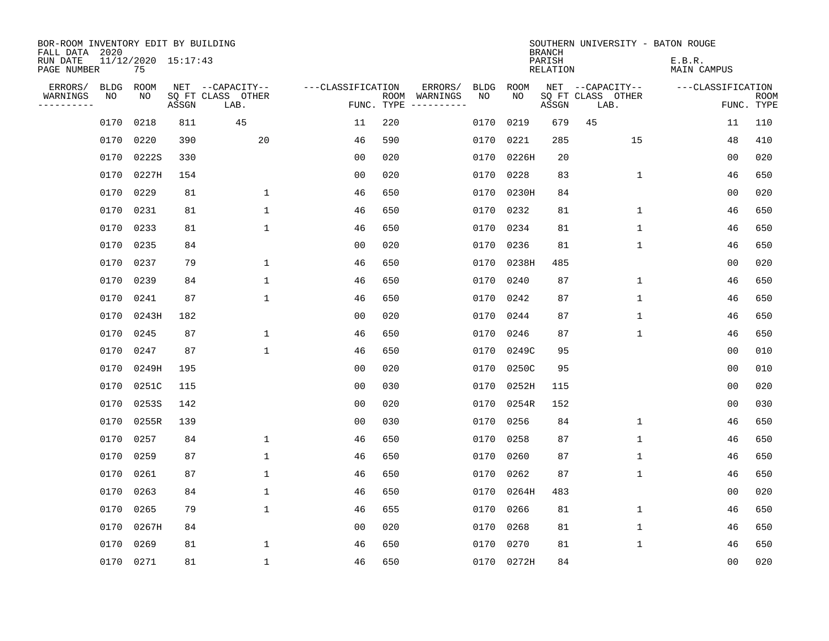| BOR-ROOM INVENTORY EDIT BY BUILDING<br>FALL DATA 2020 |             |                           |       |                           |                   |     |                                      |             |             | <b>BRANCH</b>             | SOUTHERN UNIVERSITY - BATON ROUGE |                              |                |                           |
|-------------------------------------------------------|-------------|---------------------------|-------|---------------------------|-------------------|-----|--------------------------------------|-------------|-------------|---------------------------|-----------------------------------|------------------------------|----------------|---------------------------|
| RUN DATE<br>PAGE NUMBER                               |             | 11/12/2020 15:17:43<br>75 |       |                           |                   |     |                                      |             |             | PARISH<br><b>RELATION</b> |                                   | E.B.R.<br><b>MAIN CAMPUS</b> |                |                           |
| ERRORS/                                               | <b>BLDG</b> | ROOM                      |       | NET --CAPACITY--          | ---CLASSIFICATION |     | ERRORS/                              | <b>BLDG</b> | <b>ROOM</b> |                           | NET --CAPACITY--                  | ---CLASSIFICATION            |                |                           |
| WARNINGS<br>----------                                | NO          | NO                        | ASSGN | SQ FT CLASS OTHER<br>LAB. |                   |     | ROOM WARNINGS<br>FUNC. TYPE $------$ | NO          | NO          | ASSGN                     | SQ FT CLASS OTHER<br>LAB.         |                              |                | <b>ROOM</b><br>FUNC. TYPE |
|                                                       | 0170        | 0218                      | 811   | 45                        | 11                | 220 |                                      | 0170        | 0219        | 679                       | 45                                |                              | 11             | 110                       |
|                                                       | 0170        | 0220                      | 390   | 20                        | 46                | 590 |                                      | 0170        | 0221        | 285                       | 15                                |                              | 48             | 410                       |
|                                                       | 0170        | 0222S                     | 330   |                           | 00                | 020 |                                      |             | 0170 0226H  | 20                        |                                   |                              | 00             | 020                       |
|                                                       | 0170        | 0227H                     | 154   |                           | 0 <sub>0</sub>    | 020 |                                      |             | 0170 0228   | 83                        | $\mathbf 1$                       |                              | 46             | 650                       |
|                                                       | 0170        | 0229                      | 81    | $\mathbf 1$               | 46                | 650 |                                      | 0170        | 0230H       | 84                        |                                   |                              | 00             | 020                       |
|                                                       | 0170        | 0231                      | 81    | $\mathbf 1$               | 46                | 650 |                                      |             | 0170 0232   | 81                        | $\mathbf 1$                       |                              | 46             | 650                       |
|                                                       | 0170        | 0233                      | 81    | $\mathbf{1}$              | 46                | 650 |                                      |             | 0170 0234   | 81                        | $\mathbf{1}$                      |                              | 46             | 650                       |
|                                                       | 0170        | 0235                      | 84    |                           | 0 <sub>0</sub>    | 020 |                                      |             | 0170 0236   | 81                        | $\mathbf{1}$                      |                              | 46             | 650                       |
|                                                       | 0170        | 0237                      | 79    | $\mathbf 1$               | 46                | 650 |                                      | 0170        | 0238H       | 485                       |                                   |                              | 00             | 020                       |
|                                                       | 0170        | 0239                      | 84    | $\mathbf 1$               | 46                | 650 |                                      |             | 0170 0240   | 87                        | $\mathbf 1$                       |                              | 46             | 650                       |
|                                                       | 0170        | 0241                      | 87    | $\mathbf 1$               | 46                | 650 |                                      | 0170        | 0242        | 87                        | $\mathbf 1$                       |                              | 46             | 650                       |
|                                                       | 0170        | 0243H                     | 182   |                           | 0 <sub>0</sub>    | 020 |                                      | 0170        | 0244        | 87                        | $\mathbf 1$                       |                              | 46             | 650                       |
|                                                       | 0170        | 0245                      | 87    | 1                         | 46                | 650 |                                      | 0170        | 0246        | 87                        | 1                                 |                              | 46             | 650                       |
|                                                       | 0170        | 0247                      | 87    | $\mathbf{1}$              | 46                | 650 |                                      | 0170        | 0249C       | 95                        |                                   |                              | 00             | 010                       |
|                                                       | 0170        | 0249H                     | 195   |                           | 0 <sub>0</sub>    | 020 |                                      | 0170        | 0250C       | 95                        |                                   |                              | 0 <sub>0</sub> | 010                       |
|                                                       | 0170        | 0251C                     | 115   |                           | 0 <sub>0</sub>    | 030 |                                      | 0170        | 0252H       | 115                       |                                   |                              | 0 <sub>0</sub> | 020                       |
|                                                       | 0170        | 0253S                     | 142   |                           | 0 <sub>0</sub>    | 020 |                                      | 0170        | 0254R       | 152                       |                                   |                              | 0 <sub>0</sub> | 030                       |
|                                                       | 0170        | 0255R                     | 139   |                           | 0 <sub>0</sub>    | 030 |                                      | 0170        | 0256        | 84                        | $\mathbf 1$                       |                              | 46             | 650                       |
|                                                       | 0170        | 0257                      | 84    | $\mathbf 1$               | 46                | 650 |                                      |             | 0170 0258   | 87                        | 1                                 |                              | 46             | 650                       |
|                                                       | 0170        | 0259                      | 87    | $\mathbf{1}$              | 46                | 650 |                                      | 0170        | 0260        | 87                        | 1                                 |                              | 46             | 650                       |
|                                                       | 0170        | 0261                      | 87    | $\mathbf 1$               | 46                | 650 |                                      |             | 0170 0262   | 87                        | $\mathbf 1$                       |                              | 46             | 650                       |
|                                                       | 0170        | 0263                      | 84    | $\mathbf{1}$              | 46                | 650 |                                      | 0170        | 0264H       | 483                       |                                   |                              | 0 <sub>0</sub> | 020                       |
|                                                       | 0170        | 0265                      | 79    | $\mathbf 1$               | 46                | 655 |                                      |             | 0170 0266   | 81                        | 1                                 |                              | 46             | 650                       |
|                                                       | 0170        | 0267H                     | 84    |                           | 0 <sub>0</sub>    | 020 |                                      | 0170        | 0268        | 81                        | $\mathbf 1$                       |                              | 46             | 650                       |
|                                                       | 0170        | 0269                      | 81    | $\mathbf{1}$              | 46                | 650 |                                      |             | 0170 0270   | 81                        | $\mathbf{1}$                      |                              | 46             | 650                       |
|                                                       | 0170 0271   |                           | 81    | $\mathbf{1}$              | 46                | 650 |                                      |             | 0170 0272H  | 84                        |                                   |                              | 0 <sub>0</sub> | 020                       |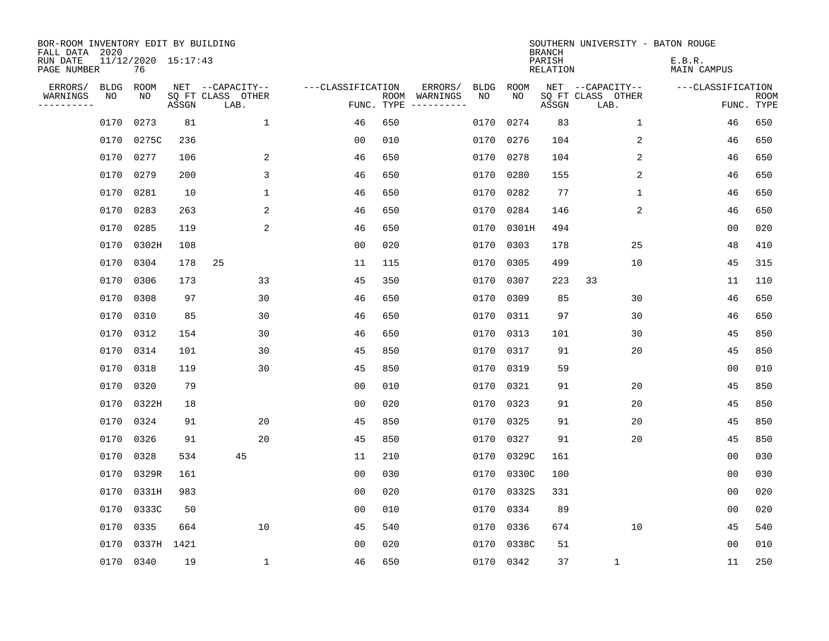| BOR-ROOM INVENTORY EDIT BY BUILDING<br>FALL DATA 2020 |             |                           |       |                           |                   |            |                             |      |           | <b>BRANCH</b>             | SOUTHERN UNIVERSITY - BATON ROUGE |                              |                           |
|-------------------------------------------------------|-------------|---------------------------|-------|---------------------------|-------------------|------------|-----------------------------|------|-----------|---------------------------|-----------------------------------|------------------------------|---------------------------|
| RUN DATE<br>PAGE NUMBER                               |             | 11/12/2020 15:17:43<br>76 |       |                           |                   |            |                             |      |           | PARISH<br><b>RELATION</b> |                                   | E.B.R.<br><b>MAIN CAMPUS</b> |                           |
| ERRORS/                                               | <b>BLDG</b> | ROOM                      |       | NET --CAPACITY--          | ---CLASSIFICATION |            | ERRORS/                     | BLDG | ROOM      |                           | NET --CAPACITY--                  | ---CLASSIFICATION            |                           |
| WARNINGS<br>----------                                | NO          | NO                        | ASSGN | SQ FT CLASS OTHER<br>LAB. |                   | FUNC. TYPE | ROOM WARNINGS<br>---------- | NO   | NO        | ASSGN                     | SQ FT CLASS OTHER<br>LAB.         |                              | <b>ROOM</b><br>FUNC. TYPE |
|                                                       | 0170        | 0273                      | 81    | 1                         | 46                | 650        |                             | 0170 | 0274      | 83                        | $\mathbf 1$                       | 46                           | 650                       |
|                                                       | 0170        | 0275C                     | 236   |                           | 0 <sub>0</sub>    | 010        |                             | 0170 | 0276      | 104                       | 2                                 | 46                           | 650                       |
|                                                       | 0170        | 0277                      | 106   | 2                         | 46                | 650        |                             | 0170 | 0278      | 104                       | 2                                 | 46                           | 650                       |
|                                                       | 0170        | 0279                      | 200   | 3                         | 46                | 650        |                             | 0170 | 0280      | 155                       | $\overline{2}$                    | 46                           | 650                       |
|                                                       | 0170        | 0281                      | 10    | $\mathbf 1$               | 46                | 650        |                             | 0170 | 0282      | 77                        | $\mathbf 1$                       | 46                           | 650                       |
|                                                       | 0170        | 0283                      | 263   | 2                         | 46                | 650        |                             | 0170 | 0284      | 146                       | 2                                 | 46                           | 650                       |
|                                                       | 0170        | 0285                      | 119   | 2                         | 46                | 650        |                             | 0170 | 0301H     | 494                       |                                   | 0 <sub>0</sub>               | 020                       |
|                                                       | 0170        | 0302H                     | 108   |                           | 0 <sub>0</sub>    | 020        |                             | 0170 | 0303      | 178                       | 25                                | 48                           | 410                       |
|                                                       | 0170        | 0304                      | 178   | 25                        | 11                | 115        |                             | 0170 | 0305      | 499                       | 10                                | 45                           | 315                       |
|                                                       | 0170        | 0306                      | 173   | 33                        | 45                | 350        |                             | 0170 | 0307      | 223                       | 33                                | 11                           | 110                       |
|                                                       | 0170        | 0308                      | 97    | 30                        | 46                | 650        |                             | 0170 | 0309      | 85                        | 30                                | 46                           | 650                       |
|                                                       | 0170        | 0310                      | 85    | 30                        | 46                | 650        |                             | 0170 | 0311      | 97                        | 30                                | 46                           | 650                       |
|                                                       | 0170        | 0312                      | 154   | 30                        | 46                | 650        |                             | 0170 | 0313      | 101                       | 30                                | 45                           | 850                       |
|                                                       | 0170        | 0314                      | 101   | 30                        | 45                | 850        |                             | 0170 | 0317      | 91                        | 20                                | 45                           | 850                       |
|                                                       | 0170        | 0318                      | 119   | 30                        | 45                | 850        |                             | 0170 | 0319      | 59                        |                                   | 0 <sub>0</sub>               | 010                       |
|                                                       | 0170        | 0320                      | 79    |                           | 0 <sub>0</sub>    | 010        |                             | 0170 | 0321      | 91                        | 20                                | 45                           | 850                       |
|                                                       | 0170        | 0322H                     | 18    |                           | 0 <sub>0</sub>    | 020        |                             | 0170 | 0323      | 91                        | 20                                | 45                           | 850                       |
|                                                       | 0170        | 0324                      | 91    | 20                        | 45                | 850        |                             | 0170 | 0325      | 91                        | 20                                | 45                           | 850                       |
|                                                       | 0170        | 0326                      | 91    | 20                        | 45                | 850        |                             | 0170 | 0327      | 91                        | 20                                | 45                           | 850                       |
|                                                       | 0170        | 0328                      | 534   | 45                        | 11                | 210        |                             | 0170 | 0329C     | 161                       |                                   | 0 <sub>0</sub>               | 030                       |
|                                                       | 0170        | 0329R                     | 161   |                           | 0 <sub>0</sub>    | 030        |                             | 0170 | 0330C     | 100                       |                                   | 0 <sub>0</sub>               | 030                       |
|                                                       | 0170        | 0331H                     | 983   |                           | 00                | 020        |                             | 0170 | 0332S     | 331                       |                                   | 0 <sub>0</sub>               | 020                       |
|                                                       | 0170        | 0333C                     | 50    |                           | 0 <sub>0</sub>    | 010        |                             | 0170 | 0334      | 89                        |                                   | 0 <sub>0</sub>               | 020                       |
|                                                       | 0170        | 0335                      | 664   | 10                        | 45                | 540        |                             | 0170 | 0336      | 674                       | 10                                | 45                           | 540                       |
|                                                       | 0170        | 0337H 1421                |       |                           | 0 <sub>0</sub>    | 020        |                             | 0170 | 0338C     | 51                        |                                   | 0 <sub>0</sub>               | 010                       |
|                                                       |             | 0170 0340                 | 19    | $\mathbf{1}$              | 46                | 650        |                             |      | 0170 0342 | 37                        | $\mathbf{1}$                      | 11                           | 250                       |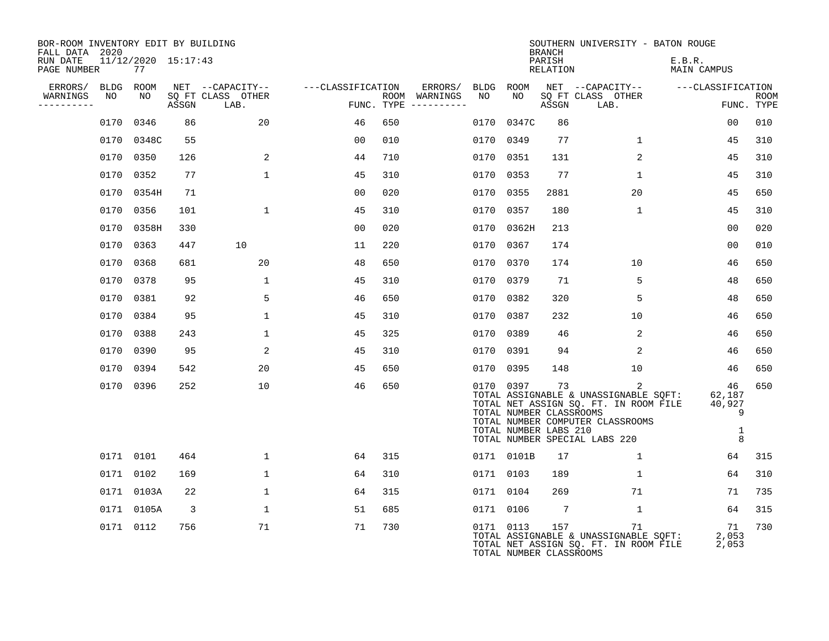| BOR-ROOM INVENTORY EDIT BY BUILDING<br>FALL DATA 2020 |                               |       |                           |                   |                                      |      |                                                               | <b>BRANCH</b>      | SOUTHERN UNIVERSITY - BATON ROUGE                                                                                                                        |                                                 |                           |
|-------------------------------------------------------|-------------------------------|-------|---------------------------|-------------------|--------------------------------------|------|---------------------------------------------------------------|--------------------|----------------------------------------------------------------------------------------------------------------------------------------------------------|-------------------------------------------------|---------------------------|
| RUN DATE<br>PAGE NUMBER                               | $11/12/2020$ $15:17:43$<br>77 |       |                           |                   |                                      |      |                                                               | PARISH<br>RELATION |                                                                                                                                                          | E.B.R.<br>MAIN CAMPUS                           |                           |
| ERRORS/<br>BLDG                                       | ROOM                          |       | NET --CAPACITY--          | ---CLASSIFICATION | ERRORS/                              | BLDG | ROOM                                                          |                    | NET --CAPACITY--                                                                                                                                         | ---CLASSIFICATION                               |                           |
| WARNINGS<br>NO<br>----------                          | NO                            | ASSGN | SQ FT CLASS OTHER<br>LAB. |                   | ROOM WARNINGS<br>FUNC. TYPE $------$ | NO   | NO                                                            | ASSGN              | SQ FT CLASS OTHER<br>LAB.                                                                                                                                |                                                 | <b>ROOM</b><br>FUNC. TYPE |
| 0170                                                  | 0346                          | 86    | 20                        | 46                | 650                                  |      | 0170 0347C                                                    | 86                 |                                                                                                                                                          | 00                                              | 010                       |
|                                                       | 0170 0348C                    | 55    |                           | 00                | 010                                  |      | 0170 0349                                                     | 77                 | $\mathbf{1}$                                                                                                                                             | 45                                              | 310                       |
|                                                       | 0170 0350                     | 126   | 2                         | 44                | 710                                  |      | 0170 0351                                                     | 131                | 2                                                                                                                                                        | 45                                              | 310                       |
| 0170                                                  | 0352                          | 77    | $\mathbf{1}$              | 45                | 310                                  |      | 0170 0353                                                     | 77                 | $\mathbf{1}$                                                                                                                                             | 45                                              | 310                       |
|                                                       | 0170 0354H                    | 71    |                           | 0 <sub>0</sub>    | 020                                  |      | 0170 0355                                                     | 2881               | 20                                                                                                                                                       | 45                                              | 650                       |
|                                                       | 0170 0356                     | 101   | $\mathbf{1}$              | 45                | 310                                  |      | 0170 0357                                                     | 180                | $\mathbf{1}$                                                                                                                                             | 45                                              | 310                       |
|                                                       | 0170 0358H                    | 330   |                           | 0 <sub>0</sub>    | 020                                  |      | 0170 0362H                                                    | 213                |                                                                                                                                                          | 00                                              | 020                       |
| 0170                                                  | 0363                          | 447   | 10                        | 11                | 220                                  |      | 0170 0367                                                     | 174                |                                                                                                                                                          | 00                                              | 010                       |
|                                                       | 0170 0368                     | 681   | 20                        | 48                | 650                                  |      | 0170 0370                                                     | 174                | 10                                                                                                                                                       | 46                                              | 650                       |
| 0170                                                  | 0378                          | 95    | $\mathbf{1}$              | 45                | 310                                  |      | 0170 0379                                                     | 71                 | 5                                                                                                                                                        | 48                                              | 650                       |
| 0170                                                  | 0381                          | 92    | 5                         | 46                | 650                                  |      | 0170 0382                                                     | 320                | 5                                                                                                                                                        | 48                                              | 650                       |
| 0170                                                  | 0384                          | 95    | $\mathbf{1}$              | 45                | 310                                  |      | 0170 0387                                                     | 232                | 10                                                                                                                                                       | 46                                              | 650                       |
| 0170                                                  | 0388                          | 243   | $\mathbf{1}$              | 45                | 325                                  |      | 0170 0389                                                     | 46                 | 2                                                                                                                                                        | 46                                              | 650                       |
| 0170                                                  | 0390                          | 95    | 2                         | 45                | 310                                  |      | 0170 0391                                                     | 94                 | 2                                                                                                                                                        | 46                                              | 650                       |
| 0170                                                  | 0394                          | 542   | 20                        | 45                | 650                                  |      | 0170 0395                                                     | 148                | 10                                                                                                                                                       | 46                                              | 650                       |
|                                                       | 0170 0396                     | 252   | 10                        | 46                | 650                                  |      | 0170 0397<br>TOTAL NUMBER CLASSROOMS<br>TOTAL NUMBER LABS 210 | 73                 | 2<br>TOTAL ASSIGNABLE & UNASSIGNABLE SQFT:<br>TOTAL NET ASSIGN SQ. FT. IN ROOM FILE<br>TOTAL NUMBER COMPUTER CLASSROOMS<br>TOTAL NUMBER SPECIAL LABS 220 | 46<br>62,187<br>40,927<br>9<br>$\mathbf 1$<br>8 | 650                       |
|                                                       | 0171 0101                     | 464   | $\mathbf{1}$              | 64                | 315                                  |      | 0171 0101B                                                    | 17                 | $\mathbf{1}$                                                                                                                                             | 64                                              | 315                       |
|                                                       | 0171 0102                     | 169   | $\mathbf{1}$              | 64                | 310                                  |      | 0171 0103                                                     | 189                | $\mathbf{1}$                                                                                                                                             | 64                                              | 310                       |
|                                                       | 0171 0103A                    | 22    | $\mathbf{1}$              | 64                | 315                                  |      | 0171 0104                                                     | 269                | 71                                                                                                                                                       | 71                                              | 735                       |
|                                                       | 0171 0105A                    | 3     | $\mathbf{1}$              | 51                | 685                                  |      | 0171 0106                                                     | 7                  | $\mathbf{1}$                                                                                                                                             | 64                                              | 315                       |
|                                                       | 0171 0112                     | 756   | 71                        | 71                | 730                                  |      | 0171 0113<br>TOTAL NUMBER CLASSROOMS                          | 157                | 71<br>TOTAL ASSIGNABLE & UNASSIGNABLE SQFT:<br>TOTAL NET ASSIGN SQ. FT. IN ROOM FILE                                                                     | 71<br>2,053<br>2,053                            | 730                       |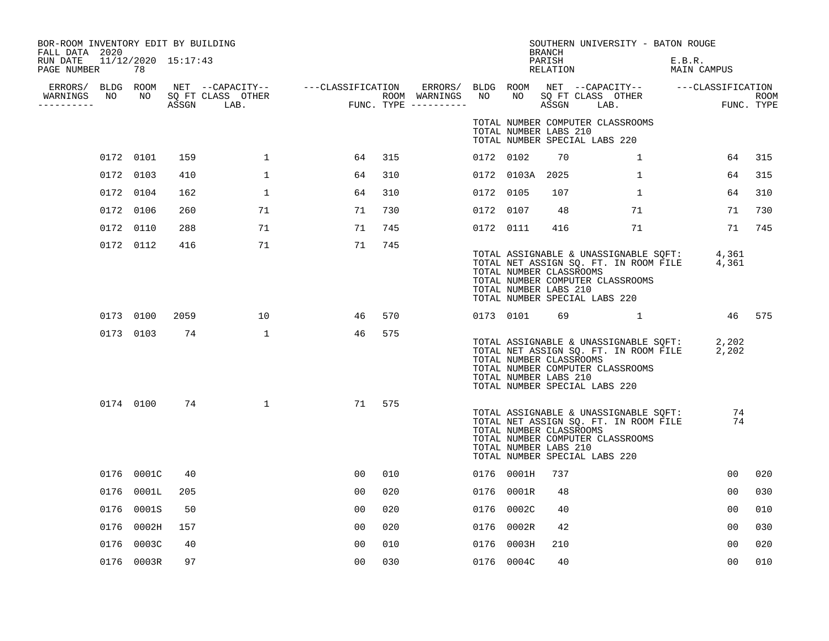| BOR-ROOM INVENTORY EDIT BY BUILDING<br>FALL DATA 2020 |            |      |              |                                                                                                                                                                                                                                      |     |           |                                                  | <b>BRANCH</b>      | SOUTHERN UNIVERSITY - BATON ROUGE                                                                                                                               |                       |        |
|-------------------------------------------------------|------------|------|--------------|--------------------------------------------------------------------------------------------------------------------------------------------------------------------------------------------------------------------------------------|-----|-----------|--------------------------------------------------|--------------------|-----------------------------------------------------------------------------------------------------------------------------------------------------------------|-----------------------|--------|
| RUN DATE 11/12/2020 15:17:43<br>PAGE NUMBER           | 78         |      |              |                                                                                                                                                                                                                                      |     |           |                                                  | PARISH<br>RELATION |                                                                                                                                                                 | E.B.R.<br>MAIN CAMPUS |        |
| WARNINGS<br>----------                                |            |      |              | ERRORS/ BLDG ROOM NET --CAPACITY-- ----CLASSIFICATION ERRORS/ BLDG ROOM NET --CAPACITY-- -----CLASSIFICATION<br>NARNINGS NO NO SQFTCLASS OTHER ROOM WARNINGS NO NO SQFTCLASS OTHER ROOM<br>--------- ASSGN LAB. FUNC.TYPE ---------- |     |           |                                                  |                    |                                                                                                                                                                 |                       |        |
|                                                       |            |      |              |                                                                                                                                                                                                                                      |     |           | TOTAL NUMBER LABS 210                            |                    | TOTAL NUMBER COMPUTER CLASSROOMS<br>TOTAL NUMBER SPECIAL LABS 220                                                                                               |                       |        |
|                                                       | 0172 0101  | 159  | $\mathbf{1}$ | 64                                                                                                                                                                                                                                   | 315 | 0172 0102 |                                                  | 70                 | $\mathbf{1}$                                                                                                                                                    | 64                    | 315    |
|                                                       | 0172 0103  | 410  | $\mathbf{1}$ | 64                                                                                                                                                                                                                                   | 310 |           | 0172 0103A 2025                                  |                    | $\mathbf{1}$                                                                                                                                                    | 64                    | 315    |
|                                                       | 0172 0104  | 162  | $\mathbf{1}$ | 64                                                                                                                                                                                                                                   | 310 | 0172 0105 |                                                  | 107                | $\mathbf{1}$                                                                                                                                                    | 64                    | 310    |
|                                                       | 0172 0106  | 260  | 71           | 71                                                                                                                                                                                                                                   | 730 | 0172 0107 |                                                  | 48                 | 71                                                                                                                                                              | 71                    | 730    |
|                                                       | 0172 0110  | 288  | 71           | 71                                                                                                                                                                                                                                   | 745 | 0172 0111 |                                                  | 416                | 71                                                                                                                                                              | 71                    | 745    |
|                                                       | 0172 0112  | 416  | 71           | 71                                                                                                                                                                                                                                   | 745 |           | TOTAL NUMBER CLASSROOMS<br>TOTAL NUMBER LABS 210 |                    | TOTAL ASSIGNABLE & UNASSIGNABLE SQFT: 4,361<br>TOTAL NET ASSIGN SQ. FT. IN ROOM FILE 4,361<br>TOTAL NUMBER COMPUTER CLASSROOMS<br>TOTAL NUMBER SPECIAL LABS 220 |                       |        |
|                                                       | 0173 0100  | 2059 | 10           | 46                                                                                                                                                                                                                                   | 570 | 0173 0101 |                                                  | 69                 | $\sim$ 1                                                                                                                                                        |                       | 46 575 |
|                                                       | 0173 0103  | 74   | $\mathbf{1}$ | 46                                                                                                                                                                                                                                   | 575 |           | TOTAL NUMBER CLASSROOMS<br>TOTAL NUMBER LABS 210 |                    | TOTAL ASSIGNABLE & UNASSIGNABLE SQFT: 2,202<br>TOTAL NET ASSIGN SQ. FT. IN ROOM FILE 2,202<br>TOTAL NUMBER COMPUTER CLASSROOMS<br>TOTAL NUMBER SPECIAL LABS 220 |                       |        |
|                                                       | 0174 0100  | 74   | $\mathbf{1}$ | 71                                                                                                                                                                                                                                   | 575 |           | TOTAL NUMBER CLASSROOMS<br>TOTAL NUMBER LABS 210 |                    | TOTAL ASSIGNABLE & UNASSIGNABLE SQFT:<br>TOTAL NET ASSIGN SQ. FT. IN ROOM FILE<br>TOTAL NUMBER COMPUTER CLASSROOMS<br>TOTAL NUMBER SPECIAL LABS 220             | 74<br>74              |        |
|                                                       | 0176 0001C | 40   |              | 0 <sub>0</sub>                                                                                                                                                                                                                       | 010 |           | 0176 0001H                                       | 737                |                                                                                                                                                                 | 00                    | 020    |
|                                                       | 0176 0001L | 205  |              | 0 <sub>0</sub>                                                                                                                                                                                                                       | 020 |           | 0176 0001R                                       | 48                 |                                                                                                                                                                 | 00                    | 030    |
|                                                       | 0176 0001S | 50   |              | 00                                                                                                                                                                                                                                   | 020 |           | 0176 0002C                                       | 40                 |                                                                                                                                                                 | 00                    | 010    |
|                                                       | 0176 0002H | 157  |              | 00                                                                                                                                                                                                                                   | 020 |           | 0176 0002R                                       | 42                 |                                                                                                                                                                 | 00                    | 030    |
|                                                       | 0176 0003C | 40   |              | 0 <sub>0</sub>                                                                                                                                                                                                                       | 010 |           | 0176 0003H                                       | 210                |                                                                                                                                                                 | 00                    | 020    |
|                                                       | 0176 0003R | 97   |              | 0 <sub>0</sub>                                                                                                                                                                                                                       | 030 |           | 0176 0004C                                       | 40                 |                                                                                                                                                                 | 0 <sub>0</sub>        | 010    |
|                                                       |            |      |              |                                                                                                                                                                                                                                      |     |           |                                                  |                    |                                                                                                                                                                 |                       |        |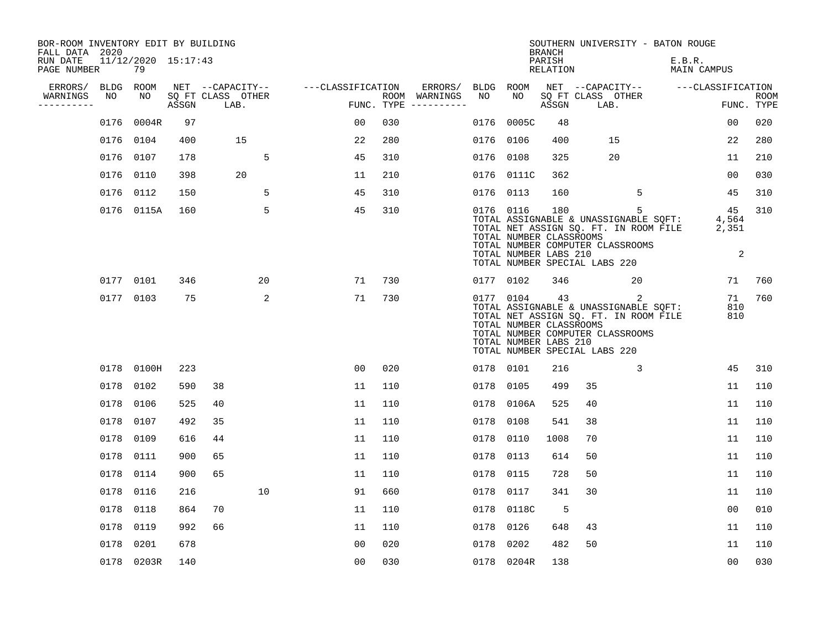| BOR-ROOM INVENTORY EDIT BY BUILDING<br>FALL DATA 2020 |             |                           |       |                           |                   |     |                                      |      |                                                               | <b>BRANCH</b>             | SOUTHERN UNIVERSITY - BATON ROUGE                                                                                                                        |                              |                           |
|-------------------------------------------------------|-------------|---------------------------|-------|---------------------------|-------------------|-----|--------------------------------------|------|---------------------------------------------------------------|---------------------------|----------------------------------------------------------------------------------------------------------------------------------------------------------|------------------------------|---------------------------|
| RUN DATE<br>PAGE NUMBER                               |             | 11/12/2020 15:17:43<br>79 |       |                           |                   |     |                                      |      |                                                               | PARISH<br><b>RELATION</b> |                                                                                                                                                          | E.B.R.<br><b>MAIN CAMPUS</b> |                           |
| ERRORS/                                               | <b>BLDG</b> | ROOM                      |       | NET --CAPACITY--          | ---CLASSIFICATION |     | ERRORS/                              | BLDG | ROOM                                                          |                           | NET --CAPACITY--                                                                                                                                         | ---CLASSIFICATION            |                           |
| WARNINGS<br>-----------                               | NO          | NO                        | ASSGN | SO FT CLASS OTHER<br>LAB. |                   |     | ROOM WARNINGS<br>FUNC. TYPE $------$ | NO   | NO.                                                           | ASSGN                     | SQ FT CLASS OTHER<br>LAB.                                                                                                                                |                              | <b>ROOM</b><br>FUNC. TYPE |
|                                                       | 0176        | 0004R                     | 97    |                           | 00                | 030 |                                      | 0176 | 0005C                                                         | 48                        |                                                                                                                                                          |                              | 0 <sub>0</sub><br>020     |
|                                                       |             | 0176 0104                 | 400   | 15                        | 22                | 280 |                                      | 0176 | 0106                                                          | 400                       | 15                                                                                                                                                       |                              | 280<br>22                 |
|                                                       |             | 0176 0107                 | 178   | 5                         | 45                | 310 |                                      | 0176 | 0108                                                          | 325                       | 20                                                                                                                                                       |                              | 11<br>210                 |
|                                                       |             | 0176 0110                 | 398   | 20                        | 11                | 210 |                                      |      | 0176 0111C                                                    | 362                       |                                                                                                                                                          |                              | 030<br>00                 |
|                                                       | 0176        | 0112                      | 150   | 5                         | 45                | 310 |                                      | 0176 | 0113                                                          | 160                       | 5                                                                                                                                                        |                              | 310<br>45                 |
|                                                       |             | 0176 0115A                | 160   | 5                         | 45                | 310 |                                      |      | 0176 0116<br>TOTAL NUMBER CLASSROOMS<br>TOTAL NUMBER LABS 210 | 180                       | 5<br>TOTAL ASSIGNABLE & UNASSIGNABLE SQFT:<br>TOTAL NET ASSIGN SQ. FT. IN ROOM FILE<br>TOTAL NUMBER COMPUTER CLASSROOMS<br>TOTAL NUMBER SPECIAL LABS 220 | 4,564<br>2,351               | 310<br>45<br>2            |
|                                                       |             | 0177 0101                 | 346   | 20                        | 71                | 730 |                                      |      | 0177 0102                                                     | 346                       | 20                                                                                                                                                       |                              | 760<br>71                 |
|                                                       |             | 0177 0103                 | 75    | 2                         | 71                | 730 |                                      |      | 0177 0104<br>TOTAL NUMBER CLASSROOMS<br>TOTAL NUMBER LABS 210 | 43                        | 2<br>TOTAL ASSIGNABLE & UNASSIGNABLE SQFT:<br>TOTAL NET ASSIGN SQ. FT. IN ROOM FILE<br>TOTAL NUMBER COMPUTER CLASSROOMS<br>TOTAL NUMBER SPECIAL LABS 220 |                              | 760<br>71<br>810<br>810   |
|                                                       |             | 0178 0100H                | 223   |                           | 0 <sub>0</sub>    | 020 |                                      |      | 0178 0101                                                     | 216                       | 3                                                                                                                                                        |                              | 45<br>310                 |
|                                                       | 0178        | 0102                      | 590   | 38                        | 11                | 110 |                                      | 0178 | 0105                                                          | 499                       | 35                                                                                                                                                       |                              | 11<br>110                 |
|                                                       | 0178        | 0106                      | 525   | 40                        | 11                | 110 |                                      | 0178 | 0106A                                                         | 525                       | 40                                                                                                                                                       |                              | 11<br>110                 |
|                                                       | 0178        | 0107                      | 492   | 35                        | 11                | 110 |                                      | 0178 | 0108                                                          | 541                       | 38                                                                                                                                                       |                              | 11<br>110                 |
|                                                       | 0178        | 0109                      | 616   | 44                        | 11                | 110 |                                      | 0178 | 0110                                                          | 1008                      | 70                                                                                                                                                       |                              | 11<br>110                 |
|                                                       | 0178        | 0111                      | 900   | 65                        | 11                | 110 |                                      | 0178 | 0113                                                          | 614                       | 50                                                                                                                                                       |                              | 11<br>110                 |
|                                                       |             | 0178 0114                 | 900   | 65                        | 11                | 110 |                                      | 0178 | 0115                                                          | 728                       | 50                                                                                                                                                       |                              | 11<br>110                 |
|                                                       | 0178        | 0116                      | 216   | 10                        | 91                | 660 |                                      | 0178 | 0117                                                          | 341                       | 30                                                                                                                                                       |                              | 110<br>11                 |
|                                                       |             | 0178 0118                 | 864   | 70                        | 11                | 110 |                                      | 0178 | 0118C                                                         | 5                         |                                                                                                                                                          |                              | 010<br>00                 |
|                                                       | 0178        | 0119                      | 992   | 66                        | 11                | 110 |                                      | 0178 | 0126                                                          | 648                       | 43                                                                                                                                                       |                              | 11<br>110                 |
|                                                       | 0178        | 0201                      | 678   |                           | 0 <sub>0</sub>    | 020 |                                      | 0178 | 0202                                                          | 482                       | 50                                                                                                                                                       |                              | 11<br>110                 |
|                                                       |             | 0178 0203R                | 140   |                           | 0 <sub>0</sub>    | 030 |                                      |      | 0178 0204R                                                    | 138                       |                                                                                                                                                          |                              | 0 <sub>0</sub><br>030     |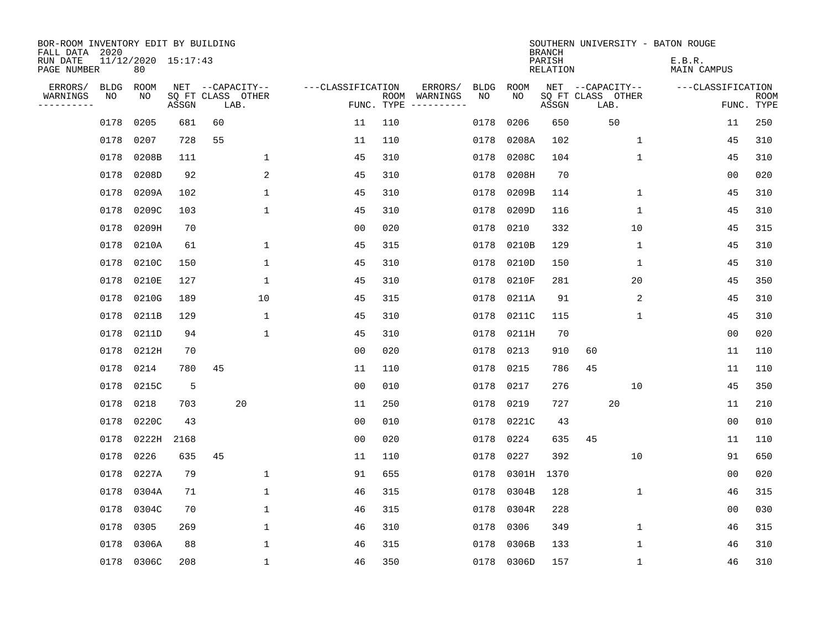| BOR-ROOM INVENTORY EDIT BY BUILDING<br>FALL DATA 2020 |             |                           |       |                           |              |                   |                    |          |      |             | <b>BRANCH</b>             |                           | SOUTHERN UNIVERSITY - BATON ROUGE |                           |
|-------------------------------------------------------|-------------|---------------------------|-------|---------------------------|--------------|-------------------|--------------------|----------|------|-------------|---------------------------|---------------------------|-----------------------------------|---------------------------|
| RUN DATE<br>PAGE NUMBER                               |             | 11/12/2020 15:17:43<br>80 |       |                           |              |                   |                    |          |      |             | PARISH<br><b>RELATION</b> |                           | E.B.R.<br><b>MAIN CAMPUS</b>      |                           |
| ERRORS/                                               | <b>BLDG</b> | ROOM                      |       | NET --CAPACITY--          |              | ---CLASSIFICATION |                    | ERRORS/  | BLDG | <b>ROOM</b> |                           | NET --CAPACITY--          | ---CLASSIFICATION                 |                           |
| WARNINGS<br>----------                                | ΝO          | NO                        | ASSGN | SQ FT CLASS OTHER<br>LAB. |              |                   | ROOM<br>FUNC. TYPE | WARNINGS | NO   | NO          | ASSGN                     | SQ FT CLASS OTHER<br>LAB. |                                   | <b>ROOM</b><br>FUNC. TYPE |
|                                                       | 0178        | 0205                      | 681   | 60                        |              | 11                | 110                |          | 0178 | 0206        | 650                       | 50                        | 11                                | 250                       |
|                                                       | 0178        | 0207                      | 728   | 55                        |              | 11                | 110                |          | 0178 | 0208A       | 102                       | 1                         | 45                                | 310                       |
|                                                       | 0178        | 0208B                     | 111   |                           | $\mathbf 1$  | 45                | 310                |          | 0178 | 0208C       | 104                       | 1                         | 45                                | 310                       |
|                                                       | 0178        | 0208D                     | 92    |                           | 2            | 45                | 310                |          | 0178 | 0208H       | 70                        |                           | 0 <sub>0</sub>                    | 020                       |
|                                                       | 0178        | 0209A                     | 102   |                           | $\mathbf{1}$ | 45                | 310                |          | 0178 | 0209B       | 114                       | $\mathbf{1}$              | 45                                | 310                       |
|                                                       | 0178        | 0209C                     | 103   |                           | $\mathbf 1$  | 45                | 310                |          | 0178 | 0209D       | 116                       | 1                         | 45                                | 310                       |
|                                                       | 0178        | 0209H                     | 70    |                           |              | 0 <sub>0</sub>    | 020                |          | 0178 | 0210        | 332                       | 10                        | 45                                | 315                       |
|                                                       | 0178        | 0210A                     | 61    |                           | 1            | 45                | 315                |          | 0178 | 0210B       | 129                       | 1                         | 45                                | 310                       |
|                                                       | 0178        | 0210C                     | 150   |                           | $\mathbf 1$  | 45                | 310                |          | 0178 | 0210D       | 150                       | 1                         | 45                                | 310                       |
|                                                       | 0178        | 0210E                     | 127   |                           | $\mathbf 1$  | 45                | 310                |          | 0178 | 0210F       | 281                       | 20                        | 45                                | 350                       |
|                                                       | 0178        | 0210G                     | 189   |                           | 10           | 45                | 315                |          | 0178 | 0211A       | 91                        | 2                         | 45                                | 310                       |
|                                                       | 0178        | 0211B                     | 129   |                           | 1            | 45                | 310                |          | 0178 | 0211C       | 115                       | 1                         | 45                                | 310                       |
|                                                       | 0178        | 0211D                     | 94    |                           | $\mathbf 1$  | 45                | 310                |          | 0178 | 0211H       | 70                        |                           | 0 <sub>0</sub>                    | 020                       |
|                                                       | 0178        | 0212H                     | 70    |                           |              | 0 <sub>0</sub>    | 020                |          | 0178 | 0213        | 910                       | 60                        | 11                                | 110                       |
|                                                       | 0178        | 0214                      | 780   | 45                        |              | 11                | 110                |          | 0178 | 0215        | 786                       | 45                        | 11                                | 110                       |
|                                                       | 0178        | 0215C                     | 5     |                           |              | 0 <sub>0</sub>    | 010                |          | 0178 | 0217        | 276                       | 10                        | 45                                | 350                       |
|                                                       | 0178        | 0218                      | 703   | 20                        |              | 11                | 250                |          | 0178 | 0219        | 727                       | 20                        | 11                                | 210                       |
|                                                       | 0178        | 0220C                     | 43    |                           |              | 0 <sub>0</sub>    | 010                |          | 0178 | 0221C       | 43                        |                           | 0 <sub>0</sub>                    | 010                       |
|                                                       | 0178        | 0222H                     | 2168  |                           |              | 0 <sub>0</sub>    | 020                |          | 0178 | 0224        | 635                       | 45                        | 11                                | 110                       |
|                                                       | 0178        | 0226                      | 635   | 45                        |              | 11                | 110                |          | 0178 | 0227        | 392                       | 10                        | 91                                | 650                       |
|                                                       | 0178        | 0227A                     | 79    |                           | $\mathbf 1$  | 91                | 655                |          | 0178 | 0301H       | 1370                      |                           | 0 <sub>0</sub>                    | 020                       |
|                                                       | 0178        | 0304A                     | 71    |                           | $\mathbf 1$  | 46                | 315                |          | 0178 | 0304B       | 128                       | 1                         | 46                                | 315                       |
|                                                       | 0178        | 0304C                     | 70    |                           | 1            | 46                | 315                |          | 0178 | 0304R       | 228                       |                           | 00                                | 030                       |
|                                                       | 0178        | 0305                      | 269   |                           | $\mathbf 1$  | 46                | 310                |          | 0178 | 0306        | 349                       | $\mathbf 1$               | 46                                | 315                       |
|                                                       | 0178        | 0306A                     | 88    |                           | $\mathbf 1$  | 46                | 315                |          | 0178 | 0306B       | 133                       | 1                         | 46                                | 310                       |
|                                                       |             | 0178 0306C                | 208   |                           | $\mathbf{1}$ | 46                | 350                |          |      | 0178 0306D  | 157                       | $\mathbf{1}$              | 46                                | 310                       |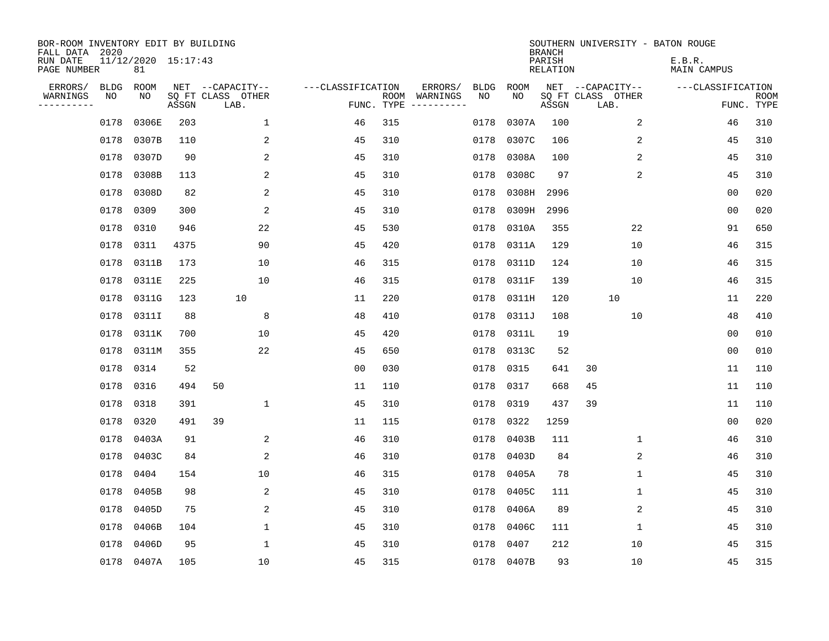| BOR-ROOM INVENTORY EDIT BY BUILDING<br>FALL DATA 2020 |             |                           |       |                           |                   |     |                                      |             |            | <b>BRANCH</b>             | SOUTHERN UNIVERSITY - BATON ROUGE |                              |                           |
|-------------------------------------------------------|-------------|---------------------------|-------|---------------------------|-------------------|-----|--------------------------------------|-------------|------------|---------------------------|-----------------------------------|------------------------------|---------------------------|
| RUN DATE<br>PAGE NUMBER                               |             | 11/12/2020 15:17:43<br>81 |       |                           |                   |     |                                      |             |            | PARISH<br><b>RELATION</b> |                                   | E.B.R.<br><b>MAIN CAMPUS</b> |                           |
| ERRORS/                                               | <b>BLDG</b> | ROOM                      |       | NET --CAPACITY--          | ---CLASSIFICATION |     | ERRORS/                              | <b>BLDG</b> | ROOM       |                           | NET --CAPACITY--                  | ---CLASSIFICATION            |                           |
| WARNINGS<br>----------                                | NO          | NO                        | ASSGN | SQ FT CLASS OTHER<br>LAB. |                   |     | ROOM WARNINGS<br>FUNC. TYPE $------$ | NO          | NO         | ASSGN                     | SQ FT CLASS OTHER<br>LAB.         |                              | <b>ROOM</b><br>FUNC. TYPE |
|                                                       | 0178        | 0306E                     | 203   | $\mathbf 1$               | 46                | 315 |                                      | 0178        | 0307A      | 100                       | 2                                 | 46                           | 310                       |
|                                                       | 0178        | 0307B                     | 110   | 2                         | 45                | 310 |                                      | 0178        | 0307C      | 106                       | 2                                 | 45                           | 310                       |
|                                                       | 0178        | 0307D                     | 90    | 2                         | 45                | 310 |                                      | 0178        | 0308A      | 100                       | 2                                 | 45                           | 310                       |
|                                                       | 0178        | 0308B                     | 113   | 2                         | 45                | 310 |                                      | 0178        | 0308C      | 97                        | $\overline{2}$                    | 45                           | 310                       |
|                                                       | 0178        | 0308D                     | 82    | 2                         | 45                | 310 |                                      | 0178        | 0308H      | 2996                      |                                   | 0 <sub>0</sub>               | 020                       |
|                                                       | 0178        | 0309                      | 300   | 2                         | 45                | 310 |                                      | 0178        | 0309H      | 2996                      |                                   | 0 <sub>0</sub>               | 020                       |
|                                                       | 0178        | 0310                      | 946   | 22                        | 45                | 530 |                                      | 0178        | 0310A      | 355                       | 22                                | 91                           | 650                       |
|                                                       | 0178        | 0311                      | 4375  | 90                        | 45                | 420 |                                      | 0178        | 0311A      | 129                       | 10                                | 46                           | 315                       |
|                                                       | 0178        | 0311B                     | 173   | 10                        | 46                | 315 |                                      | 0178        | 0311D      | 124                       | 10                                | 46                           | 315                       |
|                                                       | 0178        | 0311E                     | 225   | 10                        | 46                | 315 |                                      | 0178        | 0311F      | 139                       | 10                                | 46                           | 315                       |
|                                                       | 0178        | 0311G                     | 123   | 10                        | 11                | 220 |                                      | 0178        | 0311H      | 120                       | 10                                | 11                           | 220                       |
|                                                       | 0178        | 0311I                     | 88    | 8                         | 48                | 410 |                                      | 0178        | 0311J      | 108                       | 10                                | 48                           | 410                       |
|                                                       | 0178        | 0311K                     | 700   | 10                        | 45                | 420 |                                      | 0178        | 0311L      | 19                        |                                   | 00                           | 010                       |
|                                                       | 0178        | 0311M                     | 355   | 22                        | 45                | 650 |                                      | 0178        | 0313C      | 52                        |                                   | 0 <sub>0</sub>               | 010                       |
|                                                       | 0178        | 0314                      | 52    |                           | 0 <sub>0</sub>    | 030 |                                      | 0178        | 0315       | 641                       | 30                                | 11                           | 110                       |
|                                                       | 0178        | 0316                      | 494   | 50                        | 11                | 110 |                                      | 0178        | 0317       | 668                       | 45                                | 11                           | 110                       |
|                                                       | 0178        | 0318                      | 391   | $\mathbf{1}$              | 45                | 310 |                                      | 0178        | 0319       | 437                       | 39                                | 11                           | 110                       |
|                                                       | 0178        | 0320                      | 491   | 39                        | 11                | 115 |                                      | 0178        | 0322       | 1259                      |                                   | 0 <sub>0</sub>               | 020                       |
|                                                       | 0178        | 0403A                     | 91    | 2                         | 46                | 310 |                                      | 0178        | 0403B      | 111                       | 1                                 | 46                           | 310                       |
|                                                       | 0178        | 0403C                     | 84    | 2                         | 46                | 310 |                                      | 0178        | 0403D      | 84                        | 2                                 | 46                           | 310                       |
|                                                       | 0178        | 0404                      | 154   | 10                        | 46                | 315 |                                      | 0178        | 0405A      | 78                        | 1                                 | 45                           | 310                       |
|                                                       | 0178        | 0405B                     | 98    | 2                         | 45                | 310 |                                      | 0178        | 0405C      | 111                       | 1                                 | 45                           | 310                       |
|                                                       | 0178        | 0405D                     | 75    | 2                         | 45                | 310 |                                      | 0178        | 0406A      | 89                        | 2                                 | 45                           | 310                       |
|                                                       | 0178        | 0406B                     | 104   | $\mathbf{1}$              | 45                | 310 |                                      | 0178        | 0406C      | 111                       | 1                                 | 45                           | 310                       |
|                                                       | 0178        | 0406D                     | 95    | $\mathbf{1}$              | 45                | 310 |                                      | 0178        | 0407       | 212                       | 10                                | 45                           | 315                       |
|                                                       |             | 0178 0407A                | 105   | 10                        | 45                | 315 |                                      |             | 0178 0407B | 93                        | 10                                | 45                           | 315                       |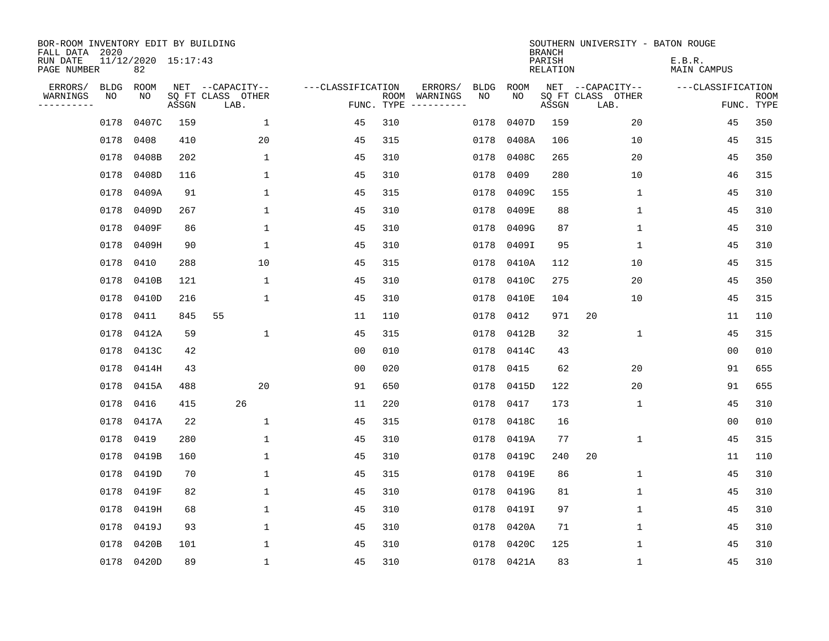| BOR-ROOM INVENTORY EDIT BY BUILDING<br>FALL DATA 2020 |             |                           |       |                           |                   |     |                                      |             |            | <b>BRANCH</b>             | SOUTHERN UNIVERSITY - BATON ROUGE |                              |                           |
|-------------------------------------------------------|-------------|---------------------------|-------|---------------------------|-------------------|-----|--------------------------------------|-------------|------------|---------------------------|-----------------------------------|------------------------------|---------------------------|
| RUN DATE<br>PAGE NUMBER                               |             | 11/12/2020 15:17:43<br>82 |       |                           |                   |     |                                      |             |            | PARISH<br><b>RELATION</b> |                                   | E.B.R.<br><b>MAIN CAMPUS</b> |                           |
| ERRORS/                                               | <b>BLDG</b> | ROOM                      |       | NET --CAPACITY--          | ---CLASSIFICATION |     | ERRORS/                              | <b>BLDG</b> | ROOM       |                           | NET --CAPACITY--                  | ---CLASSIFICATION            |                           |
| WARNINGS<br>----------                                | NO          | NO                        | ASSGN | SQ FT CLASS OTHER<br>LAB. |                   |     | ROOM WARNINGS<br>FUNC. TYPE $------$ | NO          | NO         | ASSGN                     | SQ FT CLASS OTHER<br>LAB.         |                              | <b>ROOM</b><br>FUNC. TYPE |
|                                                       | 0178        | 0407C                     | 159   | $\mathbf{1}$              | 45                | 310 |                                      | 0178        | 0407D      | 159                       | 20                                | 45                           | 350                       |
|                                                       | 0178        | 0408                      | 410   | 20                        | 45                | 315 |                                      | 0178        | 0408A      | 106                       | 10                                | 45                           | 315                       |
|                                                       | 0178        | 0408B                     | 202   | $\mathbf{1}$              | 45                | 310 |                                      | 0178        | 0408C      | 265                       | 20                                | 45                           | 350                       |
|                                                       | 0178        | 0408D                     | 116   | 1                         | 45                | 310 |                                      | 0178        | 0409       | 280                       | 10                                | 46                           | 315                       |
|                                                       | 0178        | 0409A                     | 91    | $\mathbf{1}$              | 45                | 315 |                                      | 0178        | 0409C      | 155                       | $\mathbf 1$                       | 45                           | 310                       |
|                                                       | 0178        | 0409D                     | 267   | $\mathbf{1}$              | 45                | 310 |                                      | 0178        | 0409E      | 88                        | 1                                 | 45                           | 310                       |
|                                                       | 0178        | 0409F                     | 86    | $\mathbf{1}$              | 45                | 310 |                                      | 0178        | 0409G      | 87                        | $\mathbf{1}$                      | 45                           | 310                       |
|                                                       | 0178        | 0409H                     | 90    | $\mathbf{1}$              | 45                | 310 |                                      | 0178        | 0409I      | 95                        | $\mathbf{1}$                      | 45                           | 310                       |
|                                                       | 0178        | 0410                      | 288   | 10                        | 45                | 315 |                                      | 0178        | 0410A      | 112                       | 10                                | 45                           | 315                       |
|                                                       | 0178        | 0410B                     | 121   | 1                         | 45                | 310 |                                      | 0178        | 0410C      | 275                       | 20                                | 45                           | 350                       |
|                                                       | 0178        | 0410D                     | 216   | 1                         | 45                | 310 |                                      | 0178        | 0410E      | 104                       | 10                                | 45                           | 315                       |
|                                                       | 0178        | 0411                      | 845   | 55                        | 11                | 110 |                                      | 0178        | 0412       | 971                       | 20                                | 11                           | 110                       |
|                                                       | 0178        | 0412A                     | 59    | 1                         | 45                | 315 |                                      | 0178        | 0412B      | 32                        | 1                                 | 45                           | 315                       |
|                                                       | 0178        | 0413C                     | 42    |                           | 0 <sub>0</sub>    | 010 |                                      | 0178        | 0414C      | 43                        |                                   | 00                           | 010                       |
|                                                       | 0178        | 0414H                     | 43    |                           | 0 <sub>0</sub>    | 020 |                                      | 0178        | 0415       | 62                        | 20                                | 91                           | 655                       |
|                                                       | 0178        | 0415A                     | 488   | 20                        | 91                | 650 |                                      | 0178        | 0415D      | 122                       | 20                                | 91                           | 655                       |
|                                                       | 0178        | 0416                      | 415   | 26                        | 11                | 220 |                                      | 0178        | 0417       | 173                       | 1                                 | 45                           | 310                       |
|                                                       | 0178        | 0417A                     | 22    | 1                         | 45                | 315 |                                      | 0178        | 0418C      | 16                        |                                   | 00                           | 010                       |
|                                                       | 0178        | 0419                      | 280   | 1                         | 45                | 310 |                                      | 0178        | 0419A      | 77                        | 1                                 | 45                           | 315                       |
|                                                       | 0178        | 0419B                     | 160   | $\mathbf{1}$              | 45                | 310 |                                      | 0178        | 0419C      | 240                       | 20                                | 11                           | 110                       |
|                                                       | 0178        | 0419D                     | 70    | $\mathbf 1$               | 45                | 315 |                                      | 0178        | 0419E      | 86                        | 1                                 | 45                           | 310                       |
|                                                       | 0178        | 0419F                     | 82    | $\mathbf{1}$              | 45                | 310 |                                      | 0178        | 0419G      | 81                        | 1                                 | 45                           | 310                       |
|                                                       | 0178        | 0419H                     | 68    | $\mathbf 1$               | 45                | 310 |                                      |             | 0178 0419I | 97                        | 1                                 | 45                           | 310                       |
|                                                       | 0178        | 0419J                     | 93    | $\mathbf 1$               | 45                | 310 |                                      | 0178        | 0420A      | 71                        | $\mathbf 1$                       | 45                           | 310                       |
|                                                       | 0178        | 0420B                     | 101   | $\mathbf{1}$              | 45                | 310 |                                      | 0178        | 0420C      | 125                       | 1                                 | 45                           | 310                       |
|                                                       |             | 0178 0420D                | 89    | $\mathbf{1}$              | 45                | 310 |                                      |             | 0178 0421A | 83                        | $\mathbf 1$                       | 45                           | 310                       |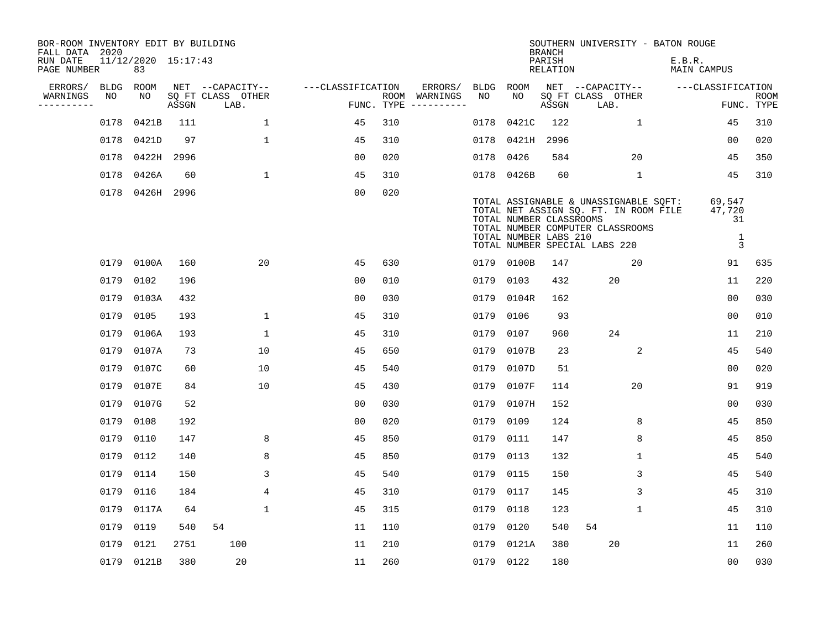| BOR-ROOM INVENTORY EDIT BY BUILDING<br>FALL DATA 2020 |      |                           |       |                           |                   |     |                                        |             |                                                  | <b>BRANCH</b>             | SOUTHERN UNIVERSITY - BATON ROUGE                                                                                                                   |                                  |                           |
|-------------------------------------------------------|------|---------------------------|-------|---------------------------|-------------------|-----|----------------------------------------|-------------|--------------------------------------------------|---------------------------|-----------------------------------------------------------------------------------------------------------------------------------------------------|----------------------------------|---------------------------|
| RUN DATE<br>PAGE NUMBER                               |      | 11/12/2020 15:17:43<br>83 |       |                           |                   |     |                                        |             |                                                  | PARISH<br><b>RELATION</b> |                                                                                                                                                     | E.B.R.<br><b>MAIN CAMPUS</b>     |                           |
| ERRORS/                                               | BLDG | ROOM                      |       | NET --CAPACITY--          | ---CLASSIFICATION |     | ERRORS/                                | <b>BLDG</b> | <b>ROOM</b>                                      |                           | NET --CAPACITY--                                                                                                                                    | ---CLASSIFICATION                |                           |
| WARNINGS<br>----------                                | NO   | NO                        | ASSGN | SQ FT CLASS OTHER<br>LAB. |                   |     | ROOM WARNINGS<br>FUNC. TYPE ---------- | NO          | NO.                                              | ASSGN                     | SQ FT CLASS OTHER<br>LAB.                                                                                                                           |                                  | <b>ROOM</b><br>FUNC. TYPE |
|                                                       | 0178 | 0421B                     | 111   | $\mathbf{1}$              | 45                | 310 |                                        | 0178        | 0421C                                            | 122                       | $\mathbf{1}$                                                                                                                                        | 45                               | 310                       |
|                                                       | 0178 | 0421D                     | 97    | $\mathbf 1$               | 45                | 310 |                                        | 0178        | 0421H                                            | 2996                      |                                                                                                                                                     | 00                               | 020                       |
|                                                       | 0178 | 0422H 2996                |       |                           | 0 <sub>0</sub>    | 020 |                                        | 0178        | 0426                                             | 584                       | 20                                                                                                                                                  | 45                               | 350                       |
|                                                       | 0178 | 0426A                     | 60    | $\mathbf{1}$              | 45                | 310 |                                        |             | 0178 0426B                                       | 60                        | $\mathbf 1$                                                                                                                                         | 45                               | 310                       |
|                                                       |      | 0178 0426H 2996           |       |                           | 0 <sub>0</sub>    | 020 |                                        |             | TOTAL NUMBER CLASSROOMS<br>TOTAL NUMBER LABS 210 |                           | TOTAL ASSIGNABLE & UNASSIGNABLE SQFT:<br>TOTAL NET ASSIGN SQ. FT. IN ROOM FILE<br>TOTAL NUMBER COMPUTER CLASSROOMS<br>TOTAL NUMBER SPECIAL LABS 220 | 69,547<br>47,720<br>31<br>1<br>3 |                           |
|                                                       |      | 0179 0100A                | 160   | 20                        | 45                | 630 |                                        |             | 0179 0100B                                       | 147                       | 20                                                                                                                                                  | 91                               | 635                       |
|                                                       | 0179 | 0102                      | 196   |                           | 0 <sub>0</sub>    | 010 |                                        | 0179        | 0103                                             | 432                       | 20                                                                                                                                                  | 11                               | 220                       |
|                                                       |      | 0179 0103A                | 432   |                           | 0 <sub>0</sub>    | 030 |                                        | 0179        | 0104R                                            | 162                       |                                                                                                                                                     | 0 <sub>0</sub>                   | 030                       |
|                                                       | 0179 | 0105                      | 193   | $\mathbf{1}$              | 45                | 310 |                                        | 0179        | 0106                                             | 93                        |                                                                                                                                                     | 0 <sub>0</sub>                   | 010                       |
|                                                       | 0179 | 0106A                     | 193   | $\mathbf 1$               | 45                | 310 |                                        | 0179        | 0107                                             | 960                       | 24                                                                                                                                                  | 11                               | 210                       |
|                                                       | 0179 | 0107A                     | 73    | 10                        | 45                | 650 |                                        | 0179        | 0107B                                            | 23                        | 2                                                                                                                                                   | 45                               | 540                       |
|                                                       | 0179 | 0107C                     | 60    | 10                        | 45                | 540 |                                        | 0179        | 0107D                                            | 51                        |                                                                                                                                                     | 0 <sub>0</sub>                   | 020                       |
|                                                       | 0179 | 0107E                     | 84    | 10                        | 45                | 430 |                                        | 0179        | 0107F                                            | 114                       | 20                                                                                                                                                  | 91                               | 919                       |
|                                                       | 0179 | 0107G                     | 52    |                           | 0 <sub>0</sub>    | 030 |                                        | 0179        | 0107H                                            | 152                       |                                                                                                                                                     | 00                               | 030                       |
|                                                       | 0179 | 0108                      | 192   |                           | 0 <sub>0</sub>    | 020 |                                        | 0179        | 0109                                             | 124                       | 8                                                                                                                                                   | 45                               | 850                       |
|                                                       | 0179 | 0110                      | 147   | 8                         | 45                | 850 |                                        | 0179        | 0111                                             | 147                       | 8                                                                                                                                                   | 45                               | 850                       |
|                                                       | 0179 | 0112                      | 140   | 8                         | 45                | 850 |                                        | 0179        | 0113                                             | 132                       | 1                                                                                                                                                   | 45                               | 540                       |
|                                                       | 0179 | 0114                      | 150   | 3                         | 45                | 540 |                                        | 0179        | 0115                                             | 150                       | 3                                                                                                                                                   | 45                               | 540                       |
|                                                       | 0179 | 0116                      | 184   | 4                         | 45                | 310 |                                        | 0179        | 0117                                             | 145                       | 3                                                                                                                                                   | 45                               | 310                       |
|                                                       |      | 0179 0117A                | 64    | $\mathbf{1}$              | 45                | 315 |                                        | 0179        | 0118                                             | 123                       | 1                                                                                                                                                   | 45                               | 310                       |
|                                                       | 0179 | 0119                      | 540   | 54                        | 11                | 110 |                                        | 0179        | 0120                                             | 540                       | 54                                                                                                                                                  | 11                               | 110                       |
|                                                       | 0179 | 0121                      | 2751  | 100                       | 11                | 210 |                                        | 0179        | 0121A                                            | 380                       | 20                                                                                                                                                  | 11                               | 260                       |
|                                                       |      | 0179 0121B                | 380   | 20                        | 11                | 260 |                                        | 0179 0122   |                                                  | 180                       |                                                                                                                                                     | 00                               | 030                       |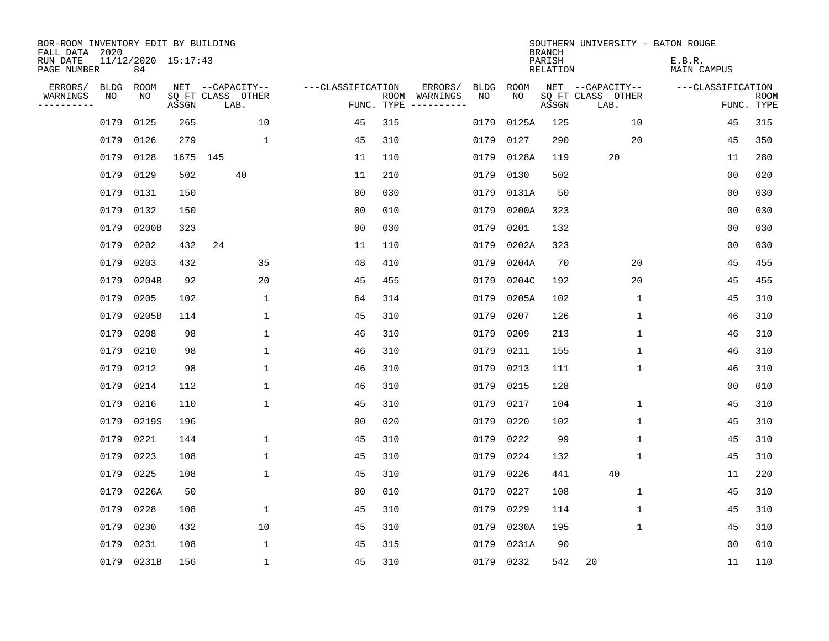| BOR-ROOM INVENTORY EDIT BY BUILDING<br>FALL DATA 2020 |             |            |                     |                           |              |                   |     |                                      |             |            | <b>BRANCH</b>             |                           | SOUTHERN UNIVERSITY - BATON ROUGE |                           |
|-------------------------------------------------------|-------------|------------|---------------------|---------------------------|--------------|-------------------|-----|--------------------------------------|-------------|------------|---------------------------|---------------------------|-----------------------------------|---------------------------|
| RUN DATE<br>PAGE NUMBER                               |             | 84         | 11/12/2020 15:17:43 |                           |              |                   |     |                                      |             |            | PARISH<br><b>RELATION</b> |                           | E.B.R.<br><b>MAIN CAMPUS</b>      |                           |
| ERRORS/                                               | <b>BLDG</b> | ROOM       |                     | NET --CAPACITY--          |              | ---CLASSIFICATION |     | ERRORS/                              | <b>BLDG</b> | ROOM       |                           | NET --CAPACITY--          | ---CLASSIFICATION                 |                           |
| WARNINGS<br>----------                                | NO          | NO         | ASSGN               | SQ FT CLASS OTHER<br>LAB. |              |                   |     | ROOM WARNINGS<br>FUNC. TYPE $------$ | NO          | NO         | ASSGN                     | SQ FT CLASS OTHER<br>LAB. |                                   | <b>ROOM</b><br>FUNC. TYPE |
|                                                       | 0179        | 0125       | 265                 |                           | 10           | 45                | 315 |                                      | 0179        | 0125A      | 125                       | 10                        | 45                                | 315                       |
|                                                       | 0179        | 0126       | 279                 |                           | $\mathbf{1}$ | 45                | 310 |                                      | 0179        | 0127       | 290                       | 20                        | 45                                | 350                       |
|                                                       | 0179        | 0128       | 1675 145            |                           |              | 11                | 110 |                                      | 0179        | 0128A      | 119                       | 20                        | 11                                | 280                       |
|                                                       | 0179        | 0129       | 502                 | 40                        |              | 11                | 210 |                                      | 0179        | 0130       | 502                       |                           | 0 <sub>0</sub>                    | 020                       |
|                                                       | 0179        | 0131       | 150                 |                           |              | 0 <sub>0</sub>    | 030 |                                      | 0179        | 0131A      | 50                        |                           | 00                                | 030                       |
|                                                       | 0179        | 0132       | 150                 |                           |              | 0 <sub>0</sub>    | 010 |                                      | 0179        | 0200A      | 323                       |                           | 0 <sub>0</sub>                    | 030                       |
|                                                       | 0179        | 0200B      | 323                 |                           |              | 0 <sub>0</sub>    | 030 |                                      | 0179        | 0201       | 132                       |                           | 0 <sub>0</sub>                    | 030                       |
|                                                       | 0179        | 0202       | 432                 | 24                        |              | 11                | 110 |                                      | 0179        | 0202A      | 323                       |                           | 0 <sub>0</sub>                    | 030                       |
|                                                       | 0179        | 0203       | 432                 |                           | 35           | 48                | 410 |                                      | 0179        | 0204A      | 70                        | 20                        | 45                                | 455                       |
|                                                       | 0179        | 0204B      | 92                  |                           | 20           | 45                | 455 |                                      | 0179        | 0204C      | 192                       | 20                        | 45                                | 455                       |
|                                                       | 0179        | 0205       | 102                 |                           | 1            | 64                | 314 |                                      | 0179        | 0205A      | 102                       | 1                         | 45                                | 310                       |
|                                                       | 0179        | 0205B      | 114                 |                           | 1            | 45                | 310 |                                      | 0179        | 0207       | 126                       | 1                         | 46                                | 310                       |
|                                                       | 0179        | 0208       | 98                  |                           | 1            | 46                | 310 |                                      | 0179        | 0209       | 213                       | 1                         | 46                                | 310                       |
|                                                       | 0179        | 0210       | 98                  |                           | 1            | 46                | 310 |                                      | 0179        | 0211       | 155                       | 1                         | 46                                | 310                       |
|                                                       | 0179        | 0212       | 98                  |                           | 1            | 46                | 310 |                                      | 0179        | 0213       | 111                       | 1                         | 46                                | 310                       |
|                                                       | 0179        | 0214       | 112                 |                           | 1            | 46                | 310 |                                      | 0179        | 0215       | 128                       |                           | 00                                | 010                       |
|                                                       | 0179        | 0216       | 110                 |                           | $\mathbf{1}$ | 45                | 310 |                                      | 0179        | 0217       | 104                       | 1                         | 45                                | 310                       |
|                                                       | 0179        | 0219S      | 196                 |                           |              | 0 <sub>0</sub>    | 020 |                                      | 0179        | 0220       | 102                       | 1                         | 45                                | 310                       |
|                                                       | 0179        | 0221       | 144                 |                           | 1            | 45                | 310 |                                      | 0179        | 0222       | 99                        | 1                         | 45                                | 310                       |
|                                                       | 0179        | 0223       | 108                 |                           | $\mathbf{1}$ | 45                | 310 |                                      | 0179        | 0224       | 132                       | $\mathbf{1}$              | 45                                | 310                       |
|                                                       | 0179        | 0225       | 108                 |                           | $\mathbf 1$  | 45                | 310 |                                      | 0179        | 0226       | 441                       | 40                        | 11                                | 220                       |
|                                                       | 0179        | 0226A      | 50                  |                           |              | 00                | 010 |                                      | 0179        | 0227       | 108                       | 1                         | 45                                | 310                       |
|                                                       | 0179        | 0228       | 108                 |                           | 1            | 45                | 310 |                                      | 0179        | 0229       | 114                       | 1                         | 45                                | 310                       |
|                                                       | 0179        | 0230       | 432                 |                           | 10           | 45                | 310 |                                      |             | 0179 0230A | 195                       | $\mathbf{1}$              | 45                                | 310                       |
|                                                       | 0179        | 0231       | 108                 |                           | $\mathbf{1}$ | 45                | 315 |                                      | 0179        | 0231A      | 90                        |                           | 0 <sub>0</sub>                    | 010                       |
|                                                       |             | 0179 0231B | 156                 |                           | $\mathbf 1$  | 45                | 310 |                                      |             | 0179 0232  | 542                       | 20                        | 11                                | 110                       |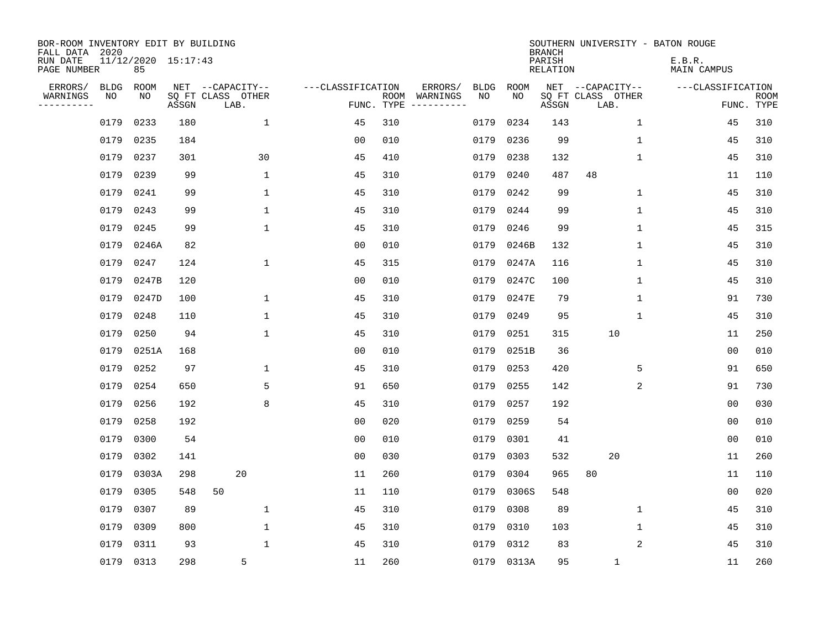| BOR-ROOM INVENTORY EDIT BY BUILDING<br>FALL DATA 2020 |             |                           |       |                           |                    |                    |                         |      |             | <b>BRANCH</b>             | SOUTHERN UNIVERSITY - BATON ROUGE |              |                              |                           |
|-------------------------------------------------------|-------------|---------------------------|-------|---------------------------|--------------------|--------------------|-------------------------|------|-------------|---------------------------|-----------------------------------|--------------|------------------------------|---------------------------|
| RUN DATE<br>PAGE NUMBER                               |             | 11/12/2020 15:17:43<br>85 |       |                           |                    |                    |                         |      |             | PARISH<br><b>RELATION</b> |                                   |              | E.B.R.<br><b>MAIN CAMPUS</b> |                           |
| ERRORS/                                               | <b>BLDG</b> | ROOM                      |       | NET --CAPACITY--          | ---CLASSIFICATION  |                    | ERRORS/                 | BLDG | <b>ROOM</b> |                           | NET --CAPACITY--                  |              | ---CLASSIFICATION            |                           |
| WARNINGS<br>----------                                | NO          | ΝO                        | ASSGN | SQ FT CLASS OTHER<br>LAB. |                    | ROOM<br>FUNC. TYPE | WARNINGS<br>----------- | NO   | NO          | ASSGN                     | SQ FT CLASS OTHER<br>LAB.         |              |                              | <b>ROOM</b><br>FUNC. TYPE |
|                                                       | 0179        | 0233                      | 180   |                           | $\mathbf 1$<br>45  | 310                |                         | 0179 | 0234        | 143                       |                                   | $\mathbf{1}$ | 45                           | 310                       |
|                                                       | 0179        | 0235                      | 184   |                           | 00                 | 010                |                         | 0179 | 0236        | 99                        |                                   | 1            | 45                           | 310                       |
|                                                       | 0179        | 0237                      | 301   | 30                        | 45                 | 410                |                         | 0179 | 0238        | 132                       |                                   | $\mathbf 1$  | 45                           | 310                       |
|                                                       | 0179        | 0239                      | 99    |                           | $\mathbf 1$<br>45  | 310                |                         | 0179 | 0240        | 487                       | 48                                |              | 11                           | 110                       |
|                                                       | 0179        | 0241                      | 99    |                           | $\mathbf 1$<br>45  | 310                |                         | 0179 | 0242        | 99                        |                                   | $\mathbf{1}$ | 45                           | 310                       |
|                                                       | 0179        | 0243                      | 99    |                           | $\mathbf{1}$<br>45 | 310                |                         | 0179 | 0244        | 99                        |                                   | $\mathbf{1}$ | 45                           | 310                       |
|                                                       | 0179        | 0245                      | 99    |                           | $\mathbf{1}$<br>45 | 310                |                         | 0179 | 0246        | 99                        |                                   | $\mathbf{1}$ | 45                           | 315                       |
|                                                       | 0179        | 0246A                     | 82    |                           | 0 <sub>0</sub>     | 010                |                         | 0179 | 0246B       | 132                       |                                   | $\mathbf{1}$ | 45                           | 310                       |
|                                                       | 0179        | 0247                      | 124   |                           | $\mathbf 1$<br>45  | 315                |                         | 0179 | 0247A       | 116                       |                                   | $\mathbf{1}$ | 45                           | 310                       |
|                                                       | 0179        | 0247B                     | 120   |                           | 0 <sub>0</sub>     | 010                |                         | 0179 | 0247C       | 100                       |                                   | 1            | 45                           | 310                       |
|                                                       | 0179        | 0247D                     | 100   |                           | $\mathbf 1$<br>45  | 310                |                         | 0179 | 0247E       | 79                        |                                   | 1            | 91                           | 730                       |
|                                                       | 0179        | 0248                      | 110   |                           | $\mathbf 1$<br>45  | 310                |                         | 0179 | 0249        | 95                        |                                   | 1            | 45                           | 310                       |
|                                                       | 0179        | 0250                      | 94    |                           | $\mathbf 1$<br>45  | 310                |                         | 0179 | 0251        | 315                       | 10                                |              | 11                           | 250                       |
|                                                       | 0179        | 0251A                     | 168   |                           | 0 <sub>0</sub>     | 010                |                         | 0179 | 0251B       | 36                        |                                   |              | 0 <sub>0</sub>               | 010                       |
|                                                       | 0179        | 0252                      | 97    |                           | 45<br>1            | 310                |                         | 0179 | 0253        | 420                       |                                   | 5            | 91                           | 650                       |
|                                                       | 0179        | 0254                      | 650   |                           | 5<br>91            | 650                |                         | 0179 | 0255        | 142                       |                                   | 2            | 91                           | 730                       |
|                                                       | 0179        | 0256                      | 192   | 8                         | 45                 | 310                |                         | 0179 | 0257        | 192                       |                                   |              | 0 <sub>0</sub>               | 030                       |
|                                                       | 0179        | 0258                      | 192   |                           | 0 <sub>0</sub>     | 020                |                         | 0179 | 0259        | 54                        |                                   |              | 0 <sub>0</sub>               | 010                       |
|                                                       | 0179        | 0300                      | 54    |                           | 0 <sub>0</sub>     | 010                |                         | 0179 | 0301        | 41                        |                                   |              | 0 <sub>0</sub>               | 010                       |
|                                                       | 0179        | 0302                      | 141   |                           | 0 <sub>0</sub>     | 030                |                         | 0179 | 0303        | 532                       | 20                                |              | 11                           | 260                       |
|                                                       | 0179        | 0303A                     | 298   | 20                        | 11                 | 260                |                         | 0179 | 0304        | 965                       | 80                                |              | 11                           | 110                       |
|                                                       | 0179        | 0305                      | 548   | 50                        | 11                 | 110                |                         | 0179 | 0306S       | 548                       |                                   |              | 0 <sub>0</sub>               | 020                       |
|                                                       | 0179        | 0307                      | 89    |                           | 45<br>1            | 310                |                         | 0179 | 0308        | 89                        |                                   | 1            | 45                           | 310                       |
|                                                       | 0179        | 0309                      | 800   |                           | $\mathbf 1$<br>45  | 310                |                         | 0179 | 0310        | 103                       |                                   | 1            | 45                           | 310                       |
|                                                       | 0179        | 0311                      | 93    |                           | $\mathbf{1}$<br>45 | 310                |                         | 0179 | 0312        | 83                        |                                   | 2            | 45                           | 310                       |
|                                                       |             | 0179 0313                 | 298   | 5                         | 11                 | 260                |                         |      | 0179 0313A  | 95                        | $\mathbf{1}$                      |              | 11                           | 260                       |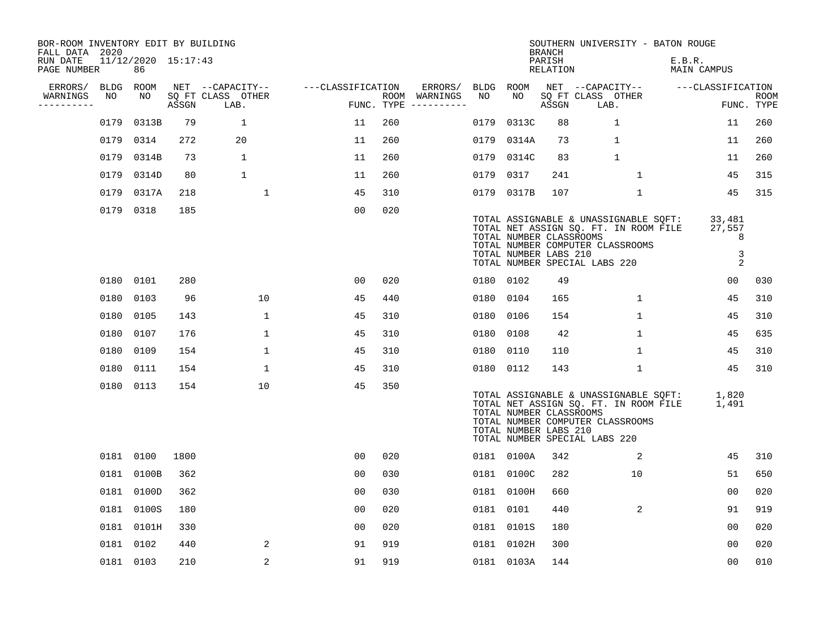| BOR-ROOM INVENTORY EDIT BY BUILDING<br>FALL DATA 2020 |      |                           |       |                           |                   |            |                              |      |                                                  | <b>BRANCH</b>      | SOUTHERN UNIVERSITY - BATON ROUGE                                                                                                                   |                                 |                           |
|-------------------------------------------------------|------|---------------------------|-------|---------------------------|-------------------|------------|------------------------------|------|--------------------------------------------------|--------------------|-----------------------------------------------------------------------------------------------------------------------------------------------------|---------------------------------|---------------------------|
| RUN DATE<br>PAGE NUMBER                               |      | 11/12/2020 15:17:43<br>86 |       |                           |                   |            |                              |      |                                                  | PARISH<br>RELATION |                                                                                                                                                     | E.B.R.<br><b>MAIN CAMPUS</b>    |                           |
| ERRORS/                                               | BLDG | ROOM                      |       | NET --CAPACITY--          | ---CLASSIFICATION |            | ERRORS/                      | BLDG | ROOM                                             |                    | NET --CAPACITY--                                                                                                                                    | ---CLASSIFICATION               |                           |
| WARNINGS<br>----------                                | NO   | NO                        | ASSGN | SQ FT CLASS OTHER<br>LAB. |                   | FUNC. TYPE | ROOM WARNINGS<br>----------- | NO   | NO                                               | ASSGN              | SQ FT CLASS OTHER<br>LAB.                                                                                                                           |                                 | <b>ROOM</b><br>FUNC. TYPE |
|                                                       | 0179 | 0313B                     | 79    | $\mathbf{1}$              | 11                | 260        |                              | 0179 | 0313C                                            | 88                 | $\mathbf 1$                                                                                                                                         | 11                              | 260                       |
|                                                       | 0179 | 0314                      | 272   | 20                        | 11                | 260        |                              |      | 0179 0314A                                       | 73                 | $\mathbf{1}$                                                                                                                                        | 11                              | 260                       |
|                                                       | 0179 | 0314B                     | 73    | $\mathbf{1}$              | 11                | 260        |                              |      | 0179 0314C                                       | 83                 | $\mathbf{1}$                                                                                                                                        | 11                              | 260                       |
|                                                       | 0179 | 0314D                     | 80    | $\mathbf 1$               | 11                | 260        |                              |      | 0179 0317                                        | 241                | 1                                                                                                                                                   | 45                              | 315                       |
|                                                       | 0179 | 0317A                     | 218   | $\mathbf{1}$              | 45                | 310        |                              |      | 0179 0317B                                       | 107                | 1                                                                                                                                                   | 45                              | 315                       |
|                                                       |      | 0179 0318                 | 185   |                           | 00                | 020        |                              |      | TOTAL NUMBER CLASSROOMS<br>TOTAL NUMBER LABS 210 |                    | TOTAL ASSIGNABLE & UNASSIGNABLE SQFT:<br>TOTAL NET ASSIGN SQ. FT. IN ROOM FILE<br>TOTAL NUMBER COMPUTER CLASSROOMS<br>TOTAL NUMBER SPECIAL LABS 220 | 33,481<br>27,557<br>8<br>3<br>2 |                           |
|                                                       |      | 0180 0101                 | 280   |                           | 0 <sub>0</sub>    | 020        |                              |      | 0180 0102                                        | 49                 |                                                                                                                                                     | 00                              | 030                       |
|                                                       | 0180 | 0103                      | 96    | 10                        | 45                | 440        |                              |      | 0180 0104                                        | 165                | $\mathbf{1}$                                                                                                                                        | 45                              | 310                       |
|                                                       | 0180 | 0105                      | 143   | $\mathbf 1$               | 45                | 310        |                              |      | 0180 0106                                        | 154                | 1                                                                                                                                                   | 45                              | 310                       |
|                                                       | 0180 | 0107                      | 176   | $\mathbf{1}$              | 45                | 310        |                              |      | 0180 0108                                        | 42                 | 1                                                                                                                                                   | 45                              | 635                       |
|                                                       | 0180 | 0109                      | 154   | $\mathbf 1$               | 45                | 310        |                              | 0180 | 0110                                             | 110                | $\mathbf 1$                                                                                                                                         | 45                              | 310                       |
|                                                       | 0180 | 0111                      | 154   | $\mathbf{1}$              | 45                | 310        |                              |      | 0180 0112                                        | 143                | $\mathbf 1$                                                                                                                                         | 45                              | 310                       |
|                                                       |      | 0180 0113                 | 154   | 10                        | 45                | 350        |                              |      | TOTAL NUMBER CLASSROOMS<br>TOTAL NUMBER LABS 210 |                    | TOTAL ASSIGNABLE & UNASSIGNABLE SOFT:<br>TOTAL NET ASSIGN SQ. FT. IN ROOM FILE<br>TOTAL NUMBER COMPUTER CLASSROOMS<br>TOTAL NUMBER SPECIAL LABS 220 | 1,820<br>1,491                  |                           |
|                                                       |      | 0181 0100                 | 1800  |                           | 0 <sub>0</sub>    | 020        |                              |      | 0181 0100A                                       | 342                | 2                                                                                                                                                   | 45                              | 310                       |
|                                                       |      | 0181 0100B                | 362   |                           | 0 <sub>0</sub>    | 030        |                              |      | 0181 0100C                                       | 282                | 10                                                                                                                                                  | 51                              | 650                       |
|                                                       |      | 0181 0100D                | 362   |                           | 0 <sub>0</sub>    | 030        |                              |      | 0181 0100H                                       | 660                |                                                                                                                                                     | 00                              | 020                       |
|                                                       |      | 0181 0100S                | 180   |                           | 0 <sub>0</sub>    | 020        |                              |      | 0181 0101                                        | 440                | 2                                                                                                                                                   | 91                              | 919                       |
|                                                       |      | 0181 0101H                | 330   |                           | 00                | 020        |                              |      | 0181 0101S                                       | 180                |                                                                                                                                                     | 0 <sub>0</sub>                  | 020                       |
|                                                       |      | 0181 0102                 | 440   | 2                         | 91                | 919        |                              |      | 0181 0102H                                       | 300                |                                                                                                                                                     | 0 <sub>0</sub>                  | 020                       |
|                                                       |      | 0181 0103                 | 210   | 2                         | 91                | 919        |                              |      | 0181 0103A                                       | 144                |                                                                                                                                                     | 00                              | 010                       |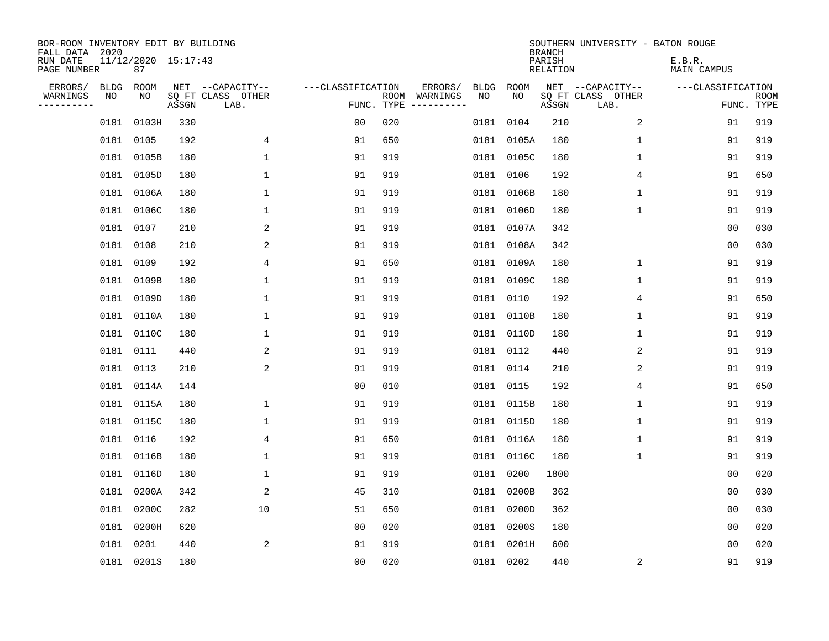| BOR-ROOM INVENTORY EDIT BY BUILDING<br>FALL DATA 2020 |             |                           |       |                           |                   |                    |                         |      |            | <b>BRANCH</b>             | SOUTHERN UNIVERSITY - BATON ROUGE |                       |                           |
|-------------------------------------------------------|-------------|---------------------------|-------|---------------------------|-------------------|--------------------|-------------------------|------|------------|---------------------------|-----------------------------------|-----------------------|---------------------------|
| RUN DATE<br>PAGE NUMBER                               |             | 11/12/2020 15:17:43<br>87 |       |                           |                   |                    |                         |      |            | PARISH<br><b>RELATION</b> |                                   | E.B.R.<br>MAIN CAMPUS |                           |
| ERRORS/                                               | <b>BLDG</b> | ROOM                      |       | NET --CAPACITY--          | ---CLASSIFICATION |                    | ERRORS/                 | BLDG | ROOM       |                           | NET --CAPACITY--                  | ---CLASSIFICATION     |                           |
| WARNINGS<br>----------                                | NO          | NO                        | ASSGN | SQ FT CLASS OTHER<br>LAB. |                   | ROOM<br>FUNC. TYPE | WARNINGS<br>----------- | NO   | NO         | ASSGN                     | SQ FT CLASS OTHER<br>LAB.         |                       | <b>ROOM</b><br>FUNC. TYPE |
|                                                       | 0181        | 0103H                     | 330   |                           | 00                | 020                |                         |      | 0181 0104  | 210                       | 2                                 | 91                    | 919                       |
|                                                       | 0181        | 0105                      | 192   | 4                         | 91                | 650                |                         |      | 0181 0105A | 180                       | 1                                 | 91                    | 919                       |
|                                                       | 0181        | 0105B                     | 180   | $\mathbf 1$               | 91                | 919                |                         |      | 0181 0105C | 180                       | 1                                 | 91                    | 919                       |
|                                                       |             | 0181 0105D                | 180   | 1                         | 91                | 919                |                         |      | 0181 0106  | 192                       | 4                                 | 91                    | 650                       |
|                                                       |             | 0181 0106A                | 180   | $\mathbf 1$               | 91                | 919                |                         |      | 0181 0106B | 180                       | $\mathbf 1$                       | 91                    | 919                       |
|                                                       |             | 0181 0106C                | 180   | $\mathbf 1$               | 91                | 919                |                         |      | 0181 0106D | 180                       | $\mathbf{1}$                      | 91                    | 919                       |
|                                                       |             | 0181 0107                 | 210   | 2                         | 91                | 919                |                         |      | 0181 0107A | 342                       |                                   | 00                    | 030                       |
|                                                       |             | 0181 0108                 | 210   | 2                         | 91                | 919                |                         |      | 0181 0108A | 342                       |                                   | 0 <sub>0</sub>        | 030                       |
|                                                       | 0181        | 0109                      | 192   | 4                         | 91                | 650                |                         |      | 0181 0109A | 180                       | $\mathbf 1$                       | 91                    | 919                       |
|                                                       |             | 0181 0109B                | 180   | 1                         | 91                | 919                |                         |      | 0181 0109C | 180                       | 1                                 | 91                    | 919                       |
|                                                       | 0181        | 0109D                     | 180   | 1                         | 91                | 919                |                         |      | 0181 0110  | 192                       | 4                                 | 91                    | 650                       |
|                                                       |             | 0181 0110A                | 180   | 1                         | 91                | 919                |                         |      | 0181 0110B | 180                       | 1                                 | 91                    | 919                       |
|                                                       | 0181        | 0110C                     | 180   | 1                         | 91                | 919                |                         |      | 0181 0110D | 180                       | $\mathbf 1$                       | 91                    | 919                       |
|                                                       | 0181        | 0111                      | 440   | 2                         | 91                | 919                |                         |      | 0181 0112  | 440                       | 2                                 | 91                    | 919                       |
|                                                       | 0181        | 0113                      | 210   | 2                         | 91                | 919                |                         |      | 0181 0114  | 210                       | 2                                 | 91                    | 919                       |
|                                                       | 0181        | 0114A                     | 144   |                           | 0 <sub>0</sub>    | 010                |                         |      | 0181 0115  | 192                       | 4                                 | 91                    | 650                       |
|                                                       | 0181        | 0115A                     | 180   | 1                         | 91                | 919                |                         |      | 0181 0115B | 180                       | 1                                 | 91                    | 919                       |
|                                                       | 0181        | 0115C                     | 180   | 1                         | 91                | 919                |                         |      | 0181 0115D | 180                       | 1                                 | 91                    | 919                       |
|                                                       | 0181        | 0116                      | 192   | 4                         | 91                | 650                |                         |      | 0181 0116A | 180                       | 1                                 | 91                    | 919                       |
|                                                       | 0181        | 0116B                     | 180   | 1                         | 91                | 919                |                         |      | 0181 0116C | 180                       | 1                                 | 91                    | 919                       |
|                                                       | 0181        | 0116D                     | 180   | 1                         | 91                | 919                |                         |      | 0181 0200  | 1800                      |                                   | 0 <sub>0</sub>        | 020                       |
|                                                       | 0181        | 0200A                     | 342   | 2                         | 45                | 310                |                         |      | 0181 0200B | 362                       |                                   | 00                    | 030                       |
|                                                       | 0181        | 0200C                     | 282   | 10                        | 51                | 650                |                         |      | 0181 0200D | 362                       |                                   | 0 <sub>0</sub>        | 030                       |
|                                                       | 0181        | 0200H                     | 620   |                           | 0 <sub>0</sub>    | 020                |                         |      | 0181 0200S | 180                       |                                   | 0 <sub>0</sub>        | 020                       |
|                                                       | 0181        | 0201                      | 440   | 2                         | 91                | 919                |                         |      | 0181 0201H | 600                       |                                   | 0 <sub>0</sub>        | 020                       |
|                                                       |             | 0181 0201S                | 180   |                           | 0 <sub>0</sub>    | 020                |                         |      | 0181 0202  | 440                       | 2                                 | 91                    | 919                       |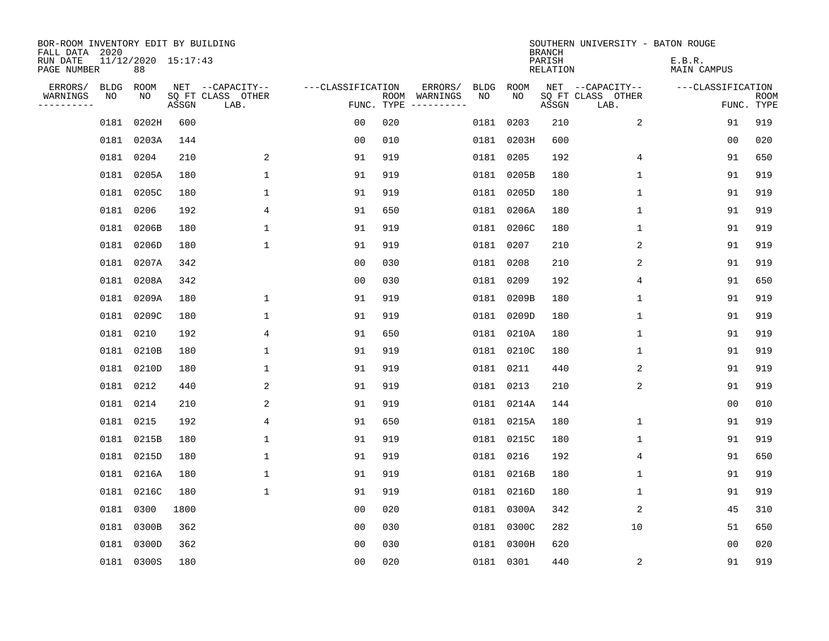| BOR-ROOM INVENTORY EDIT BY BUILDING<br>FALL DATA 2020 |      |                           |       |                           |                   |            |               |      |            | <b>BRANCH</b>             | SOUTHERN UNIVERSITY - BATON ROUGE |                       |                           |
|-------------------------------------------------------|------|---------------------------|-------|---------------------------|-------------------|------------|---------------|------|------------|---------------------------|-----------------------------------|-----------------------|---------------------------|
| RUN DATE<br>PAGE NUMBER                               |      | 11/12/2020 15:17:43<br>88 |       |                           |                   |            |               |      |            | PARISH<br><b>RELATION</b> |                                   | E.B.R.<br>MAIN CAMPUS |                           |
| ERRORS/                                               | BLDG | ROOM                      |       | NET --CAPACITY--          | ---CLASSIFICATION |            | ERRORS/       |      | BLDG ROOM  |                           | NET --CAPACITY--                  | ---CLASSIFICATION     |                           |
| WARNINGS<br>----------                                | NO   | NO                        | ASSGN | SQ FT CLASS OTHER<br>LAB. |                   | FUNC. TYPE | ROOM WARNINGS | NO   | NO         | ASSGN                     | SQ FT CLASS OTHER<br>LAB.         |                       | <b>ROOM</b><br>FUNC. TYPE |
|                                                       | 0181 | 0202H                     | 600   |                           | 00                | 020        |               | 0181 | 0203       | 210                       | 2                                 | 91                    | 919                       |
|                                                       |      | 0181 0203A                | 144   |                           | 0 <sub>0</sub>    | 010        |               |      | 0181 0203H | 600                       |                                   | 00                    | 020                       |
|                                                       |      | 0181 0204                 | 210   | 2                         | 91                | 919        |               |      | 0181 0205  | 192                       | 4                                 | 91                    | 650                       |
|                                                       |      | 0181 0205A                | 180   | $\mathbf{1}$              | 91                | 919        |               |      | 0181 0205B | 180                       | $\mathbf{1}$                      | 91                    | 919                       |
|                                                       |      | 0181 0205C                | 180   | $\mathbf{1}$              | 91                | 919        |               |      | 0181 0205D | 180                       | $\mathbf{1}$                      | 91                    | 919                       |
|                                                       |      | 0181 0206                 | 192   | 4                         | 91                | 650        |               |      | 0181 0206A | 180                       | 1                                 | 91                    | 919                       |
|                                                       |      | 0181 0206B                | 180   | 1                         | 91                | 919        |               |      | 0181 0206C | 180                       | 1                                 | 91                    | 919                       |
|                                                       |      | 0181 0206D                | 180   | $\mathbf{1}$              | 91                | 919        |               |      | 0181 0207  | 210                       | 2                                 | 91                    | 919                       |
|                                                       |      | 0181 0207A                | 342   |                           | 0 <sub>0</sub>    | 030        |               | 0181 | 0208       | 210                       | 2                                 | 91                    | 919                       |
|                                                       |      | 0181 0208A                | 342   |                           | 0 <sub>0</sub>    | 030        |               |      | 0181 0209  | 192                       | 4                                 | 91                    | 650                       |
|                                                       |      | 0181 0209A                | 180   | 1                         | 91                | 919        |               | 0181 | 0209B      | 180                       | 1                                 | 91                    | 919                       |
|                                                       |      | 0181 0209C                | 180   | 1                         | 91                | 919        |               |      | 0181 0209D | 180                       | 1                                 | 91                    | 919                       |
|                                                       | 0181 | 0210                      | 192   | 4                         | 91                | 650        |               | 0181 | 0210A      | 180                       | 1                                 | 91                    | 919                       |
|                                                       |      | 0181 0210B                | 180   | $\mathbf{1}$              | 91                | 919        |               |      | 0181 0210C | 180                       | 1                                 | 91                    | 919                       |
|                                                       |      | 0181 0210D                | 180   | $\mathbf{1}$              | 91                | 919        |               |      | 0181 0211  | 440                       | 2                                 | 91                    | 919                       |
|                                                       |      | 0181 0212                 | 440   | 2                         | 91                | 919        |               |      | 0181 0213  | 210                       | 2                                 | 91                    | 919                       |
|                                                       |      | 0181 0214                 | 210   | 2                         | 91                | 919        |               |      | 0181 0214A | 144                       |                                   | 0 <sub>0</sub>        | 010                       |
|                                                       |      | 0181 0215                 | 192   | 4                         | 91                | 650        |               |      | 0181 0215A | 180                       | 1                                 | 91                    | 919                       |
|                                                       |      | 0181 0215B                | 180   | $\mathbf 1$               | 91                | 919        |               |      | 0181 0215C | 180                       | 1                                 | 91                    | 919                       |
|                                                       |      | 0181 0215D                | 180   | $\mathbf{1}$              | 91                | 919        |               |      | 0181 0216  | 192                       | 4                                 | 91                    | 650                       |
|                                                       |      | 0181 0216A                | 180   | $\mathbf 1$               | 91                | 919        |               |      | 0181 0216B | 180                       | 1                                 | 91                    | 919                       |
|                                                       |      | 0181 0216C                | 180   | $\mathbf 1$               | 91                | 919        |               |      | 0181 0216D | 180                       | 1                                 | 91                    | 919                       |
|                                                       |      | 0181 0300                 | 1800  |                           | 0 <sub>0</sub>    | 020        |               |      | 0181 0300A | 342                       | 2                                 | 45                    | 310                       |
|                                                       |      | 0181 0300B                | 362   |                           | 0 <sub>0</sub>    | 030        |               |      | 0181 0300C | 282                       | 10                                | 51                    | 650                       |
|                                                       |      | 0181 0300D                | 362   |                           | 0 <sub>0</sub>    | 030        |               |      | 0181 0300H | 620                       |                                   | 0 <sub>0</sub>        | 020                       |
|                                                       |      | 0181 0300S                | 180   |                           | 0 <sub>0</sub>    | 020        |               |      | 0181 0301  | 440                       | 2                                 | 91                    | 919                       |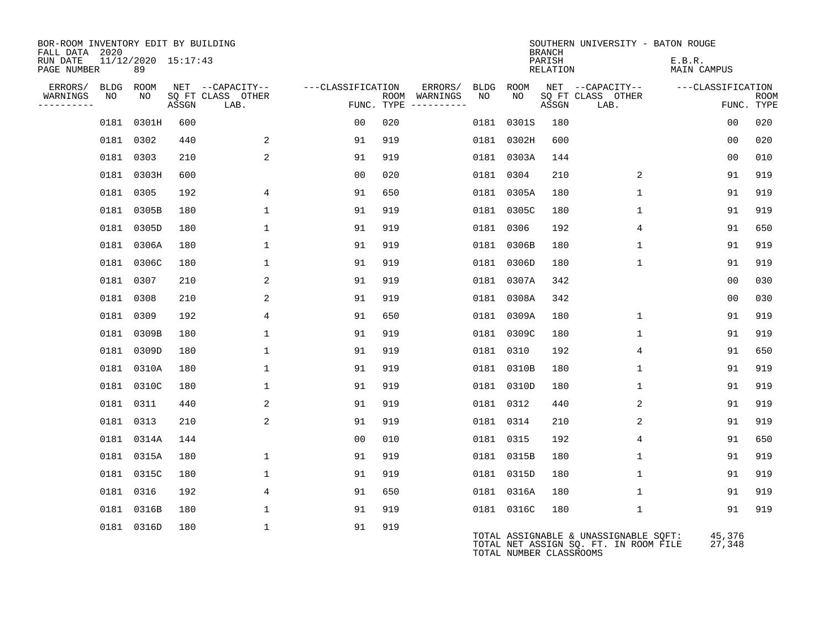| BOR-ROOM INVENTORY EDIT BY BUILDING<br>FALL DATA 2020 |    |                               |       |                           |                   |     |                                      |    |                         | <b>BRANCH</b>      | SOUTHERN UNIVERSITY - BATON ROUGE                                              |                              |                           |
|-------------------------------------------------------|----|-------------------------------|-------|---------------------------|-------------------|-----|--------------------------------------|----|-------------------------|--------------------|--------------------------------------------------------------------------------|------------------------------|---------------------------|
| RUN DATE<br>PAGE NUMBER                               |    | $11/12/2020$ $15:17:43$<br>89 |       |                           |                   |     |                                      |    |                         | PARISH<br>RELATION |                                                                                | E.B.R.<br><b>MAIN CAMPUS</b> |                           |
| ERRORS/                                               |    | BLDG ROOM                     |       | NET --CAPACITY--          | ---CLASSIFICATION |     | ERRORS/                              |    | BLDG ROOM               |                    | NET --CAPACITY--                                                               | ---CLASSIFICATION            |                           |
| WARNINGS<br>----------                                | NO | NO.                           | ASSGN | SQ FT CLASS OTHER<br>LAB. |                   |     | ROOM WARNINGS<br>FUNC. TYPE $------$ | NO | NO.                     | ASSGN              | SQ FT CLASS OTHER<br>LAB.                                                      |                              | <b>ROOM</b><br>FUNC. TYPE |
|                                                       |    | 0181 0301H                    | 600   |                           | 0 <sub>0</sub>    | 020 |                                      |    | 0181 0301S              | 180                |                                                                                | 0 <sub>0</sub>               | 020                       |
|                                                       |    | 0181 0302                     | 440   | 2                         | 91                | 919 |                                      |    | 0181 0302H              | 600                |                                                                                | 0 <sub>0</sub>               | 020                       |
|                                                       |    | 0181 0303                     | 210   | 2                         | 91                | 919 |                                      |    | 0181 0303A              | 144                |                                                                                | 0 <sub>0</sub>               | 010                       |
|                                                       |    | 0181 0303H                    | 600   |                           | 0 <sub>0</sub>    | 020 |                                      |    | 0181 0304               | 210                | 2                                                                              | 91                           | 919                       |
|                                                       |    | 0181 0305                     | 192   | 4                         | 91                | 650 |                                      |    | 0181 0305A              | 180                | $\mathbf{1}$                                                                   | 91                           | 919                       |
|                                                       |    | 0181 0305B                    | 180   | 1                         | 91                | 919 |                                      |    | 0181 0305C              | 180                | 1                                                                              | 91                           | 919                       |
|                                                       |    | 0181 0305D                    | 180   | 1                         | 91                | 919 |                                      |    | 0181 0306               | 192                | 4                                                                              | 91                           | 650                       |
|                                                       |    | 0181 0306A                    | 180   | $\mathbf{1}$              | 91                | 919 |                                      |    | 0181 0306B              | 180                | $\mathbf 1$                                                                    | 91                           | 919                       |
|                                                       |    | 0181 0306C                    | 180   | $\mathbf{1}$              | 91                | 919 |                                      |    | 0181 0306D              | 180                | $\mathbf{1}$                                                                   | 91                           | 919                       |
|                                                       |    | 0181 0307                     | 210   | 2                         | 91                | 919 |                                      |    | 0181 0307A              | 342                |                                                                                | 0 <sub>0</sub>               | 030                       |
|                                                       |    | 0181 0308                     | 210   | 2                         | 91                | 919 |                                      |    | 0181 0308A              | 342                |                                                                                | 0 <sub>0</sub>               | 030                       |
|                                                       |    | 0181 0309                     | 192   | 4                         | 91                | 650 |                                      |    | 0181 0309A              | 180                | $\mathbf{1}$                                                                   | 91                           | 919                       |
|                                                       |    | 0181 0309B                    | 180   | $\mathbf{1}$              | 91                | 919 |                                      |    | 0181 0309C              | 180                | $\mathbf{1}$                                                                   | 91                           | 919                       |
|                                                       |    | 0181 0309D                    | 180   | $\mathbf{1}$              | 91                | 919 |                                      |    | 0181 0310               | 192                | 4                                                                              | 91                           | 650                       |
|                                                       |    | 0181 0310A                    | 180   | $\mathbf{1}$              | 91                | 919 |                                      |    | 0181 0310B              | 180                | $\mathbf{1}$                                                                   | 91                           | 919                       |
|                                                       |    | 0181 0310C                    | 180   | $\mathbf 1$               | 91                | 919 |                                      |    | 0181 0310D              | 180                | $\mathbf{1}$                                                                   | 91                           | 919                       |
|                                                       |    | 0181 0311                     | 440   | 2                         | 91                | 919 |                                      |    | 0181 0312               | 440                | 2                                                                              | 91                           | 919                       |
|                                                       |    | 0181 0313                     | 210   | $\overline{a}$            | 91                | 919 |                                      |    | 0181 0314               | 210                | 2                                                                              | 91                           | 919                       |
|                                                       |    | 0181 0314A                    | 144   |                           | 0 <sub>0</sub>    | 010 |                                      |    | 0181 0315               | 192                | 4                                                                              | 91                           | 650                       |
|                                                       |    | 0181 0315A                    | 180   | $\mathbf{1}$              | 91                | 919 |                                      |    | 0181 0315B              | 180                | $\mathbf{1}$                                                                   | 91                           | 919                       |
|                                                       |    | 0181 0315C                    | 180   | $\mathbf{1}$              | 91                | 919 |                                      |    | 0181 0315D              | 180                | $\mathbf 1$                                                                    | 91                           | 919                       |
|                                                       |    | 0181 0316                     | 192   | 4                         | 91                | 650 |                                      |    | 0181 0316A              | 180                | $\mathbf{1}$                                                                   | 91                           | 919                       |
|                                                       |    | 0181 0316B                    | 180   | 1                         | 91                | 919 |                                      |    | 0181 0316C              | 180                | $\mathbf{1}$                                                                   | 91                           | 919                       |
|                                                       |    | 0181 0316D                    | 180   | $\mathbf 1$               | 91                | 919 |                                      |    | TOTAL NUMBER CLASSROOMS |                    | TOTAL ASSIGNABLE & UNASSIGNABLE SQFT:<br>TOTAL NET ASSIGN SQ. FT. IN ROOM FILE | 45,376<br>27,348             |                           |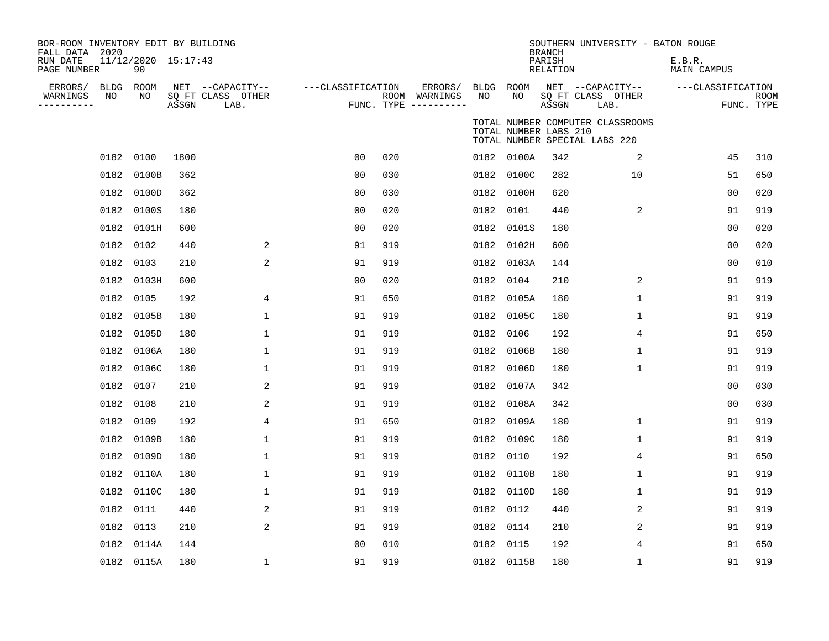| BOR-ROOM INVENTORY EDIT BY BUILDING<br>FALL DATA 2020<br>RUN DATE<br>PAGE NUMBER |      | 11/12/2020 15:17:43<br>90 |       |                                               |                   |     |                                                 |      |                       | <b>BRANCH</b><br>PARISH<br>RELATION | SOUTHERN UNIVERSITY - BATON ROUGE                                 | E.B.R.<br>MAIN CAMPUS |                           |
|----------------------------------------------------------------------------------|------|---------------------------|-------|-----------------------------------------------|-------------------|-----|-------------------------------------------------|------|-----------------------|-------------------------------------|-------------------------------------------------------------------|-----------------------|---------------------------|
| ERRORS/ BLDG ROOM<br>WARNINGS<br>$- - - - - - - - - - -$                         | NO   | NO                        | ASSGN | NET --CAPACITY--<br>SQ FT CLASS OTHER<br>LAB. | ---CLASSIFICATION |     | ERRORS/<br>ROOM WARNINGS<br>FUNC. TYPE $------$ | NO   | BLDG ROOM<br>NO       | ASSGN                               | NET --CAPACITY--<br>SQ FT CLASS OTHER<br>LAB.                     | ---CLASSIFICATION     | <b>ROOM</b><br>FUNC. TYPE |
|                                                                                  |      |                           |       |                                               |                   |     |                                                 |      | TOTAL NUMBER LABS 210 |                                     | TOTAL NUMBER COMPUTER CLASSROOMS<br>TOTAL NUMBER SPECIAL LABS 220 |                       |                           |
|                                                                                  | 0182 | 0100                      | 1800  |                                               | 0 <sub>0</sub>    | 020 |                                                 |      | 0182 0100A            | 342                                 | 2                                                                 | 45                    | 310                       |
|                                                                                  | 0182 | 0100B                     | 362   |                                               | 0 <sub>0</sub>    | 030 |                                                 | 0182 | 0100C                 | 282                                 | 10                                                                | 51                    | 650                       |
|                                                                                  | 0182 | 0100D                     | 362   |                                               | 0 <sub>0</sub>    | 030 |                                                 | 0182 | 0100H                 | 620                                 |                                                                   | 0 <sub>0</sub>        | 020                       |
|                                                                                  | 0182 | 0100S                     | 180   |                                               | 0 <sub>0</sub>    | 020 |                                                 | 0182 | 0101                  | 440                                 | $\overline{a}$                                                    | 91                    | 919                       |
|                                                                                  | 0182 | 0101H                     | 600   |                                               | 0 <sub>0</sub>    | 020 |                                                 | 0182 | 0101S                 | 180                                 |                                                                   | 0 <sub>0</sub>        | 020                       |
|                                                                                  | 0182 | 0102                      | 440   | 2                                             | 91                | 919 |                                                 | 0182 | 0102H                 | 600                                 |                                                                   | 0 <sub>0</sub>        | 020                       |
|                                                                                  | 0182 | 0103                      | 210   | 2                                             | 91                | 919 |                                                 | 0182 | 0103A                 | 144                                 |                                                                   | 0 <sub>0</sub>        | 010                       |
|                                                                                  | 0182 | 0103H                     | 600   |                                               | 0 <sub>0</sub>    | 020 |                                                 | 0182 | 0104                  | 210                                 | 2                                                                 | 91                    | 919                       |
|                                                                                  | 0182 | 0105                      | 192   | 4                                             | 91                | 650 |                                                 | 0182 | 0105A                 | 180                                 | 1                                                                 | 91                    | 919                       |
|                                                                                  | 0182 | 0105B                     | 180   | 1                                             | 91                | 919 |                                                 | 0182 | 0105C                 | 180                                 | $\mathbf{1}$                                                      | 91                    | 919                       |
|                                                                                  | 0182 | 0105D                     | 180   | 1                                             | 91                | 919 |                                                 | 0182 | 0106                  | 192                                 | 4                                                                 | 91                    | 650                       |
|                                                                                  | 0182 | 0106A                     | 180   | 1                                             | 91                | 919 |                                                 | 0182 | 0106B                 | 180                                 | $\mathbf 1$                                                       | 91                    | 919                       |
|                                                                                  | 0182 | 0106C                     | 180   | $\mathbf 1$                                   | 91                | 919 |                                                 | 0182 | 0106D                 | 180                                 | $\mathbf 1$                                                       | 91                    | 919                       |
|                                                                                  | 0182 | 0107                      | 210   | 2                                             | 91                | 919 |                                                 | 0182 | 0107A                 | 342                                 |                                                                   | 00                    | 030                       |
|                                                                                  | 0182 | 0108                      | 210   | 2                                             | 91                | 919 |                                                 | 0182 | 0108A                 | 342                                 |                                                                   | 00                    | 030                       |
|                                                                                  | 0182 | 0109                      | 192   | 4                                             | 91                | 650 |                                                 | 0182 | 0109A                 | 180                                 | $\mathbf 1$                                                       | 91                    | 919                       |
|                                                                                  | 0182 | 0109B                     | 180   | 1                                             | 91                | 919 |                                                 | 0182 | 0109C                 | 180                                 | 1                                                                 | 91                    | 919                       |
|                                                                                  | 0182 | 0109D                     | 180   | $\mathbf 1$                                   | 91                | 919 |                                                 | 0182 | 0110                  | 192                                 | 4                                                                 | 91                    | 650                       |
|                                                                                  | 0182 | 0110A                     | 180   | $\mathbf 1$                                   | 91                | 919 |                                                 |      | 0182 0110B            | 180                                 | $\mathbf{1}$                                                      | 91                    | 919                       |
|                                                                                  | 0182 | 0110C                     | 180   | 1                                             | 91                | 919 |                                                 | 0182 | 0110D                 | 180                                 | $\mathbf{1}$                                                      | 91                    | 919                       |
|                                                                                  | 0182 | 0111                      | 440   | 2                                             | 91                | 919 |                                                 |      | 0182 0112             | 440                                 | 2                                                                 | 91                    | 919                       |
|                                                                                  | 0182 | 0113                      | 210   | 2                                             | 91                | 919 |                                                 | 0182 | 0114                  | 210                                 | 2                                                                 | 91                    | 919                       |
|                                                                                  | 0182 | 0114A                     | 144   |                                               | 0 <sub>0</sub>    | 010 |                                                 | 0182 | 0115                  | 192                                 | 4                                                                 | 91                    | 650                       |
|                                                                                  |      | 0182 0115A                | 180   | $\mathbf 1$                                   | 91                | 919 |                                                 |      | 0182 0115B            | 180                                 | $\mathbf 1$                                                       | 91                    | 919                       |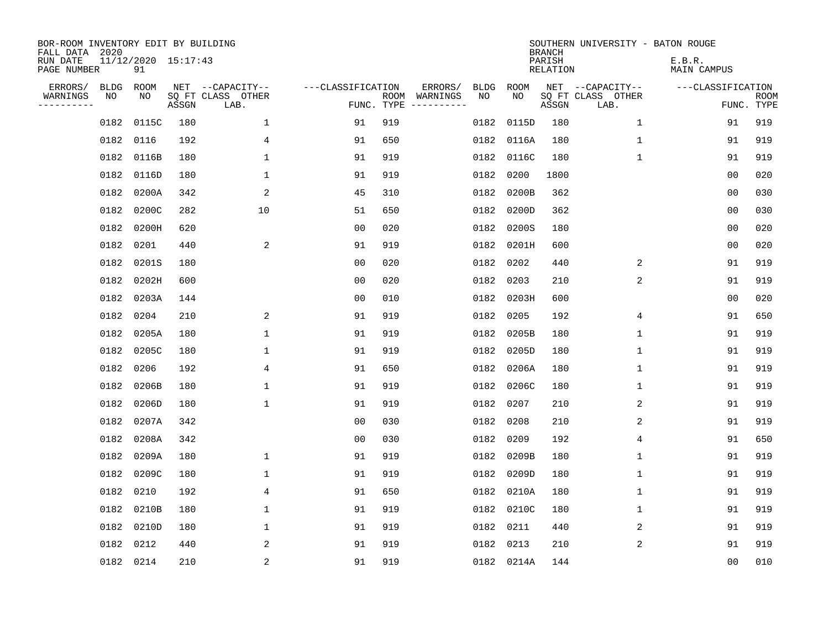| BOR-ROOM INVENTORY EDIT BY BUILDING<br>FALL DATA 2020<br>RUN DATE<br>PAGE NUMBER |            | 11/12/2020 15:17:43<br>91 |       |                                               |                                 |     |                          |            |            | <b>BRANCH</b><br>PARISH<br>RELATION | SOUTHERN UNIVERSITY - BATON ROUGE             | E.B.R.<br>MAIN CAMPUS |                           |
|----------------------------------------------------------------------------------|------------|---------------------------|-------|-----------------------------------------------|---------------------------------|-----|--------------------------|------------|------------|-------------------------------------|-----------------------------------------------|-----------------------|---------------------------|
| ERRORS/<br>WARNINGS<br>---------                                                 | BLDG<br>ΝO | ROOM<br>NO                | ASSGN | NET --CAPACITY--<br>SQ FT CLASS OTHER<br>LAB. | ---CLASSIFICATION<br>FUNC. TYPE |     | ERRORS/<br>ROOM WARNINGS | BLDG<br>NO | ROOM<br>NO | ASSGN                               | NET --CAPACITY--<br>SQ FT CLASS OTHER<br>LAB. | ---CLASSIFICATION     | <b>ROOM</b><br>FUNC. TYPE |
|                                                                                  |            | 0182 0115C                | 180   | $\mathbf{1}$                                  | 91                              | 919 |                          | 0182       | 0115D      | 180                                 | $\mathbf{1}$                                  | 91                    | 919                       |
|                                                                                  | 0182 0116  |                           | 192   | 4                                             | 91                              | 650 |                          | 0182       | 0116A      | 180                                 | $\mathbf{1}$                                  | 91                    | 919                       |
|                                                                                  |            | 0182 0116B                | 180   | $\mathbf{1}$                                  | 91                              | 919 |                          | 0182       | 0116C      | 180                                 | $\mathbf{1}$                                  | 91                    | 919                       |
|                                                                                  |            | 0182 0116D                | 180   | $\mathbf{1}$                                  | 91                              | 919 |                          | 0182       | 0200       | 1800                                |                                               | 0 <sub>0</sub>        | 020                       |
|                                                                                  |            | 0182 0200A                | 342   | 2                                             | 45                              | 310 |                          | 0182       | 0200B      | 362                                 |                                               | 0 <sub>0</sub>        | 030                       |
|                                                                                  |            | 0182 0200C                | 282   | 10                                            | 51                              | 650 |                          | 0182       | 0200D      | 362                                 |                                               | 0 <sub>0</sub>        | 030                       |
|                                                                                  |            | 0182 0200H                | 620   |                                               | 0 <sub>0</sub>                  | 020 |                          | 0182       | 0200S      | 180                                 |                                               | 0 <sub>0</sub>        | 020                       |
|                                                                                  | 0182 0201  |                           | 440   | 2                                             | 91                              | 919 |                          | 0182       | 0201H      | 600                                 |                                               | 0 <sub>0</sub>        | 020                       |
|                                                                                  |            | 0182 0201S                | 180   |                                               | 0 <sub>0</sub>                  | 020 |                          | 0182       | 0202       | 440                                 | 2                                             | 91                    | 919                       |
|                                                                                  |            | 0182 0202H                | 600   |                                               | 00                              | 020 |                          | 0182       | 0203       | 210                                 | 2                                             | 91                    | 919                       |
|                                                                                  |            | 0182 0203A                | 144   |                                               | 00                              | 010 |                          | 0182       | 0203H      | 600                                 |                                               | 00                    | 020                       |
|                                                                                  | 0182 0204  |                           | 210   | 2                                             | 91                              | 919 |                          | 0182       | 0205       | 192                                 | 4                                             | 91                    | 650                       |
|                                                                                  |            | 0182 0205A                | 180   | 1                                             | 91                              | 919 |                          | 0182       | 0205B      | 180                                 | 1                                             | 91                    | 919                       |
|                                                                                  |            | 0182 0205C                | 180   | 1                                             | 91                              | 919 |                          | 0182       | 0205D      | 180                                 | 1                                             | 91                    | 919                       |
|                                                                                  | 0182 0206  |                           | 192   | 4                                             | 91                              | 650 |                          | 0182       | 0206A      | 180                                 | 1                                             | 91                    | 919                       |
|                                                                                  |            | 0182 0206B                | 180   | $\mathbf{1}$                                  | 91                              | 919 |                          |            | 0182 0206C | 180                                 | $\mathbf 1$                                   | 91                    | 919                       |
|                                                                                  |            | 0182 0206D                | 180   | $\mathbf{1}$                                  | 91                              | 919 |                          | 0182       | 0207       | 210                                 | 2                                             | 91                    | 919                       |
|                                                                                  |            | 0182 0207A                | 342   |                                               | 00                              | 030 |                          | 0182       | 0208       | 210                                 | 2                                             | 91                    | 919                       |
|                                                                                  |            | 0182 0208A                | 342   |                                               | 00                              | 030 |                          | 0182       | 0209       | 192                                 | 4                                             | 91                    | 650                       |
|                                                                                  |            | 0182 0209A                | 180   | 1                                             | 91                              | 919 |                          |            | 0182 0209B | 180                                 | 1                                             | 91                    | 919                       |
|                                                                                  |            | 0182 0209C                | 180   | 1                                             | 91                              | 919 |                          |            | 0182 0209D | 180                                 | 1                                             | 91                    | 919                       |
|                                                                                  | 0182 0210  |                           | 192   | 4                                             | 91                              | 650 |                          | 0182       | 0210A      | 180                                 | 1                                             | 91                    | 919                       |
|                                                                                  |            | 0182 0210B                | 180   | $\mathbf{1}$                                  | 91                              | 919 |                          |            | 0182 0210C | 180                                 | 1                                             | 91                    | 919                       |
|                                                                                  |            | 0182 0210D                | 180   | $\mathbf{1}$                                  | 91                              | 919 |                          |            | 0182 0211  | 440                                 | 2                                             | 91                    | 919                       |
|                                                                                  | 0182 0212  |                           | 440   | 2                                             | 91                              | 919 |                          |            | 0182 0213  | 210                                 | 2                                             | 91                    | 919                       |
|                                                                                  | 0182 0214  |                           | 210   | 2                                             | 91                              | 919 |                          |            | 0182 0214A | 144                                 |                                               | 0 <sub>0</sub>        | 010                       |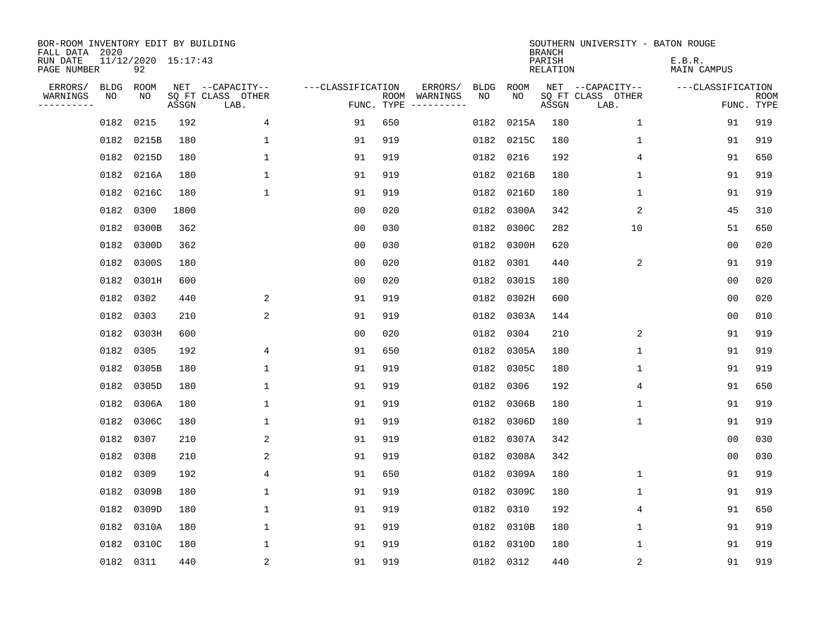| BOR-ROOM INVENTORY EDIT BY BUILDING<br>FALL DATA 2020 |            |                           |       |                                       |                   |            |                          |            |            | <b>BRANCH</b>      | SOUTHERN UNIVERSITY - BATON ROUGE |                       |             |
|-------------------------------------------------------|------------|---------------------------|-------|---------------------------------------|-------------------|------------|--------------------------|------------|------------|--------------------|-----------------------------------|-----------------------|-------------|
| RUN DATE<br>PAGE NUMBER                               |            | 11/12/2020 15:17:43<br>92 |       |                                       |                   |            |                          |            |            | PARISH<br>RELATION |                                   | E.B.R.<br>MAIN CAMPUS |             |
| ERRORS/<br>WARNINGS                                   | BLDG<br>NO | ROOM<br>NO                |       | NET --CAPACITY--<br>SQ FT CLASS OTHER | ---CLASSIFICATION |            | ERRORS/<br>ROOM WARNINGS | BLDG<br>NO | ROOM<br>NO |                    | NET --CAPACITY--                  | ---CLASSIFICATION     | <b>ROOM</b> |
| ----------                                            |            |                           | ASSGN | LAB.                                  |                   | FUNC. TYPE |                          |            |            | ASSGN              | SQ FT CLASS OTHER<br>LAB.         |                       | FUNC. TYPE  |
|                                                       | 0182       | 0215                      | 192   | $\overline{4}$                        | 91                | 650        |                          | 0182       | 0215A      | 180                | $\mathbf{1}$                      | 91                    | 919         |
|                                                       | 0182       | 0215B                     | 180   | $\mathbf 1$                           | 91                | 919        |                          |            | 0182 0215C | 180                | 1                                 | 91                    | 919         |
|                                                       |            | 0182 0215D                | 180   | $\mathbf{1}$                          | 91                | 919        |                          |            | 0182 0216  | 192                | 4                                 | 91                    | 650         |
|                                                       | 0182       | 0216A                     | 180   | 1                                     | 91                | 919        |                          |            | 0182 0216B | 180                | $\mathbf 1$                       | 91                    | 919         |
|                                                       | 0182       | 0216C                     | 180   | $\mathbf{1}$                          | 91                | 919        |                          | 0182       | 0216D      | 180                | $\mathbf 1$                       | 91                    | 919         |
|                                                       | 0182       | 0300                      | 1800  |                                       | 0 <sub>0</sub>    | 020        |                          |            | 0182 0300A | 342                | 2                                 | 45                    | 310         |
|                                                       | 0182       | 0300B                     | 362   |                                       | 0 <sub>0</sub>    | 030        |                          |            | 0182 0300C | 282                | 10                                | 51                    | 650         |
|                                                       | 0182       | 0300D                     | 362   |                                       | 0 <sub>0</sub>    | 030        |                          |            | 0182 0300H | 620                |                                   | 0 <sub>0</sub>        | 020         |
|                                                       | 0182       | 0300S                     | 180   |                                       | 00                | 020        |                          | 0182       | 0301       | 440                | 2                                 | 91                    | 919         |
|                                                       | 0182       | 0301H                     | 600   |                                       | 0 <sub>0</sub>    | 020        |                          |            | 0182 0301S | 180                |                                   | 0 <sub>0</sub>        | 020         |
|                                                       | 0182       | 0302                      | 440   | 2                                     | 91                | 919        |                          | 0182       | 0302H      | 600                |                                   | 0 <sub>0</sub>        | 020         |
|                                                       | 0182       | 0303                      | 210   | 2                                     | 91                | 919        |                          |            | 0182 0303A | 144                |                                   | 00                    | 010         |
|                                                       | 0182       | 0303H                     | 600   |                                       | 0 <sub>0</sub>    | 020        |                          | 0182       | 0304       | 210                | 2                                 | 91                    | 919         |
|                                                       | 0182       | 0305                      | 192   | $\overline{4}$                        | 91                | 650        |                          | 0182       | 0305A      | 180                | 1                                 | 91                    | 919         |
|                                                       | 0182       | 0305B                     | 180   | 1                                     | 91                | 919        |                          |            | 0182 0305C | 180                | 1                                 | 91                    | 919         |
|                                                       | 0182       | 0305D                     | 180   | 1                                     | 91                | 919        |                          | 0182       | 0306       | 192                | 4                                 | 91                    | 650         |
|                                                       | 0182       | 0306A                     | 180   | 1                                     | 91                | 919        |                          |            | 0182 0306B | 180                | 1                                 | 91                    | 919         |
|                                                       | 0182       | 0306C                     | 180   | 1                                     | 91                | 919        |                          | 0182       | 0306D      | 180                | $\mathbf 1$                       | 91                    | 919         |
|                                                       | 0182       | 0307                      | 210   | 2                                     | 91                | 919        |                          |            | 0182 0307A | 342                |                                   | 0 <sub>0</sub>        | 030         |
|                                                       | 0182       | 0308                      | 210   | 2                                     | 91                | 919        |                          |            | 0182 0308A | 342                |                                   | 00                    | 030         |
|                                                       | 0182       | 0309                      | 192   | 4                                     | 91                | 650        |                          |            | 0182 0309A | 180                | 1                                 | 91                    | 919         |
|                                                       | 0182       | 0309B                     | 180   | $\mathbf 1$                           | 91                | 919        |                          |            | 0182 0309C | 180                | 1                                 | 91                    | 919         |
|                                                       | 0182       | 0309D                     | 180   | 1                                     | 91                | 919        |                          |            | 0182 0310  | 192                | 4                                 | 91                    | 650         |
|                                                       | 0182       | 0310A                     | 180   | $\mathbf{1}$                          | 91                | 919        |                          |            | 0182 0310B | 180                | $\mathbf 1$                       | 91                    | 919         |
|                                                       | 0182       | 0310C                     | 180   | $\mathbf{1}$                          | 91                | 919        |                          |            | 0182 0310D | 180                | 1                                 | 91                    | 919         |
|                                                       | 0182 0311  |                           | 440   | 2                                     | 91                | 919        |                          |            | 0182 0312  | 440                | 2                                 | 91                    | 919         |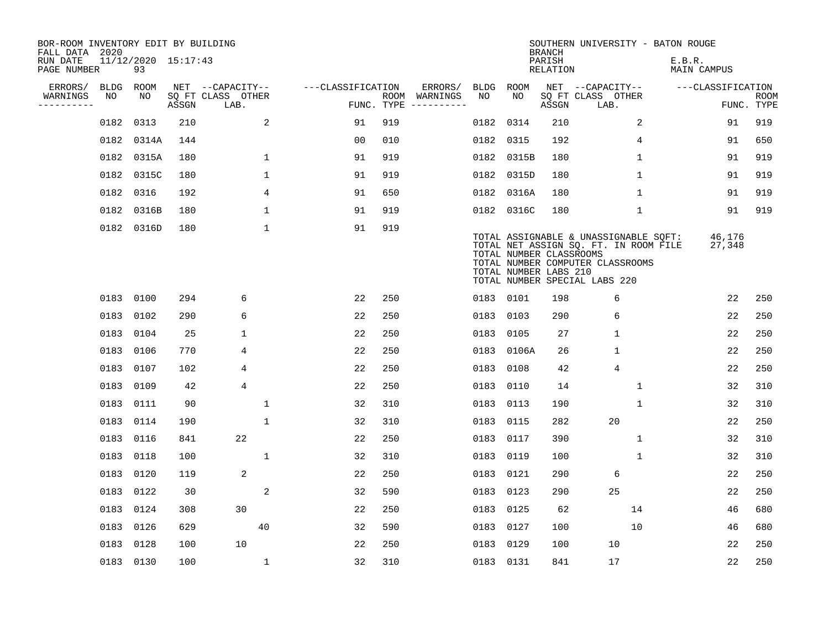| BOR-ROOM INVENTORY EDIT BY BUILDING<br>FALL DATA 2020 |             |                           |       |                           |                   |                    |          |      |                                                  | <b>BRANCH</b>      | SOUTHERN UNIVERSITY - BATON ROUGE                                                                                                                   |                              |                           |
|-------------------------------------------------------|-------------|---------------------------|-------|---------------------------|-------------------|--------------------|----------|------|--------------------------------------------------|--------------------|-----------------------------------------------------------------------------------------------------------------------------------------------------|------------------------------|---------------------------|
| RUN DATE<br>PAGE NUMBER                               |             | 11/12/2020 15:17:43<br>93 |       |                           |                   |                    |          |      |                                                  | PARISH<br>RELATION |                                                                                                                                                     | E.B.R.<br><b>MAIN CAMPUS</b> |                           |
| ERRORS/                                               | <b>BLDG</b> | ROOM                      |       | NET --CAPACITY--          | ---CLASSIFICATION |                    | ERRORS/  | BLDG | ROOM                                             |                    | NET --CAPACITY--                                                                                                                                    | ---CLASSIFICATION            |                           |
| WARNINGS<br>----------                                | NO          | NO                        | ASSGN | SQ FT CLASS OTHER<br>LAB. |                   | ROOM<br>FUNC. TYPE | WARNINGS | NO   | NO                                               | ASSGN              | SQ FT CLASS OTHER<br>LAB.                                                                                                                           |                              | <b>ROOM</b><br>FUNC. TYPE |
|                                                       | 0182        | 0313                      | 210   | 2                         | 91                | 919                |          | 0182 | 0314                                             | 210                | 2                                                                                                                                                   | 91                           | 919                       |
|                                                       | 0182        | 0314A                     | 144   |                           | 0 <sub>0</sub>    | 010                |          |      | 0182 0315                                        | 192                | 4                                                                                                                                                   | 91                           | 650                       |
|                                                       | 0182        | 0315A                     | 180   | $\mathbf 1$               | 91                | 919                |          |      | 0182 0315B                                       | 180                | $\mathbf 1$                                                                                                                                         | 91                           | 919                       |
|                                                       |             | 0182 0315C                | 180   | $\mathbf{1}$              | 91                | 919                |          |      | 0182 0315D                                       | 180                | $\mathbf 1$                                                                                                                                         | 91                           | 919                       |
|                                                       | 0182        | 0316                      | 192   | 4                         | 91                | 650                |          |      | 0182 0316A                                       | 180                | $\mathbf{1}$                                                                                                                                        | 91                           | 919                       |
|                                                       | 0182        | 0316B                     | 180   | $\mathbf{1}$              | 91                | 919                |          |      | 0182 0316C                                       | 180                | $\mathbf{1}$                                                                                                                                        | 91                           | 919                       |
|                                                       |             | 0182 0316D                | 180   | $\mathbf{1}$              | 91                | 919                |          |      | TOTAL NUMBER CLASSROOMS<br>TOTAL NUMBER LABS 210 |                    | TOTAL ASSIGNABLE & UNASSIGNABLE SQFT:<br>TOTAL NET ASSIGN SQ. FT. IN ROOM FILE<br>TOTAL NUMBER COMPUTER CLASSROOMS<br>TOTAL NUMBER SPECIAL LABS 220 | 46,176<br>27,348             |                           |
|                                                       |             | 0183 0100                 | 294   | 6                         | 22                | 250                |          |      | 0183 0101                                        | 198                | 6                                                                                                                                                   | 22                           | 250                       |
|                                                       |             | 0183 0102                 | 290   | 6                         | 22                | 250                |          |      | 0183 0103                                        | 290                | 6                                                                                                                                                   | 22                           | 250                       |
|                                                       | 0183        | 0104                      | 25    | 1                         | 22                | 250                |          | 0183 | 0105                                             | 27                 | $\mathbf{1}$                                                                                                                                        | 22                           | 250                       |
|                                                       | 0183        | 0106                      | 770   | 4                         | 22                | 250                |          |      | 0183 0106A                                       | 26                 | $\mathbf{1}$                                                                                                                                        | 22                           | 250                       |
|                                                       | 0183        | 0107                      | 102   | 4                         | 22                | 250                |          |      | 0183 0108                                        | 42                 | 4                                                                                                                                                   | 22                           | 250                       |
|                                                       | 0183        | 0109                      | 42    | 4                         | 22                | 250                |          |      | 0183 0110                                        | 14                 | 1                                                                                                                                                   | 32                           | 310                       |
|                                                       | 0183        | 0111                      | 90    | $\mathbf{1}$              | 32                | 310                |          |      | 0183 0113                                        | 190                | 1                                                                                                                                                   | 32                           | 310                       |
|                                                       | 0183        | 0114                      | 190   | $\mathbf{1}$              | 32                | 310                |          |      | 0183 0115                                        | 282                | 20                                                                                                                                                  | 22                           | 250                       |
|                                                       |             | 0183 0116                 | 841   | 22                        | 22                | 250                |          |      | 0183 0117                                        | 390                | $\mathbf{1}$                                                                                                                                        | 32                           | 310                       |
|                                                       | 0183        | 0118                      | 100   | $\mathbf{1}$              | 32                | 310                |          |      | 0183 0119                                        | 100                | 1                                                                                                                                                   | 32                           | 310                       |
|                                                       | 0183        | 0120                      | 119   | 2                         | 22                | 250                |          |      | 0183 0121                                        | 290                | 6                                                                                                                                                   | 22                           | 250                       |
|                                                       | 0183        | 0122                      | 30    | 2                         | 32                | 590                |          |      | 0183 0123                                        | 290                | 25                                                                                                                                                  | 22                           | 250                       |
|                                                       |             | 0183 0124                 | 308   | 30                        | 22                | 250                |          |      | 0183 0125                                        | 62                 | 14                                                                                                                                                  | 46                           | 680                       |
|                                                       |             | 0183 0126                 | 629   | 40                        | 32                | 590                |          |      | 0183 0127                                        | 100                | 10                                                                                                                                                  | 46                           | 680                       |
|                                                       | 0183        | 0128                      | 100   | 10                        | 22                | 250                |          |      | 0183 0129                                        | 100                | 10                                                                                                                                                  | 22                           | 250                       |
|                                                       |             | 0183 0130                 | 100   | $\mathbf{1}$              | 32                | 310                |          |      | 0183 0131                                        | 841                | 17                                                                                                                                                  | 22                           | 250                       |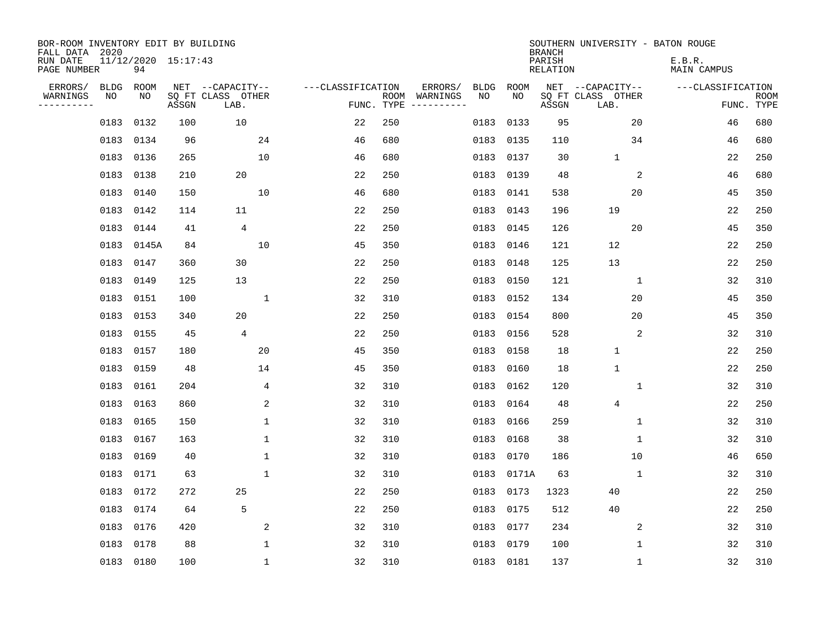| BOR-ROOM INVENTORY EDIT BY BUILDING<br>FALL DATA 2020 |             |                           |       |                           |                   |                                |             |            | <b>BRANCH</b>      | SOUTHERN UNIVERSITY - BATON ROUGE |                       |                           |
|-------------------------------------------------------|-------------|---------------------------|-------|---------------------------|-------------------|--------------------------------|-------------|------------|--------------------|-----------------------------------|-----------------------|---------------------------|
| RUN DATE<br>PAGE NUMBER                               |             | 11/12/2020 15:17:43<br>94 |       |                           |                   |                                |             |            | PARISH<br>RELATION |                                   | E.B.R.<br>MAIN CAMPUS |                           |
| ERRORS/                                               | <b>BLDG</b> | ROOM                      |       | NET --CAPACITY--          | ---CLASSIFICATION | ERRORS/                        | <b>BLDG</b> | ROOM       |                    | NET --CAPACITY--                  | ---CLASSIFICATION     |                           |
| WARNINGS<br>-----------                               | NO          | NO                        | ASSGN | SQ FT CLASS OTHER<br>LAB. |                   | ROOM<br>WARNINGS<br>FUNC. TYPE | NO          | NO         | ASSGN              | SQ FT CLASS OTHER<br>LAB.         |                       | <b>ROOM</b><br>FUNC. TYPE |
|                                                       | 0183        | 0132                      | 100   | 10                        | 22                | 250                            | 0183        | 0133       | 95                 | 20                                | 46                    | 680                       |
|                                                       | 0183        | 0134                      | 96    | 24                        | 46                | 680                            | 0183        | 0135       | 110                | 34                                | 46                    | 680                       |
|                                                       | 0183        | 0136                      | 265   | 10                        | 46                | 680                            | 0183        | 0137       | 30                 | $\mathbf{1}$                      | 22                    | 250                       |
|                                                       | 0183        | 0138                      | 210   | 20                        | 22                | 250                            |             | 0183 0139  | 48                 | 2                                 | 46                    | 680                       |
|                                                       | 0183        | 0140                      | 150   | 10                        | 46                | 680                            | 0183 0141   |            | 538                | 20                                | 45                    | 350                       |
|                                                       | 0183        | 0142                      | 114   | 11                        | 22                | 250                            |             | 0183 0143  | 196                | 19                                | 22                    | 250                       |
|                                                       | 0183        | 0144                      | 41    | $\overline{4}$            | 22                | 250                            | 0183 0145   |            | 126                | 20                                | 45                    | 350                       |
|                                                       | 0183        | 0145A                     | 84    | 10                        | 45                | 350                            | 0183 0146   |            | 121                | 12                                | 22                    | 250                       |
|                                                       | 0183        | 0147                      | 360   | 30                        | 22                | 250                            | 0183 0148   |            | 125                | 13                                | 22                    | 250                       |
|                                                       | 0183        | 0149                      | 125   | 13                        | 22                | 250                            |             | 0183 0150  | 121                | 1                                 | 32                    | 310                       |
|                                                       | 0183        | 0151                      | 100   | 1                         | 32                | 310                            | 0183 0152   |            | 134                | 20                                | 45                    | 350                       |
|                                                       | 0183        | 0153                      | 340   | 20                        | 22                | 250                            |             | 0183 0154  | 800                | 20                                | 45                    | 350                       |
|                                                       | 0183        | 0155                      | 45    | 4                         | 22                | 250                            | 0183        | 0156       | 528                | 2                                 | 32                    | 310                       |
|                                                       | 0183        | 0157                      | 180   | 20                        | 45                | 350                            |             | 0183 0158  | 18                 | $\mathbf{1}$                      | 22                    | 250                       |
|                                                       | 0183        | 0159                      | 48    | 14                        | 45                | 350                            | 0183        | 0160       | 18                 | $\mathbf{1}$                      | 22                    | 250                       |
|                                                       | 0183        | 0161                      | 204   | 4                         | 32                | 310                            | 0183 0162   |            | 120                | $\mathbf{1}$                      | 32                    | 310                       |
|                                                       | 0183        | 0163                      | 860   | 2                         | 32                | 310                            | 0183        | 0164       | 48                 | $\overline{4}$                    | 22                    | 250                       |
|                                                       | 0183        | 0165                      | 150   | 1                         | 32                | 310                            | 0183        | 0166       | 259                | 1                                 | 32                    | 310                       |
|                                                       | 0183        | 0167                      | 163   | 1                         | 32                | 310                            | 0183 0168   |            | 38                 | 1                                 | 32                    | 310                       |
|                                                       | 0183        | 0169                      | 40    | 1                         | 32                | 310                            | 0183        | 0170       | 186                | 10                                | 46                    | 650                       |
|                                                       | 0183        | 0171                      | 63    | 1                         | 32                | 310                            |             | 0183 0171A | 63                 | 1                                 | 32                    | 310                       |
|                                                       | 0183        | 0172                      | 272   | 25                        | 22                | 250                            | 0183        | 0173       | 1323               | 40                                | 22                    | 250                       |
|                                                       | 0183        | 0174                      | 64    | 5                         | 22                | 250                            | 0183 0175   |            | 512                | 40                                | 22                    | 250                       |
|                                                       | 0183        | 0176                      | 420   | 2                         | 32                | 310                            | 0183 0177   |            | 234                | 2                                 | 32                    | 310                       |
|                                                       | 0183        | 0178                      | 88    | $\mathbf{1}$              | 32                | 310                            | 0183 0179   |            | 100                | 1                                 | 32                    | 310                       |
|                                                       |             | 0183 0180                 | 100   | $\mathbf{1}$              | 32                | 310                            | 0183 0181   |            | 137                | 1                                 | 32                    | 310                       |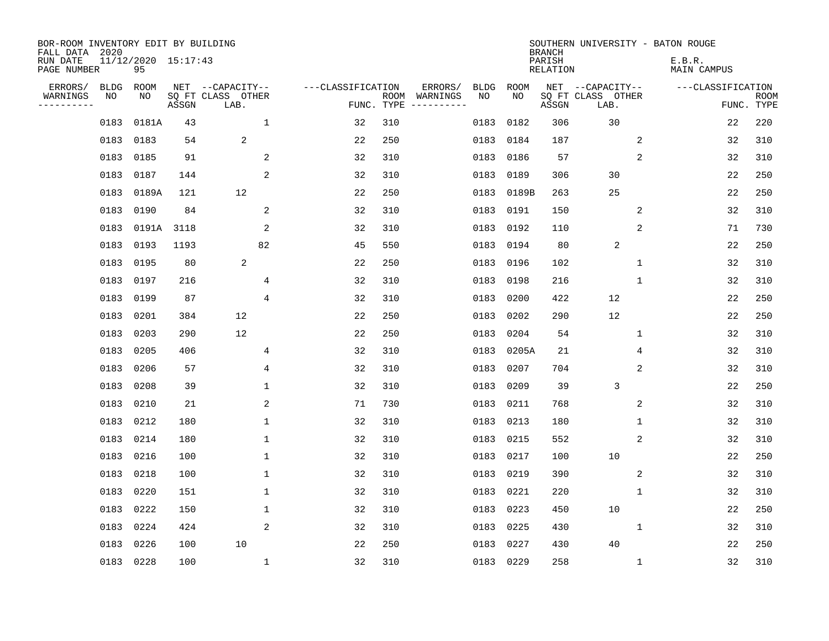| BOR-ROOM INVENTORY EDIT BY BUILDING<br>FALL DATA 2020 |           |                           |       |                           |                   |                    |          |             |             | <b>BRANCH</b>             | SOUTHERN UNIVERSITY - BATON ROUGE |              |                              |                           |
|-------------------------------------------------------|-----------|---------------------------|-------|---------------------------|-------------------|--------------------|----------|-------------|-------------|---------------------------|-----------------------------------|--------------|------------------------------|---------------------------|
| RUN DATE<br>PAGE NUMBER                               |           | 11/12/2020 15:17:43<br>95 |       |                           |                   |                    |          |             |             | PARISH<br><b>RELATION</b> |                                   |              | E.B.R.<br><b>MAIN CAMPUS</b> |                           |
| ERRORS/                                               | BLDG      | ROOM                      |       | NET --CAPACITY--          | ---CLASSIFICATION |                    | ERRORS/  | <b>BLDG</b> | <b>ROOM</b> |                           | NET --CAPACITY--                  |              | ---CLASSIFICATION            |                           |
| WARNINGS<br>-----------                               | ΝO        | NO                        | ASSGN | SQ FT CLASS OTHER<br>LAB. |                   | ROOM<br>FUNC. TYPE | WARNINGS | NO          | NO          | ASSGN                     | SQ FT CLASS OTHER<br>LAB.         |              |                              | <b>ROOM</b><br>FUNC. TYPE |
|                                                       | 0183      | 0181A                     | 43    | $\mathbf{1}$              | 32                | 310                |          | 0183        | 0182        | 306                       | 30                                |              | 22                           | 220                       |
|                                                       |           | 0183 0183                 | 54    | $\overline{\mathbf{c}}$   | 22                | 250                |          | 0183        | 0184        | 187                       |                                   | 2            | 32                           | 310                       |
|                                                       | 0183      | 0185                      | 91    | 2                         | 32                | 310                |          | 0183        | 0186        | 57                        |                                   | 2            | 32                           | 310                       |
|                                                       | 0183 0187 |                           | 144   | 2                         | 32                | 310                |          | 0183        | 0189        | 306                       | 30                                |              | 22                           | 250                       |
|                                                       | 0183      | 0189A                     | 121   | 12                        | 22                | 250                |          | 0183        | 0189B       | 263                       | 25                                |              | 22                           | 250                       |
|                                                       | 0183 0190 |                           | 84    | 2                         | 32                | 310                |          | 0183        | 0191        | 150                       |                                   | 2            | 32                           | 310                       |
|                                                       |           | 0183 0191A                | 3118  | 2                         | 32                | 310                |          | 0183        | 0192        | 110                       |                                   | 2            | 71                           | 730                       |
|                                                       | 0183 0193 |                           | 1193  | 82                        | 45                | 550                |          | 0183        | 0194        | 80                        | 2                                 |              | 22                           | 250                       |
|                                                       | 0183 0195 |                           | 80    | 2                         | 22                | 250                |          | 0183        | 0196        | 102                       |                                   | $\mathbf{1}$ | 32                           | 310                       |
|                                                       | 0183 0197 |                           | 216   | 4                         | 32                | 310                |          | 0183        | 0198        | 216                       |                                   | 1            | 32                           | 310                       |
|                                                       | 0183      | 0199                      | 87    | 4                         | 32                | 310                |          | 0183        | 0200        | 422                       | 12                                |              | 22                           | 250                       |
|                                                       | 0183 0201 |                           | 384   | 12                        | 22                | 250                |          | 0183        | 0202        | 290                       | 12                                |              | 22                           | 250                       |
|                                                       | 0183      | 0203                      | 290   | 12                        | 22                | 250                |          | 0183        | 0204        | 54                        |                                   | $\mathbf 1$  | 32                           | 310                       |
|                                                       | 0183      | 0205                      | 406   | 4                         | 32                | 310                |          | 0183        | 0205A       | 21                        |                                   | 4            | 32                           | 310                       |
|                                                       | 0183      | 0206                      | 57    | 4                         | 32                | 310                |          | 0183        | 0207        | 704                       |                                   | 2            | 32                           | 310                       |
|                                                       | 0183      | 0208                      | 39    | $\mathbf{1}$              | 32                | 310                |          | 0183        | 0209        | 39                        | 3                                 |              | 22                           | 250                       |
|                                                       | 0183      | 0210                      | 21    | 2                         | 71                | 730                |          | 0183        | 0211        | 768                       |                                   | 2            | 32                           | 310                       |
|                                                       | 0183      | 0212                      | 180   | 1                         | 32                | 310                |          | 0183        | 0213        | 180                       |                                   | 1            | 32                           | 310                       |
|                                                       | 0183 0214 |                           | 180   | 1                         | 32                | 310                |          | 0183        | 0215        | 552                       |                                   | 2            | 32                           | 310                       |
|                                                       | 0183      | 0216                      | 100   | 1                         | 32                | 310                |          | 0183        | 0217        | 100                       | 10                                |              | 22                           | 250                       |
|                                                       | 0183      | 0218                      | 100   | 1                         | 32                | 310                |          | 0183        | 0219        | 390                       |                                   | 2            | 32                           | 310                       |
|                                                       | 0183      | 0220                      | 151   | $\mathbf{1}$              | 32                | 310                |          | 0183        | 0221        | 220                       |                                   | $\mathbf{1}$ | 32                           | 310                       |
|                                                       | 0183      | 0222                      | 150   | $\mathbf{1}$              | 32                | 310                |          | 0183        | 0223        | 450                       | 10                                |              | 22                           | 250                       |
|                                                       | 0183      | 0224                      | 424   | 2                         | 32                | 310                |          | 0183        | 0225        | 430                       |                                   | $\mathbf 1$  | 32                           | 310                       |
|                                                       | 0183      | 0226                      | 100   | 10                        | 22                | 250                |          | 0183        | 0227        | 430                       | 40                                |              | 22                           | 250                       |
|                                                       | 0183 0228 |                           | 100   | $\mathbf{1}$              | 32                | 310                |          |             | 0183 0229   | 258                       |                                   | $\mathbf{1}$ | 32                           | 310                       |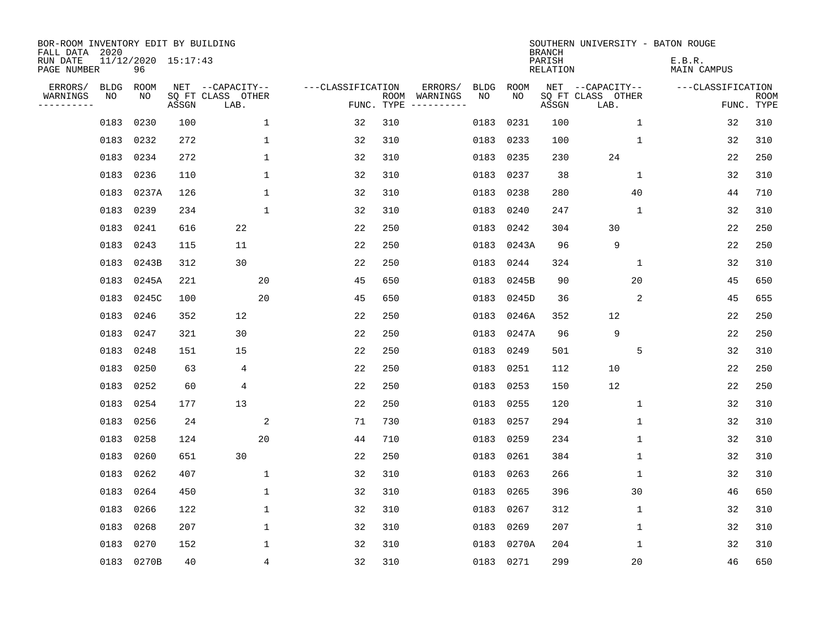| BOR-ROOM INVENTORY EDIT BY BUILDING<br>FALL DATA 2020 |           |                           |       |                           |                   |                    |          |      |           | <b>BRANCH</b>             |                           | SOUTHERN UNIVERSITY - BATON ROUGE |                           |
|-------------------------------------------------------|-----------|---------------------------|-------|---------------------------|-------------------|--------------------|----------|------|-----------|---------------------------|---------------------------|-----------------------------------|---------------------------|
| RUN DATE<br>PAGE NUMBER                               |           | 11/12/2020 15:17:43<br>96 |       |                           |                   |                    |          |      |           | PARISH<br><b>RELATION</b> |                           | E.B.R.<br><b>MAIN CAMPUS</b>      |                           |
| ERRORS/                                               | BLDG      | ROOM                      |       | NET --CAPACITY--          | ---CLASSIFICATION |                    | ERRORS/  | BLDG | ROOM      |                           | NET --CAPACITY--          | ---CLASSIFICATION                 |                           |
| WARNINGS<br>.                                         | NO        | NO                        | ASSGN | SQ FT CLASS OTHER<br>LAB. |                   | ROOM<br>FUNC. TYPE | WARNINGS | NO   | NO        | ASSGN                     | SQ FT CLASS OTHER<br>LAB. |                                   | <b>ROOM</b><br>FUNC. TYPE |
|                                                       | 0183      | 0230                      | 100   | 1                         | 32                | 310                |          | 0183 | 0231      | 100                       | $\mathbf 1$               | 32                                | 310                       |
|                                                       | 0183      | 0232                      | 272   | $\mathbf 1$               | 32                | 310                |          | 0183 | 0233      | 100                       | 1                         | 32                                | 310                       |
|                                                       | 0183      | 0234                      | 272   | $\mathbf{1}$              | 32                | 310                |          | 0183 | 0235      | 230                       | 24                        | 22                                | 250                       |
|                                                       | 0183 0236 |                           | 110   | 1                         | 32                | 310                |          | 0183 | 0237      | 38                        | 1                         | 32                                | 310                       |
|                                                       | 0183      | 0237A                     | 126   | $\mathbf 1$               | 32                | 310                |          | 0183 | 0238      | 280                       | 40                        | 44                                | 710                       |
|                                                       | 0183 0239 |                           | 234   | $\mathbf{1}$              | 32                | 310                |          | 0183 | 0240      | 247                       | $\mathbf{1}$              | 32                                | 310                       |
|                                                       | 0183      | 0241                      | 616   | 22                        | 22                | 250                |          | 0183 | 0242      | 304                       | 30                        | 22                                | 250                       |
|                                                       | 0183      | 0243                      | 115   | 11                        | 22                | 250                |          | 0183 | 0243A     | 96                        | 9                         | 22                                | 250                       |
|                                                       | 0183      | 0243B                     | 312   | 30                        | 22                | 250                |          | 0183 | 0244      | 324                       | 1                         | 32                                | 310                       |
|                                                       | 0183      | 0245A                     | 221   | 20                        | 45                | 650                |          | 0183 | 0245B     | 90                        | 20                        | 45                                | 650                       |
|                                                       | 0183      | 0245C                     | 100   | 20                        | 45                | 650                |          | 0183 | 0245D     | 36                        | 2                         | 45                                | 655                       |
|                                                       | 0183      | 0246                      | 352   | 12                        | 22                | 250                |          | 0183 | 0246A     | 352                       | 12                        | 22                                | 250                       |
|                                                       | 0183      | 0247                      | 321   | 30                        | 22                | 250                |          | 0183 | 0247A     | 96                        | 9                         | 22                                | 250                       |
|                                                       | 0183      | 0248                      | 151   | 15                        | 22                | 250                |          | 0183 | 0249      | 501                       | 5                         | 32                                | 310                       |
|                                                       | 0183      | 0250                      | 63    | 4                         | 22                | 250                |          | 0183 | 0251      | 112                       | 10                        | 22                                | 250                       |
|                                                       | 0183      | 0252                      | 60    | 4                         | 22                | 250                |          | 0183 | 0253      | 150                       | 12                        | 22                                | 250                       |
|                                                       | 0183      | 0254                      | 177   | 13                        | 22                | 250                |          |      | 0183 0255 | 120                       | 1                         | 32                                | 310                       |
|                                                       | 0183      | 0256                      | 24    | 2                         | 71                | 730                |          | 0183 | 0257      | 294                       | $\mathbf 1$               | 32                                | 310                       |
|                                                       | 0183      | 0258                      | 124   | 20                        | 44                | 710                |          |      | 0183 0259 | 234                       | 1                         | 32                                | 310                       |
|                                                       | 0183      | 0260                      | 651   | 30                        | 22                | 250                |          |      | 0183 0261 | 384                       | 1                         | 32                                | 310                       |
|                                                       | 0183      | 0262                      | 407   | $\mathbf 1$               | 32                | 310                |          |      | 0183 0263 | 266                       | 1                         | 32                                | 310                       |
|                                                       | 0183      | 0264                      | 450   | $\mathbf{1}$              | 32                | 310                |          | 0183 | 0265      | 396                       | 30                        | 46                                | 650                       |
|                                                       | 0183      | 0266                      | 122   | $\mathbf{1}$              | 32                | 310                |          | 0183 | 0267      | 312                       | $\mathbf{1}$              | 32                                | 310                       |
|                                                       | 0183      | 0268                      | 207   | 1                         | 32                | 310                |          | 0183 | 0269      | 207                       | 1                         | 32                                | 310                       |
|                                                       | 0183      | 0270                      | 152   | 1                         | 32                | 310                |          | 0183 | 0270A     | 204                       | 1                         | 32                                | 310                       |
|                                                       |           | 0183 0270B                | 40    | 4                         | 32                | 310                |          |      | 0183 0271 | 299                       | 20                        | 46                                | 650                       |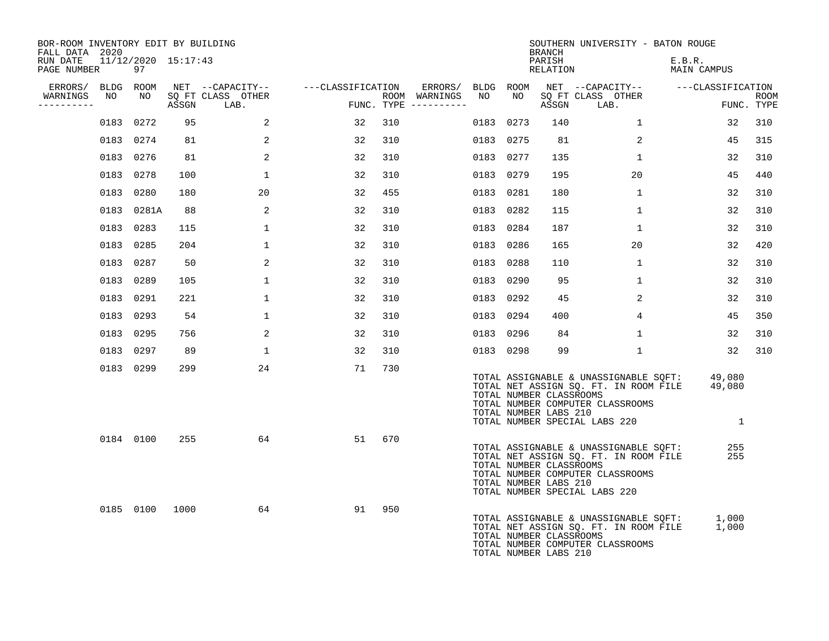| BOR-ROOM INVENTORY EDIT BY BUILDING<br>FALL DATA 2020 |                               |       |                           |                   |     |                                      |           |      | <b>BRANCH</b>                                    | SOUTHERN UNIVERSITY - BATON ROUGE                                                                                                                   |                                  |                    |
|-------------------------------------------------------|-------------------------------|-------|---------------------------|-------------------|-----|--------------------------------------|-----------|------|--------------------------------------------------|-----------------------------------------------------------------------------------------------------------------------------------------------------|----------------------------------|--------------------|
| RUN DATE<br>PAGE NUMBER                               | $11/12/2020$ $15:17:43$<br>97 |       |                           |                   |     |                                      |           |      | PARISH<br>RELATION                               |                                                                                                                                                     | E.B.R.<br>MAIN CAMPUS            |                    |
| ERRORS/                                               | BLDG ROOM                     |       | NET --CAPACITY--          | ---CLASSIFICATION |     | ERRORS/                              | BLDG ROOM |      |                                                  | NET --CAPACITY-- ----CLASSIFICATION                                                                                                                 |                                  |                    |
| WARNINGS<br>NO<br>----------                          | NO                            | ASSGN | SO FT CLASS OTHER<br>LAB. |                   |     | ROOM WARNINGS<br>FUNC. TYPE $------$ | NO        | NO   | ASSGN                                            | SQ FT CLASS OTHER<br>LAB.                                                                                                                           |                                  | ROOM<br>FUNC. TYPE |
|                                                       | 0183 0272                     | 95    | 2                         | 32                | 310 |                                      | 0183 0273 |      | 140                                              | 1                                                                                                                                                   | 32                               | 310                |
|                                                       | 0183 0274                     | 81    | 2                         | 32                | 310 |                                      | 0183 0275 |      | 81                                               | 2                                                                                                                                                   | 45                               | 315                |
|                                                       | 0183 0276                     | 81    | 2                         | 32                | 310 |                                      | 0183 0277 |      | 135                                              | 1                                                                                                                                                   | 32                               | 310                |
|                                                       | 0183 0278                     | 100   | $\mathbf{1}$              | 32                | 310 |                                      | 0183      | 0279 | 195                                              | 20                                                                                                                                                  | 45                               | 440                |
|                                                       | 0183 0280                     | 180   | 20                        | 32                | 455 |                                      | 0183      | 0281 | 180                                              | 1                                                                                                                                                   | 32                               | 310                |
|                                                       | 0183 0281A                    | 88    | 2                         | 32                | 310 |                                      | 0183      | 0282 | 115                                              | $\mathbf 1$                                                                                                                                         | 32                               | 310                |
|                                                       | 0183 0283                     | 115   | $\mathbf{1}$              | 32                | 310 |                                      | 0183 0284 |      | 187                                              | $\mathbf{1}$                                                                                                                                        | 32                               | 310                |
|                                                       | 0183 0285                     | 204   | $\mathbf 1$               | 32                | 310 |                                      | 0183      | 0286 | 165                                              | 20                                                                                                                                                  | 32                               | 420                |
|                                                       | 0183 0287                     | 50    | 2                         | 32                | 310 |                                      | 0183 0288 |      | 110                                              | $\mathbf{1}$                                                                                                                                        | 32                               | 310                |
|                                                       | 0183 0289                     | 105   | $\mathbf{1}$              | 32                | 310 |                                      | 0183      | 0290 | 95                                               | $\mathbf 1$                                                                                                                                         | 32                               | 310                |
|                                                       | 0183 0291                     | 221   | $\mathbf{1}$              | 32                | 310 |                                      | 0183 0292 |      | 45                                               | 2                                                                                                                                                   | 32                               | 310                |
|                                                       | 0183 0293                     | 54    | $\mathbf{1}$              | 32                | 310 |                                      | 0183      | 0294 | 400                                              | 4                                                                                                                                                   | 45                               | 350                |
|                                                       | 0183 0295                     | 756   | 2                         | 32                | 310 |                                      | 0183 0296 |      | 84                                               | $\mathbf{1}$                                                                                                                                        | 32                               | 310                |
|                                                       | 0183 0297                     | 89    | $\mathbf{1}$              | 32                | 310 |                                      | 0183 0298 |      | 99                                               | $\mathbf{1}$                                                                                                                                        | 32                               | 310                |
|                                                       | 0183 0299                     | 299   | 24                        | 71                | 730 |                                      |           |      | TOTAL NUMBER CLASSROOMS<br>TOTAL NUMBER LABS 210 | TOTAL ASSIGNABLE & UNASSIGNABLE SQFT:<br>TOTAL NET ASSIGN SQ. FT. IN ROOM FILE<br>TOTAL NUMBER COMPUTER CLASSROOMS<br>TOTAL NUMBER SPECIAL LABS 220 | 49,080<br>49,080<br>$\mathbf{1}$ |                    |
|                                                       | 0184 0100                     | 255   | 64                        | 51                | 670 |                                      |           |      | TOTAL NUMBER CLASSROOMS<br>TOTAL NUMBER LABS 210 | TOTAL ASSIGNABLE & UNASSIGNABLE SOFT:<br>TOTAL NET ASSIGN SQ. FT. IN ROOM FILE<br>TOTAL NUMBER COMPUTER CLASSROOMS<br>TOTAL NUMBER SPECIAL LABS 220 | 255<br>255                       |                    |
|                                                       | 0185 0100                     | 1000  | 64                        | 91                | 950 |                                      |           |      | TOTAL NUMBER CLASSROOMS<br>TOTAL NUMBER LABS 210 | TOTAL ASSIGNABLE & UNASSIGNABLE SQFT:<br>TOTAL NET ASSIGN SQ. FT. IN ROOM FILE<br>TOTAL NUMBER COMPUTER CLASSROOMS                                  | 1,000<br>1,000                   |                    |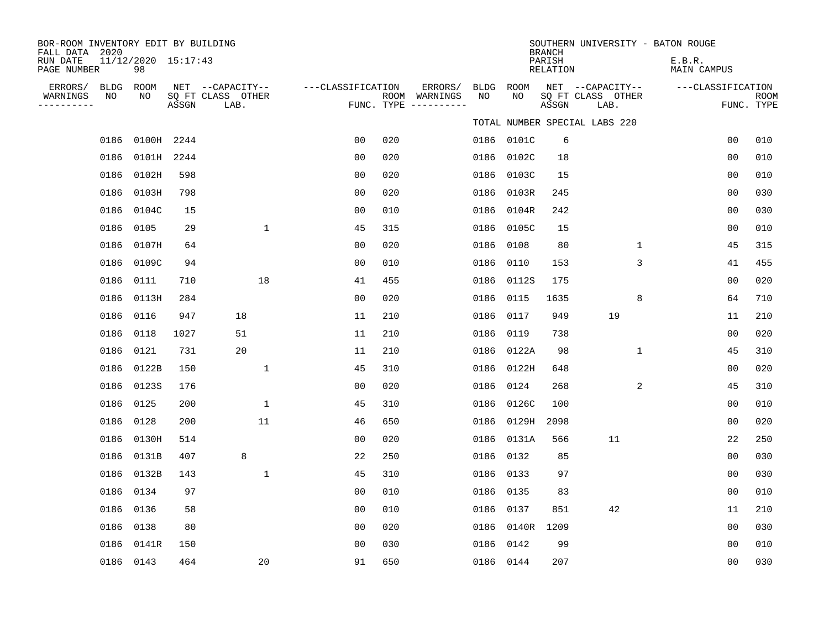| BOR-ROOM INVENTORY EDIT BY BUILDING<br>FALL DATA 2020 |           |                           |       |                                               |                   |     |                                                 |      |                 | <b>BRANCH</b>      |                                               |              | SOUTHERN UNIVERSITY - BATON ROUGE |                |                           |
|-------------------------------------------------------|-----------|---------------------------|-------|-----------------------------------------------|-------------------|-----|-------------------------------------------------|------|-----------------|--------------------|-----------------------------------------------|--------------|-----------------------------------|----------------|---------------------------|
| RUN DATE<br>PAGE NUMBER                               |           | 11/12/2020 15:17:43<br>98 |       |                                               |                   |     |                                                 |      |                 | PARISH<br>RELATION |                                               |              | E.B.R.<br><b>MAIN CAMPUS</b>      |                |                           |
| ERRORS/<br>WARNINGS<br>----------                     | NO        | BLDG ROOM<br>NO           | ASSGN | NET --CAPACITY--<br>SQ FT CLASS OTHER<br>LAB. | ---CLASSIFICATION |     | ERRORS/<br>ROOM WARNINGS<br>FUNC. TYPE $------$ | NO   | BLDG ROOM<br>NO | ASSGN              | NET --CAPACITY--<br>SQ FT CLASS OTHER<br>LAB. |              | ---CLASSIFICATION                 |                | <b>ROOM</b><br>FUNC. TYPE |
|                                                       |           |                           |       |                                               |                   |     |                                                 |      |                 |                    | TOTAL NUMBER SPECIAL LABS 220                 |              |                                   |                |                           |
|                                                       |           | 0186 0100H 2244           |       |                                               | 0 <sub>0</sub>    | 020 |                                                 |      | 0186 0101C      | 6                  |                                               |              |                                   | 0 <sub>0</sub> | 010                       |
|                                                       |           | 0186 0101H 2244           |       |                                               | 0 <sub>0</sub>    | 020 |                                                 | 0186 | 0102C           | 18                 |                                               |              |                                   | 0 <sub>0</sub> | 010                       |
|                                                       |           | 0186 0102H                | 598   |                                               | 0 <sub>0</sub>    | 020 |                                                 |      | 0186 0103C      | 15                 |                                               |              |                                   | 0 <sub>0</sub> | 010                       |
|                                                       |           | 0186 0103H                | 798   |                                               | 00                | 020 |                                                 | 0186 | 0103R           | 245                |                                               |              |                                   | 0 <sub>0</sub> | 030                       |
|                                                       |           | 0186 0104C                | 15    |                                               | 0 <sub>0</sub>    | 010 |                                                 |      | 0186 0104R      | 242                |                                               |              |                                   | 0 <sub>0</sub> | 030                       |
|                                                       |           | 0186 0105                 | 29    | $\mathbf{1}$                                  | 45                | 315 |                                                 | 0186 | 0105C           | 15                 |                                               |              |                                   | 0 <sub>0</sub> | 010                       |
|                                                       |           | 0186 0107H                | 64    |                                               | 0 <sub>0</sub>    | 020 |                                                 |      | 0186 0108       | 80                 |                                               | $\mathbf{1}$ |                                   | 45             | 315                       |
|                                                       |           | 0186 0109C                | 94    |                                               | 0 <sub>0</sub>    | 010 |                                                 | 0186 | 0110            | 153                |                                               | 3            |                                   | 41             | 455                       |
|                                                       |           | 0186 0111                 | 710   | 18                                            | 41                | 455 |                                                 | 0186 | 0112S           | 175                |                                               |              |                                   | 0 <sub>0</sub> | 020                       |
|                                                       |           | 0186 0113H                | 284   |                                               | 0 <sub>0</sub>    | 020 |                                                 | 0186 | 0115            | 1635               |                                               | 8            |                                   | 64             | 710                       |
|                                                       | 0186 0116 |                           | 947   | 18                                            | 11                | 210 |                                                 | 0186 | 0117            | 949                | 19                                            |              |                                   | 11             | 210                       |
|                                                       | 0186 0118 |                           | 1027  | 51                                            | 11                | 210 |                                                 | 0186 | 0119            | 738                |                                               |              |                                   | 0 <sub>0</sub> | 020                       |
|                                                       | 0186      | 0121                      | 731   | 20                                            | 11                | 210 |                                                 |      | 0186 0122A      | 98                 |                                               | 1            |                                   | 45             | 310                       |
|                                                       |           | 0186 0122B                | 150   | 1                                             | 45                | 310 |                                                 |      | 0186 0122H      | 648                |                                               |              |                                   | 0 <sub>0</sub> | 020                       |
|                                                       |           | 0186 0123S                | 176   |                                               | 0 <sub>0</sub>    | 020 |                                                 | 0186 | 0124            | 268                |                                               | 2            |                                   | 45             | 310                       |
|                                                       | 0186 0125 |                           | 200   | $\mathbf{1}$                                  | 45                | 310 |                                                 | 0186 | 0126C           | 100                |                                               |              |                                   | 0 <sub>0</sub> | 010                       |
|                                                       | 0186      | 0128                      | 200   | 11                                            | 46                | 650 |                                                 | 0186 | 0129H           | 2098               |                                               |              |                                   | 0 <sub>0</sub> | 020                       |
|                                                       |           | 0186 0130H                | 514   |                                               | 0 <sub>0</sub>    | 020 |                                                 |      | 0186 0131A      | 566                | 11                                            |              |                                   | 22             | 250                       |
|                                                       |           | 0186 0131B                | 407   | 8                                             | 22                | 250 |                                                 | 0186 | 0132            | 85                 |                                               |              |                                   | 0 <sub>0</sub> | 030                       |
|                                                       |           | 0186 0132B                | 143   | $\mathbf{1}$                                  | 45                | 310 |                                                 |      | 0186 0133       | 97                 |                                               |              |                                   | 00             | 030                       |
|                                                       |           | 0186 0134                 | 97    |                                               | 0 <sub>0</sub>    | 010 |                                                 | 0186 | 0135            | 83                 |                                               |              |                                   | 0 <sub>0</sub> | 010                       |
|                                                       | 0186 0136 |                           | 58    |                                               | 0 <sub>0</sub>    | 010 |                                                 | 0186 | 0137            | 851                | 42                                            |              |                                   | 11             | 210                       |
|                                                       | 0186 0138 |                           | 80    |                                               | 00                | 020 |                                                 | 0186 | 0140R           | 1209               |                                               |              |                                   | 0 <sub>0</sub> | 030                       |
|                                                       |           | 0186 0141R                | 150   |                                               | 0 <sub>0</sub>    | 030 |                                                 |      | 0186 0142       | 99                 |                                               |              |                                   | 0 <sub>0</sub> | 010                       |
|                                                       |           | 0186 0143                 | 464   | 20                                            | 91                | 650 |                                                 |      | 0186 0144       | 207                |                                               |              |                                   | 0 <sub>0</sub> | 030                       |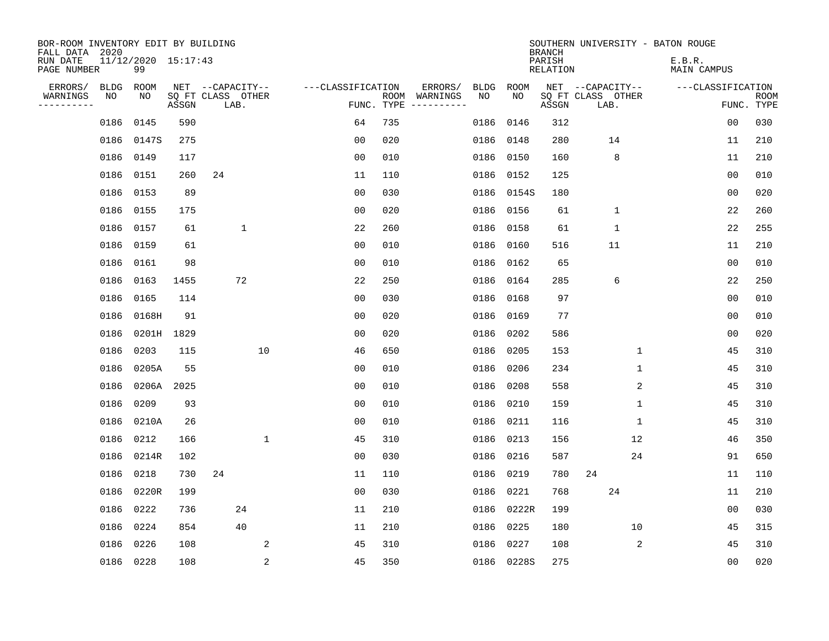| BOR-ROOM INVENTORY EDIT BY BUILDING<br>FALL DATA 2020 |            |            |                     |                           |              |                   |                |     |                              |             |             | <b>BRANCH</b>             | SOUTHERN UNIVERSITY - BATON ROUGE |   |                              |                           |
|-------------------------------------------------------|------------|------------|---------------------|---------------------------|--------------|-------------------|----------------|-----|------------------------------|-------------|-------------|---------------------------|-----------------------------------|---|------------------------------|---------------------------|
| RUN DATE<br>PAGE NUMBER                               |            | 99         | 11/12/2020 15:17:43 |                           |              |                   |                |     |                              |             |             | PARISH<br><b>RELATION</b> |                                   |   | E.B.R.<br><b>MAIN CAMPUS</b> |                           |
| ERRORS/                                               | BLDG       | ROOM       |                     | NET --CAPACITY--          |              | ---CLASSIFICATION |                |     | ERRORS/                      | <b>BLDG</b> | <b>ROOM</b> |                           | NET --CAPACITY--                  |   | ---CLASSIFICATION            |                           |
| WARNINGS<br>----------                                | NO         | NO         | ASSGN               | SQ FT CLASS OTHER<br>LAB. |              |                   | FUNC. TYPE     |     | ROOM WARNINGS<br>----------- | NO          | NO          | ASSGN                     | SQ FT CLASS OTHER<br>LAB.         |   |                              | <b>ROOM</b><br>FUNC. TYPE |
|                                                       | 0186       | 0145       | 590                 |                           |              |                   | 64             | 735 |                              | 0186        | 0146        | 312                       |                                   |   | 0 <sub>0</sub>               | 030                       |
|                                                       | 0186 0147S |            | 275                 |                           |              |                   | 0 <sub>0</sub> | 020 |                              | 0186        | 0148        | 280                       | 14                                |   | 11                           | 210                       |
|                                                       | 0186       | 0149       | 117                 |                           |              |                   | 0 <sub>0</sub> | 010 |                              | 0186        | 0150        | 160                       | 8                                 |   | 11                           | 210                       |
|                                                       | 0186 0151  |            | 260                 | 24                        |              |                   | 11             | 110 |                              | 0186        | 0152        | 125                       |                                   |   | 0 <sub>0</sub>               | 010                       |
|                                                       | 0186       | 0153       | 89                  |                           |              |                   | 0 <sub>0</sub> | 030 |                              | 0186        | 0154S       | 180                       |                                   |   | 0 <sub>0</sub>               | 020                       |
|                                                       | 0186 0155  |            | 175                 |                           |              |                   | 0 <sub>0</sub> | 020 |                              | 0186 0156   |             | 61                        | $\mathbf{1}$                      |   | 22                           | 260                       |
|                                                       | 0186       | 0157       | 61                  |                           | $\mathbf 1$  |                   | 22             | 260 |                              | 0186        | 0158        | 61                        | $\mathbf{1}$                      |   | 22                           | 255                       |
|                                                       | 0186 0159  |            | 61                  |                           |              |                   | 0 <sub>0</sub> | 010 |                              | 0186        | 0160        | 516                       | 11                                |   | 11                           | 210                       |
|                                                       | 0186       | 0161       | 98                  |                           |              |                   | 0 <sub>0</sub> | 010 |                              | 0186        | 0162        | 65                        |                                   |   | 0 <sub>0</sub>               | 010                       |
|                                                       | 0186 0163  |            | 1455                |                           | 72           |                   | 22             | 250 |                              | 0186        | 0164        | 285                       | 6                                 |   | 22                           | 250                       |
|                                                       | 0186 0165  |            | 114                 |                           |              |                   | 0 <sub>0</sub> | 030 |                              | 0186        | 0168        | 97                        |                                   |   | 0 <sub>0</sub>               | 010                       |
|                                                       | 0186 0168H |            | 91                  |                           |              |                   | 0 <sub>0</sub> | 020 |                              | 0186        | 0169        | 77                        |                                   |   | 0 <sub>0</sub>               | 010                       |
|                                                       | 0186       | 0201H 1829 |                     |                           |              |                   | 0 <sub>0</sub> | 020 |                              | 0186        | 0202        | 586                       |                                   |   | 0 <sub>0</sub>               | 020                       |
|                                                       | 0186 0203  |            | 115                 |                           | 10           |                   | 46             | 650 |                              | 0186        | 0205        | 153                       |                                   | 1 | 45                           | 310                       |
|                                                       | 0186       | 0205A      | 55                  |                           |              |                   | 0 <sub>0</sub> | 010 |                              | 0186        | 0206        | 234                       |                                   | 1 | 45                           | 310                       |
|                                                       | 0186       | 0206A      | 2025                |                           |              |                   | 0 <sub>0</sub> | 010 |                              | 0186        | 0208        | 558                       |                                   | 2 | 45                           | 310                       |
|                                                       | 0186       | 0209       | 93                  |                           |              |                   | 0 <sub>0</sub> | 010 |                              | 0186        | 0210        | 159                       |                                   | 1 | 45                           | 310                       |
|                                                       | 0186       | 0210A      | 26                  |                           |              |                   | 0 <sub>0</sub> | 010 |                              | 0186        | 0211        | 116                       |                                   | 1 | 45                           | 310                       |
|                                                       | 0186       | 0212       | 166                 |                           | $\mathbf{1}$ |                   | 45             | 310 |                              | 0186        | 0213        | 156                       | 12                                |   | 46                           | 350                       |
|                                                       | 0186       | 0214R      | 102                 |                           |              |                   | 0 <sub>0</sub> | 030 |                              | 0186        | 0216        | 587                       | 24                                |   | 91                           | 650                       |
|                                                       | 0186       | 0218       | 730                 | 24                        |              |                   | 11             | 110 |                              | 0186        | 0219        | 780                       | 24                                |   | 11                           | 110                       |
|                                                       | 0186       | 0220R      | 199                 |                           |              |                   | 0 <sub>0</sub> | 030 |                              | 0186        | 0221        | 768                       | 24                                |   | 11                           | 210                       |
|                                                       | 0186       | 0222       | 736                 |                           | 24           |                   | 11             | 210 |                              | 0186        | 0222R       | 199                       |                                   |   | 0 <sub>0</sub>               | 030                       |
|                                                       | 0186       | 0224       | 854                 |                           | 40           |                   | 11             | 210 |                              | 0186        | 0225        | 180                       | 10                                |   | 45                           | 315                       |
|                                                       | 0186       | 0226       | 108                 |                           | 2            |                   | 45             | 310 |                              | 0186        | 0227        | 108                       |                                   | 2 | 45                           | 310                       |
|                                                       | 0186 0228  |            | 108                 |                           | $\sqrt{2}$   |                   | 45             | 350 |                              |             | 0186 0228S  | 275                       |                                   |   | 00                           | 020                       |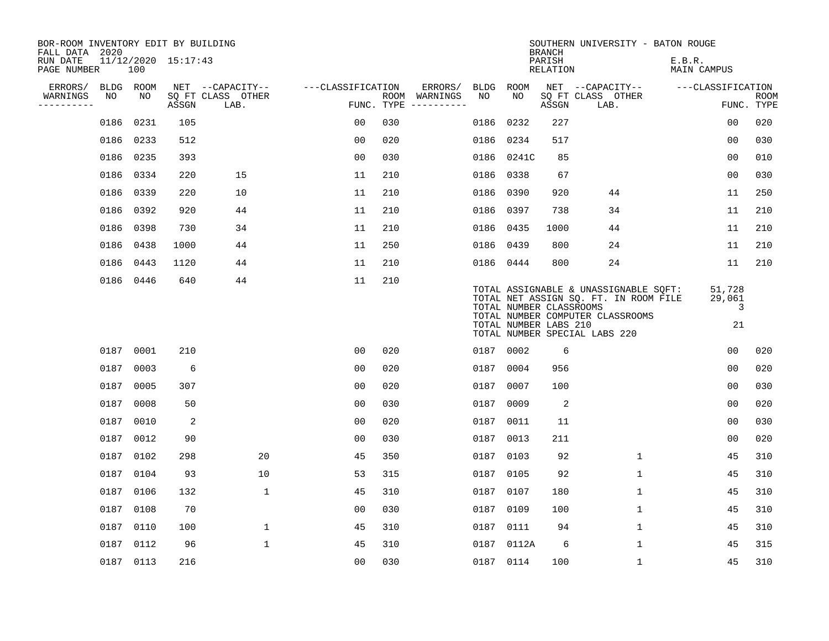| BOR-ROOM INVENTORY EDIT BY BUILDING<br>FALL DATA 2020 |             |           |                     |                           |                   |            |               |           |                                                  | <b>BRANCH</b>             | SOUTHERN UNIVERSITY - BATON ROUGE                                                                                                                   |                              |                           |
|-------------------------------------------------------|-------------|-----------|---------------------|---------------------------|-------------------|------------|---------------|-----------|--------------------------------------------------|---------------------------|-----------------------------------------------------------------------------------------------------------------------------------------------------|------------------------------|---------------------------|
| RUN DATE<br>PAGE NUMBER                               |             | 100       | 11/12/2020 15:17:43 |                           |                   |            |               |           |                                                  | PARISH<br><b>RELATION</b> |                                                                                                                                                     | E.B.R.<br><b>MAIN CAMPUS</b> |                           |
| ERRORS/                                               | <b>BLDG</b> | ROOM      |                     | NET --CAPACITY--          | ---CLASSIFICATION |            | ERRORS/       | BLDG      | ROOM                                             |                           | NET --CAPACITY--                                                                                                                                    | ---CLASSIFICATION            |                           |
| WARNINGS<br>----------                                | NO          | NO        | ASSGN               | SQ FT CLASS OTHER<br>LAB. |                   | FUNC. TYPE | ROOM WARNINGS | NO        | NO                                               | ASSGN                     | SQ FT CLASS OTHER<br>LAB.                                                                                                                           |                              | <b>ROOM</b><br>FUNC. TYPE |
|                                                       | 0186        | 0231      | 105                 |                           | 00                | 030        |               | 0186      | 0232                                             | 227                       |                                                                                                                                                     | 0 <sub>0</sub>               | 020                       |
|                                                       | 0186        | 0233      | 512                 |                           | 0 <sub>0</sub>    | 020        |               | 0186      | 0234                                             | 517                       |                                                                                                                                                     | 00                           | 030                       |
|                                                       | 0186        | 0235      | 393                 |                           | 00                | 030        |               |           | 0186 0241C                                       | 85                        |                                                                                                                                                     | 00                           | 010                       |
|                                                       | 0186        | 0334      | 220                 | 15                        | 11                | 210        |               | 0186      | 0338                                             | 67                        |                                                                                                                                                     | 0 <sub>0</sub>               | 030                       |
|                                                       | 0186        | 0339      | 220                 | 10                        | 11                | 210        |               | 0186      | 0390                                             | 920                       | 44                                                                                                                                                  | 11                           | 250                       |
|                                                       | 0186        | 0392      | 920                 | 44                        | 11                | 210        |               |           | 0186 0397                                        | 738                       | 34                                                                                                                                                  | 11                           | 210                       |
|                                                       | 0186        | 0398      | 730                 | 34                        | 11                | 210        |               | 0186      | 0435                                             | 1000                      | 44                                                                                                                                                  | 11                           | 210                       |
|                                                       | 0186        | 0438      | 1000                | 44                        | 11                | 250        |               | 0186 0439 |                                                  | 800                       | 24                                                                                                                                                  | 11                           | 210                       |
|                                                       | 0186        | 0443      | 1120                | 44                        | 11                | 210        |               |           | 0186 0444                                        | 800                       | 24                                                                                                                                                  | 11                           | 210                       |
|                                                       |             | 0186 0446 | 640                 | 44                        | 11                | 210        |               |           | TOTAL NUMBER CLASSROOMS<br>TOTAL NUMBER LABS 210 |                           | TOTAL ASSIGNABLE & UNASSIGNABLE SQFT:<br>TOTAL NET ASSIGN SQ. FT. IN ROOM FILE<br>TOTAL NUMBER COMPUTER CLASSROOMS<br>TOTAL NUMBER SPECIAL LABS 220 | 51,728<br>29,061<br>3<br>21  |                           |
|                                                       | 0187        | 0001      | 210                 |                           | 0 <sub>0</sub>    | 020        |               | 0187      | 0002                                             | 6                         |                                                                                                                                                     | 0 <sub>0</sub>               | 020                       |
|                                                       | 0187        | 0003      | 6                   |                           | 0 <sub>0</sub>    | 020        |               | 0187      | 0004                                             | 956                       |                                                                                                                                                     | 00                           | 020                       |
|                                                       | 0187        | 0005      | 307                 |                           | 0 <sub>0</sub>    | 020        |               | 0187      | 0007                                             | 100                       |                                                                                                                                                     | 0 <sub>0</sub>               | 030                       |
|                                                       | 0187        | 0008      | 50                  |                           | 0 <sub>0</sub>    | 030        |               | 0187      | 0009                                             | 2                         |                                                                                                                                                     | 0 <sub>0</sub>               | 020                       |
|                                                       | 0187        | 0010      | 2                   |                           | 0 <sub>0</sub>    | 020        |               | 0187      | 0011                                             | 11                        |                                                                                                                                                     | 0 <sub>0</sub>               | 030                       |
|                                                       | 0187        | 0012      | 90                  |                           | 0 <sub>0</sub>    | 030        |               | 0187      | 0013                                             | 211                       |                                                                                                                                                     | 0 <sub>0</sub>               | 020                       |
|                                                       | 0187        | 0102      | 298                 | 20                        | 45                | 350        |               | 0187      | 0103                                             | 92                        | $\mathbf 1$                                                                                                                                         | 45                           | 310                       |
|                                                       | 0187        | 0104      | 93                  | 10                        | 53                | 315        |               | 0187      | 0105                                             | 92                        | $\mathbf 1$                                                                                                                                         | 45                           | 310                       |
|                                                       | 0187        | 0106      | 132                 | $\mathbf{1}$              | 45                | 310        |               | 0187      | 0107                                             | 180                       | $\mathbf{1}$                                                                                                                                        | 45                           | 310                       |
|                                                       | 0187        | 0108      | 70                  |                           | 00                | 030        |               | 0187      | 0109                                             | 100                       | 1                                                                                                                                                   | 45                           | 310                       |
|                                                       | 0187        | 0110      | 100                 | $\mathbf 1$               | 45                | 310        |               | 0187      | 0111                                             | 94                        | $\mathbf{1}$                                                                                                                                        | 45                           | 310                       |
|                                                       | 0187        | 0112      | 96                  | $\mathbf{1}$              | 45                | 310        |               | 0187      | 0112A                                            | 6                         | $\mathbf{1}$                                                                                                                                        | 45                           | 315                       |
|                                                       |             | 0187 0113 | 216                 |                           | 0 <sub>0</sub>    | 030        |               |           | 0187 0114                                        | 100                       | $\mathbf{1}$                                                                                                                                        | 45                           | 310                       |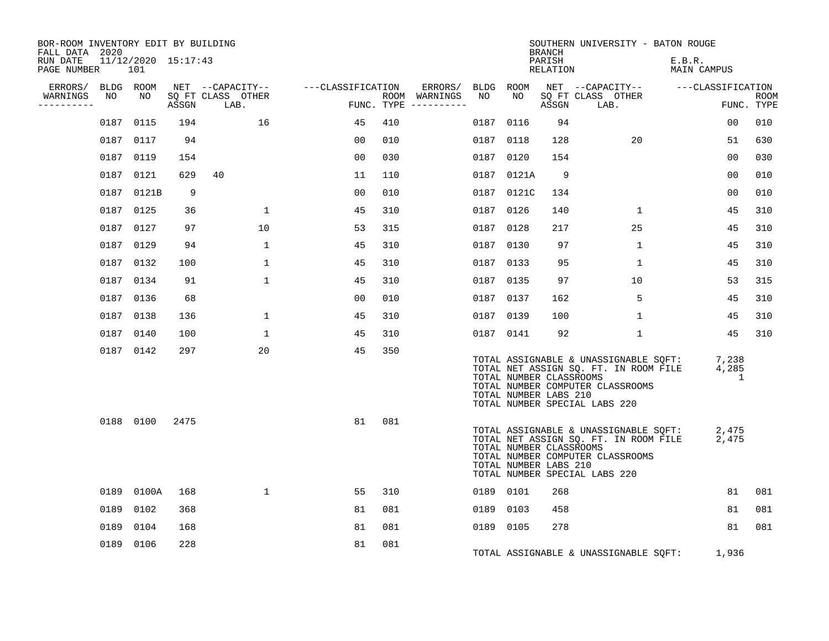| BOR-ROOM INVENTORY EDIT BY BUILDING<br>FALL DATA 2020 |           |                            |       |                           |                   |                                        |         |           |            | <b>BRANCH</b>                                    | SOUTHERN UNIVERSITY - BATON ROUGE                                                                                                                   |                                |                           |
|-------------------------------------------------------|-----------|----------------------------|-------|---------------------------|-------------------|----------------------------------------|---------|-----------|------------|--------------------------------------------------|-----------------------------------------------------------------------------------------------------------------------------------------------------|--------------------------------|---------------------------|
| RUN DATE<br>PAGE NUMBER                               |           | 11/12/2020 15:17:43<br>101 |       |                           |                   |                                        |         |           |            | PARISH<br>RELATION                               |                                                                                                                                                     | E.B.R.<br>MAIN CAMPUS          |                           |
| ERRORS/                                               | BLDG ROOM |                            |       | NET --CAPACITY--          | ---CLASSIFICATION |                                        | ERRORS/ | BLDG ROOM |            |                                                  | NET --CAPACITY-- ---CLASSIFICATION                                                                                                                  |                                |                           |
| WARNINGS<br>. _ _ _ _ _ _ _ _ _                       | NO        | NO                         | ASSGN | SQ FT CLASS OTHER<br>LAB. |                   | ROOM WARNINGS<br>FUNC. TYPE ---------- |         | NO        | NO         | ASSGN                                            | SQ FT CLASS OTHER<br>LAB.                                                                                                                           |                                | <b>ROOM</b><br>FUNC. TYPE |
|                                                       |           | 0187 0115                  | 194   | 16                        | 45                | 410                                    |         | 0187 0116 |            | 94                                               |                                                                                                                                                     | 00                             | 010                       |
|                                                       |           | 0187 0117                  | 94    |                           | 00                | 010                                    |         | 0187 0118 |            | 128                                              | 20                                                                                                                                                  | 51                             | 630                       |
|                                                       |           | 0187 0119                  | 154   |                           | 0 <sub>0</sub>    | 030                                    |         | 0187 0120 |            | 154                                              |                                                                                                                                                     | 00                             | 030                       |
|                                                       | 0187      | 0121                       | 629   | 40                        | 11                | 110                                    |         |           | 0187 0121A | 9                                                |                                                                                                                                                     | 0 <sub>0</sub>                 | 010                       |
|                                                       |           | 0187 0121B                 | 9     |                           | 0 <sub>0</sub>    | 010                                    |         |           | 0187 0121C | 134                                              |                                                                                                                                                     | 00                             | 010                       |
|                                                       |           | 0187 0125                  | 36    | 1                         | 45                | 310                                    |         | 0187 0126 |            | 140                                              | $\mathbf{1}$                                                                                                                                        | 45                             | 310                       |
|                                                       |           | 0187 0127                  | 97    | 10                        | 53                | 315                                    |         | 0187 0128 |            | 217                                              | 25                                                                                                                                                  | 45                             | 310                       |
|                                                       |           | 0187 0129                  | 94    | $\mathbf{1}$              | 45                | 310                                    |         | 0187      | 0130       | 97                                               | 1                                                                                                                                                   | 45                             | 310                       |
|                                                       |           | 0187 0132                  | 100   | $\mathbf{1}$              | 45                | 310                                    |         | 0187 0133 |            | 95                                               | 1                                                                                                                                                   | 45                             | 310                       |
|                                                       |           | 0187 0134                  | 91    | $\mathbf{1}$              | 45                | 310                                    |         | 0187 0135 |            | 97                                               | 10                                                                                                                                                  | 53                             | 315                       |
|                                                       |           | 0187 0136                  | 68    |                           | 00                | 010                                    |         | 0187 0137 |            | 162                                              | 5                                                                                                                                                   | 45                             | 310                       |
|                                                       |           | 0187 0138                  | 136   | $\mathbf{1}$              | 45                | 310                                    |         | 0187 0139 |            | 100                                              | 1                                                                                                                                                   | 45                             | 310                       |
|                                                       |           | 0187 0140                  | 100   | $\mathbf{1}$              | 45                | 310                                    |         | 0187 0141 |            | 92                                               | $\mathbf 1$                                                                                                                                         | 45                             | 310                       |
|                                                       |           | 0187 0142                  | 297   | 20                        | 45                | 350                                    |         |           |            | TOTAL NUMBER CLASSROOMS<br>TOTAL NUMBER LABS 210 | TOTAL ASSIGNABLE & UNASSIGNABLE SOFT:<br>TOTAL NET ASSIGN SQ. FT. IN ROOM FILE<br>TOTAL NUMBER COMPUTER CLASSROOMS<br>TOTAL NUMBER SPECIAL LABS 220 | 7,238<br>4,285<br>$\mathbf{1}$ |                           |
|                                                       |           | 0188 0100                  | 2475  |                           | 81                | 081                                    |         |           |            | TOTAL NUMBER CLASSROOMS<br>TOTAL NUMBER LABS 210 | TOTAL ASSIGNABLE & UNASSIGNABLE SQFT:<br>TOTAL NET ASSIGN SQ. FT. IN ROOM FILE<br>TOTAL NUMBER COMPUTER CLASSROOMS<br>TOTAL NUMBER SPECIAL LABS 220 | 2,475<br>2,475                 |                           |
|                                                       |           | 0189 0100A                 | 168   | $\mathbf{1}$              | 55                | 310                                    |         | 0189 0101 |            | 268                                              |                                                                                                                                                     | 81                             | 081                       |
|                                                       |           | 0189 0102                  | 368   |                           | 81                | 081                                    |         | 0189 0103 |            | 458                                              |                                                                                                                                                     | 81                             | 081                       |
|                                                       | 0189      | 0104                       | 168   |                           | 81                | 081                                    |         | 0189 0105 |            | 278                                              |                                                                                                                                                     | 81                             | 081                       |
|                                                       | 0189 0106 |                            | 228   |                           | 81                | 081                                    |         |           |            |                                                  | TOTAL ASSIGNABLE & UNASSIGNABLE SQFT: 1,936                                                                                                         |                                |                           |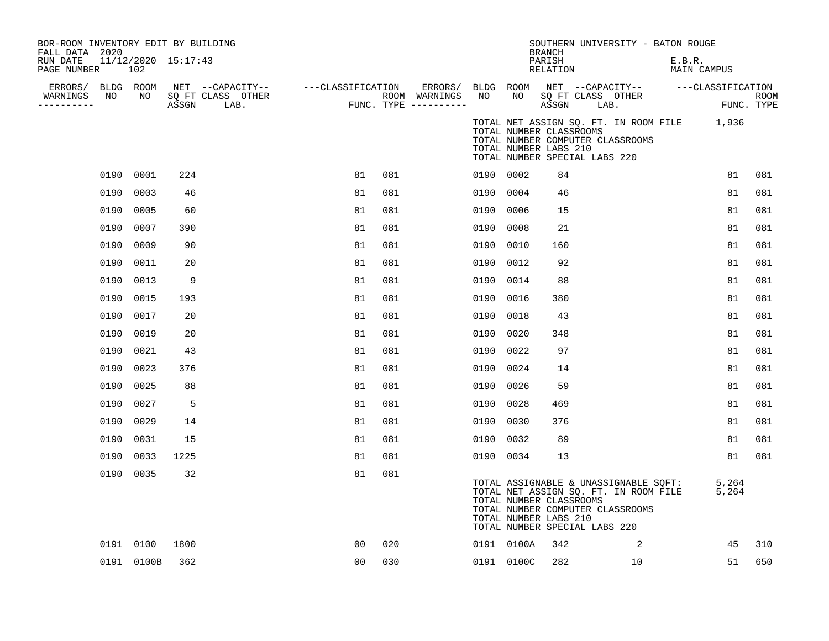| BOR-ROOM INVENTORY EDIT BY BUILDING<br>FALL DATA 2020 |                            |      |                                                                                                                                            |    |     |           |                                                                                   | <b>BRANCH</b>      |                                         | SOUTHERN UNIVERSITY - BATON ROUGE                                                    |            |             |
|-------------------------------------------------------|----------------------------|------|--------------------------------------------------------------------------------------------------------------------------------------------|----|-----|-----------|-----------------------------------------------------------------------------------|--------------------|-----------------------------------------|--------------------------------------------------------------------------------------|------------|-------------|
| RUN DATE<br>PAGE NUMBER                               | 11/12/2020 15:17:43<br>102 |      |                                                                                                                                            |    |     |           |                                                                                   | PARISH<br>RELATION |                                         | E.B.R.<br>MAIN CAMPUS                                                                |            |             |
| ERRORS/ BLDG ROOM                                     |                            |      |                                                                                                                                            |    |     |           |                                                                                   |                    |                                         | BLDG ROOM NET --CAPACITY-- ---CLASSIFICATION                                         |            |             |
| NO<br>WARNINGS<br>__________                          |                            |      | NET --CAPACITY-- ----CLASSIFICATION ERRORS/<br>SQ FT CLASS OTHER ROOM WARNINGS<br>ASSGN LAB. FUNC. TYPE ----------<br>NO SQ FT CLASS OTHER |    |     | NO        | NO                                                                                |                    | SQ FT CLASS OTHER<br>ASSGN         LAB. |                                                                                      | FUNC. TYPE | <b>ROOM</b> |
|                                                       |                            |      |                                                                                                                                            |    |     |           | TOTAL NUMBER CLASSROOMS<br>TOTAL NUMBER LABS 210<br>TOTAL NUMBER SPECIAL LABS 220 |                    | TOTAL NUMBER COMPUTER CLASSROOMS        | TOTAL NET ASSIGN SQ. FT. IN ROOM FILE 1,936                                          |            |             |
|                                                       | 0190 0001                  | 224  |                                                                                                                                            | 81 | 081 | 0190 0002 |                                                                                   | 84                 |                                         |                                                                                      | 81         | 081         |
| 0190                                                  | 0003                       | 46   |                                                                                                                                            | 81 | 081 | 0190 0004 |                                                                                   | 46                 |                                         |                                                                                      | 81         | 081         |
|                                                       | 0190 0005                  | 60   |                                                                                                                                            | 81 | 081 | 0190 0006 |                                                                                   | 15                 |                                         |                                                                                      | 81         | 081         |
| 0190                                                  | 0007                       | 390  |                                                                                                                                            | 81 | 081 | 0190 0008 |                                                                                   | 21                 |                                         |                                                                                      | 81         | 081         |
| 0190                                                  | 0009                       | 90   |                                                                                                                                            | 81 | 081 | 0190 0010 |                                                                                   | 160                |                                         |                                                                                      | 81         | 081         |
| 0190                                                  | 0011                       | 20   |                                                                                                                                            | 81 | 081 | 0190      | 0012                                                                              | 92                 |                                         |                                                                                      | 81         | 081         |
| 0190                                                  | 0013                       | 9    |                                                                                                                                            | 81 | 081 | 0190      | 0014                                                                              | 88                 |                                         |                                                                                      | 81         | 081         |
| 0190                                                  | 0015                       | 193  |                                                                                                                                            | 81 | 081 | 0190      | 0016                                                                              | 380                |                                         |                                                                                      | 81         | 081         |
| 0190                                                  | 0017                       | 20   |                                                                                                                                            | 81 | 081 | 0190      | 0018                                                                              | 43                 |                                         |                                                                                      | 81         | 081         |
| 0190                                                  | 0019                       | 20   |                                                                                                                                            | 81 | 081 | 0190      | 0020                                                                              | 348                |                                         |                                                                                      | 81         | 081         |
| 0190                                                  | 0021                       | 43   |                                                                                                                                            | 81 | 081 | 0190      | 0022                                                                              | 97                 |                                         |                                                                                      | 81         | 081         |
| 0190                                                  | 0023                       | 376  |                                                                                                                                            | 81 | 081 | 0190 0024 |                                                                                   | 14                 |                                         |                                                                                      | 81         | 081         |
| 0190                                                  | 0025                       | 88   |                                                                                                                                            | 81 | 081 | 0190      | 0026                                                                              | 59                 |                                         |                                                                                      | 81         | 081         |
| 0190                                                  | 0027                       | 5    |                                                                                                                                            | 81 | 081 | 0190 0028 |                                                                                   | 469                |                                         |                                                                                      | 81         | 081         |
| 0190                                                  | 0029                       | 14   |                                                                                                                                            | 81 | 081 | 0190 0030 |                                                                                   | 376                |                                         |                                                                                      | 81         | 081         |
| 0190                                                  | 0031                       | 15   |                                                                                                                                            | 81 | 081 | 0190 0032 |                                                                                   | 89                 |                                         |                                                                                      | 81         | 081         |
| 0190                                                  | 0033                       | 1225 |                                                                                                                                            | 81 | 081 | 0190 0034 |                                                                                   | 13                 |                                         |                                                                                      | 81         | 081         |
|                                                       | 0190 0035                  | 32   |                                                                                                                                            | 81 | 081 |           | TOTAL NUMBER CLASSROOMS<br>TOTAL NUMBER LABS 210<br>TOTAL NUMBER SPECIAL LABS 220 |                    | TOTAL NUMBER COMPUTER CLASSROOMS        | TOTAL ASSIGNABLE & UNASSIGNABLE SQFT:<br>TOTAL NET ASSIGN SQ. FT. IN ROOM FILE 5,264 | 5,264      |             |
|                                                       | 0191 0100                  | 1800 |                                                                                                                                            | 00 | 020 |           | 0191 0100A                                                                        | 342                | $\overline{2}$                          |                                                                                      | 45         | 310         |
|                                                       | 0191 0100B                 | 362  |                                                                                                                                            | 00 | 030 |           | 0191 0100C                                                                        | 282                | 10                                      |                                                                                      | 51         | 650         |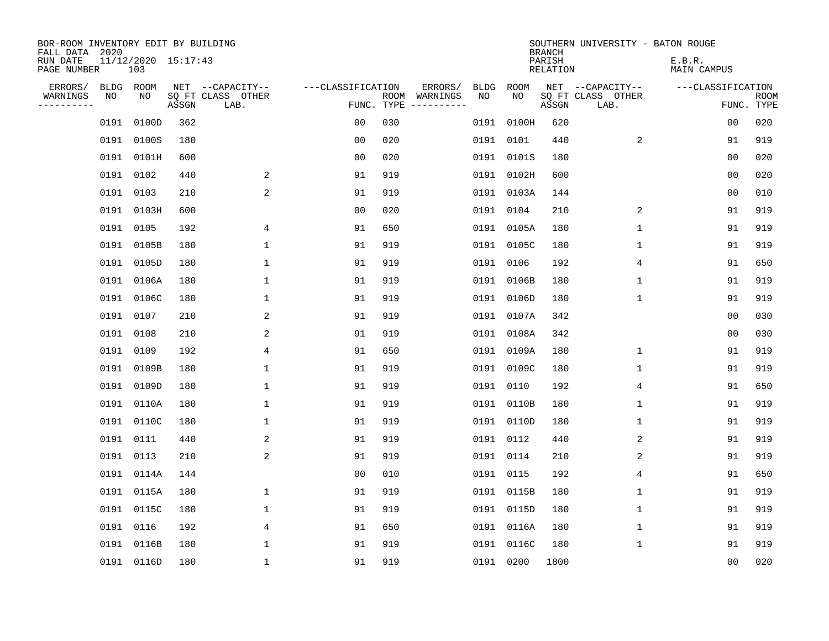| BOR-ROOM INVENTORY EDIT BY BUILDING<br>FALL DATA 2020 |      |                            |       |                           |                   |                    |                         |             |            | <b>BRANCH</b>             | SOUTHERN UNIVERSITY - BATON ROUGE |                       |                           |
|-------------------------------------------------------|------|----------------------------|-------|---------------------------|-------------------|--------------------|-------------------------|-------------|------------|---------------------------|-----------------------------------|-----------------------|---------------------------|
| RUN DATE<br>PAGE NUMBER                               |      | 11/12/2020 15:17:43<br>103 |       |                           |                   |                    |                         |             |            | PARISH<br><b>RELATION</b> |                                   | E.B.R.<br>MAIN CAMPUS |                           |
| ERRORS/                                               |      | BLDG ROOM                  |       | NET --CAPACITY--          | ---CLASSIFICATION |                    | ERRORS/                 | <b>BLDG</b> | ROOM       |                           | NET --CAPACITY--                  | ---CLASSIFICATION     |                           |
| WARNINGS<br>----------                                | NO   | NO                         | ASSGN | SQ FT CLASS OTHER<br>LAB. |                   | ROOM<br>FUNC. TYPE | WARNINGS<br>----------- | NO          | NO         | ASSGN                     | SQ FT CLASS OTHER<br>LAB.         |                       | <b>ROOM</b><br>FUNC. TYPE |
|                                                       | 0191 | 0100D                      | 362   |                           | 00                | 030                |                         |             | 0191 0100H | 620                       |                                   | 00                    | 020                       |
|                                                       | 0191 | 0100S                      | 180   |                           | 00                | 020                |                         |             | 0191 0101  | 440                       | 2                                 | 91                    | 919                       |
|                                                       | 0191 | 0101H                      | 600   |                           | 0 <sub>0</sub>    | 020                |                         |             | 0191 0101S | 180                       |                                   | 00                    | 020                       |
|                                                       |      | 0191 0102                  | 440   | 2                         | 91                | 919                |                         |             | 0191 0102H | 600                       |                                   | 0 <sub>0</sub>        | 020                       |
|                                                       |      | 0191 0103                  | 210   | 2                         | 91                | 919                |                         |             | 0191 0103A | 144                       |                                   | 00                    | 010                       |
|                                                       |      | 0191 0103H                 | 600   |                           | 0 <sub>0</sub>    | 020                |                         |             | 0191 0104  | 210                       | 2                                 | 91                    | 919                       |
|                                                       |      | 0191 0105                  | 192   | 4                         | 91                | 650                |                         |             | 0191 0105A | 180                       | $\mathbf{1}$                      | 91                    | 919                       |
|                                                       |      | 0191 0105B                 | 180   | $\mathbf{1}$              | 91                | 919                |                         |             | 0191 0105C | 180                       | $\mathbf{1}$                      | 91                    | 919                       |
|                                                       | 0191 | 0105D                      | 180   | $\mathbf{1}$              | 91                | 919                |                         |             | 0191 0106  | 192                       | 4                                 | 91                    | 650                       |
|                                                       |      | 0191 0106A                 | 180   | 1                         | 91                | 919                |                         |             | 0191 0106B | 180                       | 1                                 | 91                    | 919                       |
|                                                       |      | 0191 0106C                 | 180   | 1                         | 91                | 919                |                         |             | 0191 0106D | 180                       | 1                                 | 91                    | 919                       |
|                                                       |      | 0191 0107                  | 210   | 2                         | 91                | 919                |                         |             | 0191 0107A | 342                       |                                   | 0 <sub>0</sub>        | 030                       |
|                                                       | 0191 | 0108                       | 210   | 2                         | 91                | 919                |                         |             | 0191 0108A | 342                       |                                   | 0 <sub>0</sub>        | 030                       |
|                                                       | 0191 | 0109                       | 192   | 4                         | 91                | 650                |                         |             | 0191 0109A | 180                       | 1                                 | 91                    | 919                       |
|                                                       | 0191 | 0109B                      | 180   | 1                         | 91                | 919                |                         |             | 0191 0109C | 180                       | 1                                 | 91                    | 919                       |
|                                                       | 0191 | 0109D                      | 180   | 1                         | 91                | 919                |                         |             | 0191 0110  | 192                       | 4                                 | 91                    | 650                       |
|                                                       | 0191 | 0110A                      | 180   | 1                         | 91                | 919                |                         |             | 0191 0110B | 180                       | 1                                 | 91                    | 919                       |
|                                                       | 0191 | 0110C                      | 180   | 1                         | 91                | 919                |                         |             | 0191 0110D | 180                       | 1                                 | 91                    | 919                       |
|                                                       |      | 0191 0111                  | 440   | 2                         | 91                | 919                |                         |             | 0191 0112  | 440                       | 2                                 | 91                    | 919                       |
|                                                       | 0191 | 0113                       | 210   | 2                         | 91                | 919                |                         | 0191 0114   |            | 210                       | 2                                 | 91                    | 919                       |
|                                                       |      | 0191 0114A                 | 144   |                           | 0 <sub>0</sub>    | 010                |                         |             | 0191 0115  | 192                       | 4                                 | 91                    | 650                       |
|                                                       | 0191 | 0115A                      | 180   | $\mathbf 1$               | 91                | 919                |                         |             | 0191 0115B | 180                       | $\mathbf 1$                       | 91                    | 919                       |
|                                                       |      | 0191 0115C                 | 180   | 1                         | 91                | 919                |                         |             | 0191 0115D | 180                       | 1                                 | 91                    | 919                       |
|                                                       |      | 0191 0116                  | 192   | 4                         | 91                | 650                |                         |             | 0191 0116A | 180                       | $\mathbf 1$                       | 91                    | 919                       |
|                                                       |      | 0191 0116B                 | 180   | 1                         | 91                | 919                |                         |             | 0191 0116C | 180                       | 1                                 | 91                    | 919                       |
|                                                       |      | 0191 0116D                 | 180   | 1                         | 91                | 919                |                         |             | 0191 0200  | 1800                      |                                   | 0 <sub>0</sub>        | 020                       |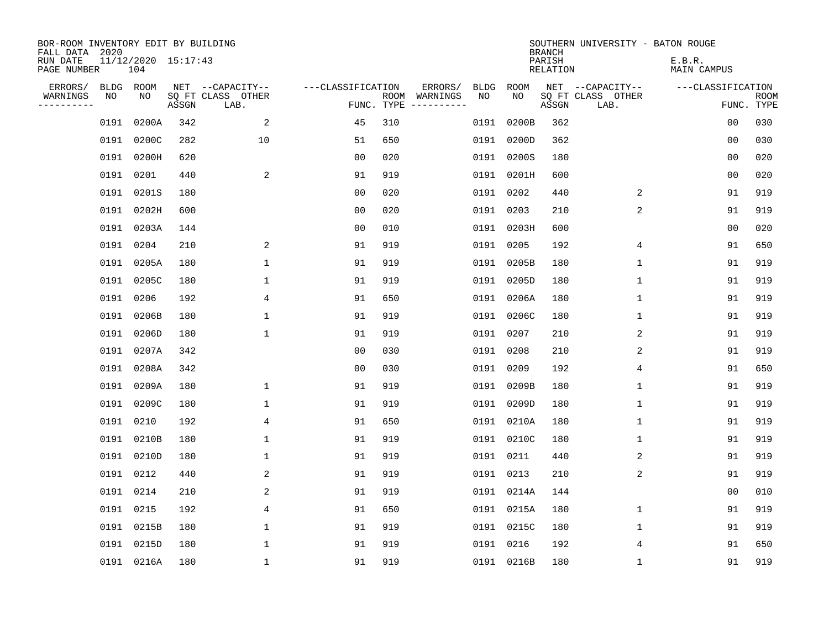| BOR-ROOM INVENTORY EDIT BY BUILDING<br>FALL DATA 2020 |      |                            |       |                           |                   |                                      |         |           |            | <b>BRANCH</b>      | SOUTHERN UNIVERSITY - BATON ROUGE |                       |                           |
|-------------------------------------------------------|------|----------------------------|-------|---------------------------|-------------------|--------------------------------------|---------|-----------|------------|--------------------|-----------------------------------|-----------------------|---------------------------|
| RUN DATE<br>PAGE NUMBER                               |      | 11/12/2020 15:17:43<br>104 |       |                           |                   |                                      |         |           |            | PARISH<br>RELATION |                                   | E.B.R.<br>MAIN CAMPUS |                           |
| ERRORS/                                               |      | BLDG ROOM                  |       | NET --CAPACITY--          | ---CLASSIFICATION |                                      | ERRORS/ | BLDG      | ROOM       |                    | NET --CAPACITY--                  | ---CLASSIFICATION     |                           |
| WARNINGS<br>----------                                | NO   | NO                         | ASSGN | SQ FT CLASS OTHER<br>LAB. |                   | ROOM WARNINGS<br>FUNC. TYPE $------$ |         | NO        | NO         | ASSGN              | SQ FT CLASS OTHER<br>LAB.         |                       | <b>ROOM</b><br>FUNC. TYPE |
|                                                       | 0191 | 0200A                      | 342   | 2                         | 45                | 310                                  |         |           | 0191 0200B | 362                |                                   | 00                    | 030                       |
|                                                       | 0191 | 0200C                      | 282   | 10                        | 51                | 650                                  |         |           | 0191 0200D | 362                |                                   | 00                    | 030                       |
|                                                       | 0191 | 0200H                      | 620   |                           | 0 <sub>0</sub>    | 020                                  |         |           | 0191 0200S | 180                |                                   | 0 <sub>0</sub>        | 020                       |
|                                                       |      | 0191 0201                  | 440   | 2                         | 91                | 919                                  |         |           | 0191 0201H | 600                |                                   | 0 <sub>0</sub>        | 020                       |
|                                                       |      | 0191 0201S                 | 180   |                           | 0 <sub>0</sub>    | 020                                  |         | 0191 0202 |            | 440                | 2                                 | 91                    | 919                       |
|                                                       |      | 0191 0202H                 | 600   |                           | 0 <sub>0</sub>    | 020                                  |         | 0191 0203 |            | 210                | 2                                 | 91                    | 919                       |
|                                                       |      | 0191 0203A                 | 144   |                           | 0 <sub>0</sub>    | 010                                  |         |           | 0191 0203H | 600                |                                   | 00                    | 020                       |
|                                                       |      | 0191 0204                  | 210   | 2                         | 91                | 919                                  |         | 0191 0205 |            | 192                | 4                                 | 91                    | 650                       |
|                                                       | 0191 | 0205A                      | 180   | $\mathbf{1}$              | 91                | 919                                  |         |           | 0191 0205B | 180                | $\mathbf 1$                       | 91                    | 919                       |
|                                                       |      | 0191 0205C                 | 180   | 1                         | 91                | 919                                  |         |           | 0191 0205D | 180                | 1                                 | 91                    | 919                       |
|                                                       | 0191 | 0206                       | 192   | 4                         | 91                | 650                                  |         |           | 0191 0206A | 180                | 1                                 | 91                    | 919                       |
|                                                       |      | 0191 0206B                 | 180   | 1                         | 91                | 919                                  |         |           | 0191 0206C | 180                | $\mathbf 1$                       | 91                    | 919                       |
|                                                       | 0191 | 0206D                      | 180   | $\mathbf{1}$              | 91                | 919                                  |         | 0191 0207 |            | 210                | 2                                 | 91                    | 919                       |
|                                                       | 0191 | 0207A                      | 342   |                           | 0 <sub>0</sub>    | 030                                  |         | 0191 0208 |            | 210                | 2                                 | 91                    | 919                       |
|                                                       | 0191 | 0208A                      | 342   |                           | 0 <sub>0</sub>    | 030                                  |         | 0191 0209 |            | 192                | 4                                 | 91                    | 650                       |
|                                                       | 0191 | 0209A                      | 180   | 1                         | 91                | 919                                  |         |           | 0191 0209B | 180                | $\mathbf 1$                       | 91                    | 919                       |
|                                                       | 0191 | 0209C                      | 180   | 1                         | 91                | 919                                  |         |           | 0191 0209D | 180                | 1                                 | 91                    | 919                       |
|                                                       | 0191 | 0210                       | 192   | 4                         | 91                | 650                                  |         |           | 0191 0210A | 180                | 1                                 | 91                    | 919                       |
|                                                       | 0191 | 0210B                      | 180   | 1                         | 91                | 919                                  |         |           | 0191 0210C | 180                | 1                                 | 91                    | 919                       |
|                                                       | 0191 | 0210D                      | 180   | 1                         | 91                | 919                                  |         | 0191 0211 |            | 440                | 2                                 | 91                    | 919                       |
|                                                       | 0191 | 0212                       | 440   | 2                         | 91                | 919                                  |         | 0191 0213 |            | 210                | 2                                 | 91                    | 919                       |
|                                                       | 0191 | 0214                       | 210   | 2                         | 91                | 919                                  |         |           | 0191 0214A | 144                |                                   | 00                    | 010                       |
|                                                       |      | 0191 0215                  | 192   | 4                         | 91                | 650                                  |         |           | 0191 0215A | 180                | 1                                 | 91                    | 919                       |
|                                                       |      | 0191 0215B                 | 180   | $\mathbf 1$               | 91                | 919                                  |         |           | 0191 0215C | 180                | $\mathbf 1$                       | 91                    | 919                       |
|                                                       |      | 0191 0215D                 | 180   | 1                         | 91                | 919                                  |         |           | 0191 0216  | 192                | 4                                 | 91                    | 650                       |
|                                                       |      | 0191 0216A                 | 180   | 1                         | 91                | 919                                  |         |           | 0191 0216B | 180                | 1                                 | 91                    | 919                       |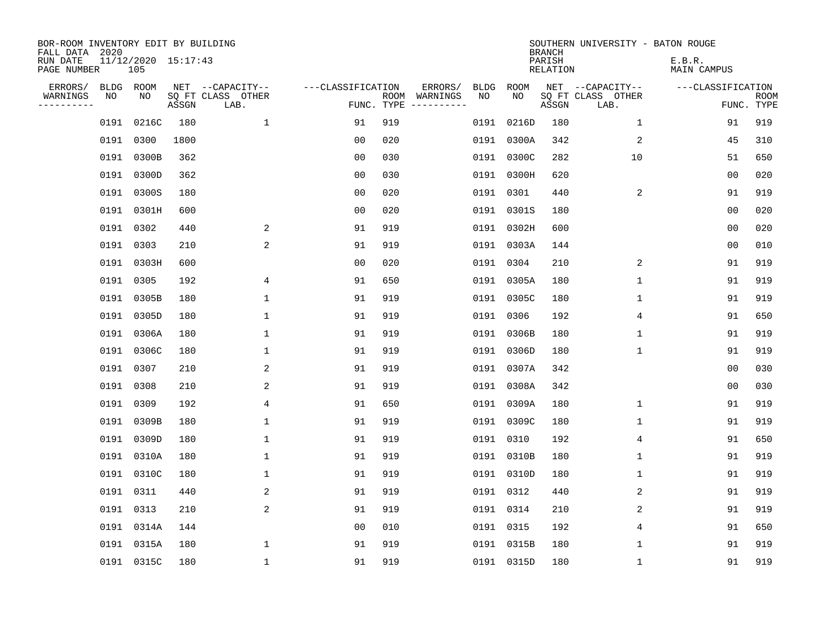| BOR-ROOM INVENTORY EDIT BY BUILDING<br>FALL DATA 2020 |      |                            |       |                           |                   |            |                              |      |            | <b>BRANCH</b>      | SOUTHERN UNIVERSITY - BATON ROUGE |                       |                           |
|-------------------------------------------------------|------|----------------------------|-------|---------------------------|-------------------|------------|------------------------------|------|------------|--------------------|-----------------------------------|-----------------------|---------------------------|
| RUN DATE<br>PAGE NUMBER                               |      | 11/12/2020 15:17:43<br>105 |       |                           |                   |            |                              |      |            | PARISH<br>RELATION |                                   | E.B.R.<br>MAIN CAMPUS |                           |
| ERRORS/                                               |      | BLDG ROOM                  |       | NET --CAPACITY--          | ---CLASSIFICATION |            | ERRORS/                      | BLDG | ROOM       |                    | NET --CAPACITY--                  | ---CLASSIFICATION     |                           |
| WARNINGS<br>----------                                | NO   | NO                         | ASSGN | SQ FT CLASS OTHER<br>LAB. |                   | FUNC. TYPE | ROOM WARNINGS<br>----------- | NO   | NO         | ASSGN              | SQ FT CLASS OTHER<br>LAB.         |                       | <b>ROOM</b><br>FUNC. TYPE |
|                                                       | 0191 | 0216C                      | 180   | $\mathbf{1}$              | 91                | 919        |                              |      | 0191 0216D | 180                | 1                                 | 91                    | 919                       |
|                                                       | 0191 | 0300                       | 1800  |                           | 00                | 020        |                              |      | 0191 0300A | 342                | 2                                 | 45                    | 310                       |
|                                                       | 0191 | 0300B                      | 362   |                           | 0 <sub>0</sub>    | 030        |                              |      | 0191 0300C | 282                | 10                                | 51                    | 650                       |
|                                                       |      | 0191 0300D                 | 362   |                           | 0 <sub>0</sub>    | 030        |                              |      | 0191 0300H | 620                |                                   | 0 <sub>0</sub>        | 020                       |
|                                                       |      | 0191 0300S                 | 180   |                           | 0 <sub>0</sub>    | 020        |                              |      | 0191 0301  | 440                | 2                                 | 91                    | 919                       |
|                                                       |      | 0191 0301H                 | 600   |                           | 0 <sub>0</sub>    | 020        |                              |      | 0191 0301S | 180                |                                   | 0 <sub>0</sub>        | 020                       |
|                                                       |      | 0191 0302                  | 440   | 2                         | 91                | 919        |                              |      | 0191 0302H | 600                |                                   | 00                    | 020                       |
|                                                       |      | 0191 0303                  | 210   | 2                         | 91                | 919        |                              |      | 0191 0303A | 144                |                                   | 0 <sub>0</sub>        | 010                       |
|                                                       | 0191 | 0303H                      | 600   |                           | 0 <sub>0</sub>    | 020        |                              |      | 0191 0304  | 210                | 2                                 | 91                    | 919                       |
|                                                       |      | 0191 0305                  | 192   | 4                         | 91                | 650        |                              |      | 0191 0305A | 180                | 1                                 | 91                    | 919                       |
|                                                       |      | 0191 0305B                 | 180   | 1                         | 91                | 919        |                              |      | 0191 0305C | 180                | 1                                 | 91                    | 919                       |
|                                                       |      | 0191 0305D                 | 180   | 1                         | 91                | 919        |                              |      | 0191 0306  | 192                | 4                                 | 91                    | 650                       |
|                                                       | 0191 | 0306A                      | 180   | 1                         | 91                | 919        |                              |      | 0191 0306B | 180                | $\mathbf 1$                       | 91                    | 919                       |
|                                                       | 0191 | 0306C                      | 180   | 1                         | 91                | 919        |                              |      | 0191 0306D | 180                | 1                                 | 91                    | 919                       |
|                                                       | 0191 | 0307                       | 210   | 2                         | 91                | 919        |                              |      | 0191 0307A | 342                |                                   | 0 <sub>0</sub>        | 030                       |
|                                                       | 0191 | 0308                       | 210   | 2                         | 91                | 919        |                              |      | 0191 0308A | 342                |                                   | 00                    | 030                       |
|                                                       | 0191 | 0309                       | 192   | 4                         | 91                | 650        |                              |      | 0191 0309A | 180                | 1                                 | 91                    | 919                       |
|                                                       | 0191 | 0309B                      | 180   | 1                         | 91                | 919        |                              |      | 0191 0309C | 180                | 1                                 | 91                    | 919                       |
|                                                       | 0191 | 0309D                      | 180   | 1                         | 91                | 919        |                              |      | 0191 0310  | 192                | 4                                 | 91                    | 650                       |
|                                                       | 0191 | 0310A                      | 180   | 1                         | 91                | 919        |                              |      | 0191 0310B | 180                | 1                                 | 91                    | 919                       |
|                                                       | 0191 | 0310C                      | 180   | 1                         | 91                | 919        |                              |      | 0191 0310D | 180                | 1                                 | 91                    | 919                       |
|                                                       | 0191 | 0311                       | 440   | 2                         | 91                | 919        |                              |      | 0191 0312  | 440                | 2                                 | 91                    | 919                       |
|                                                       |      | 0191 0313                  | 210   | 2                         | 91                | 919        |                              |      | 0191 0314  | 210                | 2                                 | 91                    | 919                       |
|                                                       |      | 0191 0314A                 | 144   |                           | 0 <sub>0</sub>    | 010        |                              |      | 0191 0315  | 192                | 4                                 | 91                    | 650                       |
|                                                       |      | 0191 0315A                 | 180   | 1                         | 91                | 919        |                              |      | 0191 0315B | 180                | $\mathbf{1}$                      | 91                    | 919                       |
|                                                       |      | 0191 0315C                 | 180   | $\mathbf{1}$              | 91                | 919        |                              |      | 0191 0315D | 180                | 1                                 | 91                    | 919                       |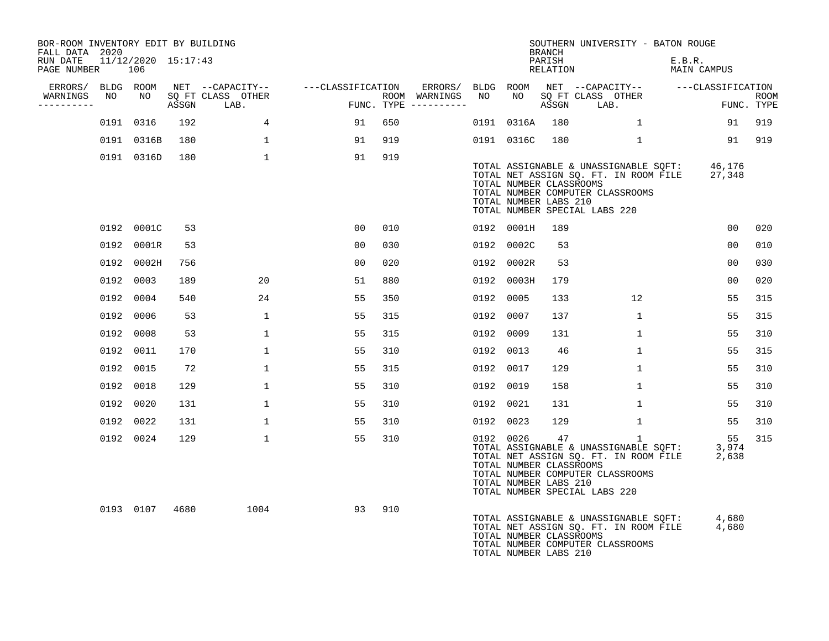| BOR-ROOM INVENTORY EDIT BY BUILDING<br>FALL DATA 2020 |           |            |     |                                 |                                    |     |                                                       |           |                                                  | BRANCH             |                                                                   | SOUTHERN UNIVERSITY - BATON ROUGE                                                         |                       |                |             |
|-------------------------------------------------------|-----------|------------|-----|---------------------------------|------------------------------------|-----|-------------------------------------------------------|-----------|--------------------------------------------------|--------------------|-------------------------------------------------------------------|-------------------------------------------------------------------------------------------|-----------------------|----------------|-------------|
| RUN DATE 11/12/2020 15:17:43<br>PAGE NUMBER           |           | 106        |     |                                 |                                    |     |                                                       |           |                                                  | PARISH<br>RELATION |                                                                   |                                                                                           | E.B.R.<br>MAIN CAMPUS |                |             |
| ERRORS/ BLDG ROOM                                     |           |            |     |                                 | NET --CAPACITY-- ---CLASSIFICATION |     | ERRORS/ BLDG ROOM NET --CAPACITY--  ---CLASSIFICATION |           |                                                  |                    |                                                                   |                                                                                           |                       |                |             |
| WARNINGS<br>----------                                | NO        | NO         |     | SQ FT CLASS OTHER<br>ASSGN LAB. |                                    |     | ROOM WARNINGS<br>FUNC. TYPE $------$                  | NO        | NO <sub>1</sub>                                  | ASSGN              | SQ FT CLASS OTHER<br>LAB.                                         |                                                                                           |                       | FUNC. TYPE     | <b>ROOM</b> |
|                                                       |           | 0191 0316  | 192 | 4                               | 91                                 | 650 |                                                       |           | 0191 0316A 180                                   |                    |                                                                   | $\mathbf{1}$                                                                              |                       | 91             | 919         |
|                                                       |           | 0191 0316B | 180 | $\mathbf{1}$                    | 91                                 | 919 |                                                       |           | 0191 0316C                                       | 180                |                                                                   | $\mathbf{1}$                                                                              |                       |                | 91 919      |
|                                                       |           | 0191 0316D | 180 | $\mathbf{1}$                    | 91                                 | 919 |                                                       |           | TOTAL NUMBER CLASSROOMS<br>TOTAL NUMBER LABS 210 |                    | TOTAL NUMBER COMPUTER CLASSROOMS<br>TOTAL NUMBER SPECIAL LABS 220 | TOTAL ASSIGNABLE & UNASSIGNABLE SQFT: 46,176<br>TOTAL NET ASSIGN SQ. FT. IN ROOM FILE     |                       | 27,348         |             |
|                                                       |           | 0192 0001C | 53  |                                 | 00                                 | 010 |                                                       |           | 0192 0001H                                       | 189                |                                                                   |                                                                                           |                       | 0 <sub>0</sub> | 020         |
|                                                       |           | 0192 0001R | 53  |                                 | 00                                 | 030 |                                                       |           | 0192 0002C                                       | 53                 |                                                                   |                                                                                           |                       | 00             | 010         |
|                                                       |           | 0192 0002H | 756 |                                 | 0 <sub>0</sub>                     | 020 |                                                       |           | 0192 0002R                                       | 53                 |                                                                   |                                                                                           |                       | 00             | 030         |
|                                                       |           | 0192 0003  | 189 | 20                              | 51                                 | 880 |                                                       |           | 0192 0003H                                       | 179                |                                                                   |                                                                                           |                       | 0 <sub>0</sub> | 020         |
|                                                       |           | 0192 0004  | 540 | 24                              | 55                                 | 350 |                                                       | 0192 0005 |                                                  | 133                |                                                                   | 12                                                                                        |                       | 55             | 315         |
|                                                       |           | 0192 0006  | 53  | $\mathbf{1}$                    | 55                                 | 315 |                                                       | 0192      | 0007                                             | 137                |                                                                   | 1                                                                                         |                       | 55             | 315         |
|                                                       |           | 0192 0008  | 53  | $\mathbf{1}$                    | 55                                 | 315 |                                                       | 0192 0009 |                                                  | 131                |                                                                   | $\mathbf{1}$                                                                              |                       | 55             | 310         |
|                                                       | 0192 0011 |            | 170 | $\mathbf{1}$                    | 55                                 | 310 |                                                       | 0192 0013 |                                                  | 46                 |                                                                   | $\mathbf{1}$                                                                              |                       | 55             | 315         |
|                                                       |           | 0192 0015  | 72  | $\mathbf{1}$                    | 55                                 | 315 |                                                       | 0192      | 0017                                             | 129                |                                                                   | $\mathbf{1}$                                                                              |                       | 55             | 310         |
|                                                       |           | 0192 0018  | 129 | 1                               | 55                                 | 310 |                                                       | 0192 0019 |                                                  | 158                |                                                                   | $\mathbf{1}$                                                                              |                       | 55             | 310         |
|                                                       | 0192 0020 |            | 131 | $\mathbf 1$                     | 55                                 | 310 |                                                       | 0192 0021 |                                                  | 131                |                                                                   | $\mathbf 1$                                                                               |                       | 55             | 310         |
|                                                       |           | 0192 0022  | 131 | $\mathbf{1}$                    | 55                                 | 310 |                                                       | 0192 0023 |                                                  | 129                |                                                                   | $\mathbf{1}$                                                                              |                       | 55             | 310         |
|                                                       |           | 0192 0024  | 129 | $\mathbf{1}$                    | 55                                 | 310 |                                                       | 0192 0026 | TOTAL NUMBER CLASSROOMS<br>TOTAL NUMBER LABS 210 | 47                 | TOTAL NUMBER COMPUTER CLASSROOMS<br>TOTAL NUMBER SPECIAL LABS 220 | 1<br>TOTAL ASSIGNABLE & UNASSIGNABLE SQFT:<br>TOTAL NET ASSIGN SQ. FT. IN ROOM FILE 2,638 |                       | 55<br>3,974    | 315         |
|                                                       |           |            |     | 0193 0107 4680<br>1004          | 93                                 | 910 |                                                       |           | TOTAL NUMBER CLASSROOMS<br>TOTAL NUMBER LABS 210 |                    | TOTAL NUMBER COMPUTER CLASSROOMS                                  | TOTAL ASSIGNABLE & UNASSIGNABLE SQFT:<br>TOTAL NET ASSIGN SQ. FT. IN ROOM FILE            |                       | 4,680<br>4,680 |             |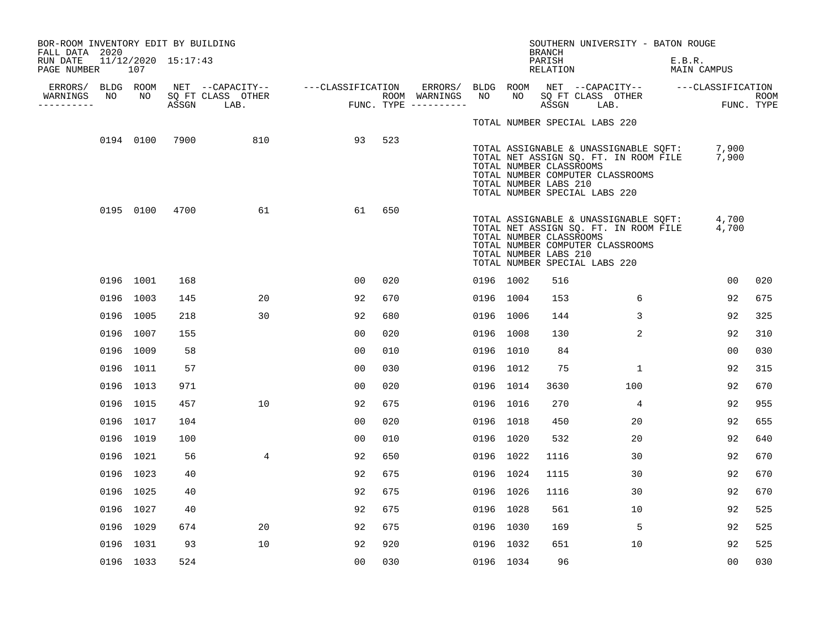| BOR-ROOM INVENTORY EDIT BY BUILDING<br>FALL DATA 2020 |           |                     |                                    |                |     |                                      |           |                                                  |                                     | SOUTHERN UNIVERSITY - BATON ROUGE                                                                                                                   |                       |                    |
|-------------------------------------------------------|-----------|---------------------|------------------------------------|----------------|-----|--------------------------------------|-----------|--------------------------------------------------|-------------------------------------|-----------------------------------------------------------------------------------------------------------------------------------------------------|-----------------------|--------------------|
| RUN DATE<br>PAGE NUMBER                               | 107       | 11/12/2020 15:17:43 |                                    |                |     |                                      |           |                                                  | <b>BRANCH</b><br>PARISH<br>RELATION |                                                                                                                                                     | E.B.R.<br>MAIN CAMPUS |                    |
| ERRORS/ BLDG ROOM                                     |           |                     | NET --CAPACITY-- ---CLASSIFICATION |                |     | ERRORS/                              |           | BLDG ROOM                                        |                                     | NET --CAPACITY-- ---CLASSIFICATION                                                                                                                  |                       |                    |
| WARNINGS<br>NO<br>-----------                         | NO        |                     | SQ FT CLASS OTHER<br>ASSGN LAB.    |                |     | ROOM WARNINGS<br>FUNC. TYPE $------$ | NO        | NO                                               | ASSGN                               | SQ FT CLASS OTHER<br>LAB.                                                                                                                           |                       | ROOM<br>FUNC. TYPE |
|                                                       |           |                     |                                    |                |     |                                      |           |                                                  |                                     | TOTAL NUMBER SPECIAL LABS 220                                                                                                                       |                       |                    |
|                                                       | 0194 0100 |                     | 7900 7900<br>810                   | 93             | 523 |                                      |           | TOTAL NUMBER CLASSROOMS<br>TOTAL NUMBER LABS 210 |                                     | TOTAL ASSIGNABLE & UNASSIGNABLE SQFT:<br>TOTAL NET ASSIGN SQ. FT. IN ROOM FILE<br>TOTAL NUMBER COMPUTER CLASSROOMS<br>TOTAL NUMBER SPECIAL LABS 220 | 7,900<br>7,900        |                    |
|                                                       | 0195 0100 | 4700                | 61                                 | 61             | 650 |                                      |           | TOTAL NUMBER CLASSROOMS<br>TOTAL NUMBER LABS 210 |                                     | TOTAL ASSIGNABLE & UNASSIGNABLE SQFT:<br>TOTAL NET ASSIGN SQ. FT. IN ROOM FILE<br>TOTAL NUMBER COMPUTER CLASSROOMS<br>TOTAL NUMBER SPECIAL LABS 220 | 4,700<br>4,700        |                    |
|                                                       | 0196 1001 | 168                 |                                    | 0 <sub>0</sub> | 020 |                                      | 0196 1002 |                                                  | 516                                 |                                                                                                                                                     | 00                    | 020                |
|                                                       | 0196 1003 | 145                 | 20                                 | 92             | 670 |                                      | 0196 1004 |                                                  | 153                                 | 6                                                                                                                                                   | 92                    | 675                |
|                                                       | 0196 1005 | 218                 | 30                                 | 92             | 680 |                                      |           | 0196 1006                                        | 144                                 | 3                                                                                                                                                   | 92                    | 325                |
|                                                       | 0196 1007 | 155                 |                                    | 0 <sub>0</sub> | 020 |                                      |           | 0196 1008                                        | 130                                 | 2                                                                                                                                                   | 92                    | 310                |
|                                                       | 0196 1009 | 58                  |                                    | 0 <sub>0</sub> | 010 |                                      |           | 0196 1010                                        | 84                                  |                                                                                                                                                     | 00                    | 030                |
|                                                       | 0196 1011 | 57                  |                                    | 0 <sub>0</sub> | 030 |                                      |           | 0196 1012                                        | 75                                  | 1                                                                                                                                                   | 92                    | 315                |
|                                                       | 0196 1013 | 971                 |                                    | 0 <sub>0</sub> | 020 |                                      | 0196 1014 |                                                  | 3630                                | 100                                                                                                                                                 | 92                    | 670                |
|                                                       | 0196 1015 | 457                 | 10 <sup>°</sup>                    | 92             | 675 |                                      | 0196 1016 |                                                  | 270                                 | 4                                                                                                                                                   | 92                    | 955                |
|                                                       | 0196 1017 | 104                 |                                    | 0 <sub>0</sub> | 020 |                                      | 0196 1018 |                                                  | 450                                 | 20                                                                                                                                                  | 92                    | 655                |
|                                                       | 0196 1019 | 100                 |                                    | 0 <sub>0</sub> | 010 |                                      | 0196 1020 |                                                  | 532                                 | 20                                                                                                                                                  | 92                    | 640                |
|                                                       | 0196 1021 | 56                  | $\overline{4}$                     | 92             | 650 |                                      | 0196 1022 |                                                  | 1116                                | 30                                                                                                                                                  | 92                    | 670                |
|                                                       | 0196 1023 | 40                  |                                    | 92             | 675 |                                      | 0196 1024 |                                                  | 1115                                | 30                                                                                                                                                  | 92                    | 670                |
|                                                       | 0196 1025 | 40                  |                                    | 92             | 675 |                                      | 0196 1026 |                                                  | 1116                                | 30                                                                                                                                                  | 92                    | 670                |
|                                                       | 0196 1027 | 40                  |                                    | 92             | 675 |                                      | 0196 1028 |                                                  | 561                                 | 10                                                                                                                                                  | 92                    | 525                |
|                                                       | 0196 1029 | 674                 | 20                                 | 92             | 675 |                                      | 0196 1030 |                                                  | 169                                 | 5                                                                                                                                                   | 92                    | 525                |
|                                                       | 0196 1031 | 93                  | 10                                 | 92             | 920 |                                      | 0196 1032 |                                                  | 651                                 | 10                                                                                                                                                  | 92                    | 525                |
|                                                       | 0196 1033 | 524                 |                                    | 00             | 030 |                                      | 0196 1034 |                                                  | 96                                  |                                                                                                                                                     | 0 <sub>0</sub>        | 030                |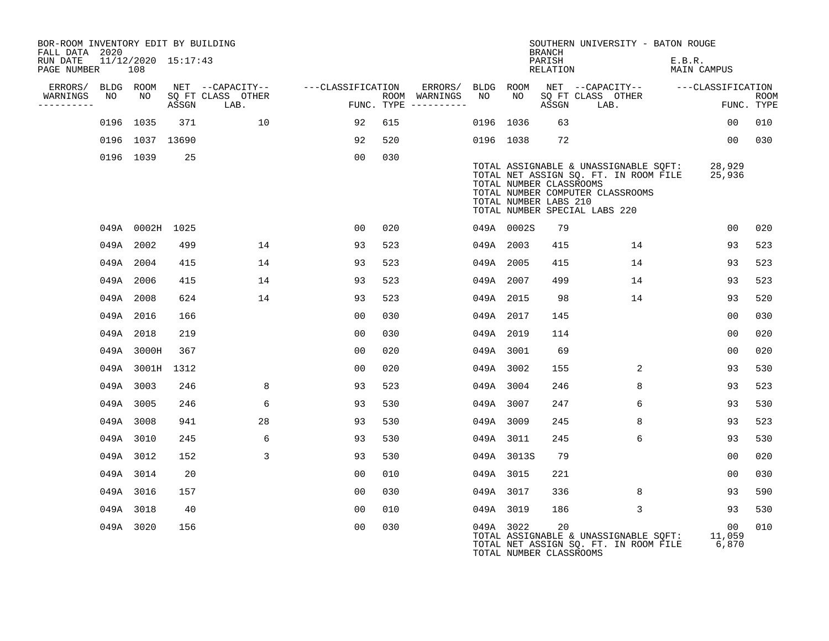| BOR-ROOM INVENTORY EDIT BY BUILDING<br>FALL DATA 2020 |           |                            |     |                                 |                   |     |                                      |           |                                                  | <b>BRANCH</b>      | SOUTHERN UNIVERSITY - BATON ROUGE                                                                                                                          |                       |                           |
|-------------------------------------------------------|-----------|----------------------------|-----|---------------------------------|-------------------|-----|--------------------------------------|-----------|--------------------------------------------------|--------------------|------------------------------------------------------------------------------------------------------------------------------------------------------------|-----------------------|---------------------------|
| RUN DATE<br>PAGE NUMBER                               |           | 11/12/2020 15:17:43<br>108 |     |                                 |                   |     |                                      |           |                                                  | PARISH<br>RELATION |                                                                                                                                                            | E.B.R.<br>MAIN CAMPUS |                           |
| ERRORS/ BLDG ROOM                                     |           |                            |     | NET --CAPACITY--                | ---CLASSIFICATION |     |                                      |           |                                                  |                    | ERRORS/ BLDG ROOM NET --CAPACITY--  ---CLASSIFICATION                                                                                                      |                       |                           |
| WARNINGS<br>----------                                | NO        | NO                         |     | SQ FT CLASS OTHER<br>ASSGN LAB. |                   |     | ROOM WARNINGS<br>FUNC. TYPE $------$ | NO        | NO                                               | ASSGN              | SQ FT CLASS OTHER<br>LAB.                                                                                                                                  |                       | <b>ROOM</b><br>FUNC. TYPE |
|                                                       |           | 0196 1035                  | 371 | 10                              | 92                | 615 |                                      | 0196 1036 |                                                  | 63                 |                                                                                                                                                            | 00                    | 010                       |
|                                                       |           | 0196 1037 13690            |     |                                 | 92                | 520 |                                      | 0196 1038 |                                                  | 72                 |                                                                                                                                                            | 00                    | 030                       |
|                                                       |           | 0196 1039                  | 25  |                                 | 00                | 030 |                                      |           | TOTAL NUMBER CLASSROOMS<br>TOTAL NUMBER LABS 210 |                    | TOTAL ASSIGNABLE & UNASSIGNABLE SQFT: 28,929<br>TOTAL NET ASSIGN SQ. FT. IN ROOM FILE<br>TOTAL NUMBER COMPUTER CLASSROOMS<br>TOTAL NUMBER SPECIAL LABS 220 | 25,936                |                           |
|                                                       |           | 049A 0002H 1025            |     |                                 | 0 <sub>0</sub>    | 020 |                                      |           | 049A 0002S                                       | 79                 |                                                                                                                                                            | 0 <sub>0</sub>        | 020                       |
|                                                       |           | 049A 2002                  | 499 | 14                              | 93                | 523 |                                      | 049A 2003 |                                                  | 415                | 14                                                                                                                                                         | 93                    | 523                       |
|                                                       |           | 049A 2004                  | 415 | 14                              | 93                | 523 |                                      | 049A 2005 |                                                  | 415                | 14                                                                                                                                                         | 93                    | 523                       |
|                                                       |           | 049A 2006                  | 415 | 14                              | 93                | 523 |                                      | 049A 2007 |                                                  | 499                | 14                                                                                                                                                         | 93                    | 523                       |
|                                                       |           | 049A 2008                  | 624 | 14                              | 93                | 523 |                                      | 049A 2015 |                                                  | 98                 | 14                                                                                                                                                         | 93                    | 520                       |
|                                                       | 049A 2016 |                            | 166 |                                 | 0 <sub>0</sub>    | 030 |                                      | 049A 2017 |                                                  | 145                |                                                                                                                                                            | 0 <sub>0</sub>        | 030                       |
|                                                       |           | 049A 2018                  | 219 |                                 | 0 <sub>0</sub>    | 030 |                                      | 049A 2019 |                                                  | 114                |                                                                                                                                                            | 00                    | 020                       |
|                                                       |           | 049A 3000H                 | 367 |                                 | 0 <sub>0</sub>    | 020 |                                      | 049A 3001 |                                                  | 69                 |                                                                                                                                                            | 00                    | 020                       |
|                                                       |           | 049A 3001H 1312            |     |                                 | 0 <sub>0</sub>    | 020 |                                      | 049A 3002 |                                                  | 155                | 2                                                                                                                                                          | 93                    | 530                       |
|                                                       |           | 049A 3003                  | 246 | 8                               | 93                | 523 |                                      | 049A 3004 |                                                  | 246                | 8                                                                                                                                                          | 93                    | 523                       |
|                                                       |           | 049A 3005                  | 246 | 6                               | 93                | 530 |                                      | 049A 3007 |                                                  | 247                | 6                                                                                                                                                          | 93                    | 530                       |
|                                                       |           | 049A 3008                  | 941 | 28                              | 93                | 530 |                                      | 049A 3009 |                                                  | 245                | 8                                                                                                                                                          | 93                    | 523                       |
|                                                       |           | 049A 3010                  | 245 | 6                               | 93                | 530 |                                      | 049A 3011 |                                                  | 245                | 6                                                                                                                                                          | 93                    | 530                       |
|                                                       |           | 049A 3012                  | 152 | 3                               | 93                | 530 |                                      |           | 049A 3013S                                       | 79                 |                                                                                                                                                            | 00                    | 020                       |
|                                                       |           | 049A 3014                  | 20  |                                 | 0 <sub>0</sub>    | 010 |                                      | 049A 3015 |                                                  | 221                |                                                                                                                                                            | 00                    | 030                       |
|                                                       | 049A 3016 |                            | 157 |                                 | 0 <sub>0</sub>    | 030 |                                      | 049A 3017 |                                                  | 336                | 8                                                                                                                                                          | 93                    | 590                       |
|                                                       | 049A 3018 |                            | 40  |                                 | 0 <sub>0</sub>    | 010 |                                      | 049A 3019 |                                                  | 186                | $\mathbf{3}$                                                                                                                                               | 93                    | 530                       |
|                                                       |           | 049A 3020                  | 156 |                                 | 0 <sub>0</sub>    | 030 |                                      | 049A 3022 | TOTAL NUMBER CLASSROOMS                          | 20                 | TOTAL ASSIGNABLE & UNASSIGNABLE SOFT: 11,059<br>TOTAL NET ASSIGN SQ. FT. IN ROOM FILE                                                                      | 00<br>6,870           | 010                       |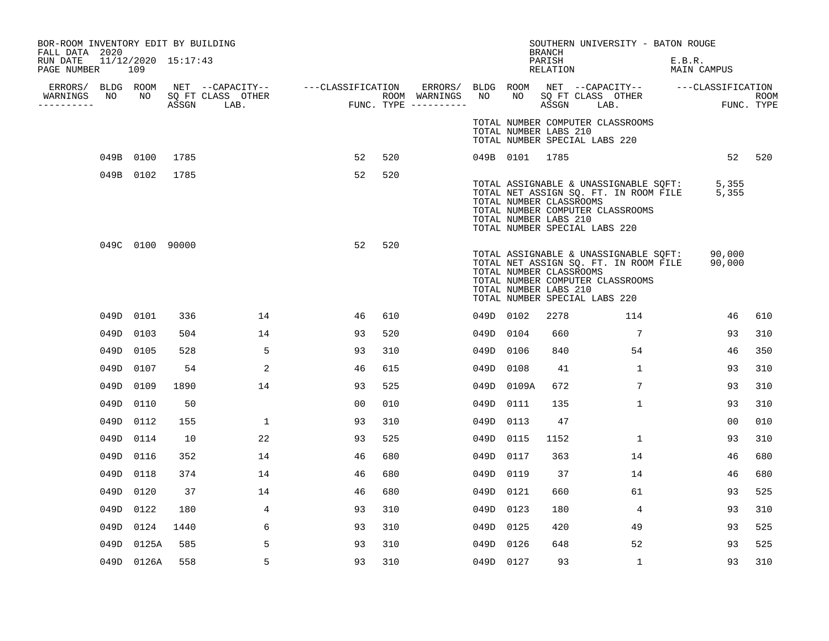| BOR-ROOM INVENTORY EDIT BY BUILDING<br>FALL DATA 2020 |           |                            |      |                                                |   |                |     |                                       |           |                                                  | <b>BRANCH</b>      | SOUTHERN UNIVERSITY - BATON ROUGE                                                                                                                                  |                       |                    |
|-------------------------------------------------------|-----------|----------------------------|------|------------------------------------------------|---|----------------|-----|---------------------------------------|-----------|--------------------------------------------------|--------------------|--------------------------------------------------------------------------------------------------------------------------------------------------------------------|-----------------------|--------------------|
| RUN DATE<br>PAGE NUMBER                               |           | 11/12/2020 15:17:43<br>109 |      |                                                |   |                |     |                                       |           |                                                  | PARISH<br>RELATION |                                                                                                                                                                    | E.B.R.<br>MAIN CAMPUS |                    |
| ----------                                            |           |                            |      | WARNINGS NO NO SQ FT CLASS OTHER<br>ASSGN LAB. |   |                |     | ROOM WARNINGS<br>FUNC. TYPE --------- |           |                                                  |                    | ERRORS/ BLDG ROOM NET --CAPACITY-- ----CLASSIFICATION ERRORS/ BLDG ROOM NET --CAPACITY-- ----CLASSIFICATION<br>ROOM WARNINGS NO NO SQ FT CLASS OTHER<br>ASSGN LAB. |                       | ROOM<br>FUNC. TYPE |
|                                                       |           |                            |      |                                                |   |                |     |                                       |           | TOTAL NUMBER LABS 210                            |                    | TOTAL NUMBER COMPUTER CLASSROOMS<br>TOTAL NUMBER SPECIAL LABS 220                                                                                                  |                       |                    |
|                                                       |           | 049B 0100                  | 1785 |                                                |   | 52             | 520 |                                       |           | 049B 0101 1785                                   |                    |                                                                                                                                                                    | 52 520                |                    |
|                                                       |           | 049B 0102                  | 1785 |                                                |   | 52             | 520 |                                       |           | TOTAL NUMBER CLASSROOMS<br>TOTAL NUMBER LABS 210 |                    | TOTAL ASSIGNABLE & UNASSIGNABLE SQFT: 5,355<br>TOTAL NET ASSIGN SQ. FT. IN ROOM FILE 5,355<br>TOTAL NUMBER COMPUTER CLASSROOMS<br>TOTAL NUMBER SPECIAL LABS 220    |                       |                    |
|                                                       |           | 049C 0100 90000            |      |                                                |   | 52             | 520 |                                       |           | TOTAL NUMBER CLASSROOMS<br>TOTAL NUMBER LABS 210 |                    | TOTAL ASSIGNABLE & UNASSIGNABLE SQFT: 90,000<br>TOTAL NET ASSIGN SQ. FT. IN ROOM FILE<br>TOTAL NUMBER COMPUTER CLASSROOMS<br>TOTAL NUMBER SPECIAL LABS 220         | 90,000                |                    |
|                                                       | 049D 0101 |                            | 336  | 14                                             |   | 46             | 610 |                                       | 049D 0102 |                                                  | 2278               | 114                                                                                                                                                                | 46                    | 610                |
|                                                       | 049D 0103 |                            | 504  | 14                                             |   | 93             | 520 |                                       | 049D 0104 |                                                  | 660                | 7                                                                                                                                                                  | 93                    | 310                |
|                                                       | 049D 0105 |                            | 528  |                                                | 5 | 93             | 310 |                                       | 049D 0106 |                                                  | 840                | 54                                                                                                                                                                 | 46                    | 350                |
|                                                       | 049D 0107 |                            | 54   |                                                | 2 | 46             | 615 |                                       | 049D 0108 |                                                  | 41                 | $\mathbf{1}$                                                                                                                                                       | 93                    | 310                |
|                                                       | 049D 0109 |                            | 1890 | 14                                             |   | 93             | 525 |                                       |           | 049D 0109A                                       | 672                | $7\phantom{.0}$                                                                                                                                                    | 93                    | 310                |
|                                                       | 049D 0110 |                            | 50   |                                                |   | 0 <sub>0</sub> | 010 |                                       | 049D 0111 |                                                  | 135                | $\mathbf{1}$                                                                                                                                                       | 93                    | 310                |
|                                                       | 049D 0112 |                            | 155  |                                                | 1 | 93             | 310 |                                       | 049D 0113 |                                                  | 47                 |                                                                                                                                                                    | 00                    | 010                |
|                                                       | 049D 0114 |                            | 10   | 22                                             |   | 93             | 525 |                                       | 049D 0115 |                                                  | 1152               | 1                                                                                                                                                                  | 93                    | 310                |
|                                                       | 049D 0116 |                            | 352  | 14                                             |   | 46             | 680 |                                       | 049D 0117 |                                                  | 363                | 14                                                                                                                                                                 | 46                    | 680                |
|                                                       | 049D 0118 |                            | 374  | 14                                             |   | 46             | 680 |                                       | 049D 0119 |                                                  | 37                 | 14                                                                                                                                                                 | 46                    | 680                |
|                                                       | 049D 0120 |                            | 37   | 14                                             |   | 46             | 680 |                                       | 049D 0121 |                                                  | 660                | 61                                                                                                                                                                 | 93                    | 525                |
|                                                       | 049D 0122 |                            | 180  |                                                | 4 | 93             | 310 |                                       | 049D 0123 |                                                  | 180                | $4\overline{ }$                                                                                                                                                    | 93                    | 310                |
|                                                       | 049D 0124 |                            | 1440 |                                                | 6 | 93             | 310 |                                       | 049D 0125 |                                                  | 420                | 49                                                                                                                                                                 | 93                    | 525                |
|                                                       |           | 049D 0125A                 | 585  |                                                | 5 | 93             | 310 |                                       | 049D 0126 |                                                  | 648                | 52                                                                                                                                                                 | 93                    | 525                |
|                                                       |           | 049D 0126A                 | 558  |                                                | 5 | 93             | 310 |                                       | 049D 0127 |                                                  | 93                 | 1                                                                                                                                                                  | 93                    | 310                |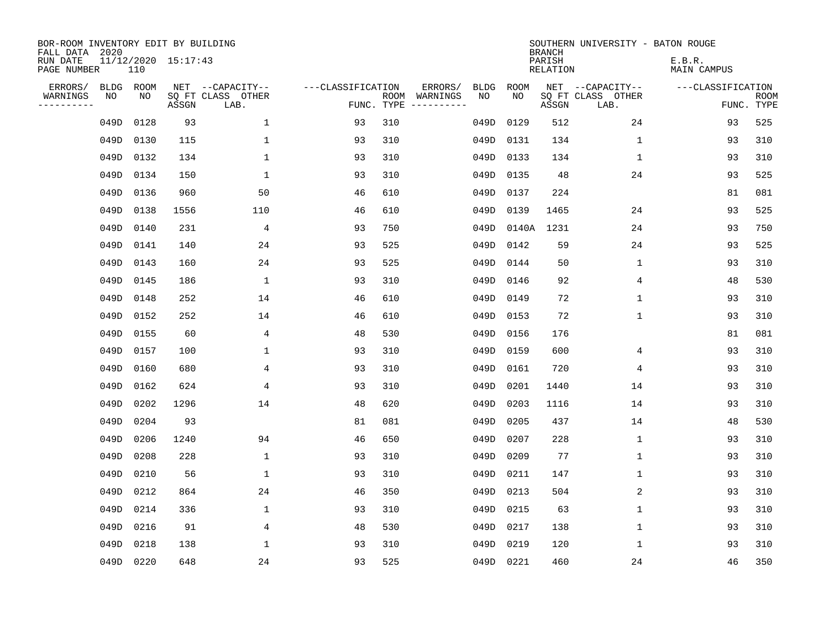| BOR-ROOM INVENTORY EDIT BY BUILDING<br>FALL DATA 2020 |      |           |                     |                           |                   |            |               |             |            | <b>BRANCH</b>             | SOUTHERN UNIVERSITY - BATON ROUGE |                              |                           |
|-------------------------------------------------------|------|-----------|---------------------|---------------------------|-------------------|------------|---------------|-------------|------------|---------------------------|-----------------------------------|------------------------------|---------------------------|
| RUN DATE<br>PAGE NUMBER                               |      | 110       | 11/12/2020 15:17:43 |                           |                   |            |               |             |            | PARISH<br><b>RELATION</b> |                                   | E.B.R.<br><b>MAIN CAMPUS</b> |                           |
| ERRORS/                                               | BLDG | ROOM      |                     | NET --CAPACITY--          | ---CLASSIFICATION |            | ERRORS/       | <b>BLDG</b> | ROOM       |                           | NET --CAPACITY--                  | ---CLASSIFICATION            |                           |
| WARNINGS<br>----------                                | NO   | NO        | ASSGN               | SQ FT CLASS OTHER<br>LAB. |                   | FUNC. TYPE | ROOM WARNINGS | NO          | NO         | ASSGN                     | SQ FT CLASS OTHER<br>LAB.         |                              | <b>ROOM</b><br>FUNC. TYPE |
|                                                       | 049D | 0128      | 93                  | 1                         | 93                | 310        |               | 049D        | 0129       | 512                       | 24                                | 93                           | 525                       |
|                                                       | 049D | 0130      | 115                 | 1                         | 93                | 310        |               | 049D        | 0131       | 134                       | 1                                 | 93                           | 310                       |
|                                                       | 049D | 0132      | 134                 | $\mathbf{1}$              | 93                | 310        |               | 049D        | 0133       | 134                       | $\mathbf 1$                       | 93                           | 310                       |
|                                                       | 049D | 0134      | 150                 | $\mathbf{1}$              | 93                | 310        |               |             | 049D 0135  | 48                        | 24                                | 93                           | 525                       |
|                                                       | 049D | 0136      | 960                 | 50                        | 46                | 610        |               | 049D        | 0137       | 224                       |                                   | 81                           | 081                       |
|                                                       | 049D | 0138      | 1556                | 110                       | 46                | 610        |               |             | 049D 0139  | 1465                      | 24                                | 93                           | 525                       |
|                                                       | 049D | 0140      | 231                 | 4                         | 93                | 750        |               |             | 049D 0140A | 1231                      | 24                                | 93                           | 750                       |
|                                                       | 049D | 0141      | 140                 | 24                        | 93                | 525        |               |             | 049D 0142  | 59                        | 24                                | 93                           | 525                       |
|                                                       | 049D | 0143      | 160                 | 24                        | 93                | 525        |               | 049D        | 0144       | 50                        | 1                                 | 93                           | 310                       |
|                                                       | 049D | 0145      | 186                 | $\mathbf 1$               | 93                | 310        |               | 049D        | 0146       | 92                        | 4                                 | 48                           | 530                       |
|                                                       | 049D | 0148      | 252                 | 14                        | 46                | 610        |               | 049D        | 0149       | 72                        | 1                                 | 93                           | 310                       |
|                                                       | 049D | 0152      | 252                 | 14                        | 46                | 610        |               | 049D        | 0153       | 72                        | 1                                 | 93                           | 310                       |
|                                                       | 049D | 0155      | 60                  | 4                         | 48                | 530        |               | 049D        | 0156       | 176                       |                                   | 81                           | 081                       |
|                                                       | 049D | 0157      | 100                 | 1                         | 93                | 310        |               | 049D        | 0159       | 600                       | 4                                 | 93                           | 310                       |
|                                                       | 049D | 0160      | 680                 | 4                         | 93                | 310        |               |             | 049D 0161  | 720                       | $\overline{4}$                    | 93                           | 310                       |
|                                                       | 049D | 0162      | 624                 | $\overline{4}$            | 93                | 310        |               | 049D        | 0201       | 1440                      | 14                                | 93                           | 310                       |
|                                                       | 049D | 0202      | 1296                | 14                        | 48                | 620        |               | 049D        | 0203       | 1116                      | 14                                | 93                           | 310                       |
|                                                       | 049D | 0204      | 93                  |                           | 81                | 081        |               | 049D        | 0205       | 437                       | 14                                | 48                           | 530                       |
|                                                       | 049D | 0206      | 1240                | 94                        | 46                | 650        |               | 049D        | 0207       | 228                       | 1                                 | 93                           | 310                       |
|                                                       | 049D | 0208      | 228                 | $\mathbf{1}$              | 93                | 310        |               | 049D        | 0209       | 77                        | 1                                 | 93                           | 310                       |
|                                                       | 049D | 0210      | 56                  | $\mathbf{1}$              | 93                | 310        |               | 049D        | 0211       | 147                       | 1                                 | 93                           | 310                       |
|                                                       | 049D | 0212      | 864                 | 24                        | 46                | 350        |               | 049D        | 0213       | 504                       | $\sqrt{2}$                        | 93                           | 310                       |
|                                                       | 049D | 0214      | 336                 | 1                         | 93                | 310        |               |             | 049D 0215  | 63                        | 1                                 | 93                           | 310                       |
|                                                       | 049D | 0216      | 91                  | 4                         | 48                | 530        |               | 049D        | 0217       | 138                       | $\mathbf 1$                       | 93                           | 310                       |
|                                                       | 049D | 0218      | 138                 | $\mathbf{1}$              | 93                | 310        |               | 049D        | 0219       | 120                       | 1                                 | 93                           | 310                       |
|                                                       |      | 049D 0220 | 648                 | 24                        | 93                | 525        |               |             | 049D 0221  | 460                       | 24                                | 46                           | 350                       |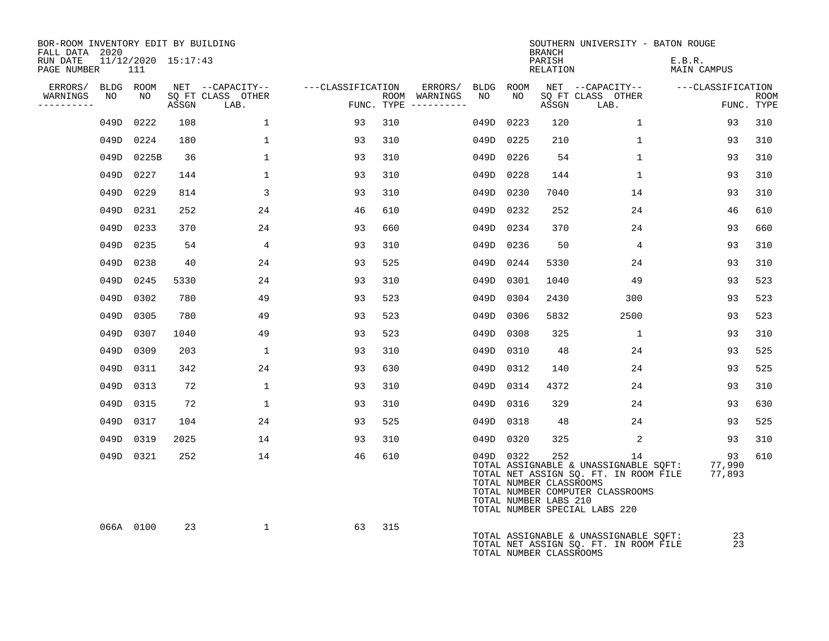| BOR-ROOM INVENTORY EDIT BY BUILDING<br>FALL DATA 2020 |           |                            |       |                           |                   |     |                                      |      |           | <b>BRANCH</b>                                           | SOUTHERN UNIVERSITY - BATON ROUGE                                                                                                                         |                              |                           |
|-------------------------------------------------------|-----------|----------------------------|-------|---------------------------|-------------------|-----|--------------------------------------|------|-----------|---------------------------------------------------------|-----------------------------------------------------------------------------------------------------------------------------------------------------------|------------------------------|---------------------------|
| RUN DATE<br>PAGE NUMBER                               |           | 11/12/2020 15:17:43<br>111 |       |                           |                   |     |                                      |      |           | PARISH<br>RELATION                                      |                                                                                                                                                           | E.B.R.<br><b>MAIN CAMPUS</b> |                           |
| ERRORS/ BLDG ROOM                                     |           |                            |       | NET --CAPACITY--          | ---CLASSIFICATION |     | ERRORS/ BLDG ROOM                    |      |           |                                                         | NET --CAPACITY-- ---CLASSIFICATION                                                                                                                        |                              |                           |
| WARNINGS<br>----------                                | NO        | NO                         | ASSGN | SQ FT CLASS OTHER<br>LAB. |                   |     | ROOM WARNINGS<br>FUNC. TYPE $------$ | NO   | NO        | ASSGN                                                   | SQ FT CLASS OTHER<br>LAB.                                                                                                                                 |                              | <b>ROOM</b><br>FUNC. TYPE |
|                                                       |           | 049D 0222                  | 108   | $\mathbf{1}$              | 93                | 310 |                                      | 049D | 0223      | 120                                                     | $\mathbf{1}$                                                                                                                                              | 93                           | 310                       |
|                                                       |           | 049D 0224                  | 180   | 1                         | 93                | 310 |                                      | 049D | 0225      | 210                                                     | $\mathbf{1}$                                                                                                                                              | 93                           | 310                       |
|                                                       |           | 049D 0225B                 | 36    | $\mathbf 1$               | 93                | 310 |                                      |      | 049D 0226 | 54                                                      | $\mathbf{1}$                                                                                                                                              | 93                           | 310                       |
|                                                       |           | 049D 0227                  | 144   | 1                         | 93                | 310 |                                      | 049D | 0228      | 144                                                     | $\mathbf{1}$                                                                                                                                              | 93                           | 310                       |
|                                                       |           | 049D 0229                  | 814   | 3                         | 93                | 310 |                                      |      | 049D 0230 | 7040                                                    | 14                                                                                                                                                        | 93                           | 310                       |
|                                                       |           | 049D 0231                  | 252   | 24                        | 46                | 610 |                                      |      | 049D 0232 | 252                                                     | 24                                                                                                                                                        | 46                           | 610                       |
|                                                       |           | 049D 0233                  | 370   | 24                        | 93                | 660 |                                      |      | 049D 0234 | 370                                                     | 24                                                                                                                                                        | 93                           | 660                       |
|                                                       | 049D 0235 |                            | 54    | 4                         | 93                | 310 |                                      |      | 049D 0236 | 50                                                      | $\overline{4}$                                                                                                                                            | 93                           | 310                       |
|                                                       | 049D 0238 |                            | 40    | 24                        | 93                | 525 |                                      |      | 049D 0244 | 5330                                                    | 24                                                                                                                                                        | 93                           | 310                       |
|                                                       |           | 049D 0245                  | 5330  | 24                        | 93                | 310 |                                      |      | 049D 0301 | 1040                                                    | 49                                                                                                                                                        | 93                           | 523                       |
|                                                       |           | 049D 0302                  | 780   | 49                        | 93                | 523 |                                      |      | 049D 0304 | 2430                                                    | 300                                                                                                                                                       | 93                           | 523                       |
|                                                       | 049D 0305 |                            | 780   | 49                        | 93                | 523 |                                      |      | 049D 0306 | 5832                                                    | 2500                                                                                                                                                      | 93                           | 523                       |
|                                                       | 049D 0307 |                            | 1040  | 49                        | 93                | 523 |                                      |      | 049D 0308 | 325                                                     | 1                                                                                                                                                         | 93                           | 310                       |
|                                                       | 049D 0309 |                            | 203   | $\mathbf{1}$              | 93                | 310 |                                      |      | 049D 0310 | 48                                                      | 24                                                                                                                                                        | 93                           | 525                       |
|                                                       | 049D 0311 |                            | 342   | 24                        | 93                | 630 |                                      |      | 049D 0312 | 140                                                     | 24                                                                                                                                                        | 93                           | 525                       |
|                                                       | 049D 0313 |                            | 72    | $\mathbf{1}$              | 93                | 310 |                                      |      | 049D 0314 | 4372                                                    | 24                                                                                                                                                        | 93                           | 310                       |
|                                                       | 049D 0315 |                            | 72    | 1                         | 93                | 310 |                                      |      | 049D 0316 | 329                                                     | 24                                                                                                                                                        | 93                           | 630                       |
|                                                       |           | 049D 0317                  | 104   | 24                        | 93                | 525 |                                      |      | 049D 0318 | - 48                                                    | 24                                                                                                                                                        | 93                           | 525                       |
|                                                       |           | 049D 0319                  | 2025  | 14                        | 93                | 310 |                                      |      | 049D 0320 | 325                                                     | 2                                                                                                                                                         | 93                           | 310                       |
|                                                       |           | 049D 0321                  | 252   | 14                        | 46                | 610 |                                      |      | 049D 0322 | 252<br>TOTAL NUMBER CLASSROOMS<br>TOTAL NUMBER LABS 210 | 14<br>TOTAL ASSIGNABLE & UNASSIGNABLE SQFT:<br>TOTAL NET ASSIGN SQ. FT. IN ROOM FILE<br>TOTAL NUMBER COMPUTER CLASSROOMS<br>TOTAL NUMBER SPECIAL LABS 220 | 93<br>77,990<br>77,893       | 610                       |
|                                                       |           | 066A 0100                  | 23    | $\mathbf{1}$              | 63                | 315 |                                      |      |           | TOTAL NUMBER CLASSROOMS                                 | TOTAL ASSIGNABLE & UNASSIGNABLE SQFT:<br>TOTAL NET ASSIGN SQ. FT. IN ROOM FILE                                                                            | 23<br>23                     |                           |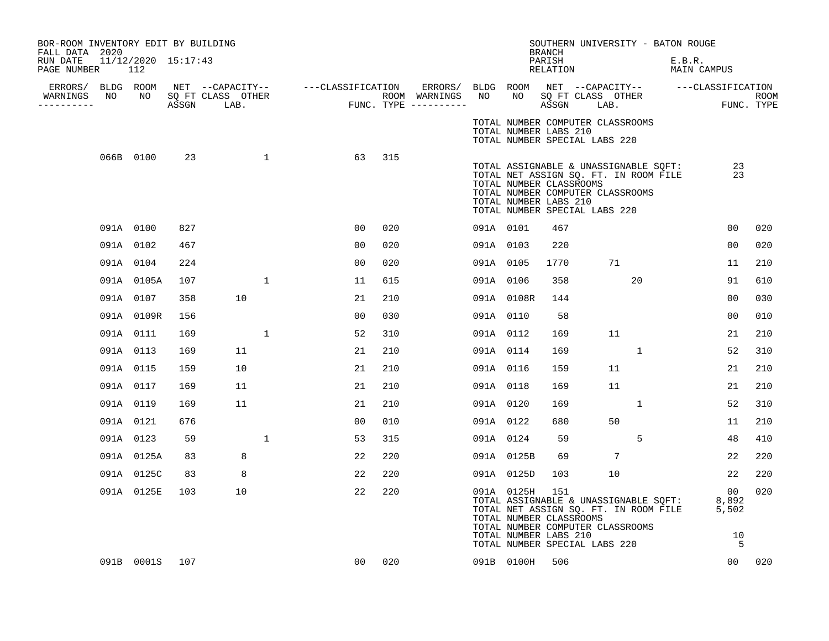| BOR-ROOM INVENTORY EDIT BY BUILDING<br>FALL DATA 2020                                                                                                                                 |                            |     |    |              |                |     |                                                                                                                                 |           |                                                                                                 | BRANCH             | SOUTHERN UNIVERSITY - BATON ROUGE                                                                                              |                       |                |     |
|---------------------------------------------------------------------------------------------------------------------------------------------------------------------------------------|----------------------------|-----|----|--------------|----------------|-----|---------------------------------------------------------------------------------------------------------------------------------|-----------|-------------------------------------------------------------------------------------------------|--------------------|--------------------------------------------------------------------------------------------------------------------------------|-----------------------|----------------|-----|
| RUN DATE<br>PAGE NUMBER                                                                                                                                                               | 11/12/2020 15:17:43<br>112 |     |    |              |                |     |                                                                                                                                 |           |                                                                                                 | PARISH<br>RELATION |                                                                                                                                | E.B.R.<br>MAIN CAMPUS |                |     |
| ERRORS/ BLDG ROOM NET --CAPACITY-- ----CLASSIFICATION ERRORS/<br>VARNINGS NO NO SQFTCLASS OTHER ROOM WARNINGS<br>--------- ASSGN LAB. FUNC. TYPE ----------<br>WARNINGS<br>---------- |                            |     |    |              |                |     | ERRORS/ BLDG ROOM NET --CAPACITY-- ----CLASSIFICATION<br>WARNINGS NO NO SQFTCLASS OTHER ROOM<br>---------- ASSGN LAB. FUNC.TYPE |           |                                                                                                 |                    |                                                                                                                                |                       |                |     |
|                                                                                                                                                                                       |                            |     |    |              |                |     |                                                                                                                                 |           | TOTAL NUMBER LABS 210<br>TOTAL NUMBER SPECIAL LABS 220                                          |                    | TOTAL NUMBER COMPUTER CLASSROOMS                                                                                               |                       |                |     |
|                                                                                                                                                                                       | 066B 0100                  | 23  |    | $\mathbf{1}$ | 63             | 315 |                                                                                                                                 |           | TOTAL NUMBER CLASSROOMS<br>TOTAL NUMBER LABS 210<br>TOTAL NUMBER SPECIAL LABS 220               |                    | TOTAL ASSIGNABLE & UNASSIGNABLE SQFT:<br>TOTAL NET ASSIGN SQ. FT. IN ROOM FILE<br>TOTAL NUMBER COMPUTER CLASSROOMS             |                       | 23<br>23       |     |
|                                                                                                                                                                                       | 091A 0100                  | 827 |    |              | 00             | 020 |                                                                                                                                 | 091A 0101 |                                                                                                 | 467                |                                                                                                                                |                       | 00             | 020 |
|                                                                                                                                                                                       | 091A 0102                  | 467 |    |              | 0 <sub>0</sub> | 020 |                                                                                                                                 | 091A 0103 |                                                                                                 | 220                |                                                                                                                                |                       | 0 <sub>0</sub> | 020 |
|                                                                                                                                                                                       | 091A 0104                  | 224 |    |              | 0 <sub>0</sub> | 020 |                                                                                                                                 | 091A 0105 |                                                                                                 | 1770               | 71                                                                                                                             |                       | 11             | 210 |
|                                                                                                                                                                                       | 091A 0105A                 | 107 |    | 1            | 11             | 615 |                                                                                                                                 | 091A 0106 |                                                                                                 | 358                | 20                                                                                                                             |                       | 91             | 610 |
|                                                                                                                                                                                       | 091A 0107                  | 358 | 10 |              | 21             | 210 |                                                                                                                                 |           | 091A 0108R                                                                                      | 144                |                                                                                                                                |                       | 00             | 030 |
|                                                                                                                                                                                       | 091A 0109R                 | 156 |    |              | 00             | 030 |                                                                                                                                 | 091A 0110 |                                                                                                 | 58                 |                                                                                                                                |                       | 00             | 010 |
|                                                                                                                                                                                       | 091A 0111                  | 169 |    | $\mathbf{1}$ | 52             | 310 |                                                                                                                                 | 091A 0112 |                                                                                                 | 169                | 11                                                                                                                             |                       | 21             | 210 |
|                                                                                                                                                                                       | 091A 0113                  | 169 | 11 |              | 21             | 210 |                                                                                                                                 | 091A 0114 |                                                                                                 | 169                | 1                                                                                                                              |                       | 52             | 310 |
|                                                                                                                                                                                       | 091A 0115                  | 159 | 10 |              | 21             | 210 |                                                                                                                                 | 091A 0116 |                                                                                                 | 159                | 11                                                                                                                             |                       | 21             | 210 |
|                                                                                                                                                                                       | 091A 0117                  | 169 | 11 |              | 21             | 210 |                                                                                                                                 | 091A 0118 |                                                                                                 | 169                | 11                                                                                                                             |                       | 21             | 210 |
|                                                                                                                                                                                       | 091A 0119                  | 169 | 11 |              | 21             | 210 |                                                                                                                                 | 091A 0120 |                                                                                                 | 169                | 1                                                                                                                              |                       | 52             | 310 |
|                                                                                                                                                                                       | 091A 0121                  | 676 |    |              | 00             | 010 |                                                                                                                                 | 091A 0122 |                                                                                                 | 680                | 50                                                                                                                             |                       | 11             | 210 |
|                                                                                                                                                                                       | 091A 0123                  | 59  |    | $\mathbf{1}$ | 53             | 315 |                                                                                                                                 |           | 091A 0124                                                                                       | 59                 | 5                                                                                                                              |                       | 48             | 410 |
|                                                                                                                                                                                       | 091A 0125A                 | 83  | 8  |              | 22             | 220 |                                                                                                                                 |           | 091A 0125B                                                                                      | 69                 | 7                                                                                                                              |                       | 22             | 220 |
|                                                                                                                                                                                       | 091A 0125C                 | 83  | 8  |              | 22             | 220 |                                                                                                                                 |           | 091A 0125D                                                                                      | 103                | 10                                                                                                                             |                       | 22             | 220 |
|                                                                                                                                                                                       | 091A 0125E                 | 103 | 10 |              | 22             | 220 |                                                                                                                                 |           | 091A 0125H<br>TOTAL NUMBER CLASSROOMS<br>TOTAL NUMBER LABS 210<br>TOTAL NUMBER SPECIAL LABS 220 | 151                | TOTAL ASSIGNABLE & UNASSIGNABLE SQFT: 8,892<br>TOTAL NET ASSIGN SQ. FT. IN ROOM FILE 5,502<br>TOTAL NUMBER COMPUTER CLASSROOMS |                       | 00<br>10<br>5  | 020 |
|                                                                                                                                                                                       | 091B 0001S 107             |     |    |              | 00             | 020 |                                                                                                                                 |           | 091B 0100H 506                                                                                  |                    |                                                                                                                                |                       | 00 020         |     |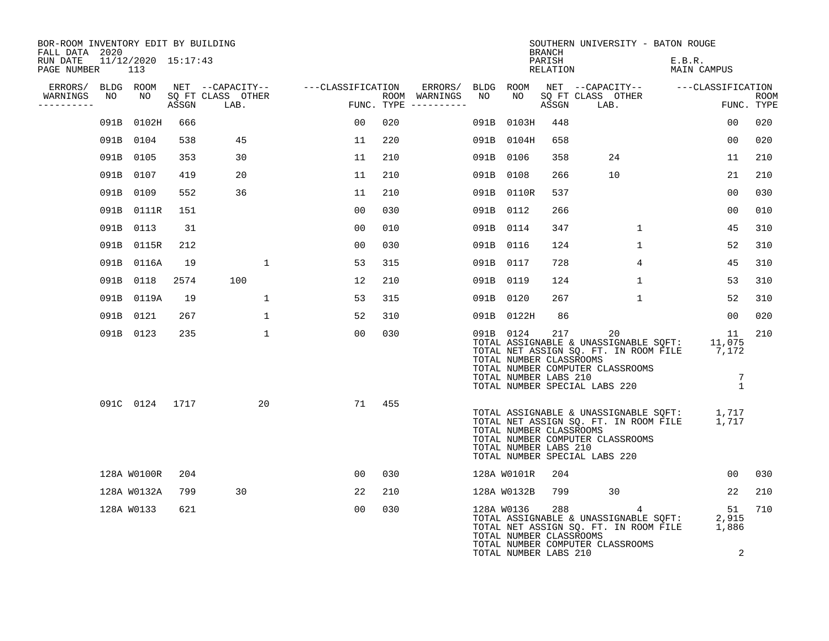| RUN DATE<br>11/12/2020 15:17:43<br>PARISH<br>E.B.R.<br>PAGE NUMBER<br>113<br>RELATION<br>MAIN CAMPUS<br>NET --CAPACITY-- ---CLASSIFICATION<br>ERRORS/<br>BLDG ROOM<br>NET --CAPACITY--<br>---CLASSIFICATION<br>ERRORS/<br>BLDG ROOM<br>WARNINGS<br>NO<br>NO<br>SQ FT CLASS OTHER<br>ROOM WARNINGS<br>NO<br>NO<br>SQ FT CLASS OTHER<br>FUNC. TYPE $------$<br>FUNC. TYPE<br>----------<br>ASSGN<br>LAB.<br>ASSGN<br>LAB.<br>091B 0102H<br>666<br>00<br>020<br>00<br>091B<br>0103H<br>448<br>091B 0104<br>538<br>45<br>11<br>220<br>091B 0104H<br>658<br>00<br>091B 0105<br>353<br>30<br>11<br>210<br>091B 0106<br>358<br>24<br>11<br>091B 0107<br>419<br>20<br>11<br>210<br>091B<br>0108<br>10<br>21<br>266<br>552<br>091B 0109<br>36<br>11<br>210<br>091B 0110R<br>537<br>0 <sub>0</sub><br>091B 0111R<br>151<br>00<br>030<br>091B 0112<br>266<br>00<br>$\mathbf{1}$<br>45<br>091B 0113<br>0 <sub>0</sub><br>010<br>091B 0114<br>347<br>31<br>$\mathbf{1}$<br>52<br>091B 0115R<br>212<br>0 <sub>0</sub><br>030<br>091B 0116<br>124<br>091B 0116A<br>$\mathbf 1$<br>53<br>315<br>091B 0117<br>728<br>45<br>19<br>4<br>091B 0118<br>2574<br>100<br>12<br>210<br>091B 0119<br>$\mathbf 1$<br>53<br>124<br>091B 0119A<br>19<br>$\mathbf{1}$<br>53<br>315<br>091B 0120<br>267<br>$\mathbf 1$<br>52<br>091B 0121<br>$\mathbf 1$<br>52<br>310<br>86<br>267<br>091B 0122H<br>00<br>091B 0123<br>235<br>$\mathbf{1}$<br>00<br>030<br>091B 0124<br>217<br>20<br>11<br>TOTAL ASSIGNABLE & UNASSIGNABLE SQFT: 11,075<br>TOTAL NET ASSIGN SQ. FT. IN ROOM FILE 7,172<br>TOTAL NUMBER CLASSROOMS<br>TOTAL NUMBER COMPUTER CLASSROOMS<br>TOTAL NUMBER LABS 210<br>7<br>TOTAL NUMBER SPECIAL LABS 220<br>$\mathbf{1}$<br>455<br>20<br>71<br>091C 0124 1717<br>TOTAL ASSIGNABLE & UNASSIGNABLE SQFT:<br>1,717<br>TOTAL NET ASSIGN SQ. FT. IN ROOM FILE<br>1,717<br>TOTAL NUMBER CLASSROOMS<br>TOTAL NUMBER COMPUTER CLASSROOMS<br>TOTAL NUMBER LABS 210<br>TOTAL NUMBER SPECIAL LABS 220<br>128A W0100R<br>00<br>030<br>128A W0101R<br>00 <sub>o</sub><br>204<br>204<br>128A W0132A<br>799<br>30<br>22<br>210<br>128A W0132B<br>799<br>30<br>22<br>128A W0133<br>00<br>030<br>288<br>51<br>621<br>128A W0136<br>4<br>TOTAL ASSIGNABLE & UNASSIGNABLE SQFT: 2,915<br>TOTAL NET ASSIGN SQ. FT. IN ROOM FILE 1,886<br>TOTAL NUMBER CLASSROOMS | BOR-ROOM INVENTORY EDIT BY BUILDING<br>FALL DATA 2020 |  |  |  |  | <b>BRANCH</b> |  | SOUTHERN UNIVERSITY - BATON ROUGE |             |
|---------------------------------------------------------------------------------------------------------------------------------------------------------------------------------------------------------------------------------------------------------------------------------------------------------------------------------------------------------------------------------------------------------------------------------------------------------------------------------------------------------------------------------------------------------------------------------------------------------------------------------------------------------------------------------------------------------------------------------------------------------------------------------------------------------------------------------------------------------------------------------------------------------------------------------------------------------------------------------------------------------------------------------------------------------------------------------------------------------------------------------------------------------------------------------------------------------------------------------------------------------------------------------------------------------------------------------------------------------------------------------------------------------------------------------------------------------------------------------------------------------------------------------------------------------------------------------------------------------------------------------------------------------------------------------------------------------------------------------------------------------------------------------------------------------------------------------------------------------------------------------------------------------------------------------------------------------------------------------------------------------------------------------------------------------------------------------------------------------------------------------------------------------------------------------------------------------------------------------------------------------------------------------------------------------------------------|-------------------------------------------------------|--|--|--|--|---------------|--|-----------------------------------|-------------|
|                                                                                                                                                                                                                                                                                                                                                                                                                                                                                                                                                                                                                                                                                                                                                                                                                                                                                                                                                                                                                                                                                                                                                                                                                                                                                                                                                                                                                                                                                                                                                                                                                                                                                                                                                                                                                                                                                                                                                                                                                                                                                                                                                                                                                                                                                                                           |                                                       |  |  |  |  |               |  |                                   |             |
|                                                                                                                                                                                                                                                                                                                                                                                                                                                                                                                                                                                                                                                                                                                                                                                                                                                                                                                                                                                                                                                                                                                                                                                                                                                                                                                                                                                                                                                                                                                                                                                                                                                                                                                                                                                                                                                                                                                                                                                                                                                                                                                                                                                                                                                                                                                           |                                                       |  |  |  |  |               |  |                                   |             |
|                                                                                                                                                                                                                                                                                                                                                                                                                                                                                                                                                                                                                                                                                                                                                                                                                                                                                                                                                                                                                                                                                                                                                                                                                                                                                                                                                                                                                                                                                                                                                                                                                                                                                                                                                                                                                                                                                                                                                                                                                                                                                                                                                                                                                                                                                                                           |                                                       |  |  |  |  |               |  |                                   | <b>ROOM</b> |
|                                                                                                                                                                                                                                                                                                                                                                                                                                                                                                                                                                                                                                                                                                                                                                                                                                                                                                                                                                                                                                                                                                                                                                                                                                                                                                                                                                                                                                                                                                                                                                                                                                                                                                                                                                                                                                                                                                                                                                                                                                                                                                                                                                                                                                                                                                                           |                                                       |  |  |  |  |               |  |                                   | 020         |
|                                                                                                                                                                                                                                                                                                                                                                                                                                                                                                                                                                                                                                                                                                                                                                                                                                                                                                                                                                                                                                                                                                                                                                                                                                                                                                                                                                                                                                                                                                                                                                                                                                                                                                                                                                                                                                                                                                                                                                                                                                                                                                                                                                                                                                                                                                                           |                                                       |  |  |  |  |               |  |                                   | 020         |
|                                                                                                                                                                                                                                                                                                                                                                                                                                                                                                                                                                                                                                                                                                                                                                                                                                                                                                                                                                                                                                                                                                                                                                                                                                                                                                                                                                                                                                                                                                                                                                                                                                                                                                                                                                                                                                                                                                                                                                                                                                                                                                                                                                                                                                                                                                                           |                                                       |  |  |  |  |               |  |                                   | 210         |
|                                                                                                                                                                                                                                                                                                                                                                                                                                                                                                                                                                                                                                                                                                                                                                                                                                                                                                                                                                                                                                                                                                                                                                                                                                                                                                                                                                                                                                                                                                                                                                                                                                                                                                                                                                                                                                                                                                                                                                                                                                                                                                                                                                                                                                                                                                                           |                                                       |  |  |  |  |               |  |                                   | 210         |
|                                                                                                                                                                                                                                                                                                                                                                                                                                                                                                                                                                                                                                                                                                                                                                                                                                                                                                                                                                                                                                                                                                                                                                                                                                                                                                                                                                                                                                                                                                                                                                                                                                                                                                                                                                                                                                                                                                                                                                                                                                                                                                                                                                                                                                                                                                                           |                                                       |  |  |  |  |               |  |                                   | 030         |
|                                                                                                                                                                                                                                                                                                                                                                                                                                                                                                                                                                                                                                                                                                                                                                                                                                                                                                                                                                                                                                                                                                                                                                                                                                                                                                                                                                                                                                                                                                                                                                                                                                                                                                                                                                                                                                                                                                                                                                                                                                                                                                                                                                                                                                                                                                                           |                                                       |  |  |  |  |               |  |                                   | 010         |
|                                                                                                                                                                                                                                                                                                                                                                                                                                                                                                                                                                                                                                                                                                                                                                                                                                                                                                                                                                                                                                                                                                                                                                                                                                                                                                                                                                                                                                                                                                                                                                                                                                                                                                                                                                                                                                                                                                                                                                                                                                                                                                                                                                                                                                                                                                                           |                                                       |  |  |  |  |               |  |                                   | 310         |
|                                                                                                                                                                                                                                                                                                                                                                                                                                                                                                                                                                                                                                                                                                                                                                                                                                                                                                                                                                                                                                                                                                                                                                                                                                                                                                                                                                                                                                                                                                                                                                                                                                                                                                                                                                                                                                                                                                                                                                                                                                                                                                                                                                                                                                                                                                                           |                                                       |  |  |  |  |               |  |                                   | 310         |
|                                                                                                                                                                                                                                                                                                                                                                                                                                                                                                                                                                                                                                                                                                                                                                                                                                                                                                                                                                                                                                                                                                                                                                                                                                                                                                                                                                                                                                                                                                                                                                                                                                                                                                                                                                                                                                                                                                                                                                                                                                                                                                                                                                                                                                                                                                                           |                                                       |  |  |  |  |               |  |                                   | 310         |
|                                                                                                                                                                                                                                                                                                                                                                                                                                                                                                                                                                                                                                                                                                                                                                                                                                                                                                                                                                                                                                                                                                                                                                                                                                                                                                                                                                                                                                                                                                                                                                                                                                                                                                                                                                                                                                                                                                                                                                                                                                                                                                                                                                                                                                                                                                                           |                                                       |  |  |  |  |               |  |                                   | 310         |
|                                                                                                                                                                                                                                                                                                                                                                                                                                                                                                                                                                                                                                                                                                                                                                                                                                                                                                                                                                                                                                                                                                                                                                                                                                                                                                                                                                                                                                                                                                                                                                                                                                                                                                                                                                                                                                                                                                                                                                                                                                                                                                                                                                                                                                                                                                                           |                                                       |  |  |  |  |               |  |                                   | 310         |
|                                                                                                                                                                                                                                                                                                                                                                                                                                                                                                                                                                                                                                                                                                                                                                                                                                                                                                                                                                                                                                                                                                                                                                                                                                                                                                                                                                                                                                                                                                                                                                                                                                                                                                                                                                                                                                                                                                                                                                                                                                                                                                                                                                                                                                                                                                                           |                                                       |  |  |  |  |               |  |                                   | 020         |
|                                                                                                                                                                                                                                                                                                                                                                                                                                                                                                                                                                                                                                                                                                                                                                                                                                                                                                                                                                                                                                                                                                                                                                                                                                                                                                                                                                                                                                                                                                                                                                                                                                                                                                                                                                                                                                                                                                                                                                                                                                                                                                                                                                                                                                                                                                                           |                                                       |  |  |  |  |               |  |                                   | 210         |
|                                                                                                                                                                                                                                                                                                                                                                                                                                                                                                                                                                                                                                                                                                                                                                                                                                                                                                                                                                                                                                                                                                                                                                                                                                                                                                                                                                                                                                                                                                                                                                                                                                                                                                                                                                                                                                                                                                                                                                                                                                                                                                                                                                                                                                                                                                                           |                                                       |  |  |  |  |               |  |                                   |             |
|                                                                                                                                                                                                                                                                                                                                                                                                                                                                                                                                                                                                                                                                                                                                                                                                                                                                                                                                                                                                                                                                                                                                                                                                                                                                                                                                                                                                                                                                                                                                                                                                                                                                                                                                                                                                                                                                                                                                                                                                                                                                                                                                                                                                                                                                                                                           |                                                       |  |  |  |  |               |  |                                   | 030         |
|                                                                                                                                                                                                                                                                                                                                                                                                                                                                                                                                                                                                                                                                                                                                                                                                                                                                                                                                                                                                                                                                                                                                                                                                                                                                                                                                                                                                                                                                                                                                                                                                                                                                                                                                                                                                                                                                                                                                                                                                                                                                                                                                                                                                                                                                                                                           |                                                       |  |  |  |  |               |  |                                   | 210         |
| TOTAL NUMBER COMPUTER CLASSROOMS<br>TOTAL NUMBER LABS 210<br>2                                                                                                                                                                                                                                                                                                                                                                                                                                                                                                                                                                                                                                                                                                                                                                                                                                                                                                                                                                                                                                                                                                                                                                                                                                                                                                                                                                                                                                                                                                                                                                                                                                                                                                                                                                                                                                                                                                                                                                                                                                                                                                                                                                                                                                                            |                                                       |  |  |  |  |               |  |                                   | 710         |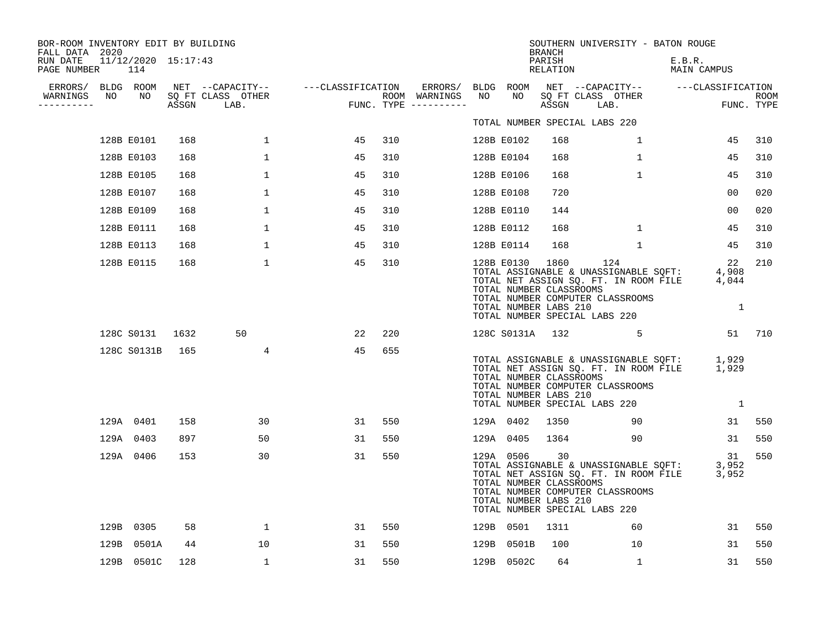| BOR-ROOM INVENTORY EDIT BY BUILDING<br>FALL DATA 2020 |    |                            |     |                                                                              |    |     |                       |    |                                                                | BRANCH             | SOUTHERN UNIVERSITY - BATON ROUGE                                                                                                                                      |                       |            |
|-------------------------------------------------------|----|----------------------------|-----|------------------------------------------------------------------------------|----|-----|-----------------------|----|----------------------------------------------------------------|--------------------|------------------------------------------------------------------------------------------------------------------------------------------------------------------------|-----------------------|------------|
| RUN DATE<br>PAGE NUMBER                               |    | 11/12/2020 15:17:43<br>114 |     |                                                                              |    |     |                       |    |                                                                | PARISH<br>RELATION |                                                                                                                                                                        | E.B.R.<br>MAIN CAMPUS |            |
| ERRORS/ BLDG ROOM<br>WARNINGS                         | NO | NO                         |     | NET --CAPACITY--    ---CLASSIFICATION ERRORS/ BLDG ROOM<br>SQ FT CLASS OTHER |    |     | ROOM WARNINGS         | NO | NO                                                             |                    | NET --CAPACITY-- ---CLASSIFICATION                                                                                                                                     |                       | ROOM       |
| ---------                                             |    |                            |     | ASSGN LAB.                                                                   |    |     | FUNC. TYPE ---------- |    |                                                                |                    | NET --CAPACILIER<br>SQ FT CLASS OTHER                                                                                                                                  |                       | FUNC. TYPE |
|                                                       |    |                            |     |                                                                              |    |     |                       |    |                                                                |                    | TOTAL NUMBER SPECIAL LABS 220                                                                                                                                          |                       |            |
|                                                       |    | 128B E0101                 | 168 | $\mathbf{1}$                                                                 | 45 | 310 |                       |    | 128B E0102                                                     | 168                | $\mathbf{1}$                                                                                                                                                           | 45                    | 310        |
|                                                       |    | 128B E0103                 | 168 | $\mathbf{1}$                                                                 | 45 | 310 |                       |    | 128B E0104                                                     | 168                | $\mathbf{1}$                                                                                                                                                           | 45                    | 310        |
|                                                       |    | 128B E0105                 | 168 | $\mathbf{1}$                                                                 | 45 | 310 |                       |    | 128B E0106                                                     | 168                | $\mathbf{1}$                                                                                                                                                           | 45                    | 310        |
|                                                       |    | 128B E0107                 | 168 | $\mathbf{1}$                                                                 | 45 | 310 |                       |    | 128B E0108                                                     | 720                |                                                                                                                                                                        | 00                    | 020        |
|                                                       |    | 128B E0109                 | 168 | $\mathbf 1$                                                                  | 45 | 310 |                       |    | 128B E0110                                                     | 144                |                                                                                                                                                                        | 0 <sub>0</sub>        | 020        |
|                                                       |    | 128B E0111                 | 168 | $\mathbf 1$                                                                  | 45 | 310 |                       |    | 128B E0112                                                     | 168                | $\mathbf{1}$                                                                                                                                                           | 45                    | 310        |
|                                                       |    | 128B E0113                 | 168 | $\mathbf{1}$                                                                 | 45 | 310 |                       |    | 128B E0114                                                     | 168                | $\mathbf{1}$                                                                                                                                                           | 45                    | 310        |
|                                                       |    | 128B E0115                 | 168 | $\mathbf{1}$                                                                 | 45 | 310 |                       |    | 128B E0130<br>TOTAL NUMBER CLASSROOMS<br>TOTAL NUMBER LABS 210 | 1860               | 124<br>TOTAL ASSIGNABLE & UNASSIGNABLE SQFT: 4,908<br>TOTAL NET ASSIGN SQ. FT. IN ROOM FILE 4,044<br>TOTAL NUMBER COMPUTER CLASSROOMS<br>TOTAL NUMBER SPECIAL LABS 220 | 22<br>$\overline{1}$  | 210        |
|                                                       |    | 128C S0131 1632            |     | 50                                                                           | 22 | 220 |                       |    | 128C S0131A 132                                                |                    | - 5                                                                                                                                                                    |                       | 51 710     |
|                                                       |    | 128C S0131B 165            |     | $\overline{4}$                                                               | 45 | 655 |                       |    | TOTAL NUMBER CLASSROOMS<br>TOTAL NUMBER LABS 210               |                    | TOTAL ASSIGNABLE & UNASSIGNABLE SQFT: 1,929<br>TOTAL NET ASSIGN SQ. FT. IN ROOM FILE 1,929<br>TOTAL NUMBER COMPUTER CLASSROOMS<br>TOTAL NUMBER SPECIAL LABS 220        | $\overline{1}$        |            |
|                                                       |    | 129A 0401                  | 158 | 30                                                                           | 31 | 550 |                       |    | 129A 0402                                                      | 1350               | 90                                                                                                                                                                     | 31                    | 550        |
|                                                       |    | 129A 0403                  | 897 | 50                                                                           | 31 | 550 |                       |    | 129A 0405                                                      | 1364               | 90                                                                                                                                                                     | 31                    | 550        |
|                                                       |    | 129A 0406                  | 153 | 30                                                                           | 31 | 550 |                       |    | 129A 0506<br>TOTAL NUMBER CLASSROOMS<br>TOTAL NUMBER LABS 210  | 30                 | TOTAL ASSIGNABLE & UNASSIGNABLE SOFT: 3,952<br>TOTAL NET ASSIGN SQ. FT. IN ROOM FILE 3,952<br>TOTAL NUMBER COMPUTER CLASSROOMS<br>TOTAL NUMBER SPECIAL LABS 220        | 31                    | 550        |
|                                                       |    | 129B 0305                  | 58  | $\mathbf{1}$                                                                 | 31 | 550 |                       |    | 129B 0501                                                      | 1311               | 60                                                                                                                                                                     | 31                    | 550        |
|                                                       |    | 129B 0501A                 | 44  | 10                                                                           | 31 | 550 |                       |    | 129B 0501B                                                     | 100                | 10                                                                                                                                                                     | 31                    | 550        |
|                                                       |    | 129B 0501C                 | 128 | $\mathbf{1}$                                                                 | 31 | 550 |                       |    | 129B 0502C                                                     | 64                 | 1                                                                                                                                                                      | 31                    | 550        |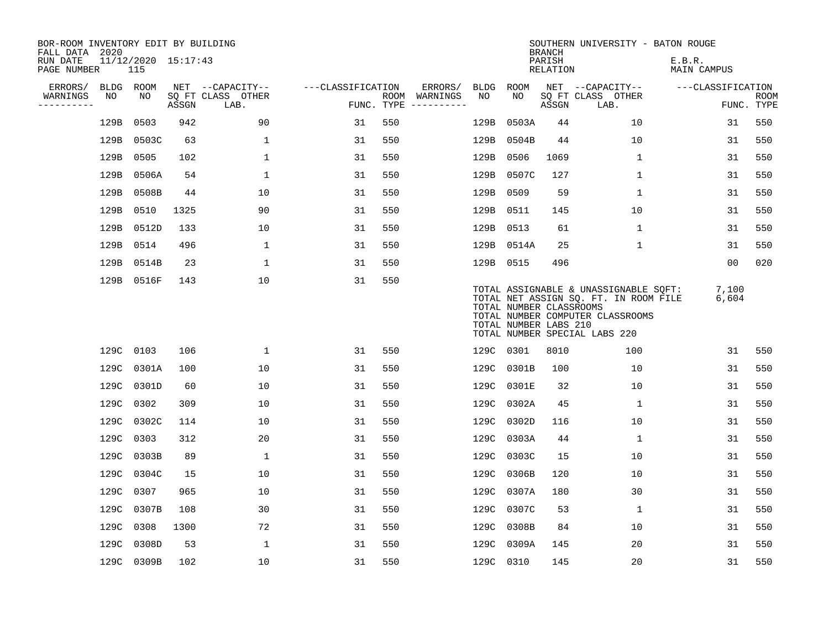| BOR-ROOM INVENTORY EDIT BY BUILDING<br>FALL DATA 2020 |           |                            |       |                           |                   |     |                                      |      |                                                  | <b>BRANCH</b>      | SOUTHERN UNIVERSITY - BATON ROUGE                                                                                                                   |                              |                           |
|-------------------------------------------------------|-----------|----------------------------|-------|---------------------------|-------------------|-----|--------------------------------------|------|--------------------------------------------------|--------------------|-----------------------------------------------------------------------------------------------------------------------------------------------------|------------------------------|---------------------------|
| RUN DATE<br>PAGE NUMBER                               |           | 11/12/2020 15:17:43<br>115 |       |                           |                   |     |                                      |      |                                                  | PARISH<br>RELATION |                                                                                                                                                     | E.B.R.<br><b>MAIN CAMPUS</b> |                           |
| ERRORS/                                               | BLDG ROOM |                            |       | NET --CAPACITY--          | ---CLASSIFICATION |     | ERRORS/                              | BLDG | ROOM                                             |                    | NET --CAPACITY--                                                                                                                                    | ---CLASSIFICATION            |                           |
| WARNINGS<br>----------                                | NO        | NO                         | ASSGN | SQ FT CLASS OTHER<br>LAB. |                   |     | ROOM WARNINGS<br>FUNC. TYPE $------$ | NO   | NO                                               | ASSGN              | SQ FT CLASS OTHER<br>LAB.                                                                                                                           |                              | <b>ROOM</b><br>FUNC. TYPE |
|                                                       | 129B      | 0503                       | 942   | 90                        | 31                | 550 |                                      | 129B | 0503A                                            | 44                 | 10                                                                                                                                                  | 31                           | 550                       |
|                                                       | 129B      | 0503C                      | 63    | $\mathbf 1$               | 31                | 550 |                                      | 129B | 0504B                                            | 44                 | 10                                                                                                                                                  | 31                           | 550                       |
|                                                       | 129B      | 0505                       | 102   | 1                         | 31                | 550 |                                      | 129B | 0506                                             | 1069               | 1                                                                                                                                                   | 31                           | 550                       |
|                                                       | 129B      | 0506A                      | 54    | $\mathbf 1$               | 31                | 550 |                                      | 129B | 0507C                                            | 127                | $\mathbf 1$                                                                                                                                         | 31                           | 550                       |
|                                                       | 129B      | 0508B                      | 44    | 10                        | 31                | 550 |                                      | 129B | 0509                                             | 59                 | $\mathbf 1$                                                                                                                                         | 31                           | 550                       |
|                                                       | 129B      | 0510                       | 1325  | 90                        | 31                | 550 |                                      |      | 129B 0511                                        | 145                | 10                                                                                                                                                  | 31                           | 550                       |
|                                                       |           | 129B 0512D                 | 133   | 10                        | 31                | 550 |                                      | 129B | 0513                                             | 61                 | $\mathbf{1}$                                                                                                                                        | 31                           | 550                       |
|                                                       | 129B      | 0514                       | 496   | $\mathbf{1}$              | 31                | 550 |                                      |      | 129B 0514A                                       | 25                 | $\mathbf{1}$                                                                                                                                        | 31                           | 550                       |
|                                                       |           | 129B 0514B                 | 23    | $\mathbf{1}$              | 31                | 550 |                                      |      | 129B 0515                                        | 496                |                                                                                                                                                     | 0 <sub>0</sub>               | 020                       |
|                                                       |           | 129B 0516F                 | 143   | 10                        | 31                | 550 |                                      |      | TOTAL NUMBER CLASSROOMS<br>TOTAL NUMBER LABS 210 |                    | TOTAL ASSIGNABLE & UNASSIGNABLE SQFT:<br>TOTAL NET ASSIGN SQ. FT. IN ROOM FILE<br>TOTAL NUMBER COMPUTER CLASSROOMS<br>TOTAL NUMBER SPECIAL LABS 220 | 7,100<br>6,604               |                           |
|                                                       | 129C 0103 |                            | 106   | 1                         | 31                | 550 |                                      |      | 129C 0301                                        | 8010               | 100                                                                                                                                                 | 31                           | 550                       |
|                                                       |           | 129C 0301A                 | 100   | 10                        | 31                | 550 |                                      | 129C | 0301B                                            | 100                | 10                                                                                                                                                  | 31                           | 550                       |
|                                                       |           | 129C 0301D                 | 60    | 10                        | 31                | 550 |                                      |      | 129C 0301E                                       | 32                 | 10                                                                                                                                                  | 31                           | 550                       |
|                                                       | 129C 0302 |                            | 309   | 10                        | 31                | 550 |                                      | 129C | 0302A                                            | 45                 | 1                                                                                                                                                   | 31                           | 550                       |
|                                                       | 129C      | 0302C                      | 114   | 10                        | 31                | 550 |                                      | 129C | 0302D                                            | 116                | 10                                                                                                                                                  | 31                           | 550                       |
|                                                       | 129C      | 0303                       | 312   | 20                        | 31                | 550 |                                      | 129C | 0303A                                            | 44                 | 1                                                                                                                                                   | 31                           | 550                       |
|                                                       | 129C      | 0303B                      | 89    | $\mathbf 1$               | 31                | 550 |                                      |      | 129C 0303C                                       | 15                 | 10                                                                                                                                                  | 31                           | 550                       |
|                                                       | 129C      | 0304C                      | 15    | 10                        | 31                | 550 |                                      | 129C | 0306B                                            | 120                | 10                                                                                                                                                  | 31                           | 550                       |
|                                                       | 129C      | 0307                       | 965   | 10                        | 31                | 550 |                                      | 129C | 0307A                                            | 180                | 30                                                                                                                                                  | 31                           | 550                       |
|                                                       | 129C      | 0307B                      | 108   | 30                        | 31                | 550 |                                      | 129C | 0307C                                            | 53                 | 1                                                                                                                                                   | 31                           | 550                       |
|                                                       | 129C      | 0308                       | 1300  | 72                        | 31                | 550 |                                      | 129C | 0308B                                            | 84                 | 10                                                                                                                                                  | 31                           | 550                       |
|                                                       | 129C      | 0308D                      | 53    | $\mathbf{1}$              | 31                | 550 |                                      | 129C | 0309A                                            | 145                | 20                                                                                                                                                  | 31                           | 550                       |
|                                                       |           | 129C 0309B                 | 102   | 10                        | 31                | 550 |                                      |      | 129C 0310                                        | 145                | 20                                                                                                                                                  | 31                           | 550                       |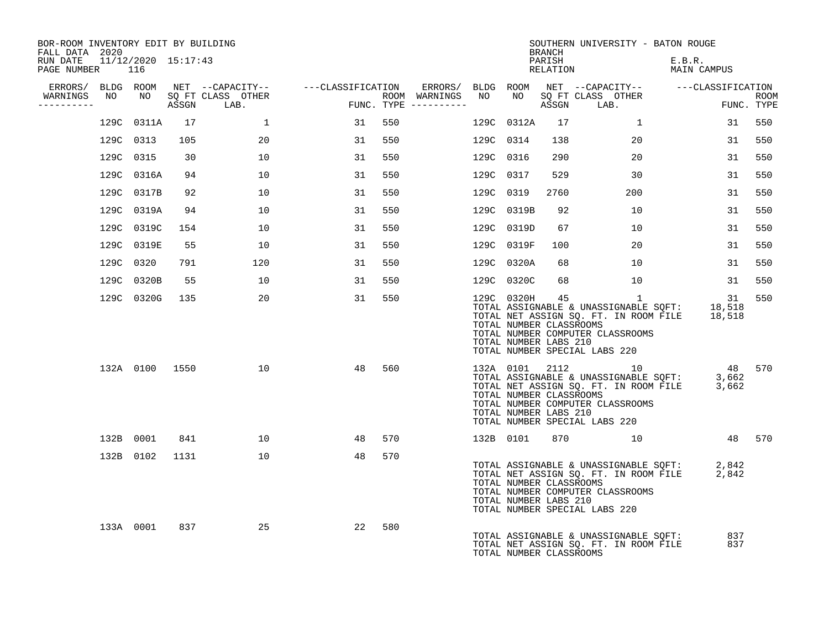| BOR-ROOM INVENTORY EDIT BY BUILDING<br>FALL DATA 2020 |    |                |     |                                    |                                                                                                               |     |                                         |                                                                | BRANCH | SOUTHERN UNIVERSITY - BATON ROUGE                                                                                                                                                       |                       |                           |
|-------------------------------------------------------|----|----------------|-----|------------------------------------|---------------------------------------------------------------------------------------------------------------|-----|-----------------------------------------|----------------------------------------------------------------|--------|-----------------------------------------------------------------------------------------------------------------------------------------------------------------------------------------|-----------------------|---------------------------|
| RUN DATE 11/12/2020 15:17:43<br>PAGE NUMBER 116       |    |                |     |                                    |                                                                                                               |     |                                         |                                                                | PARISH | RELATION                                                                                                                                                                                | E.B.R.<br>MAIN CAMPUS |                           |
|                                                       |    |                |     |                                    | ERRORS/ BLDG ROOM NET --CAPACITY-- - ---CLASSIFICATION ERRORS/ BLDG ROOM NET --CAPACITY-- - ---CLASSIFICATION |     |                                         |                                                                |        |                                                                                                                                                                                         |                       |                           |
| WARNINGS<br>---------                                 | NO |                |     | NO SQ FT CLASS OTHER<br>ASSGN LAB. | <b>FUN</b>                                                                                                    |     | ROOM WARNINGS NO<br>FUNC. TYPE $------$ | NO                                                             |        | SQ FT CLASS OTHER<br>ASSGN LAB.                                                                                                                                                         |                       | <b>ROOM</b><br>FUNC. TYPE |
|                                                       |    | 129C 0311A     | 17  | $\mathbf{1}$                       | 31                                                                                                            | 550 |                                         | 129C 0312A                                                     | 17     | $\mathbf{1}$                                                                                                                                                                            | 31                    | 550                       |
|                                                       |    | 129C 0313      | 105 | 20                                 | 31                                                                                                            | 550 |                                         | 129C 0314                                                      | 138    | 20                                                                                                                                                                                      | 31                    | 550                       |
|                                                       |    | 129C 0315      | 30  | 10                                 | 31                                                                                                            | 550 |                                         | 129C 0316                                                      | 290    | 20                                                                                                                                                                                      | 31                    | 550                       |
|                                                       |    | 129C 0316A     | 94  | 10                                 | 31                                                                                                            | 550 |                                         | 129C 0317                                                      | 529    | 30                                                                                                                                                                                      | 31                    | 550                       |
|                                                       |    | 129C 0317B     | 92  | 10                                 | 31                                                                                                            | 550 |                                         | 129C 0319                                                      | 2760   | 200                                                                                                                                                                                     | 31                    | 550                       |
|                                                       |    | 129C 0319A     | 94  | 10                                 | 31                                                                                                            | 550 |                                         | 129C 0319B                                                     | 92     | 10                                                                                                                                                                                      | 31                    | 550                       |
|                                                       |    | 129C 0319C     | 154 | 10                                 | 31                                                                                                            | 550 |                                         | 129C 0319D                                                     | 67     | 10                                                                                                                                                                                      | 31                    | 550                       |
|                                                       |    | 129C 0319E     | 55  | 10                                 | 31                                                                                                            | 550 |                                         | 129C 0319F                                                     | 100    | 20                                                                                                                                                                                      | 31                    | 550                       |
|                                                       |    | 129C 0320      | 791 | 120                                | 31                                                                                                            | 550 |                                         | 129C 0320A                                                     | 68     | 10 <sup>°</sup>                                                                                                                                                                         | 31                    | 550                       |
|                                                       |    | 129C 0320B     | 55  | 10                                 | 31                                                                                                            | 550 |                                         | 129C 0320C                                                     | 68     | 10                                                                                                                                                                                      | 31                    | 550                       |
|                                                       |    | 129C 0320G     | 135 | 20                                 | 31                                                                                                            | 550 |                                         | 129C 0320H<br>TOTAL NUMBER CLASSROOMS<br>TOTAL NUMBER LABS 210 | 45     | TOTAL ASSIGNABLE & UNASSIGNABLE SQFT: 18,518<br>TOTAL NET ASSIGN SQ. FT. IN ROOM FILE 18,518<br>TOTAL NUMBER COMPUTER CLASSROOMS<br>TOTAL NUMBER SPECIAL LABS 220                       | 31                    | 550                       |
|                                                       |    | 132A 0100 1550 |     | 10                                 | 48                                                                                                            | 560 |                                         | TOTAL NUMBER CLASSROOMS<br>TOTAL NUMBER LABS 210               |        | 132A 0101 2112 10 48<br>TOTAL ASSIGNABLE & UNASSIGNABLE SQFT: 3,662<br>TOTAL NET ASSIGN SQ. FT. IN ROOM FILE 3,662<br>TOTAL NUMBER COMPUTER CLASSROOMS<br>TOTAL NUMBER SPECIAL LABS 220 | 48 570                |                           |
|                                                       |    | 132B 0001      | 841 | 10                                 | 48                                                                                                            | 570 |                                         | 132B 0101                                                      | 870    | 10                                                                                                                                                                                      | 48 570                |                           |
|                                                       |    | 132B 0102 1131 |     | 10                                 | 48                                                                                                            | 570 |                                         | TOTAL NUMBER CLASSROOMS<br>TOTAL NUMBER LABS 210               |        | TOTAL ASSIGNABLE & UNASSIGNABLE SQFT: 2,842<br>TOTAL NET ASSIGN SQ. FT. IN ROOM FILE 2,842<br>TOTAL NUMBER COMPUTER CLASSROOMS<br>TOTAL NUMBER SPECIAL LABS 220                         |                       |                           |
|                                                       |    | 133A 0001      | 837 | 25                                 | 22                                                                                                            | 580 |                                         | TOTAL NUMBER CLASSROOMS                                        |        | TOTAL ASSIGNABLE & UNASSIGNABLE SQFT:<br>TOTAL NET ASSIGN SQ. FT. IN ROOM FILE                                                                                                          | 837<br>837            |                           |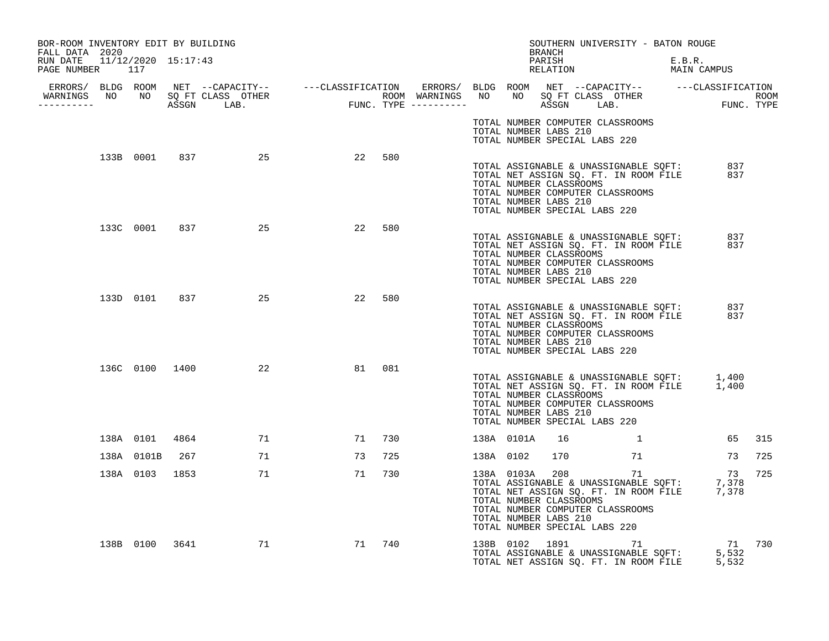| BOR-ROOM INVENTORY EDIT BY BUILDING<br>FALL DATA 2020 |                |                         |    |        |  |            | BRANCH                                                                            | SOUTHERN UNIVERSITY - BATON ROUGE                                                                                  |        |                                                                                                                                                                                                           |        |
|-------------------------------------------------------|----------------|-------------------------|----|--------|--|------------|-----------------------------------------------------------------------------------|--------------------------------------------------------------------------------------------------------------------|--------|-----------------------------------------------------------------------------------------------------------------------------------------------------------------------------------------------------------|--------|
| RUN DATE 11/12/2020 15:17:43<br>PAGE NUMBER 117       |                |                         |    |        |  |            | PARISH<br>RELATION                                                                |                                                                                                                    | E.B.R. | MAIN CAMPUS                                                                                                                                                                                               |        |
|                                                       |                |                         |    |        |  |            |                                                                                   |                                                                                                                    |        |                                                                                                                                                                                                           |        |
| __________                                            |                |                         |    |        |  |            |                                                                                   |                                                                                                                    |        |                                                                                                                                                                                                           |        |
|                                                       |                |                         |    |        |  |            | TOTAL NUMBER LABS 210<br>TOTAL NUMBER SPECIAL LABS 220                            | TOTAL NUMBER COMPUTER CLASSROOMS                                                                                   |        |                                                                                                                                                                                                           |        |
|                                                       |                | 133B 0001 837 25 22 580 |    |        |  |            |                                                                                   |                                                                                                                    |        | 837                                                                                                                                                                                                       |        |
|                                                       |                |                         |    |        |  |            | TOTAL NUMBER CLASSROOMS<br>TOTAL NUMBER LABS 210<br>TOTAL NUMBER SPECIAL LABS 220 | TOTAL ASSIGNABLE & UNASSIGNABLE SQFT:<br>TOTAL NET ASSIGN SQ. FT. IN ROOM FILE<br>TOTAL NUMBER COMPUTER CLASSROOMS |        | 837                                                                                                                                                                                                       |        |
|                                                       | 133C 0001 837  | 25                      | 22 | 580    |  |            | TOTAL NUMBER CLASSROOMS<br>TOTAL NUMBER LABS 210<br>TOTAL NUMBER SPECIAL LABS 220 | TOTAL ASSIGNABLE & UNASSIGNABLE SQFT:<br>TOTAL NET ASSIGN SQ. FT. IN ROOM FILE<br>TOTAL NUMBER COMPUTER CLASSROOMS |        | 837<br>837                                                                                                                                                                                                |        |
|                                                       | 133D 0101 837  | 25                      | 22 | 580    |  |            |                                                                                   |                                                                                                                    |        |                                                                                                                                                                                                           |        |
|                                                       |                |                         |    |        |  |            | TOTAL NUMBER CLASSROOMS<br>TOTAL NUMBER LABS 210<br>TOTAL NUMBER SPECIAL LABS 220 | TOTAL ASSIGNABLE & UNASSIGNABLE SQFT:<br>TOTAL NET ASSIGN SQ. FT. IN ROOM FILE<br>TOTAL NUMBER COMPUTER CLASSROOMS |        | 837<br>837                                                                                                                                                                                                |        |
|                                                       |                | 136C 0100 1400 22       |    | 81 081 |  |            | TOTAL NUMBER CLASSROOMS<br>TOTAL NUMBER LABS 210<br>TOTAL NUMBER SPECIAL LABS 220 | TOTAL NUMBER COMPUTER CLASSROOMS                                                                                   |        | TOTAL ASSIGNABLE & UNASSIGNABLE SQFT: 1,400<br>TOTAL NET ASSIGN SQ. FT. IN ROOM FILE 1,400                                                                                                                |        |
|                                                       |                | 138A 0101 4864<br>71    |    | 71 730 |  | 138A 0101A | 16                                                                                | $\sim$ 1                                                                                                           |        |                                                                                                                                                                                                           | 65 315 |
|                                                       | 138A 0101B 267 | 71                      | 73 | 725    |  | 138A 0102  | 170                                                                               | 71 — 200                                                                                                           |        | 73                                                                                                                                                                                                        | 725    |
|                                                       | 138A 0103 1853 | 71                      | 71 | 730    |  |            | TOTAL NUMBER CLASSROOMS<br>TOTAL NUMBER LABS 210<br>TOTAL NUMBER SPECIAL LABS 220 | TOTAL NUMBER COMPUTER CLASSROOMS                                                                                   |        | $\begin{array}{lllll} 138 \texttt{A} & 0103 \texttt{A} & 208 & 71 & 73 \\ \texttt{TOTAL ASSIGNABLE & UNASSIGNABLE SQFT:} & 7,378 \\ \texttt{TOTAL NET ASSIGN SQ. FT. IN ROM FILE} & 7,378 \\ \end{array}$ | 725    |
|                                                       | 138B 0100 3641 | 71                      |    | 71 740 |  |            |                                                                                   |                                                                                                                    |        | 138B 0102 1891 71 730<br>TOTAL ASSIGNABLE & UNASSIGNABLE SQFT: 5,532<br>TOTAL NET ASSIGN SQ. FT. IN ROOM FILE 5,532                                                                                       |        |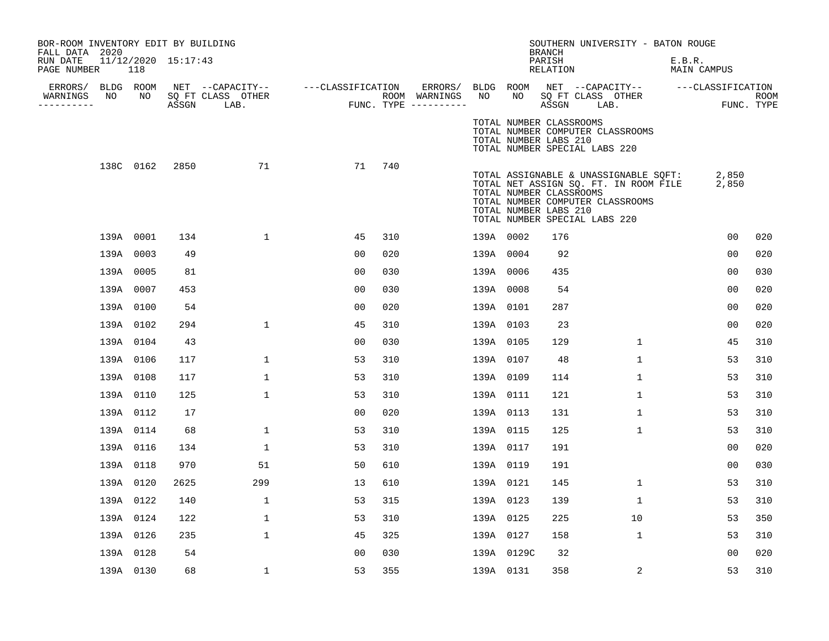| BOR-ROOM INVENTORY EDIT BY BUILDING       |           |           |                     |                                       |                   |     |                                    |           |                                                  | <b>BRANCH</b>      | SOUTHERN UNIVERSITY - BATON ROUGE                                                                                                                   |                       |             |
|-------------------------------------------|-----------|-----------|---------------------|---------------------------------------|-------------------|-----|------------------------------------|-----------|--------------------------------------------------|--------------------|-----------------------------------------------------------------------------------------------------------------------------------------------------|-----------------------|-------------|
| FALL DATA 2020<br>RUN DATE<br>PAGE NUMBER |           | 118       | 11/12/2020 15:17:43 |                                       |                   |     |                                    |           |                                                  | PARISH<br>RELATION |                                                                                                                                                     | E.B.R.<br>MAIN CAMPUS |             |
| ERRORS/ BLDG ROOM<br>WARNINGS             | NO        | NO        |                     | NET --CAPACITY--<br>SQ FT CLASS OTHER | ---CLASSIFICATION |     | ERRORS/ BLDG ROOM<br>ROOM WARNINGS | NO        | NO                                               |                    | NET --CAPACITY-- ---CLASSIFICATION<br>SQ FT CLASS OTHER                                                                                             |                       | <b>ROOM</b> |
| ----------                                |           |           | ASSGN               | LAB.                                  |                   |     | FUNC. TYPE $------$                |           |                                                  | ASSGN              | LAB.                                                                                                                                                |                       | FUNC. TYPE  |
|                                           |           |           |                     |                                       |                   |     |                                    |           | TOTAL NUMBER CLASSROOMS<br>TOTAL NUMBER LABS 210 |                    | TOTAL NUMBER COMPUTER CLASSROOMS<br>TOTAL NUMBER SPECIAL LABS 220                                                                                   |                       |             |
|                                           |           | 138C 0162 | 2850                | 71                                    | 71                | 740 |                                    |           | TOTAL NUMBER CLASSROOMS<br>TOTAL NUMBER LABS 210 |                    | TOTAL ASSIGNABLE & UNASSIGNABLE SQFT:<br>TOTAL NET ASSIGN SQ. FT. IN ROOM FILE<br>TOTAL NUMBER COMPUTER CLASSROOMS<br>TOTAL NUMBER SPECIAL LABS 220 | 2,850<br>2,850        |             |
|                                           | 139A 0001 |           | 134                 | $\mathbf{1}$                          | 45                | 310 |                                    | 139A 0002 |                                                  | 176                |                                                                                                                                                     | 00                    | 020         |
|                                           | 139A 0003 |           | 49                  |                                       | 0 <sub>0</sub>    | 020 |                                    | 139A 0004 |                                                  | 92                 |                                                                                                                                                     | 00                    | 020         |
|                                           | 139A 0005 |           | 81                  |                                       | 00                | 030 |                                    | 139A 0006 |                                                  | 435                |                                                                                                                                                     | 00                    | 030         |
|                                           | 139A 0007 |           | 453                 |                                       | 00                | 030 |                                    | 139A 0008 |                                                  | 54                 |                                                                                                                                                     | 00                    | 020         |
|                                           | 139A 0100 |           | 54                  |                                       | 0 <sub>0</sub>    | 020 |                                    | 139A 0101 |                                                  | 287                |                                                                                                                                                     | 00                    | 020         |
|                                           | 139A 0102 |           | 294                 | $\mathbf{1}$                          | 45                | 310 |                                    | 139A 0103 |                                                  | 23                 |                                                                                                                                                     | 00                    | 020         |
|                                           | 139A 0104 |           | 43                  |                                       | 0 <sub>0</sub>    | 030 |                                    | 139A 0105 |                                                  | 129                | $\mathbf{1}$                                                                                                                                        | 45                    | 310         |
|                                           | 139A 0106 |           | 117                 | $\mathbf{1}$                          | 53                | 310 |                                    | 139A 0107 |                                                  | 48                 | $\mathbf{1}$                                                                                                                                        | 53                    | 310         |
|                                           | 139A 0108 |           | 117                 | $\mathbf 1$                           | 53                | 310 |                                    | 139A 0109 |                                                  | 114                | $\mathbf 1$                                                                                                                                         | 53                    | 310         |
|                                           | 139A 0110 |           | 125                 | 1                                     | 53                | 310 |                                    | 139A 0111 |                                                  | 121                | 1                                                                                                                                                   | 53                    | 310         |
|                                           | 139A 0112 |           | 17                  |                                       | 0 <sub>0</sub>    | 020 |                                    | 139A 0113 |                                                  | 131                | $\mathbf{1}$                                                                                                                                        | 53                    | 310         |
|                                           | 139A 0114 |           | 68                  | 1                                     | 53                | 310 |                                    | 139A 0115 |                                                  | 125                | $\mathbf{1}$                                                                                                                                        | 53                    | 310         |
|                                           | 139A 0116 |           | 134                 | 1                                     | 53                | 310 |                                    | 139A 0117 |                                                  | 191                |                                                                                                                                                     | 0 <sub>0</sub>        | 020         |
|                                           | 139A 0118 |           | 970                 | 51                                    | 50                | 610 |                                    | 139A 0119 |                                                  | 191                |                                                                                                                                                     | 0 <sub>0</sub>        | 030         |
|                                           | 139A 0120 |           | 2625                | 299                                   | 13                | 610 |                                    | 139A 0121 |                                                  | 145                | $\mathbf{1}$                                                                                                                                        | 53                    | 310         |
|                                           | 139A 0122 |           | 140                 | $\mathbf{1}$                          | 53                | 315 |                                    | 139A 0123 |                                                  | 139                | $\mathbf{1}$                                                                                                                                        | 53                    | 310         |
|                                           | 139A 0124 |           | 122                 | $\mathbf 1$                           | 53                | 310 |                                    | 139A 0125 |                                                  | 225                | 10                                                                                                                                                  | 53                    | 350         |
|                                           | 139A 0126 |           | 235                 | $\mathbf{1}$                          | 45                | 325 |                                    | 139A 0127 |                                                  | 158                | $\mathbf{1}$                                                                                                                                        | 53                    | 310         |
|                                           | 139A 0128 |           | 54                  |                                       | 0 <sub>0</sub>    | 030 |                                    |           | 139A 0129C                                       | 32                 |                                                                                                                                                     | 00                    | 020         |
|                                           | 139A 0130 |           | 68                  | $\mathbf{1}$                          | 53                | 355 |                                    | 139A 0131 |                                                  | 358                | 2                                                                                                                                                   | 53                    | 310         |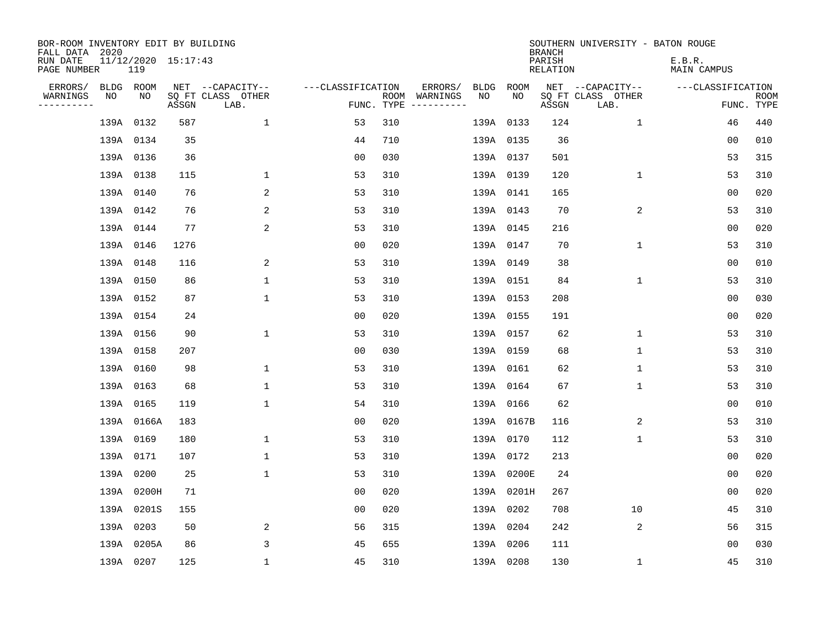| BOR-ROOM INVENTORY EDIT BY BUILDING<br>FALL DATA 2020 |           |            |                     |                           |                   |     |                                      |           |            | <b>BRANCH</b>             | SOUTHERN UNIVERSITY - BATON ROUGE |                              |                |                           |
|-------------------------------------------------------|-----------|------------|---------------------|---------------------------|-------------------|-----|--------------------------------------|-----------|------------|---------------------------|-----------------------------------|------------------------------|----------------|---------------------------|
| RUN DATE<br>PAGE NUMBER                               |           | 119        | 11/12/2020 15:17:43 |                           |                   |     |                                      |           |            | PARISH<br><b>RELATION</b> |                                   | E.B.R.<br><b>MAIN CAMPUS</b> |                |                           |
| ERRORS/                                               | BLDG ROOM |            |                     | NET --CAPACITY--          | ---CLASSIFICATION |     | ERRORS/                              | BLDG      | ROOM       |                           | NET --CAPACITY--                  | ---CLASSIFICATION            |                |                           |
| WARNINGS<br>----------                                | NO        | NO         | ASSGN               | SQ FT CLASS OTHER<br>LAB. |                   |     | ROOM WARNINGS<br>FUNC. TYPE $------$ | NO        | NO         | ASSGN                     | SQ FT CLASS OTHER<br>LAB.         |                              |                | <b>ROOM</b><br>FUNC. TYPE |
|                                                       | 139A      | 0132       | 587                 | $\mathbf{1}$              | 53                | 310 |                                      |           | 139A 0133  | 124                       | 1                                 |                              | 46             | 440                       |
|                                                       | 139A 0134 |            | 35                  |                           | 44                | 710 |                                      |           | 139A 0135  | 36                        |                                   |                              | 00             | 010                       |
|                                                       | 139A 0136 |            | 36                  |                           | 00                | 030 |                                      |           | 139A 0137  | 501                       |                                   |                              | 53             | 315                       |
|                                                       | 139A 0138 |            | 115                 | 1                         | 53                | 310 |                                      |           | 139A 0139  | 120                       | $\mathbf 1$                       |                              | 53             | 310                       |
|                                                       | 139A 0140 |            | 76                  | 2                         | 53                | 310 |                                      |           | 139A 0141  | 165                       |                                   |                              | 00             | 020                       |
|                                                       | 139A 0142 |            | 76                  | 2                         | 53                | 310 |                                      |           | 139A 0143  | 70                        | 2                                 |                              | 53             | 310                       |
|                                                       | 139A 0144 |            | 77                  | 2                         | 53                | 310 |                                      |           | 139A 0145  | 216                       |                                   |                              | 0 <sub>0</sub> | 020                       |
|                                                       | 139A 0146 |            | 1276                |                           | 0 <sub>0</sub>    | 020 |                                      |           | 139A 0147  | 70                        | $\mathbf{1}$                      |                              | 53             | 310                       |
|                                                       | 139A 0148 |            | 116                 | 2                         | 53                | 310 |                                      |           | 139A 0149  | 38                        |                                   |                              | 0 <sub>0</sub> | 010                       |
|                                                       | 139A 0150 |            | 86                  | $\mathbf 1$               | 53                | 310 |                                      |           | 139A 0151  | 84                        | $\mathbf 1$                       |                              | 53             | 310                       |
|                                                       | 139A 0152 |            | 87                  | $\mathbf 1$               | 53                | 310 |                                      |           | 139A 0153  | 208                       |                                   |                              | 0 <sub>0</sub> | 030                       |
|                                                       | 139A 0154 |            | 24                  |                           | 0 <sub>0</sub>    | 020 |                                      |           | 139A 0155  | 191                       |                                   |                              | 0 <sub>0</sub> | 020                       |
|                                                       | 139A 0156 |            | 90                  | 1                         | 53                | 310 |                                      |           | 139A 0157  | 62                        | $\mathbf 1$                       |                              | 53             | 310                       |
|                                                       | 139A 0158 |            | 207                 |                           | 00                | 030 |                                      |           | 139A 0159  | 68                        | 1                                 |                              | 53             | 310                       |
|                                                       | 139A 0160 |            | 98                  | $\mathbf{1}$              | 53                | 310 |                                      |           | 139A 0161  | 62                        | 1                                 |                              | 53             | 310                       |
|                                                       | 139A 0163 |            | 68                  | 1                         | 53                | 310 |                                      |           | 139A 0164  | 67                        | 1                                 |                              | 53             | 310                       |
|                                                       | 139A 0165 |            | 119                 | $\mathbf{1}$              | 54                | 310 |                                      |           | 139A 0166  | 62                        |                                   |                              | 0 <sub>0</sub> | 010                       |
|                                                       |           | 139A 0166A | 183                 |                           | 0 <sub>0</sub>    | 020 |                                      |           | 139A 0167B | 116                       | 2                                 |                              | 53             | 310                       |
|                                                       | 139A 0169 |            | 180                 | 1                         | 53                | 310 |                                      |           | 139A 0170  | 112                       | 1                                 |                              | 53             | 310                       |
|                                                       | 139A 0171 |            | 107                 | $\mathbf 1$               | 53                | 310 |                                      |           | 139A 0172  | 213                       |                                   |                              | 0 <sub>0</sub> | 020                       |
|                                                       | 139A 0200 |            | 25                  | $\mathbf 1$               | 53                | 310 |                                      |           | 139A 0200E | 24                        |                                   |                              | 0 <sub>0</sub> | 020                       |
|                                                       |           | 139A 0200H | 71                  |                           | 00                | 020 |                                      |           | 139A 0201H | 267                       |                                   |                              | 0 <sub>0</sub> | 020                       |
|                                                       |           | 139A 0201S | 155                 |                           | 0 <sub>0</sub>    | 020 |                                      |           | 139A 0202  | 708                       | 10                                |                              | 45             | 310                       |
|                                                       | 139A 0203 |            | 50                  | 2                         | 56                | 315 |                                      |           | 139A 0204  | 242                       | 2                                 |                              | 56             | 315                       |
|                                                       |           | 139A 0205A | 86                  | 3                         | 45                | 655 |                                      |           | 139A 0206  | 111                       |                                   |                              | 0 <sub>0</sub> | 030                       |
|                                                       | 139A 0207 |            | 125                 | $\mathbf{1}$              | 45                | 310 |                                      | 139A 0208 |            | 130                       | $\mathbf 1$                       |                              | 45             | 310                       |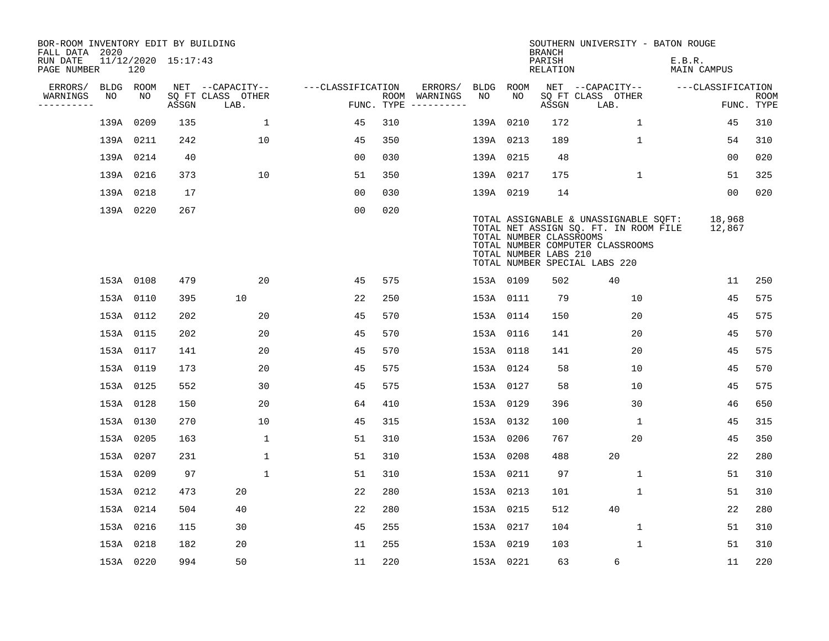| BOR-ROOM INVENTORY EDIT BY BUILDING<br>FALL DATA 2020 |           |           |                     |                           |                   |            |                              |           |           | <b>BRANCH</b>                                    | SOUTHERN UNIVERSITY - BATON ROUGE                                                                                                                   |                              |                           |
|-------------------------------------------------------|-----------|-----------|---------------------|---------------------------|-------------------|------------|------------------------------|-----------|-----------|--------------------------------------------------|-----------------------------------------------------------------------------------------------------------------------------------------------------|------------------------------|---------------------------|
| RUN DATE<br>PAGE NUMBER                               |           | 120       | 11/12/2020 15:17:43 |                           |                   |            |                              |           |           | PARISH<br><b>RELATION</b>                        |                                                                                                                                                     | E.B.R.<br><b>MAIN CAMPUS</b> |                           |
| ERRORS/                                               | BLDG ROOM |           |                     | NET --CAPACITY--          | ---CLASSIFICATION |            | ERRORS/                      |           | BLDG ROOM |                                                  | NET --CAPACITY--                                                                                                                                    | ---CLASSIFICATION            |                           |
| WARNINGS<br>----------                                | NO        | NO        | ASSGN               | SQ FT CLASS OTHER<br>LAB. |                   | FUNC. TYPE | ROOM WARNINGS<br>----------- | NO        | NO        | ASSGN                                            | SQ FT CLASS OTHER<br>LAB.                                                                                                                           |                              | <b>ROOM</b><br>FUNC. TYPE |
|                                                       |           | 139A 0209 | 135                 | 1                         | 45                | 310        |                              |           | 139A 0210 | 172                                              | 1                                                                                                                                                   | 45                           | 310                       |
|                                                       | 139A 0211 |           | 242                 | 10                        | 45                | 350        |                              |           | 139A 0213 | 189                                              | $\mathbf 1$                                                                                                                                         | 54                           | 310                       |
|                                                       |           | 139A 0214 | 40                  |                           | 0 <sub>0</sub>    | 030        |                              |           | 139A 0215 | 48                                               |                                                                                                                                                     | 0 <sub>0</sub>               | 020                       |
|                                                       |           | 139A 0216 | 373                 | 10                        | 51                | 350        |                              |           | 139A 0217 | 175                                              | $\mathbf{1}$                                                                                                                                        | 51                           | 325                       |
|                                                       |           | 139A 0218 | 17                  |                           | 00                | 030        |                              |           | 139A 0219 | 14                                               |                                                                                                                                                     | 0 <sub>0</sub>               | 020                       |
|                                                       |           | 139A 0220 | 267                 |                           | 0 <sub>0</sub>    | 020        |                              |           |           | TOTAL NUMBER CLASSROOMS<br>TOTAL NUMBER LABS 210 | TOTAL ASSIGNABLE & UNASSIGNABLE SQFT:<br>TOTAL NET ASSIGN SQ. FT. IN ROOM FILE<br>TOTAL NUMBER COMPUTER CLASSROOMS<br>TOTAL NUMBER SPECIAL LABS 220 | 18,968<br>12,867             |                           |
|                                                       |           | 153A 0108 | 479                 | 20                        | 45                | 575        |                              |           | 153A 0109 | 502                                              | 40                                                                                                                                                  | 11                           | 250                       |
|                                                       |           | 153A 0110 | 395                 | 10                        | 22                | 250        |                              |           | 153A 0111 | 79                                               | 10                                                                                                                                                  | 45                           | 575                       |
|                                                       |           | 153A 0112 | 202                 | 20                        | 45                | 570        |                              |           | 153A 0114 | 150                                              | 20                                                                                                                                                  | 45                           | 575                       |
|                                                       |           | 153A 0115 | 202                 | 20                        | 45                | 570        |                              |           | 153A 0116 | 141                                              | 20                                                                                                                                                  | 45                           | 570                       |
|                                                       |           | 153A 0117 | 141                 | 20                        | 45                | 570        |                              |           | 153A 0118 | 141                                              | 20                                                                                                                                                  | 45                           | 575                       |
|                                                       |           | 153A 0119 | 173                 | 20                        | 45                | 575        |                              |           | 153A 0124 | 58                                               | 10                                                                                                                                                  | 45                           | 570                       |
|                                                       |           | 153A 0125 | 552                 | 30                        | 45                | 575        |                              |           | 153A 0127 | 58                                               | 10                                                                                                                                                  | 45                           | 575                       |
|                                                       |           | 153A 0128 | 150                 | 20                        | 64                | 410        |                              |           | 153A 0129 | 396                                              | 30                                                                                                                                                  | 46                           | 650                       |
|                                                       |           | 153A 0130 | 270                 | 10                        | 45                | 315        |                              |           | 153A 0132 | 100                                              | $\mathbf 1$                                                                                                                                         | 45                           | 315                       |
|                                                       |           | 153A 0205 | 163                 | 1                         | 51                | 310        |                              |           | 153A 0206 | 767                                              | 20                                                                                                                                                  | 45                           | 350                       |
|                                                       |           | 153A 0207 | 231                 | $\mathbf{1}$              | 51                | 310        |                              | 153A 0208 |           | 488                                              | 20                                                                                                                                                  | 22                           | 280                       |
|                                                       |           | 153A 0209 | 97                  | $\mathbf{1}$              | 51                | 310        |                              |           | 153A 0211 | 97                                               | $\mathbf 1$                                                                                                                                         | 51                           | 310                       |
|                                                       |           | 153A 0212 | 473                 | 20                        | 22                | 280        |                              |           | 153A 0213 | 101                                              | 1                                                                                                                                                   | 51                           | 310                       |
|                                                       |           | 153A 0214 | 504                 | 40                        | 22                | 280        |                              |           | 153A 0215 | 512                                              | 40                                                                                                                                                  | 22                           | 280                       |
|                                                       |           | 153A 0216 | 115                 | 30                        | 45                | 255        |                              |           | 153A 0217 | 104                                              | $\mathbf 1$                                                                                                                                         | 51                           | 310                       |
|                                                       | 153A 0218 |           | 182                 | 20                        | 11                | 255        |                              |           | 153A 0219 | 103                                              | $\mathbf{1}$                                                                                                                                        | 51                           | 310                       |
|                                                       |           | 153A 0220 | 994                 | 50                        | 11                | 220        |                              |           | 153A 0221 | 63                                               | 6                                                                                                                                                   | 11                           | 220                       |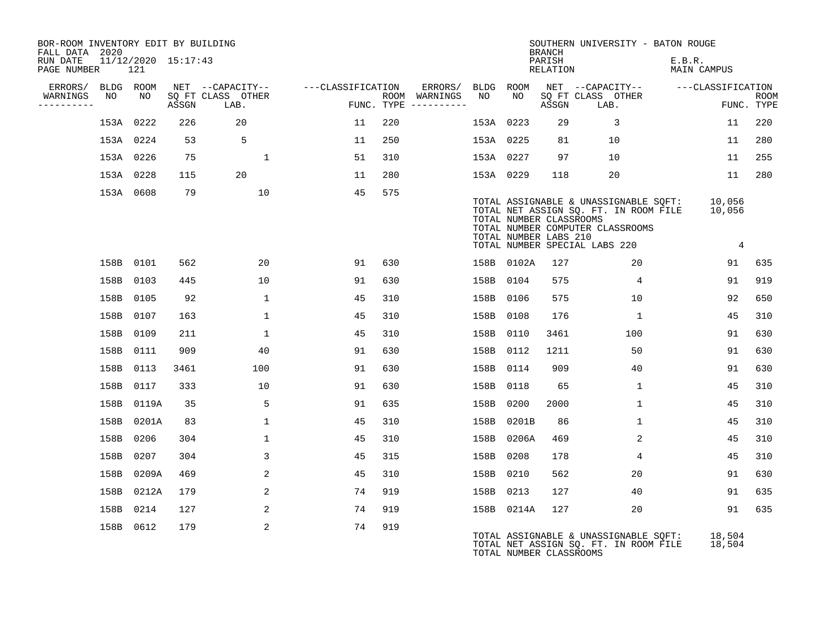| BOR-ROOM INVENTORY EDIT BY BUILDING<br>FALL DATA 2020 |           |                            |       |                           |                   |     |                                        |      |                                                  | <b>BRANCH</b>      | SOUTHERN UNIVERSITY - BATON ROUGE                                                                                                                   |                                     |                           |
|-------------------------------------------------------|-----------|----------------------------|-------|---------------------------|-------------------|-----|----------------------------------------|------|--------------------------------------------------|--------------------|-----------------------------------------------------------------------------------------------------------------------------------------------------|-------------------------------------|---------------------------|
| RUN DATE<br>PAGE NUMBER                               |           | 11/12/2020 15:17:43<br>121 |       |                           |                   |     |                                        |      |                                                  | PARISH<br>RELATION |                                                                                                                                                     | E.B.R.<br>MAIN CAMPUS               |                           |
| ERRORS/                                               | BLDG ROOM |                            |       | NET --CAPACITY--          | ---CLASSIFICATION |     | ERRORS/                                |      | BLDG ROOM                                        |                    | NET --CAPACITY--                                                                                                                                    | ---CLASSIFICATION                   |                           |
| WARNINGS<br>----------                                | NO        | NO                         | ASSGN | SQ FT CLASS OTHER<br>LAB. |                   |     | ROOM WARNINGS<br>FUNC. TYPE ---------- | NO   | NO                                               | ASSGN              | SQ FT CLASS OTHER<br>LAB.                                                                                                                           |                                     | <b>ROOM</b><br>FUNC. TYPE |
|                                                       |           | 153A 0222                  | 226   | 20                        | 11                | 220 |                                        |      | 153A 0223                                        | 29                 | 3                                                                                                                                                   | 11                                  | 220                       |
|                                                       |           | 153A 0224                  | 53    | 5                         | 11                | 250 |                                        |      | 153A 0225                                        | 81                 | 10                                                                                                                                                  | 11                                  | 280                       |
|                                                       |           | 153A 0226                  | 75    | $\mathbf 1$               | 51                | 310 |                                        |      | 153A 0227                                        | 97                 | 10                                                                                                                                                  | 11                                  | 255                       |
|                                                       |           | 153A 0228                  | 115   | 20                        | 11                | 280 |                                        |      | 153A 0229                                        | 118                | 20                                                                                                                                                  | 11                                  | 280                       |
|                                                       |           | 153A 0608                  | 79    | 10                        | 45                | 575 |                                        |      | TOTAL NUMBER CLASSROOMS<br>TOTAL NUMBER LABS 210 |                    | TOTAL ASSIGNABLE & UNASSIGNABLE SQFT:<br>TOTAL NET ASSIGN SQ. FT. IN ROOM FILE<br>TOTAL NUMBER COMPUTER CLASSROOMS<br>TOTAL NUMBER SPECIAL LABS 220 | 10,056<br>10,056<br>$4\overline{ }$ |                           |
|                                                       |           | 158B 0101                  | 562   | 20                        | 91                | 630 |                                        |      | 158B 0102A                                       | 127                | 20                                                                                                                                                  | 91                                  | 635                       |
|                                                       |           | 158B 0103                  | 445   | 10                        | 91                | 630 |                                        |      | 158B 0104                                        | 575                | $\overline{4}$                                                                                                                                      | 91                                  | 919                       |
|                                                       |           | 158B 0105                  | 92    | $\mathbf{1}$              | 45                | 310 |                                        |      | 158B 0106                                        | 575                | 10                                                                                                                                                  | 92                                  | 650                       |
|                                                       |           | 158B 0107                  | 163   | $\mathbf 1$               | 45                | 310 |                                        |      | 158B 0108                                        | 176                | $\mathbf{1}$                                                                                                                                        | 45                                  | 310                       |
|                                                       |           | 158B 0109                  | 211   | $\mathbf{1}$              | 45                | 310 |                                        |      | 158B 0110                                        | 3461               | 100                                                                                                                                                 | 91                                  | 630                       |
|                                                       |           | 158B 0111                  | 909   | 40                        | 91                | 630 |                                        |      | 158B 0112                                        | 1211               | 50                                                                                                                                                  | 91                                  | 630                       |
|                                                       |           | 158B 0113                  | 3461  | 100                       | 91                | 630 |                                        | 158B | 0114                                             | 909                | 40                                                                                                                                                  | 91                                  | 630                       |
|                                                       |           | 158B 0117                  | 333   | 10                        | 91                | 630 |                                        | 158B | 0118                                             | 65                 | 1                                                                                                                                                   | 45                                  | 310                       |
|                                                       |           | 158B 0119A                 | 35    | 5                         | 91                | 635 |                                        | 158B | 0200                                             | 2000               | $\mathbf{1}$                                                                                                                                        | 45                                  | 310                       |
|                                                       |           | 158B 0201A                 | 83    | $\mathbf{1}$              | 45                | 310 |                                        |      | 158B 0201B                                       | 86                 | $\mathbf{1}$                                                                                                                                        | 45                                  | 310                       |
|                                                       |           | 158B 0206                  | 304   | $\mathbf{1}$              | 45                | 310 |                                        | 158B | 0206A                                            | 469                | 2                                                                                                                                                   | 45                                  | 310                       |
|                                                       |           | 158B 0207                  | 304   | 3                         | 45                | 315 |                                        |      | 158B 0208                                        | 178                | $\overline{4}$                                                                                                                                      | 45                                  | 310                       |
|                                                       |           | 158B 0209A                 | 469   | 2                         | 45                | 310 |                                        |      | 158B 0210                                        | 562                | 20                                                                                                                                                  | 91                                  | 630                       |
|                                                       |           | 158B 0212A                 | 179   | 2                         | 74                | 919 |                                        |      | 158B 0213                                        | 127                | 40                                                                                                                                                  | 91                                  | 635                       |
|                                                       |           | 158B 0214                  | 127   | 2                         | 74                | 919 |                                        |      | 158B 0214A                                       | 127                | 20                                                                                                                                                  | 91                                  | 635                       |
|                                                       |           | 158B 0612                  | 179   | 2                         | 74                | 919 |                                        |      | TOTAL NUMBER CLASSROOMS                          |                    | TOTAL ASSIGNABLE & UNASSIGNABLE SQFT:<br>TOTAL NET ASSIGN SQ. FT. IN ROOM FILE                                                                      | 18,504<br>18,504                    |                           |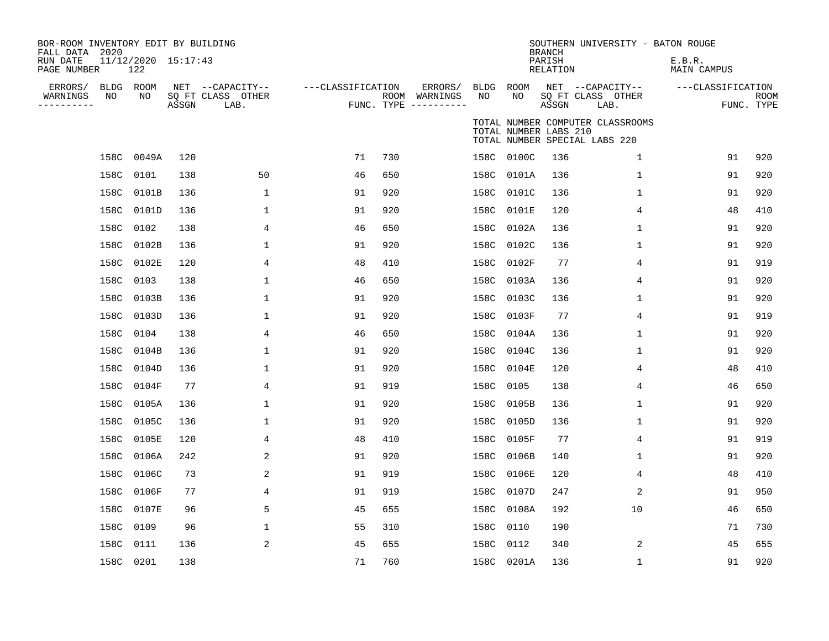| BOR-ROOM INVENTORY EDIT BY BUILDING<br>FALL DATA 2020<br>RUN DATE<br>PAGE NUMBER | 11/12/2020 15:17:43<br>122 |       |                                               |                   |     |                                                 |                 |                       | <b>BRANCH</b><br>PARISH<br><b>RELATION</b> | SOUTHERN UNIVERSITY - BATON ROUGE                                 | E.B.R.<br>MAIN CAMPUS |                           |
|----------------------------------------------------------------------------------|----------------------------|-------|-----------------------------------------------|-------------------|-----|-------------------------------------------------|-----------------|-----------------------|--------------------------------------------|-------------------------------------------------------------------|-----------------------|---------------------------|
| ERRORS/<br>WARNINGS<br>NO<br>----------                                          | BLDG ROOM<br>NO            | ASSGN | NET --CAPACITY--<br>SQ FT CLASS OTHER<br>LAB. | ---CLASSIFICATION |     | ERRORS/<br>ROOM WARNINGS<br>FUNC. TYPE $------$ | BLDG ROOM<br>NO | NO                    | ASSGN                                      | NET --CAPACITY--<br>SQ FT CLASS OTHER<br>LAB.                     | ---CLASSIFICATION     | <b>ROOM</b><br>FUNC. TYPE |
|                                                                                  |                            |       |                                               |                   |     |                                                 |                 | TOTAL NUMBER LABS 210 |                                            | TOTAL NUMBER COMPUTER CLASSROOMS<br>TOTAL NUMBER SPECIAL LABS 220 |                       |                           |
|                                                                                  | 158C 0049A                 | 120   |                                               | 71                | 730 |                                                 |                 | 158C 0100C            | 136                                        | $\mathbf{1}$                                                      | 91                    | 920                       |
|                                                                                  | 158C 0101                  | 138   | 50                                            | 46                | 650 |                                                 |                 | 158C 0101A            | 136                                        | $\mathbf 1$                                                       | 91                    | 920                       |
|                                                                                  | 158C 0101B                 | 136   | $\mathbf{1}$                                  | 91                | 920 |                                                 | 158C            | 0101C                 | 136                                        | 1                                                                 | 91                    | 920                       |
|                                                                                  | 158C 0101D                 | 136   | 1                                             | 91                | 920 |                                                 |                 | 158C 0101E            | 120                                        | 4                                                                 | 48                    | 410                       |
|                                                                                  | 158C 0102                  | 138   | 4                                             | 46                | 650 |                                                 |                 | 158C 0102A            | 136                                        | 1                                                                 | 91                    | 920                       |
|                                                                                  | 158C 0102B                 | 136   | $\mathbf{1}$                                  | 91                | 920 |                                                 |                 | 158C 0102C            | 136                                        | 1                                                                 | 91                    | 920                       |
|                                                                                  | 158C 0102E                 | 120   | 4                                             | 48                | 410 |                                                 | 158C            | 0102F                 | 77                                         | 4                                                                 | 91                    | 919                       |
|                                                                                  | 158C 0103                  | 138   | $\mathbf 1$                                   | 46                | 650 |                                                 |                 | 158C 0103A            | 136                                        | 4                                                                 | 91                    | 920                       |
|                                                                                  | 158C 0103B                 | 136   | 1                                             | 91                | 920 |                                                 |                 | 158C 0103C            | 136                                        | 1                                                                 | 91                    | 920                       |
|                                                                                  | 158C 0103D                 | 136   | $\mathbf{1}$                                  | 91                | 920 |                                                 |                 | 158C 0103F            | 77                                         | 4                                                                 | 91                    | 919                       |
|                                                                                  | 158C 0104                  | 138   | 4                                             | 46                | 650 |                                                 | 158C            | 0104A                 | 136                                        | 1                                                                 | 91                    | 920                       |
| 158C                                                                             | 0104B                      | 136   | 1                                             | 91                | 920 |                                                 | 158C            | 0104C                 | 136                                        | 1                                                                 | 91                    | 920                       |
|                                                                                  | 158C 0104D                 | 136   | 1                                             | 91                | 920 |                                                 |                 | 158C 0104E            | 120                                        | 4                                                                 | 48                    | 410                       |
| 158C                                                                             | 0104F                      | 77    | 4                                             | 91                | 919 |                                                 | 158C 0105       |                       | 138                                        | 4                                                                 | 46                    | 650                       |
|                                                                                  | 158C 0105A                 | 136   | $\mathbf 1$                                   | 91                | 920 |                                                 |                 | 158C 0105B            | 136                                        | 1                                                                 | 91                    | 920                       |
| 158C                                                                             | 0105C                      | 136   | $\mathbf{1}$                                  | 91                | 920 |                                                 | 158C            | 0105D                 | 136                                        | $\mathbf 1$                                                       | 91                    | 920                       |
|                                                                                  | 158C 0105E                 | 120   | 4                                             | 48                | 410 |                                                 |                 | 158C 0105F            | 77                                         | 4                                                                 | 91                    | 919                       |
|                                                                                  | 158C 0106A                 | 242   | 2                                             | 91                | 920 |                                                 |                 | 158C 0106B            | 140                                        | 1                                                                 | 91                    | 920                       |
|                                                                                  | 158C 0106C                 | 73    | 2                                             | 91                | 919 |                                                 | 158C            | 0106E                 | 120                                        | 4                                                                 | 48                    | 410                       |
|                                                                                  | 158C 0106F                 | 77    | 4                                             | 91                | 919 |                                                 | 158C            | 0107D                 | 247                                        | 2                                                                 | 91                    | 950                       |
|                                                                                  | 158C 0107E                 | 96    | 5                                             | 45                | 655 |                                                 |                 | 158C 0108A            | 192                                        | 10                                                                | 46                    | 650                       |
|                                                                                  | 158C 0109                  | 96    | $\mathbf 1$                                   | 55                | 310 |                                                 | 158C            | 0110                  | 190                                        |                                                                   | 71                    | 730                       |
|                                                                                  | 158C 0111                  | 136   | 2                                             | 45                | 655 |                                                 | 158C            | 0112                  | 340                                        | 2                                                                 | 45                    | 655                       |
|                                                                                  | 158C 0201                  | 138   |                                               | 71                | 760 |                                                 |                 | 158C 0201A            | 136                                        | $\mathbf 1$                                                       | 91                    | 920                       |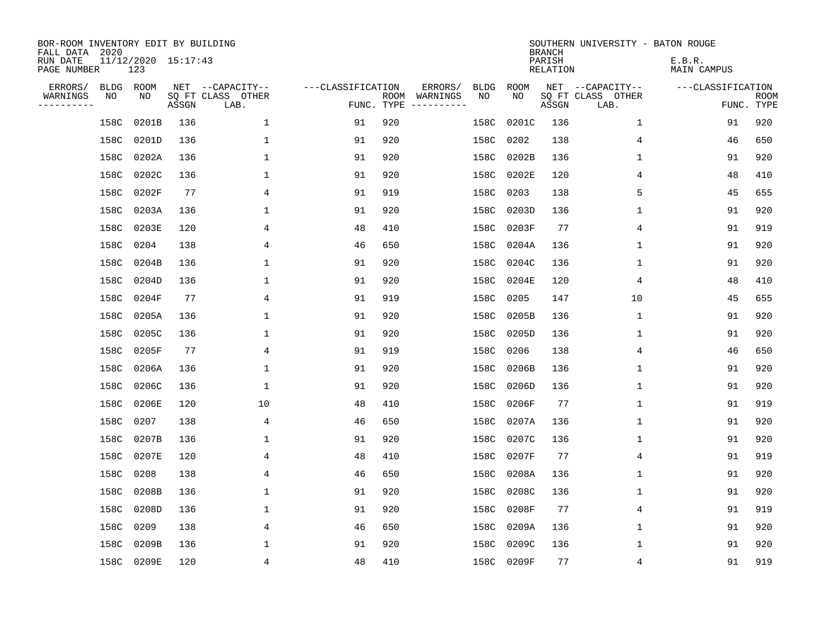| BOR-ROOM INVENTORY EDIT BY BUILDING<br>FALL DATA 2020 |      |                            |       |                           |                   |      |          |             |            | <b>BRANCH</b>             | SOUTHERN UNIVERSITY - BATON ROUGE |                       |                           |
|-------------------------------------------------------|------|----------------------------|-------|---------------------------|-------------------|------|----------|-------------|------------|---------------------------|-----------------------------------|-----------------------|---------------------------|
| RUN DATE<br>PAGE NUMBER                               |      | 11/12/2020 15:17:43<br>123 |       |                           |                   |      |          |             |            | PARISH<br><b>RELATION</b> |                                   | E.B.R.<br>MAIN CAMPUS |                           |
| ERRORS/                                               | BLDG | ROOM                       |       | NET --CAPACITY--          | ---CLASSIFICATION |      | ERRORS/  | <b>BLDG</b> | ROOM       |                           | NET --CAPACITY--                  | ---CLASSIFICATION     |                           |
| WARNINGS<br>----------                                | ΝO   | NO                         | ASSGN | SQ FT CLASS OTHER<br>LAB. | FUNC. TYPE        | ROOM | WARNINGS | NO          | NO         | ASSGN                     | SQ FT CLASS OTHER<br>LAB.         |                       | <b>ROOM</b><br>FUNC. TYPE |
|                                                       | 158C | 0201B                      | 136   | 1                         | 91                | 920  |          | 158C        | 0201C      | 136                       | 1                                 | 91                    | 920                       |
|                                                       | 158C | 0201D                      | 136   | 1                         | 91                | 920  |          | 158C        | 0202       | 138                       | 4                                 | 46                    | 650                       |
|                                                       | 158C | 0202A                      | 136   | 1                         | 91                | 920  |          | 158C        | 0202B      | 136                       | 1                                 | 91                    | 920                       |
|                                                       | 158C | 0202C                      | 136   | 1                         | 91                | 920  |          | 158C        | 0202E      | 120                       | 4                                 | 48                    | 410                       |
|                                                       | 158C | 0202F                      | 77    | 4                         | 91                | 919  |          | 158C        | 0203       | 138                       | 5                                 | 45                    | 655                       |
|                                                       | 158C | 0203A                      | 136   | 1                         | 91                | 920  |          | 158C        | 0203D      | 136                       | 1                                 | 91                    | 920                       |
|                                                       | 158C | 0203E                      | 120   | 4                         | 48                | 410  |          | 158C        | 0203F      | 77                        | 4                                 | 91                    | 919                       |
|                                                       | 158C | 0204                       | 138   | 4                         | 46                | 650  |          | 158C        | 0204A      | 136                       | $\mathbf 1$                       | 91                    | 920                       |
|                                                       | 158C | 0204B                      | 136   | $\mathbf{1}$              | 91                | 920  |          | 158C        | 0204C      | 136                       | $\mathbf{1}$                      | 91                    | 920                       |
|                                                       | 158C | 0204D                      | 136   | 1                         | 91                | 920  |          | 158C        | 0204E      | 120                       | 4                                 | 48                    | 410                       |
|                                                       | 158C | 0204F                      | 77    | 4                         | 91                | 919  |          | 158C        | 0205       | 147                       | 10                                | 45                    | 655                       |
|                                                       | 158C | 0205A                      | 136   | 1                         | 91                | 920  |          | 158C        | 0205B      | 136                       | 1                                 | 91                    | 920                       |
|                                                       | 158C | 0205C                      | 136   | 1                         | 91                | 920  |          | 158C        | 0205D      | 136                       | 1                                 | 91                    | 920                       |
|                                                       | 158C | 0205F                      | 77    | 4                         | 91                | 919  |          | 158C        | 0206       | 138                       | 4                                 | 46                    | 650                       |
|                                                       | 158C | 0206A                      | 136   | 1                         | 91                | 920  |          | 158C        | 0206B      | 136                       | 1                                 | 91                    | 920                       |
|                                                       | 158C | 0206C                      | 136   | $\mathbf 1$               | 91                | 920  |          | 158C        | 0206D      | 136                       | $\mathbf 1$                       | 91                    | 920                       |
|                                                       | 158C | 0206E                      | 120   | 10                        | 48                | 410  |          | 158C        | 0206F      | 77                        | 1                                 | 91                    | 919                       |
|                                                       | 158C | 0207                       | 138   | 4                         | 46                | 650  |          | 158C        | 0207A      | 136                       | 1                                 | 91                    | 920                       |
|                                                       | 158C | 0207B                      | 136   | 1                         | 91                | 920  |          | 158C        | 0207C      | 136                       | 1                                 | 91                    | 920                       |
|                                                       | 158C | 0207E                      | 120   | 4                         | 48                | 410  |          | 158C        | 0207F      | 77                        | 4                                 | 91                    | 919                       |
|                                                       | 158C | 0208                       | 138   | 4                         | 46                | 650  |          | 158C        | 0208A      | 136                       | 1                                 | 91                    | 920                       |
|                                                       | 158C | 0208B                      | 136   | $\mathbf{1}$              | 91                | 920  |          | 158C        | 0208C      | 136                       | 1                                 | 91                    | 920                       |
|                                                       | 158C | 0208D                      | 136   | 1                         | 91                | 920  |          | 158C        | 0208F      | 77                        | 4                                 | 91                    | 919                       |
|                                                       | 158C | 0209                       | 138   | 4                         | 46                | 650  |          | 158C        | 0209A      | 136                       | $\mathbf 1$                       | 91                    | 920                       |
|                                                       | 158C | 0209B                      | 136   | $\mathbf{1}$              | 91                | 920  |          | 158C        | 0209C      | 136                       | $\mathbf 1$                       | 91                    | 920                       |
|                                                       |      | 158C 0209E                 | 120   | 4                         | 48                | 410  |          |             | 158C 0209F | 77                        | 4                                 | 91                    | 919                       |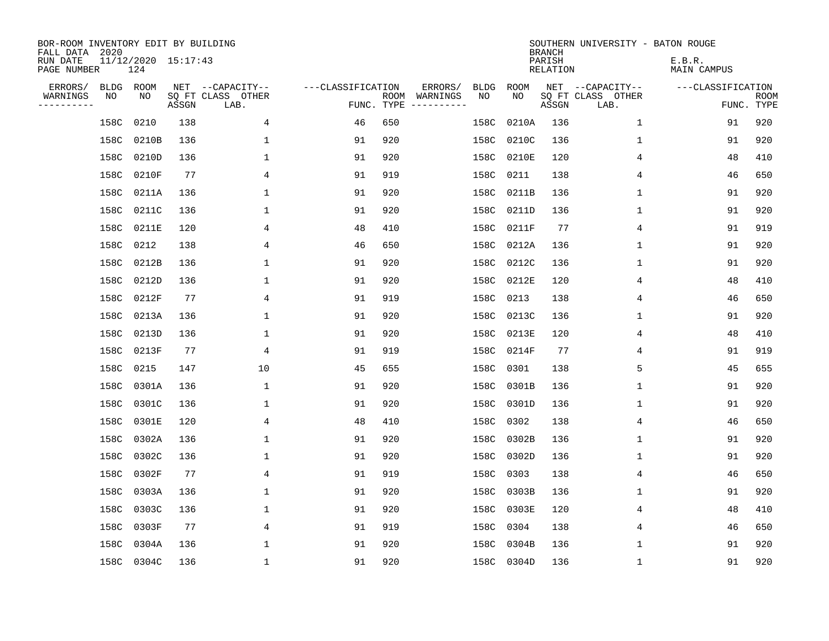| BOR-ROOM INVENTORY EDIT BY BUILDING<br>FALL DATA 2020 |      |                            |       |                           |                   |                    |                         |             |            | <b>BRANCH</b>             | SOUTHERN UNIVERSITY - BATON ROUGE |                       |                           |
|-------------------------------------------------------|------|----------------------------|-------|---------------------------|-------------------|--------------------|-------------------------|-------------|------------|---------------------------|-----------------------------------|-----------------------|---------------------------|
| RUN DATE<br>PAGE NUMBER                               |      | 11/12/2020 15:17:43<br>124 |       |                           |                   |                    |                         |             |            | PARISH<br><b>RELATION</b> |                                   | E.B.R.<br>MAIN CAMPUS |                           |
| ERRORS/                                               | BLDG | ROOM                       |       | NET --CAPACITY--          | ---CLASSIFICATION |                    | ERRORS/                 | <b>BLDG</b> | ROOM       |                           | NET --CAPACITY--                  | ---CLASSIFICATION     |                           |
| WARNINGS<br>----------                                | ΝO   | NO                         | ASSGN | SQ FT CLASS OTHER<br>LAB. |                   | ROOM<br>FUNC. TYPE | WARNINGS<br>----------- | NO          | NO         | ASSGN                     | SQ FT CLASS OTHER<br>LAB.         |                       | <b>ROOM</b><br>FUNC. TYPE |
|                                                       | 158C | 0210                       | 138   | 4                         | 46                | 650                |                         | 158C        | 0210A      | 136                       | 1                                 | 91                    | 920                       |
|                                                       | 158C | 0210B                      | 136   | 1                         | 91                | 920                |                         | 158C        | 0210C      | 136                       | 1                                 | 91                    | 920                       |
|                                                       | 158C | 0210D                      | 136   | 1                         | 91                | 920                |                         | 158C        | 0210E      | 120                       | 4                                 | 48                    | 410                       |
|                                                       | 158C | 0210F                      | 77    | 4                         | 91                | 919                |                         | 158C        | 0211       | 138                       | 4                                 | 46                    | 650                       |
|                                                       | 158C | 0211A                      | 136   | $\mathbf{1}$              | 91                | 920                |                         | 158C        | 0211B      | 136                       | $\mathbf 1$                       | 91                    | 920                       |
|                                                       | 158C | 0211C                      | 136   | 1                         | 91                | 920                |                         | 158C        | 0211D      | 136                       | 1                                 | 91                    | 920                       |
|                                                       | 158C | 0211E                      | 120   | 4                         | 48                | 410                |                         | 158C        | 0211F      | 77                        | 4                                 | 91                    | 919                       |
|                                                       | 158C | 0212                       | 138   | 4                         | 46                | 650                |                         | 158C        | 0212A      | 136                       | $\mathbf 1$                       | 91                    | 920                       |
|                                                       | 158C | 0212B                      | 136   | $\mathbf{1}$              | 91                | 920                |                         | 158C        | 0212C      | 136                       | $\mathbf 1$                       | 91                    | 920                       |
|                                                       | 158C | 0212D                      | 136   | 1                         | 91                | 920                |                         | 158C        | 0212E      | 120                       | 4                                 | 48                    | 410                       |
|                                                       | 158C | 0212F                      | 77    | 4                         | 91                | 919                |                         | 158C        | 0213       | 138                       | 4                                 | 46                    | 650                       |
|                                                       | 158C | 0213A                      | 136   | 1                         | 91                | 920                |                         | 158C        | 0213C      | 136                       | 1                                 | 91                    | 920                       |
|                                                       | 158C | 0213D                      | 136   | 1                         | 91                | 920                |                         | 158C        | 0213E      | 120                       | 4                                 | 48                    | 410                       |
|                                                       | 158C | 0213F                      | 77    | 4                         | 91                | 919                |                         | 158C        | 0214F      | 77                        | 4                                 | 91                    | 919                       |
|                                                       | 158C | 0215                       | 147   | 10                        | 45                | 655                |                         | 158C        | 0301       | 138                       | 5                                 | 45                    | 655                       |
|                                                       | 158C | 0301A                      | 136   | 1                         | 91                | 920                |                         | 158C        | 0301B      | 136                       | 1                                 | 91                    | 920                       |
|                                                       | 158C | 0301C                      | 136   | 1                         | 91                | 920                |                         | 158C        | 0301D      | 136                       | 1                                 | 91                    | 920                       |
|                                                       | 158C | 0301E                      | 120   | 4                         | 48                | 410                |                         | 158C        | 0302       | 138                       | 4                                 | 46                    | 650                       |
|                                                       | 158C | 0302A                      | 136   | 1                         | 91                | 920                |                         | 158C        | 0302B      | 136                       | 1                                 | 91                    | 920                       |
|                                                       | 158C | 0302C                      | 136   | 1                         | 91                | 920                |                         | 158C        | 0302D      | 136                       | 1                                 | 91                    | 920                       |
|                                                       | 158C | 0302F                      | 77    | 4                         | 91                | 919                |                         | 158C        | 0303       | 138                       | 4                                 | 46                    | 650                       |
|                                                       | 158C | 0303A                      | 136   | $\mathbf{1}$              | 91                | 920                |                         | 158C        | 0303B      | 136                       | 1                                 | 91                    | 920                       |
|                                                       | 158C | 0303C                      | 136   | 1                         | 91                | 920                |                         | 158C        | 0303E      | 120                       | 4                                 | 48                    | 410                       |
|                                                       | 158C | 0303F                      | 77    | 4                         | 91                | 919                |                         | 158C        | 0304       | 138                       | 4                                 | 46                    | 650                       |
|                                                       | 158C | 0304A                      | 136   | $\mathbf{1}$              | 91                | 920                |                         | 158C        | 0304B      | 136                       | $\mathbf 1$                       | 91                    | 920                       |
|                                                       |      | 158C 0304C                 | 136   | $\mathbf{1}$              | 91                | 920                |                         |             | 158C 0304D | 136                       | 1                                 | 91                    | 920                       |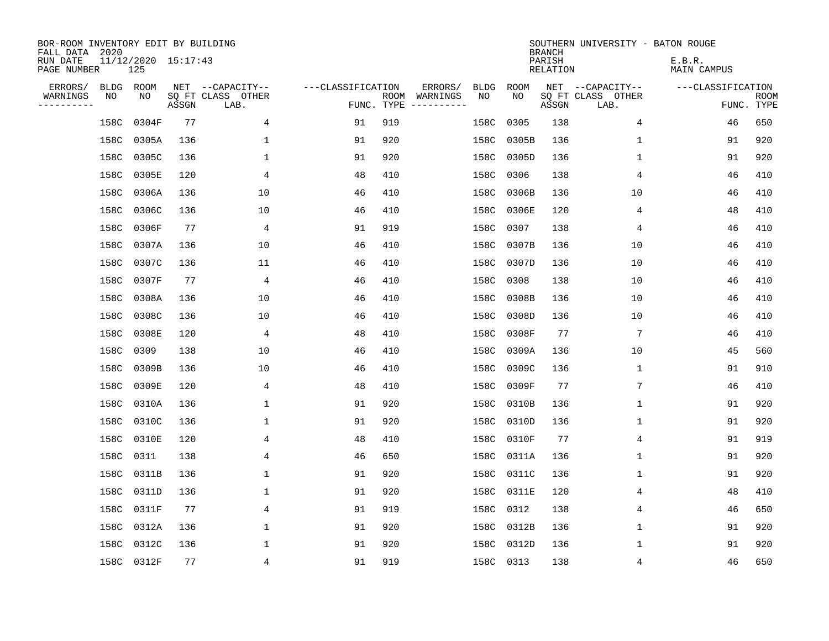| BOR-ROOM INVENTORY EDIT BY BUILDING<br>FALL DATA 2020 |      |                            |       |                           |                   |      |          |             |             | <b>BRANCH</b>             | SOUTHERN UNIVERSITY - BATON ROUGE |                       |                           |
|-------------------------------------------------------|------|----------------------------|-------|---------------------------|-------------------|------|----------|-------------|-------------|---------------------------|-----------------------------------|-----------------------|---------------------------|
| RUN DATE<br>PAGE NUMBER                               |      | 11/12/2020 15:17:43<br>125 |       |                           |                   |      |          |             |             | PARISH<br><b>RELATION</b> |                                   | E.B.R.<br>MAIN CAMPUS |                           |
| ERRORS/                                               | BLDG | ROOM                       |       | NET --CAPACITY--          | ---CLASSIFICATION |      | ERRORS/  | <b>BLDG</b> | <b>ROOM</b> |                           | NET --CAPACITY--                  | ---CLASSIFICATION     |                           |
| WARNINGS<br>----------                                | NO   | NO                         | ASSGN | SQ FT CLASS OTHER<br>LAB. | FUNC. TYPE        | ROOM | WARNINGS | NO          | NO          | ASSGN                     | SQ FT CLASS OTHER<br>LAB.         |                       | <b>ROOM</b><br>FUNC. TYPE |
|                                                       | 158C | 0304F                      | 77    | 4                         | 91                | 919  |          | 158C        | 0305        | 138                       | 4                                 | 46                    | 650                       |
|                                                       | 158C | 0305A                      | 136   | 1                         | 91                | 920  |          | 158C        | 0305B       | 136                       | 1                                 | 91                    | 920                       |
|                                                       | 158C | 0305C                      | 136   | 1                         | 91                | 920  |          | 158C        | 0305D       | 136                       | $\mathbf 1$                       | 91                    | 920                       |
|                                                       | 158C | 0305E                      | 120   | 4                         | 48                | 410  |          | 158C        | 0306        | 138                       | 4                                 | 46                    | 410                       |
|                                                       | 158C | 0306A                      | 136   | 10                        | 46                | 410  |          | 158C        | 0306B       | 136                       | 10                                | 46                    | 410                       |
|                                                       | 158C | 0306C                      | 136   | 10                        | 46                | 410  |          | 158C        | 0306E       | 120                       | 4                                 | 48                    | 410                       |
|                                                       | 158C | 0306F                      | 77    | 4                         | 91                | 919  |          | 158C        | 0307        | 138                       | 4                                 | 46                    | 410                       |
|                                                       | 158C | 0307A                      | 136   | 10                        | 46                | 410  |          | 158C        | 0307B       | 136                       | 10                                | 46                    | 410                       |
|                                                       | 158C | 0307C                      | 136   | 11                        | 46                | 410  |          | 158C        | 0307D       | 136                       | 10                                | 46                    | 410                       |
|                                                       | 158C | 0307F                      | 77    | 4                         | 46                | 410  |          | 158C        | 0308        | 138                       | 10                                | 46                    | 410                       |
|                                                       | 158C | 0308A                      | 136   | 10                        | 46                | 410  |          | 158C        | 0308B       | 136                       | 10                                | 46                    | 410                       |
|                                                       | 158C | 0308C                      | 136   | 10                        | 46                | 410  |          | 158C        | 0308D       | 136                       | 10                                | 46                    | 410                       |
|                                                       | 158C | 0308E                      | 120   | 4                         | 48                | 410  |          | 158C        | 0308F       | 77                        | 7                                 | 46                    | 410                       |
|                                                       | 158C | 0309                       | 138   | 10                        | 46                | 410  |          | 158C        | 0309A       | 136                       | 10                                | 45                    | 560                       |
|                                                       | 158C | 0309B                      | 136   | 10                        | 46                | 410  |          | 158C        | 0309C       | 136                       | $\mathbf 1$                       | 91                    | 910                       |
|                                                       | 158C | 0309E                      | 120   | 4                         | 48                | 410  |          | 158C        | 0309F       | 77                        | 7                                 | 46                    | 410                       |
|                                                       | 158C | 0310A                      | 136   | 1                         | 91                | 920  |          | 158C        | 0310B       | 136                       | 1                                 | 91                    | 920                       |
|                                                       | 158C | 0310C                      | 136   | 1                         | 91                | 920  |          | 158C        | 0310D       | 136                       | 1                                 | 91                    | 920                       |
|                                                       | 158C | 0310E                      | 120   | 4                         | 48                | 410  |          | 158C        | 0310F       | 77                        | 4                                 | 91                    | 919                       |
|                                                       | 158C | 0311                       | 138   | 4                         | 46                | 650  |          | 158C        | 0311A       | 136                       | 1                                 | 91                    | 920                       |
|                                                       | 158C | 0311B                      | 136   | $\mathbf{1}$              | 91                | 920  |          | 158C        | 0311C       | 136                       | 1                                 | 91                    | 920                       |
|                                                       | 158C | 0311D                      | 136   | 1                         | 91                | 920  |          | 158C        | 0311E       | 120                       | 4                                 | 48                    | 410                       |
|                                                       | 158C | 0311F                      | 77    | 4                         | 91                | 919  |          | 158C        | 0312        | 138                       | 4                                 | 46                    | 650                       |
|                                                       | 158C | 0312A                      | 136   | 1                         | 91                | 920  |          | 158C        | 0312B       | 136                       | 1                                 | 91                    | 920                       |
|                                                       | 158C | 0312C                      | 136   | $\mathbf{1}$              | 91                | 920  |          | 158C        | 0312D       | 136                       | $\mathbf 1$                       | 91                    | 920                       |
|                                                       |      | 158C 0312F                 | 77    | 4                         | 91                | 919  |          |             | 158C 0313   | 138                       | 4                                 | 46                    | 650                       |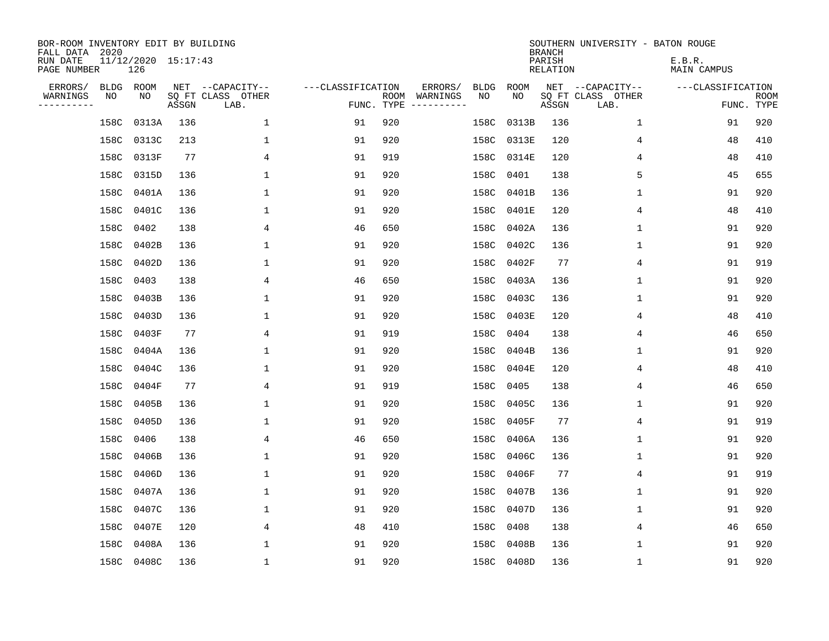| BOR-ROOM INVENTORY EDIT BY BUILDING<br>FALL DATA 2020 |             |                            |       |                           |                   |            |               |             |             | <b>BRANCH</b>             | SOUTHERN UNIVERSITY - BATON ROUGE |                       |                           |
|-------------------------------------------------------|-------------|----------------------------|-------|---------------------------|-------------------|------------|---------------|-------------|-------------|---------------------------|-----------------------------------|-----------------------|---------------------------|
| RUN DATE<br>PAGE NUMBER                               |             | 11/12/2020 15:17:43<br>126 |       |                           |                   |            |               |             |             | PARISH<br><b>RELATION</b> |                                   | E.B.R.<br>MAIN CAMPUS |                           |
| ERRORS/                                               | <b>BLDG</b> | ROOM                       |       | NET --CAPACITY--          | ---CLASSIFICATION |            | ERRORS/       | <b>BLDG</b> | <b>ROOM</b> |                           | NET --CAPACITY--                  | ---CLASSIFICATION     |                           |
| WARNINGS<br>----------                                | NO          | NO                         | ASSGN | SQ FT CLASS OTHER<br>LAB. |                   | FUNC. TYPE | ROOM WARNINGS | NO          | NO          | ASSGN                     | SQ FT CLASS OTHER<br>LAB.         |                       | <b>ROOM</b><br>FUNC. TYPE |
|                                                       | 158C        | 0313A                      | 136   | 1                         | 91                | 920        |               | 158C        | 0313B       | 136                       | 1                                 | 91                    | 920                       |
|                                                       | 158C        | 0313C                      | 213   | 1                         | 91                | 920        |               | 158C        | 0313E       | 120                       | 4                                 | 48                    | 410                       |
|                                                       | 158C        | 0313F                      | 77    | 4                         | 91                | 919        |               | 158C        | 0314E       | 120                       | 4                                 | 48                    | 410                       |
|                                                       | 158C        | 0315D                      | 136   | 1                         | 91                | 920        |               | 158C        | 0401        | 138                       | 5                                 | 45                    | 655                       |
|                                                       | 158C        | 0401A                      | 136   | $\mathbf{1}$              | 91                | 920        |               | 158C        | 0401B       | 136                       | $\mathbf 1$                       | 91                    | 920                       |
|                                                       | 158C        | 0401C                      | 136   | 1                         | 91                | 920        |               | 158C        | 0401E       | 120                       | 4                                 | 48                    | 410                       |
|                                                       | 158C        | 0402                       | 138   | 4                         | 46                | 650        |               | 158C        | 0402A       | 136                       | $\mathbf 1$                       | 91                    | 920                       |
|                                                       | 158C        | 0402B                      | 136   | $\mathbf{1}$              | 91                | 920        |               | 158C        | 0402C       | 136                       | $\mathbf 1$                       | 91                    | 920                       |
|                                                       | 158C        | 0402D                      | 136   | $\mathbf{1}$              | 91                | 920        |               | 158C        | 0402F       | 77                        | 4                                 | 91                    | 919                       |
|                                                       | 158C        | 0403                       | 138   | 4                         | 46                | 650        |               | 158C        | 0403A       | 136                       | 1                                 | 91                    | 920                       |
|                                                       | 158C        | 0403B                      | 136   | $\mathbf 1$               | 91                | 920        |               | 158C        | 0403C       | 136                       | 1                                 | 91                    | 920                       |
|                                                       | 158C        | 0403D                      | 136   | 1                         | 91                | 920        |               | 158C        | 0403E       | 120                       | 4                                 | 48                    | 410                       |
|                                                       | 158C        | 0403F                      | 77    | 4                         | 91                | 919        |               | 158C        | 0404        | 138                       | 4                                 | 46                    | 650                       |
|                                                       | 158C        | 0404A                      | 136   | 1                         | 91                | 920        |               | 158C        | 0404B       | 136                       | 1                                 | 91                    | 920                       |
|                                                       | 158C        | 0404C                      | 136   | 1                         | 91                | 920        |               | 158C        | 0404E       | 120                       | 4                                 | 48                    | 410                       |
|                                                       | 158C        | 0404F                      | 77    | 4                         | 91                | 919        |               | 158C        | 0405        | 138                       | 4                                 | 46                    | 650                       |
|                                                       | 158C        | 0405B                      | 136   | $\mathbf{1}$              | 91                | 920        |               | 158C        | 0405C       | 136                       | 1                                 | 91                    | 920                       |
|                                                       | 158C        | 0405D                      | 136   | 1                         | 91                | 920        |               | 158C        | 0405F       | 77                        | 4                                 | 91                    | 919                       |
|                                                       | 158C        | 0406                       | 138   | 4                         | 46                | 650        |               | 158C        | 0406A       | 136                       | 1                                 | 91                    | 920                       |
|                                                       | 158C        | 0406B                      | 136   | 1                         | 91                | 920        |               | 158C        | 0406C       | 136                       | 1                                 | 91                    | 920                       |
|                                                       | 158C        | 0406D                      | 136   | 1                         | 91                | 920        |               | 158C        | 0406F       | 77                        | 4                                 | 91                    | 919                       |
|                                                       | 158C        | 0407A                      | 136   | $\mathbf{1}$              | 91                | 920        |               | 158C        | 0407B       | 136                       | 1                                 | 91                    | 920                       |
|                                                       | 158C        | 0407C                      | 136   | 1                         | 91                | 920        |               | 158C        | 0407D       | 136                       | $\mathbf 1$                       | 91                    | 920                       |
|                                                       | 158C        | 0407E                      | 120   | 4                         | 48                | 410        |               | 158C        | 0408        | 138                       | 4                                 | 46                    | 650                       |
|                                                       | 158C        | 0408A                      | 136   | 1                         | 91                | 920        |               | 158C        | 0408B       | 136                       | $\mathbf 1$                       | 91                    | 920                       |
|                                                       |             | 158C 0408C                 | 136   | 1                         | 91                | 920        |               |             | 158C 0408D  | 136                       | $\mathbf 1$                       | 91                    | 920                       |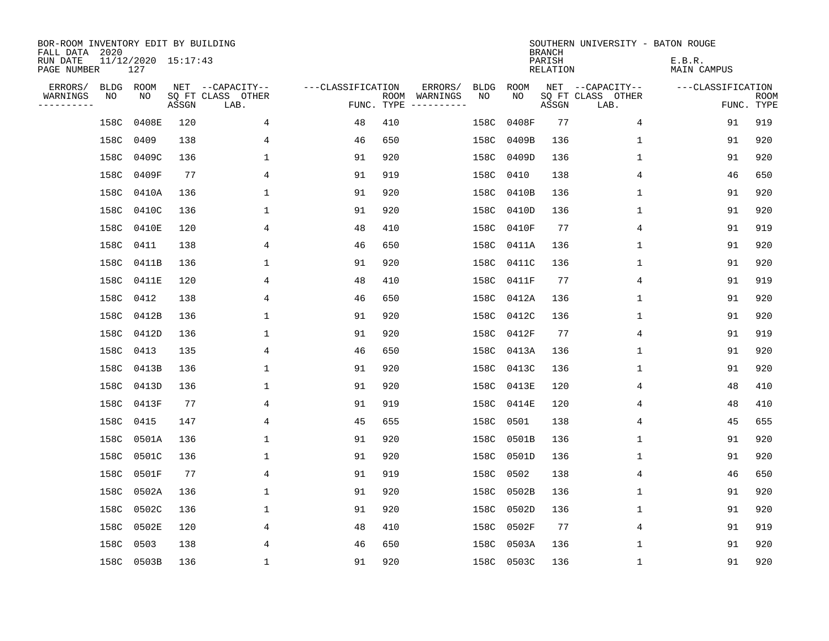| BOR-ROOM INVENTORY EDIT BY BUILDING<br>FALL DATA 2020 |      |                            |       |                           |                   |            |                              |             |            | <b>BRANCH</b>             | SOUTHERN UNIVERSITY - BATON ROUGE |                       |                           |
|-------------------------------------------------------|------|----------------------------|-------|---------------------------|-------------------|------------|------------------------------|-------------|------------|---------------------------|-----------------------------------|-----------------------|---------------------------|
| RUN DATE<br>PAGE NUMBER                               |      | 11/12/2020 15:17:43<br>127 |       |                           |                   |            |                              |             |            | PARISH<br><b>RELATION</b> |                                   | E.B.R.<br>MAIN CAMPUS |                           |
| ERRORS/                                               | BLDG | ROOM                       |       | NET --CAPACITY--          | ---CLASSIFICATION |            | ERRORS/                      | <b>BLDG</b> | ROOM       |                           | NET --CAPACITY--                  | ---CLASSIFICATION     |                           |
| WARNINGS<br>----------                                | ΝO   | NO                         | ASSGN | SQ FT CLASS OTHER<br>LAB. |                   | FUNC. TYPE | ROOM WARNINGS<br>----------- | NO          | NO         | ASSGN                     | SQ FT CLASS OTHER<br>LAB.         |                       | <b>ROOM</b><br>FUNC. TYPE |
|                                                       | 158C | 0408E                      | 120   | 4                         | 48                | 410        |                              | 158C        | 0408F      | 77                        | 4                                 | 91                    | 919                       |
|                                                       | 158C | 0409                       | 138   | 4                         | 46                | 650        |                              | 158C        | 0409B      | 136                       | 1                                 | 91                    | 920                       |
|                                                       | 158C | 0409C                      | 136   | 1                         | 91                | 920        |                              | 158C        | 0409D      | 136                       | 1                                 | 91                    | 920                       |
|                                                       | 158C | 0409F                      | 77    | 4                         | 91                | 919        |                              | 158C        | 0410       | 138                       | 4                                 | 46                    | 650                       |
|                                                       | 158C | 0410A                      | 136   | $\mathbf{1}$              | 91                | 920        |                              | 158C        | 0410B      | 136                       | $\mathbf 1$                       | 91                    | 920                       |
|                                                       | 158C | 0410C                      | 136   | $\mathbf{1}$              | 91                | 920        |                              | 158C        | 0410D      | 136                       | 1                                 | 91                    | 920                       |
|                                                       | 158C | 0410E                      | 120   | 4                         | 48                | 410        |                              | 158C        | 0410F      | 77                        | 4                                 | 91                    | 919                       |
|                                                       | 158C | 0411                       | 138   | 4                         | 46                | 650        |                              | 158C        | 0411A      | 136                       | $\mathbf 1$                       | 91                    | 920                       |
|                                                       | 158C | 0411B                      | 136   | $\mathbf{1}$              | 91                | 920        |                              | 158C        | 0411C      | 136                       | $\mathbf{1}$                      | 91                    | 920                       |
|                                                       | 158C | 0411E                      | 120   | 4                         | 48                | 410        |                              | 158C        | 0411F      | 77                        | 4                                 | 91                    | 919                       |
|                                                       | 158C | 0412                       | 138   | 4                         | 46                | 650        |                              | 158C        | 0412A      | 136                       | 1                                 | 91                    | 920                       |
|                                                       | 158C | 0412B                      | 136   | 1                         | 91                | 920        |                              | 158C        | 0412C      | 136                       | 1                                 | 91                    | 920                       |
|                                                       | 158C | 0412D                      | 136   | 1                         | 91                | 920        |                              | 158C        | 0412F      | 77                        | 4                                 | 91                    | 919                       |
|                                                       | 158C | 0413                       | 135   | 4                         | 46                | 650        |                              | 158C        | 0413A      | 136                       | 1                                 | 91                    | 920                       |
|                                                       | 158C | 0413B                      | 136   | 1                         | 91                | 920        |                              | 158C        | 0413C      | 136                       | 1                                 | 91                    | 920                       |
|                                                       | 158C | 0413D                      | 136   | 1                         | 91                | 920        |                              | 158C        | 0413E      | 120                       | 4                                 | 48                    | 410                       |
|                                                       | 158C | 0413F                      | 77    | 4                         | 91                | 919        |                              | 158C        | 0414E      | 120                       | 4                                 | 48                    | 410                       |
|                                                       | 158C | 0415                       | 147   | 4                         | 45                | 655        |                              | 158C        | 0501       | 138                       | 4                                 | 45                    | 655                       |
|                                                       | 158C | 0501A                      | 136   | 1                         | 91                | 920        |                              | 158C        | 0501B      | 136                       | 1                                 | 91                    | 920                       |
|                                                       | 158C | 0501C                      | 136   | 1                         | 91                | 920        |                              | 158C        | 0501D      | 136                       | 1                                 | 91                    | 920                       |
|                                                       | 158C | 0501F                      | 77    | 4                         | 91                | 919        |                              | 158C        | 0502       | 138                       | 4                                 | 46                    | 650                       |
|                                                       | 158C | 0502A                      | 136   | $\mathbf{1}$              | 91                | 920        |                              | 158C        | 0502B      | 136                       | $\mathbf 1$                       | 91                    | 920                       |
|                                                       | 158C | 0502C                      | 136   | 1                         | 91                | 920        |                              | 158C        | 0502D      | 136                       | 1                                 | 91                    | 920                       |
|                                                       | 158C | 0502E                      | 120   | 4                         | 48                | 410        |                              | 158C        | 0502F      | 77                        | 4                                 | 91                    | 919                       |
|                                                       | 158C | 0503                       | 138   | 4                         | 46                | 650        |                              | 158C        | 0503A      | 136                       | $\mathbf 1$                       | 91                    | 920                       |
|                                                       |      | 158C 0503B                 | 136   | $\mathbf{1}$              | 91                | 920        |                              |             | 158C 0503C | 136                       | 1                                 | 91                    | 920                       |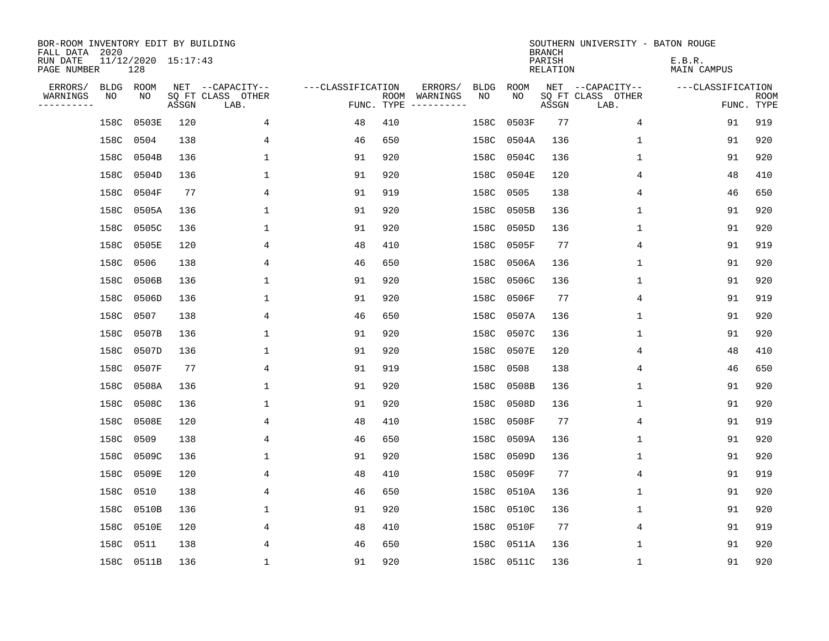| BOR-ROOM INVENTORY EDIT BY BUILDING<br>FALL DATA 2020 |      |                            |       |                           |                   |                    |                         |             |            | <b>BRANCH</b>             | SOUTHERN UNIVERSITY - BATON ROUGE |                       |                           |
|-------------------------------------------------------|------|----------------------------|-------|---------------------------|-------------------|--------------------|-------------------------|-------------|------------|---------------------------|-----------------------------------|-----------------------|---------------------------|
| RUN DATE<br>PAGE NUMBER                               |      | 11/12/2020 15:17:43<br>128 |       |                           |                   |                    |                         |             |            | PARISH<br><b>RELATION</b> |                                   | E.B.R.<br>MAIN CAMPUS |                           |
| ERRORS/                                               | BLDG | ROOM                       |       | NET --CAPACITY--          | ---CLASSIFICATION |                    | ERRORS/                 | <b>BLDG</b> | ROOM       |                           | NET --CAPACITY--                  | ---CLASSIFICATION     |                           |
| WARNINGS<br>-----------                               | ΝO   | NO                         | ASSGN | SQ FT CLASS OTHER<br>LAB. |                   | ROOM<br>FUNC. TYPE | WARNINGS<br>----------- | NO          | NO         | ASSGN                     | SQ FT CLASS OTHER<br>LAB.         |                       | <b>ROOM</b><br>FUNC. TYPE |
|                                                       | 158C | 0503E                      | 120   | 4                         | 48                | 410                |                         | 158C        | 0503F      | 77                        | 4                                 | 91                    | 919                       |
|                                                       | 158C | 0504                       | 138   | 4                         | 46                | 650                |                         | 158C        | 0504A      | 136                       | 1                                 | 91                    | 920                       |
|                                                       | 158C | 0504B                      | 136   | 1                         | 91                | 920                |                         | 158C        | 0504C      | 136                       | 1                                 | 91                    | 920                       |
|                                                       | 158C | 0504D                      | 136   | 1                         | 91                | 920                |                         | 158C        | 0504E      | 120                       | 4                                 | 48                    | 410                       |
|                                                       | 158C | 0504F                      | 77    | 4                         | 91                | 919                |                         | 158C        | 0505       | 138                       | 4                                 | 46                    | 650                       |
|                                                       | 158C | 0505A                      | 136   | 1                         | 91                | 920                |                         | 158C        | 0505B      | 136                       | 1                                 | 91                    | 920                       |
|                                                       | 158C | 0505C                      | 136   | $\mathbf{1}$              | 91                | 920                |                         | 158C        | 0505D      | 136                       | $\mathbf 1$                       | 91                    | 920                       |
|                                                       | 158C | 0505E                      | 120   | 4                         | 48                | 410                |                         | 158C        | 0505F      | 77                        | 4                                 | 91                    | 919                       |
|                                                       | 158C | 0506                       | 138   | 4                         | 46                | 650                |                         | 158C        | 0506A      | 136                       | $\mathbf 1$                       | 91                    | 920                       |
|                                                       | 158C | 0506B                      | 136   | $\mathbf{1}$              | 91                | 920                |                         | 158C        | 0506C      | 136                       | 1                                 | 91                    | 920                       |
|                                                       | 158C | 0506D                      | 136   | 1                         | 91                | 920                |                         | 158C        | 0506F      | 77                        | 4                                 | 91                    | 919                       |
|                                                       | 158C | 0507                       | 138   | 4                         | 46                | 650                |                         | 158C        | 0507A      | 136                       | 1                                 | 91                    | 920                       |
|                                                       | 158C | 0507B                      | 136   | 1                         | 91                | 920                |                         | 158C        | 0507C      | 136                       | 1                                 | 91                    | 920                       |
|                                                       | 158C | 0507D                      | 136   | 1                         | 91                | 920                |                         | 158C        | 0507E      | 120                       | 4                                 | 48                    | 410                       |
|                                                       | 158C | 0507F                      | 77    | 4                         | 91                | 919                |                         | 158C        | 0508       | 138                       | 4                                 | 46                    | 650                       |
|                                                       | 158C | 0508A                      | 136   | $\mathbf{1}$              | 91                | 920                |                         | 158C        | 0508B      | 136                       | 1                                 | 91                    | 920                       |
|                                                       | 158C | 0508C                      | 136   | 1                         | 91                | 920                |                         | 158C        | 0508D      | 136                       | 1                                 | 91                    | 920                       |
|                                                       | 158C | 0508E                      | 120   | 4                         | 48                | 410                |                         | 158C        | 0508F      | 77                        | 4                                 | 91                    | 919                       |
|                                                       | 158C | 0509                       | 138   | 4                         | 46                | 650                |                         | 158C        | 0509A      | 136                       | 1                                 | 91                    | 920                       |
|                                                       | 158C | 0509C                      | 136   | 1                         | 91                | 920                |                         | 158C        | 0509D      | 136                       | 1                                 | 91                    | 920                       |
|                                                       | 158C | 0509E                      | 120   | 4                         | 48                | 410                |                         | 158C        | 0509F      | 77                        | 4                                 | 91                    | 919                       |
|                                                       | 158C | 0510                       | 138   | 4                         | 46                | 650                |                         | 158C        | 0510A      | 136                       | 1                                 | 91                    | 920                       |
|                                                       | 158C | 0510B                      | 136   | 1                         | 91                | 920                |                         | 158C        | 0510C      | 136                       | 1                                 | 91                    | 920                       |
|                                                       | 158C | 0510E                      | 120   | 4                         | 48                | 410                |                         | 158C        | 0510F      | 77                        | 4                                 | 91                    | 919                       |
|                                                       | 158C | 0511                       | 138   | 4                         | 46                | 650                |                         | 158C        | 0511A      | 136                       | $\mathbf 1$                       | 91                    | 920                       |
|                                                       |      | 158C 0511B                 | 136   | $\mathbf{1}$              | 91                | 920                |                         |             | 158C 0511C | 136                       | 1                                 | 91                    | 920                       |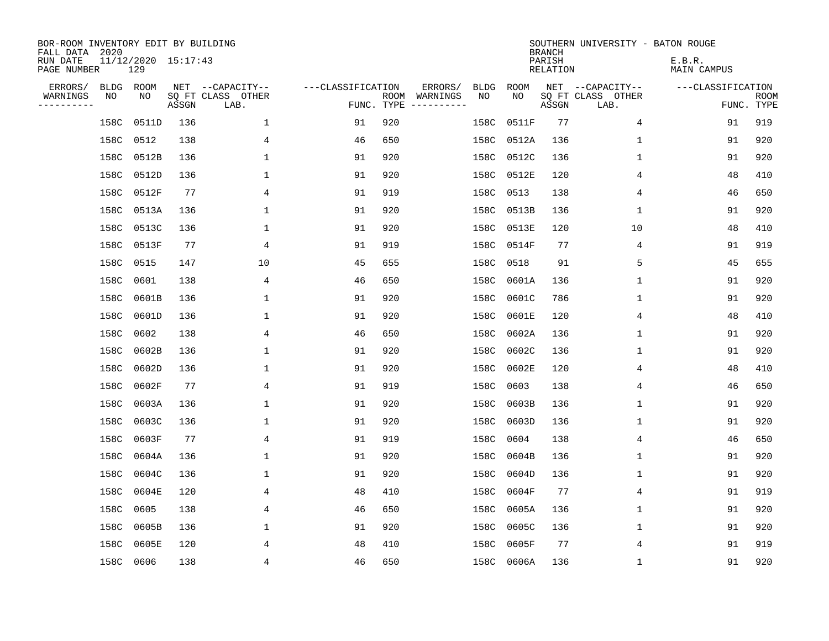| BOR-ROOM INVENTORY EDIT BY BUILDING<br>FALL DATA 2020 |      |                            |       |                           |                   |                    |          |             |             | <b>BRANCH</b>             | SOUTHERN UNIVERSITY - BATON ROUGE |                       |                           |
|-------------------------------------------------------|------|----------------------------|-------|---------------------------|-------------------|--------------------|----------|-------------|-------------|---------------------------|-----------------------------------|-----------------------|---------------------------|
| RUN DATE<br>PAGE NUMBER                               |      | 11/12/2020 15:17:43<br>129 |       |                           |                   |                    |          |             |             | PARISH<br><b>RELATION</b> |                                   | E.B.R.<br>MAIN CAMPUS |                           |
| ERRORS/                                               | BLDG | ROOM                       |       | NET --CAPACITY--          | ---CLASSIFICATION |                    | ERRORS/  | <b>BLDG</b> | <b>ROOM</b> |                           | NET --CAPACITY--                  | ---CLASSIFICATION     |                           |
| WARNINGS<br>----------                                | NO   | NO                         | ASSGN | SQ FT CLASS OTHER<br>LAB. |                   | ROOM<br>FUNC. TYPE | WARNINGS | NO          | NO          | ASSGN                     | SQ FT CLASS OTHER<br>LAB.         |                       | <b>ROOM</b><br>FUNC. TYPE |
|                                                       | 158C | 0511D                      | 136   | 1                         | 91                | 920                |          | 158C        | 0511F       | 77                        | 4                                 | 91                    | 919                       |
|                                                       | 158C | 0512                       | 138   | 4                         | 46                | 650                |          | 158C        | 0512A       | 136                       | 1                                 | 91                    | 920                       |
|                                                       | 158C | 0512B                      | 136   | 1                         | 91                | 920                |          | 158C        | 0512C       | 136                       | 1                                 | 91                    | 920                       |
|                                                       | 158C | 0512D                      | 136   | $\mathbf{1}$              | 91                | 920                |          | 158C        | 0512E       | 120                       | 4                                 | 48                    | 410                       |
|                                                       | 158C | 0512F                      | 77    | 4                         | 91                | 919                |          | 158C        | 0513        | 138                       | 4                                 | 46                    | 650                       |
|                                                       | 158C | 0513A                      | 136   | 1                         | 91                | 920                |          | 158C        | 0513B       | 136                       | $\mathbf 1$                       | 91                    | 920                       |
|                                                       | 158C | 0513C                      | 136   | $\mathbf{1}$              | 91                | 920                |          | 158C        | 0513E       | 120                       | 10                                | 48                    | 410                       |
|                                                       | 158C | 0513F                      | 77    | 4                         | 91                | 919                |          | 158C        | 0514F       | 77                        | 4                                 | 91                    | 919                       |
|                                                       | 158C | 0515                       | 147   | 10                        | 45                | 655                |          | 158C        | 0518        | 91                        | 5                                 | 45                    | 655                       |
|                                                       | 158C | 0601                       | 138   | 4                         | 46                | 650                |          | 158C        | 0601A       | 136                       | $\mathbf 1$                       | 91                    | 920                       |
|                                                       | 158C | 0601B                      | 136   | $\mathbf{1}$              | 91                | 920                |          | 158C        | 0601C       | 786                       | 1                                 | 91                    | 920                       |
|                                                       | 158C | 0601D                      | 136   | $\mathbf{1}$              | 91                | 920                |          | 158C        | 0601E       | 120                       | 4                                 | 48                    | 410                       |
|                                                       | 158C | 0602                       | 138   | 4                         | 46                | 650                |          | 158C        | 0602A       | 136                       | 1                                 | 91                    | 920                       |
|                                                       | 158C | 0602B                      | 136   | 1                         | 91                | 920                |          | 158C        | 0602C       | 136                       | 1                                 | 91                    | 920                       |
|                                                       | 158C | 0602D                      | 136   | 1                         | 91                | 920                |          | 158C        | 0602E       | 120                       | 4                                 | 48                    | 410                       |
|                                                       | 158C | 0602F                      | 77    | 4                         | 91                | 919                |          | 158C        | 0603        | 138                       | 4                                 | 46                    | 650                       |
|                                                       | 158C | 0603A                      | 136   | 1                         | 91                | 920                |          | 158C        | 0603B       | 136                       | 1                                 | 91                    | 920                       |
|                                                       | 158C | 0603C                      | 136   | $\mathbf{1}$              | 91                | 920                |          | 158C        | 0603D       | 136                       | $\mathbf 1$                       | 91                    | 920                       |
|                                                       | 158C | 0603F                      | 77    | 4                         | 91                | 919                |          | 158C        | 0604        | 138                       | 4                                 | 46                    | 650                       |
|                                                       | 158C | 0604A                      | 136   | 1                         | 91                | 920                |          | 158C        | 0604B       | 136                       | 1                                 | 91                    | 920                       |
|                                                       | 158C | 0604C                      | 136   | 1                         | 91                | 920                |          | 158C        | 0604D       | 136                       | 1                                 | 91                    | 920                       |
|                                                       | 158C | 0604E                      | 120   | 4                         | 48                | 410                |          | 158C        | 0604F       | 77                        | 4                                 | 91                    | 919                       |
|                                                       | 158C | 0605                       | 138   | 4                         | 46                | 650                |          | 158C        | 0605A       | 136                       | 1                                 | 91                    | 920                       |
|                                                       | 158C | 0605B                      | 136   | 1                         | 91                | 920                |          | 158C        | 0605C       | 136                       | 1                                 | 91                    | 920                       |
|                                                       | 158C | 0605E                      | 120   | 4                         | 48                | 410                |          | 158C        | 0605F       | 77                        | 4                                 | 91                    | 919                       |
|                                                       | 158C | 0606                       | 138   | 4                         | 46                | 650                |          |             | 158C 0606A  | 136                       | $\mathbf{1}$                      | 91                    | 920                       |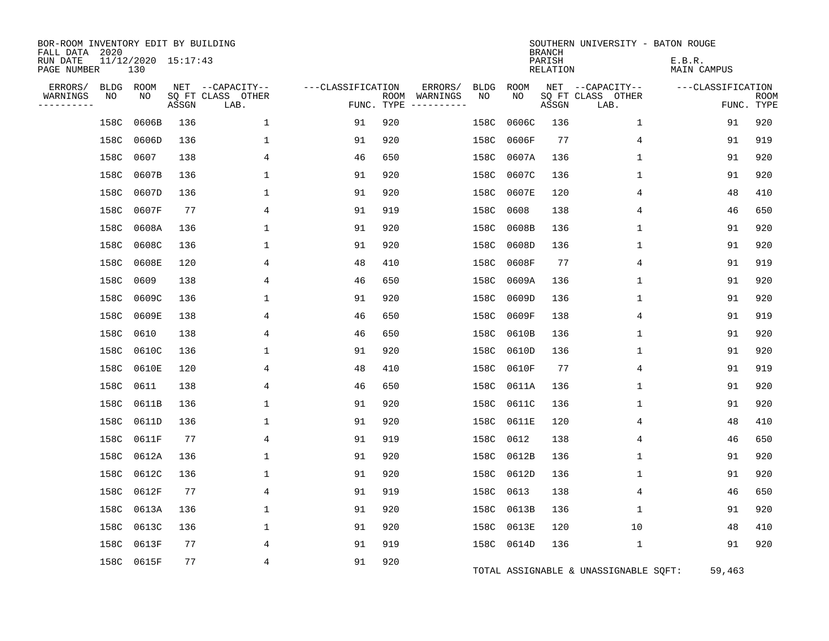| BOR-ROOM INVENTORY EDIT BY BUILDING<br>FALL DATA 2020 |            |                            |       |                                               |                   |            |                                         |                   |                   | <b>BRANCH</b>      | SOUTHERN UNIVERSITY - BATON ROUGE             |                       |        |                           |
|-------------------------------------------------------|------------|----------------------------|-------|-----------------------------------------------|-------------------|------------|-----------------------------------------|-------------------|-------------------|--------------------|-----------------------------------------------|-----------------------|--------|---------------------------|
| RUN DATE<br>PAGE NUMBER                               |            | 11/12/2020 15:17:43<br>130 |       |                                               |                   |            |                                         |                   |                   | PARISH<br>RELATION |                                               | E.B.R.<br>MAIN CAMPUS |        |                           |
| ERRORS/<br>WARNINGS<br>----------                     | BLDG<br>NO | ROOM<br>NO                 | ASSGN | NET --CAPACITY--<br>SO FT CLASS OTHER<br>LAB. | ---CLASSIFICATION | FUNC. TYPE | ERRORS/<br>ROOM WARNINGS<br>----------- | <b>BLDG</b><br>NO | <b>ROOM</b><br>NO | ASSGN              | NET --CAPACITY--<br>SQ FT CLASS OTHER<br>LAB. | ---CLASSIFICATION     |        | <b>ROOM</b><br>FUNC. TYPE |
|                                                       | 158C       | 0606B                      | 136   | $\mathbf{1}$                                  | 91                | 920        |                                         | 158C              | 0606C             | 136                | $\mathbf{1}$                                  |                       | 91     | 920                       |
|                                                       | 158C       | 0606D                      | 136   | 1                                             | 91                | 920        |                                         | 158C              | 0606F             | 77                 | 4                                             |                       | 91     | 919                       |
|                                                       | 158C       | 0607                       | 138   | 4                                             | 46                | 650        |                                         | 158C              | 0607A             | 136                | 1                                             |                       | 91     | 920                       |
|                                                       | 158C       | 0607B                      | 136   | $\mathbf{1}$                                  | 91                | 920        |                                         | 158C              | 0607C             | 136                | 1                                             |                       | 91     | 920                       |
|                                                       | 158C       | 0607D                      | 136   | 1                                             | 91                | 920        |                                         | 158C              | 0607E             | 120                | 4                                             |                       | 48     | 410                       |
|                                                       | 158C       | 0607F                      | 77    | 4                                             | 91                | 919        |                                         | 158C              | 0608              | 138                | 4                                             |                       | 46     | 650                       |
|                                                       | 158C       | 0608A                      | 136   | 1                                             | 91                | 920        |                                         | 158C              | 0608B             | 136                | 1                                             |                       | 91     | 920                       |
|                                                       | 158C       | 0608C                      | 136   | 1                                             | 91                | 920        |                                         | 158C              | 0608D             | 136                | $\mathbf 1$                                   |                       | 91     | 920                       |
|                                                       | 158C       | 0608E                      | 120   | 4                                             | 48                | 410        |                                         | 158C              | 0608F             | 77                 | 4                                             |                       | 91     | 919                       |
|                                                       | 158C       | 0609                       | 138   | 4                                             | 46                | 650        |                                         | 158C              | 0609A             | 136                | 1                                             |                       | 91     | 920                       |
|                                                       | 158C       | 0609C                      | 136   | $\mathbf{1}$                                  | 91                | 920        |                                         | 158C              | 0609D             | 136                | $\mathbf 1$                                   |                       | 91     | 920                       |
|                                                       | 158C       | 0609E                      | 138   | 4                                             | 46                | 650        |                                         | 158C              | 0609F             | 138                | 4                                             |                       | 91     | 919                       |
|                                                       | 158C       | 0610                       | 138   | 4                                             | 46                | 650        |                                         | 158C              | 0610B             | 136                | 1                                             |                       | 91     | 920                       |
|                                                       | 158C       | 0610C                      | 136   | 1                                             | 91                | 920        |                                         | 158C              | 0610D             | 136                | 1                                             |                       | 91     | 920                       |
|                                                       | 158C       | 0610E                      | 120   | 4                                             | 48                | 410        |                                         | 158C              | 0610F             | 77                 | 4                                             |                       | 91     | 919                       |
|                                                       | 158C       | 0611                       | 138   | 4                                             | 46                | 650        |                                         | 158C              | 0611A             | 136                | 1                                             |                       | 91     | 920                       |
|                                                       | 158C       | 0611B                      | 136   | 1                                             | 91                | 920        |                                         | 158C              | 0611C             | 136                | 1                                             |                       | 91     | 920                       |
|                                                       | 158C       | 0611D                      | 136   | $\mathbf{1}$                                  | 91                | 920        |                                         | 158C              | 0611E             | 120                | 4                                             |                       | 48     | 410                       |
|                                                       | 158C       | 0611F                      | 77    | 4                                             | 91                | 919        |                                         | 158C              | 0612              | 138                | 4                                             |                       | 46     | 650                       |
|                                                       | 158C       | 0612A                      | 136   | $\mathbf{1}$                                  | 91                | 920        |                                         | 158C              | 0612B             | 136                | 1                                             |                       | 91     | 920                       |
|                                                       | 158C       | 0612C                      | 136   | $\mathbf{1}$                                  | 91                | 920        |                                         | 158C              | 0612D             | 136                | 1                                             |                       | 91     | 920                       |
|                                                       | 158C       | 0612F                      | 77    | 4                                             | 91                | 919        |                                         | 158C              | 0613              | 138                | 4                                             |                       | 46     | 650                       |
|                                                       | 158C       | 0613A                      | 136   | $\mathbf{1}$                                  | 91                | 920        |                                         | 158C              | 0613B             | 136                | 1                                             |                       | 91     | 920                       |
|                                                       | 158C       | 0613C                      | 136   | 1                                             | 91                | 920        |                                         | 158C              | 0613E             | 120                | 10                                            |                       | 48     | 410                       |
|                                                       | 158C       | 0613F                      | 77    | 4                                             | 91                | 919        |                                         |                   | 158C 0614D        | 136                | 1                                             |                       | 91     | 920                       |
|                                                       | 158C       | 0615F                      | 77    | 4                                             | 91                | 920        |                                         |                   |                   |                    | TOTAL ASSIGNABLE & UNASSIGNABLE SQFT:         |                       | 59,463 |                           |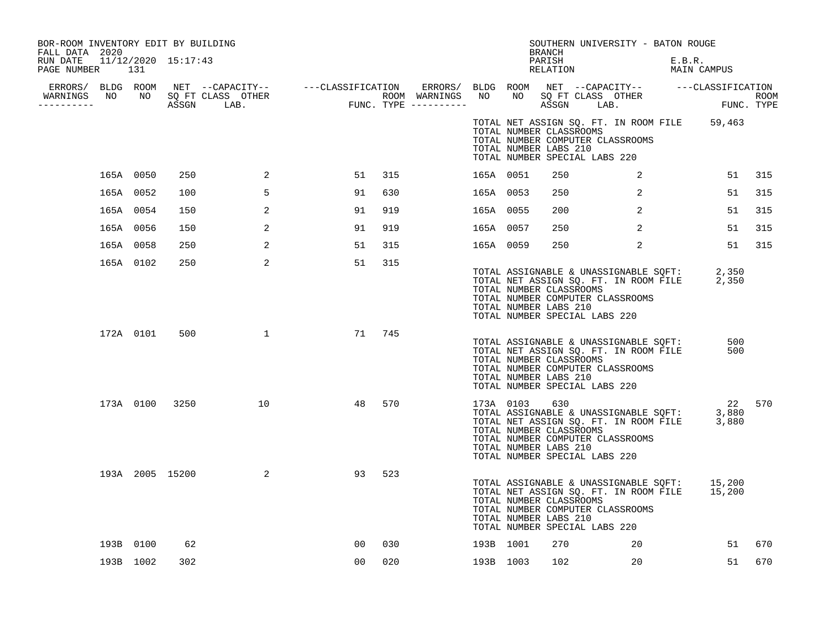| BOR-ROOM INVENTORY EDIT BY BUILDING<br>FALL DATA 2020 |           |                |                      |    |        |           | BRANCH                                                  | SOUTHERN UNIVERSITY - BATON ROUGE                                 |                |                                                                                                                       |        |
|-------------------------------------------------------|-----------|----------------|----------------------|----|--------|-----------|---------------------------------------------------------|-------------------------------------------------------------------|----------------|-----------------------------------------------------------------------------------------------------------------------|--------|
| RUN DATE 11/12/2020 15:17:43<br>PAGE NUMBER 131       |           |                |                      |    |        |           | PARISH<br>RELATION                                      |                                                                   |                | E.B.R.<br>MAIN CAMPUS                                                                                                 |        |
|                                                       |           |                |                      |    |        |           |                                                         |                                                                   |                |                                                                                                                       |        |
| -----------                                           |           |                |                      |    |        |           |                                                         |                                                                   |                |                                                                                                                       |        |
|                                                       |           |                |                      |    |        |           | TOTAL NUMBER CLASSROOMS<br>TOTAL NUMBER LABS 210        | TOTAL NUMBER COMPUTER CLASSROOMS<br>TOTAL NUMBER SPECIAL LABS 220 |                | TOTAL NET ASSIGN SQ. FT. IN ROOM FILE 59,463                                                                          |        |
|                                                       | 165A 0050 | 250            | 2                    | 51 | 315    | 165A 0051 | 250                                                     |                                                                   | 2              |                                                                                                                       | 51 315 |
|                                                       | 165A 0052 | 100            | 5                    | 91 | 630    | 165A 0053 | 250                                                     |                                                                   | $\overline{a}$ | 51                                                                                                                    | 315    |
|                                                       | 165A 0054 | 150            | 2                    | 91 | 919    | 165A 0055 | 200                                                     |                                                                   | 2              | 51                                                                                                                    | 315    |
|                                                       | 165A 0056 | 150            | $\overline{2}$       | 91 | 919    | 165A 0057 | 250                                                     |                                                                   | 2              | 51                                                                                                                    | 315    |
|                                                       | 165A 0058 | 250            | 2                    | 51 | 315    | 165A 0059 | 250                                                     |                                                                   | 2              | 51                                                                                                                    | 315    |
|                                                       | 165A 0102 | 250            | 2                    | 51 | 315    |           | TOTAL NUMBER CLASSROOMS<br>TOTAL NUMBER LABS 210        | TOTAL NUMBER COMPUTER CLASSROOMS<br>TOTAL NUMBER SPECIAL LABS 220 |                | TOTAL ASSIGNABLE & UNASSIGNABLE SQFT: 2,350<br>TOTAL NET ASSIGN SQ. FT. IN ROOM FILE 2,350                            |        |
|                                                       | 172A 0101 | 500            | $\overline{1}$       |    | 71 745 |           | TOTAL NUMBER CLASSROOMS<br>TOTAL NUMBER LABS 210        | TOTAL NUMBER COMPUTER CLASSROOMS<br>TOTAL NUMBER SPECIAL LABS 220 |                | 500<br>TOTAL ASSIGNABLE & UNASSIGNABLE SQFT:<br>TOTAL NET ASSIGN SQ. FT. IN ROOM FILE<br>500                          |        |
|                                                       |           | 173A 0100 3250 | 10                   | 48 | 570    | 173A 0103 | 630<br>TOTAL NUMBER CLASSROOMS<br>TOTAL NUMBER LABS 210 | TOTAL NUMBER COMPUTER CLASSROOMS<br>TOTAL NUMBER SPECIAL LABS 220 |                | 22 570<br>175A 0105 630<br>TOTAL ASSIGNABLE & UNASSIGNABLE SQFT: 3,880<br>TOTAL NET ASSIGN SQ. FT. IN ROOM FILE 3,880 |        |
|                                                       |           |                | 193A 2005 15200<br>2 | 93 | 523    |           | TOTAL NUMBER CLASSROOMS<br>TOTAL NUMBER LABS 210        | TOTAL NUMBER COMPUTER CLASSROOMS<br>TOTAL NUMBER SPECIAL LABS 220 |                | TOTAL ASSIGNABLE & UNASSIGNABLE SQFT: 15,200<br>TOTAL NET ASSIGN SQ. FT. IN ROOM FILE 15,200                          |        |
|                                                       | 193B 0100 | 62             |                      | 00 | 030    | 193B 1001 | 270                                                     |                                                                   | 20             | 51                                                                                                                    | 670    |
|                                                       | 193B 1002 | 302            |                      | 00 | 020    | 193B 1003 | 102                                                     |                                                                   | 20             | 51                                                                                                                    | 670    |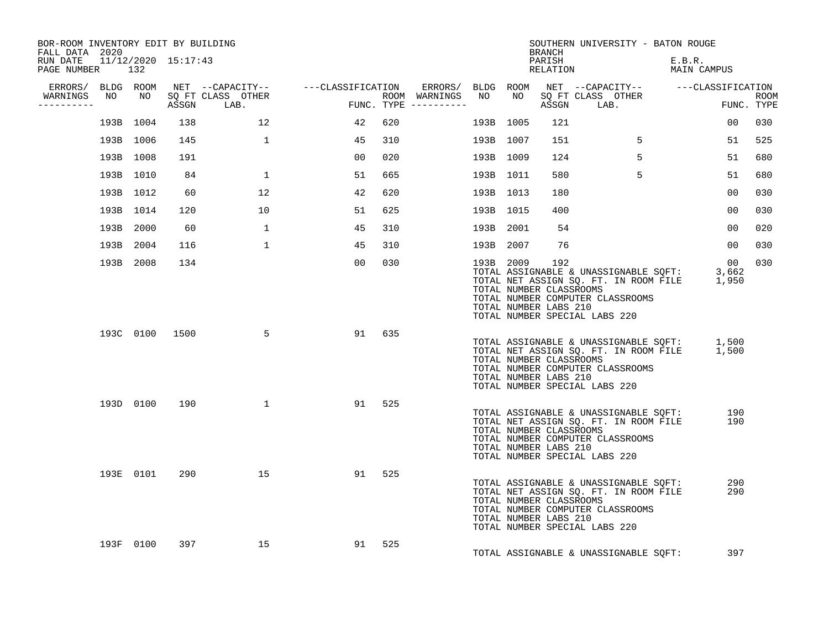| BOR-ROOM INVENTORY EDIT BY BUILDING<br>FALL DATA 2020 |           |           |     |                                                |                                                                                                             |     |                                            |           |                 | BRANCH                                                                                   |                                                                                                                    | SOUTHERN UNIVERSITY - BATON ROUGE                                                          |                 |             |
|-------------------------------------------------------|-----------|-----------|-----|------------------------------------------------|-------------------------------------------------------------------------------------------------------------|-----|--------------------------------------------|-----------|-----------------|------------------------------------------------------------------------------------------|--------------------------------------------------------------------------------------------------------------------|--------------------------------------------------------------------------------------------|-----------------|-------------|
| RUN DATE 11/12/2020 15:17:43<br>PAGE NUMBER 132       |           |           |     |                                                |                                                                                                             |     |                                            |           |                 | PARISH<br>RELATION                                                                       |                                                                                                                    | E.B.R.<br>MAIN CAMPUS                                                                      |                 |             |
|                                                       |           |           |     |                                                | ERRORS/ BLDG ROOM NET --CAPACITY--  ---CLASSIFICATION ERRORS/ BLDG ROOM NET --CAPACITY--  ---CLASSIFICATION |     |                                            |           |                 |                                                                                          |                                                                                                                    |                                                                                            |                 |             |
| ----------                                            |           |           |     | WARNINGS NO NO SQ FT CLASS OTHER<br>ASSGN LAB. | FUN                                                                                                         |     | ROOM WARNINGS NO<br>$FUNC. TYPE$ --------- |           | NO <sub>1</sub> |                                                                                          | SQ FT CLASS OTHER<br>ASSGN LAB.                                                                                    |                                                                                            | FUNC. TYPE      | <b>ROOM</b> |
|                                                       |           | 193B 1004 | 138 | 12                                             | 42                                                                                                          | 620 |                                            | 193B 1005 |                 | 121                                                                                      |                                                                                                                    |                                                                                            | 00 <sub>o</sub> | 030         |
|                                                       | 193B 1006 |           | 145 | $\overline{1}$                                 | 45                                                                                                          | 310 |                                            | 193B 1007 |                 | 151                                                                                      | 5                                                                                                                  |                                                                                            | 51              | 525         |
|                                                       | 193B 1008 |           | 191 |                                                | 00                                                                                                          | 020 |                                            | 193B 1009 |                 | 124                                                                                      | $5^{\circ}$                                                                                                        |                                                                                            | 51              | 680         |
|                                                       | 193B 1010 |           | 84  | 1                                              | 51                                                                                                          | 665 |                                            | 193B 1011 |                 | 580                                                                                      | $5^{\circ}$                                                                                                        |                                                                                            | 51              | 680         |
|                                                       | 193B 1012 |           | 60  | 12                                             | 42                                                                                                          | 620 |                                            | 193B 1013 |                 | 180                                                                                      |                                                                                                                    |                                                                                            | 00              | 030         |
|                                                       | 193B 1014 |           | 120 | 10                                             | 51                                                                                                          | 625 |                                            | 193B 1015 |                 | 400                                                                                      |                                                                                                                    |                                                                                            | 0 <sub>0</sub>  | 030         |
|                                                       | 193B 2000 |           | 60  | 1                                              | 45                                                                                                          | 310 |                                            | 193B 2001 |                 | 54                                                                                       |                                                                                                                    |                                                                                            | 00              | 020         |
|                                                       | 193B 2004 |           | 116 | $\mathbf{1}$                                   | 45                                                                                                          | 310 |                                            | 193B 2007 |                 | 76                                                                                       |                                                                                                                    |                                                                                            | 00              | 030         |
|                                                       | 193B 2008 |           | 134 |                                                | 0 <sub>0</sub>                                                                                              | 030 |                                            | 193B 2009 |                 | 192<br>TOTAL NUMBER CLASSROOMS<br>TOTAL NUMBER LABS 210<br>TOTAL NUMBER SPECIAL LABS 220 | TOTAL NUMBER COMPUTER CLASSROOMS                                                                                   | TOTAL ASSIGNABLE & UNASSIGNABLE SQFT: 3,662<br>TOTAL NET ASSIGN SQ. FT. IN ROOM FILE 1,950 | 00              | 030         |
|                                                       |           |           |     | 5 <sup>5</sup><br>193C 0100 1500               | 91                                                                                                          | 635 |                                            |           |                 | TOTAL NUMBER CLASSROOMS<br>TOTAL NUMBER LABS 210<br>TOTAL NUMBER SPECIAL LABS 220        | TOTAL NUMBER COMPUTER CLASSROOMS                                                                                   | TOTAL ASSIGNABLE & UNASSIGNABLE SQFT: 1,500<br>TOTAL NET ASSIGN SQ. FT. IN ROOM FILE 1,500 |                 |             |
|                                                       |           | 193D 0100 | 190 | $\mathbf{1}$                                   | 91                                                                                                          | 525 |                                            |           |                 | TOTAL NUMBER CLASSROOMS<br>TOTAL NUMBER LABS 210<br>TOTAL NUMBER SPECIAL LABS 220        | TOTAL ASSIGNABLE & UNASSIGNABLE SOFT:<br>TOTAL NET ASSIGN SQ. FT. IN ROOM FILE<br>TOTAL NUMBER COMPUTER CLASSROOMS |                                                                                            | 190<br>190      |             |
|                                                       |           | 193E 0101 | 290 | 15                                             | 91 525                                                                                                      |     |                                            |           |                 | TOTAL NUMBER CLASSROOMS<br>TOTAL NUMBER LABS 210<br>TOTAL NUMBER SPECIAL LABS 220        | TOTAL ASSIGNABLE & UNASSIGNABLE SQFT:<br>TOTAL NET ASSIGN SQ. FT. IN ROOM FILE<br>TOTAL NUMBER COMPUTER CLASSROOMS |                                                                                            | 290<br>290      |             |
|                                                       |           | 193F 0100 | 397 | 15                                             | 91 525                                                                                                      |     |                                            |           |                 |                                                                                          | TOTAL ASSIGNABLE & UNASSIGNABLE SQFT:                                                                              |                                                                                            | 397             |             |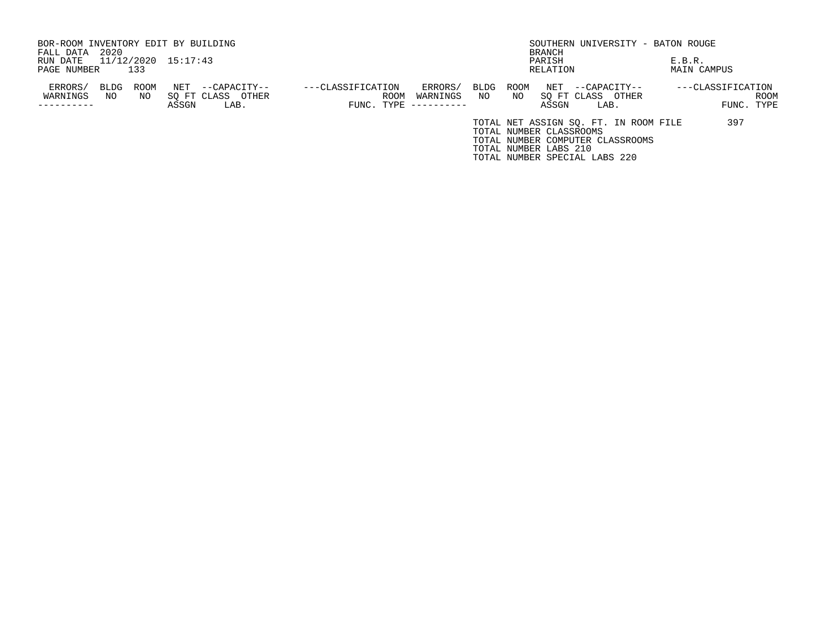| BOR-ROOM INVENTORY EDIT BY BUILDING |                      |                     |          |             |                                       | SOUTHERN UNIVERSITY - BATON ROUGE |                   |      |
|-------------------------------------|----------------------|---------------------|----------|-------------|---------------------------------------|-----------------------------------|-------------------|------|
| 2020<br>FALL DATA                   |                      |                     |          |             | BRANCH                                |                                   |                   |      |
| 11/12/2020 15:17:43<br>RUN DATE     |                      |                     |          | PARISH      |                                       |                                   | E.B.R.            |      |
| 133<br>PAGE NUMBER                  |                      |                     |          |             | RELATION                              |                                   | MAIN CAMPUS       |      |
| ERRORS/<br>ROOM<br>BLDG             | NET<br>--CAPACITY--  | ---CLASSIFICATION   | ERRORS/  | <b>BLDG</b> | ROOM<br>NET                           | --CAPACITY--                      | ---CLASSIFICATION |      |
| WARNINGS<br>NO.<br>NO               | SO FT CLASS<br>OTHER | <b>ROOM</b>         | WARNINGS | NO          | SO FT CLASS<br>NO.                    | OTHER                             |                   | ROOM |
|                                     | ASSGN<br>LAB.        | FUNC. TYPE $------$ |          |             | ASSGN                                 | LAB.                              | FUNC. TYPE        |      |
|                                     |                      |                     |          |             | TOTAL NET ASSIGN SO. FT. IN ROOM FILE |                                   | 397               |      |
|                                     |                      |                     |          |             | TOTAL NUMBER CLASSROOMS               |                                   |                   |      |
|                                     |                      |                     |          |             | TOTAL NUMBER COMPUTER CLASSROOMS      |                                   |                   |      |
|                                     |                      |                     |          |             | TOTAL NUMBER LABS 210                 |                                   |                   |      |
|                                     |                      |                     |          |             | TOTAL NUMBER SPECIAL LABS 220         |                                   |                   |      |